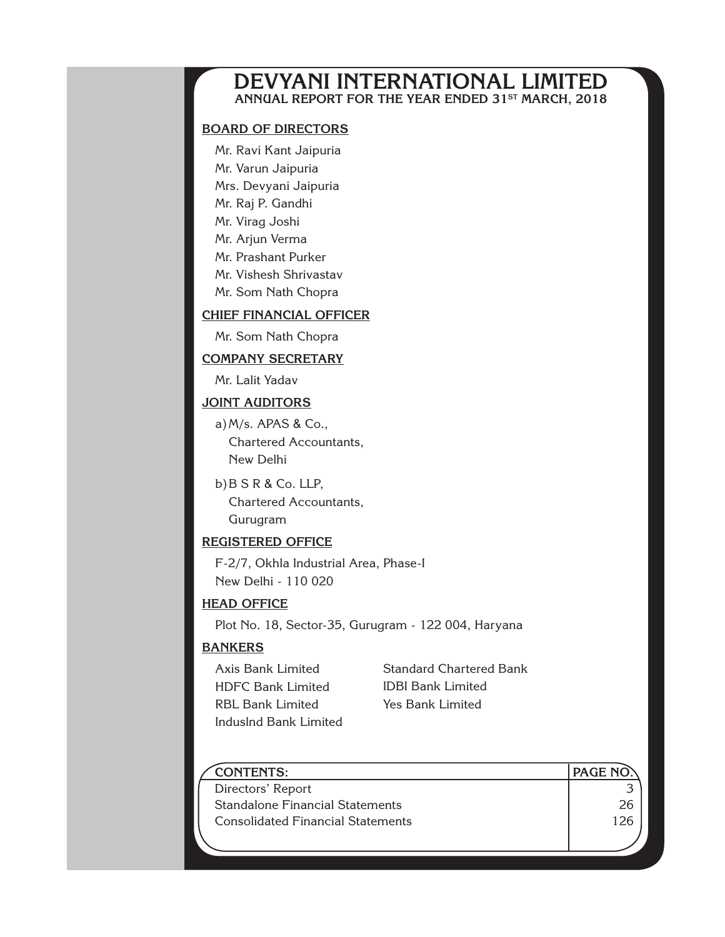### **DEVYANI INTERNATIONAL LIMITED Annual Report For the year ended 31st MARCH, 2018**

#### **Board of Directors**

Mr. Ravi Kant Jaipuria Mr. Varun Jaipuria Mrs. Devyani Jaipuria Mr. Raj P. Gandhi Mr. Virag Joshi Mr. Arjun Verma Mr. Prashant Purker

Mr. Vishesh Shrivastav

Mr. Som Nath Chopra

#### **CHIEF FINANCIAL OFFICER**

Mr. Som Nath Chopra

#### **Company secretary**

Mr. Lalit Yadav

#### **JOINT AUDITORS**

a)M/s. APAS & Co., Chartered Accountants, New Delhi

b)B S R & Co. LLP, Chartered Accountants, Gurugram

#### **Registered Office**

F-2/7, Okhla Industrial Area, Phase-I New Delhi - 110 020

#### **head Office**

Plot No. 18, Sector-35, Gurugram - 122 004, Haryana

#### **Bankers**

Axis Bank Limited HDFC Bank Limited RBL Bank Limited Induslnd Bank Limited Standard Chartered Bank IDBI Bank Limited Yes Bank Limited

| <b>CONTENTS:</b>                         | <b>PAGE NO.</b> |
|------------------------------------------|-----------------|
| Directors' Report                        |                 |
| Standalone Financial Statements          |                 |
| <b>Consolidated Financial Statements</b> |                 |
|                                          |                 |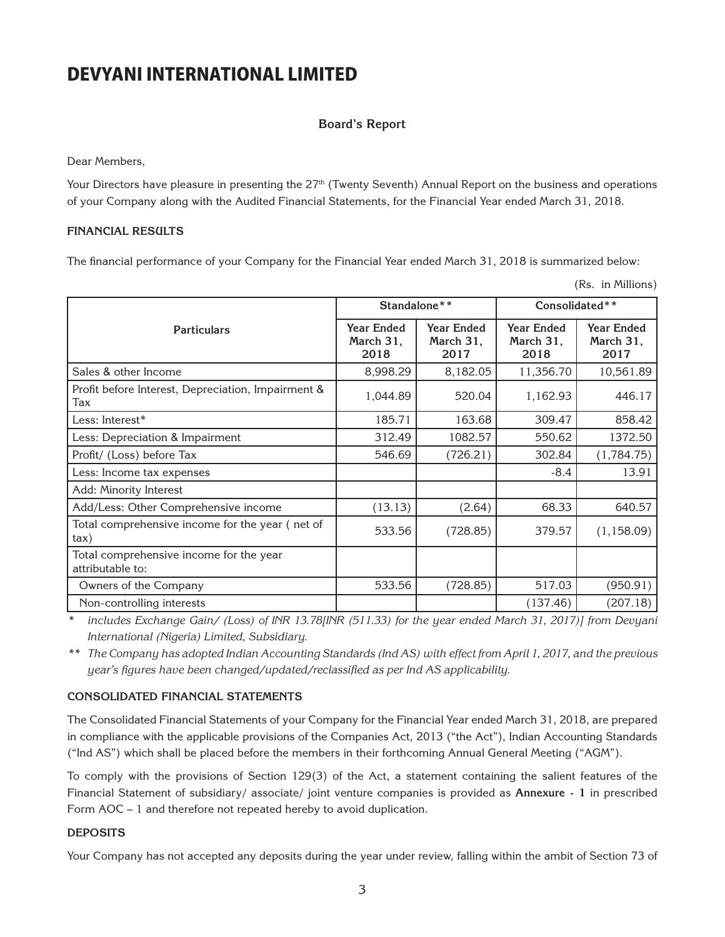#### **Board's Report**

Dear Members,

Your Directors have pleasure in presenting the  $27<sup>th</sup>$  (Twenty Seventh) Annual Report on the business and operations of your Company along with the Audited Financial Statements, for the Financial Year ended March 31, 2018.

#### **FINANCIAL RESULTS**

The financial performance of your Company for the Financial Year ended March 31, 2018 is summarized below:

(Rs. in Millions)

|                                                             |                                        |                                        |                                        | $\left(110, 1111, 111110110\right)$    |
|-------------------------------------------------------------|----------------------------------------|----------------------------------------|----------------------------------------|----------------------------------------|
|                                                             | Standalone**                           |                                        | Consolidated**                         |                                        |
| <b>Particulars</b>                                          | <b>Year Ended</b><br>March 31,<br>2018 | <b>Year Ended</b><br>March 31,<br>2017 | <b>Year Ended</b><br>March 31,<br>2018 | <b>Year Ended</b><br>March 31,<br>2017 |
| Sales & other Income                                        | 8,998.29                               | 8,182.05                               | 11,356.70                              | 10,561.89                              |
| Profit before Interest, Depreciation, Impairment &<br>Tax   | 1,044.89                               | 520.04                                 | 1,162.93                               | 446.17                                 |
| Less: Interest*                                             | 185.71                                 | 163.68                                 | 309.47                                 | 858.42                                 |
| Less: Depreciation & Impairment                             | 312.49                                 | 1082.57                                | 550.62                                 | 1372.50                                |
| Profit/ (Loss) before Tax                                   | 546.69                                 | (726.21)                               | 302.84                                 | (1,784.75)                             |
| Less: Income tax expenses                                   |                                        |                                        | $-8.4$                                 | 13.91                                  |
| Add: Minority Interest                                      |                                        |                                        |                                        |                                        |
| Add/Less: Other Comprehensive income                        | (13.13)                                | (2.64)                                 | 68.33                                  | 640.57                                 |
| Total comprehensive income for the year (net of<br>tax)     | 533.56                                 | (728.85)                               | 379.57                                 | (1, 158.09)                            |
| Total comprehensive income for the year<br>attributable to: |                                        |                                        |                                        |                                        |
| Owners of the Company                                       | 533.56                                 | (728.85)                               | 517.03                                 | (950.91)                               |
| Non-controlling interests                                   |                                        |                                        | (137.46)                               | (207.18)                               |

*\* includes Exchange Gain/ (Loss) of INR 13.78[INR (511.33) for the year ended March 31, 2017)] from Devyani International (Nigeria) Limited, Subsidiary.* 

*\*\* The Company has adopted Indian Accounting Standards (Ind AS) with effect from April 1, 2017, and the previous year's figures have been changed/updated/reclassified as per Ind AS applicability.*

#### **CONSOLIDATED FINANCIAL STATEMENTS**

The Consolidated Financial Statements of your Company for the Financial Year ended March 31, 2018, are prepared in compliance with the applicable provisions of the Companies Act, 2013 ("the Act"), Indian Accounting Standards ("Ind AS") which shall be placed before the members in their forthcoming Annual General Meeting ("AGM").

To comply with the provisions of Section 129(3) of the Act, a statement containing the salient features of the Financial Statement of subsidiary/ associate/ joint venture companies is provided as **Annexure - 1** in prescribed Form AOC – 1 and therefore not repeated hereby to avoid duplication.

#### **DEPOSITS**

Your Company has not accepted any deposits during the year under review, falling within the ambit of Section 73 of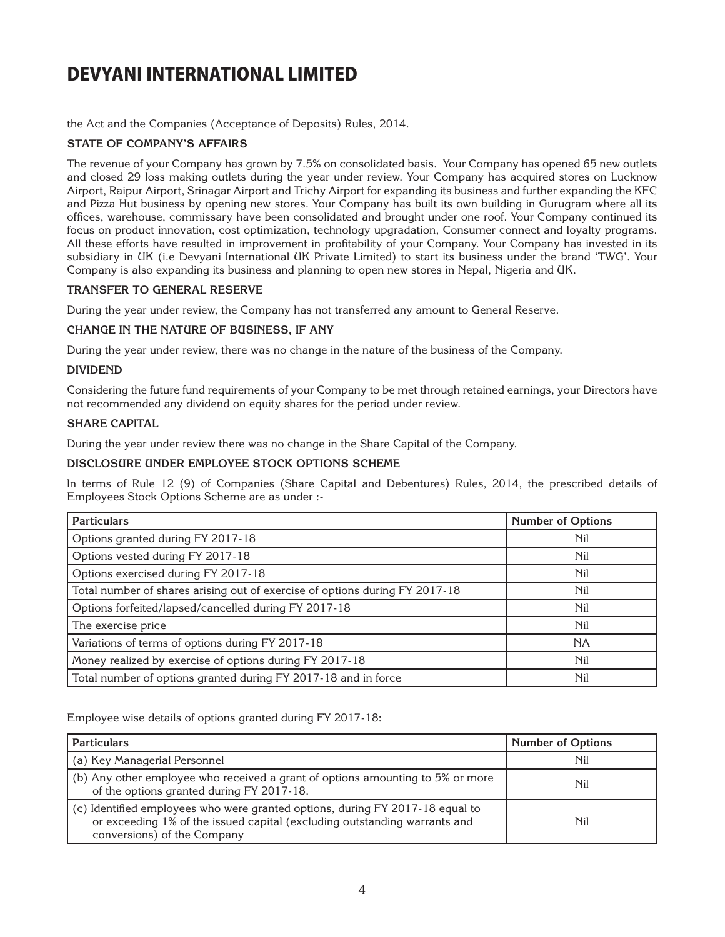the Act and the Companies (Acceptance of Deposits) Rules, 2014.

#### **STATE OF COMPANY'S AFFAIRS**

The revenue of your Company has grown by 7.5% on consolidated basis. Your Company has opened 65 new outlets and closed 29 loss making outlets during the year under review. Your Company has acquired stores on Lucknow Airport, Raipur Airport, Srinagar Airport and Trichy Airport for expanding its business and further expanding the KFC and Pizza Hut business by opening new stores. Your Company has built its own building in Gurugram where all its offices, warehouse, commissary have been consolidated and brought under one roof. Your Company continued its focus on product innovation, cost optimization, technology upgradation, Consumer connect and loyalty programs. All these efforts have resulted in improvement in profitability of your Company. Your Company has invested in its subsidiary in UK (i.e Devyani International UK Private Limited) to start its business under the brand 'TWG'. Your Company is also expanding its business and planning to open new stores in Nepal, Nigeria and UK.

#### **TRANSFER TO GENERAL RESERVE**

During the year under review, the Company has not transferred any amount to General Reserve.

#### **CHANGE IN THE NATURE OF BUSINESS, IF ANY**

During the year under review, there was no change in the nature of the business of the Company.

#### **DIVIDEND**

Considering the future fund requirements of your Company to be met through retained earnings, your Directors have not recommended any dividend on equity shares for the period under review.

#### **SHARE CAPITAL**

During the year under review there was no change in the Share Capital of the Company.

#### **DISCLOSURE UNDER EMPLOYEE STOCK OPTIONS SCHEME**

In terms of Rule 12 (9) of Companies (Share Capital and Debentures) Rules, 2014, the prescribed details of Employees Stock Options Scheme are as under :-

| <b>Particulars</b>                                                          | <b>Number of Options</b> |
|-----------------------------------------------------------------------------|--------------------------|
| Options granted during FY 2017-18                                           | Nil                      |
| Options vested during FY 2017-18                                            | <b>Nil</b>               |
| Options exercised during FY 2017-18                                         | Nil                      |
| Total number of shares arising out of exercise of options during FY 2017-18 | <b>Nil</b>               |
| Options forfeited/lapsed/cancelled during FY 2017-18                        | <b>Nil</b>               |
| The exercise price                                                          | <b>Nil</b>               |
| Variations of terms of options during FY 2017-18                            | <b>NA</b>                |
| Money realized by exercise of options during FY 2017-18                     | Nil                      |
| Total number of options granted during FY 2017-18 and in force              | <b>Nil</b>               |

Employee wise details of options granted during FY 2017-18:

| <b>Particulars</b>                                                                                                                                                                        | <b>Number of Options</b> |
|-------------------------------------------------------------------------------------------------------------------------------------------------------------------------------------------|--------------------------|
| (a) Key Managerial Personnel                                                                                                                                                              | Nil                      |
| (b) Any other employee who received a grant of options amounting to 5% or more<br>of the options granted during FY 2017-18.                                                               | Nil                      |
| (c) Identified employees who were granted options, during FY 2017-18 equal to<br>or exceeding 1% of the issued capital (excluding outstanding warrants and<br>conversions) of the Company | Nil                      |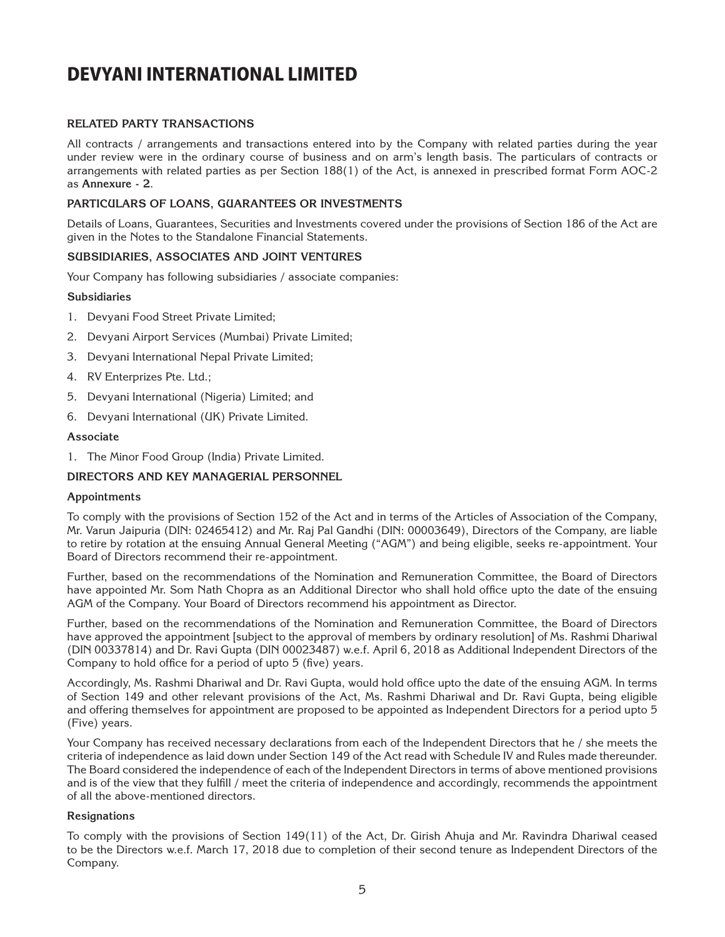#### **RELATED PARTY TRANSACTIONS**

All contracts / arrangements and transactions entered into by the Company with related parties during the year under review were in the ordinary course of business and on arm's length basis. The particulars of contracts or arrangements with related parties as per Section 188(1) of the Act, is annexed in prescribed format Form AOC-2 as **Annexure - 2**.

#### **PARTICULARS OF LOANS, GUARANTEES OR INVESTMENTS**

Details of Loans, Guarantees, Securities and Investments covered under the provisions of Section 186 of the Act are given in the Notes to the Standalone Financial Statements.

#### **SUBSIDIARIES, ASSOCIATES AND JOINT VENTURES**

Your Company has following subsidiaries / associate companies:

#### **Subsidiaries**

- 1. Devyani Food Street Private Limited;
- 2. Devyani Airport Services (Mumbai) Private Limited;
- 3. Devyani International Nepal Private Limited;
- 4. RV Enterprizes Pte. Ltd.;
- 5. Devyani International (Nigeria) Limited; and
- 6. Devyani International (UK) Private Limited.

#### **Associate**

1. The Minor Food Group (India) Private Limited.

#### **DIRECTORS AND KEY MANAGERIAL PERSONNEL**

#### **Appointments**

To comply with the provisions of Section 152 of the Act and in terms of the Articles of Association of the Company, Mr. Varun Jaipuria (DIN: 02465412) and Mr. Raj Pal Gandhi (DIN: 00003649), Directors of the Company, are liable to retire by rotation at the ensuing Annual General Meeting ("AGM") and being eligible, seeks re-appointment. Your Board of Directors recommend their re-appointment.

Further, based on the recommendations of the Nomination and Remuneration Committee, the Board of Directors have appointed Mr. Som Nath Chopra as an Additional Director who shall hold office upto the date of the ensuing AGM of the Company. Your Board of Directors recommend his appointment as Director.

Further, based on the recommendations of the Nomination and Remuneration Committee, the Board of Directors have approved the appointment [subject to the approval of members by ordinary resolution] of Ms. Rashmi Dhariwal (DIN 00337814) and Dr. Ravi Gupta (DIN 00023487) w.e.f. April 6, 2018 as Additional Independent Directors of the Company to hold office for a period of upto 5 (five) years.

Accordingly, Ms. Rashmi Dhariwal and Dr. Ravi Gupta, would hold office upto the date of the ensuing AGM. In terms of Section 149 and other relevant provisions of the Act, Ms. Rashmi Dhariwal and Dr. Ravi Gupta, being eligible and offering themselves for appointment are proposed to be appointed as Independent Directors for a period upto 5 (Five) years.

Your Company has received necessary declarations from each of the Independent Directors that he / she meets the criteria of independence as laid down under Section 149 of the Act read with Schedule IV and Rules made thereunder. The Board considered the independence of each of the Independent Directors in terms of above mentioned provisions and is of the view that they fulfill / meet the criteria of independence and accordingly, recommends the appointment of all the above-mentioned directors.

#### **Resignations**

To comply with the provisions of Section 149(11) of the Act, Dr. Girish Ahuja and Mr. Ravindra Dhariwal ceased to be the Directors w.e.f. March 17, 2018 due to completion of their second tenure as Independent Directors of the Company.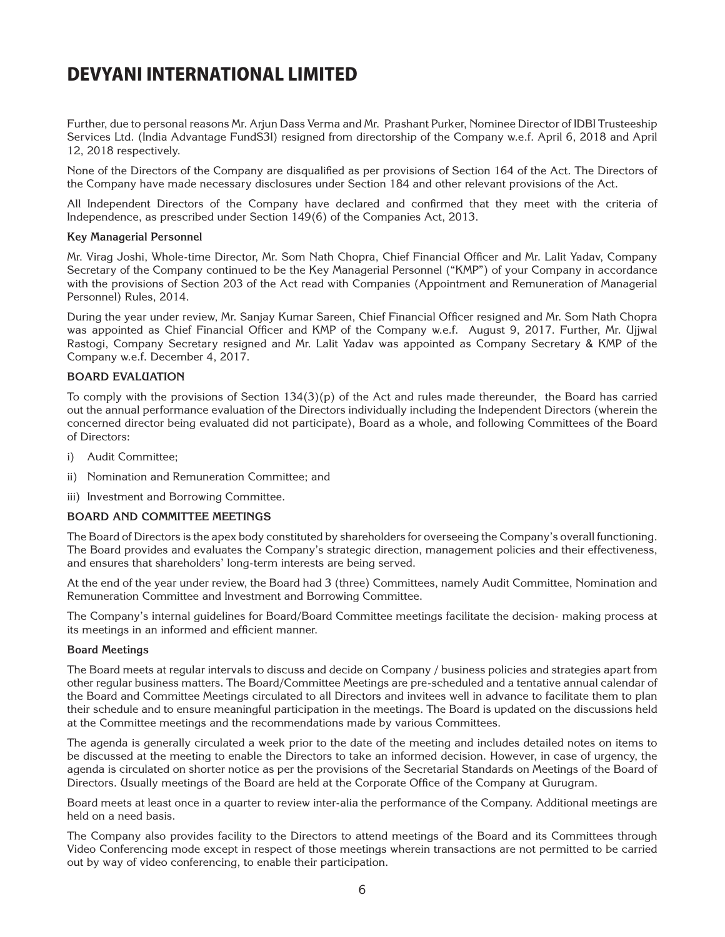Further, due to personal reasons Mr. Arjun Dass Verma and Mr. Prashant Purker, Nominee Director of IDBI Trusteeship Services Ltd. (India Advantage FundS3I) resigned from directorship of the Company w.e.f. April 6, 2018 and April 12, 2018 respectively.

None of the Directors of the Company are disqualified as per provisions of Section 164 of the Act. The Directors of the Company have made necessary disclosures under Section 184 and other relevant provisions of the Act.

All Independent Directors of the Company have declared and confirmed that they meet with the criteria of Independence, as prescribed under Section 149(6) of the Companies Act, 2013.

#### **Key Managerial Personnel**

Mr. Virag Joshi, Whole-time Director, Mr. Som Nath Chopra, Chief Financial Officer and Mr. Lalit Yadav, Company Secretary of the Company continued to be the Key Managerial Personnel ("KMP") of your Company in accordance with the provisions of Section 203 of the Act read with Companies (Appointment and Remuneration of Managerial Personnel) Rules, 2014.

During the year under review, Mr. Sanjay Kumar Sareen, Chief Financial Officer resigned and Mr. Som Nath Chopra was appointed as Chief Financial Officer and KMP of the Company w.e.f. August 9, 2017. Further, Mr. Ujjwal Rastogi, Company Secretary resigned and Mr. Lalit Yadav was appointed as Company Secretary & KMP of the Company w.e.f. December 4, 2017.

#### **BOARD EVALUATION**

To comply with the provisions of Section 134(3)(p) of the Act and rules made thereunder, the Board has carried out the annual performance evaluation of the Directors individually including the Independent Directors (wherein the concerned director being evaluated did not participate), Board as a whole, and following Committees of the Board of Directors:

- i) Audit Committee;
- ii) Nomination and Remuneration Committee; and
- iii) Investment and Borrowing Committee.

#### **BOARD AND COMMITTEE MEETINGS**

The Board of Directors is the apex body constituted by shareholders for overseeing the Company's overall functioning. The Board provides and evaluates the Company's strategic direction, management policies and their effectiveness, and ensures that shareholders' long-term interests are being served.

At the end of the year under review, the Board had 3 (three) Committees, namely Audit Committee, Nomination and Remuneration Committee and Investment and Borrowing Committee.

The Company's internal guidelines for Board/Board Committee meetings facilitate the decision- making process at its meetings in an informed and efficient manner.

#### **Board Meetings**

The Board meets at regular intervals to discuss and decide on Company / business policies and strategies apart from other regular business matters. The Board/Committee Meetings are pre-scheduled and a tentative annual calendar of the Board and Committee Meetings circulated to all Directors and invitees well in advance to facilitate them to plan their schedule and to ensure meaningful participation in the meetings. The Board is updated on the discussions held at the Committee meetings and the recommendations made by various Committees.

The agenda is generally circulated a week prior to the date of the meeting and includes detailed notes on items to be discussed at the meeting to enable the Directors to take an informed decision. However, in case of urgency, the agenda is circulated on shorter notice as per the provisions of the Secretarial Standards on Meetings of the Board of Directors. Usually meetings of the Board are held at the Corporate Office of the Company at Gurugram.

Board meets at least once in a quarter to review inter-alia the performance of the Company. Additional meetings are held on a need basis.

The Company also provides facility to the Directors to attend meetings of the Board and its Committees through Video Conferencing mode except in respect of those meetings wherein transactions are not permitted to be carried out by way of video conferencing, to enable their participation.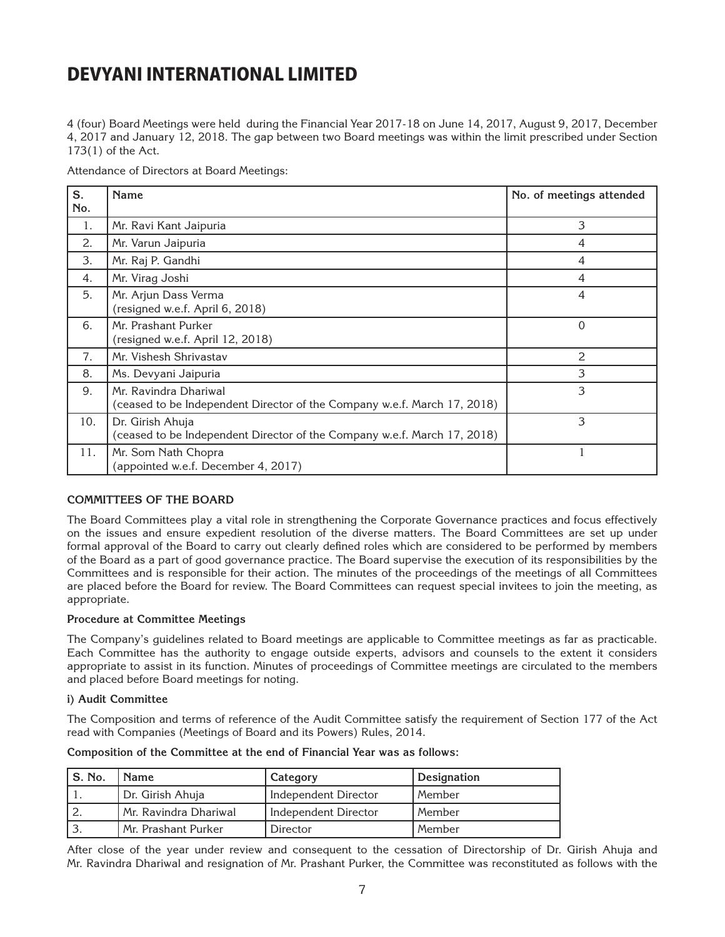4 (four) Board Meetings were held during the Financial Year 2017-18 on June 14, 2017, August 9, 2017, December 4, 2017 and January 12, 2018. The gap between two Board meetings was within the limit prescribed under Section 173(1) of the Act.

Attendance of Directors at Board Meetings:

| S.  | Name                                                                                              | No. of meetings attended |
|-----|---------------------------------------------------------------------------------------------------|--------------------------|
| No. |                                                                                                   |                          |
| 1.  | Mr. Ravi Kant Jaipuria                                                                            | 3                        |
| 2.  | Mr. Varun Jaipuria                                                                                | 4                        |
| 3.  | Mr. Raj P. Gandhi                                                                                 | 4                        |
| 4.  | Mr. Virag Joshi                                                                                   | 4                        |
| 5.  | Mr. Arjun Dass Verma<br>(resigned w.e.f. April 6, 2018)                                           | $\overline{4}$           |
| 6.  | Mr. Prashant Purker<br>(resigned w.e.f. April 12, 2018)                                           | $\Omega$                 |
| 7.  | Mr. Vishesh Shrivastav                                                                            | 2                        |
| 8.  | Ms. Devyani Jaipuria                                                                              | 3                        |
| 9.  | Mr. Ravindra Dhariwal<br>(ceased to be Independent Director of the Company w.e.f. March 17, 2018) | 3                        |
| 10. | Dr. Girish Ahuja<br>(ceased to be Independent Director of the Company w.e.f. March 17, 2018)      | 3                        |
| 11. | Mr. Som Nath Chopra<br>(appointed w.e.f. December 4, 2017)                                        |                          |

#### **COMMITTEES OF THE BOARD**

The Board Committees play a vital role in strengthening the Corporate Governance practices and focus effectively on the issues and ensure expedient resolution of the diverse matters. The Board Committees are set up under formal approval of the Board to carry out clearly defined roles which are considered to be performed by members of the Board as a part of good governance practice. The Board supervise the execution of its responsibilities by the Committees and is responsible for their action. The minutes of the proceedings of the meetings of all Committees are placed before the Board for review. The Board Committees can request special invitees to join the meeting, as appropriate.

#### **Procedure at Committee Meetings**

The Company's guidelines related to Board meetings are applicable to Committee meetings as far as practicable. Each Committee has the authority to engage outside experts, advisors and counsels to the extent it considers appropriate to assist in its function. Minutes of proceedings of Committee meetings are circulated to the members and placed before Board meetings for noting.

#### **i) Audit Committee**

The Composition and terms of reference of the Audit Committee satisfy the requirement of Section 177 of the Act read with Companies (Meetings of Board and its Powers) Rules, 2014.

|  |  |  | Composition of the Committee at the end of Financial Year was as follows: |
|--|--|--|---------------------------------------------------------------------------|
|--|--|--|---------------------------------------------------------------------------|

| ' S. No. | <b>Name</b>           | Category                    | Designation |
|----------|-----------------------|-----------------------------|-------------|
|          | Dr. Girish Ahuja      | <b>Independent Director</b> | l Member    |
|          | Mr. Ravindra Dhariwal | Independent Director        | Member      |
|          | Mr. Prashant Purker   | Director                    | Member      |

After close of the year under review and consequent to the cessation of Directorship of Dr. Girish Ahuja and Mr. Ravindra Dhariwal and resignation of Mr. Prashant Purker, the Committee was reconstituted as follows with the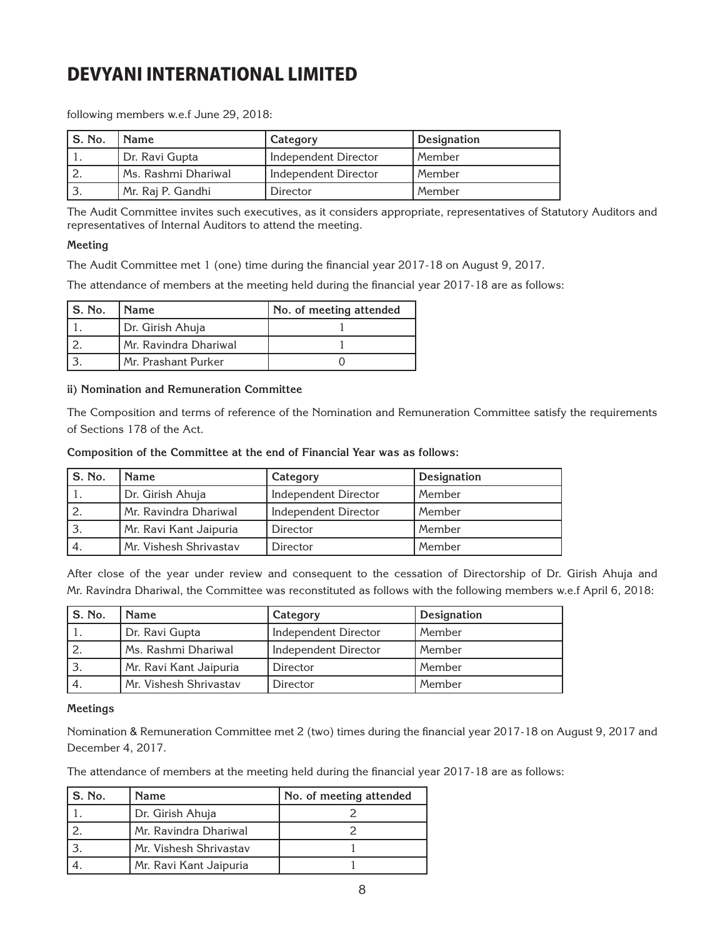following members w.e.f June 29, 2018:

| S. No. | <b>Name</b>         | Category                    | Designation |
|--------|---------------------|-----------------------------|-------------|
|        | Dr. Ravi Gupta      | Independent Director        | l Member    |
|        | Ms. Rashmi Dhariwal | <b>Independent Director</b> | l Member    |
|        | Mr. Raj P. Gandhi   | Director                    | Member      |

The Audit Committee invites such executives, as it considers appropriate, representatives of Statutory Auditors and representatives of Internal Auditors to attend the meeting.

#### **Meeting**

The Audit Committee met 1 (one) time during the financial year 2017-18 on August 9, 2017.

The attendance of members at the meeting held during the financial year 2017-18 are as follows:

| S. No. | l Name                | No. of meeting attended |
|--------|-----------------------|-------------------------|
|        | Dr. Girish Ahuja      |                         |
|        | Mr. Ravindra Dhariwal |                         |
|        | Mr. Prashant Purker   |                         |

#### **ii) Nomination and Remuneration Committee**

The Composition and terms of reference of the Nomination and Remuneration Committee satisfy the requirements of Sections 178 of the Act.

#### **Composition of the Committee at the end of Financial Year was as follows:**

| S. No. | <b>Name</b>            | Category                    | Designation |
|--------|------------------------|-----------------------------|-------------|
|        | Dr. Girish Ahuja       | <b>Independent Director</b> | Member      |
|        | Mr. Ravindra Dhariwal  | <b>Independent Director</b> | Member      |
|        | Mr. Ravi Kant Jaipuria | Director                    | Member      |
| 4.     | Mr. Vishesh Shrivastav | Director                    | Member      |

After close of the year under review and consequent to the cessation of Directorship of Dr. Girish Ahuja and Mr. Ravindra Dhariwal, the Committee was reconstituted as follows with the following members w.e.f April 6, 2018:

| S. No. | <b>Name</b>            | Category                    | Designation |
|--------|------------------------|-----------------------------|-------------|
|        | Dr. Ravi Gupta         | Independent Director        | Member      |
|        | Ms. Rashmi Dhariwal    | <b>Independent Director</b> | Member      |
|        | Mr. Ravi Kant Jaipuria | Director                    | Member      |
|        | Mr. Vishesh Shrivastav | Director                    | Member      |

#### **Meetings**

Nomination & Remuneration Committee met 2 (two) times during the financial year 2017-18 on August 9, 2017 and December 4, 2017.

The attendance of members at the meeting held during the financial year 2017-18 are as follows:

| l S. No. | <b>Name</b>            | No. of meeting attended |
|----------|------------------------|-------------------------|
|          | Dr. Girish Ahuja       |                         |
|          | Mr. Ravindra Dhariwal  |                         |
|          | Mr. Vishesh Shrivastav |                         |
|          | Mr. Ravi Kant Jaipuria |                         |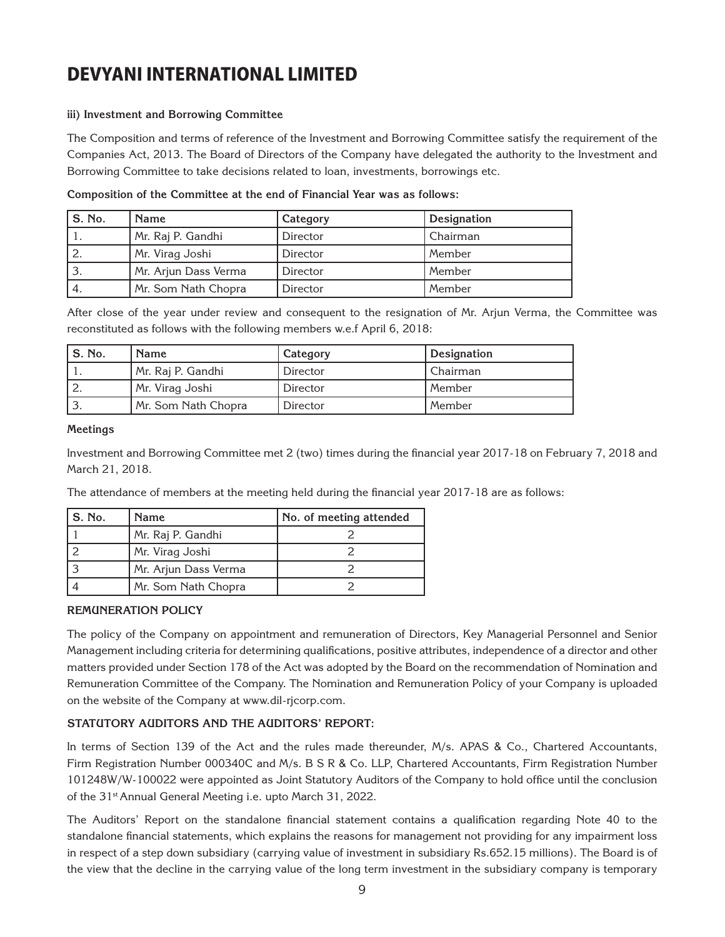#### **iii) Investment and Borrowing Committee**

The Composition and terms of reference of the Investment and Borrowing Committee satisfy the requirement of the Companies Act, 2013. The Board of Directors of the Company have delegated the authority to the Investment and Borrowing Committee to take decisions related to loan, investments, borrowings etc.

| S. No. | <b>Name</b>          | Category | Designation |
|--------|----------------------|----------|-------------|
|        | Mr. Raj P. Gandhi    | Director | Chairman    |
|        | Mr. Virag Joshi      | Director | Member      |
|        | Mr. Arjun Dass Verma | Director | Member      |
| 4.     | Mr. Som Nath Chopra  | Director | Member      |

**Composition of the Committee at the end of Financial Year was as follows:**

After close of the year under review and consequent to the resignation of Mr. Arjun Verma, the Committee was reconstituted as follows with the following members w.e.f April 6, 2018:

| S. No.   | <b>Name</b>         | Category | Designation |
|----------|---------------------|----------|-------------|
|          | Mr. Raj P. Gandhi   | Director | Chairman    |
|          | Mr. Virag Joshi     | Director | Member      |
| <u>.</u> | Mr. Som Nath Chopra | Director | Member      |

#### **Meetings**

Investment and Borrowing Committee met 2 (two) times during the financial year 2017-18 on February 7, 2018 and March 21, 2018.

The attendance of members at the meeting held during the financial year 2017-18 are as follows:

| S. No. | <b>Name</b>          | No. of meeting attended |
|--------|----------------------|-------------------------|
|        | Mr. Raj P. Gandhi    |                         |
|        | Mr. Virag Joshi      |                         |
|        | Mr. Arjun Dass Verma |                         |
|        | Mr. Som Nath Chopra  |                         |

#### **REMUNERATION POLICY**

The policy of the Company on appointment and remuneration of Directors, Key Managerial Personnel and Senior Management including criteria for determining qualifications, positive attributes, independence of a director and other matters provided under Section 178 of the Act was adopted by the Board on the recommendation of Nomination and Remuneration Committee of the Company. The Nomination and Remuneration Policy of your Company is uploaded on the website of the Company at www.dil-rjcorp.com.

#### **STATUTORY AUDITORS AND THE AUDITORS' REPORT:**

In terms of Section 139 of the Act and the rules made thereunder, M/s. APAS & Co., Chartered Accountants, Firm Registration Number 000340C and M/s. B S R & Co. LLP, Chartered Accountants, Firm Registration Number 101248W/W-100022 were appointed as Joint Statutory Auditors of the Company to hold office until the conclusion of the 31st Annual General Meeting i.e. upto March 31, 2022.

The Auditors' Report on the standalone financial statement contains a qualification regarding Note 40 to the standalone financial statements, which explains the reasons for management not providing for any impairment loss in respect of a step down subsidiary (carrying value of investment in subsidiary Rs.652.15 millions). The Board is of the view that the decline in the carrying value of the long term investment in the subsidiary company is temporary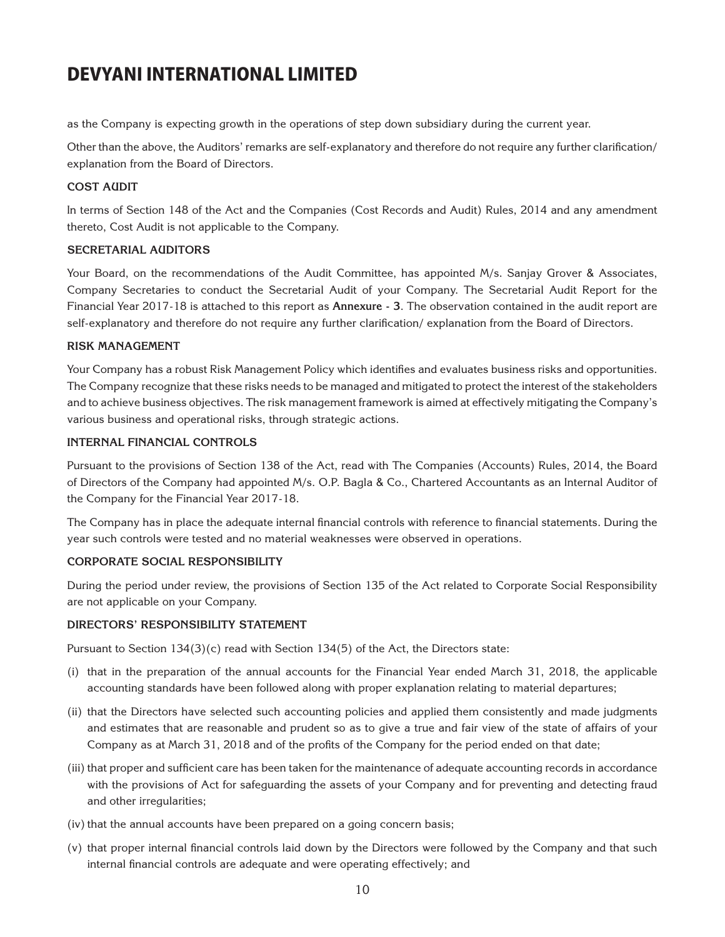as the Company is expecting growth in the operations of step down subsidiary during the current year.

Other than the above, the Auditors' remarks are self-explanatory and therefore do not require any further clarification/ explanation from the Board of Directors.

#### **COST AUDIT**

In terms of Section 148 of the Act and the Companies (Cost Records and Audit) Rules, 2014 and any amendment thereto, Cost Audit is not applicable to the Company.

#### **SECRETARIAL AUDITORS**

Your Board, on the recommendations of the Audit Committee, has appointed M/s. Sanjay Grover & Associates, Company Secretaries to conduct the Secretarial Audit of your Company. The Secretarial Audit Report for the Financial Year 2017-18 is attached to this report as **Annexure - 3**. The observation contained in the audit report are self-explanatory and therefore do not require any further clarification/ explanation from the Board of Directors.

#### **RISK MANAGEMENT**

Your Company has a robust Risk Management Policy which identifies and evaluates business risks and opportunities. The Company recognize that these risks needs to be managed and mitigated to protect the interest of the stakeholders and to achieve business objectives. The risk management framework is aimed at effectively mitigating the Company's various business and operational risks, through strategic actions.

#### **INTERNAL FINANCIAL CONTROLS**

Pursuant to the provisions of Section 138 of the Act, read with The Companies (Accounts) Rules, 2014, the Board of Directors of the Company had appointed M/s. O.P. Bagla & Co., Chartered Accountants as an Internal Auditor of the Company for the Financial Year 2017-18.

The Company has in place the adequate internal financial controls with reference to financial statements. During the year such controls were tested and no material weaknesses were observed in operations.

#### **CORPORATE SOCIAL RESPONSIBILITY**

During the period under review, the provisions of Section 135 of the Act related to Corporate Social Responsibility are not applicable on your Company.

#### **DIRECTORS' RESPONSIBILITY STATEMENT**

Pursuant to Section  $134(3)(c)$  read with Section  $134(5)$  of the Act, the Directors state:

- (i) that in the preparation of the annual accounts for the Financial Year ended March 31, 2018, the applicable accounting standards have been followed along with proper explanation relating to material departures;
- (ii) that the Directors have selected such accounting policies and applied them consistently and made judgments and estimates that are reasonable and prudent so as to give a true and fair view of the state of affairs of your Company as at March 31, 2018 and of the profits of the Company for the period ended on that date;
- (iii) that proper and sufficient care has been taken for the maintenance of adequate accounting records in accordance with the provisions of Act for safeguarding the assets of your Company and for preventing and detecting fraud and other irregularities;
- (iv) that the annual accounts have been prepared on a going concern basis;
- (v) that proper internal financial controls laid down by the Directors were followed by the Company and that such internal financial controls are adequate and were operating effectively; and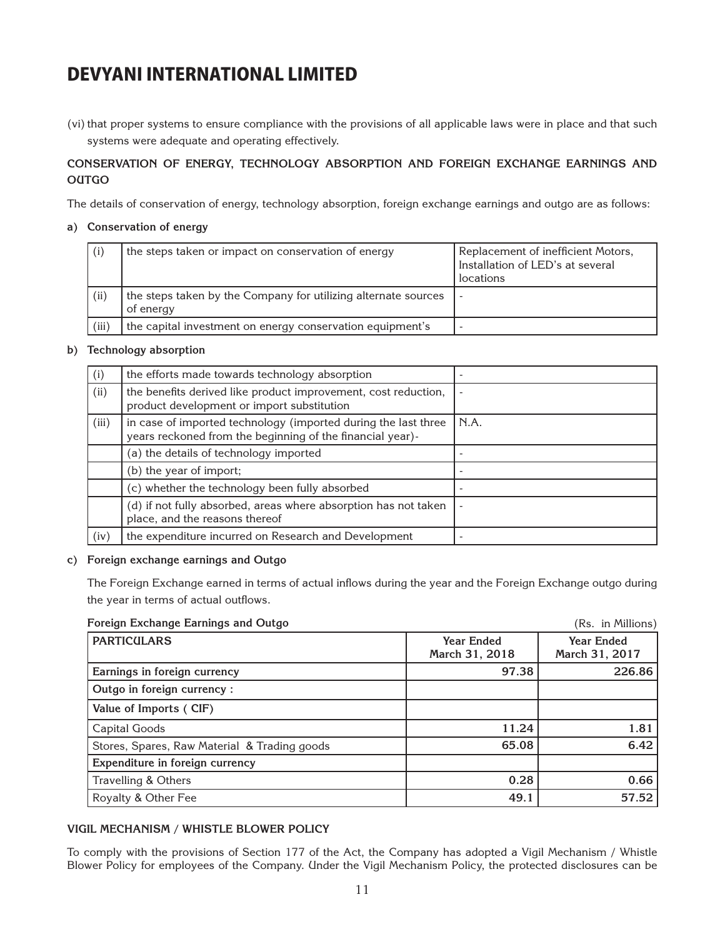(vi) that proper systems to ensure compliance with the provisions of all applicable laws were in place and that such systems were adequate and operating effectively.

#### **CONSERVATION OF ENERGY, TECHNOLOGY ABSORPTION AND FOREIGN EXCHANGE EARNINGS AND OUTGO**

The details of conservation of energy, technology absorption, foreign exchange earnings and outgo are as follows:

#### **a) Conservation of energy**

| (i)   | the steps taken or impact on conservation of energy                         | Replacement of inefficient Motors,<br>Installation of LED's at several<br>locations |
|-------|-----------------------------------------------------------------------------|-------------------------------------------------------------------------------------|
| (ii)  | the steps taken by the Company for utilizing alternate sources<br>of energy |                                                                                     |
| (iii) | the capital investment on energy conservation equipment's                   |                                                                                     |

#### **b) Technology absorption**

| (i)   | the efforts made towards technology absorption                                                                              |      |
|-------|-----------------------------------------------------------------------------------------------------------------------------|------|
| (ii)  | the benefits derived like product improvement, cost reduction,<br>product development or import substitution                |      |
| (iii) | in case of imported technology (imported during the last three<br>years reckoned from the beginning of the financial year)- | N.A. |
|       | (a) the details of technology imported                                                                                      |      |
|       | (b) the year of import;                                                                                                     |      |
|       | (c) whether the technology been fully absorbed                                                                              |      |
|       | (d) if not fully absorbed, areas where absorption has not taken<br>place, and the reasons thereof                           |      |
| (iv)  | the expenditure incurred on Research and Development                                                                        |      |

#### **c) Foreign exchange earnings and Outgo**

The Foreign Exchange earned in terms of actual inflows during the year and the Foreign Exchange outgo during the year in terms of actual outflows.

#### **Foreign Exchange Earnings and Outgo**

| Foreign Exchange Earnings and Outgo          |                                     | (Rs. in Millions)                   |
|----------------------------------------------|-------------------------------------|-------------------------------------|
| <b>PARTICULARS</b>                           | <b>Year Ended</b><br>March 31, 2018 | <b>Year Ended</b><br>March 31, 2017 |
| Earnings in foreign currency                 | 97.38                               | 226.86                              |
| Outgo in foreign currency:                   |                                     |                                     |
| Value of Imports (CIF)                       |                                     |                                     |
| Capital Goods                                | 11.24                               | 1.81                                |
| Stores, Spares, Raw Material & Trading goods | 65.08                               | 6.42                                |
| Expenditure in foreign currency              |                                     |                                     |
| Travelling & Others                          | 0.28                                | 0.66                                |
| Royalty & Other Fee                          | 49.1                                | 57.52                               |

#### **VIGIL MECHANISM / WHISTLE BLOWER POLICY**

To comply with the provisions of Section 177 of the Act, the Company has adopted a Vigil Mechanism / Whistle Blower Policy for employees of the Company. Under the Vigil Mechanism Policy, the protected disclosures can be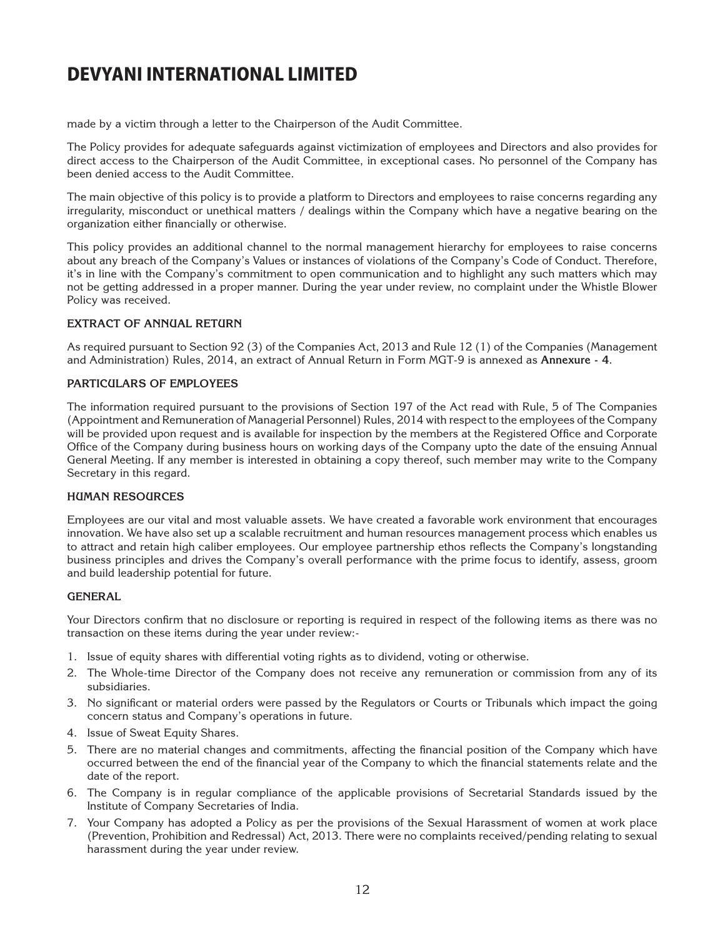made by a victim through a letter to the Chairperson of the Audit Committee.

The Policy provides for adequate safeguards against victimization of employees and Directors and also provides for direct access to the Chairperson of the Audit Committee, in exceptional cases. No personnel of the Company has been denied access to the Audit Committee.

The main objective of this policy is to provide a platform to Directors and employees to raise concerns regarding any irregularity, misconduct or unethical matters / dealings within the Company which have a negative bearing on the organization either financially or otherwise.

This policy provides an additional channel to the normal management hierarchy for employees to raise concerns about any breach of the Company's Values or instances of violations of the Company's Code of Conduct. Therefore, it's in line with the Company's commitment to open communication and to highlight any such matters which may not be getting addressed in a proper manner. During the year under review, no complaint under the Whistle Blower Policy was received.

#### **EXTRACT OF ANNUAL RETURN**

As required pursuant to Section 92 (3) of the Companies Act, 2013 and Rule 12 (1) of the Companies (Management and Administration) Rules, 2014, an extract of Annual Return in Form MGT-9 is annexed as **Annexure - 4**.

#### **PARTICULARS OF EMPLOYEES**

The information required pursuant to the provisions of Section 197 of the Act read with Rule, 5 of The Companies (Appointment and Remuneration of Managerial Personnel) Rules, 2014 with respect to the employees of the Company will be provided upon request and is available for inspection by the members at the Registered Office and Corporate Office of the Company during business hours on working days of the Company upto the date of the ensuing Annual General Meeting. If any member is interested in obtaining a copy thereof, such member may write to the Company Secretary in this regard.

#### **HUMAN RESOURCES**

Employees are our vital and most valuable assets. We have created a favorable work environment that encourages innovation. We have also set up a scalable recruitment and human resources management process which enables us to attract and retain high caliber employees. Our employee partnership ethos reflects the Company's longstanding business principles and drives the Company's overall performance with the prime focus to identify, assess, groom and build leadership potential for future.

#### **GENERAL**

Your Directors confirm that no disclosure or reporting is required in respect of the following items as there was no transaction on these items during the year under review:-

- 1. Issue of equity shares with differential voting rights as to dividend, voting or otherwise.
- 2. The Whole-time Director of the Company does not receive any remuneration or commission from any of its subsidiaries.
- 3. No significant or material orders were passed by the Regulators or Courts or Tribunals which impact the going concern status and Company's operations in future.
- 4. Issue of Sweat Equity Shares.
- 5. There are no material changes and commitments, affecting the financial position of the Company which have occurred between the end of the financial year of the Company to which the financial statements relate and the date of the report.
- 6. The Company is in regular compliance of the applicable provisions of Secretarial Standards issued by the Institute of Company Secretaries of India.
- 7. Your Company has adopted a Policy as per the provisions of the Sexual Harassment of women at work place (Prevention, Prohibition and Redressal) Act, 2013. There were no complaints received/pending relating to sexual harassment during the year under review.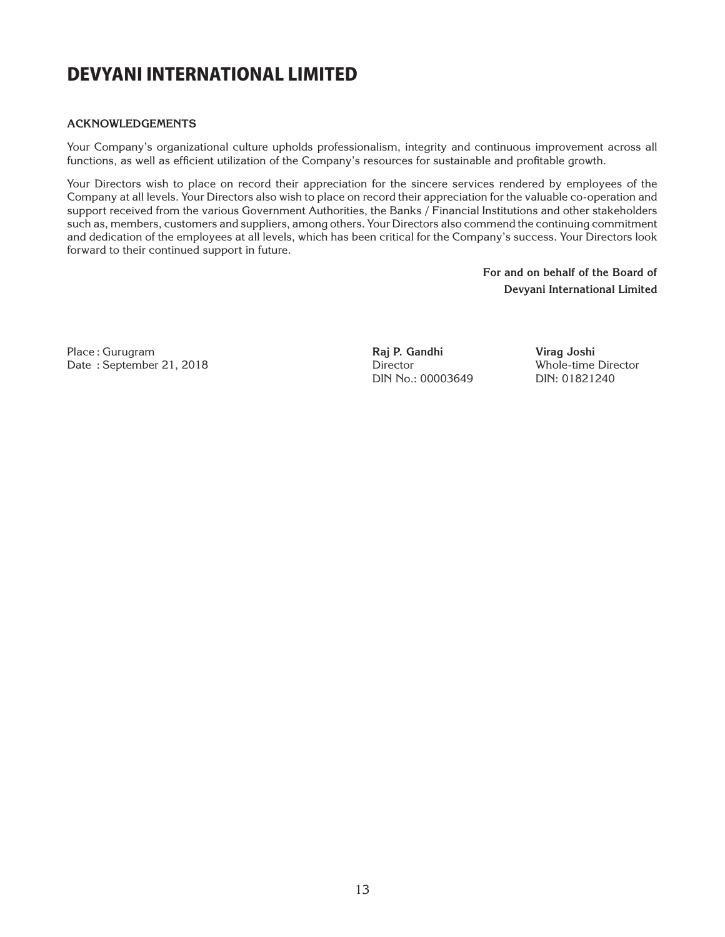#### **ACKNOWLEDGEMENTS**

Your Company's organizational culture upholds professionalism, integrity and continuous improvement across all functions, as well as efficient utilization of the Company's resources for sustainable and profitable growth.

Your Directors wish to place on record their appreciation for the sincere services rendered by employees of the Company at all levels. Your Directors also wish to place on record their appreciation for the valuable co-operation and support received from the various Government Authorities, the Banks / Financial Institutions and other stakeholders such as, members, customers and suppliers, among others. Your Directors also commend the continuing commitment and dedication of the employees at all levels, which has been critical for the Company's success. Your Directors look forward to their continued support in future.

> **For and on behalf of the Board of Devyani International Limited**

Place : Gurugram Date : September 21, 2018 **Raj P. Gandhi**  Director DIN No.: 00003649

**Virag Joshi** Whole-time Director DIN: 01821240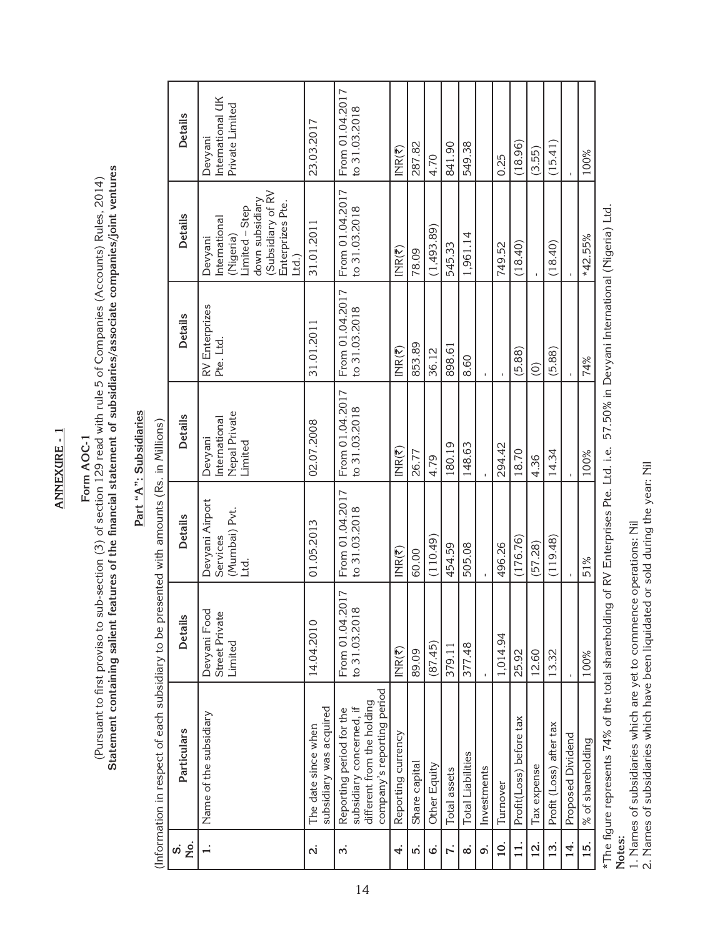**ANNEXURE - 1 ANNEXURE - 1**

# **Form AOC-1**

# Part "A": Subsidiaries **Part "A": Subsidiaries**

|                                                                                                                                                                                                                                           | <b>Details</b> | International UK<br>Private Limited<br>Devyani                                                                              | 23.03.2017                                     | From 01.04.2017<br>to 31.03.2018                                                                                 | $INR(\overline{5})$ | 287.82        | 4.70         | 841.90         | 549.38                   |             | 0.25              | (18.96)                 | (3.55)        | (15.41)                 |                   | 100%              |                                                                                                      |
|-------------------------------------------------------------------------------------------------------------------------------------------------------------------------------------------------------------------------------------------|----------------|-----------------------------------------------------------------------------------------------------------------------------|------------------------------------------------|------------------------------------------------------------------------------------------------------------------|---------------------|---------------|--------------|----------------|--------------------------|-------------|-------------------|-------------------------|---------------|-------------------------|-------------------|-------------------|------------------------------------------------------------------------------------------------------|
| Statement containing salient features of the financial statement of subsidiaries/associate companies/joint ventures<br>(Pursuant to first proviso to sub-section (3) of section 129 read with rule 5 of Companies (Accounts) Rules, 2014) | <b>Details</b> | (Subsidiary of RV<br>down subsidiary<br>Enterprizes Pte.<br>Limited - Step<br>International<br>(Nigeria)<br>Devyani<br>[id] | 31.01.2011                                     | From 01.04.2017<br>to 31.03.2018                                                                                 | $INR(\overline{5})$ | 78.09         | (1,493.89)   | 545.33         | 1,961.14                 |             | 749.52            | (18.40)                 |               | (18.40)                 |                   | *42.55%           |                                                                                                      |
|                                                                                                                                                                                                                                           | <b>Details</b> | RV Enterprizes<br>Pte. Ltd.                                                                                                 | 31.01.2011                                     | From 01.04.2017<br>to 31.03.2018                                                                                 | $INR(\overline{5})$ | 853.89        | 36.12        | 898.61         | 8.60                     |             |                   | (5.88)                  | $\odot$       | (5.88)                  |                   | 74%               | ht I (cinoxim Dauvani International /Niceia)                                                         |
| Part "A": Subsidiaries<br>Form AOC-1                                                                                                                                                                                                      | <b>Details</b> | <b>Nepal Private</b><br>International<br>Devyani<br>Limited                                                                 | 02.07.2008                                     | From 01.04.2017<br>to 31.03.2018                                                                                 | $INR(\overline{5})$ | 26.77         | 4.79         | 180.19         | 148.63                   |             | 294.42            | 18.70                   | 4.36          | 14.34                   |                   | 100%              |                                                                                                      |
|                                                                                                                                                                                                                                           | <b>Details</b> | Devyani Airport<br>(Mumbai) Pvt.<br>Services<br><u>rd</u>                                                                   | 01.05.2013                                     | From 01.04.2017<br>to 31.03.2018                                                                                 | $INR(\overline{z})$ | 60.00         | (110.49)     | 454.59         | 505.08                   |             | 496.26            | (176.76)                | (57.28)       | (119.48)                |                   | 51%               | of DV Enterprises Dte 1+1 ie                                                                         |
|                                                                                                                                                                                                                                           | <b>Details</b> | Devyani Food<br>Street Private<br>Limited                                                                                   | 14.04.2010                                     | 17<br>From 01.04.20<br>to 31.03.2018                                                                             | $INR(\overline{5})$ | 89.09         | (87.45)      | 379.11         | 377.48                   |             | 1,014.94          | 25.92                   | 12.60         | 13.32                   |                   | 100%              |                                                                                                      |
| (Information in respect of each subsidiary to be presented with amounts (Rs. in Millions)                                                                                                                                                 | Particulars    | Name of the subsidiary                                                                                                      | subsidiary was acquired<br>The date since when | company's reporting period<br>different from the holding<br>subsidiary concerned, if<br>Reporting period for the | Reporting currency  | Share capital | Other Equity | Total assets   | <b>Total Liabilities</b> | Investments | Turnover          | Profit(Loss) before tax | Tax expense   | Profit (Loss) after tax | Proposed Dividend | % of shareholding | ית למינה באמטריה ה-144 לאת ה-144 ה-144 ה-144 ה-144 ה-144 ה-144 ה-144 ה-144 ה-144 ה-144 ה-144 ה-144 ה |
|                                                                                                                                                                                                                                           | ,<br>Š<br>S    |                                                                                                                             | $\dot{\mathbf{N}}$                             | $\dot{m}$                                                                                                        | 4.                  | ່ທ່           | c            | $\mathbf{r}$ . | $\dot{\infty}$           | ்           | $\overline{10}$ . | 11.                     | $\frac{1}{2}$ | 13.                     | 14.               | 15.               |                                                                                                      |

\*The figure represents 74% of the total shareholding of RV Enterprises Pte. Ltd. i.e. 57.50% in Devyani International (Nigeria) Ltd. The ngure represents (4% or the today of KV Enterprises Me: 1.6. 2 (1.8) The top in Devyan Internal Internal University of the red. **Notes:** 

1. Names of subsidiaries which are yet to commence operations: Nil

1. Names of subsidiaries which are yet to commence operations: Nil<br>2. Names of subsidiaries which have been liquidated or sold during the year: Nil 2. Names of subsidiaries which have been liquidated or sold during the year: Nil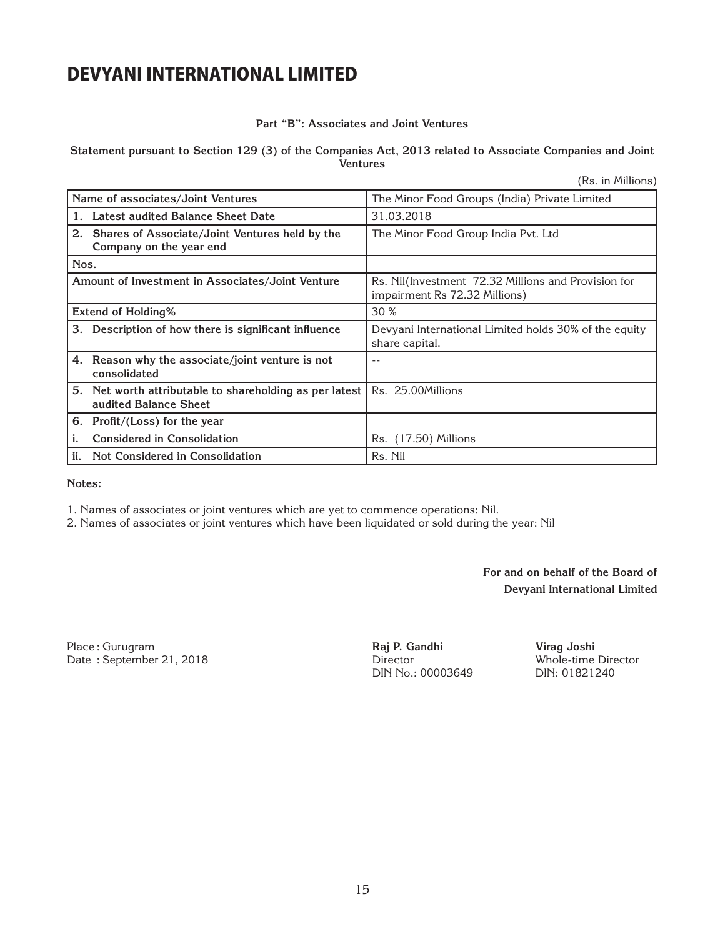#### **Part "B": Associates and Joint Ventures**

#### **Statement pursuant to Section 129 (3) of the Companies Act, 2013 related to Associate Companies and Joint Ventures**

(Rs. in Millions)

| Name of associates/Joint Ventures                                                   |                                                                                      |
|-------------------------------------------------------------------------------------|--------------------------------------------------------------------------------------|
|                                                                                     | The Minor Food Groups (India) Private Limited                                        |
| Latest audited Balance Sheet Date<br>1.                                             | 31.03.2018                                                                           |
| 2. Shares of Associate/Joint Ventures held by the                                   | The Minor Food Group India Pvt. Ltd                                                  |
| Company on the year end                                                             |                                                                                      |
| Nos.                                                                                |                                                                                      |
| Amount of Investment in Associates/Joint Venture                                    | Rs. Nil(Investment 72.32 Millions and Provision for<br>impairment Rs 72.32 Millions) |
| <b>Extend of Holding%</b>                                                           | 30 %                                                                                 |
| Description of how there is significant influence<br>3.                             | Devyani International Limited holds 30% of the equity<br>share capital.              |
| 4. Reason why the associate/joint venture is not<br>consolidated                    | $ -$                                                                                 |
| Net worth attributable to shareholding as per latest<br>5.<br>audited Balance Sheet | Rs. 25.00Millions                                                                    |
| 6.<br>Profit/(Loss) for the year                                                    |                                                                                      |
| <b>Considered in Consolidation</b><br>i.                                            | Rs. (17.50) Millions                                                                 |
| ii.<br>Not Considered in Consolidation                                              | Rs. Nil                                                                              |

**Notes:** 

1. Names of associates or joint ventures which are yet to commence operations: Nil.

2. Names of associates or joint ventures which have been liquidated or sold during the year: Nil

**For and on behalf of the Board of Devyani International Limited**

Place : Gurugram Date : September 21, 2018 **Raj P. Gandhi**  Director DIN No.: 00003649

**Virag Joshi** Whole-time Director DIN: 01821240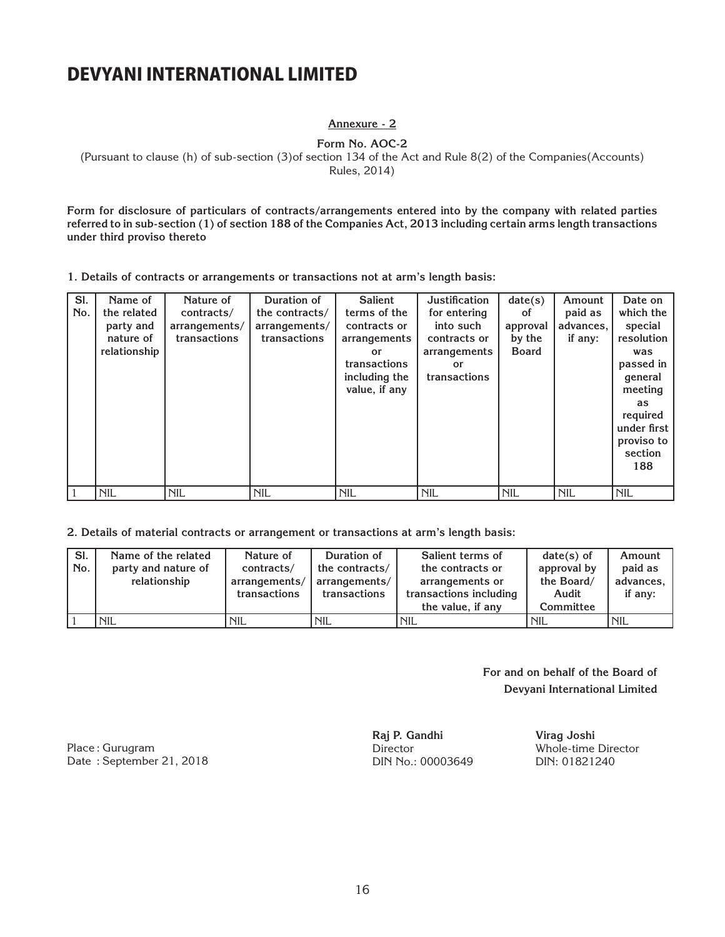**Annexure - 2**

**Form No. AOC-2**

(Pursuant to clause (h) of sub-section (3)of section 134 of the Act and Rule 8(2) of the Companies(Accounts)

Rules, 2014)

**Form for disclosure of particulars of contracts/arrangements entered into by the company with related parties referred to in sub-section (1) of section 188 of the Companies Act, 2013 including certain arms length transactions under third proviso thereto**

**1. Details of contracts or arrangements or transactions not at arm's length basis:**

**2. Details of material contracts or arrangement or transactions at arm's length basis:**

| SI. | Name of the related | Nature of     | Duration of    | Salient terms of       | $date(s)$ of | Amount    |
|-----|---------------------|---------------|----------------|------------------------|--------------|-----------|
| No. | party and nature of | contracts/    | the contracts/ | the contracts or       | approval by  | paid as   |
|     | relationship        | arrangements/ | arrangements/  | arrangements or        | the Board/   | advances, |
|     |                     | transactions  | transactions   | transactions including | Audit        | if any:   |
|     |                     |               |                | the value, if any      | Committee    |           |
|     | <b>NIL</b>          | <b>NIL</b>    | <b>NIL</b>     | <b>NIL</b>             | <b>NIL</b>   | 'NIL      |

#### **For and on behalf of the Board of Devyani International Limited**

Place : Gurugram Date : September 21, 2018 **Raj P. Gandhi Director** DIN No.: 00003649

**Virag Joshi** Whole-time Director DIN: 01821240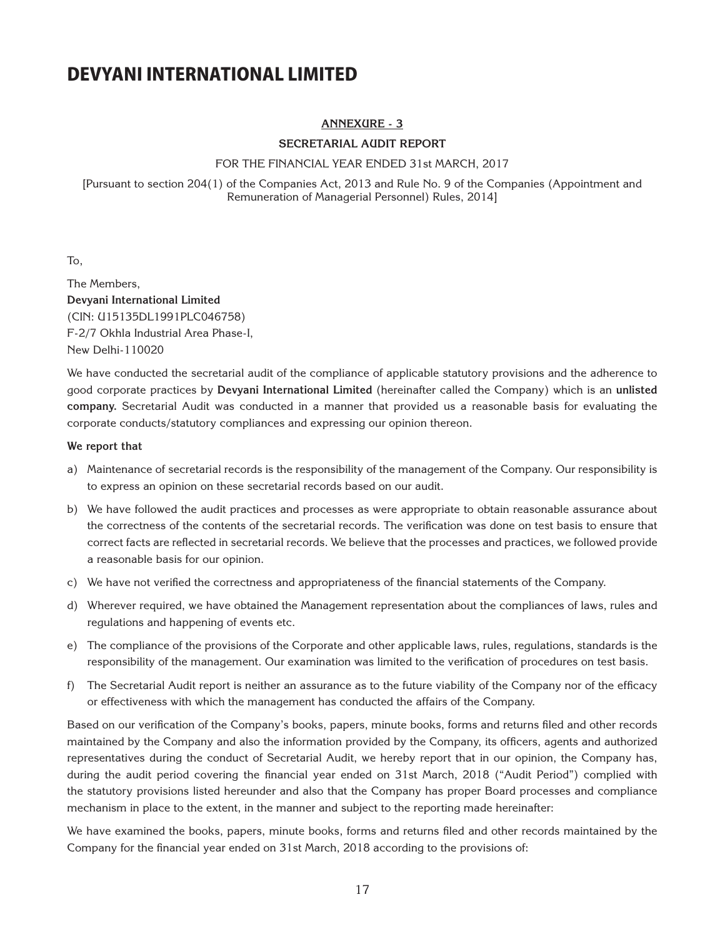#### **ANNEXURE - 3**

#### **SECRETARIAL AUDIT REPORT**

#### FOR THE FINANCIAL YEAR ENDED 31st MARCH, 2017

[Pursuant to section 204(1) of the Companies Act, 2013 and Rule No. 9 of the Companies (Appointment and Remuneration of Managerial Personnel) Rules, 2014]

To,

The Members, **Devyani International Limited** (CIN: U15135DL1991PLC046758) F-2/7 Okhla Industrial Area Phase-I, New Delhi-110020

We have conducted the secretarial audit of the compliance of applicable statutory provisions and the adherence to good corporate practices by **Devyani International Limited** (hereinafter called the Company) which is an **unlisted company.** Secretarial Audit was conducted in a manner that provided us a reasonable basis for evaluating the corporate conducts/statutory compliances and expressing our opinion thereon.

#### **We report that**

- a) Maintenance of secretarial records is the responsibility of the management of the Company. Our responsibility is to express an opinion on these secretarial records based on our audit.
- b) We have followed the audit practices and processes as were appropriate to obtain reasonable assurance about the correctness of the contents of the secretarial records. The verification was done on test basis to ensure that correct facts are reflected in secretarial records. We believe that the processes and practices, we followed provide a reasonable basis for our opinion.
- c) We have not verified the correctness and appropriateness of the financial statements of the Company.
- d) Wherever required, we have obtained the Management representation about the compliances of laws, rules and regulations and happening of events etc.
- e) The compliance of the provisions of the Corporate and other applicable laws, rules, regulations, standards is the responsibility of the management. Our examination was limited to the verification of procedures on test basis.
- f) The Secretarial Audit report is neither an assurance as to the future viability of the Company nor of the efficacy or effectiveness with which the management has conducted the affairs of the Company.

Based on our verification of the Company's books, papers, minute books, forms and returns filed and other records maintained by the Company and also the information provided by the Company, its officers, agents and authorized representatives during the conduct of Secretarial Audit, we hereby report that in our opinion, the Company has, during the audit period covering the financial year ended on 31st March, 2018 ("Audit Period") complied with the statutory provisions listed hereunder and also that the Company has proper Board processes and compliance mechanism in place to the extent, in the manner and subject to the reporting made hereinafter:

We have examined the books, papers, minute books, forms and returns filed and other records maintained by the Company for the financial year ended on 31st March, 2018 according to the provisions of: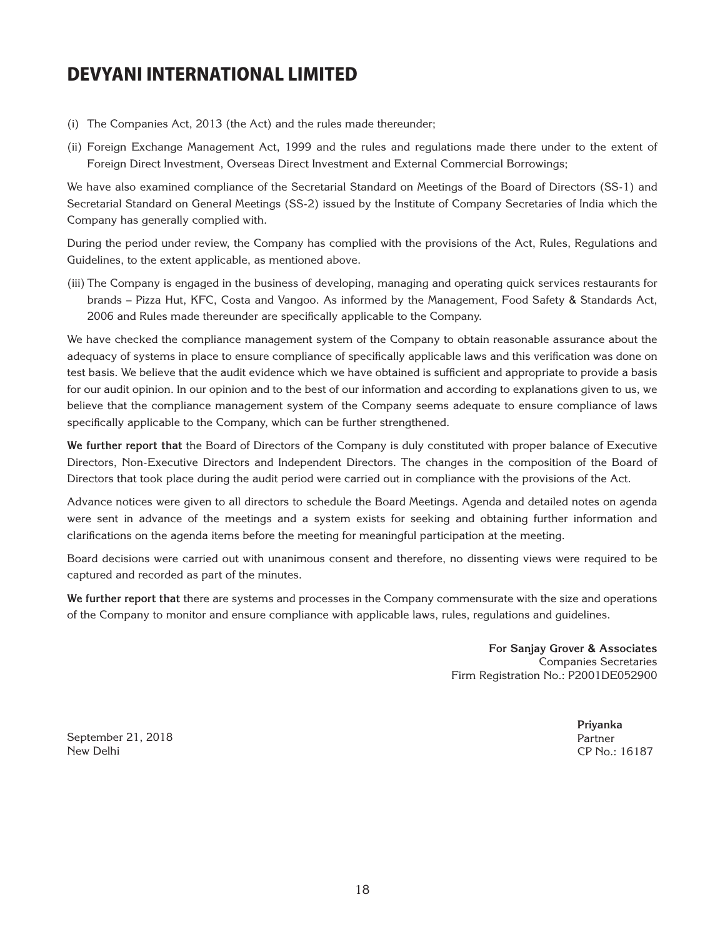- (i) The Companies Act, 2013 (the Act) and the rules made thereunder;
- (ii) Foreign Exchange Management Act, 1999 and the rules and regulations made there under to the extent of Foreign Direct Investment, Overseas Direct Investment and External Commercial Borrowings;

We have also examined compliance of the Secretarial Standard on Meetings of the Board of Directors (SS-1) and Secretarial Standard on General Meetings (SS-2) issued by the Institute of Company Secretaries of India which the Company has generally complied with.

During the period under review, the Company has complied with the provisions of the Act, Rules, Regulations and Guidelines, to the extent applicable, as mentioned above.

(iii) The Company is engaged in the business of developing, managing and operating quick services restaurants for brands – Pizza Hut, KFC, Costa and Vangoo. As informed by the Management, Food Safety & Standards Act, 2006 and Rules made thereunder are specifically applicable to the Company.

We have checked the compliance management system of the Company to obtain reasonable assurance about the adequacy of systems in place to ensure compliance of specifically applicable laws and this verification was done on test basis. We believe that the audit evidence which we have obtained is sufficient and appropriate to provide a basis for our audit opinion. In our opinion and to the best of our information and according to explanations given to us, we believe that the compliance management system of the Company seems adequate to ensure compliance of laws specifically applicable to the Company, which can be further strengthened.

**We further report that** the Board of Directors of the Company is duly constituted with proper balance of Executive Directors, Non-Executive Directors and Independent Directors. The changes in the composition of the Board of Directors that took place during the audit period were carried out in compliance with the provisions of the Act.

Advance notices were given to all directors to schedule the Board Meetings. Agenda and detailed notes on agenda were sent in advance of the meetings and a system exists for seeking and obtaining further information and clarifications on the agenda items before the meeting for meaningful participation at the meeting.

Board decisions were carried out with unanimous consent and therefore, no dissenting views were required to be captured and recorded as part of the minutes.

**We further report that** there are systems and processes in the Company commensurate with the size and operations of the Company to monitor and ensure compliance with applicable laws, rules, regulations and guidelines.

> **For Sanjay Grover & Associates** Companies Secretaries Firm Registration No.: P2001DE052900

September 21, 2018 New Delhi

**Priyanka** Partner CP No.: 16187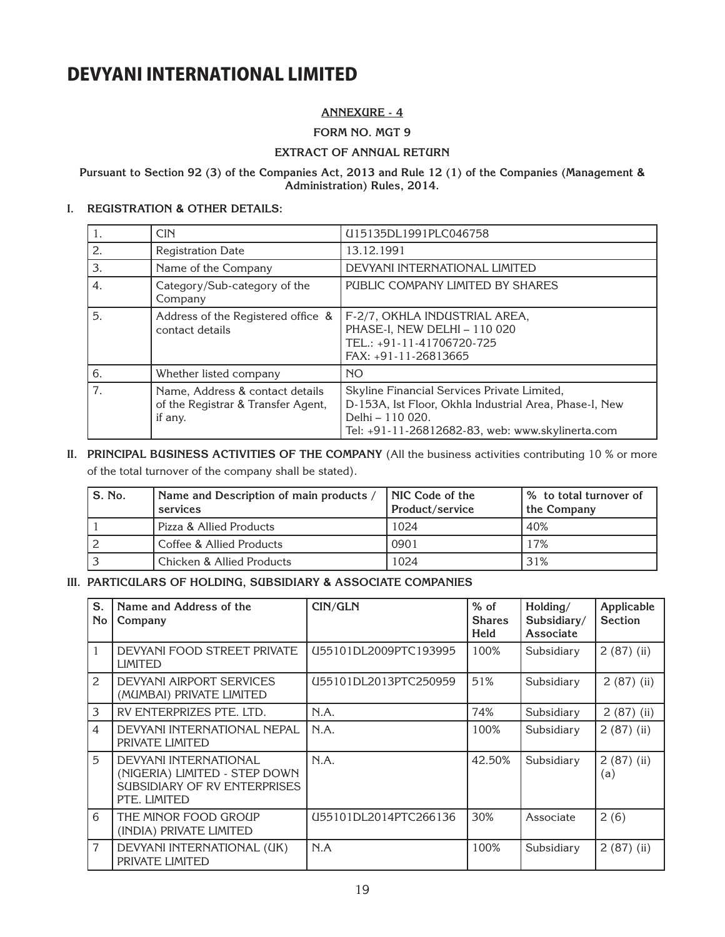#### **ANNEXURE - 4**

**FORM NO. MGT 9**

#### **EXTRACT OF ANNUAL RETURN**

#### **Pursuant to Section 92 (3) of the Companies Act, 2013 and Rule 12 (1) of the Companies (Management & Administration) Rules, 2014.**

#### **I. REGISTRATION & OTHER DETAILS:**

| 1. | <b>CIN</b>                                                                       | U15135DL1991PLC046758                                                                                                                                                         |
|----|----------------------------------------------------------------------------------|-------------------------------------------------------------------------------------------------------------------------------------------------------------------------------|
| 2. | <b>Registration Date</b>                                                         | 13.12.1991                                                                                                                                                                    |
| 3. | Name of the Company                                                              | DEVYANI INTERNATIONAL LIMITED                                                                                                                                                 |
| 4. | Category/Sub-category of the<br>Company                                          | PUBLIC COMPANY LIMITED BY SHARES                                                                                                                                              |
| 5. | Address of the Registered office &<br>contact details                            | F-2/7, OKHLA INDUSTRIAL AREA,<br>PHASE-I, NEW DELHI - 110 020<br>TEL.: +91-11-41706720-725<br>FAX: +91-11-26813665                                                            |
| 6. | Whether listed company                                                           | <b>NO</b>                                                                                                                                                                     |
| 7. | Name, Address & contact details<br>of the Registrar & Transfer Agent,<br>if any. | Skyline Financial Services Private Limited,<br>D-153A, Ist Floor, Okhla Industrial Area, Phase-I, New<br>Delhi - 110 020.<br>Tel: +91-11-26812682-83, web: www.skylinerta.com |

**II. PRINCIPAL BUSINESS ACTIVITIES OF THE COMPANY** (All the business activities contributing 10 % or more of the total turnover of the company shall be stated).

| S. No. | Name and Description of main products /<br>services | <b>NIC Code of the</b><br>Product/service | % to total turnover of<br>the Company |
|--------|-----------------------------------------------------|-------------------------------------------|---------------------------------------|
|        | Pizza & Allied Products                             | 1024                                      | 40%                                   |
|        | Coffee & Allied Products                            | 0901                                      | 17%                                   |
|        | Chicken & Allied Products                           | 1024                                      | 31%                                   |

#### **III. PARTICULARS OF HOLDING, SUBSIDIARY & ASSOCIATE COMPANIES**

| S.<br><b>No</b> | Name and Address of the<br>Company                                                                     | CIN/GLN               | $%$ of<br><b>Shares</b><br>Held | Holding/<br>Subsidiary/<br>Associate | Applicable<br><b>Section</b> |
|-----------------|--------------------------------------------------------------------------------------------------------|-----------------------|---------------------------------|--------------------------------------|------------------------------|
| $\mathbf{1}$    | DEVYANI FOOD STREET PRIVATE<br><b>LIMITED</b>                                                          | U55101DL2009PTC193995 | 100%                            | Subsidiary                           | $2(87)$ (ii)                 |
| $\mathcal{L}$   | DEVYANI AIRPORT SERVICES<br>(MUMBAI) PRIVATE LIMITED                                                   | U55101DL2013PTC250959 | 51%                             | Subsidiary                           | $2(87)$ (ii)                 |
| 3               | RV ENTERPRIZES PTE. LTD.                                                                               | N.A.                  | 74%                             | Subsidiary                           | $2(87)$ (ii)                 |
| $\overline{4}$  | DEVYANI INTERNATIONAL NEPAL<br>PRIVATE LIMITED                                                         | N.A.                  | 100%                            | Subsidiary                           | $2(87)$ (ii)                 |
| 5               | DEVYANI INTERNATIONAL<br>(NIGERIA) LIMITED - STEP DOWN<br>SUBSIDIARY OF RV ENTERPRISES<br>PTE. LIMITED | N.A.                  | 42.50%                          | Subsidiary                           | $2(87)$ (ii)<br>(a)          |
| 6               | THE MINOR FOOD GROUP<br>(INDIA) PRIVATE LIMITED                                                        | U55101DL2014PTC266136 | 30%                             | Associate                            | 2(6)                         |
| 7               | DEVYANI INTERNATIONAL (UK)<br>PRIVATE LIMITED                                                          | N.A                   | 100%                            | Subsidiary                           | $2(87)$ (ii)                 |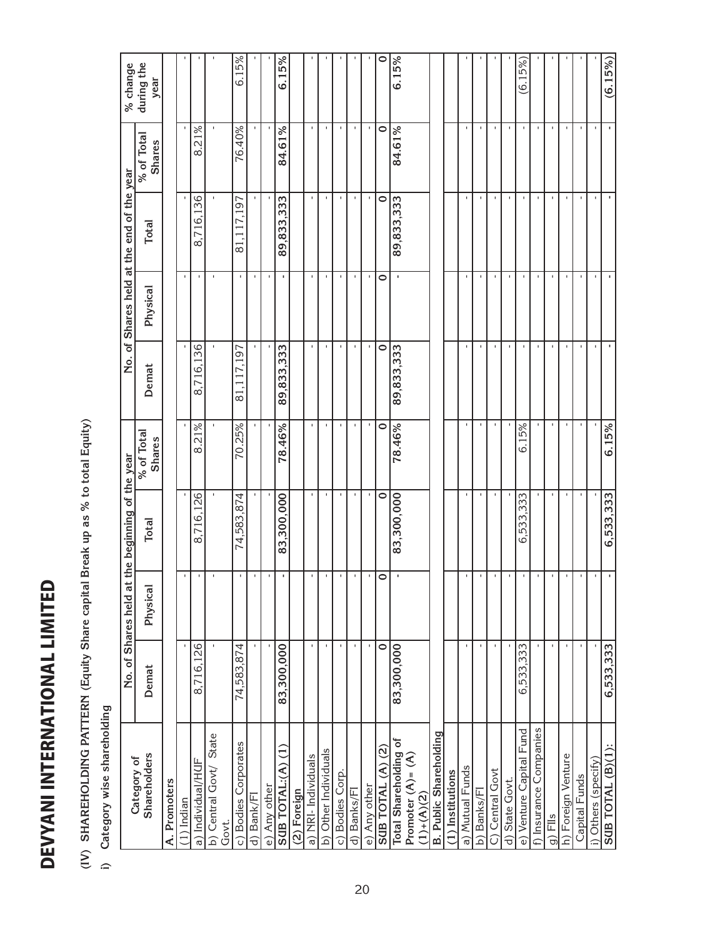# DEVYANI INTERNATIONAL LIMITED DEVYANI INTERNATIONAL LIMITED

# i) Category wise shareholding **i) Category wise shareholding**

| V) SHAREHOLDING PATTERN (Equity Share capital<br>Category wise shareholding |            |                           | Break up as % to total Equity) |                             |                |                |                                           |                             |                    |
|-----------------------------------------------------------------------------|------------|---------------------------|--------------------------------|-----------------------------|----------------|----------------|-------------------------------------------|-----------------------------|--------------------|
|                                                                             |            | No. of Shares held at     | the beginning of the year      |                             |                |                | No. of Shares held at the end of the year |                             | % change           |
| <b>Shareholders</b><br>Category of                                          | Demat      | Physical                  | <b>Total</b>                   | % of Total<br><b>Shares</b> | Demat          | Physical       | <b>Total</b>                              | % of Total<br><b>Shares</b> | during the<br>year |
| A. Promoters                                                                |            |                           |                                |                             |                |                |                                           |                             |                    |
| 1) Indian                                                                   |            | $\mathsf I$               |                                |                             |                |                |                                           |                             |                    |
| a) Individual/HUF                                                           | 8,716,126  | $\mathbf{I}$              | 8,716,126                      | .21%<br>$\ddot{\circ}$      | 8,716,136      |                | 8,716,136                                 | .21%<br>ထဲ                  |                    |
| State<br>b) Central Govt/<br>Govt.                                          |            | $\mathbf{I}$              |                                |                             |                |                |                                           |                             |                    |
| c) Bodies Corporates                                                        | 74,583,874 | $\mathbf{I}$              | 74.583.874                     | 70.25%                      | 81,117,197     |                | 81,117,197                                | 76.40%                      | 6.15%              |
| d) Bank/FI                                                                  |            | $\mathbf{I}$              |                                |                             |                |                |                                           |                             |                    |
| e) Any other                                                                |            | $\blacksquare$            | $\blacksquare$                 |                             | $\blacksquare$ | $\mathbf{I}$   |                                           |                             |                    |
| Ξ<br>SUB TOTAL:(A)                                                          | 83,300,000 | $\mathbf{r}$              | 83,300,000                     | 78.46%                      | 89,833,333     | ٠              | 89,833,333                                | 84.61%                      | 6.15%              |
| (2) Foreign                                                                 |            |                           |                                |                             |                |                |                                           |                             |                    |
| a) NRI-Individuals                                                          |            | $\mathbf{L}$              | $\mathbf{I}$                   | $\mathbf{I}$                | $\mathbf{I}$   |                | $\mathbf{I}$                              | $\mathbf{I}$                |                    |
| b) Other Individuals                                                        |            | $\mathbf{I}$              | $\mathbf{I}$                   | $\blacksquare$              | $\blacksquare$ |                | $\mathbf{I}$                              | $\blacksquare$              |                    |
| c) Bodies Corp                                                              |            | $\Gamma$                  |                                |                             | $\mathbf{I}$   |                |                                           | $\blacksquare$              |                    |
| d) Banks/Fl                                                                 |            | $\mathbf{L}_{\mathrm{c}}$ |                                |                             |                |                |                                           |                             |                    |
| e) Any other                                                                |            | $\blacksquare$            |                                |                             |                |                |                                           |                             |                    |
| <u>ରୁ</u><br>SUB TOTAL (A)                                                  | $\circ$    | $\circ$                   | $\bullet$                      | $\circ$                     | $\circ$        | $\circ$        | $\circ$                                   | $\circ$                     | $\circ$            |
| Total Shareholding of<br>Promoter $(A) = (A)$                               | 83,300,000 | $\blacksquare$            | 83,300,000                     | 78.46%                      | 89,833,333     | $\blacksquare$ | 89, 833, 333                              | 84.61%                      | 6.15%              |
| $(1)+(A)(2)$                                                                |            |                           |                                |                             |                |                |                                           |                             |                    |
| <b>B. Public Shareholding</b>                                               |            |                           |                                |                             |                |                |                                           |                             |                    |
| $(1)$ Institutions                                                          |            |                           |                                |                             |                |                |                                           |                             |                    |
| a) Mutual Funds                                                             |            | $\mathbf{I}$              | J.                             | L.                          | $\mathbf{I}$   |                | $\mathbf{I}$                              | $\mathbf{I}$                |                    |
| b) Banks/Fl                                                                 |            | $\mathbf{I}$              | $\mathbf{I}$                   | $\blacksquare$              | ×.             |                | $\blacksquare$                            | $\mathbf{I}$                |                    |
| Central Govt<br>$\widehat{O}$                                               |            | $\mathbf{I}$              | $\mathbf{I}$                   |                             |                |                | $\mathbf{I}$                              |                             |                    |
| State Govt.<br>$\widehat{\sigma}$                                           |            | $\mathbf{I}$              |                                |                             |                |                |                                           |                             |                    |
| e) Venture Capital Fund                                                     | 6,533,333  | $\mathbf I$               | 333<br>533.<br>ق               | 6.15%                       |                |                |                                           | $\mathbf{I}$                | (6.15%)            |
| f) Insurance Companies                                                      |            | $\blacksquare$            |                                |                             |                |                |                                           | $\mathbf{I}$                |                    |
| $g)$ Flls                                                                   |            | $\mathbf{I}$              | J.                             |                             |                |                |                                           | $\mathbf{I}$                |                    |
| h) Foreign Venture                                                          |            | $\mathbf{I}$              | J.                             |                             |                |                |                                           | $\mathbf{I}$                |                    |
| Capital Funds                                                               |            | $\mathbf{I}$              |                                |                             |                |                |                                           |                             |                    |
| i) Others (specify)                                                         |            | $\mathbf{I}$              |                                |                             |                |                | $\blacksquare$                            |                             |                    |
| SUB TOTAL (B)(1):                                                           | 6,533,333  | $\mathbf{r}$              | 6,533,333                      | 6.15%                       | $\blacksquare$ | $\blacksquare$ | $\blacksquare$                            | ×,                          | (6.15%)            |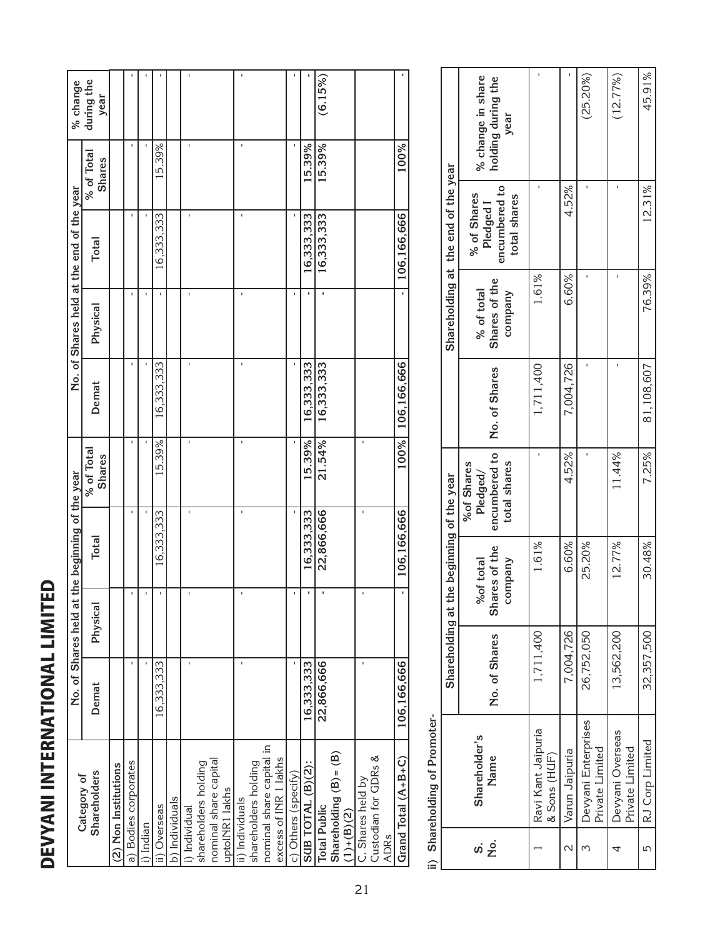| and the state of the state of the state of the state of the state of the state of the state of the state of th |
|----------------------------------------------------------------------------------------------------------------|
| I                                                                                                              |
|                                                                                                                |
|                                                                                                                |
|                                                                                                                |
|                                                                                                                |
| p                                                                                                              |
|                                                                                                                |
|                                                                                                                |
|                                                                                                                |
| ı                                                                                                              |
|                                                                                                                |
| ſ                                                                                                              |
|                                                                                                                |
|                                                                                                                |
|                                                                                                                |
| and the state of the state of the state of the state of the state of the state of the state of the state of th |
|                                                                                                                |
|                                                                                                                |
|                                                                                                                |
| I                                                                                                              |
|                                                                                                                |
| ı                                                                                                              |
|                                                                                                                |
| ı                                                                                                              |
| ı.                                                                                                             |
|                                                                                                                |
|                                                                                                                |

| % change                                  | during the<br>year                 |                      |                      |           |              |                |               |                      |                       |                |                 |                      |                          |                       |                     |                   | (6.15%)             |                            |              |                   |                      |             |                     |
|-------------------------------------------|------------------------------------|----------------------|----------------------|-----------|--------------|----------------|---------------|----------------------|-----------------------|----------------|-----------------|----------------------|--------------------------|-----------------------|---------------------|-------------------|---------------------|----------------------------|--------------|-------------------|----------------------|-------------|---------------------|
|                                           | % of Total<br><b>Shares</b>        |                      | f,                   |           | 15.39%       |                | ï             |                      |                       |                |                 |                      |                          |                       |                     | 15.39%            | 15.39%              |                            |              |                   |                      |             | 100%                |
| No. of Shares held at the end of the year | <b>Total</b>                       |                      | f,                   | ï         | 16,333,333   |                | f.            |                      |                       |                |                 |                      |                          |                       |                     | 16,333,333        | 16,333,333          |                            |              |                   |                      |             | 106,166,666         |
|                                           | Physical                           |                      |                      |           |              |                |               |                      |                       |                |                 |                      |                          |                       |                     |                   |                     |                            |              |                   |                      |             |                     |
|                                           | Demat                              |                      | f,                   |           | 16,333,333   |                | f,            |                      |                       |                |                 |                      |                          |                       |                     | 16,333,333        | 16,333,333          |                            |              |                   |                      |             | 100% 106,166,666    |
|                                           | % of Total<br><b>Shares</b>        |                      | f,                   |           | 15.39%       |                | f,            |                      |                       |                |                 |                      |                          |                       |                     | 15.39%            | 21.54%              |                            |              |                   |                      |             |                     |
| the beginning of the year                 | <b>Total</b>                       |                      |                      |           | 16,333,333   |                |               |                      |                       |                | $\mathbf{I}$    |                      |                          |                       |                     | 16,333,333        | 22,866,666          |                            |              |                   |                      |             | 106,166,666         |
| No. of Shares held at                     | Physical                           |                      |                      |           | ı            |                |               |                      |                       |                |                 |                      |                          |                       |                     |                   |                     |                            |              |                   |                      |             |                     |
|                                           | Demat                              |                      |                      |           | 16,333,333   |                |               |                      |                       |                |                 |                      |                          |                       |                     | 16,333,333        | 22,866,666          |                            |              |                   |                      |             | 106,166,666         |
|                                           | <b>Shareholders</b><br>Category of | (2) Non Institutions | a) Bodies corporates | i) Indian | ii) Overseas | b) Individuals | i) Individual | shareholders holding | nominal share capital | uptoINR1 lakhs | ii) Individuals | shareholders holding | nominal share capital in | excess of INR 1 lakhs | c) Others (specify) | SUB TOTAL (B)(2): | <b>Total Public</b> | Shareholding $(B)$ = $(B)$ | $(1)+(B)(2)$ | C. Shares held by | Custodian for GDRs & | <b>ADRs</b> | Grand Total (A+B+C) |

ii) Shareholding of Promoter**ii) Shareholding of Promoter-**

|                    |                                        | Shareholding at t |                                       | the beginning of the year                               |               |                                        | Shareholding at the end of the year                       |                                                 |
|--------------------|----------------------------------------|-------------------|---------------------------------------|---------------------------------------------------------|---------------|----------------------------------------|-----------------------------------------------------------|-------------------------------------------------|
| .<br>ح<br>ဖ        | Shareholder's<br>Name                  | No. of Shares     | Shares of the<br>%of total<br>company | encumbered to<br>total shares<br>%of Shares<br>Pledged/ | No. of Shares | Shares of the<br>% of total<br>company | encumbered to<br>% of Shares<br>total shares<br>Pledged 1 | % change in share<br>holding during the<br>year |
|                    | Ravi Kant Jaipuria<br>$&$ Sons (HUF)   | 1,711,400         | 1.61%                                 |                                                         | 1,711,400     | 1.61%                                  |                                                           |                                                 |
| $\scriptstyle\sim$ | Varun Jaipuria                         | 7,004,726         | 6.60%                                 | 4.52%                                                   | 7,004,726     | 6.60%                                  | 4.52%                                                     |                                                 |
|                    | Devyani Enterprises<br>Private Limited | 26,752,050        | 25.20%                                |                                                         |               |                                        |                                                           | (25.20%)                                        |
|                    | Devyani Overseas<br>Private Limited    | 13,562,200        | 12.77%                                | 11.44%                                                  |               |                                        |                                                           | (12.77%)                                        |
| 5                  | RJ Corp Limited                        | 32,357,500        | 30.48%                                | 7.25%                                                   | 81,108,607    | 76.39%                                 | 12.31%                                                    | 45.91%                                          |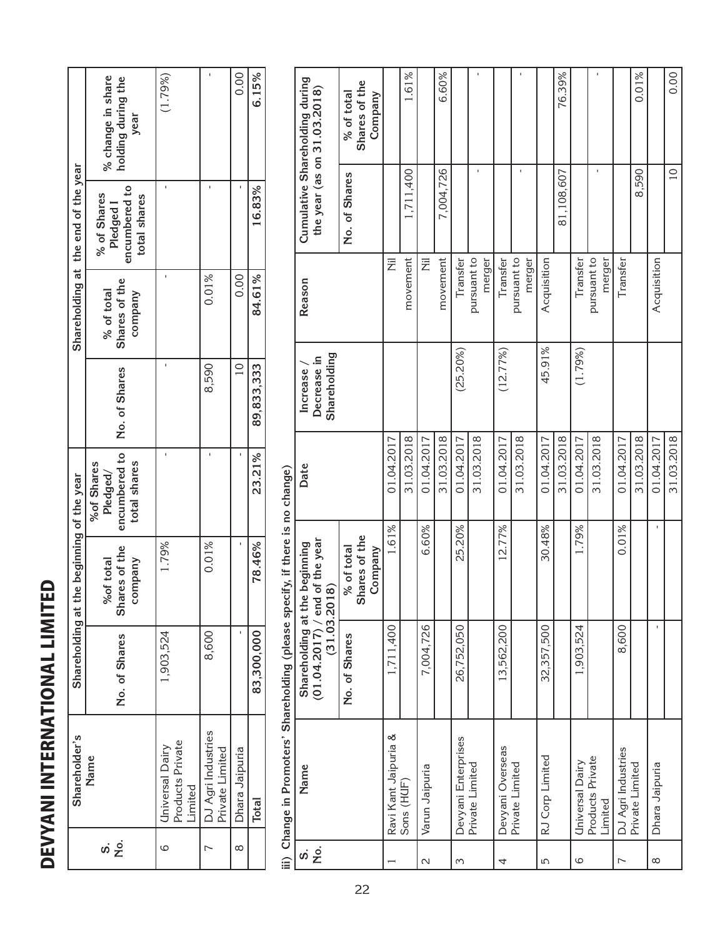| l<br>ı<br>į<br>İ<br>l<br>ı<br>I |  |
|---------------------------------|--|
| I                               |  |
| <b>Service Service</b>          |  |
| ı<br>י<br>֘֝֕                   |  |
| ſ<br>ı                          |  |
| I<br>I                          |  |

|                                     | % change in share<br>holding during the<br>year           | (1.79%)                                        |                                       | 0.00           | 6.15%      |                                                                                | Cumulative Shareholding during<br>the year (as on $31.03.2018$ )                | % of total    |
|-------------------------------------|-----------------------------------------------------------|------------------------------------------------|---------------------------------------|----------------|------------|--------------------------------------------------------------------------------|---------------------------------------------------------------------------------|---------------|
| Shareholding at the end of the year | encumbered to<br>% of Shares<br>total shares<br>Pledged I |                                                |                                       |                | 16.83%     |                                                                                |                                                                                 | No. of Shares |
|                                     | Shares of the<br>% of total<br>company                    |                                                | 0.01%                                 | 0.00           | 84.61%     |                                                                                | Reason                                                                          |               |
|                                     | No. of Shares                                             |                                                | 8,590                                 | $\overline{C}$ | 89,833,333 |                                                                                | Shareholding<br>Decrease in<br>Increase,                                        |               |
|                                     | encumbered to<br>total shares<br>%of Shares<br>Pledged/   |                                                |                                       |                | 23.21%     |                                                                                | Date                                                                            |               |
| the beginning of the year           | Shares of the<br>company<br>%of total                     | 1.79%                                          | 0.01%                                 |                | 78.46%     |                                                                                | (01.04.2017) / end of the year<br>Shareholding at the beginning<br>(31.03.2018) | % of total    |
| Shareholding at                     | No. of Shares                                             | 1,903,524                                      | 8,600                                 |                | 83,300,000 |                                                                                |                                                                                 | No. of Shares |
| Shareholder's                       | Name                                                      | Products Private<br>Universal Dairy<br>Limited | DJ Agri Industries<br>Private Limited | Dhara Jaipuria | Total      | iii) Change in Promoters' Shareholding (please specify, if there is no change) | Name                                                                            |               |
|                                     |                                                           | 6                                              |                                       | ∞              |            |                                                                                | .ok<br>တဲ                                                                       |               |

| Name                        |                     | Shareholding at the beginning<br>$(01.04.2017) /$ end<br>(31.03.201 | of the year              | Date       | Decrease in<br>Increase | Reason                | the year (as on $31.03.2018$ ) | Cumulative Shareholding during |
|-----------------------------|---------------------|---------------------------------------------------------------------|--------------------------|------------|-------------------------|-----------------------|--------------------------------|--------------------------------|
|                             |                     |                                                                     | $\frac{6}{9}$            |            | Shareholding            |                       |                                |                                |
|                             |                     | No. of Shares                                                       | % of total               |            |                         |                       | No. of Shares                  | % of total                     |
|                             |                     |                                                                     | Shares of the<br>Company |            |                         |                       |                                | Shares of the<br>Company       |
| Ravi Kant Jaipuria &        |                     | 1,711,400                                                           | 1.61%                    | 01.04.2017 |                         | 艺                     |                                |                                |
| Sons (HUF)                  |                     |                                                                     |                          | 31.03.2018 |                         | movement              | 1,711,400                      | 1.61%                          |
| Varun Jaipuria              |                     | 7,004,726                                                           | 6.60%                    | 01.04.2017 |                         | 艺                     |                                |                                |
|                             |                     |                                                                     |                          | 31.03.2018 |                         | movement              | 7,004,726                      | 6.60%                          |
|                             | Devyani Enterprises | 26,752,050                                                          | 25.20%                   | 01.04.2017 | (25.20%)                | Transfer              |                                |                                |
| Private Limited             |                     |                                                                     |                          | 31.03.2018 |                         | pursuant to<br>merger |                                |                                |
| Devyani Overseas            |                     | 13,562,200                                                          | 12.77%                   | 01.04.2017 | (12.77%)                | Transfer              |                                |                                |
| Private Limited             |                     |                                                                     |                          | 31.03.2018 |                         | pursuant to<br>merger |                                |                                |
| RJ Corp Limited             |                     | 32,357,500                                                          | 30.48%                   | 01.04.2017 | 45.91%                  | Acquisition           |                                |                                |
|                             |                     |                                                                     |                          | 31.03.2018 |                         |                       | 81,108,607                     | 76.39%                         |
| <b>Universal Dairy</b>      |                     | 1,903,524                                                           | 1.79%                    | 01.04.2017 | (1.79%)                 | Transfer              |                                |                                |
| Products Private<br>Limited |                     |                                                                     |                          | 31.03.2018 |                         | pursuant to<br>merger |                                |                                |
| DJ Agri Industries          |                     | 8,600                                                               | 0.01%                    | 01.04.2017 |                         | Transfer              |                                |                                |
| Private Limited             |                     |                                                                     |                          | 31.03.2018 |                         |                       | 8,590                          | 0.01%                          |
| Dhara Jaipuria              |                     |                                                                     |                          | 01.04.2017 |                         | Acquisition           |                                |                                |
|                             |                     |                                                                     |                          | 31.03.2018 |                         |                       | $\overline{10}$                | 0.00                           |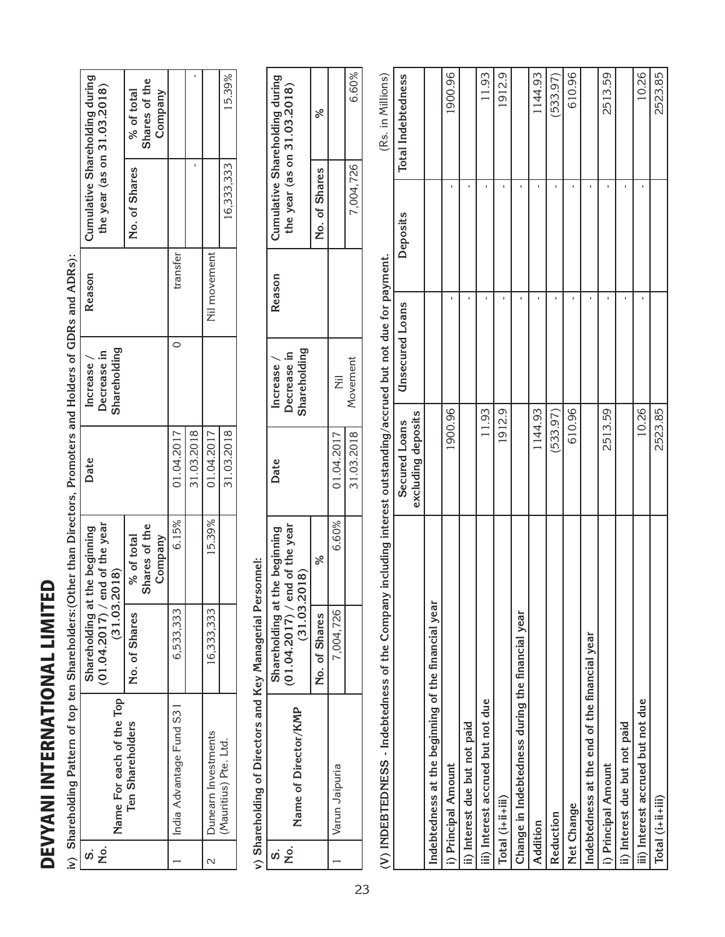DEVYANI INTERNATIONAL LIMITED DEVYANI INTERNATIONAL LIMITED

DEVYANI INTERNATIONAL LIMITED **Reason Cumulative Shareholding during Shares of the**  31.03.2018 - **the year (as on 31.03.2018) No. of Shares % of total Company** 16,333,333 No. of Shares Nil movement transfer India Advantage Fund S3 I 6,533,333 6.15% 01.04.2017 0 transfer 16,333,333 15.39% 01.04.2017 Nil movement Reason  $\overline{\circ}$ Decrease in<br>Shareholding **Decrease in Shareholding Date Increase /**  Increase / 01.04.2017 31.03.2018 01.04.2017 31.03.2018 Date  $15.39%$ 6.15% **(01.04.2017) / end of the year**  Shareholding at the beginning  $(01.04.2017)$  / end of the year **Shares of the**  Shares of the **Shareholding at the beginning No. of Shares % of total**  % of total **Company**  $(31.03.2018)$ **(31.03.2018)** 16,333,333 6,533,333 No. of Shares **Name For each of the Top**  Name For each of the Top India Advantage Fund S31 Ten Shareholders **Ten Shareholders** Dunearn Investments 2 **Dunearn Investments** (Mauritius) Pte. Ltd. (Mauritius) Pte. Ltd. ທີ່ <u>2ີ</u>  $\alpha$  $\overline{\phantom{0}}$ 

31.03.2018 16,333,333 15.39%

iv) Shareholding Pattern of top ten Shareholders: (Other than Directors, Promoters and Holders of GDRs and ADRs): **iv) Shareholding Pattern of top ten Shareholders:(Other than Directors, Promoters and Holders of GDRs and ADRs):**

v) Shareholding of Directors and Key Managerial Personnel: **v) Shareholding of Directors and Key Managerial Personnel:**

|                                                                                                                                                                                                                                |                                                                 |               |                | 6.60%      |
|--------------------------------------------------------------------------------------------------------------------------------------------------------------------------------------------------------------------------------|-----------------------------------------------------------------|---------------|----------------|------------|
|                                                                                                                                                                                                                                | Cumulative Shareholding during<br>the year (as on 31.03.2018)   | No. of Shares |                | 7,004,726  |
|                                                                                                                                                                                                                                | Reason                                                          |               |                |            |
|                                                                                                                                                                                                                                | Shareholding<br>Decrease in<br>Increase                         |               | Ż              | Movement   |
|                                                                                                                                                                                                                                | Date                                                            |               | 01.04.2017     | 31.03.2018 |
|                                                                                                                                                                                                                                | end of the year                                                 | %             | 6.60%          |            |
|                                                                                                                                                                                                                                | Shareholding at the beginning<br>(31.03.2018)<br>(01.04.2017) / | No. of Shares | 7,004,726      |            |
| , and the conditional conditional conditional conditions of the condition of the condition of the condition of the condition of the condition of the condition of the condition of the condition of the condition of the condi | Name of Director/KMP                                            |               | Varun Jaipuria |            |
|                                                                                                                                                                                                                                | No.<br>ທີ່                                                      |               |                |            |

(Rs. in Millions) (Rs. in Millions)(V) INDEBTEDNESS - Indebtedness of the Company including interest outstanding/accrued but not due for payment. **(V) INDEBTEDNESS - Indebtedness of the Company including interest outstanding/accrued but not due for payment.**

|                                                     | excluding deposits<br>Secured Loans | <b>Unsecured Loans</b> | Deposits | <b>Total Indebtedness</b> |
|-----------------------------------------------------|-------------------------------------|------------------------|----------|---------------------------|
| Indebtedness at the beginning of the financial year |                                     |                        |          |                           |
| i) Principal Amount                                 | 1900.96                             |                        |          | 1900.96                   |
| ii) Interest due but not paid                       |                                     |                        |          |                           |
| iii) Interest accrued but not due                   | 11.93                               |                        |          | 11.93                     |
| Total (i+ii+iii)                                    | 1912.9                              |                        |          | 1912.9                    |
| Change in Indebtedness during the financial year    |                                     |                        |          |                           |
| <b>Addition</b>                                     | 1144.93                             |                        |          | 1144.93                   |
| Reduction                                           | (533.97)                            |                        |          | (533.97)                  |
| Net Change                                          | 610.96                              |                        |          | 610.96                    |
| Indebtedness at the end of the financial year       |                                     |                        |          |                           |
| i) Principal Amount                                 | 2513.59                             |                        |          | 2513.59                   |
| ii) Interest due but not paid                       |                                     |                        |          |                           |
| iii) Interest accrued but not due                   | 10.26                               |                        |          | 10.26                     |
| $Total(i+ii+iii)$                                   | 2523.85                             |                        |          | 2523.85                   |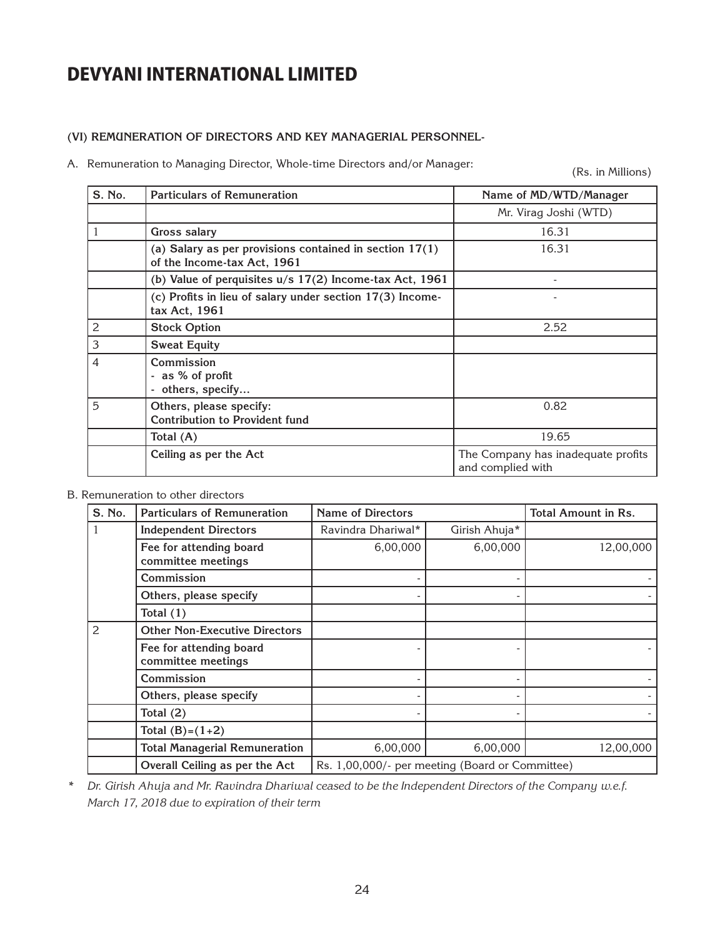#### **(VI) REMUNERATION OF DIRECTORS AND KEY MANAGERIAL PERSONNEL-**

A. Remuneration to Managing Director, Whole-time Directors and/or Manager:

(Rs. in Millions)

| S. No. | <b>Particulars of Remuneration</b>                                                       | Name of MD/WTD/Manager                                  |
|--------|------------------------------------------------------------------------------------------|---------------------------------------------------------|
|        |                                                                                          | Mr. Virag Joshi (WTD)                                   |
|        | <b>Gross salary</b>                                                                      | 16.31                                                   |
|        | (a) Salary as per provisions contained in section $17(1)$<br>of the Income-tax Act, 1961 | 16.31                                                   |
|        | (b) Value of perquisites u/s 17(2) Income-tax Act, 1961                                  |                                                         |
|        | (c) Profits in lieu of salary under section 17(3) Income-<br>tax Act, 1961               |                                                         |
| 2      | <b>Stock Option</b>                                                                      | 2.52                                                    |
| 3      | <b>Sweat Equity</b>                                                                      |                                                         |
| 4      | Commission<br>- as % of profit<br>- others, specify                                      |                                                         |
| 5      | Others, please specify:<br><b>Contribution to Provident fund</b>                         | 0.82                                                    |
|        | Total (A)                                                                                | 19.65                                                   |
|        | Ceiling as per the Act                                                                   | The Company has inadequate profits<br>and complied with |

#### B. Remuneration to other directors

| S. No.         | <b>Particulars of Remuneration</b>            | <b>Name of Directors</b>                        |               | <b>Total Amount in Rs.</b> |
|----------------|-----------------------------------------------|-------------------------------------------------|---------------|----------------------------|
| $\mathbf{1}$   | <b>Independent Directors</b>                  | Ravindra Dhariwal*                              | Girish Ahuja* |                            |
|                | Fee for attending board<br>committee meetings | 6,00,000                                        | 6,00,000      | 12,00,000                  |
|                | Commission                                    |                                                 |               |                            |
|                | Others, please specify                        |                                                 |               |                            |
|                | Total $(1)$                                   |                                                 |               |                            |
| $\overline{2}$ | <b>Other Non-Executive Directors</b>          |                                                 |               |                            |
|                | Fee for attending board<br>committee meetings |                                                 |               |                            |
|                | Commission                                    |                                                 |               |                            |
|                | Others, please specify                        |                                                 |               |                            |
|                | Total $(2)$                                   |                                                 |               |                            |
|                | Total $(B)=(1+2)$                             |                                                 |               |                            |
|                | <b>Total Managerial Remuneration</b>          | 6,00,000                                        | 6,00,000      | 12,00,000                  |
|                | Overall Ceiling as per the Act                | Rs. 1,00,000/- per meeting (Board or Committee) |               |                            |

*\* Dr. Girish Ahuja and Mr. Ravindra Dhariwal ceased to be the Independent Directors of the Company w.e.f. March 17, 2018 due to expiration of their term*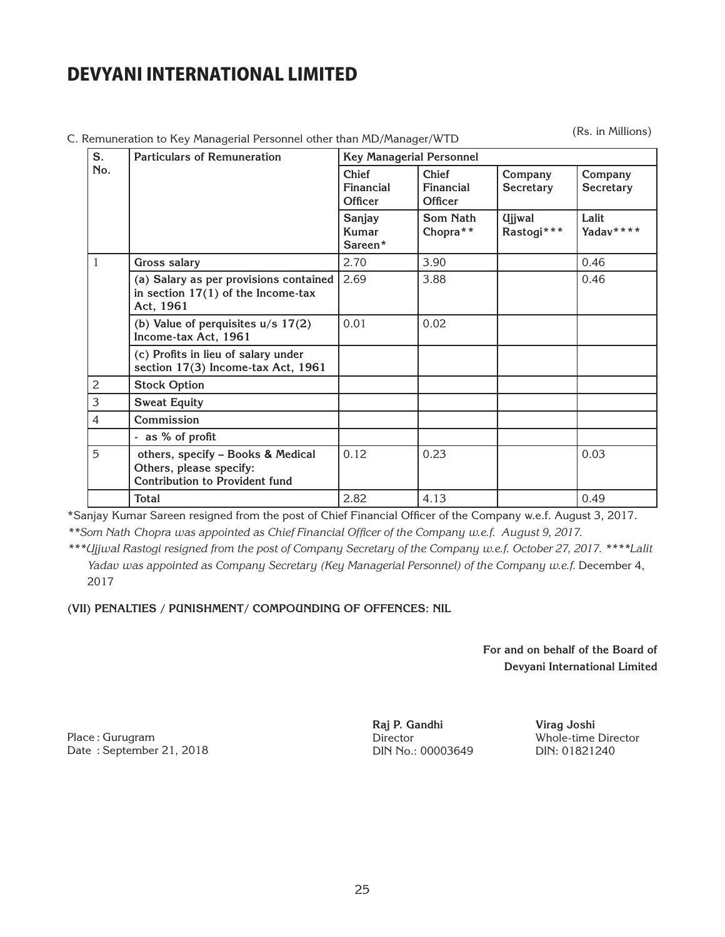| S.             | <b>Particulars of Remuneration</b>                                                                    | <b>Key Managerial Personnel</b>      |                                      |                                           |                      |  |
|----------------|-------------------------------------------------------------------------------------------------------|--------------------------------------|--------------------------------------|-------------------------------------------|----------------------|--|
| No.            |                                                                                                       | <b>Chief</b><br>Financial<br>Officer | <b>Chief</b><br>Financial<br>Officer | Company<br><b>Secretary</b>               | Company<br>Secretary |  |
|                |                                                                                                       | Sanjay<br>Kumar<br>Sareen*           | Som Nath<br>Chopra**                 | <b><i><u>Ujiwal</u></i></b><br>Rastogi*** | Lalit<br>Yadav****   |  |
| $\mathbf{1}$   | <b>Gross salary</b>                                                                                   | 2.70                                 | 3.90                                 |                                           | 0.46                 |  |
|                | (a) Salary as per provisions contained<br>in section $17(1)$ of the Income-tax<br>Act, 1961           | 2.69                                 | 3.88                                 |                                           | 0.46                 |  |
|                | (b) Value of perquisites $u/s$ 17(2)<br>Income-tax Act, 1961                                          | 0.01                                 | 0.02                                 |                                           |                      |  |
|                | (c) Profits in lieu of salary under<br>section 17(3) Income-tax Act, 1961                             |                                      |                                      |                                           |                      |  |
| $\overline{c}$ | <b>Stock Option</b>                                                                                   |                                      |                                      |                                           |                      |  |
| 3              | <b>Sweat Equity</b>                                                                                   |                                      |                                      |                                           |                      |  |
| 4              | Commission                                                                                            |                                      |                                      |                                           |                      |  |
|                | - as % of profit                                                                                      |                                      |                                      |                                           |                      |  |
| 5              | others, specify - Books & Medical<br>Others, please specify:<br><b>Contribution to Provident fund</b> | 0.12                                 | 0.23                                 |                                           | 0.03                 |  |
|                | <b>Total</b>                                                                                          | 2.82                                 | 4.13                                 |                                           | 0.49                 |  |

C. Remuneration to Key Managerial Personnel other than MD/Manager/WTD

(Rs. in Millions)

\*Sanjay Kumar Sareen resigned from the post of Chief Financial Officer of the Company w.e.f. August 3, 2017.

*\*\*Som Nath Chopra was appointed as Chief Financial Officer of the Company w.e.f. August 9, 2017.*

*\*\*\*Ujjwal Rastogi resigned from the post of Company Secretary of the Company w.e.f. October 27, 2017. \*\*\*\*Lalit*  Yadav was appointed as Company Secretary (Key Managerial Personnel) of the Company w.e.f. December 4, 2017

**(VII) PENALTIES / PUNISHMENT/ COMPOUNDING OF OFFENCES: NIL**

**For and on behalf of the Board of Devyani International Limited**

Place : Gurugram Date : September 21, 2018 **Raj P. Gandhi**  Director DIN No.: 00003649

**Virag Joshi** Whole-time Director DIN: 01821240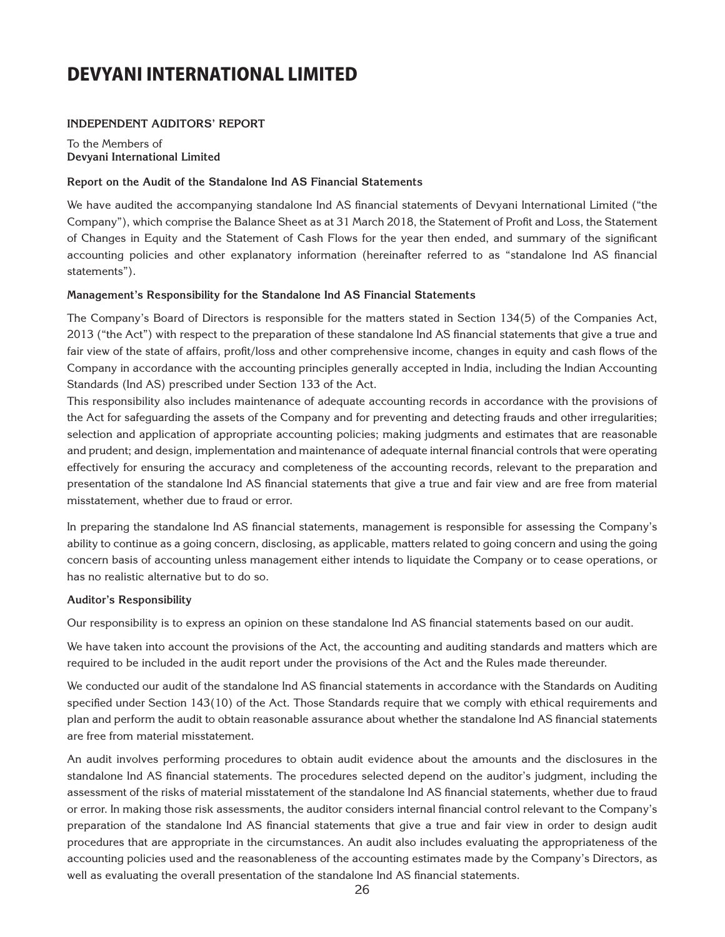#### **Independent Auditors' Report**

To the Members of **Devyani International Limited**

#### **Report on the Audit of the Standalone Ind AS Financial Statements**

We have audited the accompanying standalone Ind AS financial statements of Devyani International Limited ("the Company"), which comprise the Balance Sheet as at 31 March 2018, the Statement of Profit and Loss, the Statement of Changes in Equity and the Statement of Cash Flows for the year then ended, and summary of the significant accounting policies and other explanatory information (hereinafter referred to as "standalone Ind AS financial statements").

#### **Management's Responsibility for the Standalone Ind AS Financial Statements**

The Company's Board of Directors is responsible for the matters stated in Section 134(5) of the Companies Act, 2013 ("the Act") with respect to the preparation of these standalone Ind AS financial statements that give a true and fair view of the state of affairs, profit/loss and other comprehensive income, changes in equity and cash flows of the Company in accordance with the accounting principles generally accepted in India, including the Indian Accounting Standards (Ind AS) prescribed under Section 133 of the Act.

This responsibility also includes maintenance of adequate accounting records in accordance with the provisions of the Act for safeguarding the assets of the Company and for preventing and detecting frauds and other irregularities; selection and application of appropriate accounting policies; making judgments and estimates that are reasonable and prudent; and design, implementation and maintenance of adequate internal financial controls that were operating effectively for ensuring the accuracy and completeness of the accounting records, relevant to the preparation and presentation of the standalone Ind AS financial statements that give a true and fair view and are free from material misstatement, whether due to fraud or error.

In preparing the standalone Ind AS financial statements, management is responsible for assessing the Company's ability to continue as a going concern, disclosing, as applicable, matters related to going concern and using the going concern basis of accounting unless management either intends to liquidate the Company or to cease operations, or has no realistic alternative but to do so.

#### **Auditor's Responsibility**

Our responsibility is to express an opinion on these standalone Ind AS financial statements based on our audit.

We have taken into account the provisions of the Act, the accounting and auditing standards and matters which are required to be included in the audit report under the provisions of the Act and the Rules made thereunder.

We conducted our audit of the standalone Ind AS financial statements in accordance with the Standards on Auditing specified under Section 143(10) of the Act. Those Standards require that we comply with ethical requirements and plan and perform the audit to obtain reasonable assurance about whether the standalone Ind AS financial statements are free from material misstatement.

An audit involves performing procedures to obtain audit evidence about the amounts and the disclosures in the standalone Ind AS financial statements. The procedures selected depend on the auditor's judgment, including the assessment of the risks of material misstatement of the standalone Ind AS financial statements, whether due to fraud or error. In making those risk assessments, the auditor considers internal financial control relevant to the Company's preparation of the standalone Ind AS financial statements that give a true and fair view in order to design audit procedures that are appropriate in the circumstances. An audit also includes evaluating the appropriateness of the accounting policies used and the reasonableness of the accounting estimates made by the Company's Directors, as well as evaluating the overall presentation of the standalone Ind AS financial statements.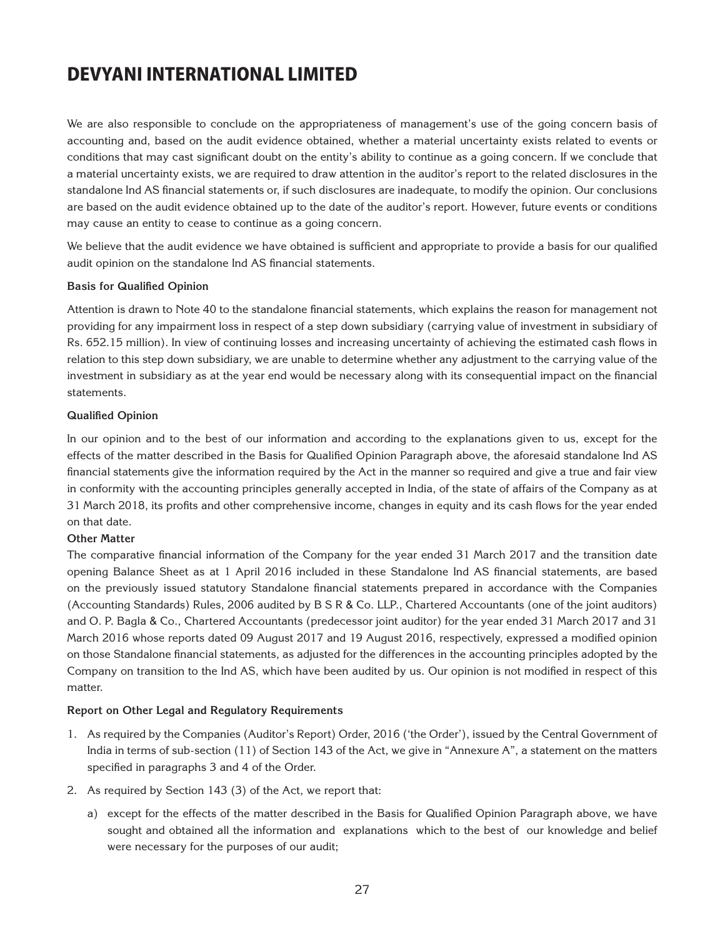We are also responsible to conclude on the appropriateness of management's use of the going concern basis of accounting and, based on the audit evidence obtained, whether a material uncertainty exists related to events or conditions that may cast significant doubt on the entity's ability to continue as a going concern. If we conclude that a material uncertainty exists, we are required to draw attention in the auditor's report to the related disclosures in the standalone Ind AS financial statements or, if such disclosures are inadequate, to modify the opinion. Our conclusions are based on the audit evidence obtained up to the date of the auditor's report. However, future events or conditions may cause an entity to cease to continue as a going concern.

We believe that the audit evidence we have obtained is sufficient and appropriate to provide a basis for our qualified audit opinion on the standalone Ind AS financial statements.

#### **Basis for Qualified Opinion**

Attention is drawn to Note 40 to the standalone financial statements, which explains the reason for management not providing for any impairment loss in respect of a step down subsidiary (carrying value of investment in subsidiary of Rs. 652.15 million). In view of continuing losses and increasing uncertainty of achieving the estimated cash flows in relation to this step down subsidiary, we are unable to determine whether any adjustment to the carrying value of the investment in subsidiary as at the year end would be necessary along with its consequential impact on the financial statements.

#### **Qualified Opinion**

In our opinion and to the best of our information and according to the explanations given to us, except for the effects of the matter described in the Basis for Qualified Opinion Paragraph above, the aforesaid standalone Ind AS financial statements give the information required by the Act in the manner so required and give a true and fair view in conformity with the accounting principles generally accepted in India, of the state of affairs of the Company as at 31 March 2018, its profits and other comprehensive income, changes in equity and its cash flows for the year ended on that date.

#### **Other Matter**

The comparative financial information of the Company for the year ended 31 March 2017 and the transition date opening Balance Sheet as at 1 April 2016 included in these Standalone Ind AS financial statements, are based on the previously issued statutory Standalone financial statements prepared in accordance with the Companies (Accounting Standards) Rules, 2006 audited by B S R & Co. LLP., Chartered Accountants (one of the joint auditors) and O. P. Bagla & Co., Chartered Accountants (predecessor joint auditor) for the year ended 31 March 2017 and 31 March 2016 whose reports dated 09 August 2017 and 19 August 2016, respectively, expressed a modified opinion on those Standalone financial statements, as adjusted for the differences in the accounting principles adopted by the Company on transition to the Ind AS, which have been audited by us. Our opinion is not modified in respect of this matter.

#### **Report on Other Legal and Regulatory Requirements**

- 1. As required by the Companies (Auditor's Report) Order, 2016 ('the Order'), issued by the Central Government of India in terms of sub-section (11) of Section 143 of the Act, we give in "Annexure A", a statement on the matters specified in paragraphs 3 and 4 of the Order.
- 2. As required by Section 143 (3) of the Act, we report that:
	- a) except for the effects of the matter described in the Basis for Qualified Opinion Paragraph above, we have sought and obtained all the information and explanations which to the best of our knowledge and belief were necessary for the purposes of our audit;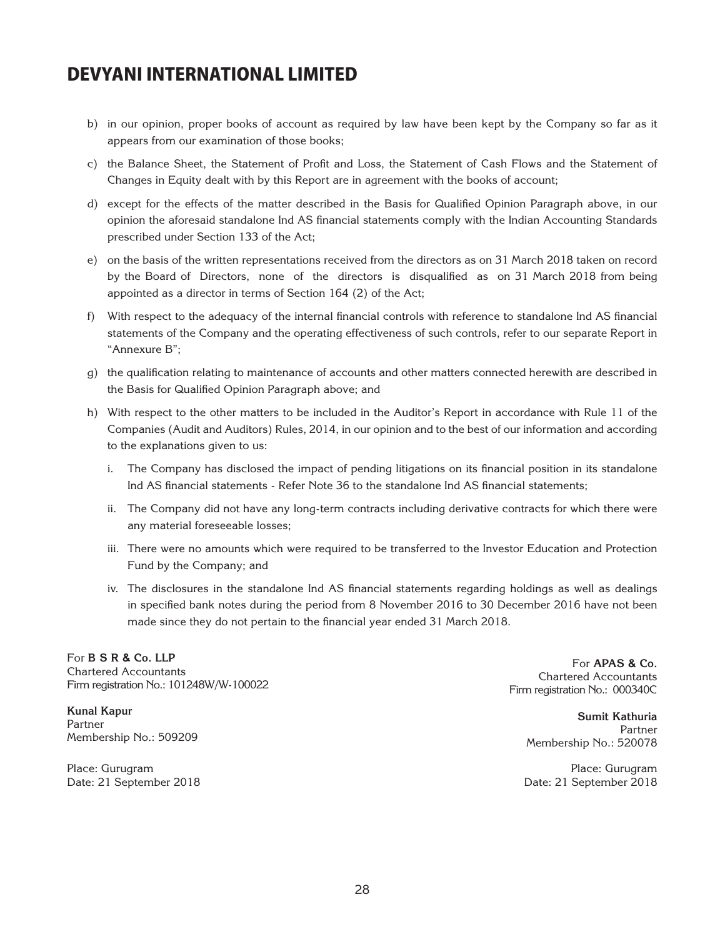- b) in our opinion, proper books of account as required by law have been kept by the Company so far as it appears from our examination of those books;
- c) the Balance Sheet, the Statement of Profit and Loss, the Statement of Cash Flows and the Statement of Changes in Equity dealt with by this Report are in agreement with the books of account;
- d) except for the effects of the matter described in the Basis for Qualified Opinion Paragraph above, in our opinion the aforesaid standalone Ind AS financial statements comply with the Indian Accounting Standards prescribed under Section 133 of the Act;
- e) on the basis of the written representations received from the directors as on 31 March 2018 taken on record by the Board of Directors, none of the directors is disqualified as on 31 March 2018 from being appointed as a director in terms of Section 164 (2) of the Act;
- f) With respect to the adequacy of the internal financial controls with reference to standalone Ind AS financial statements of the Company and the operating effectiveness of such controls, refer to our separate Report in "Annexure B";
- g) the qualification relating to maintenance of accounts and other matters connected herewith are described in the Basis for Qualified Opinion Paragraph above; and
- h) With respect to the other matters to be included in the Auditor's Report in accordance with Rule 11 of the Companies (Audit and Auditors) Rules, 2014, in our opinion and to the best of our information and according to the explanations given to us:
	- i. The Company has disclosed the impact of pending litigations on its financial position in its standalone Ind AS financial statements - Refer Note 36 to the standalone Ind AS financial statements;
	- ii. The Company did not have any long-term contracts including derivative contracts for which there were any material foreseeable losses;
	- iii. There were no amounts which were required to be transferred to the Investor Education and Protection Fund by the Company; and
	- iv. The disclosures in the standalone Ind AS financial statements regarding holdings as well as dealings in specified bank notes during the period from 8 November 2016 to 30 December 2016 have not been made since they do not pertain to the financial year ended 31 March 2018.

For **B S R & Co. LLP**  Chartered Accountants Firm registration No.: 101248W/W-100022

**Kunal Kapur** Partner Membership No.: 509209

Place: Gurugram Date: 21 September 2018

For **APAS & Co.** Chartered Accountants Firm registration No.: 000340C

> **Sumit Kathuria** Partner Membership No.: 520078

Place: Gurugram Date: 21 September 2018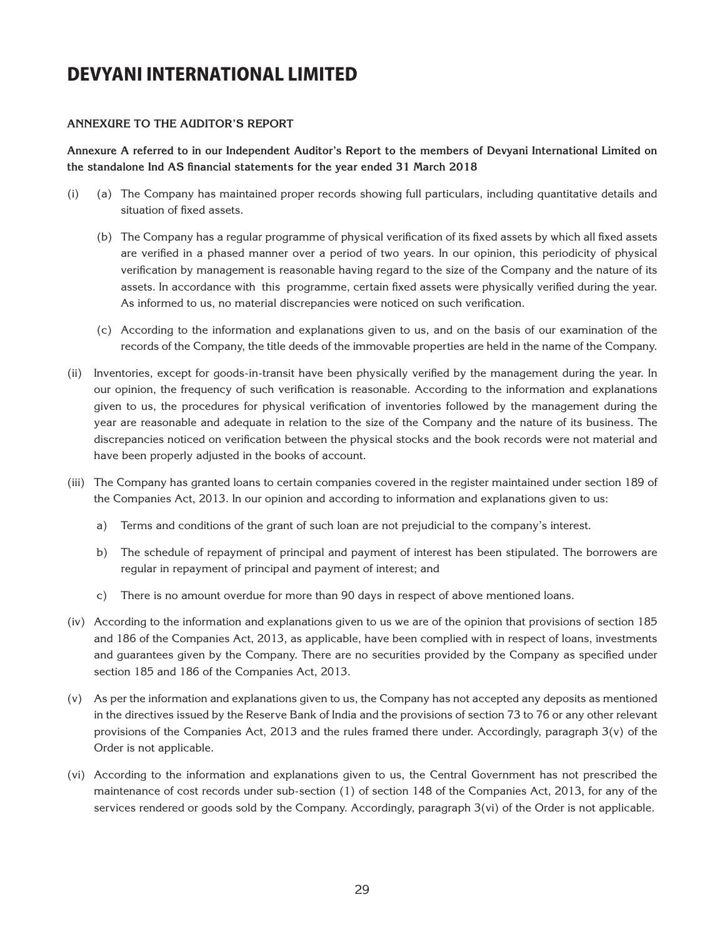#### **Annexure to the Auditor's REPORT**

**Annexure A referred to in our Independent Auditor's Report to the members of Devyani International Limited on the standalone Ind AS financial statements for the year ended 31 March 2018**

- (i) (a) The Company has maintained proper records showing full particulars, including quantitative details and situation of fixed assets.
	- (b) The Company has a regular programme of physical verification of its fixed assets by which all fixed assets are verified in a phased manner over a period of two years. In our opinion, this periodicity of physical verification by management is reasonable having regard to the size of the Company and the nature of its assets. In accordance with this programme, certain fixed assets were physically verified during the year. As informed to us, no material discrepancies were noticed on such verification.
	- (c) According to the information and explanations given to us, and on the basis of our examination of the records of the Company, the title deeds of the immovable properties are held in the name of the Company.
- (ii) Inventories, except for goods-in-transit have been physically verified by the management during the year. In our opinion, the frequency of such verification is reasonable. According to the information and explanations given to us, the procedures for physical verification of inventories followed by the management during the year are reasonable and adequate in relation to the size of the Company and the nature of its business. The discrepancies noticed on verification between the physical stocks and the book records were not material and have been properly adjusted in the books of account.
- (iii) The Company has granted loans to certain companies covered in the register maintained under section 189 of the Companies Act, 2013. In our opinion and according to information and explanations given to us:
	- a) Terms and conditions of the grant of such loan are not prejudicial to the company's interest.
	- b) The schedule of repayment of principal and payment of interest has been stipulated. The borrowers are regular in repayment of principal and payment of interest; and
	- c) There is no amount overdue for more than 90 days in respect of above mentioned loans.
- (iv) According to the information and explanations given to us we are of the opinion that provisions of section 185 and 186 of the Companies Act, 2013, as applicable, have been complied with in respect of loans, investments and guarantees given by the Company. There are no securities provided by the Company as specified under section 185 and 186 of the Companies Act, 2013.
- (v) As per the information and explanations given to us, the Company has not accepted any deposits as mentioned in the directives issued by the Reserve Bank of India and the provisions of section 73 to 76 or any other relevant provisions of the Companies Act, 2013 and the rules framed there under. Accordingly, paragraph  $3(v)$  of the Order is not applicable.
- (vi) According to the information and explanations given to us, the Central Government has not prescribed the maintenance of cost records under sub-section (1) of section 148 of the Companies Act, 2013, for any of the services rendered or goods sold by the Company. Accordingly, paragraph 3(vi) of the Order is not applicable.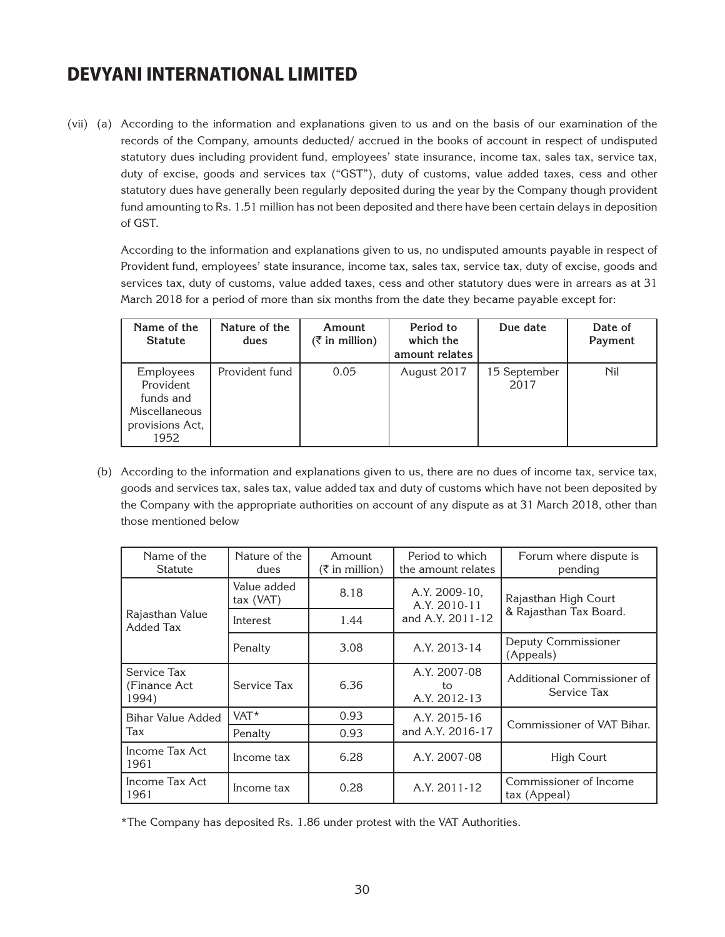(vii) (a) According to the information and explanations given to us and on the basis of our examination of the records of the Company, amounts deducted/ accrued in the books of account in respect of undisputed statutory dues including provident fund, employees' state insurance, income tax, sales tax, service tax, duty of excise, goods and services tax ("GST"), duty of customs, value added taxes, cess and other statutory dues have generally been regularly deposited during the year by the Company though provident fund amounting to Rs. 1.51 million has not been deposited and there have been certain delays in deposition of GST.

 According to the information and explanations given to us, no undisputed amounts payable in respect of Provident fund, employees' state insurance, income tax, sales tax, service tax, duty of excise, goods and services tax, duty of customs, value added taxes, cess and other statutory dues were in arrears as at 31 March 2018 for a period of more than six months from the date they became payable except for:

| Name of the<br><b>Statute</b>                                                   | Nature of the<br>dues | Amount<br>$(\bar{z}$ in million) | Period to<br>which the<br>amount relates | Due date             | Date of<br>Payment |
|---------------------------------------------------------------------------------|-----------------------|----------------------------------|------------------------------------------|----------------------|--------------------|
| Employees<br>Provident<br>funds and<br>Miscellaneous<br>provisions Act,<br>1952 | Provident fund        | 0.05                             | August 2017                              | 15 September<br>2017 | <b>Nil</b>         |

(b) According to the information and explanations given to us, there are no dues of income tax, service tax, goods and services tax, sales tax, value added tax and duty of customs which have not been deposited by the Company with the appropriate authorities on account of any dispute as at 31 March 2018, other than those mentioned below

| Name of the<br>Statute                | Nature of the<br>dues      | Amount<br>$(\bar{\bar{\zeta}})$ in million) | Period to which<br>the amount relates | Forum where dispute is<br>pending         |  |
|---------------------------------------|----------------------------|---------------------------------------------|---------------------------------------|-------------------------------------------|--|
|                                       | Value added<br>$tax$ (VAT) | 8.18                                        | A.Y. 2009-10,<br>A.Y. 2010-11         | Rajasthan High Court                      |  |
| Rajasthan Value<br>Added Tax          | Interest                   | 1.44                                        | and A.Y. 2011-12                      | & Rajasthan Tax Board.                    |  |
|                                       | Penalty                    | 3.08                                        | A.Y. 2013-14                          | Deputy Commissioner<br>(Appeals)          |  |
| Service Tax<br>(Finance Act)<br>1994) | Service Tax                | 6.36                                        | A.Y. 2007-08<br>to<br>A.Y. 2012-13    | Additional Commissioner of<br>Service Tax |  |
| <b>Bihar Value Added</b>              | VAT*                       | 0.93                                        | A.Y. 2015-16                          | Commissioner of VAT Bihar.                |  |
| Tax                                   | Penalty                    | 0.93                                        | and A.Y. 2016-17                      |                                           |  |
| Income Tax Act<br>1961                | Income tax                 | 6.28                                        | A.Y. 2007-08                          | <b>High Court</b>                         |  |
| Income Tax Act<br>1961                | Income tax                 | 0.28                                        | A.Y. 2011-12                          | Commissioner of Income<br>tax (Appeal)    |  |

\*The Company has deposited Rs. 1.86 under protest with the VAT Authorities.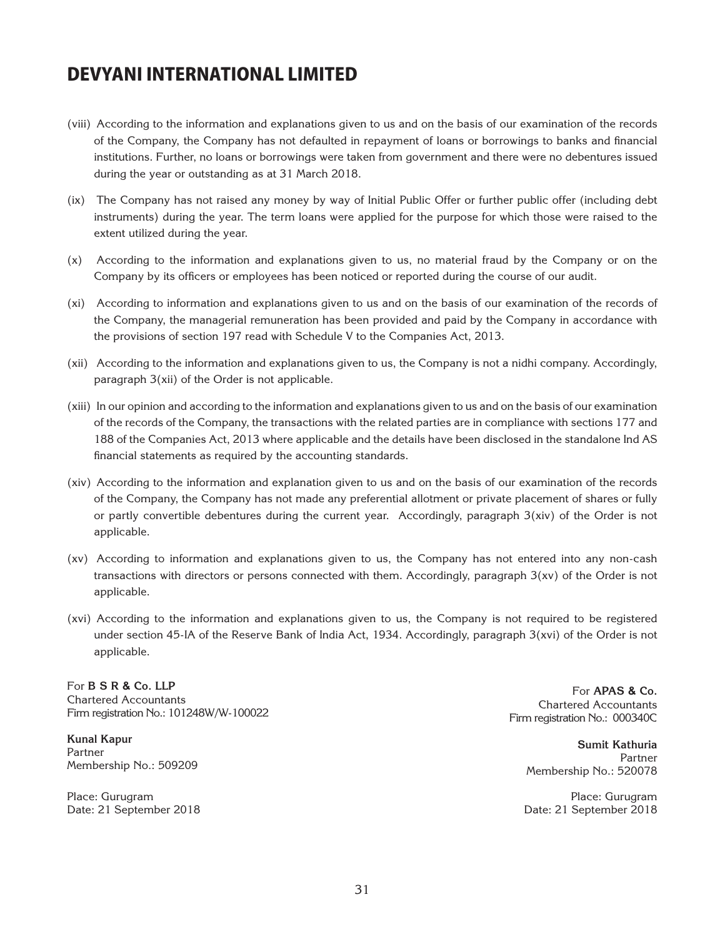- (viii) According to the information and explanations given to us and on the basis of our examination of the records of the Company, the Company has not defaulted in repayment of loans or borrowings to banks and financial institutions. Further, no loans or borrowings were taken from government and there were no debentures issued during the year or outstanding as at 31 March 2018.
- (ix) The Company has not raised any money by way of Initial Public Offer or further public offer (including debt instruments) during the year. The term loans were applied for the purpose for which those were raised to the extent utilized during the year.
- (x) According to the information and explanations given to us, no material fraud by the Company or on the Company by its officers or employees has been noticed or reported during the course of our audit.
- (xi) According to information and explanations given to us and on the basis of our examination of the records of the Company, the managerial remuneration has been provided and paid by the Company in accordance with the provisions of section 197 read with Schedule V to the Companies Act, 2013.
- (xii) According to the information and explanations given to us, the Company is not a nidhi company. Accordingly, paragraph 3(xii) of the Order is not applicable.
- (xiii) In our opinion and according to the information and explanations given to us and on the basis of our examination of the records of the Company, the transactions with the related parties are in compliance with sections 177 and 188 of the Companies Act, 2013 where applicable and the details have been disclosed in the standalone Ind AS financial statements as required by the accounting standards.
- (xiv) According to the information and explanation given to us and on the basis of our examination of the records of the Company, the Company has not made any preferential allotment or private placement of shares or fully or partly convertible debentures during the current year. Accordingly, paragraph 3(xiv) of the Order is not applicable.
- (xv) According to information and explanations given to us, the Company has not entered into any non-cash transactions with directors or persons connected with them. Accordingly, paragraph 3(xv) of the Order is not applicable.
- (xvi) According to the information and explanations given to us, the Company is not required to be registered under section 45-IA of the Reserve Bank of India Act, 1934. Accordingly, paragraph 3(xvi) of the Order is not applicable.

For **B S R & Co. LLP**  Chartered Accountants Firm registration No.: 101248W/W-100022

**Kunal Kapur** Partner Membership No.: 509209

Place: Gurugram Date: 21 September 2018

For **APAS & Co.** Chartered Accountants Firm registration No.: 000340C

> **Sumit Kathuria** Partner Membership No.: 520078

Place: Gurugram Date: 21 September 2018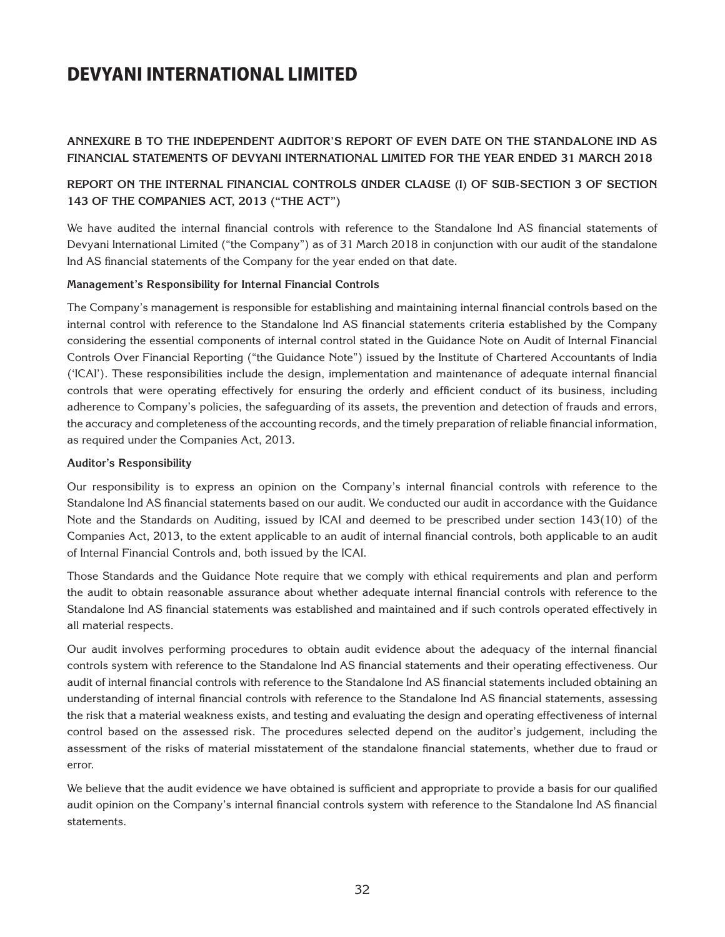#### **Annexure B to the Independent Auditor's Report of even date on the standalone Ind AS financial statements of Devyani International Limited for the year ended 31 March 2018**

#### **Report on the Internal Financial Controls under Clause (i) of Sub-section 3 of Section 143 of the Companies Act, 2013 ("the Act")**

We have audited the internal financial controls with reference to the Standalone Ind AS financial statements of Devyani International Limited ("the Company") as of 31 March 2018 in conjunction with our audit of the standalone Ind AS financial statements of the Company for the year ended on that date.

#### **Management's Responsibility for Internal Financial Controls**

The Company's management is responsible for establishing and maintaining internal financial controls based on the internal control with reference to the Standalone Ind AS financial statements criteria established by the Company considering the essential components of internal control stated in the Guidance Note on Audit of Internal Financial Controls Over Financial Reporting ("the Guidance Note") issued by the Institute of Chartered Accountants of India ('ICAI'). These responsibilities include the design, implementation and maintenance of adequate internal financial controls that were operating effectively for ensuring the orderly and efficient conduct of its business, including adherence to Company's policies, the safeguarding of its assets, the prevention and detection of frauds and errors, the accuracy and completeness of the accounting records, and the timely preparation of reliable financial information, as required under the Companies Act, 2013.

#### **Auditor's Responsibility**

Our responsibility is to express an opinion on the Company's internal financial controls with reference to the Standalone Ind AS financial statements based on our audit. We conducted our audit in accordance with the Guidance Note and the Standards on Auditing, issued by ICAI and deemed to be prescribed under section 143(10) of the Companies Act, 2013, to the extent applicable to an audit of internal financial controls, both applicable to an audit of Internal Financial Controls and, both issued by the ICAI.

Those Standards and the Guidance Note require that we comply with ethical requirements and plan and perform the audit to obtain reasonable assurance about whether adequate internal financial controls with reference to the Standalone Ind AS financial statements was established and maintained and if such controls operated effectively in all material respects.

Our audit involves performing procedures to obtain audit evidence about the adequacy of the internal financial controls system with reference to the Standalone Ind AS financial statements and their operating effectiveness. Our audit of internal financial controls with reference to the Standalone Ind AS financial statements included obtaining an understanding of internal financial controls with reference to the Standalone Ind AS financial statements, assessing the risk that a material weakness exists, and testing and evaluating the design and operating effectiveness of internal control based on the assessed risk. The procedures selected depend on the auditor's judgement, including the assessment of the risks of material misstatement of the standalone financial statements, whether due to fraud or error.

We believe that the audit evidence we have obtained is sufficient and appropriate to provide a basis for our qualified audit opinion on the Company's internal financial controls system with reference to the Standalone Ind AS financial statements.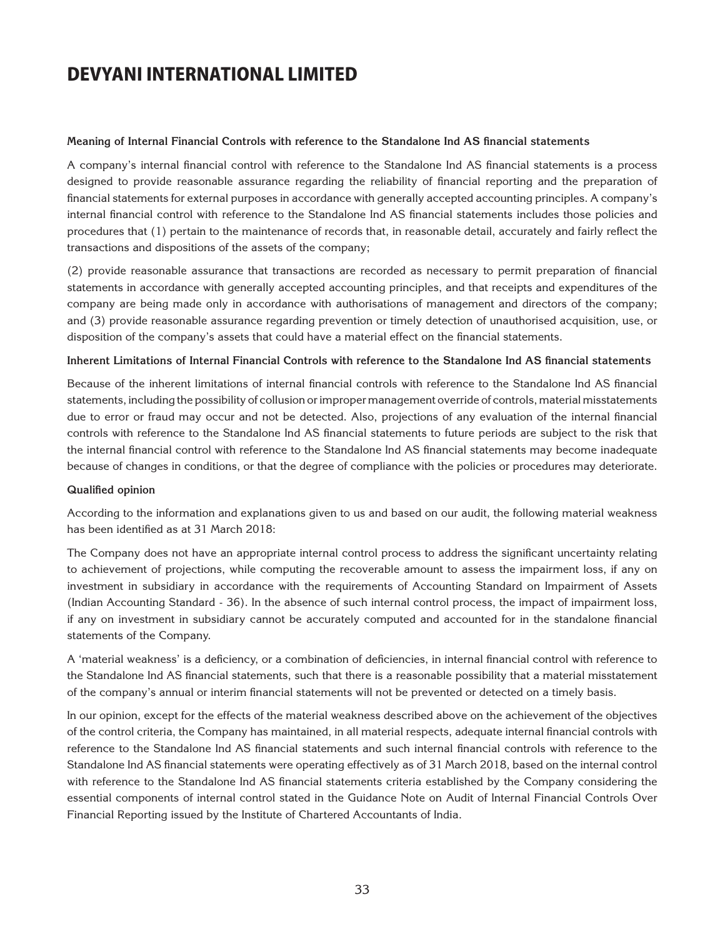#### **Meaning of Internal Financial Controls with reference to the Standalone Ind AS financial statements**

A company's internal financial control with reference to the Standalone Ind AS financial statements is a process designed to provide reasonable assurance regarding the reliability of financial reporting and the preparation of financial statements for external purposes in accordance with generally accepted accounting principles. A company's internal financial control with reference to the Standalone Ind AS financial statements includes those policies and procedures that (1) pertain to the maintenance of records that, in reasonable detail, accurately and fairly reflect the transactions and dispositions of the assets of the company;

(2) provide reasonable assurance that transactions are recorded as necessary to permit preparation of financial statements in accordance with generally accepted accounting principles, and that receipts and expenditures of the company are being made only in accordance with authorisations of management and directors of the company; and (3) provide reasonable assurance regarding prevention or timely detection of unauthorised acquisition, use, or disposition of the company's assets that could have a material effect on the financial statements.

#### **Inherent Limitations of Internal Financial Controls with reference to the Standalone Ind AS financial statements**

Because of the inherent limitations of internal financial controls with reference to the Standalone Ind AS financial statements, including the possibility of collusion or improper management override of controls, material misstatements due to error or fraud may occur and not be detected. Also, projections of any evaluation of the internal financial controls with reference to the Standalone Ind AS financial statements to future periods are subject to the risk that the internal financial control with reference to the Standalone Ind AS financial statements may become inadequate because of changes in conditions, or that the degree of compliance with the policies or procedures may deteriorate.

#### **Qualified opinion**

According to the information and explanations given to us and based on our audit, the following material weakness has been identified as at 31 March 2018:

The Company does not have an appropriate internal control process to address the significant uncertainty relating to achievement of projections, while computing the recoverable amount to assess the impairment loss, if any on investment in subsidiary in accordance with the requirements of Accounting Standard on Impairment of Assets (Indian Accounting Standard - 36). In the absence of such internal control process, the impact of impairment loss, if any on investment in subsidiary cannot be accurately computed and accounted for in the standalone financial statements of the Company.

A 'material weakness' is a deficiency, or a combination of deficiencies, in internal financial control with reference to the Standalone Ind AS financial statements, such that there is a reasonable possibility that a material misstatement of the company's annual or interim financial statements will not be prevented or detected on a timely basis.

In our opinion, except for the effects of the material weakness described above on the achievement of the objectives of the control criteria, the Company has maintained, in all material respects, adequate internal financial controls with reference to the Standalone Ind AS financial statements and such internal financial controls with reference to the Standalone Ind AS financial statements were operating effectively as of 31 March 2018, based on the internal control with reference to the Standalone Ind AS financial statements criteria established by the Company considering the essential components of internal control stated in the Guidance Note on Audit of Internal Financial Controls Over Financial Reporting issued by the Institute of Chartered Accountants of India.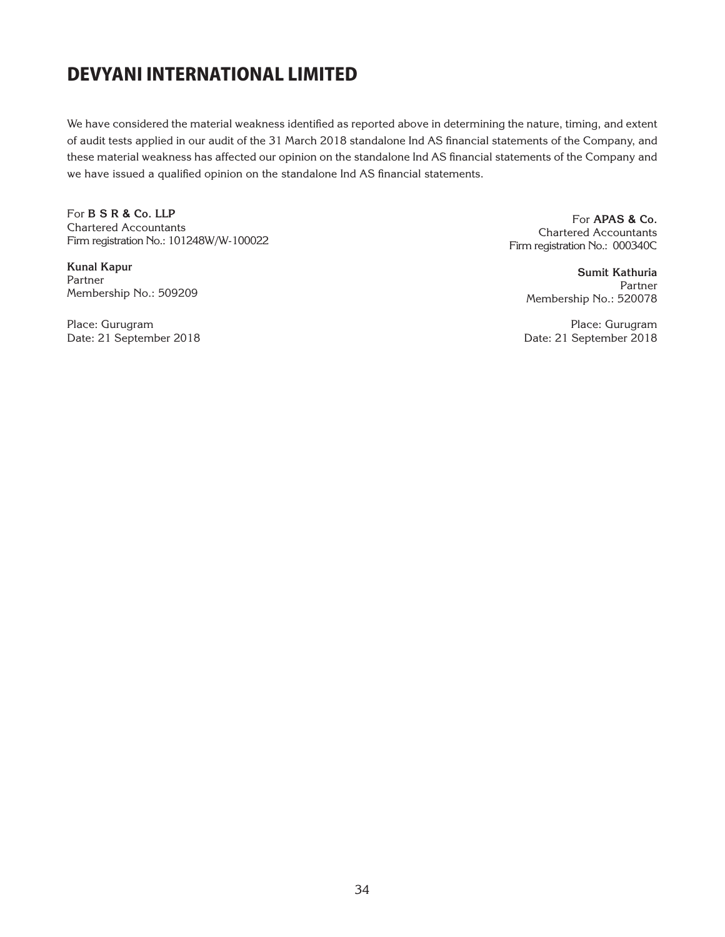We have considered the material weakness identified as reported above in determining the nature, timing, and extent of audit tests applied in our audit of the 31 March 2018 standalone Ind AS financial statements of the Company, and these material weakness has affected our opinion on the standalone Ind AS financial statements of the Company and we have issued a qualified opinion on the standalone Ind AS financial statements.

For **B S R & Co. LLP**  Chartered Accountants Firm registration No.: 101248W/W-100022

**Kunal Kapur** Partner Membership No.: 509209

Place: Gurugram Date: 21 September 2018

For **APAS & Co.** Chartered Accountants Firm registration No.: 000340C

> **Sumit Kathuria** Partner Membership No.: 520078

Place: Gurugram Date: 21 September 2018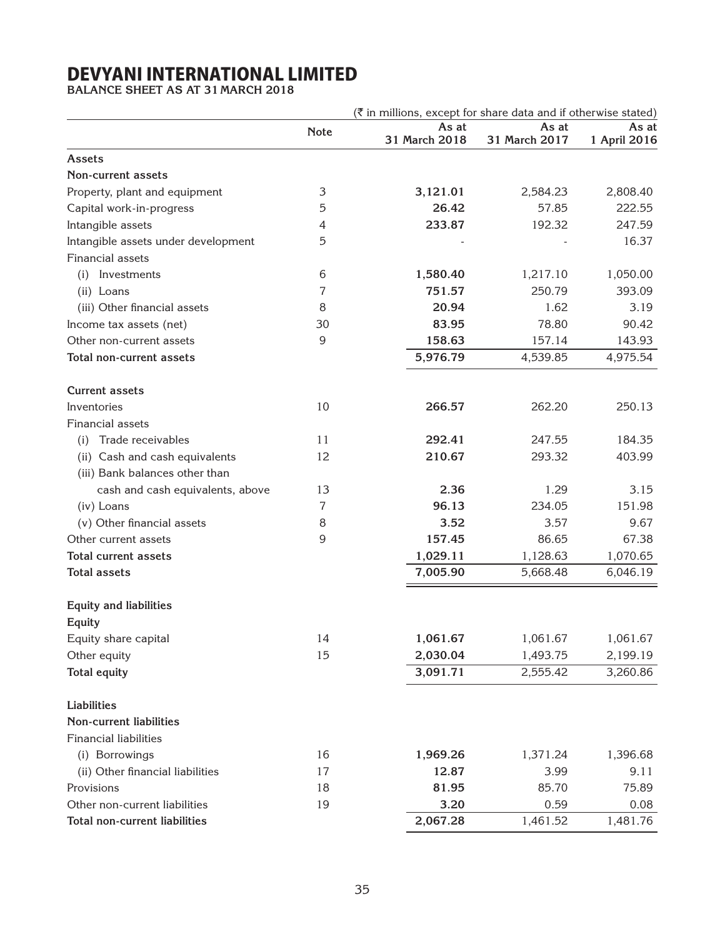**BALANCE SHEET AS AT 31 MARCH 2018**

|                                     | (₹ in millions, except for share data and if otherwise stated) |                        |                        |                       |
|-------------------------------------|----------------------------------------------------------------|------------------------|------------------------|-----------------------|
|                                     | <b>Note</b>                                                    | As at<br>31 March 2018 | As at<br>31 March 2017 | As at<br>1 April 2016 |
| <b>Assets</b>                       |                                                                |                        |                        |                       |
| <b>Non-current assets</b>           |                                                                |                        |                        |                       |
| Property, plant and equipment       | $\ensuremath{\mathsf{3}}$                                      | 3,121.01               | 2,584.23               | 2,808.40              |
| Capital work-in-progress            | 5                                                              | 26.42                  | 57.85                  | 222.55                |
| Intangible assets                   | 4                                                              | 233.87                 | 192.32                 | 247.59                |
| Intangible assets under development | 5                                                              |                        |                        | 16.37                 |
| Financial assets                    |                                                                |                        |                        |                       |
| Investments<br>(i)                  | 6                                                              | 1,580.40               | 1,217.10               | 1,050.00              |
| (ii) Loans                          | 7                                                              | 751.57                 | 250.79                 | 393.09                |
| (iii) Other financial assets        | 8                                                              | 20.94                  | 1.62                   | 3.19                  |
| Income tax assets (net)             | 30                                                             | 83.95                  | 78.80                  | 90.42                 |
| Other non-current assets            | 9                                                              | 158.63                 | 157.14                 | 143.93                |
| Total non-current assets            |                                                                | 5,976.79               | 4,539.85               | 4,975.54              |
| <b>Current assets</b>               |                                                                |                        |                        |                       |
| Inventories                         | 10                                                             | 266.57                 | 262.20                 | 250.13                |
| Financial assets                    |                                                                |                        |                        |                       |
| Trade receivables<br>(i)            | 11                                                             | 292.41                 | 247.55                 | 184.35                |
| (ii) Cash and cash equivalents      | 12                                                             | 210.67                 | 293.32                 | 403.99                |
| (iii) Bank balances other than      |                                                                |                        |                        |                       |
| cash and cash equivalents, above    | 13                                                             | 2.36                   | 1.29                   | 3.15                  |
| (iv) Loans                          | 7                                                              | 96.13                  | 234.05                 | 151.98                |
| (v) Other financial assets          | 8                                                              | 3.52                   | 3.57                   | 9.67                  |
| Other current assets                | 9                                                              | 157.45                 | 86.65                  | 67.38                 |
| <b>Total current assets</b>         |                                                                | 1,029.11               | 1,128.63               | 1,070.65              |
| <b>Total assets</b>                 |                                                                | 7,005.90               | 5,668.48               | 6,046.19              |
| <b>Equity and liabilities</b>       |                                                                |                        |                        |                       |
| Equity                              |                                                                |                        |                        |                       |
| Equity share capital                | 14                                                             | 1,061.67               | 1,061.67               | 1,061.67              |
| Other equity                        | 15                                                             | 2,030.04               | 1,493.75               | 2,199.19              |
| <b>Total equity</b>                 |                                                                | 3,091.71               | 2,555.42               | 3,260.86              |
| <b>Liabilities</b>                  |                                                                |                        |                        |                       |
| <b>Non-current liabilities</b>      |                                                                |                        |                        |                       |
| <b>Financial liabilities</b>        |                                                                |                        |                        |                       |
| (i) Borrowings                      | 16                                                             | 1,969.26               | 1,371.24               | 1,396.68              |
| (ii) Other financial liabilities    | 17                                                             | 12.87                  | 3.99                   | 9.11                  |
| Provisions                          | 18                                                             | 81.95                  | 85.70                  | 75.89                 |
| Other non-current liabilities       | 19                                                             | 3.20                   | 0.59                   | 0.08                  |
| Total non-current liabilities       |                                                                | 2,067.28               | 1,461.52               | 1,481.76              |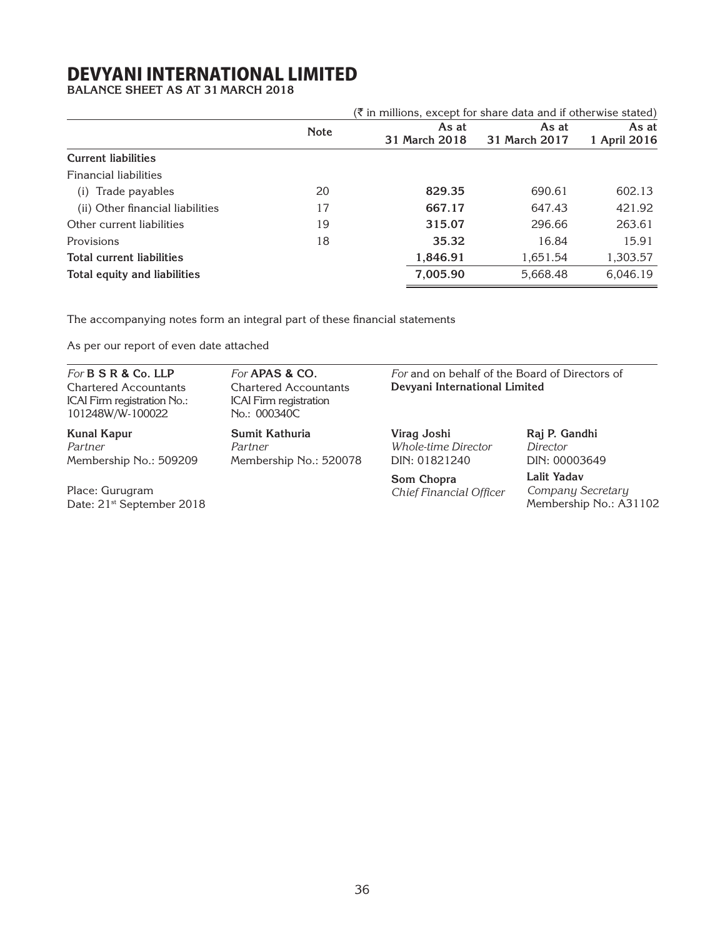**BALANCE SHEET AS AT 31 MARCH 2018**

|                                  |             | $(\bar{\bar{\zeta}})$ in millions, except for share data and if otherwise stated) |               |              |
|----------------------------------|-------------|-----------------------------------------------------------------------------------|---------------|--------------|
|                                  | <b>Note</b> | As at                                                                             | As at         | As at        |
|                                  |             | 31 March 2018                                                                     | 31 March 2017 | 1 April 2016 |
| <b>Current liabilities</b>       |             |                                                                                   |               |              |
| <b>Financial liabilities</b>     |             |                                                                                   |               |              |
| Trade payables<br>(i)            | 20          | 829.35                                                                            | 690.61        | 602.13       |
| (ii) Other financial liabilities | 17          | 667.17                                                                            | 647.43        | 421.92       |
| Other current liabilities        | 19          | 315.07                                                                            | 296.66        | 263.61       |
| Provisions                       | 18          | 35.32                                                                             | 16.84         | 15.91        |
| <b>Total current liabilities</b> |             | 1,846.91                                                                          | 1.651.54      | 1,303.57     |
| Total equity and liabilities     |             | 7,005.90                                                                          | 5,668.48      | 6,046.19     |

The accompanying notes form an integral part of these financial statements

As per our report of even date attached

| For <b>B S R &amp; Co. LLP</b><br>For <b>APAS &amp; CO.</b><br><b>Chartered Accountants</b><br><b>Chartered Accountants</b><br>ICAI Firm registration No.:<br><b>ICAI</b> Firm registration<br>101248W/W-100022<br>No.: 000340C |                                                     | For and on behalf of the Board of Directors of<br>Devyani International Limited |                                                            |  |
|---------------------------------------------------------------------------------------------------------------------------------------------------------------------------------------------------------------------------------|-----------------------------------------------------|---------------------------------------------------------------------------------|------------------------------------------------------------|--|
| <b>Kunal Kapur</b><br>Partner<br>Membership No.: 509209                                                                                                                                                                         | Sumit Kathuria<br>Partner<br>Membership No.: 520078 | Virag Joshi<br>Whole-time Director<br>DIN: 01821240                             | Raj P. Gandhi<br>Director<br>DIN: 00003649                 |  |
| Place: Gurugram<br>Date: 21 <sup>st</sup> September 2018                                                                                                                                                                        |                                                     | Som Chopra<br>Chief Financial Officer                                           | Lalit Yadav<br>Company Secretary<br>Membership No.: A31102 |  |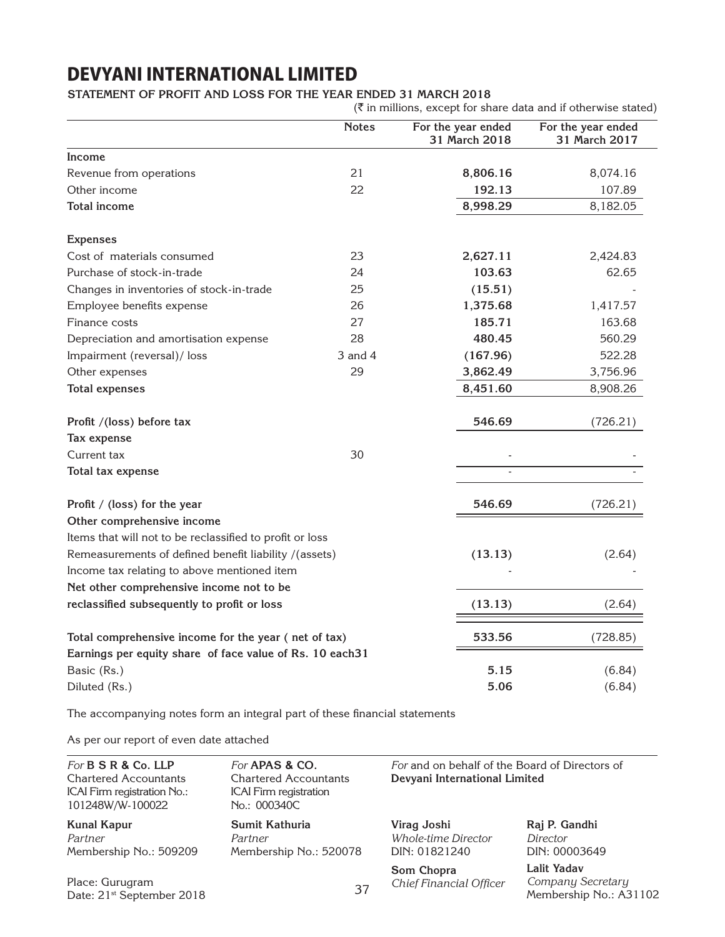### **Statement of Profit and Loss for the year ended 31 March 2018**

|                                                          | <b>Notes</b> | For the year ended | For the year ended |
|----------------------------------------------------------|--------------|--------------------|--------------------|
|                                                          |              | 31 March 2018      | 31 March 2017      |
| <b>Income</b>                                            |              |                    |                    |
| Revenue from operations                                  | 21           | 8,806.16           | 8,074.16           |
| Other income                                             | 22           | 192.13             | 107.89             |
| <b>Total income</b>                                      |              | 8,998.29           | 8,182.05           |
| <b>Expenses</b>                                          |              |                    |                    |
| Cost of materials consumed                               | 23           | 2,627.11           | 2,424.83           |
| Purchase of stock-in-trade                               | 24           | 103.63             | 62.65              |
| Changes in inventories of stock-in-trade                 | 25           | (15.51)            |                    |
| Employee benefits expense                                | 26           | 1,375.68           | 1,417.57           |
| Finance costs                                            | 27           | 185.71             | 163.68             |
| Depreciation and amortisation expense                    | 28           | 480.45             | 560.29             |
| Impairment (reversal)/ loss                              | $3$ and $4$  | (167.96)           | 522.28             |
| 29<br>Other expenses                                     |              | 3,862.49           | 3,756.96           |
| <b>Total expenses</b>                                    |              | 8,451.60           | 8,908.26           |
| Profit /(loss) before tax                                |              | 546.69             | (726.21)           |
| Tax expense                                              |              |                    |                    |
| Current tax                                              | 30           |                    |                    |
| Total tax expense                                        |              |                    |                    |
| Profit / (loss) for the year                             |              | 546.69             | (726.21)           |
| Other comprehensive income                               |              |                    |                    |
| Items that will not to be reclassified to profit or loss |              |                    |                    |
| Remeasurements of defined benefit liability /(assets)    |              | (13.13)            | (2.64)             |
| Income tax relating to above mentioned item              |              |                    |                    |
| Net other comprehensive income not to be                 |              |                    |                    |
| reclassified subsequently to profit or loss              |              | (13.13)            | (2.64)             |
| Total comprehensive income for the year (net of tax)     |              | 533.56             | (728.85)           |
| Earnings per equity share of face value of Rs. 10 each31 |              |                    |                    |
| Basic (Rs.)                                              |              | 5.15               | (6.84)             |
| Diluted (Rs.)                                            |              | 5.06               | (6.84)             |

The accompanying notes form an integral part of these financial statements

As per our report of even date attached

| For <b>B S R &amp; Co. LLP</b><br><b>Chartered Accountants</b><br>ICAI Firm registration No.:<br>101248W/W-100022 | For <b>APAS &amp; CO.</b><br><b>Chartered Accountants</b><br><b>ICAI</b> Firm registration<br>No.: 000340C | For and on behalf of the Board of Directors of<br>Devyani International Limited |                                                            |
|-------------------------------------------------------------------------------------------------------------------|------------------------------------------------------------------------------------------------------------|---------------------------------------------------------------------------------|------------------------------------------------------------|
| Kunal Kapur<br>Partner<br>Membership No.: 509209                                                                  | Sumit Kathuria<br>Partner<br>Membership No.: 520078                                                        | Virag Joshi<br>Whole-time Director<br>DIN: 01821240                             | Raj P. Gandhi<br>Director<br>DIN: 00003649                 |
| Place: Gurugram<br>Date: 21 <sup>st</sup> September 2018                                                          | 37                                                                                                         | Som Chopra<br>Chief Financial Officer                                           | Lalit Yadav<br>Company Secretary<br>Membership No.: A31102 |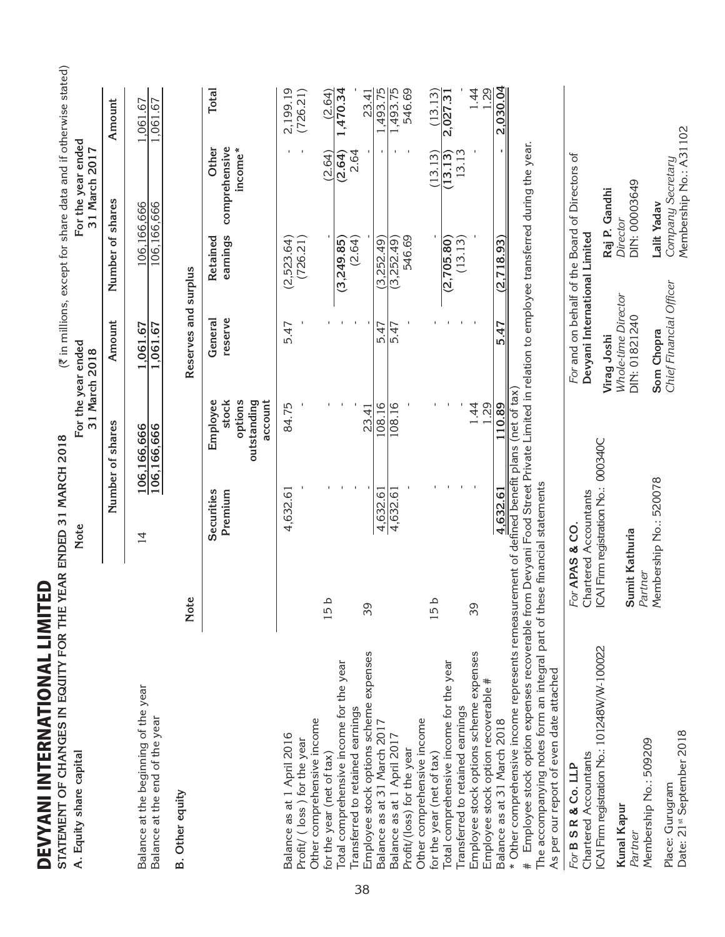|    | DEVYANI INTERNATIONAL LIMITED<br>STATEMENT OF CHANGES IN EQUITY FOR THE Y                                                                                                                                                                                                                                                                                                               |                           | EAR ENDED 31 MARCH 2018                                                                   |                                                        |                                                     |                                    | (₹ in millions, except for share data and if otherwise stated) |                                      |              |
|----|-----------------------------------------------------------------------------------------------------------------------------------------------------------------------------------------------------------------------------------------------------------------------------------------------------------------------------------------------------------------------------------------|---------------------------|-------------------------------------------------------------------------------------------|--------------------------------------------------------|-----------------------------------------------------|------------------------------------|----------------------------------------------------------------|--------------------------------------|--------------|
|    | A. Equity share capital                                                                                                                                                                                                                                                                                                                                                                 |                           | Note                                                                                      | 31 March 2018                                          | For the year ended                                  |                                    | For the year ended<br>31 March 2017                            |                                      |              |
|    |                                                                                                                                                                                                                                                                                                                                                                                         |                           | Number of                                                                                 | shares                                                 | Amount                                              | Number of shares                   |                                                                | Amount                               |              |
|    | Balance at the beginning of the year<br>Balance at the end of the year                                                                                                                                                                                                                                                                                                                  |                           | $\overline{4}$                                                                            | 106,166,666<br>106,166,666                             | 1,061.67<br>1,061.67                                |                                    | 106,166,666<br>106,166,666                                     | 1,061.67<br>1,061.67                 |              |
|    | <b>B.</b> Other equity                                                                                                                                                                                                                                                                                                                                                                  | Note                      |                                                                                           |                                                        | Reserves and surplus                                |                                    |                                                                |                                      |              |
|    |                                                                                                                                                                                                                                                                                                                                                                                         |                           | Securities<br>Premium                                                                     | options<br>Employee<br>stock<br>outstanding<br>account | reserve<br>General                                  | earnings<br>Retained               | Other<br>comprehensive<br>income*                              |                                      | <b>Total</b> |
|    | Balance as at 1 April 2016<br>Profit/ (loss) for the year                                                                                                                                                                                                                                                                                                                               |                           | 4,632.61                                                                                  | 84.75                                                  | 5.47                                                | (2,523.64)<br>(726.21)             |                                                                | 2,199.19<br>(726.21)                 |              |
|    | Total comprehensive income for the year<br>Other comprehensive income<br>for the year (net of tax)                                                                                                                                                                                                                                                                                      | 15b                       |                                                                                           |                                                        |                                                     | (3,249.85)                         | (2.64)<br>(2.64)                                               | 1,470.34                             | (2.64)       |
| 38 | Employee stock options scheme expenses<br>Transferred to retained earnings                                                                                                                                                                                                                                                                                                              | 39                        |                                                                                           | $\overline{4}$<br>23.                                  |                                                     | (2.64)                             | 2.64                                                           |                                      | 23.41        |
|    | Balance as at 31 March 2017<br>Balance as at 1 April 2017<br>Profit/(loss) for the year                                                                                                                                                                                                                                                                                                 |                           | 4,632.61<br>4,632.61                                                                      | 108.16<br>108.16                                       | 5.47<br>5.47                                        | 546.69<br>(3,252.49)<br>(3,252.49) |                                                                | 1,493.75<br>1,493.75<br>$\mathbf{I}$ | 546.69       |
|    | Total comprehensive income for the year<br>Other comprehensive income<br>for the year (net of tax)                                                                                                                                                                                                                                                                                      | 15b                       |                                                                                           |                                                        |                                                     | (2,705.80)                         | (13.13)<br>(13.13)                                             | (13.13)<br>2,027.31                  |              |
|    | Employee stock options scheme expenses<br>Employee stock option recoverable #<br>Transferred to retained earnings                                                                                                                                                                                                                                                                       | 39                        |                                                                                           | $\dot{4}$<br>1.29                                      |                                                     | (13.13)                            | 13.13                                                          |                                      | 1.44<br>1.29 |
|    | $\#$ Employee stock option expenses recoverable from Devyani Food Street Private Limited in relation to employee transferred during the year.<br>* Other comprehensive income represents remeasurement of defined benefit plans<br>The accompanying notes form an integral part of these financial statements<br>As per our report of even date attached<br>Balance as at 31 March 2018 |                           | 4,632.61                                                                                  | (net of tax)<br>110.89                                 | 5.47                                                | (2, 718.93)                        |                                                                | 2,030.04                             |              |
|    | Chartered Accountants<br>For B S R & Co. LLP                                                                                                                                                                                                                                                                                                                                            |                           | For <b>APAS &amp; CO.</b><br>Chartered Accountants<br>ICAI Firm registration No.: 000340C |                                                        | Devyani International Limited                       |                                    | For and on behalf of the Board of Directors of                 |                                      |              |
|    | ICAI Firm registration No.: 101248W/W-100022<br>Kunal Kapur<br>Partner                                                                                                                                                                                                                                                                                                                  | Sumit Kathuria<br>Partner |                                                                                           |                                                        | Whole-time Director<br>DIN: 01821240<br>Virag Joshi |                                    | DIN: 00003649<br>Raj P. Gandhi<br>Director                     |                                      |              |
|    | Date: 21st September 2018<br>Membership No.: 509209<br>Place: Gurugram                                                                                                                                                                                                                                                                                                                  |                           | Membership No.: 520078                                                                    |                                                        | Chief Financial Officer<br>Som Chopra               |                                    | Membership No.: A31102<br>Company Secretary<br>Lalit Yadav     |                                      |              |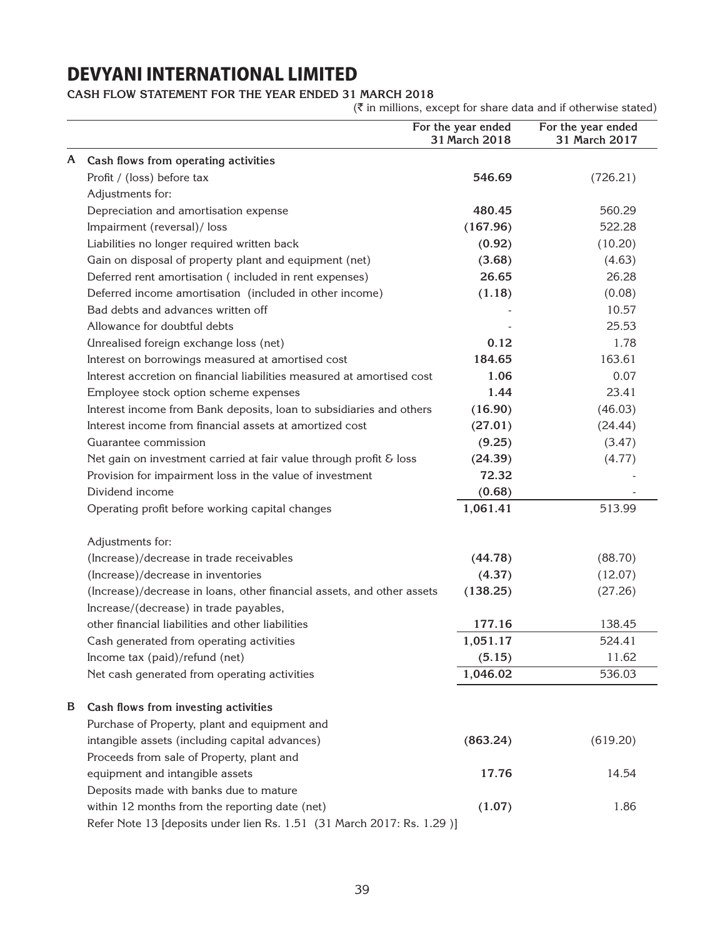**Cash Flow Statement for the year ended 31 March 2018**

 $(\bar{\tau}$  in millions, except for share data and if otherwise stated)

|                  |                                                                         | For the year ended<br>31 March 2018 | For the year ended<br>31 March 2017 |
|------------------|-------------------------------------------------------------------------|-------------------------------------|-------------------------------------|
| A                | Cash flows from operating activities                                    |                                     |                                     |
|                  | Profit / (loss) before tax                                              | 546.69                              | (726.21)                            |
| Adjustments for: |                                                                         |                                     |                                     |
|                  | Depreciation and amortisation expense                                   | 480.45                              | 560.29                              |
|                  | Impairment (reversal)/ loss                                             | (167.96)                            | 522.28                              |
|                  | Liabilities no longer required written back                             | (0.92)                              | (10.20)                             |
|                  | Gain on disposal of property plant and equipment (net)                  | (3.68)                              | (4.63)                              |
|                  | Deferred rent amortisation (included in rent expenses)                  | 26.65                               | 26.28                               |
|                  | Deferred income amortisation (included in other income)                 | (1.18)                              | (0.08)                              |
|                  | Bad debts and advances written off                                      |                                     | 10.57                               |
|                  | Allowance for doubtful debts                                            |                                     | 25.53                               |
|                  | Unrealised foreign exchange loss (net)                                  | 0.12                                | 1.78                                |
|                  | Interest on borrowings measured at amortised cost                       | 184.65                              | 163.61                              |
|                  | Interest accretion on financial liabilities measured at amortised cost  | 1.06                                | 0.07                                |
|                  | Employee stock option scheme expenses                                   | 1.44                                | 23.41                               |
|                  | Interest income from Bank deposits, loan to subsidiaries and others     | (16.90)                             | (46.03)                             |
|                  | Interest income from financial assets at amortized cost                 | (27.01)                             | (24.44)                             |
|                  | Guarantee commission                                                    | (9.25)                              | (3.47)                              |
|                  | Net gain on investment carried at fair value through profit & loss      | (24.39)                             | (4.77)                              |
|                  | Provision for impairment loss in the value of investment                | 72.32                               |                                     |
| Dividend income  |                                                                         | (0.68)                              |                                     |
|                  | Operating profit before working capital changes                         | 1,061.41                            | 513.99                              |
| Adjustments for: |                                                                         |                                     |                                     |
|                  | (Increase)/decrease in trade receivables                                | (44.78)                             | (88.70)                             |
|                  | (Increase)/decrease in inventories                                      | (4.37)                              | (12.07)                             |
|                  | (Increase)/decrease in loans, other financial assets, and other assets  | (138.25)                            | (27.26)                             |
|                  | Increase/(decrease) in trade payables,                                  |                                     |                                     |
|                  | other financial liabilities and other liabilities                       | 177.16                              | 138.45                              |
|                  | Cash generated from operating activities                                | 1,051.17                            | 524.41                              |
|                  | Income tax (paid)/refund (net)                                          | (5.15)                              | 11.62                               |
|                  | Net cash generated from operating activities                            | 1,046.02                            | 536.03                              |
| B                | Cash flows from investing activities                                    |                                     |                                     |
|                  | Purchase of Property, plant and equipment and                           |                                     |                                     |
|                  | intangible assets (including capital advances)                          | (863.24)                            | (619.20)                            |
|                  | Proceeds from sale of Property, plant and                               |                                     |                                     |
|                  | equipment and intangible assets                                         | 17.76                               | 14.54                               |
|                  | Deposits made with banks due to mature                                  |                                     |                                     |
|                  | within 12 months from the reporting date (net)                          | (1.07)                              | 1.86                                |
|                  | Refer Note 13 [deposits under lien Rs. 1.51 (31 March 2017: Rs. 1.29 )] |                                     |                                     |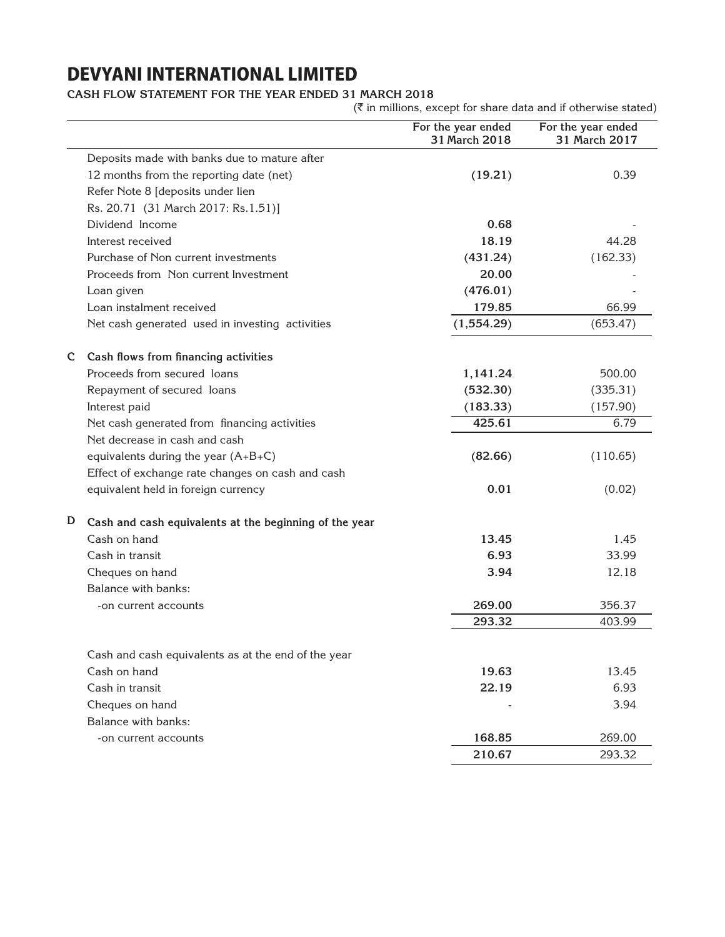### **Cash Flow Statement for the year ended 31 March 2018**

 $(\bar{\tau}$  in millions, except for share data and if otherwise stated)

|                                                             | For the year ended<br>31 March 2018 | For the year ended<br>31 March 2017 |
|-------------------------------------------------------------|-------------------------------------|-------------------------------------|
| Deposits made with banks due to mature after                |                                     |                                     |
| 12 months from the reporting date (net)                     | (19.21)                             | 0.39                                |
| Refer Note 8 [deposits under lien                           |                                     |                                     |
| Rs. 20.71 (31 March 2017: Rs.1.51)]                         |                                     |                                     |
| Dividend Income                                             | 0.68                                |                                     |
| Interest received                                           | 18.19                               | 44.28                               |
| Purchase of Non current investments                         | (431.24)                            | (162.33)                            |
| Proceeds from Non current Investment                        | 20.00                               |                                     |
| Loan given                                                  | (476.01)                            |                                     |
| Loan instalment received                                    | 179.85                              | 66.99                               |
| Net cash generated used in investing activities             | (1,554.29)                          | (653.47)                            |
| Cash flows from financing activities<br>C                   |                                     |                                     |
| Proceeds from secured loans                                 | 1,141.24                            | 500.00                              |
| Repayment of secured loans                                  | (532.30)                            | (335.31)                            |
| Interest paid                                               | (183.33)                            | (157.90)                            |
| Net cash generated from financing activities                | 425.61                              | 6.79                                |
| Net decrease in cash and cash                               |                                     |                                     |
| equivalents during the year $(A+B+C)$                       | (82.66)                             | (110.65)                            |
| Effect of exchange rate changes on cash and cash            |                                     |                                     |
| equivalent held in foreign currency                         | 0.01                                | (0.02)                              |
| D<br>Cash and cash equivalents at the beginning of the year |                                     |                                     |
| Cash on hand                                                | 13.45                               | 1.45                                |
| Cash in transit                                             | 6.93                                | 33.99                               |
| Cheques on hand                                             | 3.94                                | 12.18                               |
| Balance with banks:                                         |                                     |                                     |
| -on current accounts                                        | 269.00                              | 356.37                              |
|                                                             | 293.32                              | 403.99                              |
| Cash and cash equivalents as at the end of the year         |                                     |                                     |
| Cash on hand                                                | 19.63                               | 13.45                               |
| Cash in transit                                             | 22.19                               | 6.93                                |
| Cheques on hand                                             |                                     | 3.94                                |
| Balance with banks:                                         |                                     |                                     |
| -on current accounts                                        | 168.85                              | 269.00                              |
|                                                             | 210.67                              | 293.32                              |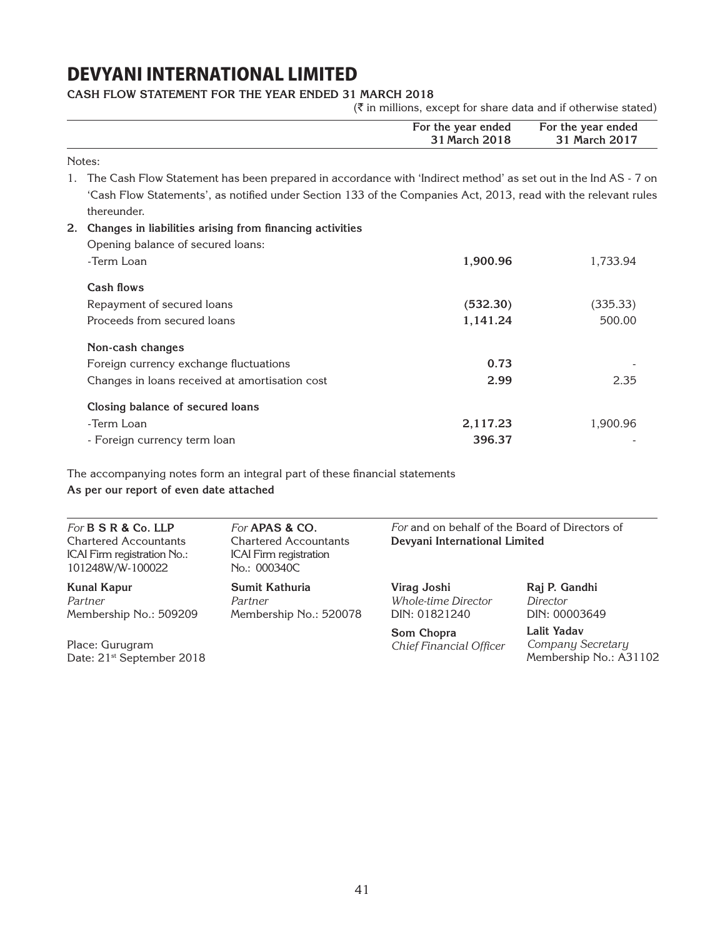Notes: 1. The Cash Flow Statement has been prepared in accordance with 'Indirect method' as set out in the Ind AS - 7 on 'Cash Flow Statements', as notified under Section 133 of the Companies Act, 2013, read with the relevant rules thereunder. **2. Changes in liabilities arising from financing activities** Opening balance of secured loans: -Term Loan **1,900.96** 1,733.94 **Cash flows** Repayment of secured loans **(532.30)** (335.33) Proceeds from secured loans **1,141.24** 500.00 **Non-cash changes** Foreign currency exchange fluctuations **0.73** Changes in loans received at amortisation cost **2.99** 2.35 **Closing balance of secured loans** -Term Loan **2,117.23** 1,900.96 **For the year ended For the year ended 31 March 2018 31 March 2017**

- Foreign currency term loan **396.37** -

The accompanying notes form an integral part of these financial statements **As per our report of even date attached**

| For <b>B S R &amp; Co. LLP</b><br><b>Chartered Accountants</b><br>ICAI Firm registration No.:<br>101248W/W-100022 | For APAS & CO.<br><b>Chartered Accountants</b><br><b>ICAI</b> Firm registration<br>No.: 000340C | For and on behalf of the Board of Directors of<br>Devyani International Limited |                                                            |
|-------------------------------------------------------------------------------------------------------------------|-------------------------------------------------------------------------------------------------|---------------------------------------------------------------------------------|------------------------------------------------------------|
| <b>Kunal Kapur</b><br>Partner<br>Membership No.: 509209                                                           | Sumit Kathuria<br>Partner<br>Membership No.: 520078                                             | Virag Joshi<br>Whole-time Director<br>DIN: 01821240                             | Raj P. Gandhi<br>Director<br>DIN: 00003649                 |
| Place: Gurugram<br>Date: 21 <sup>st</sup> September 2018                                                          |                                                                                                 | Som Chopra<br>Chief Financial Officer                                           | Lalit Yadav<br>Company Secretary<br>Membership No.: A31102 |

### **Cash Flow Statement for the year ended 31 March 2018**

 $(\bar{\bar{\zeta}})$  in millions, except for share data and if otherwise stated)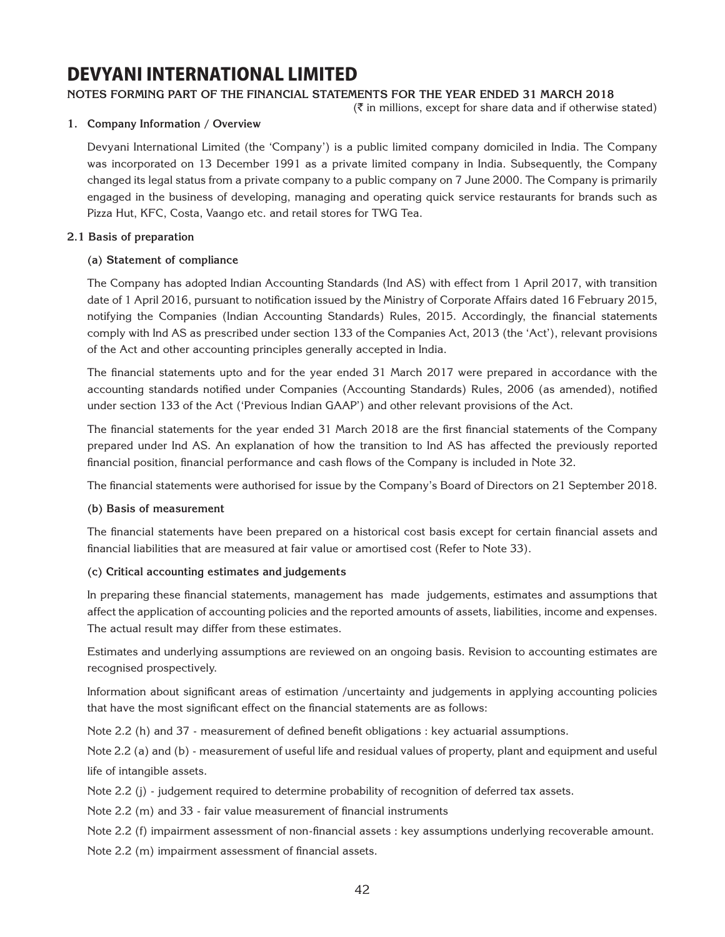### **Notes forming part of the financial statements for the year ended 31 March 2018**

 $(\bar{\bar{\zeta}})$  in millions, except for share data and if otherwise stated)

### **1. Company Information / Overview**

Devyani International Limited (the 'Company') is a public limited company domiciled in India. The Company was incorporated on 13 December 1991 as a private limited company in India. Subsequently, the Company changed its legal status from a private company to a public company on 7 June 2000. The Company is primarily engaged in the business of developing, managing and operating quick service restaurants for brands such as Pizza Hut, KFC, Costa, Vaango etc. and retail stores for TWG Tea.

### **2.1 Basis of preparation**

### **(a) Statement of compliance**

The Company has adopted Indian Accounting Standards (Ind AS) with effect from 1 April 2017, with transition date of 1 April 2016, pursuant to notification issued by the Ministry of Corporate Affairs dated 16 February 2015, notifying the Companies (Indian Accounting Standards) Rules, 2015. Accordingly, the financial statements comply with Ind AS as prescribed under section 133 of the Companies Act, 2013 (the 'Act'), relevant provisions of the Act and other accounting principles generally accepted in India.

The financial statements upto and for the year ended 31 March 2017 were prepared in accordance with the accounting standards notified under Companies (Accounting Standards) Rules, 2006 (as amended), notified under section 133 of the Act ('Previous Indian GAAP') and other relevant provisions of the Act.

The financial statements for the year ended 31 March 2018 are the first financial statements of the Company prepared under Ind AS. An explanation of how the transition to Ind AS has affected the previously reported financial position, financial performance and cash flows of the Company is included in Note 32.

The financial statements were authorised for issue by the Company's Board of Directors on 21 September 2018.

### **(b) Basis of measurement**

The financial statements have been prepared on a historical cost basis except for certain financial assets and financial liabilities that are measured at fair value or amortised cost (Refer to Note 33).

### **(c) Critical accounting estimates and judgements**

In preparing these financial statements, management has made judgements, estimates and assumptions that affect the application of accounting policies and the reported amounts of assets, liabilities, income and expenses. The actual result may differ from these estimates.

Estimates and underlying assumptions are reviewed on an ongoing basis. Revision to accounting estimates are recognised prospectively.

Information about significant areas of estimation /uncertainty and judgements in applying accounting policies that have the most significant effect on the financial statements are as follows:

Note 2.2 (h) and 37 - measurement of defined benefit obligations : key actuarial assumptions.

Note 2.2 (a) and (b) - measurement of useful life and residual values of property, plant and equipment and useful life of intangible assets.

Note 2.2 (j) - judgement required to determine probability of recognition of deferred tax assets.

Note 2.2 (m) and 33 - fair value measurement of financial instruments

Note 2.2 (f) impairment assessment of non-financial assets : key assumptions underlying recoverable amount.

Note 2.2 (m) impairment assessment of financial assets.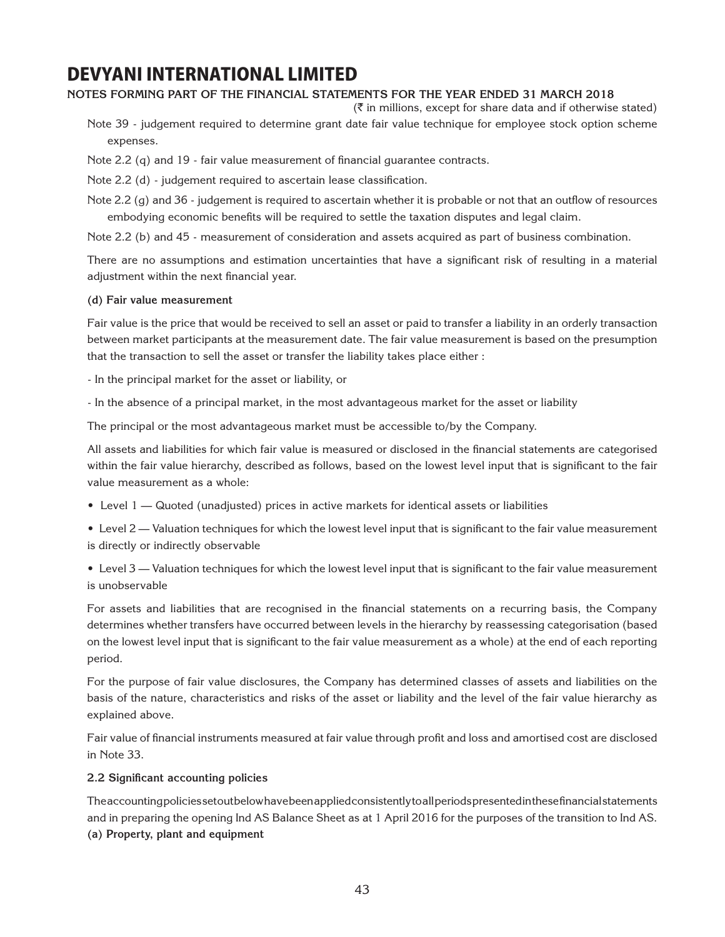### **Notes forming part of the financial statements for the year ended 31 March 2018**

 $(\bar{\bar{\zeta}})$  in millions, except for share data and if otherwise stated)

- Note 39 judgement required to determine grant date fair value technique for employee stock option scheme expenses.
- Note 2.2 (q) and 19 fair value measurement of financial guarantee contracts.
- Note 2.2 (d) judgement required to ascertain lease classification.
- Note 2.2 (g) and 36 judgement is required to ascertain whether it is probable or not that an outflow of resources embodying economic benefits will be required to settle the taxation disputes and legal claim.

Note 2.2 (b) and 45 - measurement of consideration and assets acquired as part of business combination.

There are no assumptions and estimation uncertainties that have a significant risk of resulting in a material adjustment within the next financial year.

#### **(d) Fair value measurement**

Fair value is the price that would be received to sell an asset or paid to transfer a liability in an orderly transaction between market participants at the measurement date. The fair value measurement is based on the presumption that the transaction to sell the asset or transfer the liability takes place either :

- In the principal market for the asset or liability, or
- In the absence of a principal market, in the most advantageous market for the asset or liability

The principal or the most advantageous market must be accessible to/by the Company.

All assets and liabilities for which fair value is measured or disclosed in the financial statements are categorised within the fair value hierarchy, described as follows, based on the lowest level input that is significant to the fair value measurement as a whole:

- Level 1 Quoted (unadjusted) prices in active markets for identical assets or liabilities
- Level 2 Valuation techniques for which the lowest level input that is significant to the fair value measurement is directly or indirectly observable

 • Level 3 — Valuation techniques for which the lowest level input that is significant to the fair value measurement is unobservable

For assets and liabilities that are recognised in the financial statements on a recurring basis, the Company determines whether transfers have occurred between levels in the hierarchy by reassessing categorisation (based on the lowest level input that is significant to the fair value measurement as a whole) at the end of each reporting period.

For the purpose of fair value disclosures, the Company has determined classes of assets and liabilities on the basis of the nature, characteristics and risks of the asset or liability and the level of the fair value hierarchy as explained above.

Fair value of financial instruments measured at fair value through profit and loss and amortised cost are disclosed in Note 33.

### **2.2 Significant accounting policies**

The accounting policies set out below have been applied consistently to all periods presented in these financial statements and in preparing the opening Ind AS Balance Sheet as at 1 April 2016 for the purposes of the transition to Ind AS. **(a) Property, plant and equipment**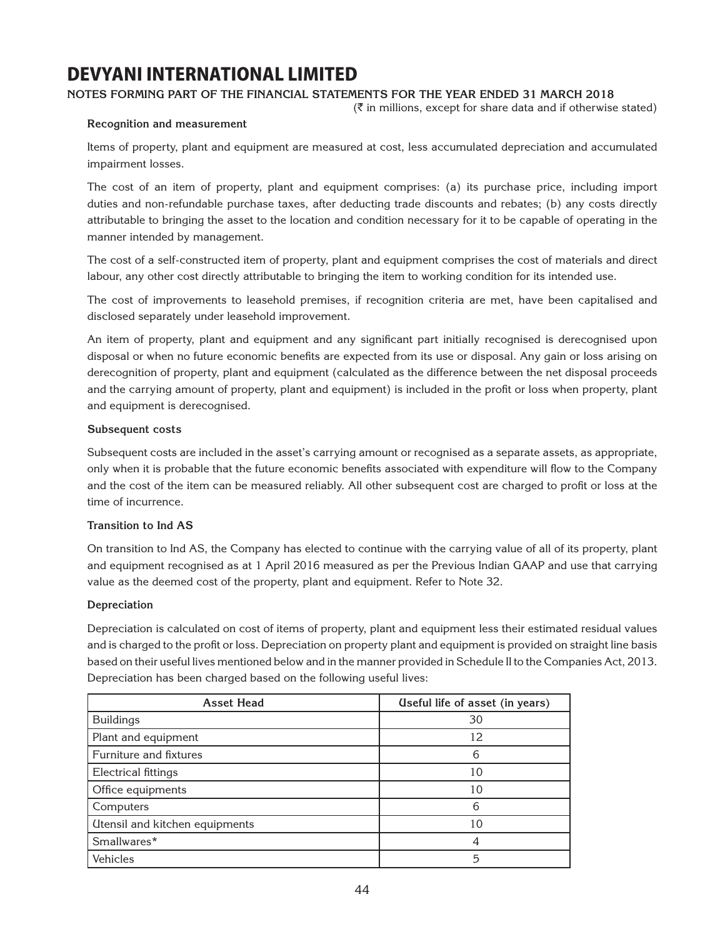### **Notes forming part of the financial statements for the year ended 31 March 2018**

 $(\bar{\tau}$  in millions, except for share data and if otherwise stated)

### **Recognition and measurement**

Items of property, plant and equipment are measured at cost, less accumulated depreciation and accumulated impairment losses.

The cost of an item of property, plant and equipment comprises: (a) its purchase price, including import duties and non-refundable purchase taxes, after deducting trade discounts and rebates; (b) any costs directly attributable to bringing the asset to the location and condition necessary for it to be capable of operating in the manner intended by management.

The cost of a self-constructed item of property, plant and equipment comprises the cost of materials and direct labour, any other cost directly attributable to bringing the item to working condition for its intended use.

The cost of improvements to leasehold premises, if recognition criteria are met, have been capitalised and disclosed separately under leasehold improvement.

An item of property, plant and equipment and any significant part initially recognised is derecognised upon disposal or when no future economic benefits are expected from its use or disposal. Any gain or loss arising on derecognition of property, plant and equipment (calculated as the difference between the net disposal proceeds and the carrying amount of property, plant and equipment) is included in the profit or loss when property, plant and equipment is derecognised.

### **Subsequent costs**

Subsequent costs are included in the asset's carrying amount or recognised as a separate assets, as appropriate, only when it is probable that the future economic benefits associated with expenditure will flow to the Company and the cost of the item can be measured reliably. All other subsequent cost are charged to profit or loss at the time of incurrence.

### **Transition to Ind AS**

On transition to Ind AS, the Company has elected to continue with the carrying value of all of its property, plant and equipment recognised as at 1 April 2016 measured as per the Previous Indian GAAP and use that carrying value as the deemed cost of the property, plant and equipment. Refer to Note 32.

### **Depreciation**

Depreciation is calculated on cost of items of property, plant and equipment less their estimated residual values and is charged to the profit or loss. Depreciation on property plant and equipment is provided on straight line basis based on their useful lives mentioned below and in the manner provided in Schedule II to the Companies Act, 2013. Depreciation has been charged based on the following useful lives:

| <b>Asset Head</b>              | (Iseful life of asset (in years) |
|--------------------------------|----------------------------------|
| <b>Buildings</b>               | 30                               |
| Plant and equipment            | 12                               |
| Furniture and fixtures         | 6                                |
| Electrical fittings            | 10                               |
| Office equipments              | 10                               |
| Computers                      | 6                                |
| Utensil and kitchen equipments | 10                               |
| Smallwares*                    |                                  |
| Vehicles                       | 5                                |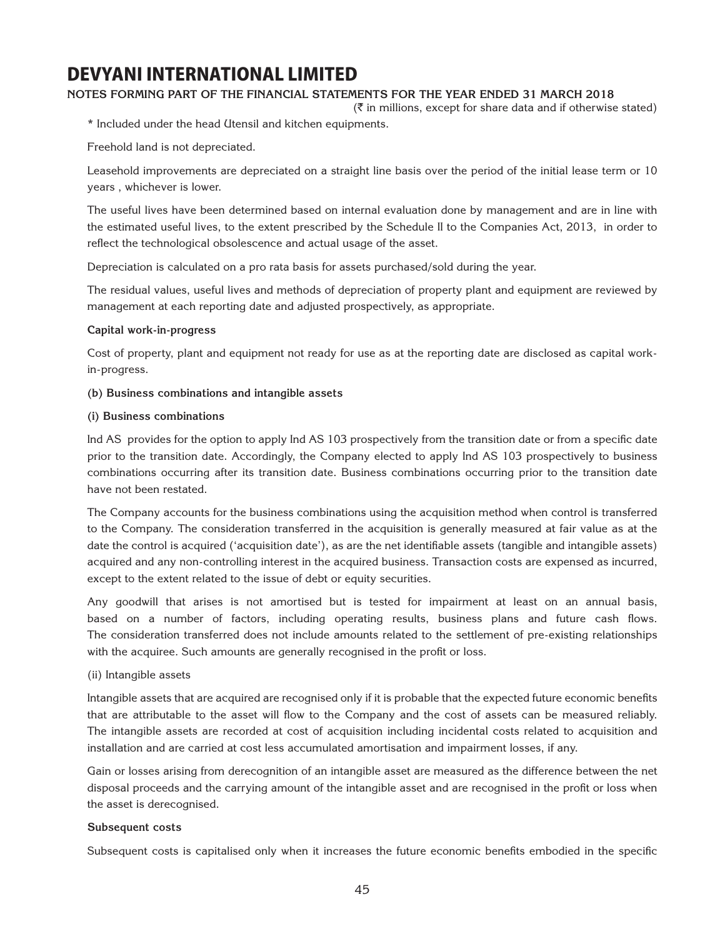### **Notes forming part of the financial statements for the year ended 31 March 2018**

 $(\bar{\bar{\zeta}})$  in millions, except for share data and if otherwise stated)

\* Included under the head Utensil and kitchen equipments.

Freehold land is not depreciated.

Leasehold improvements are depreciated on a straight line basis over the period of the initial lease term or 10 years , whichever is lower.

The useful lives have been determined based on internal evaluation done by management and are in line with the estimated useful lives, to the extent prescribed by the Schedule II to the Companies Act, 2013, in order to reflect the technological obsolescence and actual usage of the asset.

Depreciation is calculated on a pro rata basis for assets purchased/sold during the year.

The residual values, useful lives and methods of depreciation of property plant and equipment are reviewed by management at each reporting date and adjusted prospectively, as appropriate.

#### **Capital work-in-progress**

Cost of property, plant and equipment not ready for use as at the reporting date are disclosed as capital workin-progress.

#### **(b) Business combinations and intangible assets**

#### **(i) Business combinations**

Ind AS provides for the option to apply Ind AS 103 prospectively from the transition date or from a specific date prior to the transition date. Accordingly, the Company elected to apply Ind AS 103 prospectively to business combinations occurring after its transition date. Business combinations occurring prior to the transition date have not been restated.

The Company accounts for the business combinations using the acquisition method when control is transferred to the Company. The consideration transferred in the acquisition is generally measured at fair value as at the date the control is acquired ('acquisition date'), as are the net identifiable assets (tangible and intangible assets) acquired and any non-controlling interest in the acquired business. Transaction costs are expensed as incurred, except to the extent related to the issue of debt or equity securities.

Any goodwill that arises is not amortised but is tested for impairment at least on an annual basis, based on a number of factors, including operating results, business plans and future cash flows. The consideration transferred does not include amounts related to the settlement of pre-existing relationships with the acquiree. Such amounts are generally recognised in the profit or loss.

### (ii) Intangible assets

Intangible assets that are acquired are recognised only if it is probable that the expected future economic benefits that are attributable to the asset will flow to the Company and the cost of assets can be measured reliably. The intangible assets are recorded at cost of acquisition including incidental costs related to acquisition and installation and are carried at cost less accumulated amortisation and impairment losses, if any.

Gain or losses arising from derecognition of an intangible asset are measured as the difference between the net disposal proceeds and the carrying amount of the intangible asset and are recognised in the profit or loss when the asset is derecognised.

### **Subsequent costs**

Subsequent costs is capitalised only when it increases the future economic benefits embodied in the specific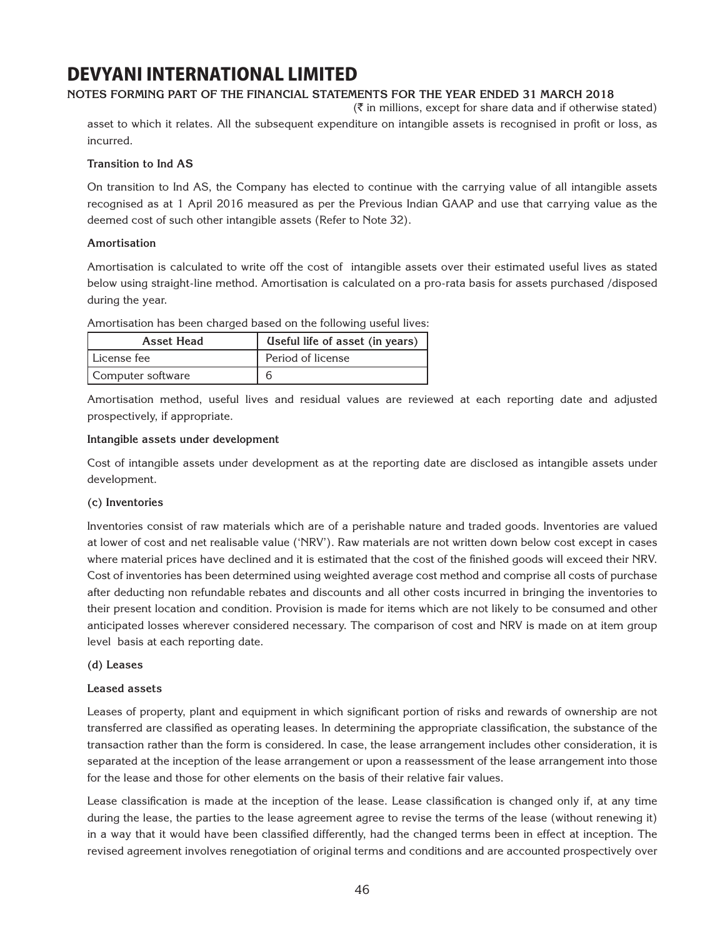### **Notes forming part of the financial statements for the year ended 31 March 2018**

 $(\bar{\bar{\zeta}})$  in millions, except for share data and if otherwise stated)

asset to which it relates. All the subsequent expenditure on intangible assets is recognised in profit or loss, as incurred.

### **Transition to Ind AS**

On transition to Ind AS, the Company has elected to continue with the carrying value of all intangible assets recognised as at 1 April 2016 measured as per the Previous Indian GAAP and use that carrying value as the deemed cost of such other intangible assets (Refer to Note 32).

### **Amortisation**

Amortisation is calculated to write off the cost of intangible assets over their estimated useful lives as stated below using straight-line method. Amortisation is calculated on a pro-rata basis for assets purchased /disposed during the year.

| <b>Asset Head</b> | (Iseful life of asset (in years) |
|-------------------|----------------------------------|
| l License fee     | Period of license                |
| Computer software |                                  |

Amortisation has been charged based on the following useful lives:

Amortisation method, useful lives and residual values are reviewed at each reporting date and adjusted prospectively, if appropriate.

#### **Intangible assets under development**

Cost of intangible assets under development as at the reporting date are disclosed as intangible assets under development.

### **(c) Inventories**

Inventories consist of raw materials which are of a perishable nature and traded goods. Inventories are valued at lower of cost and net realisable value ('NRV'). Raw materials are not written down below cost except in cases where material prices have declined and it is estimated that the cost of the finished goods will exceed their NRV. Cost of inventories has been determined using weighted average cost method and comprise all costs of purchase after deducting non refundable rebates and discounts and all other costs incurred in bringing the inventories to their present location and condition. Provision is made for items which are not likely to be consumed and other anticipated losses wherever considered necessary. The comparison of cost and NRV is made on at item group level basis at each reporting date.

#### **(d) Leases**

#### **Leased assets**

Leases of property, plant and equipment in which significant portion of risks and rewards of ownership are not transferred are classified as operating leases. In determining the appropriate classification, the substance of the transaction rather than the form is considered. In case, the lease arrangement includes other consideration, it is separated at the inception of the lease arrangement or upon a reassessment of the lease arrangement into those for the lease and those for other elements on the basis of their relative fair values.

Lease classification is made at the inception of the lease. Lease classification is changed only if, at any time during the lease, the parties to the lease agreement agree to revise the terms of the lease (without renewing it) in a way that it would have been classified differently, had the changed terms been in effect at inception. The revised agreement involves renegotiation of original terms and conditions and are accounted prospectively over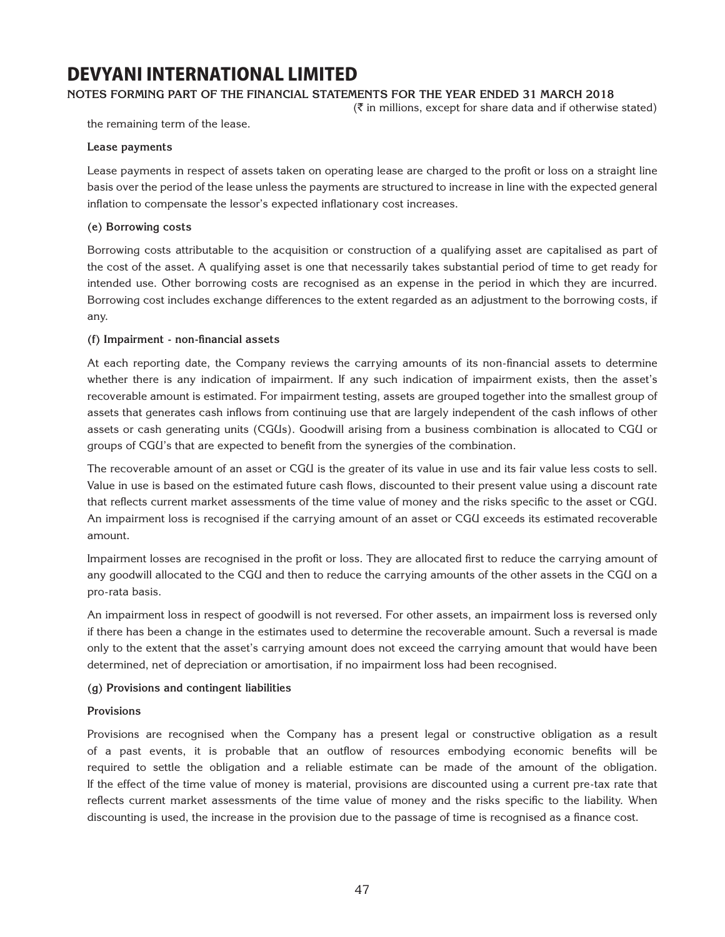### **Notes forming part of the financial statements for the year ended 31 March 2018**

 $(\bar{\tau}$  in millions, except for share data and if otherwise stated)

the remaining term of the lease.

#### **Lease payments**

Lease payments in respect of assets taken on operating lease are charged to the profit or loss on a straight line basis over the period of the lease unless the payments are structured to increase in line with the expected general inflation to compensate the lessor's expected inflationary cost increases.

#### **(e) Borrowing costs**

Borrowing costs attributable to the acquisition or construction of a qualifying asset are capitalised as part of the cost of the asset. A qualifying asset is one that necessarily takes substantial period of time to get ready for intended use. Other borrowing costs are recognised as an expense in the period in which they are incurred. Borrowing cost includes exchange differences to the extent regarded as an adjustment to the borrowing costs, if any.

#### **(f) Impairment - non-financial assets**

At each reporting date, the Company reviews the carrying amounts of its non-financial assets to determine whether there is any indication of impairment. If any such indication of impairment exists, then the asset's recoverable amount is estimated. For impairment testing, assets are grouped together into the smallest group of assets that generates cash inflows from continuing use that are largely independent of the cash inflows of other assets or cash generating units (CGUs). Goodwill arising from a business combination is allocated to CGU or groups of CGU's that are expected to benefit from the synergies of the combination.

The recoverable amount of an asset or CGU is the greater of its value in use and its fair value less costs to sell. Value in use is based on the estimated future cash flows, discounted to their present value using a discount rate that reflects current market assessments of the time value of money and the risks specific to the asset or CGU. An impairment loss is recognised if the carrying amount of an asset or CGU exceeds its estimated recoverable amount.

Impairment losses are recognised in the profit or loss. They are allocated first to reduce the carrying amount of any goodwill allocated to the CGU and then to reduce the carrying amounts of the other assets in the CGU on a pro-rata basis.

An impairment loss in respect of goodwill is not reversed. For other assets, an impairment loss is reversed only if there has been a change in the estimates used to determine the recoverable amount. Such a reversal is made only to the extent that the asset's carrying amount does not exceed the carrying amount that would have been determined, net of depreciation or amortisation, if no impairment loss had been recognised.

### **(g) Provisions and contingent liabilities**

#### **Provisions**

Provisions are recognised when the Company has a present legal or constructive obligation as a result of a past events, it is probable that an outflow of resources embodying economic benefits will be required to settle the obligation and a reliable estimate can be made of the amount of the obligation. If the effect of the time value of money is material, provisions are discounted using a current pre-tax rate that reflects current market assessments of the time value of money and the risks specific to the liability. When discounting is used, the increase in the provision due to the passage of time is recognised as a finance cost.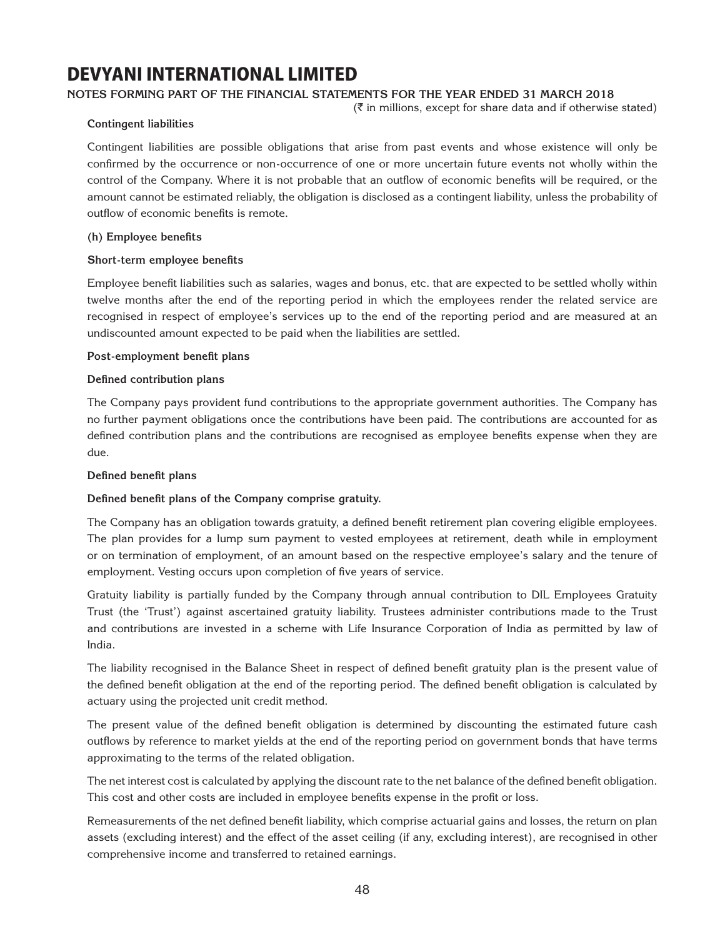### **Notes forming part of the financial statements for the year ended 31 March 2018**

 $(\bar{\bar{\zeta}})$  in millions, except for share data and if otherwise stated)

### **Contingent liabilities**

Contingent liabilities are possible obligations that arise from past events and whose existence will only be confirmed by the occurrence or non-occurrence of one or more uncertain future events not wholly within the control of the Company. Where it is not probable that an outflow of economic benefits will be required, or the amount cannot be estimated reliably, the obligation is disclosed as a contingent liability, unless the probability of outflow of economic benefits is remote.

### **(h) Employee benefits**

#### **Short-term employee benefits**

Employee benefit liabilities such as salaries, wages and bonus, etc. that are expected to be settled wholly within twelve months after the end of the reporting period in which the employees render the related service are recognised in respect of employee's services up to the end of the reporting period and are measured at an undiscounted amount expected to be paid when the liabilities are settled.

#### **Post-employment benefit plans**

#### **Defined contribution plans**

The Company pays provident fund contributions to the appropriate government authorities. The Company has no further payment obligations once the contributions have been paid. The contributions are accounted for as defined contribution plans and the contributions are recognised as employee benefits expense when they are due.

### **Defined benefit plans**

### **Defined benefit plans of the Company comprise gratuity.**

The Company has an obligation towards gratuity, a defined benefit retirement plan covering eligible employees. The plan provides for a lump sum payment to vested employees at retirement, death while in employment or on termination of employment, of an amount based on the respective employee's salary and the tenure of employment. Vesting occurs upon completion of five years of service.

Gratuity liability is partially funded by the Company through annual contribution to DIL Employees Gratuity Trust (the 'Trust') against ascertained gratuity liability. Trustees administer contributions made to the Trust and contributions are invested in a scheme with Life Insurance Corporation of India as permitted by law of India.

The liability recognised in the Balance Sheet in respect of defined benefit gratuity plan is the present value of the defined benefit obligation at the end of the reporting period. The defined benefit obligation is calculated by actuary using the projected unit credit method.

The present value of the defined benefit obligation is determined by discounting the estimated future cash outflows by reference to market yields at the end of the reporting period on government bonds that have terms approximating to the terms of the related obligation.

The net interest cost is calculated by applying the discount rate to the net balance of the defined benefit obligation. This cost and other costs are included in employee benefits expense in the profit or loss.

Remeasurements of the net defined benefit liability, which comprise actuarial gains and losses, the return on plan assets (excluding interest) and the effect of the asset ceiling (if any, excluding interest), are recognised in other comprehensive income and transferred to retained earnings.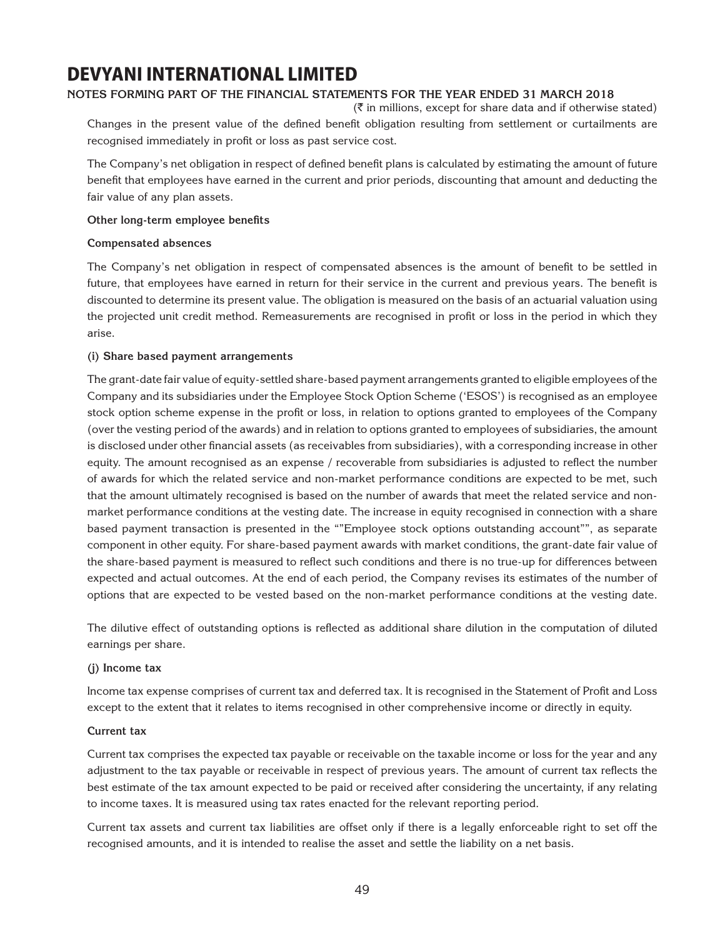### **Notes forming part of the financial statements for the year ended 31 March 2018**

 $(\bar{\bar{\zeta}})$  in millions, except for share data and if otherwise stated) Changes in the present value of the defined benefit obligation resulting from settlement or curtailments are recognised immediately in profit or loss as past service cost.

The Company's net obligation in respect of defined benefit plans is calculated by estimating the amount of future benefit that employees have earned in the current and prior periods, discounting that amount and deducting the fair value of any plan assets.

#### **Other long-term employee benefits**

#### **Compensated absences**

The Company's net obligation in respect of compensated absences is the amount of benefit to be settled in future, that employees have earned in return for their service in the current and previous years. The benefit is discounted to determine its present value. The obligation is measured on the basis of an actuarial valuation using the projected unit credit method. Remeasurements are recognised in profit or loss in the period in which they arise.

#### **(i) Share based payment arrangements**

The grant-date fair value of equity-settled share-based payment arrangements granted to eligible employees of the Company and its subsidiaries under the Employee Stock Option Scheme ('ESOS') is recognised as an employee stock option scheme expense in the profit or loss, in relation to options granted to employees of the Company (over the vesting period of the awards) and in relation to options granted to employees of subsidiaries, the amount is disclosed under other financial assets (as receivables from subsidiaries), with a corresponding increase in other equity. The amount recognised as an expense / recoverable from subsidiaries is adjusted to reflect the number of awards for which the related service and non-market performance conditions are expected to be met, such that the amount ultimately recognised is based on the number of awards that meet the related service and nonmarket performance conditions at the vesting date. The increase in equity recognised in connection with a share based payment transaction is presented in the ""Employee stock options outstanding account"", as separate component in other equity. For share-based payment awards with market conditions, the grant-date fair value of the share-based payment is measured to reflect such conditions and there is no true-up for differences between expected and actual outcomes. At the end of each period, the Company revises its estimates of the number of options that are expected to be vested based on the non-market performance conditions at the vesting date.

The dilutive effect of outstanding options is reflected as additional share dilution in the computation of diluted earnings per share.

### **(j) Income tax**

Income tax expense comprises of current tax and deferred tax. It is recognised in the Statement of Profit and Loss except to the extent that it relates to items recognised in other comprehensive income or directly in equity.

### **Current tax**

Current tax comprises the expected tax payable or receivable on the taxable income or loss for the year and any adjustment to the tax payable or receivable in respect of previous years. The amount of current tax reflects the best estimate of the tax amount expected to be paid or received after considering the uncertainty, if any relating to income taxes. It is measured using tax rates enacted for the relevant reporting period.

Current tax assets and current tax liabilities are offset only if there is a legally enforceable right to set off the recognised amounts, and it is intended to realise the asset and settle the liability on a net basis.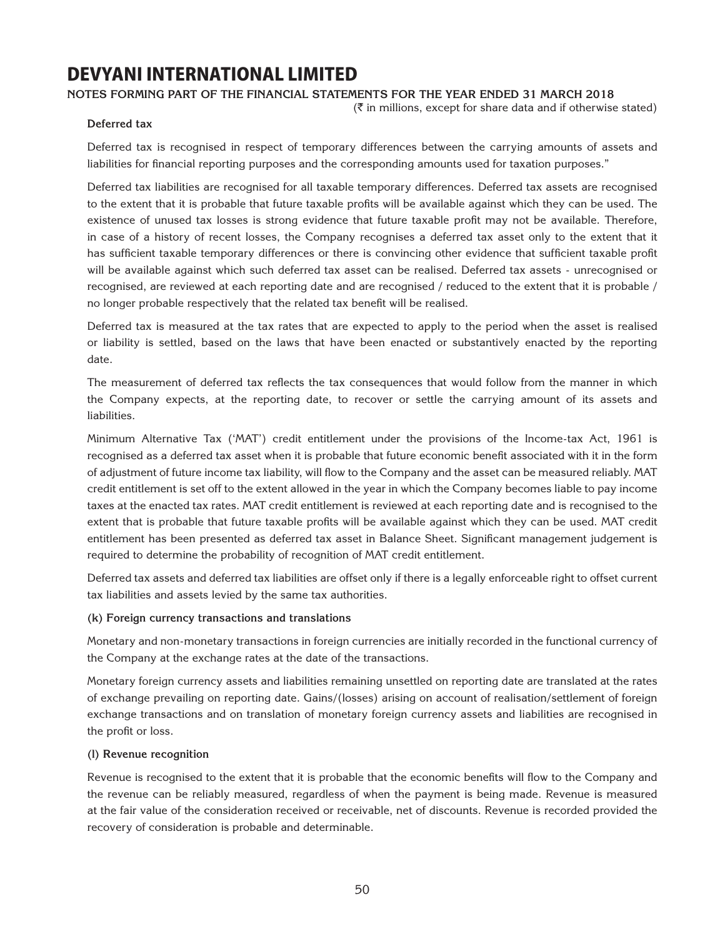### **Notes forming part of the financial statements for the year ended 31 March 2018**

 $(\bar{\tau}$  in millions, except for share data and if otherwise stated)

### **Deferred tax**

Deferred tax is recognised in respect of temporary differences between the carrying amounts of assets and liabilities for financial reporting purposes and the corresponding amounts used for taxation purposes."

Deferred tax liabilities are recognised for all taxable temporary differences. Deferred tax assets are recognised to the extent that it is probable that future taxable profits will be available against which they can be used. The existence of unused tax losses is strong evidence that future taxable profit may not be available. Therefore, in case of a history of recent losses, the Company recognises a deferred tax asset only to the extent that it has sufficient taxable temporary differences or there is convincing other evidence that sufficient taxable profit will be available against which such deferred tax asset can be realised. Deferred tax assets - unrecognised or recognised, are reviewed at each reporting date and are recognised / reduced to the extent that it is probable / no longer probable respectively that the related tax benefit will be realised.

Deferred tax is measured at the tax rates that are expected to apply to the period when the asset is realised or liability is settled, based on the laws that have been enacted or substantively enacted by the reporting date.

The measurement of deferred tax reflects the tax consequences that would follow from the manner in which the Company expects, at the reporting date, to recover or settle the carrying amount of its assets and liabilities.

Minimum Alternative Tax ('MAT') credit entitlement under the provisions of the Income-tax Act, 1961 is recognised as a deferred tax asset when it is probable that future economic benefit associated with it in the form of adjustment of future income tax liability, will flow to the Company and the asset can be measured reliably. MAT credit entitlement is set off to the extent allowed in the year in which the Company becomes liable to pay income taxes at the enacted tax rates. MAT credit entitlement is reviewed at each reporting date and is recognised to the extent that is probable that future taxable profits will be available against which they can be used. MAT credit entitlement has been presented as deferred tax asset in Balance Sheet. Significant management judgement is required to determine the probability of recognition of MAT credit entitlement.

Deferred tax assets and deferred tax liabilities are offset only if there is a legally enforceable right to offset current tax liabilities and assets levied by the same tax authorities.

### **(k) Foreign currency transactions and translations**

Monetary and non-monetary transactions in foreign currencies are initially recorded in the functional currency of the Company at the exchange rates at the date of the transactions.

Monetary foreign currency assets and liabilities remaining unsettled on reporting date are translated at the rates of exchange prevailing on reporting date. Gains/(losses) arising on account of realisation/settlement of foreign exchange transactions and on translation of monetary foreign currency assets and liabilities are recognised in the profit or loss.

### **(l) Revenue recognition**

Revenue is recognised to the extent that it is probable that the economic benefits will flow to the Company and the revenue can be reliably measured, regardless of when the payment is being made. Revenue is measured at the fair value of the consideration received or receivable, net of discounts. Revenue is recorded provided the recovery of consideration is probable and determinable.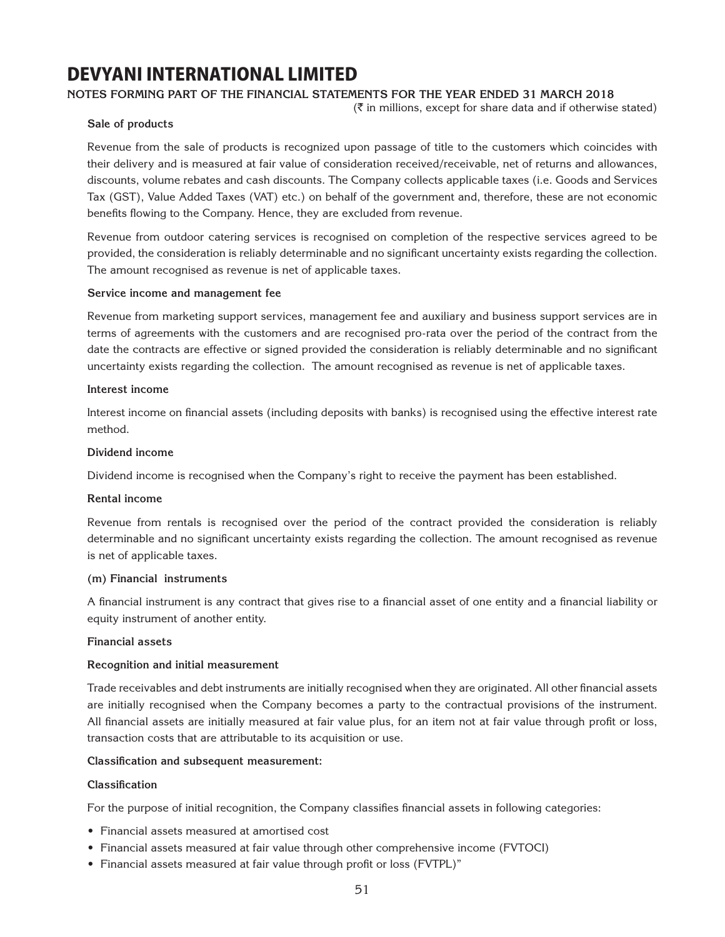### **Notes forming part of the financial statements for the year ended 31 March 2018**

 $(\bar{\bar{\zeta}})$  in millions, except for share data and if otherwise stated)

### **Sale of products**

Revenue from the sale of products is recognized upon passage of title to the customers which coincides with their delivery and is measured at fair value of consideration received/receivable, net of returns and allowances, discounts, volume rebates and cash discounts. The Company collects applicable taxes (i.e. Goods and Services Tax (GST), Value Added Taxes (VAT) etc.) on behalf of the government and, therefore, these are not economic benefits flowing to the Company. Hence, they are excluded from revenue.

Revenue from outdoor catering services is recognised on completion of the respective services agreed to be provided, the consideration is reliably determinable and no significant uncertainty exists regarding the collection. The amount recognised as revenue is net of applicable taxes.

### **Service income and management fee**

Revenue from marketing support services, management fee and auxiliary and business support services are in terms of agreements with the customers and are recognised pro-rata over the period of the contract from the date the contracts are effective or signed provided the consideration is reliably determinable and no significant uncertainty exists regarding the collection. The amount recognised as revenue is net of applicable taxes.

#### **Interest income**

Interest income on financial assets (including deposits with banks) is recognised using the effective interest rate method.

#### **Dividend income**

Dividend income is recognised when the Company's right to receive the payment has been established.

#### **Rental income**

Revenue from rentals is recognised over the period of the contract provided the consideration is reliably determinable and no significant uncertainty exists regarding the collection. The amount recognised as revenue is net of applicable taxes.

#### **(m) Financial instruments**

A financial instrument is any contract that gives rise to a financial asset of one entity and a financial liability or equity instrument of another entity.

#### **Financial assets**

#### **Recognition and initial measurement**

Trade receivables and debt instruments are initially recognised when they are originated. All other financial assets are initially recognised when the Company becomes a party to the contractual provisions of the instrument. All financial assets are initially measured at fair value plus, for an item not at fair value through profit or loss, transaction costs that are attributable to its acquisition or use.

### **Classification and subsequent measurement:**

### **Classification**

For the purpose of initial recognition, the Company classifies financial assets in following categories:

- Financial assets measured at amortised cost
- Financial assets measured at fair value through other comprehensive income (FVTOCI)
- Financial assets measured at fair value through profit or loss (FVTPL)"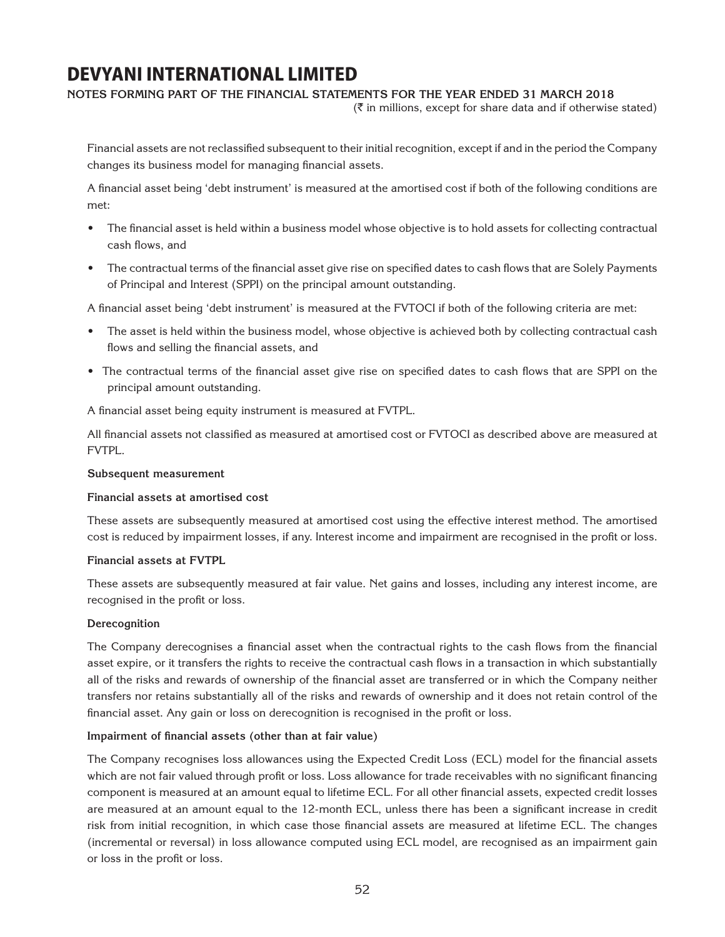#### **Notes forming part of the financial statements for the year ended 31 March 2018**

 $(\bar{\tau}$  in millions, except for share data and if otherwise stated)

Financial assets are not reclassified subsequent to their initial recognition, except if and in the period the Company changes its business model for managing financial assets.

A financial asset being 'debt instrument' is measured at the amortised cost if both of the following conditions are met:

- The financial asset is held within a business model whose objective is to hold assets for collecting contractual cash flows, and
- The contractual terms of the financial asset give rise on specified dates to cash flows that are Solely Payments of Principal and Interest (SPPI) on the principal amount outstanding.

A financial asset being 'debt instrument' is measured at the FVTOCI if both of the following criteria are met:

- The asset is held within the business model, whose objective is achieved both by collecting contractual cash flows and selling the financial assets, and
- The contractual terms of the financial asset give rise on specified dates to cash flows that are SPPI on the principal amount outstanding.

A financial asset being equity instrument is measured at FVTPL.

All financial assets not classified as measured at amortised cost or FVTOCI as described above are measured at FVTPL.

#### **Subsequent measurement**

#### **Financial assets at amortised cost**

These assets are subsequently measured at amortised cost using the effective interest method. The amortised cost is reduced by impairment losses, if any. Interest income and impairment are recognised in the profit or loss.

#### **Financial assets at FVTPL**

These assets are subsequently measured at fair value. Net gains and losses, including any interest income, are recognised in the profit or loss.

#### **Derecognition**

The Company derecognises a financial asset when the contractual rights to the cash flows from the financial asset expire, or it transfers the rights to receive the contractual cash flows in a transaction in which substantially all of the risks and rewards of ownership of the financial asset are transferred or in which the Company neither transfers nor retains substantially all of the risks and rewards of ownership and it does not retain control of the financial asset. Any gain or loss on derecognition is recognised in the profit or loss.

### **Impairment of financial assets (other than at fair value)**

The Company recognises loss allowances using the Expected Credit Loss (ECL) model for the financial assets which are not fair valued through profit or loss. Loss allowance for trade receivables with no significant financing component is measured at an amount equal to lifetime ECL. For all other financial assets, expected credit losses are measured at an amount equal to the 12-month ECL, unless there has been a significant increase in credit risk from initial recognition, in which case those financial assets are measured at lifetime ECL. The changes (incremental or reversal) in loss allowance computed using ECL model, are recognised as an impairment gain or loss in the profit or loss.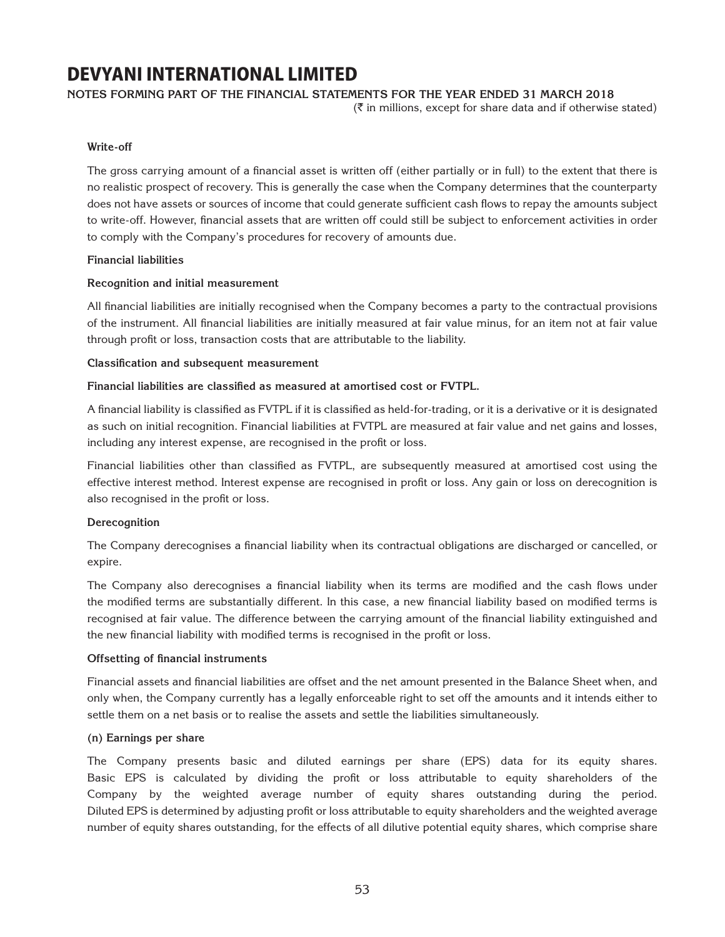### **Notes forming part of the financial statements for the year ended 31 March 2018**

 $(\bar{\tau}$  in millions, except for share data and if otherwise stated)

### **Write-off**

The gross carrying amount of a financial asset is written off (either partially or in full) to the extent that there is no realistic prospect of recovery. This is generally the case when the Company determines that the counterparty does not have assets or sources of income that could generate sufficient cash flows to repay the amounts subject to write-off. However, financial assets that are written off could still be subject to enforcement activities in order to comply with the Company's procedures for recovery of amounts due.

### **Financial liabilities**

### **Recognition and initial measurement**

All financial liabilities are initially recognised when the Company becomes a party to the contractual provisions of the instrument. All financial liabilities are initially measured at fair value minus, for an item not at fair value through profit or loss, transaction costs that are attributable to the liability.

### **Classification and subsequent measurement**

### **Financial liabilities are classified as measured at amortised cost or FVTPL.**

A financial liability is classified as FVTPL if it is classified as held-for-trading, or it is a derivative or it is designated as such on initial recognition. Financial liabilities at FVTPL are measured at fair value and net gains and losses, including any interest expense, are recognised in the profit or loss.

Financial liabilities other than classified as FVTPL, are subsequently measured at amortised cost using the effective interest method. Interest expense are recognised in profit or loss. Any gain or loss on derecognition is also recognised in the profit or loss.

### **Derecognition**

The Company derecognises a financial liability when its contractual obligations are discharged or cancelled, or expire.

The Company also derecognises a financial liability when its terms are modified and the cash flows under the modified terms are substantially different. In this case, a new financial liability based on modified terms is recognised at fair value. The difference between the carrying amount of the financial liability extinguished and the new financial liability with modified terms is recognised in the profit or loss.

### **Offsetting of financial instruments**

Financial assets and financial liabilities are offset and the net amount presented in the Balance Sheet when, and only when, the Company currently has a legally enforceable right to set off the amounts and it intends either to settle them on a net basis or to realise the assets and settle the liabilities simultaneously.

### **(n) Earnings per share**

The Company presents basic and diluted earnings per share (EPS) data for its equity shares. Basic EPS is calculated by dividing the profit or loss attributable to equity shareholders of the Company by the weighted average number of equity shares outstanding during the period. Diluted EPS is determined by adjusting profit or loss attributable to equity shareholders and the weighted average number of equity shares outstanding, for the effects of all dilutive potential equity shares, which comprise share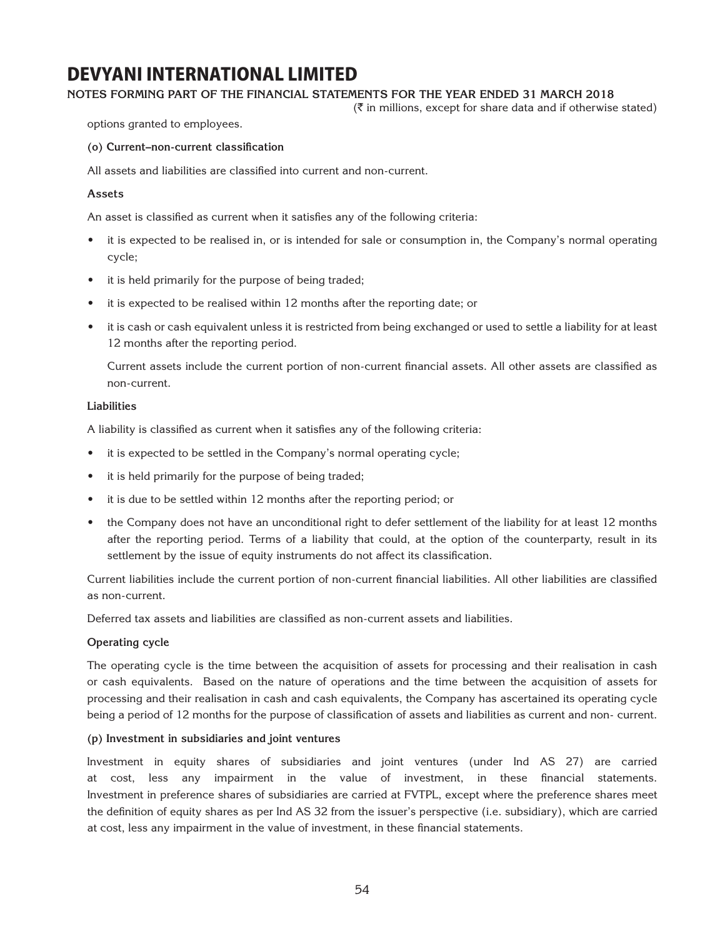### **Notes forming part of the financial statements for the year ended 31 March 2018**

 $(\bar{\tau}$  in millions, except for share data and if otherwise stated)

options granted to employees.

**(o) Current–non-current classification**

All assets and liabilities are classified into current and non-current.

### **Assets**

An asset is classified as current when it satisfies any of the following criteria:

- it is expected to be realised in, or is intended for sale or consumption in, the Company's normal operating cycle;
- it is held primarily for the purpose of being traded;
- it is expected to be realised within 12 months after the reporting date; or
- it is cash or cash equivalent unless it is restricted from being exchanged or used to settle a liability for at least 12 months after the reporting period.

Current assets include the current portion of non-current financial assets. All other assets are classified as non-current.

### **Liabilities**

A liability is classified as current when it satisfies any of the following criteria:

- it is expected to be settled in the Company's normal operating cycle;
- it is held primarily for the purpose of being traded;
- it is due to be settled within 12 months after the reporting period; or
- the Company does not have an unconditional right to defer settlement of the liability for at least 12 months after the reporting period. Terms of a liability that could, at the option of the counterparty, result in its settlement by the issue of equity instruments do not affect its classification.

Current liabilities include the current portion of non-current financial liabilities. All other liabilities are classified as non-current.

Deferred tax assets and liabilities are classified as non-current assets and liabilities.

### **Operating cycle**

The operating cycle is the time between the acquisition of assets for processing and their realisation in cash or cash equivalents. Based on the nature of operations and the time between the acquisition of assets for processing and their realisation in cash and cash equivalents, the Company has ascertained its operating cycle being a period of 12 months for the purpose of classification of assets and liabilities as current and non- current.

### **(p) Investment in subsidiaries and joint ventures**

Investment in equity shares of subsidiaries and joint ventures (under Ind AS 27) are carried at cost, less any impairment in the value of investment, in these financial statements. Investment in preference shares of subsidiaries are carried at FVTPL, except where the preference shares meet the definition of equity shares as per Ind AS 32 from the issuer's perspective (i.e. subsidiary), which are carried at cost, less any impairment in the value of investment, in these financial statements.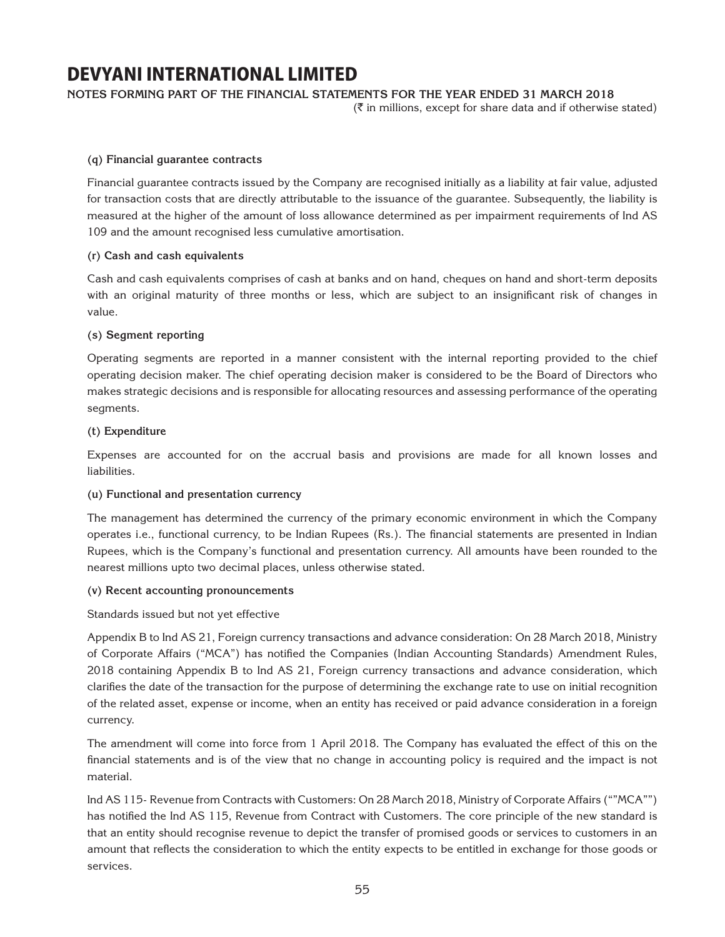**Notes forming part of the financial statements for the year ended 31 March 2018**

 $(\bar{\bar{\zeta}})$  in millions, except for share data and if otherwise stated)

### **(q) Financial guarantee contracts**

Financial guarantee contracts issued by the Company are recognised initially as a liability at fair value, adjusted for transaction costs that are directly attributable to the issuance of the guarantee. Subsequently, the liability is measured at the higher of the amount of loss allowance determined as per impairment requirements of Ind AS 109 and the amount recognised less cumulative amortisation.

### **(r) Cash and cash equivalents**

Cash and cash equivalents comprises of cash at banks and on hand, cheques on hand and short-term deposits with an original maturity of three months or less, which are subject to an insignificant risk of changes in value.

### **(s) Segment reporting**

Operating segments are reported in a manner consistent with the internal reporting provided to the chief operating decision maker. The chief operating decision maker is considered to be the Board of Directors who makes strategic decisions and is responsible for allocating resources and assessing performance of the operating segments.

### **(t) Expenditure**

Expenses are accounted for on the accrual basis and provisions are made for all known losses and liabilities.

### **(u) Functional and presentation currency**

The management has determined the currency of the primary economic environment in which the Company operates i.e., functional currency, to be Indian Rupees (Rs.). The financial statements are presented in Indian Rupees, which is the Company's functional and presentation currency. All amounts have been rounded to the nearest millions upto two decimal places, unless otherwise stated.

### **(v) Recent accounting pronouncements**

Standards issued but not yet effective

Appendix B to Ind AS 21, Foreign currency transactions and advance consideration: On 28 March 2018, Ministry of Corporate Affairs ("MCA") has notified the Companies (Indian Accounting Standards) Amendment Rules, 2018 containing Appendix B to Ind AS 21, Foreign currency transactions and advance consideration, which clarifies the date of the transaction for the purpose of determining the exchange rate to use on initial recognition of the related asset, expense or income, when an entity has received or paid advance consideration in a foreign currency.

The amendment will come into force from 1 April 2018. The Company has evaluated the effect of this on the financial statements and is of the view that no change in accounting policy is required and the impact is not material.

Ind AS 115- Revenue from Contracts with Customers: On 28 March 2018, Ministry of Corporate Affairs (""MCA"") has notified the Ind AS 115, Revenue from Contract with Customers. The core principle of the new standard is that an entity should recognise revenue to depict the transfer of promised goods or services to customers in an amount that reflects the consideration to which the entity expects to be entitled in exchange for those goods or services.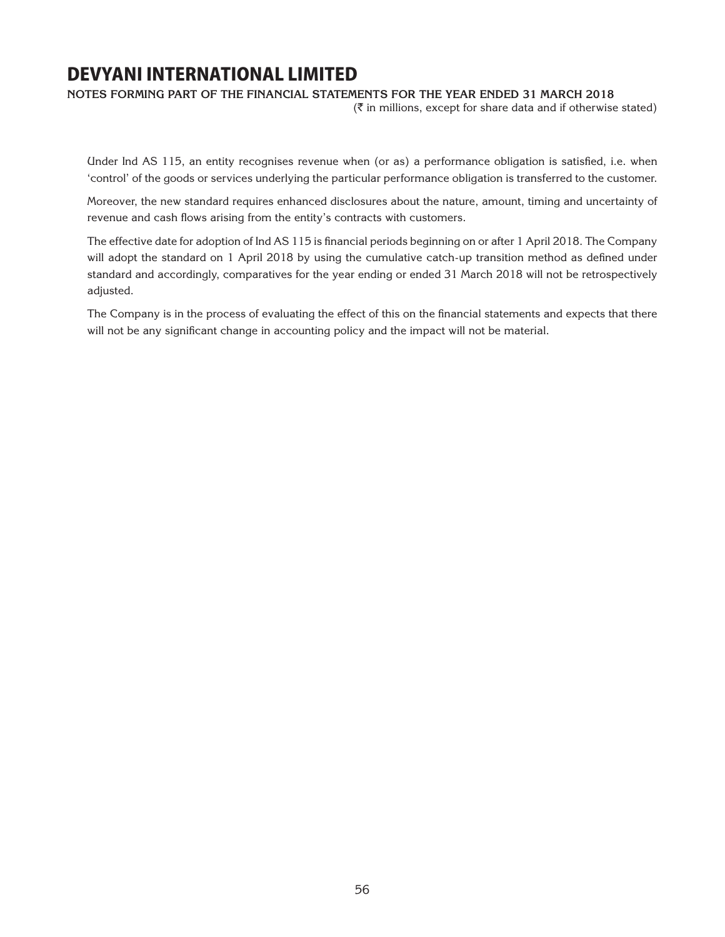**Notes forming part of the financial statements for the year ended 31 March 2018**

 $(\bar{\bar{\mathbf{x}}}$  in millions, except for share data and if otherwise stated)

Under Ind AS 115, an entity recognises revenue when (or as) a performance obligation is satisfied, i.e. when 'control' of the goods or services underlying the particular performance obligation is transferred to the customer.

Moreover, the new standard requires enhanced disclosures about the nature, amount, timing and uncertainty of revenue and cash flows arising from the entity's contracts with customers.

The effective date for adoption of Ind AS 115 is financial periods beginning on or after 1 April 2018. The Company will adopt the standard on 1 April 2018 by using the cumulative catch-up transition method as defined under standard and accordingly, comparatives for the year ending or ended 31 March 2018 will not be retrospectively adjusted.

The Company is in the process of evaluating the effect of this on the financial statements and expects that there will not be any significant change in accounting policy and the impact will not be material.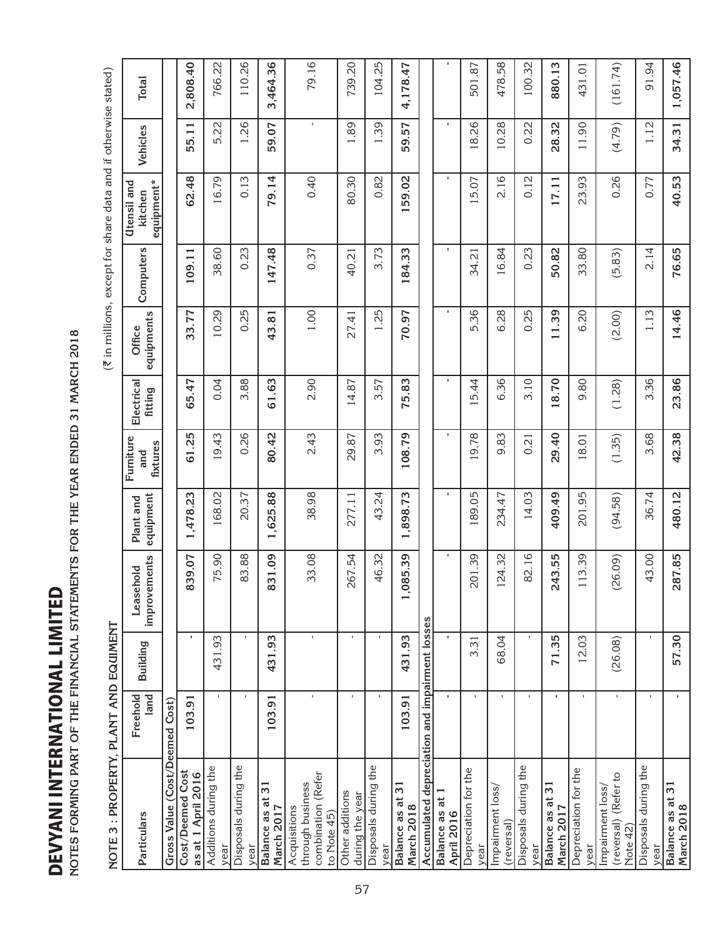**DEVYANI INTERNATIONAL LIMITED**<br>NOTES FORMING PART OF THE FINANCIAL STATEMENTS FOR THE YEAR ENDED 31 MARCH 2018 **Notes forming part of the financial statements for the year ended 31 March 2018**

| $\overline{a}$     |
|--------------------|
|                    |
|                    |
|                    |
|                    |
|                    |
|                    |
| $\frac{C}{4}$      |
| $\overline{1}$     |
|                    |
|                    |
|                    |
| j                  |
|                    |
|                    |
|                    |
|                    |
|                    |
|                    |
|                    |
|                    |
|                    |
|                    |
| I . THOTE          |
|                    |
|                    |
|                    |
|                    |
|                    |
| <b>MAN JALIA I</b> |

| <b>IOTES FORMING PART OF THE FINANCIAL STATEMENTS FOR THE YEAR ENDED 31 MARCH 2018</b> |                    |                |                           |                                     |                              |                       |                                |           |                                                                |                |          |
|----------------------------------------------------------------------------------------|--------------------|----------------|---------------------------|-------------------------------------|------------------------------|-----------------------|--------------------------------|-----------|----------------------------------------------------------------|----------------|----------|
| : PROPERTY.<br>$\infty$<br><b>NOTE</b>                                                 | PLANT AND EQUIMENT |                |                           |                                     |                              |                       |                                |           | (₹ in millions, except for share data and if otherwise stated) |                |          |
| Particulars                                                                            | land<br>Freehold   | Building       | improvements<br>Leasehold | equipment<br>Plant and              | Furniture<br>fixtures<br>and | Electrical<br>fitting | equipments<br>Office           | Computers | equipment*<br>Utensil and<br>kitchen                           | Vehicles       | Total    |
| Gross Value (Cost/Deemed Cost)                                                         |                    |                |                           |                                     |                              |                       |                                |           |                                                                |                |          |
| Cost/Deemed Cost<br>as at 1 April 2016                                                 | 103.91             |                | 839.07                    | ,478.23<br>$\overline{\phantom{0}}$ | 61.25                        | 65.47                 | 33.77                          | 109.11    | 62.48                                                          | 55.11          | 2,808.40 |
| Additions during the<br>year                                                           | $\mathbf{I}$       | S<br>431.9     | 75.90                     | 168.02                              | 9.43                         | 0.04                  | 10.29                          | 38.60     | 16.79                                                          | 5.22           | 766.22   |
| Disposals during the<br>year                                                           | $\mathbf{I}$       | $\blacksquare$ | 83.88                     | 20.37                               | 0.26                         | 3.88                  | 0.25                           | 0.23      | 0.13                                                           | 1.26           | 110.26   |
| $\overline{31}$<br>đ<br>March 2017<br>Balance as                                       | 103.91             | 431.93         | 831.09                    | 1,625.88                            | 80.42                        | 61.63                 | 43.81                          | 147.48    | 79.14                                                          | 59.07          | 3,464.36 |
| combination (Refer<br>through business<br>Acquisitions<br>to Note 45)                  | $\mathbf{I}$       | $\mathbf{I}$   | 33.08                     | 38.98                               | 2.43                         | 2.90                  | 1.00                           | 0.37      | 0.40                                                           | $\blacksquare$ | 79.16    |
| Other additions<br>during the year                                                     | $\mathbf{I}$       | $\mathbf{I}$   | 267.54                    | 277.11                              | 29.87                        | 14.87                 | 27.41                          | 40.21     | 80.30                                                          | 1.89           | 739.20   |
| Disposals during the<br>year                                                           | $\mathbf{I}$       | $\mathbf{I}$   | 46.32                     | 43.24                               | 3.93                         | 57<br>m               | 25<br>$\overline{\phantom{0}}$ | 3.73      | 0.82                                                           | 1.39           | 104.25   |
| $\overline{31}$<br>Balance as at<br>March 2018                                         | 103.91             | 431.93         | 085.39                    | ,898.73<br>$\overline{\phantom{0}}$ | 108.79                       | 75.83                 | 70.97                          | 184.33    | 159.02                                                         | 59.57          | 4,178.47 |
| Accumulated depreciation and impairment losses                                         |                    |                |                           |                                     |                              |                       |                                |           |                                                                |                |          |
| Balance as at 1<br><b>April 2016</b>                                                   |                    |                |                           |                                     |                              |                       |                                |           |                                                                |                |          |
| Depreciation for the<br>year                                                           | $\blacksquare$     | 3.31           | 201.39                    | 189.05                              | 9.78                         | 5.44                  | 5.36                           | 34.21     | 5.07                                                           | 18.26          | 501.87   |
| Impairment loss,<br>(reversal)                                                         | $\mathbf{I}$       | 68.04          | 124.32                    | 234.47                              | 9.83                         | 6.36                  | 6.28                           | 16.84     | 2.16                                                           | 10.28          | 478.58   |
| Disposals during the<br>year                                                           | $\mathbf{I}$       | $\blacksquare$ | 82.16                     | 14.03                               | 0.21                         | 3.10                  | 0.25                           | 0.23      | 0.12                                                           | 0.22           | 100.32   |
| Balance as at 31<br>March 2017                                                         | $\blacksquare$     | 5<br>71.3      | 243.55                    | 409.49                              | 29.40                        | 18.70                 | 11.39                          | 50.82     | 17.11                                                          | 28.32          | 880.13   |
| Depreciation for the<br>year                                                           | $\mathbf{I}$       | 12.03          | 113.39                    | 201.95                              | 18.01                        | 9.80                  | 6.20                           | 33.80     | 23.93                                                          | 11.90          | 431.01   |
| (reversal) (Refer to<br>Impairment loss,<br>Note 42)                                   | $\mathbf{I}$       | (26.08)        | 26.09)                    | (94.58)                             | (1.35)                       | (1.28)                | (2.00)                         | (5.83)    | 0.26                                                           | (4.79)         | (161.74) |
| Disposals during the<br>year                                                           | $\mathbf{I}$       |                | 43.00                     | 36.74                               | 3.68                         | 3.36                  | 1.13                           | 2.14      | 0.77                                                           | 1.12           | 91.94    |
| $\overline{3}$<br>Balance as at<br>March 2018                                          |                    | 57.30          | 287.85                    | 480.12                              | 42.38                        | 23.86                 | 14.46                          | 76.65     | 40.53                                                          | 34.31          | 1,057.46 |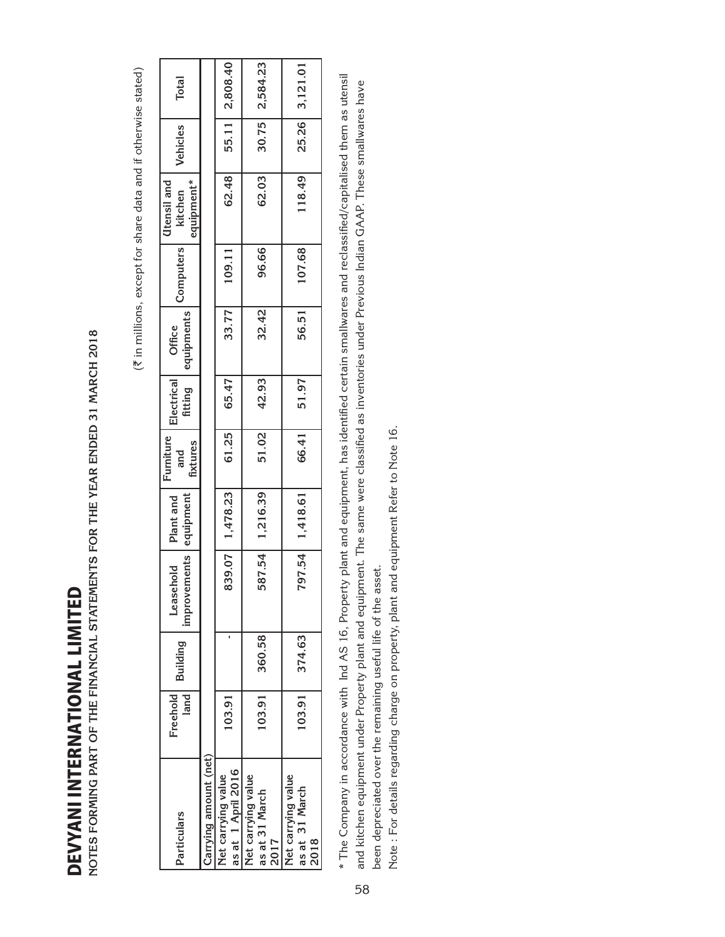DEVYANI INTERNATIONAL LIMITED DEVYANI INTERNATIONAL LIMITED

| NOTES FORMING PART OF THE FINANCIAL STATEMENTS FOR THE YEAR ENDED 31 MARCH 2018<br><b>DEVYANI INTERNATIONAL LIMITED</b>                                  |                  |          |                           |                        |                              |                       |                      |           |                                                                |          |          |
|----------------------------------------------------------------------------------------------------------------------------------------------------------|------------------|----------|---------------------------|------------------------|------------------------------|-----------------------|----------------------|-----------|----------------------------------------------------------------|----------|----------|
|                                                                                                                                                          |                  |          |                           |                        |                              |                       |                      |           | (₹ in millions, except for share data and if otherwise stated) |          |          |
| Particulars                                                                                                                                              | land<br>Freehold | Building | improvements<br>Leasehold | equipment<br>Plant and | Furniture<br>fixtures<br>and | Electrical<br>fitting | equipments<br>Office | Computers | equipment*<br>Utensil and<br>kitchen                           | Vehicles | Total    |
| Carrying amount (net)                                                                                                                                    |                  |          |                           |                        |                              |                       |                      |           |                                                                |          |          |
| as at 1 April 2016<br>Net carrying value                                                                                                                 | 103.91           |          | 339.07                    | 1,478.23               | 61.25                        | 65.47                 | 33.77                | 109.11    | 62.48                                                          | 55.11    | 2,808.40 |
| Net carrying value<br>as at 31 March<br>2017                                                                                                             | 103.91           | 360.58   | 587.54                    | 1,216.39               | 51.02                        | 42.93                 | 32.42                | 96.66     | 62.03                                                          | 30.75    | 2,584.23 |
| Net carrying value<br>as at 31 March<br>2018                                                                                                             | 103.91           | 374.63   | 797.54                    | 1,418.61               | 66.41                        | 51.97                 | 56.51                | 107.68    | 118.49                                                         | 25.26    | 3,121.01 |
| * The Company in accordance with Ind AS 16, Property plant and equipment, has identified certain smallwares and reclassified/capitalised them as utensil |                  |          |                           |                        |                              |                       |                      |           |                                                                |          |          |

\* The Company in accordance with Ind AS 16, Property plant and equipment, has identified certain smallwares and reclassified/capitalised them as utensil and kitchen equipment under Property plant and equipment. The same were classified as inventories under Previous Indian GAAP. These smallwares have been depreciated over the remaining useful life of the asset. been depreciated over the remaining useful life of the asset.

Note: For details regarding charge on property, plant and equipment Refer to Note 16. Note : For details regarding charge on property, plant and equipment Refer to Note 16.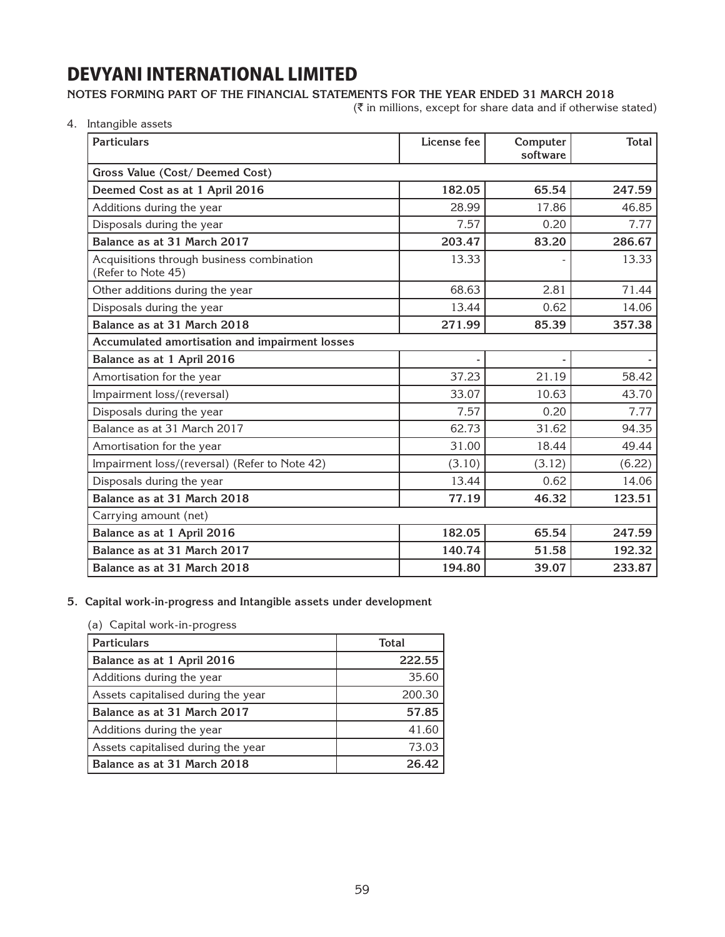### **Notes forming part of the financial statements for the year ended 31 March 2018**

 $(\bar{\tau}$  in millions, except for share data and if otherwise stated)

4. Intangible assets

| <b>Particulars</b>                                              | License fee | Computer<br>software | <b>Total</b> |  |  |
|-----------------------------------------------------------------|-------------|----------------------|--------------|--|--|
| Gross Value (Cost/ Deemed Cost)                                 |             |                      |              |  |  |
| Deemed Cost as at 1 April 2016                                  | 182.05      | 65.54                | 247.59       |  |  |
| Additions during the year                                       | 28.99       | 17.86                | 46.85        |  |  |
| Disposals during the year                                       | 7.57        | 0.20                 | 7.77         |  |  |
| Balance as at 31 March 2017                                     | 203.47      | 83.20                | 286.67       |  |  |
| Acquisitions through business combination<br>(Refer to Note 45) | 13.33       |                      | 13.33        |  |  |
| Other additions during the year                                 | 68.63       | 2.81                 | 71.44        |  |  |
| Disposals during the year                                       | 13.44       | 0.62                 | 14.06        |  |  |
| Balance as at 31 March 2018                                     | 271.99      | 85.39                | 357.38       |  |  |
| Accumulated amortisation and impairment losses                  |             |                      |              |  |  |
| Balance as at 1 April 2016                                      |             |                      |              |  |  |
| Amortisation for the year                                       | 37.23       | 21.19                | 58.42        |  |  |
| Impairment loss/(reversal)                                      | 33.07       | 10.63                | 43.70        |  |  |
| Disposals during the year                                       | 7.57        | 0.20                 | 7.77         |  |  |
| Balance as at 31 March 2017                                     | 62.73       | 31.62                | 94.35        |  |  |
| Amortisation for the year                                       | 31.00       | 18.44                | 49.44        |  |  |
| Impairment loss/(reversal) (Refer to Note 42)                   | (3.10)      | (3.12)               | (6.22)       |  |  |
| Disposals during the year                                       | 13.44       | 0.62                 | 14.06        |  |  |
| Balance as at 31 March 2018                                     | 77.19       | 46.32                | 123.51       |  |  |
| Carrying amount (net)                                           |             |                      |              |  |  |
| Balance as at 1 April 2016                                      | 182.05      | 65.54                | 247.59       |  |  |
| Balance as at 31 March 2017                                     | 140.74      | 51.58                | 192.32       |  |  |
| Balance as at 31 March 2018                                     | 194.80      | 39.07                | 233.87       |  |  |

### **5. Capital work-in-progress and Intangible assets under development**

### (a) Capital work-in-progress

| <b>Particulars</b>                 | <b>Total</b> |
|------------------------------------|--------------|
| Balance as at 1 April 2016         | 222.55       |
| Additions during the year          | 35.60        |
| Assets capitalised during the year | 200.30       |
| Balance as at 31 March 2017        | 57.85        |
| Additions during the year          | 41.60        |
| Assets capitalised during the year | 73.03        |
| Balance as at 31 March 2018        | 26.42        |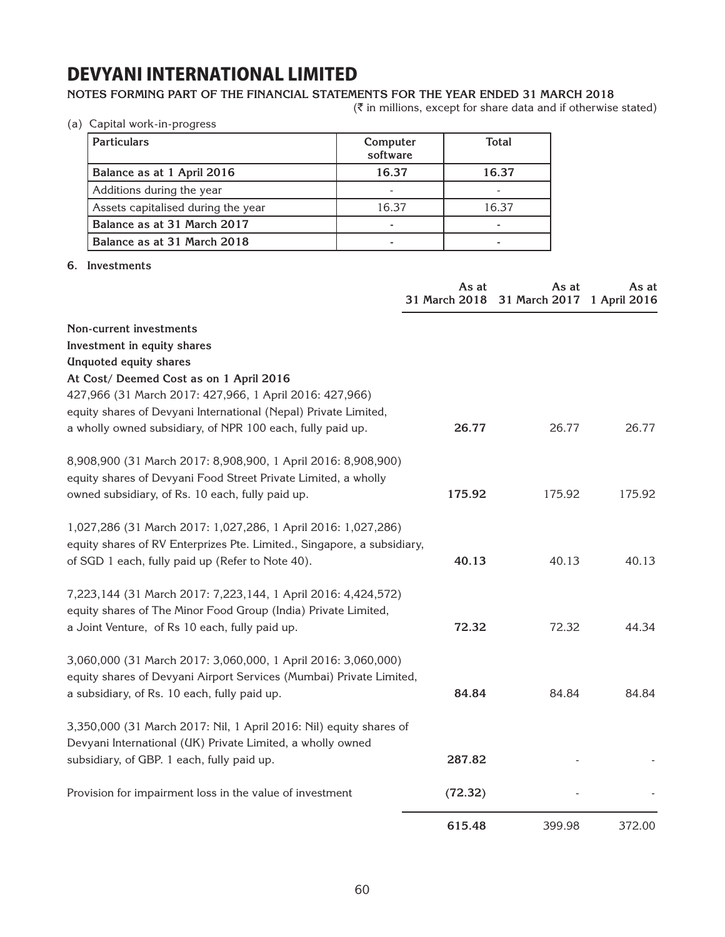### **Notes forming part of the financial statements for the year ended 31 March 2018**

 $(\bar{\tau}$  in millions, except for share data and if otherwise stated)

(a) Capital work-in-progress

| <b>Particulars</b>                 | Computer<br>software | <b>Total</b> |
|------------------------------------|----------------------|--------------|
| Balance as at 1 April 2016         | 16.37                | 16.37        |
| Additions during the year          |                      |              |
| Assets capitalised during the year | 16.37                | 16.37        |
| Balance as at 31 March 2017        |                      |              |
| Balance as at 31 March 2018        |                      |              |

#### **6. Investments**

|                                                                         | As at<br>31 March 2018 | As at<br>31 March 2017 | As at<br>1 April 2016 |
|-------------------------------------------------------------------------|------------------------|------------------------|-----------------------|
| Non-current investments                                                 |                        |                        |                       |
| Investment in equity shares                                             |                        |                        |                       |
| <b>Unquoted equity shares</b>                                           |                        |                        |                       |
| At Cost/ Deemed Cost as on 1 April 2016                                 |                        |                        |                       |
| 427,966 (31 March 2017: 427,966, 1 April 2016: 427,966)                 |                        |                        |                       |
| equity shares of Devyani International (Nepal) Private Limited,         |                        |                        |                       |
| a wholly owned subsidiary, of NPR 100 each, fully paid up.              | 26.77                  | 26.77                  | 26.77                 |
| 8,908,900 (31 March 2017: 8,908,900, 1 April 2016: 8,908,900)           |                        |                        |                       |
| equity shares of Devyani Food Street Private Limited, a wholly          |                        |                        |                       |
| owned subsidiary, of Rs. 10 each, fully paid up.                        | 175.92                 | 175.92                 | 175.92                |
| 1,027,286 (31 March 2017: 1,027,286, 1 April 2016: 1,027,286)           |                        |                        |                       |
| equity shares of RV Enterprizes Pte. Limited., Singapore, a subsidiary, |                        |                        |                       |
| of SGD 1 each, fully paid up (Refer to Note 40).                        | 40.13                  | 40.13                  | 40.13                 |
| 7,223,144 (31 March 2017: 7,223,144, 1 April 2016: 4,424,572)           |                        |                        |                       |
| equity shares of The Minor Food Group (India) Private Limited,          |                        |                        |                       |
| a Joint Venture, of Rs 10 each, fully paid up.                          | 72.32                  | 72.32                  | 44.34                 |
| 3,060,000 (31 March 2017: 3,060,000, 1 April 2016: 3,060,000)           |                        |                        |                       |
| equity shares of Devyani Airport Services (Mumbai) Private Limited,     |                        |                        |                       |
| a subsidiary, of Rs. 10 each, fully paid up.                            | 84.84                  | 84.84                  | 84.84                 |
| 3,350,000 (31 March 2017: Nil, 1 April 2016: Nil) equity shares of      |                        |                        |                       |
| Devyani International (UK) Private Limited, a wholly owned              |                        |                        |                       |
| subsidiary, of GBP. 1 each, fully paid up.                              | 287.82                 |                        |                       |
| Provision for impairment loss in the value of investment                | (72.32)                |                        |                       |
|                                                                         | 615.48                 | 399.98                 | 372.00                |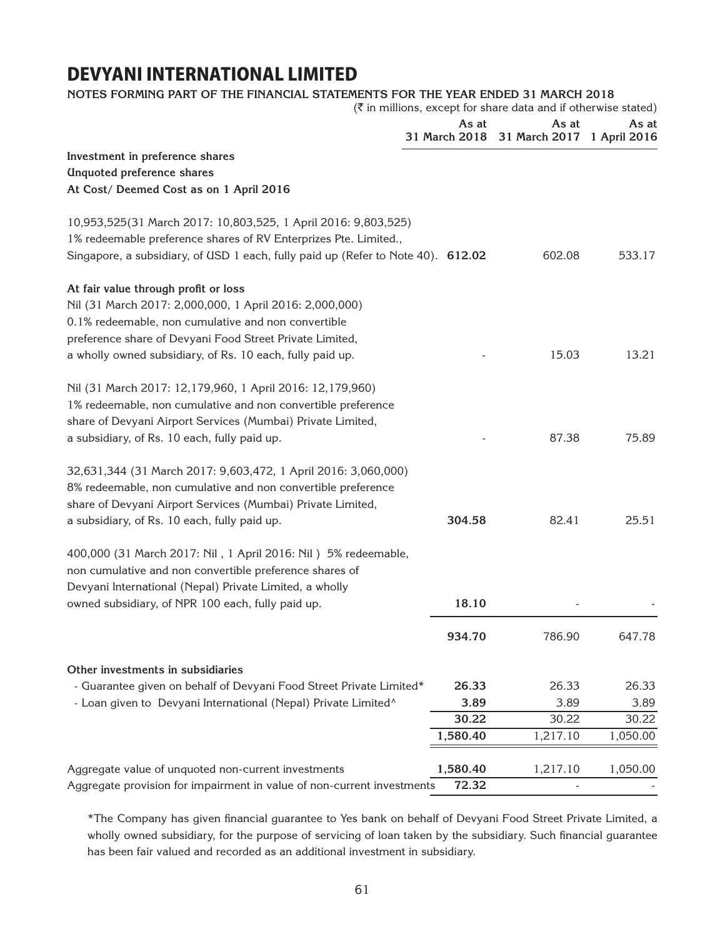### **Notes forming part of the financial statements for the year ended 31 March 2018**

**Investment in preference shares Unquoted preference shares At Cost/ Deemed Cost as on 1 April 2016** 10,953,525(31 March 2017: 10,803,525, 1 April 2016: 9,803,525) 1% redeemable preference shares of RV Enterprizes Pte. Limited., Singapore, a subsidiary, of USD 1 each, fully paid up (Refer to Note 40). **612.02** 602.08 533.17 **At fair value through profit or loss** Nil (31 March 2017: 2,000,000, 1 April 2016: 2,000,000) 0.1% redeemable, non cumulative and non convertible preference share of Devyani Food Street Private Limited, a wholly owned subsidiary, of Rs. 10 each, fully paid up. 15.03 13.21 Nil (31 March 2017: 12,179,960, 1 April 2016: 12,179,960) 1% redeemable, non cumulative and non convertible preference share of Devyani Airport Services (Mumbai) Private Limited, a subsidiary, of Rs. 10 each, fully paid up.  $\frac{1}{2}$  87.38 75.89 32,631,344 (31 March 2017: 9,603,472, 1 April 2016: 3,060,000) 8% redeemable, non cumulative and non convertible preference share of Devyani Airport Services (Mumbai) Private Limited, a subsidiary, of Rs. 10 each, fully paid up. **304.58** 82.41 25.51 400,000 (31 March 2017: Nil , 1 April 2016: Nil ) 5% redeemable, non cumulative and non convertible preference shares of Devyani International (Nepal) Private Limited, a wholly owned subsidiary, of NPR 100 each, fully paid up. **18.10 18.10 934.70** 786.90 647.78 **Other investments in subsidiaries** - Guarantee given on behalf of Devyani Food Street Private Limited\* **26.33** 26.33 26.33 - Loan given to Devyani International (Nepal) Private Limited^ **3.89** 3.89 3.89 **30.22** 30.22 30.22 **1,580.40 1,217.10 1,050.00** Aggregate value of unquoted non-current investments **1,580.40** 1,217.10 1,050.00  $(\bar{\bar{\zeta}})$  in millions, except for share data and if otherwise stated) **As at 31 March 2018 As at 31 March 2017 1 April 2016As at**

Aggregate provision for impairment in value of non-current investments **72.32** 

\*The Company has given financial guarantee to Yes bank on behalf of Devyani Food Street Private Limited, a wholly owned subsidiary, for the purpose of servicing of loan taken by the subsidiary. Such financial guarantee has been fair valued and recorded as an additional investment in subsidiary.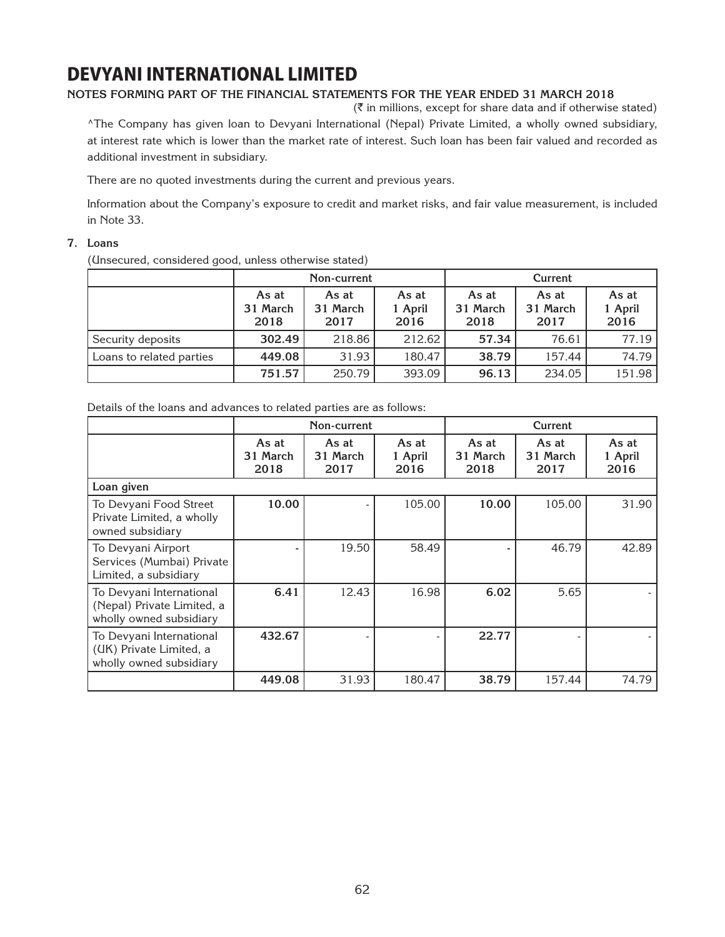### **Notes forming part of the financial statements for the year ended 31 March 2018**

 $(\bar{\bar{\zeta}})$  in millions, except for share data and if otherwise stated)

^The Company has given loan to Devyani International (Nepal) Private Limited, a wholly owned subsidiary, at interest rate which is lower than the market rate of interest. Such loan has been fair valued and recorded as additional investment in subsidiary.

There are no quoted investments during the current and previous years.

Information about the Company's exposure to credit and market risks, and fair value measurement, is included in Note 33.

### **7. Loans**

(Unsecured, considered good, unless otherwise stated)

|                          | Non-current               |                           |                          |                           | Current                   |                          |
|--------------------------|---------------------------|---------------------------|--------------------------|---------------------------|---------------------------|--------------------------|
|                          | As at<br>31 March<br>2018 | As at<br>31 March<br>2017 | As at<br>1 April<br>2016 | As at<br>31 March<br>2018 | As at<br>31 March<br>2017 | As at<br>1 April<br>2016 |
| Security deposits        | 302.49                    | 218.86                    | 212.62                   | 57.34                     | 76.61                     | 77.19                    |
| Loans to related parties | 449.08                    | 31.93                     | 180.47                   | 38.79                     | 157.44                    | 74.79                    |
|                          | 751.57                    | 250.79                    | 393.09                   | 96.13                     | 234.05                    | 151.98                   |

Details of the loans and advances to related parties are as follows:

|                                                                                   |                           | Non-current               |                          | Current                   |                           |                          |
|-----------------------------------------------------------------------------------|---------------------------|---------------------------|--------------------------|---------------------------|---------------------------|--------------------------|
|                                                                                   | As at<br>31 March<br>2018 | As at<br>31 March<br>2017 | As at<br>1 April<br>2016 | As at<br>31 March<br>2018 | As at<br>31 March<br>2017 | As at<br>1 April<br>2016 |
| Loan given                                                                        |                           |                           |                          |                           |                           |                          |
| To Devyani Food Street<br>Private Limited, a wholly<br>owned subsidiary           | 10.00                     |                           | 105.00                   | 10.00                     | 105.00                    | 31.90                    |
| To Devyani Airport<br>Services (Mumbai) Private<br>Limited, a subsidiary          |                           | 19.50                     | 58.49                    |                           | 46.79                     | 42.89                    |
| To Devyani International<br>(Nepal) Private Limited, a<br>wholly owned subsidiary | 6.41                      | 12.43                     | 16.98                    | 6.02                      | 5.65                      |                          |
| To Devyani International<br>(UK) Private Limited, a<br>wholly owned subsidiary    | 432.67                    |                           |                          | 22.77                     |                           |                          |
|                                                                                   | 449.08                    | 31.93                     | 180.47                   | 38.79                     | 157.44                    | 74.79                    |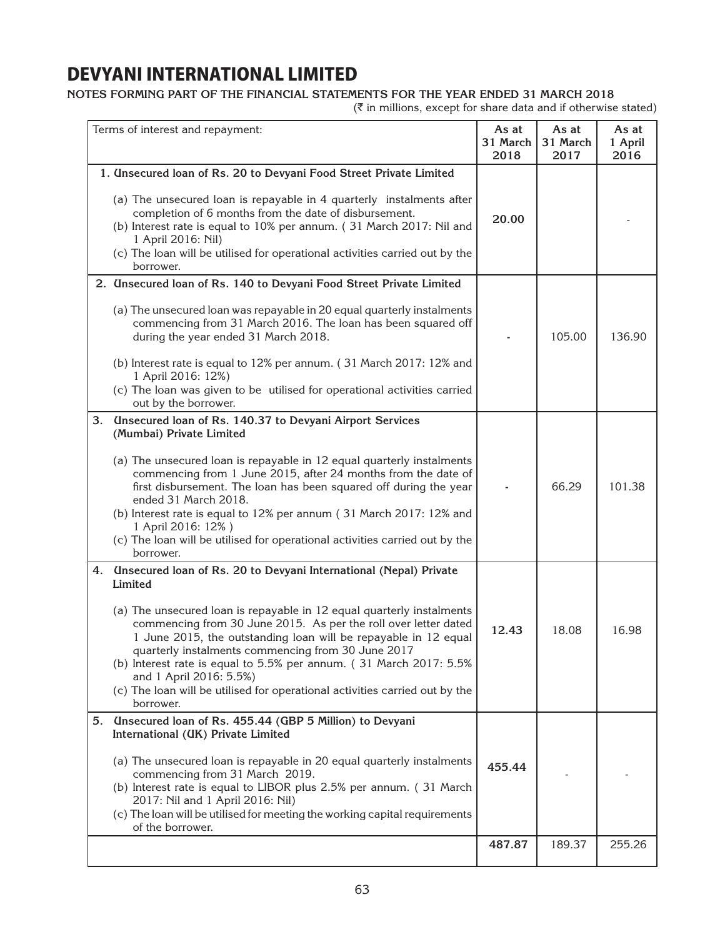### **Notes forming part of the financial statements for the year ended 31 March 2018**

 $(\bar{\tau}$  in millions, except for share data and if otherwise stated)

| Terms of interest and repayment:                                                                                                                                                                                                                                                                                                                                                                                                                                                                                                                            | As at<br>31 March<br>2018 | As at<br>31 March<br>2017 | As at<br>1 April<br>2016 |
|-------------------------------------------------------------------------------------------------------------------------------------------------------------------------------------------------------------------------------------------------------------------------------------------------------------------------------------------------------------------------------------------------------------------------------------------------------------------------------------------------------------------------------------------------------------|---------------------------|---------------------------|--------------------------|
| 1. Unsecured loan of Rs. 20 to Devyani Food Street Private Limited                                                                                                                                                                                                                                                                                                                                                                                                                                                                                          |                           |                           |                          |
| (a) The unsecured loan is repayable in 4 quarterly instalments after<br>completion of 6 months from the date of disbursement.<br>(b) Interest rate is equal to 10% per annum. (31 March 2017: Nil and<br>1 April 2016: Nil)<br>(c) The loan will be utilised for operational activities carried out by the<br>borrower.                                                                                                                                                                                                                                     | 20.00                     |                           |                          |
| 2. Unsecured loan of Rs. 140 to Devyani Food Street Private Limited                                                                                                                                                                                                                                                                                                                                                                                                                                                                                         |                           |                           |                          |
| (a) The unsecured loan was repayable in 20 equal quarterly instalments<br>commencing from 31 March 2016. The loan has been squared off<br>during the year ended 31 March 2018.<br>(b) Interest rate is equal to 12% per annum. (31 March 2017: 12% and                                                                                                                                                                                                                                                                                                      |                           | 105.00                    | 136.90                   |
| 1 April 2016: 12%)<br>(c) The loan was given to be utilised for operational activities carried<br>out by the borrower.                                                                                                                                                                                                                                                                                                                                                                                                                                      |                           |                           |                          |
| <b>Unsecured loan of Rs. 140.37 to Devyani Airport Services</b><br>3.<br>(Mumbai) Private Limited                                                                                                                                                                                                                                                                                                                                                                                                                                                           |                           |                           |                          |
| (a) The unsecured loan is repayable in 12 equal quarterly instalments<br>commencing from 1 June 2015, after 24 months from the date of<br>first disbursement. The loan has been squared off during the year<br>ended 31 March 2018.<br>(b) Interest rate is equal to 12% per annum (31 March 2017: 12% and<br>1 April 2016: 12%)<br>(c) The loan will be utilised for operational activities carried out by the<br>borrower.                                                                                                                                |                           | 66.29                     | 101.38                   |
| <b>Unsecured loan of Rs. 20 to Devyani International (Nepal) Private</b><br>4.<br>Limited<br>(a) The unsecured loan is repayable in 12 equal quarterly instalments<br>commencing from 30 June 2015. As per the roll over letter dated<br>1 June 2015, the outstanding loan will be repayable in 12 equal<br>quarterly instalments commencing from 30 June 2017<br>(b) Interest rate is equal to 5.5% per annum. (31 March 2017: 5.5%<br>and 1 April 2016: 5.5%)<br>(c) The loan will be utilised for operational activities carried out by the<br>borrower. | 12.43                     | 18.08                     | 16.98                    |
| 5. Unsecured loan of Rs. 455.44 (GBP 5 Million) to Devyani                                                                                                                                                                                                                                                                                                                                                                                                                                                                                                  |                           |                           |                          |
| International (UK) Private Limited<br>(a) The unsecured loan is repayable in 20 equal quarterly instalments<br>commencing from 31 March 2019.<br>(b) Interest rate is equal to LIBOR plus 2.5% per annum. (31 March<br>2017: Nil and 1 April 2016: Nil)<br>(c) The loan will be utilised for meeting the working capital requirements<br>of the borrower.                                                                                                                                                                                                   | 455.44                    |                           |                          |
|                                                                                                                                                                                                                                                                                                                                                                                                                                                                                                                                                             | 487.87                    | 189.37                    | 255.26                   |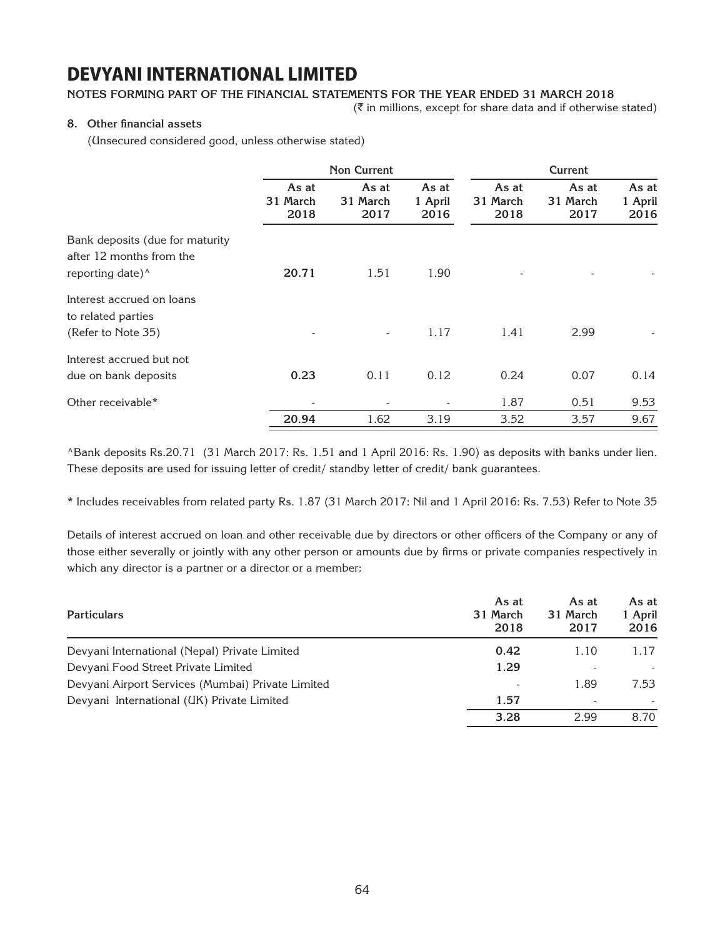### **Notes forming part of the financial statements for the year ended 31 March 2018**

 $(\bar{\bar{\mathbf{x}}}$  in millions, except for share data and if otherwise stated)

### **8. Other financial assets**

(Unsecured considered good, unless otherwise stated)

|                                 |                           | <b>Non Current</b>        |                          |                           | Current                   |                          |
|---------------------------------|---------------------------|---------------------------|--------------------------|---------------------------|---------------------------|--------------------------|
|                                 | As at<br>31 March<br>2018 | As at<br>31 March<br>2017 | As at<br>1 April<br>2016 | As at<br>31 March<br>2018 | As at<br>31 March<br>2017 | As at<br>1 April<br>2016 |
| Bank deposits (due for maturity |                           |                           |                          |                           |                           |                          |
| after 12 months from the        |                           |                           |                          |                           |                           |                          |
| reporting date) <sup>^</sup>    | 20.71                     | 1.51                      | 1.90                     |                           |                           |                          |
| Interest accrued on loans       |                           |                           |                          |                           |                           |                          |
| to related parties              |                           |                           |                          |                           |                           |                          |
| (Refer to Note 35)              |                           | $\overline{\phantom{a}}$  | 1.17                     | 1.41                      | 2.99                      |                          |
| Interest accrued but not        |                           |                           |                          |                           |                           |                          |
| due on bank deposits            | 0.23                      | 0.11                      | 0.12                     | 0.24                      | 0.07                      | 0.14                     |
| Other receivable*               |                           |                           |                          | 1.87                      | 0.51                      | 9.53                     |
|                                 | 20.94                     | 1.62                      | 3.19                     | 3.52                      | 3.57                      | 9.67                     |

^Bank deposits Rs.20.71 (31 March 2017: Rs. 1.51 and 1 April 2016: Rs. 1.90) as deposits with banks under lien. These deposits are used for issuing letter of credit/ standby letter of credit/ bank guarantees.

\* Includes receivables from related party Rs. 1.87 (31 March 2017: Nil and 1 April 2016: Rs. 7.53) Refer to Note 35

Details of interest accrued on loan and other receivable due by directors or other officers of the Company or any of those either severally or jointly with any other person or amounts due by firms or private companies respectively in which any director is a partner or a director or a member:

| <b>Particulars</b>                                | As at<br>31 March<br>2018 | As at<br>31 March<br>2017 | As at<br>1 April<br>2016 |
|---------------------------------------------------|---------------------------|---------------------------|--------------------------|
| Devyani International (Nepal) Private Limited     | 0.42                      | 1.10                      | 1.17                     |
| Devyani Food Street Private Limited               | 1.29                      | ٠                         |                          |
| Devyani Airport Services (Mumbai) Private Limited |                           | 1.89                      | 7.53                     |
| Devyani International (UK) Private Limited        | 1.57                      | ٠                         |                          |
|                                                   | 3.28                      | 2.99                      | 8.70                     |
|                                                   |                           |                           |                          |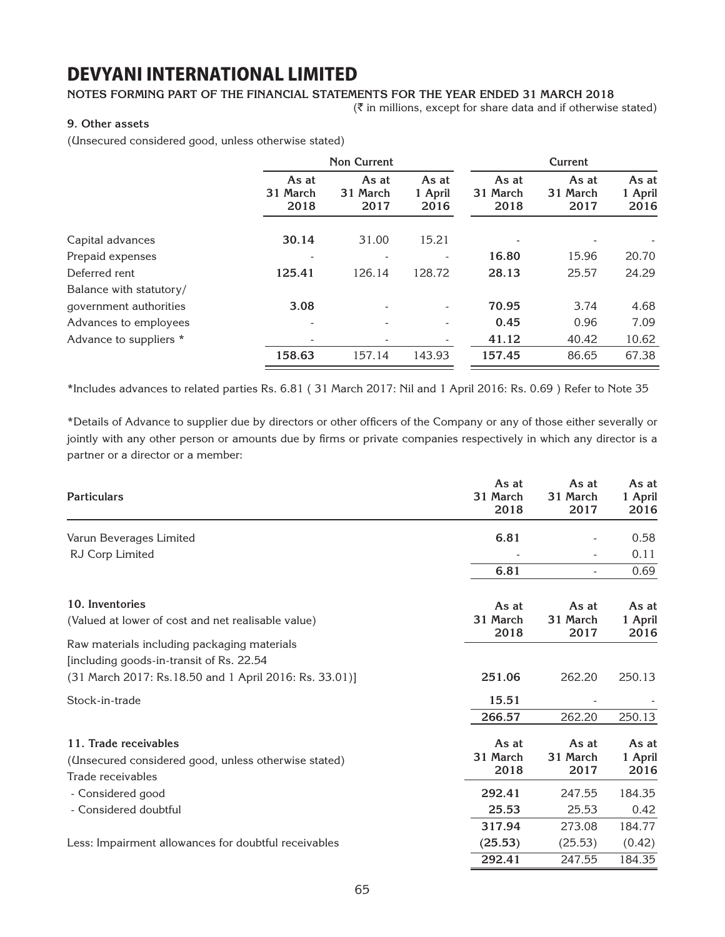### **Notes forming part of the financial statements for the year ended 31 March 2018**

 $(\bar{\bar{\zeta}})$  in millions, except for share data and if otherwise stated)

### **9. Other assets**

(Unsecured considered good, unless otherwise stated)

|                         | <b>Non Current</b>        |                           |                          |                           | Current                   |                          |
|-------------------------|---------------------------|---------------------------|--------------------------|---------------------------|---------------------------|--------------------------|
|                         | As at<br>31 March<br>2018 | As at<br>31 March<br>2017 | As at<br>1 April<br>2016 | As at<br>31 March<br>2018 | As at<br>31 March<br>2017 | As at<br>1 April<br>2016 |
| Capital advances        | 30.14                     | 31.00                     | 15.21                    |                           |                           |                          |
| Prepaid expenses        |                           |                           |                          | 16.80                     | 15.96                     | 20.70                    |
| Deferred rent           | 125.41                    | 126.14                    | 128.72                   | 28.13                     | 25.57                     | 24.29                    |
| Balance with statutory/ |                           |                           |                          |                           |                           |                          |
| government authorities  | 3.08                      |                           |                          | 70.95                     | 3.74                      | 4.68                     |
| Advances to employees   | $\overline{\phantom{0}}$  |                           |                          | 0.45                      | 0.96                      | 7.09                     |
| Advance to suppliers *  | ۰                         | -                         |                          | 41.12                     | 40.42                     | 10.62                    |
|                         | 158.63                    | 157.14                    | 143.93                   | 157.45                    | 86.65                     | 67.38                    |

\*Includes advances to related parties Rs. 6.81 ( 31 March 2017: Nil and 1 April 2016: Rs. 0.69 ) Refer to Note 35

\*Details of Advance to supplier due by directors or other officers of the Company or any of those either severally or jointly with any other person or amounts due by firms or private companies respectively in which any director is a partner or a director or a member:

| <b>Particulars</b>                                                                                                                                 | As at<br>31 March<br>2018 | As at<br>31 March<br>2017 | As at<br>1 April<br>2016 |
|----------------------------------------------------------------------------------------------------------------------------------------------------|---------------------------|---------------------------|--------------------------|
| Varun Beverages Limited                                                                                                                            | 6.81                      |                           | 0.58                     |
| RJ Corp Limited                                                                                                                                    |                           | $\overline{\phantom{a}}$  | 0.11                     |
|                                                                                                                                                    | 6.81                      | $\overline{a}$            | 0.69                     |
| 10. Inventories<br>(Valued at lower of cost and net realisable value)                                                                              | As at<br>31 March<br>2018 | As at<br>31 March<br>2017 | As at<br>1 April<br>2016 |
| Raw materials including packaging materials<br>[including goods-in-transit of Rs. 22.54]<br>(31 March 2017: Rs.18.50 and 1 April 2016: Rs. 33.01)] | 251.06                    | 262.20                    | 250.13                   |
| Stock-in-trade                                                                                                                                     | 15.51                     |                           |                          |
|                                                                                                                                                    | 266.57                    | 262.20                    | 250.13                   |
| 11. Trade receivables<br>(Unsecured considered good, unless otherwise stated)                                                                      | As at<br>31 March<br>2018 | As at<br>31 March<br>2017 | As at<br>1 April<br>2016 |
|                                                                                                                                                    | 292.41                    | 247.55                    | 184.35                   |
| - Considered doubtful                                                                                                                              | 25.53                     | 25.53                     | 0.42                     |
|                                                                                                                                                    | 317.94                    | 273.08                    | 184.77                   |
| Trade receivables<br>- Considered good<br>Less: Impairment allowances for doubtful receivables                                                     | (25.53)                   | (25.53)                   | (0.42)                   |
|                                                                                                                                                    | 292.41                    | 247.55                    | 184.35                   |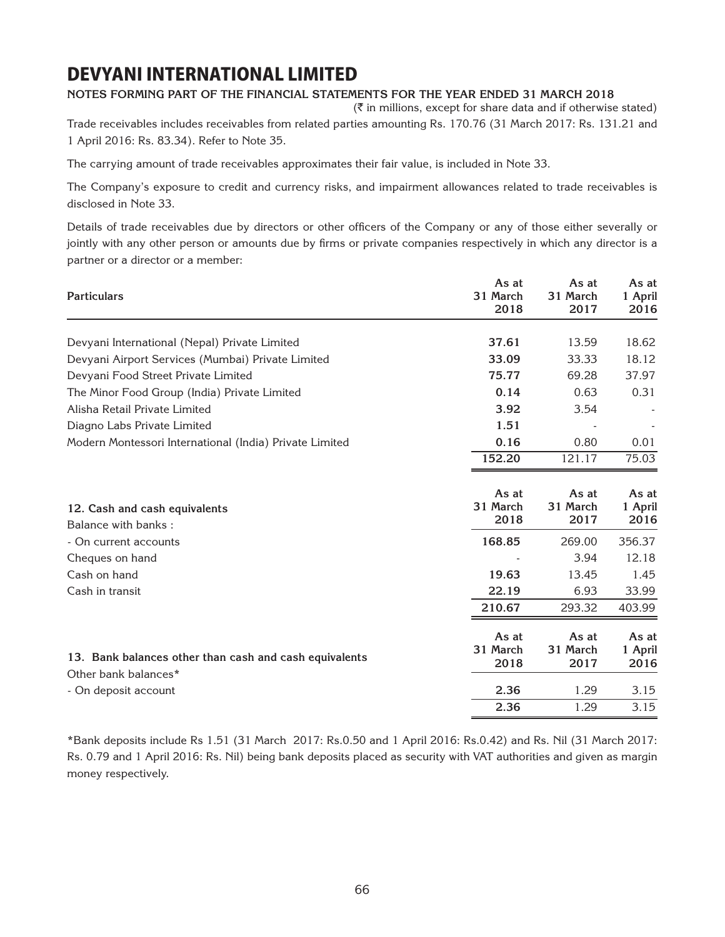### **Notes forming part of the financial statements for the year ended 31 March 2018**

 $(\bar{\bar{\mathbf{x}}}$  in millions, except for share data and if otherwise stated)

Trade receivables includes receivables from related parties amounting Rs. 170.76 (31 March 2017: Rs. 131.21 and 1 April 2016: Rs. 83.34). Refer to Note 35.

The carrying amount of trade receivables approximates their fair value, is included in Note 33.

The Company's exposure to credit and currency risks, and impairment allowances related to trade receivables is disclosed in Note 33.

Details of trade receivables due by directors or other officers of the Company or any of those either severally or jointly with any other person or amounts due by firms or private companies respectively in which any director is a partner or a director or a member:

| <b>Particulars</b>                                                             | As at<br>31 March<br>2018 | As at<br>31 March<br>2017 | As at<br>1 April<br>2016 |
|--------------------------------------------------------------------------------|---------------------------|---------------------------|--------------------------|
| Devyani International (Nepal) Private Limited                                  | 37.61                     | 13.59                     | 18.62                    |
| Devyani Airport Services (Mumbai) Private Limited                              | 33.09                     | 33.33                     | 18.12                    |
| Devyani Food Street Private Limited                                            | 75.77                     | 69.28                     | 37.97                    |
| The Minor Food Group (India) Private Limited                                   | 0.14                      | 0.63                      | 0.31                     |
| Alisha Retail Private Limited                                                  | 3.92                      | 3.54                      |                          |
| Diagno Labs Private Limited                                                    | 1.51                      |                           |                          |
| Modern Montessori International (India) Private Limited                        | 0.16                      | 0.80                      | 0.01                     |
|                                                                                | 152.20                    | 121.17                    | 75.03                    |
| 12. Cash and cash equivalents<br>Balance with banks:                           | As at<br>31 March<br>2018 | As at<br>31 March<br>2017 | As at<br>1 April<br>2016 |
| - On current accounts                                                          | 168.85                    | 269.00                    | 356.37                   |
| Cheques on hand                                                                |                           | 3.94                      | 12.18                    |
| Cash on hand                                                                   | 19.63                     | 13.45                     | 1.45                     |
| Cash in transit                                                                | 22.19                     | 6.93                      | 33.99                    |
|                                                                                | 210.67                    | 293.32                    | 403.99                   |
| 13. Bank balances other than cash and cash equivalents<br>Other bank balances* | As at<br>31 March<br>2018 | As at<br>31 March<br>2017 | As at<br>1 April<br>2016 |
| - On deposit account                                                           | 2.36                      | 1.29                      | 3.15                     |
|                                                                                | 2.36                      | 1.29                      | 3.15                     |

\*Bank deposits include Rs 1.51 (31 March 2017: Rs.0.50 and 1 April 2016: Rs.0.42) and Rs. Nil (31 March 2017: Rs. 0.79 and 1 April 2016: Rs. Nil) being bank deposits placed as security with VAT authorities and given as margin money respectively.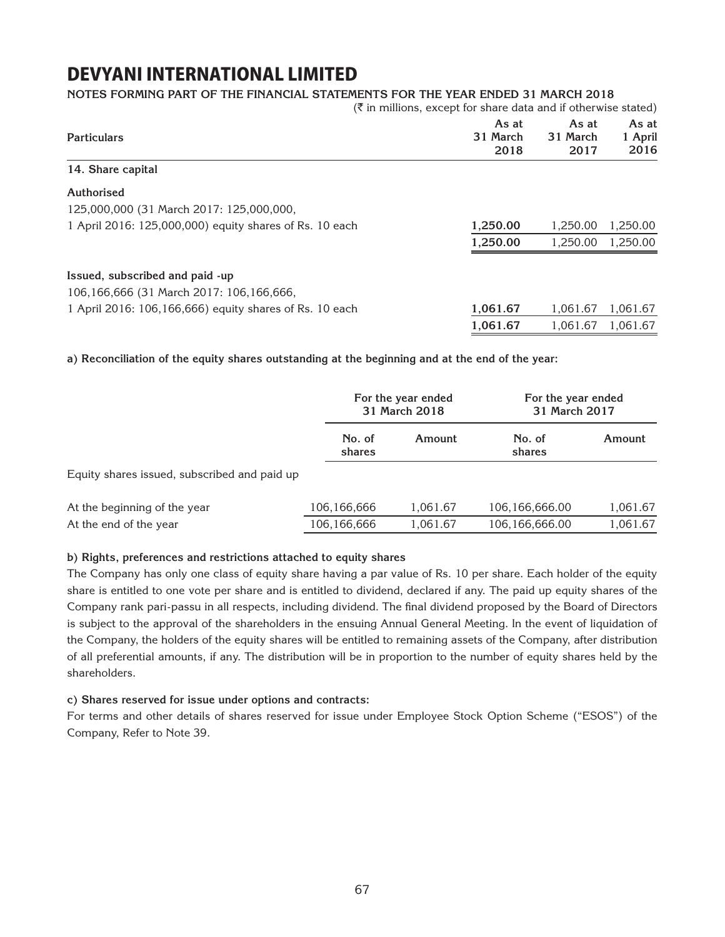### **Notes forming part of the financial statements for the year ended 31 March 2018**

|                                                         |                           | $(\bar{\tau})$ in millions, except for share data and if otherwise stated) |                          |  |
|---------------------------------------------------------|---------------------------|----------------------------------------------------------------------------|--------------------------|--|
| <b>Particulars</b>                                      | As at<br>31 March<br>2018 | As at<br>31 March<br>2017                                                  | As at<br>1 April<br>2016 |  |
| 14. Share capital                                       |                           |                                                                            |                          |  |
| Authorised                                              |                           |                                                                            |                          |  |
| 125,000,000 (31 March 2017: 125,000,000,                |                           |                                                                            |                          |  |
| 1 April 2016: 125,000,000) equity shares of Rs. 10 each | 1,250.00                  | 1.250.00                                                                   | 1,250.00                 |  |
|                                                         | 1,250.00                  | 1,250.00                                                                   | 1,250.00                 |  |
| Issued, subscribed and paid -up                         |                           |                                                                            |                          |  |
| 106,166,666 (31 March 2017: 106,166,666,                |                           |                                                                            |                          |  |
| 1 April 2016: 106,166,666) equity shares of Rs. 10 each | 1,061.67                  | 1,061.67                                                                   | 1,061.67                 |  |
|                                                         | 1,061.67                  | 1,061.67                                                                   | 1.061.67                 |  |

**a) Reconciliation of the equity shares outstanding at the beginning and at the end of the year:**

|                                              |                  | For the year ended<br>31 March 2018 | For the year ended<br>31 March 2017 |          |
|----------------------------------------------|------------------|-------------------------------------|-------------------------------------|----------|
|                                              | No. of<br>shares | Amount                              | No. of<br>shares                    | Amount   |
| Equity shares issued, subscribed and paid up |                  |                                     |                                     |          |
| At the beginning of the year                 | 106,166,666      | 1,061.67                            | 106,166,666.00                      | 1,061.67 |
| At the end of the year                       | 106,166,666      | 1,061.67                            | 106,166,666.00                      | 1,061.67 |

### **b) Rights, preferences and restrictions attached to equity shares**

The Company has only one class of equity share having a par value of Rs. 10 per share. Each holder of the equity share is entitled to one vote per share and is entitled to dividend, declared if any. The paid up equity shares of the Company rank pari-passu in all respects, including dividend. The final dividend proposed by the Board of Directors is subject to the approval of the shareholders in the ensuing Annual General Meeting. In the event of liquidation of the Company, the holders of the equity shares will be entitled to remaining assets of the Company, after distribution of all preferential amounts, if any. The distribution will be in proportion to the number of equity shares held by the shareholders.

### **c) Shares reserved for issue under options and contracts:**

For terms and other details of shares reserved for issue under Employee Stock Option Scheme ("ESOS") of the Company, Refer to Note 39.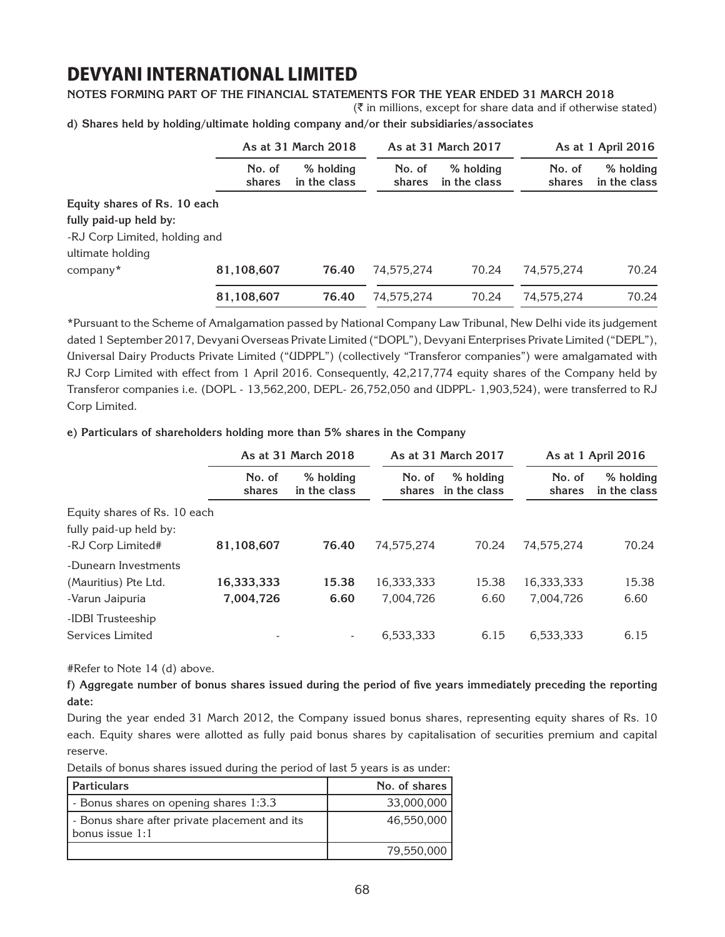### **Notes forming part of the financial statements for the year ended 31 March 2018**

 $(\bar{\bar{\zeta}})$  in millions, except for share data and if otherwise stated)

**d) Shares held by holding/ultimate holding company and/or their subsidiaries/associates**

|                               |                  | As at 31 March 2018       |                  | As at 31 March 2017       | As at 1 April 2016 |                           |
|-------------------------------|------------------|---------------------------|------------------|---------------------------|--------------------|---------------------------|
|                               | No. of<br>shares | % holding<br>in the class | No. of<br>shares | % holding<br>in the class | No. of<br>shares   | % holding<br>in the class |
| Equity shares of Rs. 10 each  |                  |                           |                  |                           |                    |                           |
| fully paid-up held by:        |                  |                           |                  |                           |                    |                           |
| -RJ Corp Limited, holding and |                  |                           |                  |                           |                    |                           |
| ultimate holding              |                  |                           |                  |                           |                    |                           |
| company*                      | 81,108,607       | 76.40                     | 74,575,274       | 70.24                     | 74,575,274         | 70.24                     |
|                               | 81,108,607       | 76.40                     | 74,575,274       | 70.24                     | 74,575,274         | 70.24                     |

\*Pursuant to the Scheme of Amalgamation passed by National Company Law Tribunal, New Delhi vide its judgement dated 1 September 2017, Devyani Overseas Private Limited ("DOPL"), Devyani Enterprises Private Limited ("DEPL"), Universal Dairy Products Private Limited ("UDPPL") (collectively "Transferor companies") were amalgamated with RJ Corp Limited with effect from 1 April 2016. Consequently, 42,217,774 equity shares of the Company held by Transferor companies i.e. (DOPL - 13,562,200, DEPL- 26,752,050 and UDPPL- 1,903,524), were transferred to RJ Corp Limited.

### **e) Particulars of shareholders holding more than 5% shares in the Company**

|                                       | As at 31 March 2018 |                           |                  | As at 31 March 2017       |                  | As at 1 April 2016        |  |
|---------------------------------------|---------------------|---------------------------|------------------|---------------------------|------------------|---------------------------|--|
|                                       | No. of<br>shares    | % holding<br>in the class | No. of<br>shares | % holding<br>in the class | No. of<br>shares | % holding<br>in the class |  |
| Equity shares of Rs. 10 each          |                     |                           |                  |                           |                  |                           |  |
| fully paid-up held by:                |                     |                           |                  |                           |                  |                           |  |
| -RJ Corp Limited#                     | 81,108,607          | 76.40                     | 74.575.274       | 70.24                     | 74.575.274       | 70.24                     |  |
| -Dunearn Investments                  |                     |                           |                  |                           |                  |                           |  |
| (Mauritius) Pte Ltd.                  | 16,333,333          | 15.38                     | 16,333,333       | 15.38                     | 16,333,333       | 15.38                     |  |
| -Varun Jaipuria                       | 7,004,726           | 6.60                      | 7,004,726        | 6.60                      | 7,004,726        | 6.60                      |  |
| -IDBI Trusteeship<br>Services Limited |                     | ۰                         | 6,533,333        | 6.15                      | 6,533,333        | 6.15                      |  |

#Refer to Note 14 (d) above.

**f) Aggregate number of bonus shares issued during the period of five years immediately preceding the reporting date:**

During the year ended 31 March 2012, the Company issued bonus shares, representing equity shares of Rs. 10 each. Equity shares were allotted as fully paid bonus shares by capitalisation of securities premium and capital reserve.

Details of bonus shares issued during the period of last 5 years is as under:

| <b>Particulars</b>                                               | No. of shares |
|------------------------------------------------------------------|---------------|
| - Bonus shares on opening shares 1:3.3                           | 33,000,000    |
| - Bonus share after private placement and its<br>bonus issue 1:1 | 46,550,000    |
|                                                                  | 79,550,000    |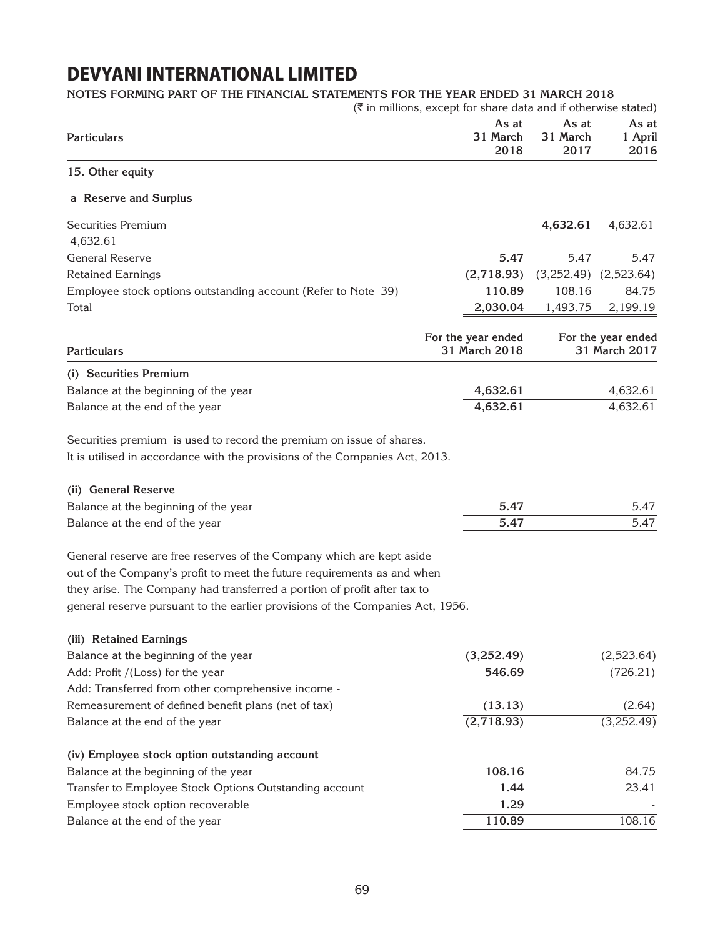### **Notes forming part of the financial statements for the year ended 31 March 2018**

|                                                                                                                                                      | $(\bar{\bar{\zeta}})$ in millions, except for share data and if otherwise stated) |                           |                          |  |  |
|------------------------------------------------------------------------------------------------------------------------------------------------------|-----------------------------------------------------------------------------------|---------------------------|--------------------------|--|--|
| <b>Particulars</b>                                                                                                                                   | As at<br>31 March<br>2018                                                         | As at<br>31 March<br>2017 | As at<br>1 April<br>2016 |  |  |
| 15. Other equity                                                                                                                                     |                                                                                   |                           |                          |  |  |
| a Reserve and Surplus                                                                                                                                |                                                                                   |                           |                          |  |  |
| <b>Securities Premium</b>                                                                                                                            |                                                                                   | 4,632.61                  | 4,632.61                 |  |  |
| 4,632.61                                                                                                                                             |                                                                                   |                           |                          |  |  |
| <b>General Reserve</b>                                                                                                                               | 5.47                                                                              | 5.47                      | 5.47                     |  |  |
| <b>Retained Earnings</b>                                                                                                                             | (2,718.93)                                                                        | (3,252.49)                | (2,523.64)               |  |  |
| Employee stock options outstanding account (Refer to Note 39)                                                                                        | 110.89                                                                            | 108.16                    | 84.75                    |  |  |
| Total                                                                                                                                                | 2,030.04                                                                          | 1,493.75                  | 2,199.19                 |  |  |
|                                                                                                                                                      | For the year ended                                                                |                           | For the year ended       |  |  |
| <b>Particulars</b>                                                                                                                                   | 31 March 2018                                                                     |                           | 31 March 2017            |  |  |
| (i) Securities Premium                                                                                                                               |                                                                                   |                           |                          |  |  |
| Balance at the beginning of the year                                                                                                                 | 4,632.61                                                                          |                           | 4,632.61                 |  |  |
| Balance at the end of the year                                                                                                                       | 4,632.61                                                                          |                           | 4,632.61                 |  |  |
| Securities premium is used to record the premium on issue of shares.<br>It is utilised in accordance with the provisions of the Companies Act, 2013. |                                                                                   |                           |                          |  |  |
| (ii) General Reserve                                                                                                                                 |                                                                                   |                           |                          |  |  |
| Balance at the beginning of the year                                                                                                                 | 5.47                                                                              |                           | 5.47                     |  |  |
| Balance at the end of the year                                                                                                                       | 5.47                                                                              |                           | 5.47                     |  |  |
| General reserve are free reserves of the Company which are kept aside                                                                                |                                                                                   |                           |                          |  |  |
| out of the Company's profit to meet the future requirements as and when                                                                              |                                                                                   |                           |                          |  |  |
| they arise. The Company had transferred a portion of profit after tax to                                                                             |                                                                                   |                           |                          |  |  |
| general reserve pursuant to the earlier provisions of the Companies Act, 1956.                                                                       |                                                                                   |                           |                          |  |  |
| (iii) Retained Earnings                                                                                                                              |                                                                                   |                           |                          |  |  |
| Balance at the beginning of the year                                                                                                                 | (3,252.49)                                                                        |                           | (2,523.64)               |  |  |
| Add: Profit /(Loss) for the year                                                                                                                     | 546.69                                                                            |                           | (726.21)                 |  |  |
| Add: Transferred from other comprehensive income -                                                                                                   |                                                                                   |                           |                          |  |  |
| Remeasurement of defined benefit plans (net of tax)                                                                                                  | (13.13)                                                                           |                           | (2.64)                   |  |  |
| Balance at the end of the year                                                                                                                       | (2,718.93)                                                                        |                           | (3,252.49)               |  |  |
|                                                                                                                                                      |                                                                                   |                           |                          |  |  |
| (iv) Employee stock option outstanding account                                                                                                       |                                                                                   |                           |                          |  |  |
| Balance at the beginning of the year                                                                                                                 | 108.16                                                                            |                           | 84.75                    |  |  |
| Transfer to Employee Stock Options Outstanding account                                                                                               | 1.44                                                                              |                           | 23.41                    |  |  |
| Employee stock option recoverable                                                                                                                    | 1.29                                                                              |                           |                          |  |  |
| Balance at the end of the year                                                                                                                       | 110.89                                                                            |                           | 108.16                   |  |  |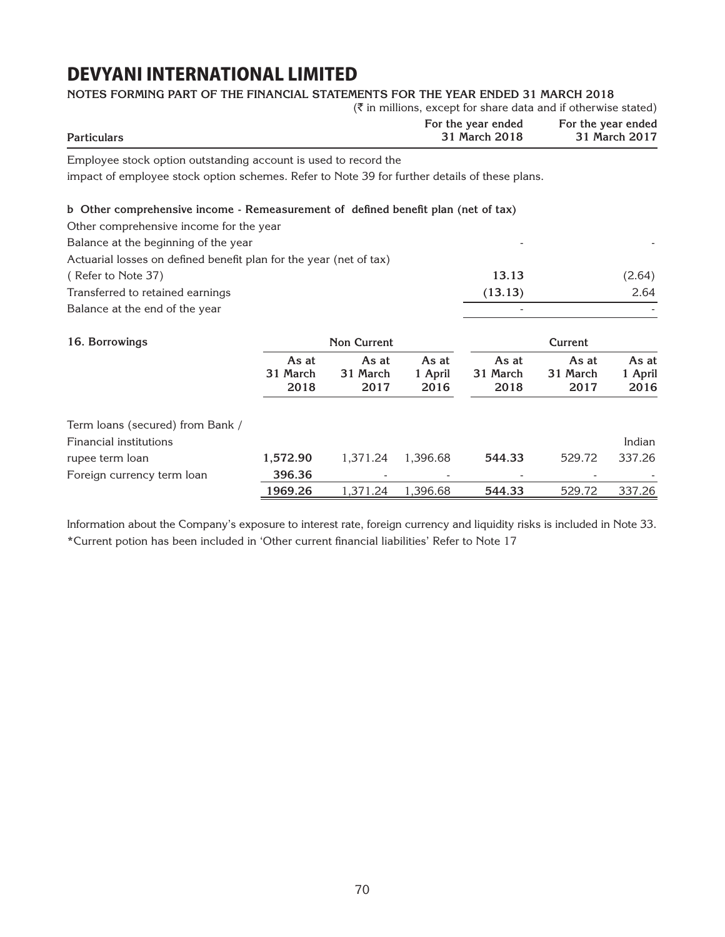| NOTES FORMING PART OF THE FINANCIAL STATEMENTS FOR THE YEAR ENDED 31 MARCH 2018<br>$(\overline{\xi})$ in millions, except for share data and if otherwise stated) |                                     |                           |                                     |                           |                           |                          |  |
|-------------------------------------------------------------------------------------------------------------------------------------------------------------------|-------------------------------------|---------------------------|-------------------------------------|---------------------------|---------------------------|--------------------------|--|
| <b>Particulars</b>                                                                                                                                                | For the year ended<br>31 March 2018 |                           | For the year ended<br>31 March 2017 |                           |                           |                          |  |
| Employee stock option outstanding account is used to record the                                                                                                   |                                     |                           |                                     |                           |                           |                          |  |
| impact of employee stock option schemes. Refer to Note 39 for further details of these plans.                                                                     |                                     |                           |                                     |                           |                           |                          |  |
| b Other comprehensive income - Remeasurement of defined benefit plan (net of tax)                                                                                 |                                     |                           |                                     |                           |                           |                          |  |
| Other comprehensive income for the year                                                                                                                           |                                     |                           |                                     |                           |                           |                          |  |
| Balance at the beginning of the year                                                                                                                              |                                     |                           |                                     |                           |                           |                          |  |
| Actuarial losses on defined benefit plan for the year (net of tax)                                                                                                |                                     |                           |                                     |                           |                           |                          |  |
| (Refer to Note 37)                                                                                                                                                |                                     |                           |                                     | 13.13                     |                           | (2.64)                   |  |
| Transferred to retained earnings                                                                                                                                  |                                     |                           |                                     | (13.13)                   |                           | 2.64                     |  |
| Balance at the end of the year                                                                                                                                    |                                     |                           |                                     |                           |                           |                          |  |
| 16. Borrowings                                                                                                                                                    |                                     | <b>Non Current</b>        |                                     |                           | <b>Current</b>            |                          |  |
|                                                                                                                                                                   | As at<br>31 March<br>2018           | As at<br>31 March<br>2017 | As at<br>1 April<br>2016            | As at<br>31 March<br>2018 | As at<br>31 March<br>2017 | As at<br>1 April<br>2016 |  |
| Term loans (secured) from Bank /                                                                                                                                  |                                     |                           |                                     |                           |                           |                          |  |
| <b>Financial institutions</b>                                                                                                                                     |                                     |                           |                                     |                           |                           | Indian                   |  |
| rupee term loan                                                                                                                                                   | 1,572.90                            | 1,371.24                  | 1,396.68                            | 544.33                    | 529.72                    | 337.26                   |  |
| Foreign currency term loan                                                                                                                                        | 396.36                              |                           |                                     |                           |                           |                          |  |
|                                                                                                                                                                   | 1969.26                             | 1,371.24                  | 1,396.68                            | 544.33                    | 529.72                    | 337.26                   |  |

Information about the Company's exposure to interest rate, foreign currency and liquidity risks is included in Note 33. \*Current potion has been included in 'Other current financial liabilities' Refer to Note 17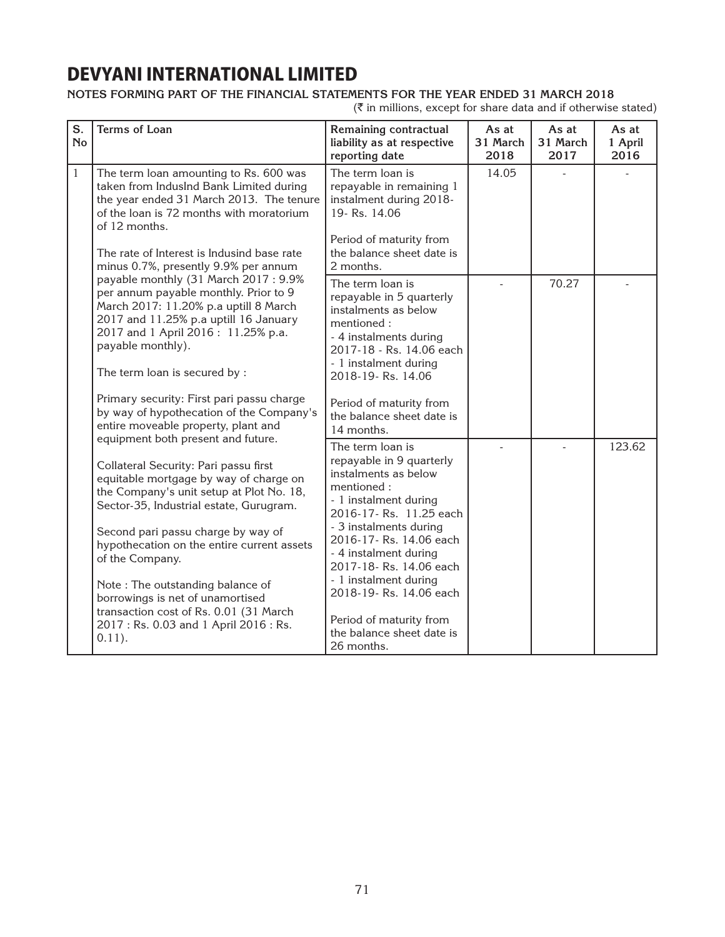### **Notes forming part of the financial statements for the year ended 31 March 2018**

 $(\bar{\tau}$  in millions, except for share data and if otherwise stated)

| S.<br>No     | <b>Terms of Loan</b>                                                                                                                                                                                                                                                                                                                                                                                                                                                                       | Remaining contractual<br>liability as at respective<br>reporting date                                                                                                                                                                                                                                                                                                 | As at<br>31 March<br>2018 | As at<br>31 March<br>2017 | As at<br>1 April<br>2016 |
|--------------|--------------------------------------------------------------------------------------------------------------------------------------------------------------------------------------------------------------------------------------------------------------------------------------------------------------------------------------------------------------------------------------------------------------------------------------------------------------------------------------------|-----------------------------------------------------------------------------------------------------------------------------------------------------------------------------------------------------------------------------------------------------------------------------------------------------------------------------------------------------------------------|---------------------------|---------------------------|--------------------------|
| $\mathbf{1}$ | The term loan amounting to Rs. 600 was<br>taken from IndusInd Bank Limited during<br>the year ended 31 March 2013. The tenure<br>of the loan is 72 months with moratorium<br>of 12 months.<br>The rate of Interest is Indusind base rate<br>minus 0.7%, presently 9.9% per annum                                                                                                                                                                                                           | The term loan is<br>repayable in remaining 1<br>instalment during 2018-<br>19- Rs. 14.06<br>Period of maturity from<br>the balance sheet date is<br>2 months.                                                                                                                                                                                                         | 14.05                     |                           |                          |
|              | payable monthly (31 March 2017: 9.9%<br>per annum payable monthly. Prior to 9<br>March 2017: 11.20% p.a uptill 8 March<br>2017 and 11.25% p.a uptill 16 January<br>2017 and 1 April 2016: 11.25% p.a.<br>payable monthly).<br>The term loan is secured by :<br>Primary security: First pari passu charge<br>by way of hypothecation of the Company's<br>entire moveable property, plant and                                                                                                | The term loan is<br>repayable in 5 quarterly<br>instalments as below<br>mentioned:<br>- 4 instalments during<br>2017-18 - Rs. 14.06 each<br>- 1 instalment during<br>2018-19-Rs. 14.06<br>Period of maturity from<br>the balance sheet date is<br>14 months.                                                                                                          |                           | 70.27                     |                          |
|              | equipment both present and future.<br>Collateral Security: Pari passu first<br>equitable mortgage by way of charge on<br>the Company's unit setup at Plot No. 18,<br>Sector-35, Industrial estate, Gurugram.<br>Second pari passu charge by way of<br>hypothecation on the entire current assets<br>of the Company.<br>Note: The outstanding balance of<br>borrowings is net of unamortised<br>transaction cost of Rs. 0.01 (31 March<br>2017: Rs. 0.03 and 1 April 2016: Rs.<br>$0.11$ ). | The term loan is<br>repayable in 9 quarterly<br>instalments as below<br>mentioned:<br>- 1 instalment during<br>2016-17-Rs. 11.25 each<br>- 3 instalments during<br>2016-17-Rs. 14.06 each<br>- 4 instalment during<br>2017-18-Rs. 14.06 each<br>- 1 instalment during<br>2018-19-Rs. 14.06 each<br>Period of maturity from<br>the balance sheet date is<br>26 months. |                           |                           | 123.62                   |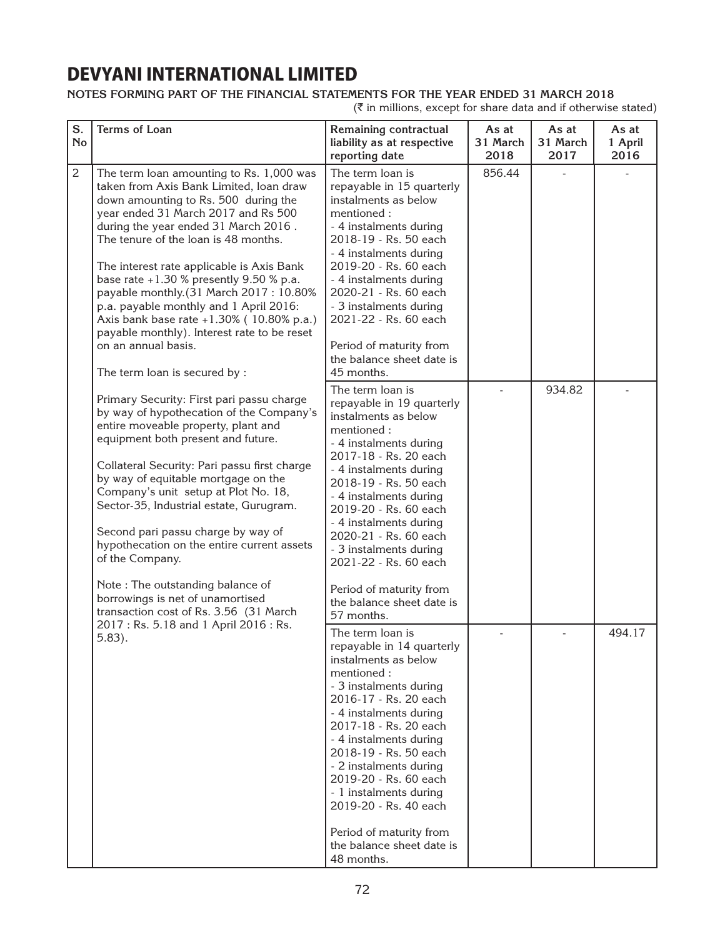### **Notes forming part of the financial statements for the year ended 31 March 2018**

 $(\bar{\tau}$  in millions, except for share data and if otherwise stated)

| S.<br><b>No</b> | <b>Terms of Loan</b>                                                                                                                                                                                                                                                                                                                                                                                                                                                                                                                                                              | Remaining contractual<br>liability as at respective<br>reporting date                                                                                                                                                                                                                                                                                                                                                    | As at<br>31 March<br>2018 | As at<br>31 March<br>2017 | As at<br>1 April<br>2016 |
|-----------------|-----------------------------------------------------------------------------------------------------------------------------------------------------------------------------------------------------------------------------------------------------------------------------------------------------------------------------------------------------------------------------------------------------------------------------------------------------------------------------------------------------------------------------------------------------------------------------------|--------------------------------------------------------------------------------------------------------------------------------------------------------------------------------------------------------------------------------------------------------------------------------------------------------------------------------------------------------------------------------------------------------------------------|---------------------------|---------------------------|--------------------------|
| $\overline{c}$  | The term loan amounting to Rs. 1,000 was<br>taken from Axis Bank Limited, loan draw<br>down amounting to Rs. 500 during the<br>year ended 31 March 2017 and Rs 500<br>during the year ended 31 March 2016.<br>The tenure of the loan is 48 months.<br>The interest rate applicable is Axis Bank<br>base rate +1.30 % presently 9.50 % p.a.<br>payable monthly.(31 March 2017: 10.80%<br>p.a. payable monthly and 1 April 2016:<br>Axis bank base rate +1.30% (10.80% p.a.)<br>payable monthly). Interest rate to be reset<br>on an annual basis.<br>The term loan is secured by : | The term loan is<br>repayable in 15 quarterly<br>instalments as below<br>mentioned:<br>- 4 instalments during<br>2018-19 - Rs. 50 each<br>- 4 instalments during<br>2019-20 - Rs. 60 each<br>- 4 instalments during<br>2020-21 - Rs. 60 each<br>- 3 instalments during<br>2021-22 - Rs. 60 each<br>Period of maturity from<br>the balance sheet date is<br>45 months.                                                    | 856.44                    |                           |                          |
|                 | Primary Security: First pari passu charge<br>by way of hypothecation of the Company's<br>entire moveable property, plant and<br>equipment both present and future.<br>Collateral Security: Pari passu first charge<br>by way of equitable mortgage on the<br>Company's unit setup at Plot No. 18,<br>Sector-35, Industrial estate, Gurugram.<br>Second pari passu charge by way of<br>hypothecation on the entire current assets<br>of the Company.<br>Note: The outstanding balance of<br>borrowings is net of unamortised<br>transaction cost of Rs. 3.56 (31 March             | The term loan is<br>repayable in 19 quarterly<br>instalments as below<br>mentioned:<br>- 4 instalments during<br>2017-18 - Rs. 20 each<br>- 4 instalments during<br>2018-19 - Rs. 50 each<br>- 4 instalments during<br>2019-20 - Rs. 60 each<br>- 4 instalments during<br>2020-21 - Rs. 60 each<br>- 3 instalments during<br>2021-22 - Rs. 60 each<br>Period of maturity from<br>the balance sheet date is<br>57 months. |                           | 934.82                    |                          |
|                 | 2017: Rs. 5.18 and 1 April 2016: Rs.<br>$5.83$ ).                                                                                                                                                                                                                                                                                                                                                                                                                                                                                                                                 | The term loan is<br>repayable in 14 quarterly<br>instalments as below<br>mentioned:<br>- 3 instalments during<br>2016-17 - Rs. 20 each<br>- 4 instalments during<br>2017-18 - Rs. 20 each<br>- 4 instalments during<br>2018-19 - Rs. 50 each<br>- 2 instalments during<br>2019-20 - Rs. 60 each<br>- 1 instalments during<br>2019-20 - Rs. 40 each<br>Period of maturity from<br>the balance sheet date is<br>48 months. |                           |                           | 494.17                   |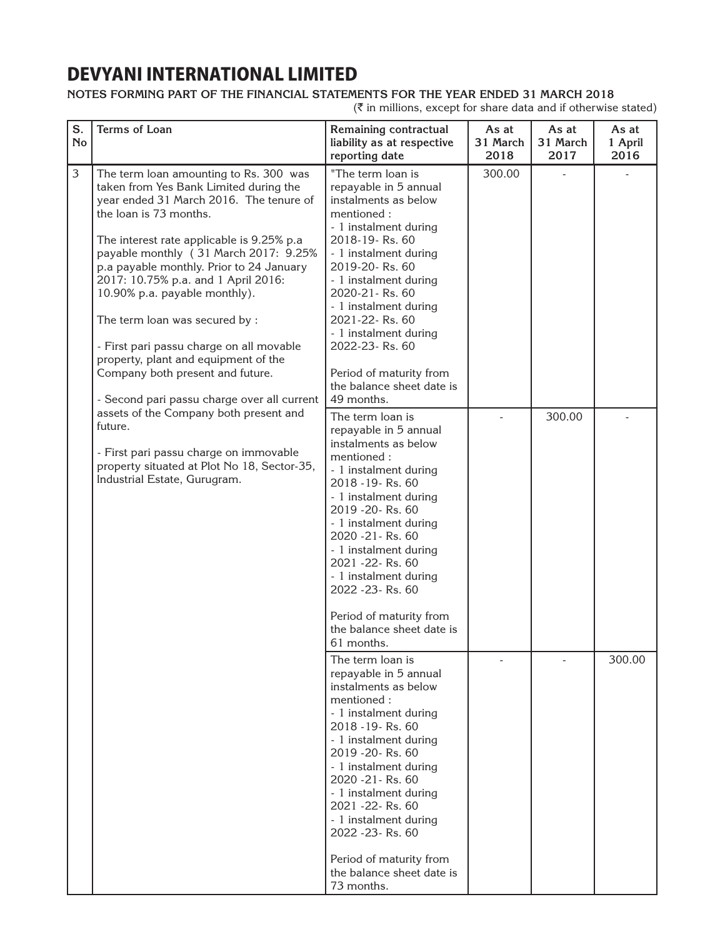### **Notes forming part of the financial statements for the year ended 31 March 2018**

| S.<br><b>No</b> | Terms of Loan                                                                                                                                                                                                                                                                                                                                                                                                                                                                                                                                                            | Remaining contractual<br>liability as at respective<br>reporting date                                                                                                                                                                                                                                                                                                                            | As at<br>31 March<br>2018 | As at<br>31 March<br>2017 | As at<br>1 April<br>2016 |
|-----------------|--------------------------------------------------------------------------------------------------------------------------------------------------------------------------------------------------------------------------------------------------------------------------------------------------------------------------------------------------------------------------------------------------------------------------------------------------------------------------------------------------------------------------------------------------------------------------|--------------------------------------------------------------------------------------------------------------------------------------------------------------------------------------------------------------------------------------------------------------------------------------------------------------------------------------------------------------------------------------------------|---------------------------|---------------------------|--------------------------|
| 3               | The term loan amounting to Rs. 300 was<br>taken from Yes Bank Limited during the<br>year ended 31 March 2016. The tenure of<br>the loan is 73 months.<br>The interest rate applicable is 9.25% p.a<br>payable monthly (31 March 2017: 9.25%<br>p.a payable monthly. Prior to 24 January<br>2017: 10.75% p.a. and 1 April 2016:<br>10.90% p.a. payable monthly).<br>The term loan was secured by :<br>- First pari passu charge on all movable<br>property, plant and equipment of the<br>Company both present and future.<br>- Second pari passu charge over all current | "The term loan is<br>repayable in 5 annual<br>instalments as below<br>mentioned:<br>- 1 instalment during<br>2018-19-Rs. 60<br>- 1 instalment during<br>2019-20-Rs. 60<br>- 1 instalment during<br>2020-21-Rs. 60<br>- 1 instalment during<br>2021-22-Rs. 60<br>- 1 instalment during<br>2022-23-Rs. 60<br>Period of maturity from<br>the balance sheet date is<br>49 months.                    | 300.00                    |                           |                          |
|                 | assets of the Company both present and<br>future.<br>- First pari passu charge on immovable<br>property situated at Plot No 18, Sector-35,<br>Industrial Estate, Gurugram.                                                                                                                                                                                                                                                                                                                                                                                               | The term loan is<br>repayable in 5 annual<br>instalments as below<br>mentioned:<br>- 1 instalment during<br>2018 - 19 - Rs. 60<br>- 1 instalment during<br>2019 - 20 - Rs. 60<br>- 1 instalment during<br>2020 - 21 - Rs. 60<br>- 1 instalment during<br>2021 - 22 - Rs. 60<br>- 1 instalment during<br>2022 - 23 - Rs. 60<br>Period of maturity from<br>the balance sheet date is<br>61 months. |                           | 300.00                    |                          |
|                 |                                                                                                                                                                                                                                                                                                                                                                                                                                                                                                                                                                          | The term loan is<br>repayable in 5 annual<br>instalments as below<br>mentioned:<br>- 1 instalment during<br>2018 - 19 - Rs. 60<br>- 1 instalment during<br>2019 - 20 - Rs. 60<br>- 1 instalment during<br>2020 - 21 - Rs. 60<br>- 1 instalment during<br>2021 - 22 - Rs. 60<br>- 1 instalment during<br>2022 - 23 - Rs. 60<br>Period of maturity from<br>the balance sheet date is<br>73 months. |                           |                           | 300.00                   |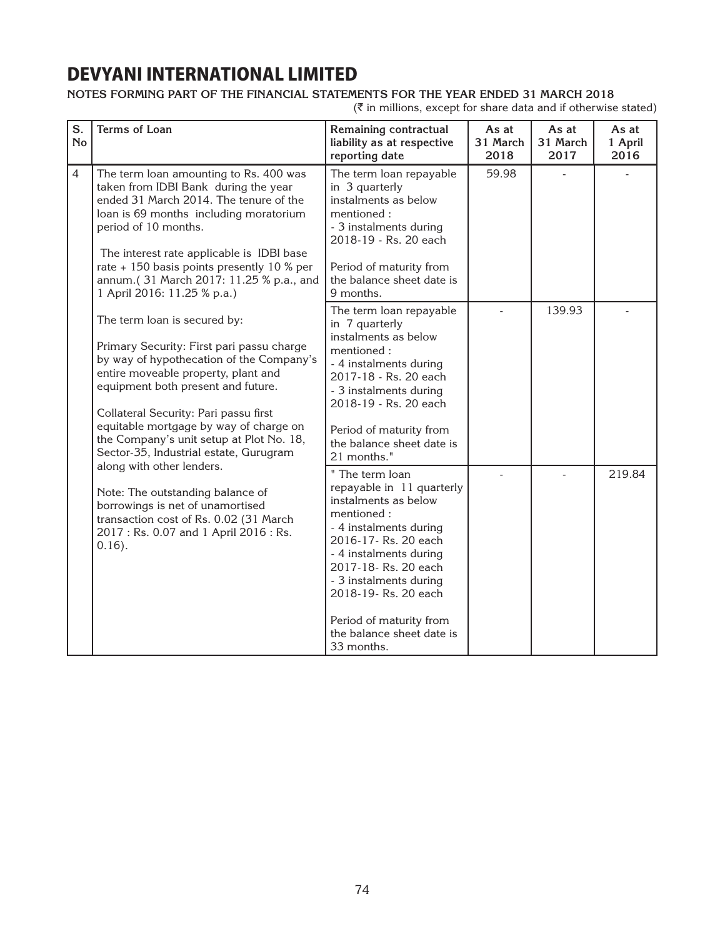### **Notes forming part of the financial statements for the year ended 31 March 2018**

| S.<br><b>No</b> | <b>Terms of Loan</b>                                                                                                                                                                                                                                                                                                                                                        | Remaining contractual<br>liability as at respective<br>reporting date                                                                                                                                                                                                                                         | As at<br>31 March<br>2018 | As at<br>31 March<br>2017 | As at<br>1 April<br>2016 |
|-----------------|-----------------------------------------------------------------------------------------------------------------------------------------------------------------------------------------------------------------------------------------------------------------------------------------------------------------------------------------------------------------------------|---------------------------------------------------------------------------------------------------------------------------------------------------------------------------------------------------------------------------------------------------------------------------------------------------------------|---------------------------|---------------------------|--------------------------|
| $\overline{4}$  | The term loan amounting to Rs. 400 was<br>taken from IDBI Bank during the year<br>ended 31 March 2014. The tenure of the<br>loan is 69 months including moratorium<br>period of 10 months.<br>The interest rate applicable is IDBI base<br>rate + 150 basis points presently 10 % per<br>annum.(31 March 2017: 11.25 % p.a., and<br>1 April 2016: 11.25 % p.a.)             | The term loan repayable<br>in 3 quarterly<br>instalments as below<br>mentioned:<br>- 3 instalments during<br>2018-19 - Rs. 20 each<br>Period of maturity from<br>the balance sheet date is<br>9 months.                                                                                                       | 59.98                     |                           |                          |
|                 | The term loan is secured by:<br>Primary Security: First pari passu charge<br>by way of hypothecation of the Company's<br>entire moveable property, plant and<br>equipment both present and future.<br>Collateral Security: Pari passu first<br>equitable mortgage by way of charge on<br>the Company's unit setup at Plot No. 18,<br>Sector-35, Industrial estate, Gurugram | The term loan repayable<br>in 7 quarterly<br>instalments as below<br>mentioned:<br>- 4 instalments during<br>2017-18 - Rs. 20 each<br>- 3 instalments during<br>2018-19 - Rs. 20 each<br>Period of maturity from<br>the balance sheet date is<br>21 months."                                                  |                           | 139.93                    |                          |
|                 | along with other lenders.<br>Note: The outstanding balance of<br>borrowings is net of unamortised<br>transaction cost of Rs. 0.02 (31 March<br>2017: Rs. 0.07 and 1 April 2016: Rs.<br>$0.16$ ).                                                                                                                                                                            | " The term loan<br>repayable in 11 quarterly<br>instalments as below<br>mentioned:<br>- 4 instalments during<br>2016-17- Rs. 20 each<br>- 4 instalments during<br>2017-18- Rs. 20 each<br>- 3 instalments during<br>2018-19-Rs. 20 each<br>Period of maturity from<br>the balance sheet date is<br>33 months. |                           |                           | 219.84                   |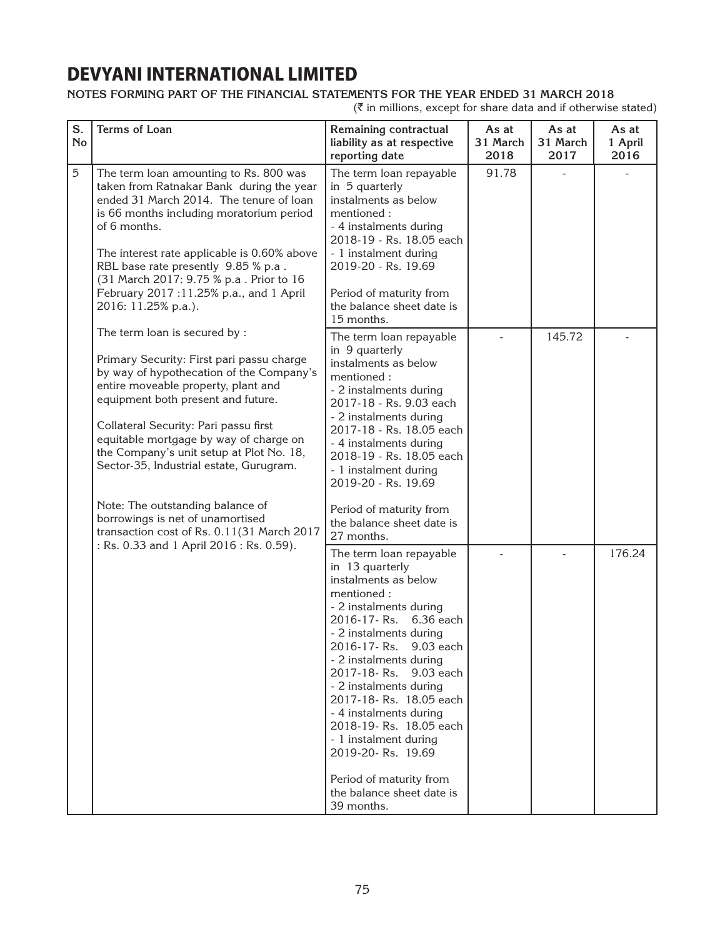### **Notes forming part of the financial statements for the year ended 31 March 2018**

| S.<br><b>No</b> | Terms of Loan                                                                                                                                                                                                                                                                                                                                                                                                                                                                                       | Remaining contractual<br>liability as at respective<br>reporting date                                                                                                                                                                                                                                                                                                                                                                                                        | As at<br>31 March<br>2018 | As at<br>31 March<br>2017 | As at<br>1 April<br>2016 |
|-----------------|-----------------------------------------------------------------------------------------------------------------------------------------------------------------------------------------------------------------------------------------------------------------------------------------------------------------------------------------------------------------------------------------------------------------------------------------------------------------------------------------------------|------------------------------------------------------------------------------------------------------------------------------------------------------------------------------------------------------------------------------------------------------------------------------------------------------------------------------------------------------------------------------------------------------------------------------------------------------------------------------|---------------------------|---------------------------|--------------------------|
| $\overline{5}$  | The term loan amounting to Rs. 800 was<br>taken from Ratnakar Bank during the year<br>ended 31 March 2014. The tenure of loan<br>is 66 months including moratorium period<br>of 6 months.<br>The interest rate applicable is 0.60% above<br>RBL base rate presently 9.85 % p.a.<br>(31 March 2017: 9.75 % p.a . Prior to 16<br>February 2017:11.25% p.a., and 1 April<br>2016: 11.25% p.a.).                                                                                                        | The term loan repayable<br>in 5 quarterly<br>instalments as below<br>mentioned:<br>- 4 instalments during<br>2018-19 - Rs. 18.05 each<br>- 1 instalment during<br>2019-20 - Rs. 19.69<br>Period of maturity from<br>the balance sheet date is<br>15 months.                                                                                                                                                                                                                  | 91.78                     |                           |                          |
|                 | The term loan is secured by :<br>Primary Security: First pari passu charge<br>by way of hypothecation of the Company's<br>entire moveable property, plant and<br>equipment both present and future.<br>Collateral Security: Pari passu first<br>equitable mortgage by way of charge on<br>the Company's unit setup at Plot No. 18,<br>Sector-35, Industrial estate, Gurugram.<br>Note: The outstanding balance of<br>borrowings is net of unamortised<br>transaction cost of Rs. 0.11(31 March 2017 | The term loan repayable<br>in 9 quarterly<br>instalments as below<br>mentioned:<br>- 2 instalments during<br>2017-18 - Rs. 9.03 each<br>- 2 instalments during<br>2017-18 - Rs. 18.05 each<br>- 4 instalments during<br>2018-19 - Rs. 18.05 each<br>- 1 instalment during<br>2019-20 - Rs. 19.69<br>Period of maturity from<br>the balance sheet date is<br>27 months.                                                                                                       |                           | 145.72                    |                          |
|                 | : Rs. 0.33 and 1 April 2016 : Rs. 0.59).                                                                                                                                                                                                                                                                                                                                                                                                                                                            | The term loan repayable<br>in 13 quarterly<br>instalments as below<br>mentioned:<br>- 2 instalments during<br>2016-17-Rs. 6.36 each<br>- 2 instalments during<br>2016-17- Rs. 9.03 each<br>- 2 instalments during<br>2017-18-Rs.<br>9.03 each<br>- 2 instalments during<br>2017-18- Rs. 18.05 each<br>- 4 instalments during<br>2018-19- Rs. 18.05 each<br>- 1 instalment during<br>2019-20- Rs. 19.69<br>Period of maturity from<br>the balance sheet date is<br>39 months. |                           |                           | 176.24                   |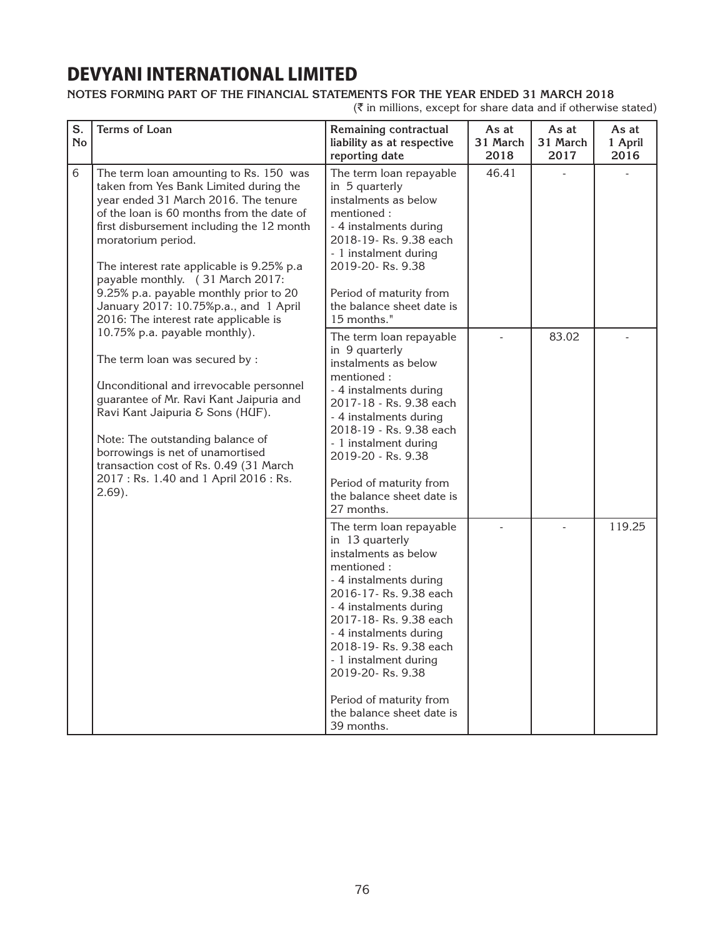### **Notes forming part of the financial statements for the year ended 31 March 2018**

| S.<br><b>No</b> | <b>Terms of Loan</b>                                                                                                                                                                                                                                                                                                                                                                                                                                  | Remaining contractual<br>liability as at respective<br>reporting date                                                                                                                                                                                                                                                                                         | As at<br>31 March<br>2018 | As at<br>31 March<br>2017 | As at<br>1 April<br>2016 |
|-----------------|-------------------------------------------------------------------------------------------------------------------------------------------------------------------------------------------------------------------------------------------------------------------------------------------------------------------------------------------------------------------------------------------------------------------------------------------------------|---------------------------------------------------------------------------------------------------------------------------------------------------------------------------------------------------------------------------------------------------------------------------------------------------------------------------------------------------------------|---------------------------|---------------------------|--------------------------|
| 6               | The term loan amounting to Rs. 150 was<br>taken from Yes Bank Limited during the<br>year ended 31 March 2016. The tenure<br>of the loan is 60 months from the date of<br>first disbursement including the 12 month<br>moratorium period.<br>The interest rate applicable is 9.25% p.a<br>payable monthly. (31 March 2017:<br>9.25% p.a. payable monthly prior to 20<br>January 2017: 10.75%p.a., and 1 April<br>2016: The interest rate applicable is | The term loan repayable<br>in 5 quarterly<br>instalments as below<br>mentioned:<br>- 4 instalments during<br>2018-19-Rs. 9.38 each<br>- 1 instalment during<br>2019-20- Rs. 9.38<br>Period of maturity from<br>the balance sheet date is<br>15 months."                                                                                                       | 46.41                     |                           |                          |
|                 | 10.75% p.a. payable monthly).<br>The term loan was secured by :<br><b>Unconditional and irrevocable personnel</b><br>guarantee of Mr. Ravi Kant Jaipuria and<br>Ravi Kant Jaipuria & Sons (HUF).<br>Note: The outstanding balance of<br>borrowings is net of unamortised<br>transaction cost of Rs. 0.49 (31 March<br>2017: Rs. 1.40 and 1 April 2016: Rs.<br>$2.69$ ).                                                                               | The term loan repayable<br>in 9 quarterly<br>instalments as below<br>mentioned:<br>- 4 instalments during<br>2017-18 - Rs. 9.38 each<br>- 4 instalments during<br>2018-19 - Rs. 9.38 each<br>- 1 instalment during<br>2019-20 - Rs. 9.38<br>Period of maturity from<br>the balance sheet date is<br>27 months.                                                |                           | 83.02                     |                          |
|                 |                                                                                                                                                                                                                                                                                                                                                                                                                                                       | The term loan repayable<br>in 13 quarterly<br>instalments as below<br>mentioned:<br>- 4 instalments during<br>2016-17-Rs. 9.38 each<br>- 4 instalments during<br>2017-18-Rs. 9.38 each<br>- 4 instalments during<br>2018-19-Rs. 9.38 each<br>- 1 instalment during<br>2019-20- Rs. 9.38<br>Period of maturity from<br>the balance sheet date is<br>39 months. |                           |                           | 119.25                   |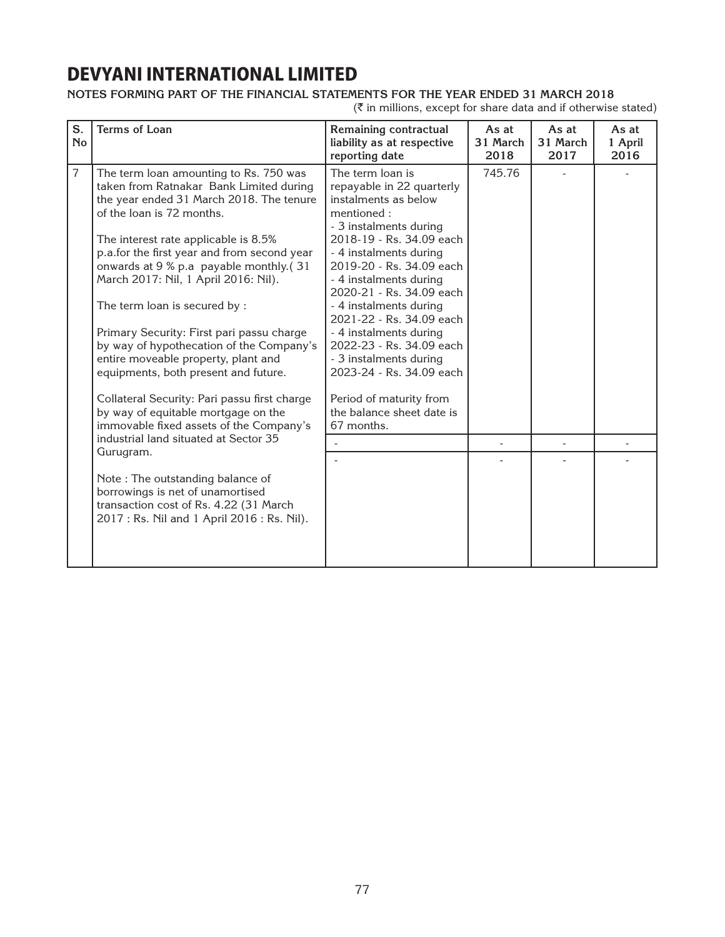### **Notes forming part of the financial statements for the year ended 31 March 2018**

| S.<br><b>No</b> | <b>Terms of Loan</b>                                                                                                                                                                                                                                                                                                                                                                                                                                                                                                                                                                                                                                                           | Remaining contractual<br>liability as at respective<br>reporting date                                                                                                                                                                                                                                                                                                                                                                                                                         | As at<br>31 March<br>2018 | As at<br>31 March<br>2017 | As at<br>1 April<br>2016 |
|-----------------|--------------------------------------------------------------------------------------------------------------------------------------------------------------------------------------------------------------------------------------------------------------------------------------------------------------------------------------------------------------------------------------------------------------------------------------------------------------------------------------------------------------------------------------------------------------------------------------------------------------------------------------------------------------------------------|-----------------------------------------------------------------------------------------------------------------------------------------------------------------------------------------------------------------------------------------------------------------------------------------------------------------------------------------------------------------------------------------------------------------------------------------------------------------------------------------------|---------------------------|---------------------------|--------------------------|
| $\overline{7}$  | The term loan amounting to Rs. 750 was<br>taken from Ratnakar Bank Limited during<br>the year ended 31 March 2018. The tenure<br>of the loan is 72 months.<br>The interest rate applicable is 8.5%<br>p.a.for the first year and from second year<br>onwards at 9 % p.a payable monthly.(31<br>March 2017: Nil, 1 April 2016: Nil).<br>The term loan is secured by :<br>Primary Security: First pari passu charge<br>by way of hypothecation of the Company's<br>entire moveable property, plant and<br>equipments, both present and future.<br>Collateral Security: Pari passu first charge<br>by way of equitable mortgage on the<br>immovable fixed assets of the Company's | The term loan is<br>repayable in 22 quarterly<br>instalments as below<br>mentioned:<br>- 3 instalments during<br>2018-19 - Rs. 34.09 each<br>- 4 instalments during<br>2019-20 - Rs. 34.09 each<br>- 4 instalments during<br>2020-21 - Rs. 34.09 each<br>- 4 instalments during<br>2021-22 - Rs. 34.09 each<br>- 4 instalments during<br>2022-23 - Rs. 34.09 each<br>- 3 instalments during<br>2023-24 - Rs. 34.09 each<br>Period of maturity from<br>the balance sheet date is<br>67 months. | 745.76                    |                           |                          |
|                 | industrial land situated at Sector 35<br>Gurugram.                                                                                                                                                                                                                                                                                                                                                                                                                                                                                                                                                                                                                             |                                                                                                                                                                                                                                                                                                                                                                                                                                                                                               |                           |                           |                          |
|                 | Note: The outstanding balance of<br>borrowings is net of unamortised<br>transaction cost of Rs. 4.22 (31 March<br>2017 : Rs. Nil and 1 April 2016 : Rs. Nil).                                                                                                                                                                                                                                                                                                                                                                                                                                                                                                                  |                                                                                                                                                                                                                                                                                                                                                                                                                                                                                               |                           |                           |                          |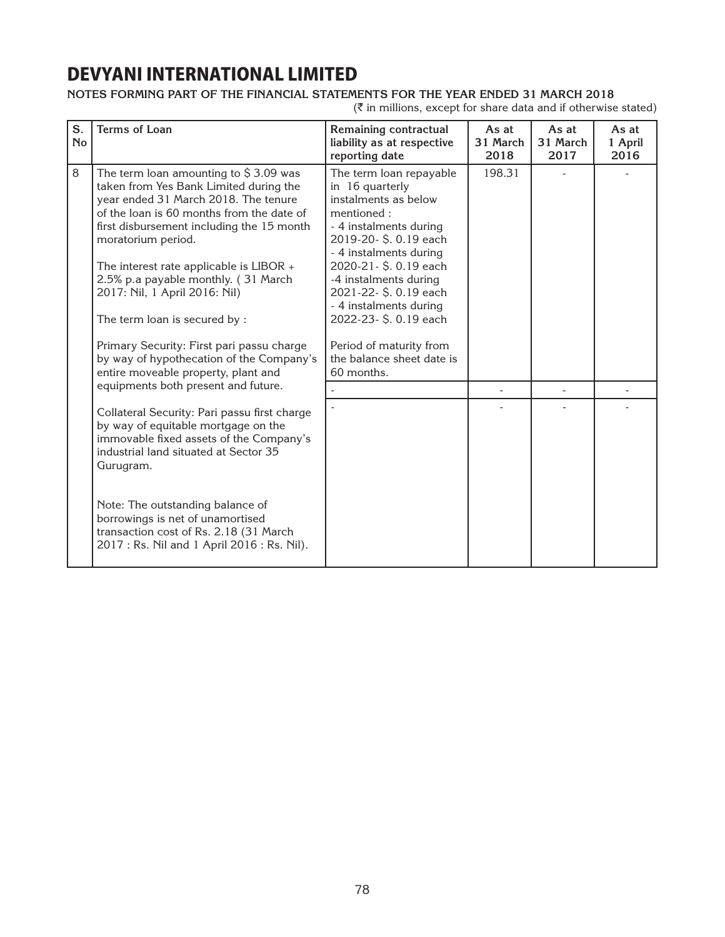### **Notes forming part of the financial statements for the year ended 31 March 2018**

| S.<br><b>No</b> | <b>Terms of Loan</b>                                                                                                                                                                                                                                                                                                                                                                                                                                                                                                         | Remaining contractual<br>liability as at respective<br>reporting date                                                                                                                                                                                                                                                                                         | As at<br>31 March<br>2018 | As at<br>31 March<br>2017 | As at<br>1 April<br>2016 |
|-----------------|------------------------------------------------------------------------------------------------------------------------------------------------------------------------------------------------------------------------------------------------------------------------------------------------------------------------------------------------------------------------------------------------------------------------------------------------------------------------------------------------------------------------------|---------------------------------------------------------------------------------------------------------------------------------------------------------------------------------------------------------------------------------------------------------------------------------------------------------------------------------------------------------------|---------------------------|---------------------------|--------------------------|
| 8               | The term loan amounting to $$3.09$ was<br>taken from Yes Bank Limited during the<br>year ended 31 March 2018. The tenure<br>of the loan is 60 months from the date of<br>first disbursement including the 15 month<br>moratorium period.<br>The interest rate applicable is LIBOR +<br>2.5% p.a payable monthly. (31 March<br>2017: Nil, 1 April 2016: Nil)<br>The term loan is secured by :<br>Primary Security: First pari passu charge<br>by way of hypothecation of the Company's<br>entire moveable property, plant and | The term loan repayable<br>in 16 quarterly<br>instalments as below<br>mentioned:<br>- 4 instalments during<br>2019-20-\$.0.19 each<br>- 4 instalments during<br>2020-21-\$.0.19 each<br>-4 instalments during<br>2021-22-\$.0.19 each<br>- 4 instalments during<br>2022-23-\$.0.19 each<br>Period of maturity from<br>the balance sheet date is<br>60 months. | 198.31                    |                           |                          |
|                 | equipments both present and future.                                                                                                                                                                                                                                                                                                                                                                                                                                                                                          |                                                                                                                                                                                                                                                                                                                                                               |                           |                           |                          |
|                 | Collateral Security: Pari passu first charge<br>by way of equitable mortgage on the<br>immovable fixed assets of the Company's<br>industrial land situated at Sector 35<br>Gurugram.                                                                                                                                                                                                                                                                                                                                         |                                                                                                                                                                                                                                                                                                                                                               |                           |                           |                          |
|                 | Note: The outstanding balance of<br>borrowings is net of unamortised<br>transaction cost of Rs. 2.18 (31 March<br>2017 : Rs. Nil and 1 April 2016 : Rs. Nil).                                                                                                                                                                                                                                                                                                                                                                |                                                                                                                                                                                                                                                                                                                                                               |                           |                           |                          |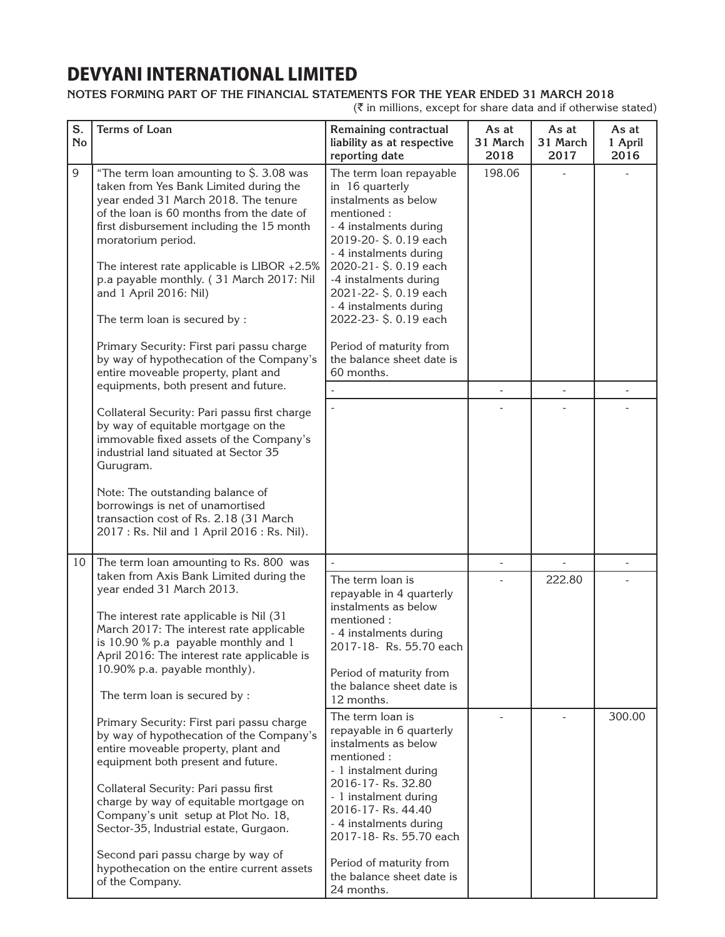### **Notes forming part of the financial statements for the year ended 31 March 2018**

| S.<br><b>No</b> | Terms of Loan                                                                                                                                                                                                                                                                                                                                                                                                                                                                                                                       | Remaining contractual<br>liability as at respective<br>reporting date                                                                                                                                                                                                                                                                                             | As at<br>31 March<br>2018 | As at<br>31 March<br>2017 | As at<br>1 April<br>2016 |
|-----------------|-------------------------------------------------------------------------------------------------------------------------------------------------------------------------------------------------------------------------------------------------------------------------------------------------------------------------------------------------------------------------------------------------------------------------------------------------------------------------------------------------------------------------------------|-------------------------------------------------------------------------------------------------------------------------------------------------------------------------------------------------------------------------------------------------------------------------------------------------------------------------------------------------------------------|---------------------------|---------------------------|--------------------------|
| 9               | "The term loan amounting to \$. 3.08 was<br>taken from Yes Bank Limited during the<br>year ended 31 March 2018. The tenure<br>of the loan is 60 months from the date of<br>first disbursement including the 15 month<br>moratorium period.<br>The interest rate applicable is LIBOR $+2.5\%$<br>p.a payable monthly. (31 March 2017: Nil<br>and 1 April 2016: Nil)<br>The term loan is secured by :<br>Primary Security: First pari passu charge<br>by way of hypothecation of the Company's<br>entire moveable property, plant and | The term loan repayable<br>in 16 quarterly<br>instalments as below<br>mentioned:<br>- 4 instalments during<br>2019-20-\$.0.19 each<br>- 4 instalments during<br>2020-21-\$.0.19 each<br>-4 instalments during<br>2021-22- \$. 0.19 each<br>- 4 instalments during<br>2022-23- \$. 0.19 each<br>Period of maturity from<br>the balance sheet date is<br>60 months. | 198.06                    |                           |                          |
|                 | equipments, both present and future.                                                                                                                                                                                                                                                                                                                                                                                                                                                                                                |                                                                                                                                                                                                                                                                                                                                                                   |                           |                           |                          |
|                 | Collateral Security: Pari passu first charge<br>by way of equitable mortgage on the<br>immovable fixed assets of the Company's<br>industrial land situated at Sector 35<br>Gurugram.<br>Note: The outstanding balance of<br>borrowings is net of unamortised<br>transaction cost of Rs. 2.18 (31 March<br>2017: Rs. Nil and 1 April 2016: Rs. Nil).                                                                                                                                                                                 |                                                                                                                                                                                                                                                                                                                                                                   |                           |                           |                          |
| 10              | The term loan amounting to Rs. 800 was                                                                                                                                                                                                                                                                                                                                                                                                                                                                                              | $\overline{\phantom{a}}$                                                                                                                                                                                                                                                                                                                                          | ÷,                        |                           |                          |
|                 | taken from Axis Bank Limited during the<br>year ended 31 March 2013.<br>The interest rate applicable is Nil (31<br>March 2017: The interest rate applicable<br>is 10.90 % p.a payable monthly and 1<br>April 2016: The interest rate applicable is<br>10.90% p.a. payable monthly).<br>The term loan is secured by :                                                                                                                                                                                                                | The term loan is<br>repayable in 4 quarterly<br>instalments as below<br>mentioned:<br>- 4 instalments during<br>2017-18- Rs. 55.70 each<br>Period of maturity from<br>the balance sheet date is<br>12 months.                                                                                                                                                     |                           | 222.80                    |                          |
|                 | Primary Security: First pari passu charge<br>by way of hypothecation of the Company's<br>entire moveable property, plant and<br>equipment both present and future.<br>Collateral Security: Pari passu first<br>charge by way of equitable mortgage on<br>Company's unit setup at Plot No. 18,<br>Sector-35, Industrial estate, Gurgaon.<br>Second pari passu charge by way of<br>hypothecation on the entire current assets<br>of the Company.                                                                                      | The term loan is<br>repayable in 6 quarterly<br>instalments as below<br>mentioned:<br>- 1 instalment during<br>2016-17-Rs. 32.80<br>- 1 instalment during<br>2016-17-Rs. 44.40<br>- 4 instalments during<br>2017-18-Rs. 55.70 each<br>Period of maturity from<br>the balance sheet date is<br>24 months.                                                          |                           |                           | 300.00                   |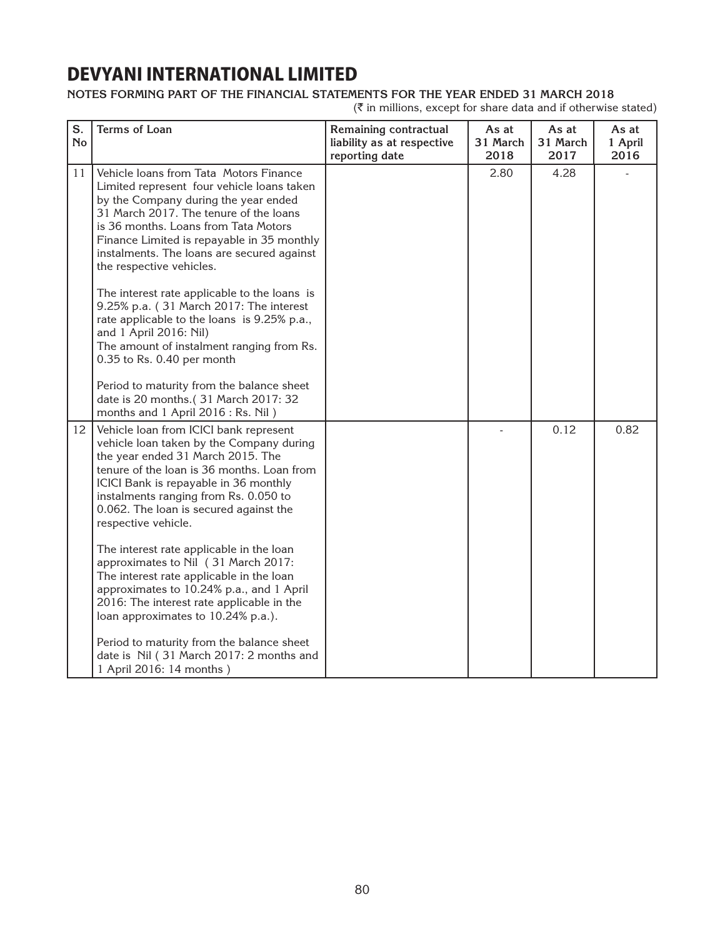### **Notes forming part of the financial statements for the year ended 31 March 2018**

| S.<br><b>No</b> | <b>Terms of Loan</b>                                                                                                                                                                                                                                                                                                                                                                                                                                                                                                                                                                  | Remaining contractual<br>liability as at respective<br>reporting date | As at<br>31 March<br>2018 | As at<br>31 March<br>2017 | As at<br>1 April<br>2016 |
|-----------------|---------------------------------------------------------------------------------------------------------------------------------------------------------------------------------------------------------------------------------------------------------------------------------------------------------------------------------------------------------------------------------------------------------------------------------------------------------------------------------------------------------------------------------------------------------------------------------------|-----------------------------------------------------------------------|---------------------------|---------------------------|--------------------------|
| 11              | Vehicle loans from Tata Motors Finance<br>Limited represent four vehicle loans taken<br>by the Company during the year ended<br>31 March 2017. The tenure of the loans<br>is 36 months. Loans from Tata Motors<br>Finance Limited is repayable in 35 monthly<br>instalments. The loans are secured against<br>the respective vehicles.<br>The interest rate applicable to the loans is<br>9.25% p.a. (31 March 2017: The interest<br>rate applicable to the loans is 9.25% p.a.,<br>and 1 April 2016: Nil)<br>The amount of instalment ranging from Rs.<br>0.35 to Rs. 0.40 per month |                                                                       | 2.80                      | 4.28                      |                          |
|                 | Period to maturity from the balance sheet<br>date is 20 months.(31 March 2017: 32<br>months and 1 April 2016 : Rs. Nil)                                                                                                                                                                                                                                                                                                                                                                                                                                                               |                                                                       |                           |                           |                          |
| 12              | Vehicle loan from ICICI bank represent<br>vehicle loan taken by the Company during<br>the year ended 31 March 2015. The<br>tenure of the loan is 36 months. Loan from<br>ICICI Bank is repayable in 36 monthly<br>instalments ranging from Rs. 0.050 to<br>0.062. The loan is secured against the<br>respective vehicle.                                                                                                                                                                                                                                                              |                                                                       |                           | 0.12                      | 0.82                     |
|                 | The interest rate applicable in the loan<br>approximates to Nil (31 March 2017:<br>The interest rate applicable in the loan<br>approximates to 10.24% p.a., and 1 April<br>2016: The interest rate applicable in the<br>loan approximates to 10.24% p.a.).                                                                                                                                                                                                                                                                                                                            |                                                                       |                           |                           |                          |
|                 | Period to maturity from the balance sheet<br>date is Nil (31 March 2017: 2 months and<br>1 April 2016: 14 months)                                                                                                                                                                                                                                                                                                                                                                                                                                                                     |                                                                       |                           |                           |                          |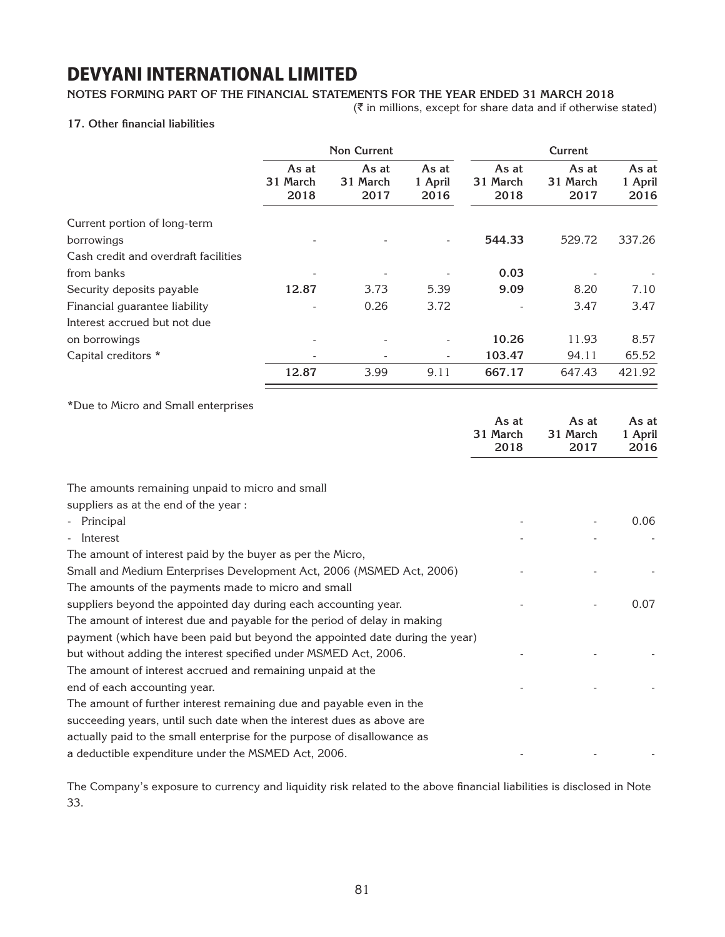#### **Notes forming part of the financial statements for the year ended 31 March 2018**

 $(\bar{\bar{\mathbf{z}}}$  in millions, except for share data and if otherwise stated)

#### **17. Other financial liabilities**

|                                                                                                         | <b>Non Current</b>        |                           | <b>Current</b>           |                           |                           |                          |
|---------------------------------------------------------------------------------------------------------|---------------------------|---------------------------|--------------------------|---------------------------|---------------------------|--------------------------|
|                                                                                                         | As at<br>31 March<br>2018 | As at<br>31 March<br>2017 | As at<br>1 April<br>2016 | As at<br>31 March<br>2018 | As at<br>31 March<br>2017 | As at<br>1 April<br>2016 |
| Current portion of long-term<br>borrowings                                                              |                           |                           |                          | 544.33                    | 529.72                    | 337.26                   |
| Cash credit and overdraft facilities                                                                    |                           |                           |                          |                           |                           |                          |
| from banks                                                                                              |                           |                           |                          | 0.03                      |                           |                          |
| Security deposits payable                                                                               | 12.87                     | 3.73                      | 5.39                     | 9.09                      | 8.20                      | 7.10                     |
| Financial guarantee liability                                                                           |                           | 0.26                      | 3.72                     |                           | 3.47                      | 3.47                     |
| Interest accrued but not due                                                                            |                           |                           |                          |                           |                           |                          |
| on borrowings                                                                                           |                           |                           |                          | 10.26                     | 11.93                     | 8.57                     |
| Capital creditors *                                                                                     |                           |                           |                          | 103.47                    | 94.11                     | 65.52                    |
|                                                                                                         | 12.87                     | 3.99                      | 9.11                     | 667.17                    | 647.43                    | 421.92                   |
| *Due to Micro and Small enterprises                                                                     |                           |                           |                          | As at<br>31 March<br>2018 | As at<br>31 March<br>2017 | As at<br>1 April<br>2016 |
| The amounts remaining unpaid to micro and small<br>suppliers as at the end of the year :<br>- Principal |                           |                           |                          |                           |                           | 0.06                     |
| - Interest                                                                                              |                           |                           |                          |                           |                           |                          |
| The amount of interest paid by the buyer as per the Micro,                                              |                           |                           |                          |                           |                           |                          |
| Small and Medium Enterprises Development Act, 2006 (MSMED Act, 2006)                                    |                           |                           |                          |                           |                           |                          |
| The amounts of the payments made to micro and small                                                     |                           |                           |                          |                           |                           |                          |
| suppliers beyond the appointed day during each accounting year.                                         |                           |                           |                          |                           |                           | 0.07                     |
| The amount of interest due and payable for the period of delay in making                                |                           |                           |                          |                           |                           |                          |
| payment (which have been paid but beyond the appointed date during the year)                            |                           |                           |                          |                           |                           |                          |
| but without adding the interest specified under MSMED Act, 2006.                                        |                           |                           |                          |                           |                           |                          |
| The amount of interest accrued and remaining unpaid at the                                              |                           |                           |                          |                           |                           |                          |
| end of each accounting year.                                                                            |                           |                           |                          |                           |                           |                          |
| The amount of further interest remaining due and payable even in the                                    |                           |                           |                          |                           |                           |                          |
| succeeding years, until such date when the interest dues as above are                                   |                           |                           |                          |                           |                           |                          |
| actually paid to the small enterprise for the purpose of disallowance as                                |                           |                           |                          |                           |                           |                          |
| a deductible expenditure under the MSMED Act, 2006.                                                     |                           |                           |                          |                           |                           |                          |

The Company's exposure to currency and liquidity risk related to the above financial liabilities is disclosed in Note 33.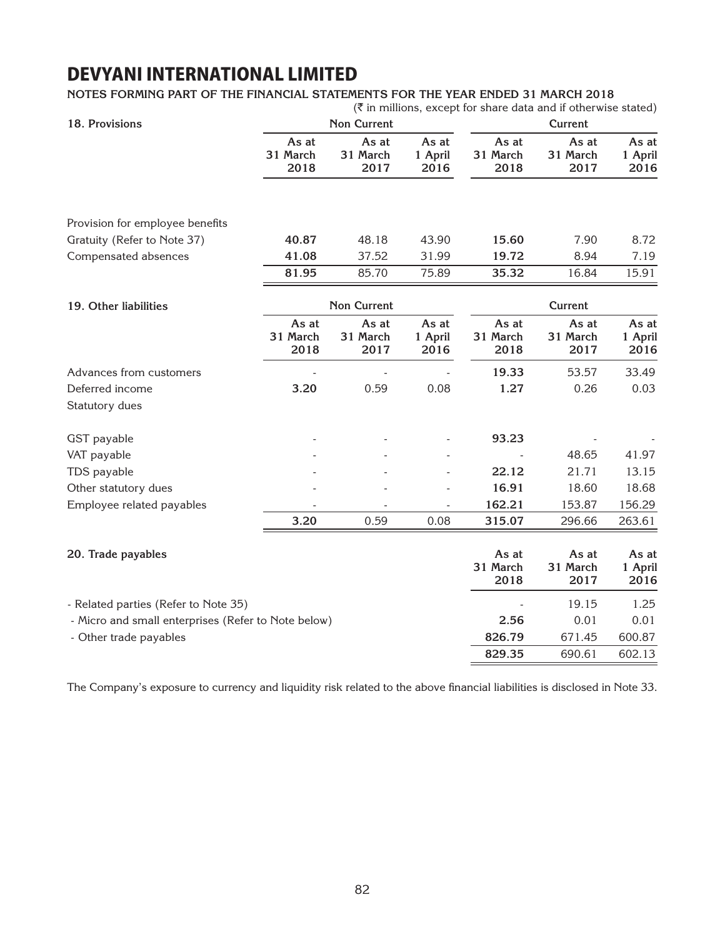#### **Notes forming part of the financial statements for the year ended 31 March 2018**

|                                                     |                           |                           |                          |                           | $(\bar{\bar{\zeta}})$ in millions, except for share data and if otherwise stated) |                          |  |
|-----------------------------------------------------|---------------------------|---------------------------|--------------------------|---------------------------|-----------------------------------------------------------------------------------|--------------------------|--|
| 18. Provisions                                      |                           | <b>Non Current</b>        |                          |                           | <b>Current</b>                                                                    |                          |  |
|                                                     | As at<br>31 March<br>2018 | As at<br>31 March<br>2017 | As at<br>1 April<br>2016 | As at<br>31 March<br>2018 | As at<br>31 March<br>2017                                                         | As at<br>1 April<br>2016 |  |
| Provision for employee benefits                     |                           |                           |                          |                           |                                                                                   |                          |  |
| Gratuity (Refer to Note 37)                         | 40.87                     | 48.18                     | 43.90                    | 15.60                     | 7.90                                                                              | 8.72                     |  |
| Compensated absences                                | 41.08                     | 37.52                     | 31.99                    | 19.72                     | 8.94                                                                              | 7.19                     |  |
|                                                     | 81.95                     | 85.70                     | 75.89                    | 35.32                     | 16.84                                                                             | 15.91                    |  |
| 19. Other liabilities                               |                           | <b>Non Current</b>        |                          |                           | <b>Current</b>                                                                    |                          |  |
|                                                     | As at<br>31 March<br>2018 | As at<br>31 March<br>2017 | As at<br>1 April<br>2016 | As at<br>31 March<br>2018 | As at<br>31 March<br>2017                                                         | As at<br>1 April<br>2016 |  |
| Advances from customers                             |                           |                           |                          | 19.33                     | 53.57                                                                             | 33.49                    |  |
| Deferred income                                     | 3.20                      | 0.59                      | 0.08                     | 1.27                      | 0.26                                                                              | 0.03                     |  |
| Statutory dues                                      |                           |                           |                          |                           |                                                                                   |                          |  |
| GST payable                                         |                           |                           |                          | 93.23                     |                                                                                   |                          |  |
| VAT payable                                         |                           |                           |                          |                           | 48.65                                                                             | 41.97                    |  |
| TDS payable                                         |                           |                           |                          | 22.12                     | 21.71                                                                             | 13.15                    |  |
| Other statutory dues                                |                           |                           |                          | 16.91                     | 18.60                                                                             | 18.68                    |  |
| Employee related payables                           |                           |                           |                          | 162.21                    | 153.87                                                                            | 156.29                   |  |
|                                                     | 3.20                      | 0.59                      | 0.08                     | 315.07                    | 296.66                                                                            | 263.61                   |  |
| 20. Trade payables                                  |                           |                           |                          | As at<br>31 March<br>2018 | As at<br>31 March<br>2017                                                         | As at<br>1 April<br>2016 |  |
| - Related parties (Refer to Note 35)                |                           |                           |                          |                           | 19.15                                                                             | 1.25                     |  |
| - Micro and small enterprises (Refer to Note below) |                           |                           |                          | 2.56                      | 0.01                                                                              | 0.01                     |  |
| - Other trade payables                              |                           |                           |                          | 826.79                    | 671.45                                                                            | 600.87                   |  |
|                                                     |                           |                           |                          | 829.35                    | 690.61                                                                            | 602.13                   |  |

The Company's exposure to currency and liquidity risk related to the above financial liabilities is disclosed in Note 33.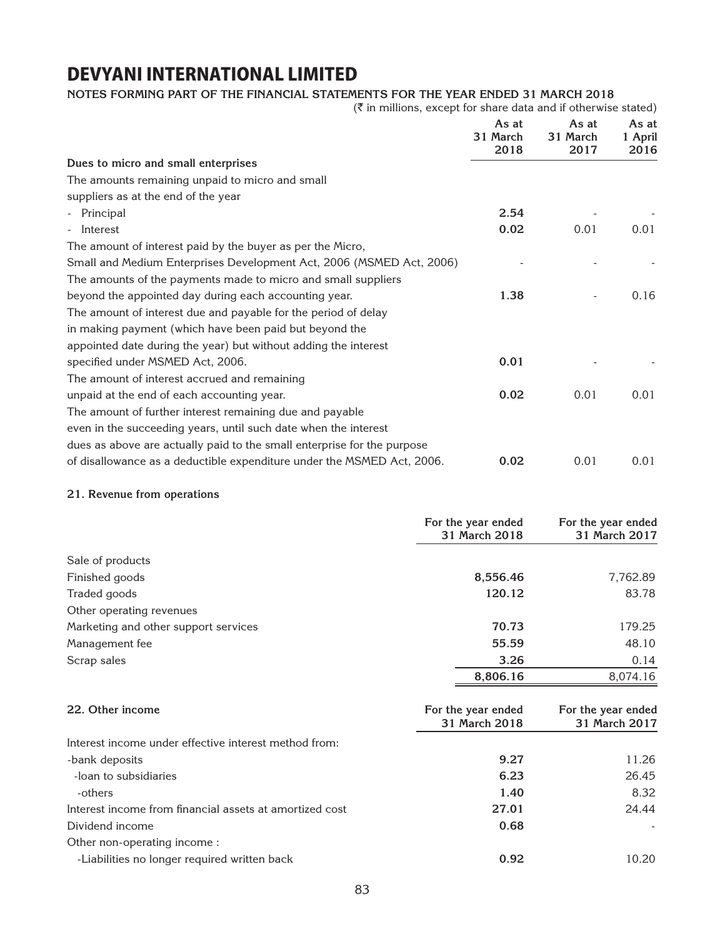### **Notes forming part of the financial statements for the year ended 31 March 2018**

 $(\bar{\tau}$  in millions, except for share data and if otherwise stated)

|                                                                         | As at<br>31 March<br>2018 | As at<br>31 March<br>2017 | As at<br>1 April<br>2016 |
|-------------------------------------------------------------------------|---------------------------|---------------------------|--------------------------|
| Dues to micro and small enterprises                                     |                           |                           |                          |
| The amounts remaining unpaid to micro and small                         |                           |                           |                          |
| suppliers as at the end of the year                                     |                           |                           |                          |
| Principal                                                               | 2.54                      |                           |                          |
| Interest                                                                | 0.02                      | 0.01                      | 0.01                     |
| The amount of interest paid by the buyer as per the Micro,              |                           |                           |                          |
| Small and Medium Enterprises Development Act, 2006 (MSMED Act, 2006)    |                           |                           |                          |
| The amounts of the payments made to micro and small suppliers           |                           |                           |                          |
| beyond the appointed day during each accounting year.                   | 1.38                      |                           | 0.16                     |
| The amount of interest due and payable for the period of delay          |                           |                           |                          |
| in making payment (which have been paid but beyond the                  |                           |                           |                          |
| appointed date during the year) but without adding the interest         |                           |                           |                          |
| specified under MSMED Act, 2006.                                        | 0.01                      |                           |                          |
| The amount of interest accrued and remaining                            |                           |                           |                          |
| unpaid at the end of each accounting year.                              | 0.02                      | 0.01                      | 0.01                     |
| The amount of further interest remaining due and payable                |                           |                           |                          |
| even in the succeeding years, until such date when the interest         |                           |                           |                          |
| dues as above are actually paid to the small enterprise for the purpose |                           |                           |                          |
| of disallowance as a deductible expenditure under the MSMED Act, 2006.  | 0.02                      | 0.01                      | 0.01                     |

### **21. Revenue from operations**

|                                                       | For the year ended<br>31 March 2018 | For the year ended<br>31 March 2017 |
|-------------------------------------------------------|-------------------------------------|-------------------------------------|
| Sale of products                                      |                                     |                                     |
| Finished goods                                        | 8,556.46                            | 7,762.89                            |
| Traded goods                                          | 120.12                              | 83.78                               |
| Other operating revenues                              |                                     |                                     |
| Marketing and other support services                  | 70.73                               | 179.25                              |
| Management fee                                        | 55.59                               | 48.10                               |
| Scrap sales                                           | 3.26                                | 0.14                                |
|                                                       | 8,806.16                            | 8,074.16                            |
| 22. Other income                                      | For the year ended<br>31 March 2018 | For the year ended<br>31 March 2017 |
| Interest income under effective interest method from: |                                     |                                     |
| -bank deposits                                        | 9.27                                | 11.26                               |
| -loan to subsidiaries                                 | 6.23                                | 26.45                               |

| 1.40  | 8.32  |
|-------|-------|
| 27.01 | 24.44 |
| 0.68  |       |
|       |       |
| 0.92  | 10.20 |
|       |       |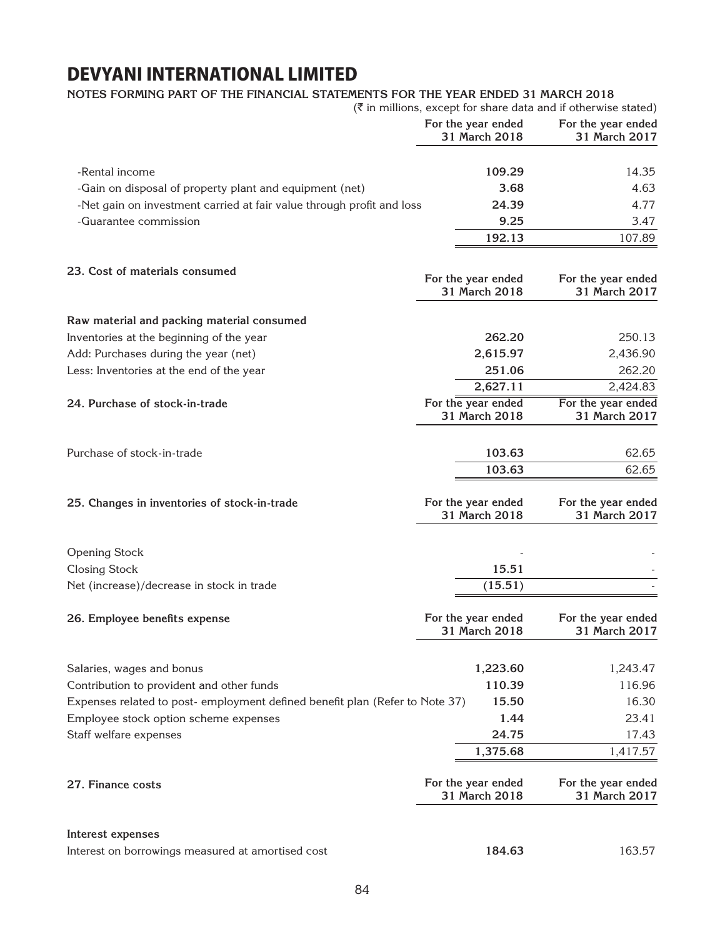### **Notes forming part of the financial statements for the year ended 31 March 2018**

|                                                                                                                       |                                     | $(\overline{\xi})$ in millions, except for share data and if otherwise stated) |
|-----------------------------------------------------------------------------------------------------------------------|-------------------------------------|--------------------------------------------------------------------------------|
|                                                                                                                       | For the year ended<br>31 March 2018 | For the year ended<br>31 March 2017                                            |
| -Rental income                                                                                                        | 109.29                              | 14.35                                                                          |
| -Gain on disposal of property plant and equipment (net)                                                               | 3.68                                | 4.63                                                                           |
| -Net gain on investment carried at fair value through profit and loss                                                 | 24.39                               | 4.77                                                                           |
| -Guarantee commission                                                                                                 | 9.25                                | 3.47                                                                           |
|                                                                                                                       | 192.13                              | 107.89                                                                         |
| 23. Cost of materials consumed                                                                                        | For the year ended<br>31 March 2018 | For the year ended<br>31 March 2017                                            |
| Raw material and packing material consumed                                                                            |                                     |                                                                                |
| Inventories at the beginning of the year                                                                              | 262.20                              | 250.13                                                                         |
| Add: Purchases during the year (net)                                                                                  | 2,615.97                            | 2,436.90                                                                       |
| Less: Inventories at the end of the year                                                                              | 251.06                              | 262.20                                                                         |
|                                                                                                                       | 2,627.11                            | 2,424.83                                                                       |
| 24. Purchase of stock-in-trade                                                                                        | For the year ended<br>31 March 2018 | For the year ended<br>31 March 2017                                            |
|                                                                                                                       |                                     |                                                                                |
| Purchase of stock-in-trade                                                                                            | 103.63                              | 62.65                                                                          |
|                                                                                                                       | 103.63                              | 62.65                                                                          |
| 25. Changes in inventories of stock-in-trade                                                                          | For the year ended<br>31 March 2018 | For the year ended<br>31 March 2017                                            |
|                                                                                                                       |                                     |                                                                                |
| <b>Opening Stock</b>                                                                                                  |                                     |                                                                                |
| <b>Closing Stock</b>                                                                                                  | 15.51                               |                                                                                |
| Net (increase)/decrease in stock in trade                                                                             | (15.51)                             |                                                                                |
| 26. Employee benefits expense                                                                                         | For the year ended<br>31 March 2018 | For the year ended<br><b>31 March 2017</b>                                     |
|                                                                                                                       |                                     |                                                                                |
| Salaries, wages and bonus                                                                                             | 1,223.60<br>110.39                  | 1,243.47<br>116.96                                                             |
| Contribution to provident and other funds                                                                             | 15.50                               | 16.30                                                                          |
| Expenses related to post- employment defined benefit plan (Refer to Note 37)<br>Employee stock option scheme expenses |                                     | 23.41                                                                          |
| Staff welfare expenses                                                                                                | 1.44<br>24.75                       | 17.43                                                                          |
|                                                                                                                       | 1,375.68                            | 1,417.57                                                                       |
|                                                                                                                       |                                     |                                                                                |
| 27. Finance costs                                                                                                     | For the year ended<br>31 March 2018 | For the year ended<br>31 March 2017                                            |
| Interest expenses                                                                                                     |                                     |                                                                                |
| Interest on borrowings measured at amortised cost                                                                     | 184.63                              | 163.57                                                                         |
|                                                                                                                       |                                     |                                                                                |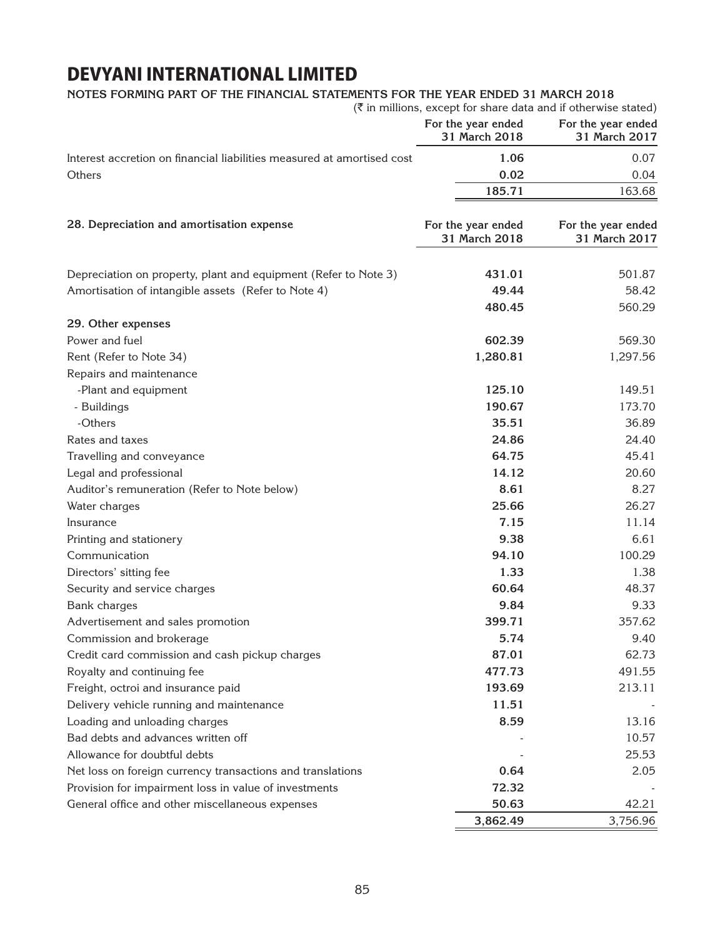### **Notes forming part of the financial statements for the year ended 31 March 2018**

|                                                                        | $(\overline{\xi})$ in millions, except for share data and if otherwise stated) |                                     |
|------------------------------------------------------------------------|--------------------------------------------------------------------------------|-------------------------------------|
|                                                                        | For the year ended<br>31 March 2018                                            | For the year ended<br>31 March 2017 |
| Interest accretion on financial liabilities measured at amortised cost | 1.06                                                                           | 0.07                                |
| Others                                                                 | 0.02                                                                           | 0.04                                |
|                                                                        | 185.71                                                                         | 163.68                              |
| 28. Depreciation and amortisation expense                              | For the year ended<br>31 March 2018                                            | For the year ended<br>31 March 2017 |
| Depreciation on property, plant and equipment (Refer to Note 3)        | 431.01                                                                         | 501.87                              |
| Amortisation of intangible assets (Refer to Note 4)                    | 49.44                                                                          | 58.42                               |
|                                                                        | 480.45                                                                         | 560.29                              |
| 29. Other expenses                                                     |                                                                                |                                     |
| Power and fuel                                                         | 602.39                                                                         | 569.30                              |
| Rent (Refer to Note 34)                                                | 1,280.81                                                                       | 1,297.56                            |
| Repairs and maintenance                                                |                                                                                |                                     |
| -Plant and equipment                                                   | 125.10                                                                         | 149.51                              |
| - Buildings                                                            | 190.67                                                                         | 173.70                              |
| -Others                                                                | 35.51                                                                          | 36.89                               |
| Rates and taxes                                                        | 24.86                                                                          | 24.40                               |
| Travelling and conveyance                                              | 64.75                                                                          | 45.41                               |
| Legal and professional                                                 | 14.12                                                                          | 20.60                               |
| Auditor's remuneration (Refer to Note below)                           | 8.61                                                                           | 8.27                                |
| Water charges                                                          | 25.66                                                                          | 26.27                               |
| Insurance                                                              | 7.15                                                                           | 11.14                               |
| Printing and stationery                                                | 9.38                                                                           | 6.61                                |
| Communication                                                          | 94.10                                                                          | 100.29                              |
| Directors' sitting fee                                                 | 1.33                                                                           | 1.38                                |
| Security and service charges                                           | 60.64                                                                          | 48.37                               |
| Bank charges                                                           | 9.84                                                                           | 9.33                                |
| Advertisement and sales promotion                                      | 399.71                                                                         | 357.62                              |
| Commission and brokerage                                               | 5.74                                                                           | 9.40                                |
| Credit card commission and cash pickup charges                         | 87.01                                                                          | 62.73                               |
| Royalty and continuing fee                                             | 477.73                                                                         | 491.55                              |
| Freight, octroi and insurance paid                                     | 193.69                                                                         | 213.11                              |
| Delivery vehicle running and maintenance                               | 11.51                                                                          |                                     |
| Loading and unloading charges                                          | 8.59                                                                           | 13.16                               |
| Bad debts and advances written off                                     |                                                                                | 10.57                               |
| Allowance for doubtful debts                                           |                                                                                | 25.53                               |
| Net loss on foreign currency transactions and translations             | 0.64                                                                           | 2.05                                |
| Provision for impairment loss in value of investments                  | 72.32                                                                          |                                     |
| General office and other miscellaneous expenses                        | 50.63                                                                          | 42.21                               |
|                                                                        | 3,862.49                                                                       | 3,756.96                            |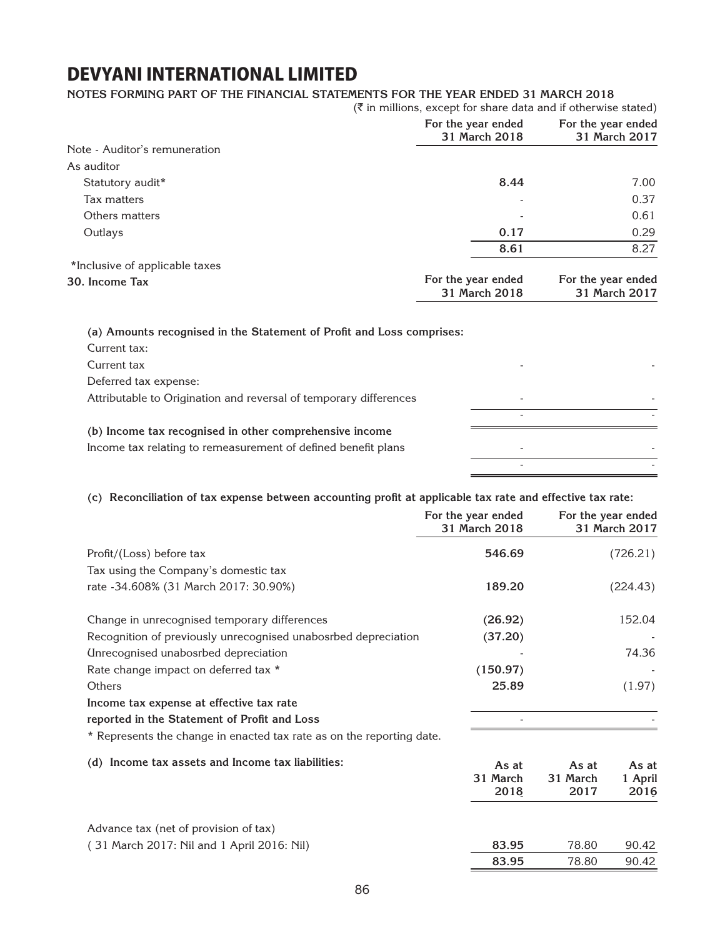#### **Notes forming part of the financial statements for the year ended 31 March 2018**

|                                | $(\bar{\bar{\zeta}})$ in millions, except for share data and if otherwise stated) |                                     |
|--------------------------------|-----------------------------------------------------------------------------------|-------------------------------------|
|                                | For the year ended<br>31 March 2018                                               | For the year ended<br>31 March 2017 |
| Note - Auditor's remuneration  |                                                                                   |                                     |
| As auditor                     |                                                                                   |                                     |
| Statutory audit*               | 8.44                                                                              | 7.00                                |
| Tax matters                    |                                                                                   | 0.37                                |
| Others matters                 |                                                                                   | 0.61                                |
| Outlays                        | 0.17                                                                              | 0.29                                |
|                                | 8.61                                                                              | 8.27                                |
| *Inclusive of applicable taxes |                                                                                   |                                     |
| 30. Income Tax                 | For the year ended<br>31 March 2018                                               | For the year ended<br>31 March 2017 |

**(a) Amounts recognised in the Statement of Profit and Loss comprises:** Current tax: Current tax - - Deferred tax expense: Attributable to Origination and reversal of temporary differences - and the set of the set of the set of the  $\sim$ **(b) Income tax recognised in other comprehensive income** Income tax relating to remeasurement of defined benefit plans - - - -

#### **(c) Reconciliation of tax expense between accounting profit at applicable tax rate and effective tax rate:**

|                                                                       | For the year ended<br>31 March 2018 |                  | For the year ended<br>31 March 2017 |
|-----------------------------------------------------------------------|-------------------------------------|------------------|-------------------------------------|
| Profit/(Loss) before tax                                              | 546.69                              |                  | (726.21)                            |
| Tax using the Company's domestic tax                                  |                                     |                  |                                     |
| rate - 34.608% (31 March 2017: 30.90%)                                | 189.20                              |                  | (224.43)                            |
| Change in unrecognised temporary differences                          | (26.92)                             |                  | 152.04                              |
| Recognition of previously unrecognised unabosrbed depreciation        | (37.20)                             |                  |                                     |
| Unrecognised unabosrbed depreciation                                  |                                     |                  | 74.36                               |
| Rate change impact on deferred tax *                                  | (150.97)                            |                  |                                     |
| Others                                                                | 25.89                               |                  | (1.97)                              |
| Income tax expense at effective tax rate                              |                                     |                  |                                     |
| reported in the Statement of Profit and Loss                          |                                     |                  |                                     |
| * Represents the change in enacted tax rate as on the reporting date. |                                     |                  |                                     |
| (d) Income tax assets and Income tax liabilities:                     | As at                               | As at            | As at                               |
|                                                                       | 31 March<br>2018                    | 31 March<br>2017 | 1 April<br>2016                     |
| Advance tax (net of provision of tax)                                 |                                     |                  |                                     |
| (31 March 2017: Nil and 1 April 2016: Nil)                            | 83.95                               | 78.80            | 90.42                               |
|                                                                       | 83.95                               | 78.80            | 90.42                               |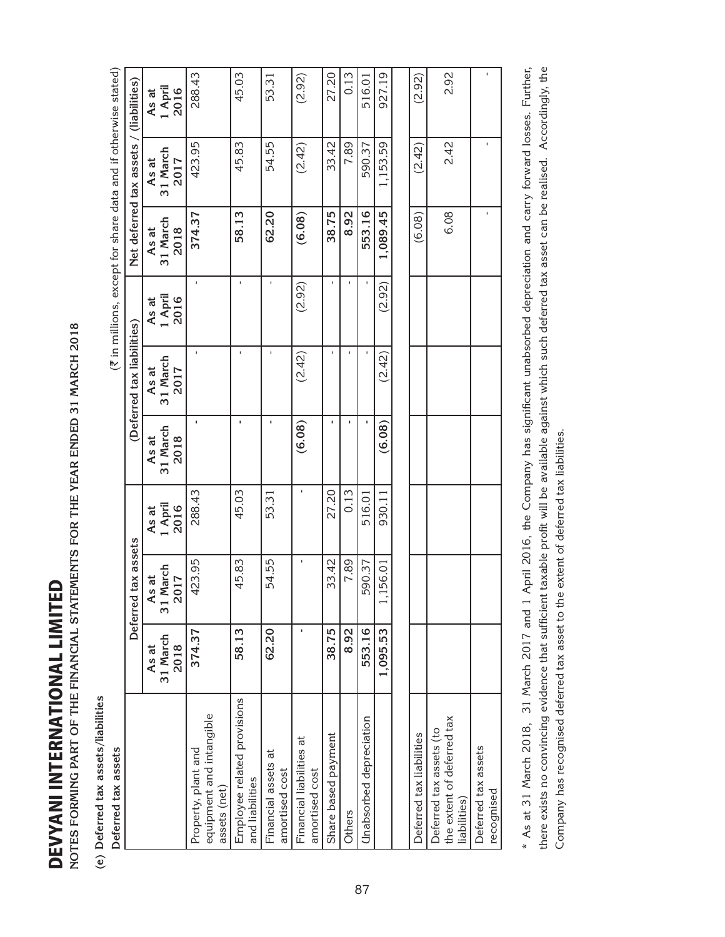DEVYANI INTERNATIONAL LIMITED DEVYANI INTERNATIONAL LIMITED

NOTES FORMING PART OF THE FINANCIAL STATEMENTS FOR THE YEAR ENDED 31 MARCH 2018 **Notes forming part of the financial statements for the year ended 31 March 2018**

(e) Deferred tax assets/liabilities **(e) Deferred tax assets/liabilities**

 **Deferred tax assets**  Deferred tax assets

| <b>JTES FORMING PART OF THE FINANCIAL STATEMENTS FOR THE YEAR ENDED 31 MARCH 2018</b> |                           |                                       |                          |                           |                            |                          |                           |                                                                                |                          |
|---------------------------------------------------------------------------------------|---------------------------|---------------------------------------|--------------------------|---------------------------|----------------------------|--------------------------|---------------------------|--------------------------------------------------------------------------------|--------------------------|
| Deferred tax assets/liabilities                                                       |                           |                                       |                          |                           |                            |                          |                           |                                                                                |                          |
| Deferred tax assets                                                                   |                           |                                       |                          |                           |                            |                          |                           | $(\overline{\tau}$ in millions, except for share data and if otherwise stated) |                          |
|                                                                                       |                           | tax assets<br>Deferred                |                          |                           | (Deferred tax liabilities) |                          |                           | Net deferred tax assets / (liabilities)                                        |                          |
|                                                                                       | 31 March<br>2018<br>As at | 31 March<br>As at<br>017<br>$\approx$ | 1 April<br>2016<br>As at | 31 March<br>2018<br>As at | 31 March<br>As at<br>2017  | 1 April<br>2016<br>As at | 31 March<br>2018<br>As at | 31 March<br>As at<br>2017                                                      | As at<br>1 April<br>2016 |
| equipment and intangible<br>Property, plant and<br>assets (net)                       | 374.37                    | 423.95                                | 288.43                   |                           |                            | r.                       | 374.37                    | 423.95                                                                         | 288.43                   |
| Employee related provisions<br>and liabilities                                        | 58.13                     | 45.83                                 | 45.03                    | ×                         |                            | $\mathbf{I}$             | 58.13                     | 45.83                                                                          | 45.03                    |
| đ<br>Financial assets<br>amortised cost                                               | 62.20                     | 54.55                                 | 53.31                    |                           |                            |                          | 62.20                     | 54.55                                                                          | 53.31                    |
| Financial liabilities at<br>amortised cost                                            |                           |                                       |                          | (6.08)                    | (2.42)                     | (2.92)                   | (6.08)                    | (2.42)                                                                         | (2.92)                   |
| Share based payment                                                                   | 38.75                     | 33.42                                 | 27.20                    |                           |                            | $\mathbf{I}$             | 38.75                     | 33.42                                                                          | 27.20                    |
| Others                                                                                | 8.92                      | 7.89                                  | 0.13                     | ٠                         |                            | f.                       | 8.92                      | 7.89                                                                           | 0.13                     |
| Unabsorbed depreciation                                                               | 553.16                    | 590.37                                | 516.01                   |                           |                            | $\mathbf{I}$             | 553.16                    | 590.37                                                                         | 516.01                   |
|                                                                                       | 1,095.53                  | [56.01                                | 930.11                   | (6.08)                    | (2.42)                     | (2.92)                   | 1,089.45                  | 1,153.59                                                                       | 927.19                   |
|                                                                                       |                           |                                       |                          |                           |                            |                          |                           |                                                                                |                          |
| Deferred tax liabilities                                                              |                           |                                       |                          |                           |                            |                          | (6.08)                    | (2.42)                                                                         | (2.92)                   |
| the extent of deferred tax<br>Deferred tax assets (to<br>liabilities)                 |                           |                                       |                          |                           |                            |                          | 6.08                      | 2.42                                                                           | 2.92                     |
| Deferred tax assets<br>recognised                                                     |                           |                                       |                          |                           |                            |                          | $\mathbf{I}$              | T,                                                                             |                          |

\* As at 31 March 2018, 31 March 2017 and 1 April 2016, the Company has significant unabsorbed depreciation and carry forward losses. Further, there exists no convincing evidence that sufficient taxable profit will be available against which such deferred tax asset can be realised. Accordingly, the \* As at 31 March 2018, 31 March 2017 and 1 April 2016, the Company has significant unabsorbed depreciation and carry forward losses. Further, there exists no convincing evidence that sufficient taxable profit will be available against which such deferred tax asset can be realised. Accordingly, the Company has recognised deferred tax asset to the extent of deferred tax liabilities. Company has recognised deferred tax asset to the extent of deferred tax liabilities.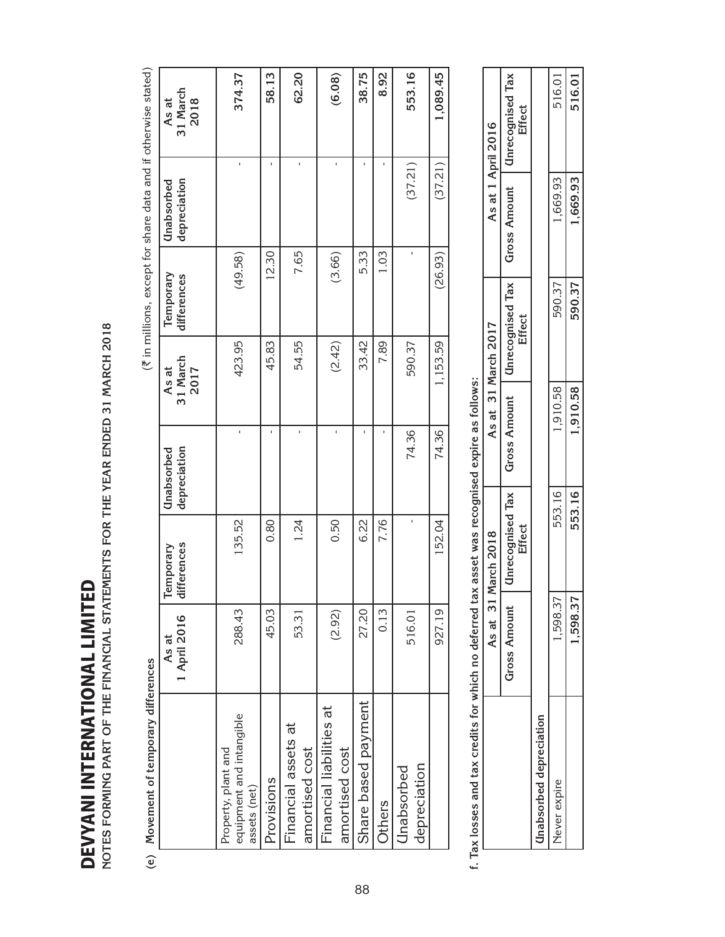| OTES FORMING PART OF THE FINANCIAL STATEMENTS FOR THE YEAR ENDED 31 MARCH 2018<br><b>DEVYANI INTERNATIONAL LIMITE</b> |                       |                          |                            |                           |                          |                                                                |                           |
|-----------------------------------------------------------------------------------------------------------------------|-----------------------|--------------------------|----------------------------|---------------------------|--------------------------|----------------------------------------------------------------|---------------------------|
| e) Movement of temporary differences                                                                                  |                       |                          |                            |                           |                          | (₹ in millions, except for share data and if otherwise stated) |                           |
|                                                                                                                       | 1 April 2016<br>As at | differences<br>Temporary | depreciation<br>Unabsorbed | 31 March<br>2017<br>As at | Temporary<br>differences | depreciation<br>Unabsorbed                                     | 31 March<br>2018<br>As at |
| equipment and intangible<br>Property, plant and<br>assets (net)                                                       | 288.43                | 135.52                   |                            | 423.95                    | (49.58)                  | ı                                                              | 374.37                    |
| Provisions                                                                                                            | 45.03                 | 0.80                     |                            | 45.83                     | 12.30                    | f,                                                             | 58.13                     |
| Financial assets at<br>amortised cost                                                                                 | 53.31                 | 1.24                     | ï                          | 54.55                     | 7.65                     | ı                                                              | 62.20                     |
| Financial liabilities at<br>amortised cost                                                                            | (2.92)                | 0.50                     | f,                         | (2.42)                    | (3.66)                   | ı                                                              | (6.08)                    |
| Share based payment                                                                                                   | 27.20                 | 6.22                     |                            | 33.42                     | 5.33                     |                                                                | 38.75                     |
| Others                                                                                                                | 0.13                  | 7.76                     |                            | 7.89                      | 1.03                     |                                                                | 8.92                      |
| depreciation<br>Unabsorbed                                                                                            | 516.01                |                          | 74.36                      | 590.37                    |                          | (37.21)                                                        | 553.16                    |
|                                                                                                                       | 927.19                | 152.04                   | 74.36                      | 1,153.59                  | (26.93)                  | (37.21)                                                        | 1,089.45                  |
|                                                                                                                       |                       |                          |                            |                           |                          |                                                                |                           |

f. Tax losses and tax credits for which no deferred tax asset was recognised expire as follows: **f. Tax losses and tax credits for which no deferred tax asset was recognised expire as follows:**

|                         | As at 31     | March 2018 |                                 | As at 31 March 2017                                          |          | As at 1 April 2016 |
|-------------------------|--------------|------------|---------------------------------|--------------------------------------------------------------|----------|--------------------|
|                         | Gross Amount | Effect     | Unrecognised Tax   Gross Amount | Unrecognised Tax   Gross Amount   Unrecognised Tax<br>Effect |          | Effect             |
| Inabsorbed depreciation |              |            |                                 |                                                              |          |                    |
| Never expire            | 1,598.37     | 553.16     | 1,910.58                        | 590.37                                                       | 1,669.93 | 516.01             |
|                         | .598.37      | 553.16     | 1,910.58                        | 590.37                                                       | 1,669.93 | 516.01             |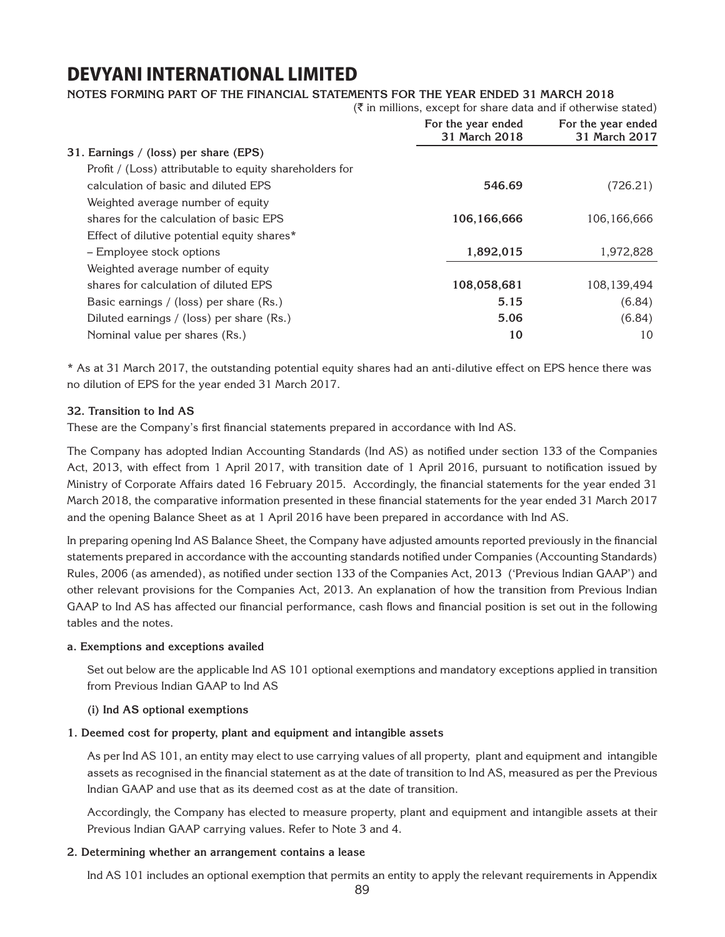### **Notes forming part of the financial statements for the year ended 31 March 2018**

| For the year ended<br>31 March 2018 | For the year ended<br>31 March 2017                                               |
|-------------------------------------|-----------------------------------------------------------------------------------|
|                                     |                                                                                   |
|                                     |                                                                                   |
| 546.69                              | (726.21)                                                                          |
|                                     |                                                                                   |
| 106,166,666                         | 106,166,666                                                                       |
|                                     |                                                                                   |
| 1,892,015                           | 1,972,828                                                                         |
|                                     |                                                                                   |
| 108,058,681                         | 108,139,494                                                                       |
| 5.15                                | (6.84)                                                                            |
| 5.06                                | (6.84)                                                                            |
| 10                                  | 10                                                                                |
|                                     | $(\bar{\bar{\zeta}})$ in millions, except for share data and if otherwise stated) |

\* As at 31 March 2017, the outstanding potential equity shares had an anti-dilutive effect on EPS hence there was no dilution of EPS for the year ended 31 March 2017.

#### **32. Transition to Ind AS**

These are the Company's first financial statements prepared in accordance with Ind AS.

The Company has adopted Indian Accounting Standards (Ind AS) as notified under section 133 of the Companies Act, 2013, with effect from 1 April 2017, with transition date of 1 April 2016, pursuant to notification issued by Ministry of Corporate Affairs dated 16 February 2015. Accordingly, the financial statements for the year ended 31 March 2018, the comparative information presented in these financial statements for the year ended 31 March 2017 and the opening Balance Sheet as at 1 April 2016 have been prepared in accordance with Ind AS.

In preparing opening Ind AS Balance Sheet, the Company have adjusted amounts reported previously in the financial statements prepared in accordance with the accounting standards notified under Companies (Accounting Standards) Rules, 2006 (as amended), as notified under section 133 of the Companies Act, 2013 ('Previous Indian GAAP') and other relevant provisions for the Companies Act, 2013. An explanation of how the transition from Previous Indian GAAP to Ind AS has affected our financial performance, cash flows and financial position is set out in the following tables and the notes.

#### **a. Exemptions and exceptions availed**

Set out below are the applicable Ind AS 101 optional exemptions and mandatory exceptions applied in transition from Previous Indian GAAP to Ind AS

#### **(i) Ind AS optional exemptions**

#### **1. Deemed cost for property, plant and equipment and intangible assets**

As per Ind AS 101, an entity may elect to use carrying values of all property, plant and equipment and intangible assets as recognised in the financial statement as at the date of transition to Ind AS, measured as per the Previous Indian GAAP and use that as its deemed cost as at the date of transition.

Accordingly, the Company has elected to measure property, plant and equipment and intangible assets at their Previous Indian GAAP carrying values. Refer to Note 3 and 4.

#### **2. Determining whether an arrangement contains a lease**

Ind AS 101 includes an optional exemption that permits an entity to apply the relevant requirements in Appendix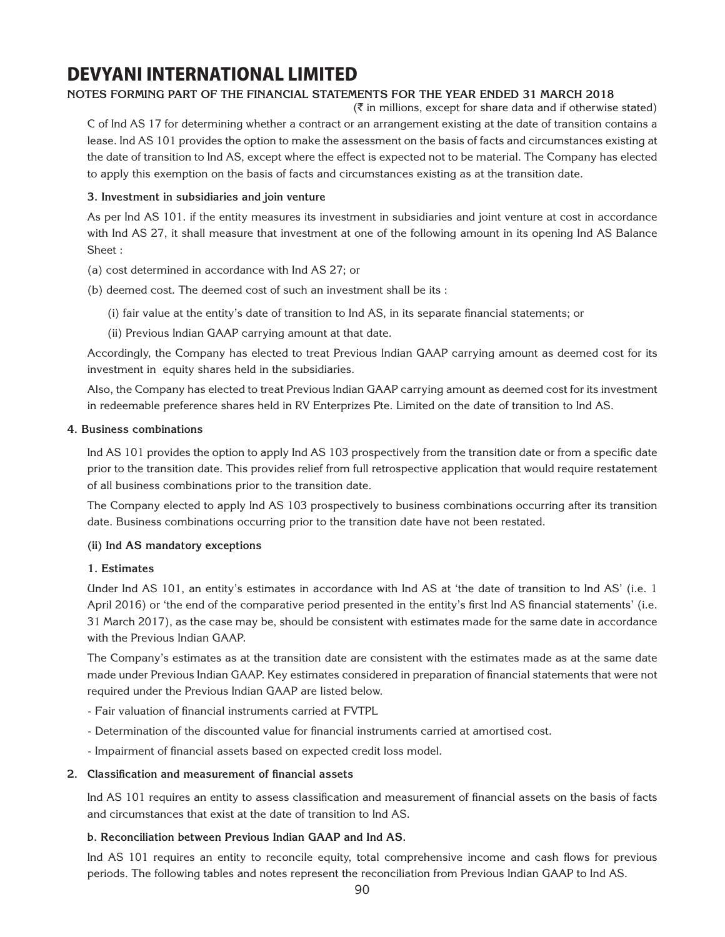### **Notes forming part of the financial statements for the year ended 31 March 2018**

 $(\bar{\bar{\zeta}})$  in millions, except for share data and if otherwise stated) C of Ind AS 17 for determining whether a contract or an arrangement existing at the date of transition contains a lease. Ind AS 101 provides the option to make the assessment on the basis of facts and circumstances existing at the date of transition to Ind AS, except where the effect is expected not to be material. The Company has elected to apply this exemption on the basis of facts and circumstances existing as at the transition date.

#### **3. Investment in subsidiaries and join venture**

As per Ind AS 101. if the entity measures its investment in subsidiaries and joint venture at cost in accordance with Ind AS 27, it shall measure that investment at one of the following amount in its opening Ind AS Balance Sheet :

- (a) cost determined in accordance with Ind AS 27; or
- (b) deemed cost. The deemed cost of such an investment shall be its :
	- (i) fair value at the entity's date of transition to Ind AS, in its separate financial statements; or
	- (ii) Previous Indian GAAP carrying amount at that date.

Accordingly, the Company has elected to treat Previous Indian GAAP carrying amount as deemed cost for its investment in equity shares held in the subsidiaries.

Also, the Company has elected to treat Previous Indian GAAP carrying amount as deemed cost for its investment in redeemable preference shares held in RV Enterprizes Pte. Limited on the date of transition to Ind AS.

#### **4. Business combinations**

Ind AS 101 provides the option to apply Ind AS 103 prospectively from the transition date or from a specific date prior to the transition date. This provides relief from full retrospective application that would require restatement of all business combinations prior to the transition date.

The Company elected to apply Ind AS 103 prospectively to business combinations occurring after its transition date. Business combinations occurring prior to the transition date have not been restated.

#### **(ii) Ind AS mandatory exceptions**

#### **1. Estimates**

Under Ind AS 101, an entity's estimates in accordance with Ind AS at 'the date of transition to Ind AS' (i.e. 1 April 2016) or 'the end of the comparative period presented in the entity's first Ind AS financial statements' (i.e. 31 March 2017), as the case may be, should be consistent with estimates made for the same date in accordance with the Previous Indian GAAP.

The Company's estimates as at the transition date are consistent with the estimates made as at the same date made under Previous Indian GAAP. Key estimates considered in preparation of financial statements that were not required under the Previous Indian GAAP are listed below.

- Fair valuation of financial instruments carried at FVTPL
- Determination of the discounted value for financial instruments carried at amortised cost.
- Impairment of financial assets based on expected credit loss model.

#### **2. Classification and measurement of financial assets**

Ind AS 101 requires an entity to assess classification and measurement of financial assets on the basis of facts and circumstances that exist at the date of transition to Ind AS.

#### **b. Reconciliation between Previous Indian GAAP and Ind AS.**

Ind AS 101 requires an entity to reconcile equity, total comprehensive income and cash flows for previous periods. The following tables and notes represent the reconciliation from Previous Indian GAAP to Ind AS.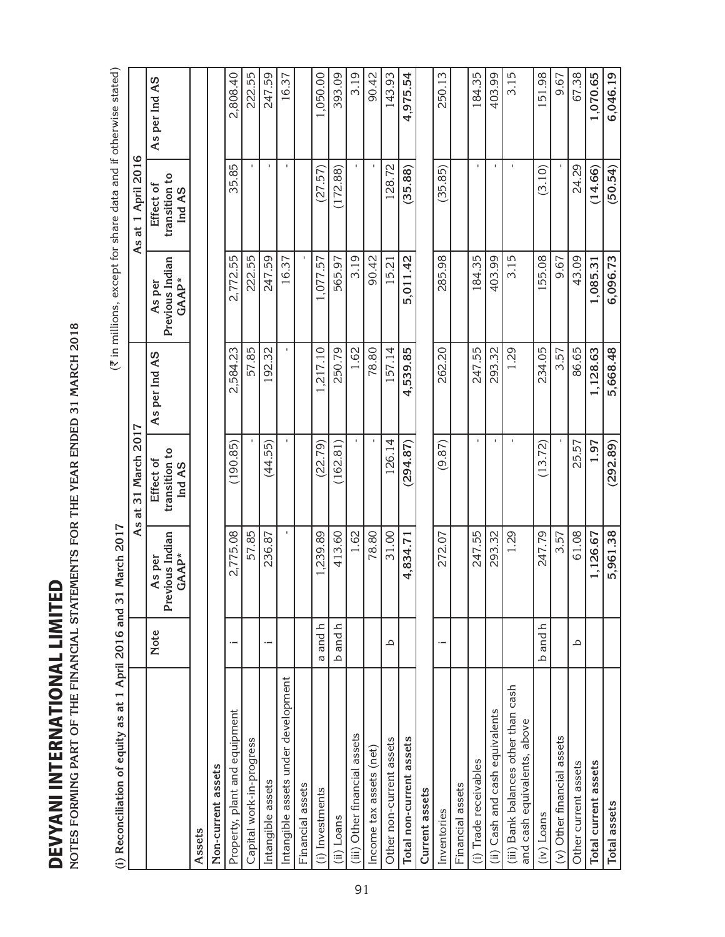DEVYANI INTERNATIONAL LIMITED DEVYANI INTERNATIONAL LIMITED

NOTES FORMING PART OF THE FINANCIAL STATEMENTS FOR THE YEAR ENDED 31 MARCH 2018 **Notes forming part of the financial statements for the year ended 31 March 2018**

| NOTES FORMING PART OF THE FINANCIAL STATEMENTS FOR THE YEAR ENDED 31 MARCH 2018 |                   |                                    |                                      |               |                                                                |                                      |               |
|---------------------------------------------------------------------------------|-------------------|------------------------------------|--------------------------------------|---------------|----------------------------------------------------------------|--------------------------------------|---------------|
| (i) Reconciliation of equity as at 1 April 2016 and                             |                   | 11 March 2017<br>ო                 |                                      |               | (₹ in millions, except for share data and if otherwise stated) |                                      |               |
|                                                                                 |                   | As                                 | 2017<br>31 March<br>đ                |               |                                                                | As at 1 April 2016                   |               |
|                                                                                 | <b>Note</b>       | Previous Indian<br>GAAP*<br>As per | transition to<br>Effect of<br>Ind AS | As per Ind AS | Previous Indian<br>GAAP*<br>As per                             | transition to<br>Effect of<br>Ind AS | As per Ind AS |
| Assets                                                                          |                   |                                    |                                      |               |                                                                |                                      |               |
| Non-current assets                                                              |                   |                                    |                                      |               |                                                                |                                      |               |
| Property, plant and equipment                                                   |                   | 2,775.08                           | (190.85)                             | 2,584.23      | 2,772.55                                                       | 35.85                                | 2,808.40      |
| Capital work-in-progress                                                        |                   | 57.85                              |                                      | 57.85         | 222.55                                                         |                                      | 222.55        |
| Intangible assets                                                               |                   | 236.87                             | (44.55)                              | 192.32        | 247.59                                                         | $\mathbf I$                          | 247.59        |
| Intangible assets under development                                             |                   |                                    |                                      | $\mathbf{I}$  | 16.37                                                          | $\mathbf{I}$                         | 16.37         |
| Financial assets                                                                |                   |                                    |                                      |               |                                                                |                                      |               |
| (i) Investments                                                                 | and h<br>$\sigma$ | 1,239.89                           | (22.79)                              | 1,217.10      | 1,077.57                                                       | (27.57)                              | 1,050.00      |
| (ii) Loans                                                                      | and h<br>$\Delta$ | 413.60                             | (162.81)                             | 250.79        | 565.97                                                         | (172.88)                             | 393.09        |
| (iii) Other financial assets                                                    |                   | 1.62                               |                                      | 1.62          | 3.19                                                           |                                      | 3.19          |
| Income tax assets (net)                                                         |                   | 78.80                              |                                      | 78.80         | 90.42                                                          |                                      | 90.42         |
| Other non-current assets                                                        | م                 | 31.00                              | 126.14                               | 157.14        | 15.21                                                          | 128.72                               | 143.93        |
| Total non-current assets                                                        |                   | 4,834.71                           | (294.87)                             | 4,539.85      | 5,011.42                                                       | (35.88)                              | 4,975.54      |
| Current assets                                                                  |                   |                                    |                                      |               |                                                                |                                      |               |
| Inventories                                                                     |                   | 272.07                             | (9.87)                               | 262.20        | 285.98                                                         | (35.85)                              | 250.13        |
| Financial assets                                                                |                   |                                    |                                      |               |                                                                |                                      |               |
| (i) Trade receivables                                                           |                   | 247.55                             | $\mathbf{I}$                         | 247.55        | 184.35                                                         | $\mathbf{I}$                         | 184.35        |
| (ii) Cash and cash equivalents                                                  |                   | 293.32                             |                                      | 293.32        | 403.99                                                         | f,                                   | 403.99        |
| (iii) Bank balances other than cash<br>and cash equivalents, above              |                   | 1.29                               |                                      | 1.29          | 3.15                                                           |                                      | 3.15          |
| $(iv)$ Loans                                                                    | and h<br>$\Delta$ | 247.79                             | (13.72)                              | 234.05        | 155.08                                                         | (3.10)                               | 151.98        |
| (v) Other financial assets                                                      |                   | 3.57                               |                                      | 3.57          | 9.67                                                           |                                      | 9.67          |
| Other current assets                                                            | م                 | 61.08                              | 25.57                                | 86.65         | 43.09                                                          | 24.29                                | 67.38         |
| Total current assets                                                            |                   | 1,126.67                           | 1.97                                 | 1,128.63      | 1,085.31                                                       | (14.66)                              | 1,070.65      |
| Total assets                                                                    |                   | 5,961.38                           | (292.89)                             | 5,668.48      | 6,096.73                                                       | (50.54)                              | 6,046.19      |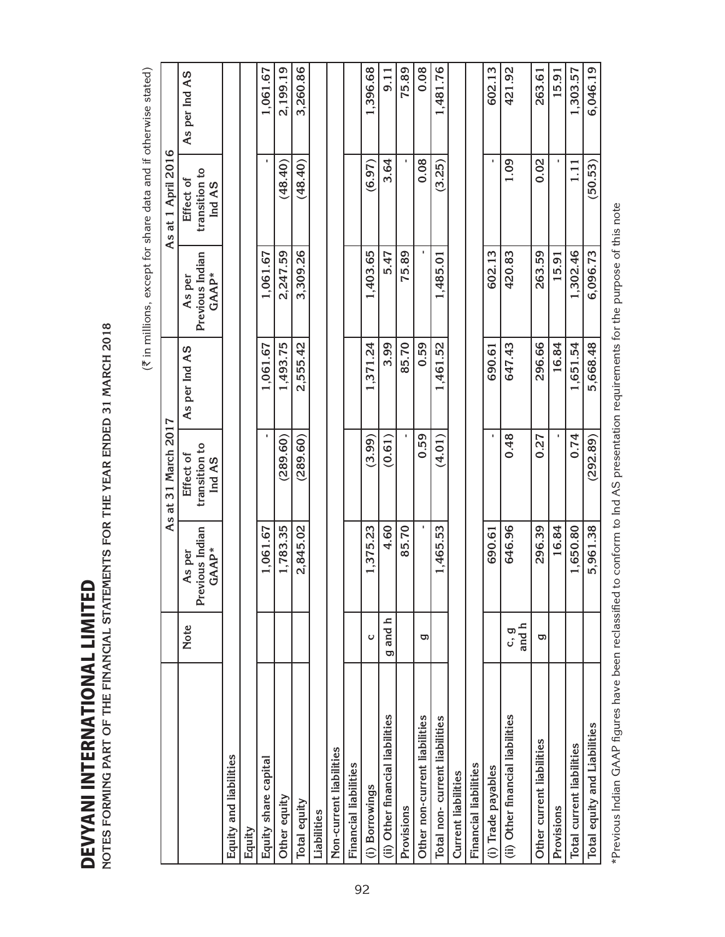|                                  |             |                                    |                                                  |               | (₹ in millions, except for share data and if otherwise stated) |                                                  |               |
|----------------------------------|-------------|------------------------------------|--------------------------------------------------|---------------|----------------------------------------------------------------|--------------------------------------------------|---------------|
|                                  |             | As                                 | 31 March 2017<br>đ                               |               |                                                                | As at 1 April 2016                               |               |
|                                  | Note        | Previous Indian<br>GAAP*<br>As per | transition to<br>Effect of<br>Ind A <sub>S</sub> | As per Ind AS | Previous Indian<br>GAAP*<br>As per                             | transition to<br>Effect of<br>Ind A <sub>S</sub> | As per Ind AS |
| Equity and liabilities           |             |                                    |                                                  |               |                                                                |                                                  |               |
| Equity                           |             |                                    |                                                  |               |                                                                |                                                  |               |
| Equity share capital             |             | 1,061.67                           |                                                  | 1,061.67      | 1,061.67                                                       |                                                  | 1,061.67      |
| Other equity                     |             | 1,783.35                           | (289.60)                                         | 1,493.75      | 2,247.59                                                       | (48.40)                                          | 2,199.19      |
| Total equity                     |             | 2,845.02                           | (289.60)                                         | 2,555.42      | 3,309.26                                                       | (48.40)                                          | 3,260.86      |
| Liabilities                      |             |                                    |                                                  |               |                                                                |                                                  |               |
| Non-current liabilities          |             |                                    |                                                  |               |                                                                |                                                  |               |
| Financial liabilities            |             |                                    |                                                  |               |                                                                |                                                  |               |
| (i) Borrowings                   | U           | 1,375.23                           | (3.99)                                           | 1,371.24      | 1,403.65                                                       | (6.97)                                           | 1,396.68      |
| (ii) Other financial liabilities | and h<br>ρ  | 4.60                               | (0.61)                                           | 3.99          | 5.47                                                           | 3.64                                             | 9.11          |
| Provisions                       |             | 85.70                              |                                                  | 85.70         | 75.89                                                          |                                                  | 75.89         |
| Other non-current liabilities    | ρ           |                                    | 0.59                                             | 0.59          |                                                                | 0.08                                             | 0.08          |
| Total non-current liabilities    |             | 1,465.53                           | (4.01)                                           | 1,461.52      | 1,485.01                                                       | (3.25)                                           | 1,481.76      |
| <b>Current liabilities</b>       |             |                                    |                                                  |               |                                                                |                                                  |               |
| Financial liabilities            |             |                                    |                                                  |               |                                                                |                                                  |               |
| (i) Trade payables               |             | 690.61                             |                                                  | 690.61        | 602.13                                                         |                                                  | 602.13        |
| (ii) Other financial liabilities | and h<br>ပြ | 646.96                             | 0.48                                             | 647.43        | 420.83                                                         | 1.09                                             | 421.92        |
| Other current liabilities        | ρ           | 296.39                             | 0.27                                             | 296.66        | 263.59                                                         | 0.02                                             | 263.61        |
| Provisions                       |             | 16.84                              |                                                  | 16.84         | 15.91                                                          |                                                  | 15.91         |
| Total current liabilities        |             | 1,650.80                           | 0.74                                             | 1,651.54      | 1,302.46                                                       | 1.11                                             | 1,303.57      |
| Total equity and Liabilities     |             | 5,961.38                           | (292.89)                                         | 5,668.48      | 6,096.73                                                       | (50.53)                                          | 6,046.19      |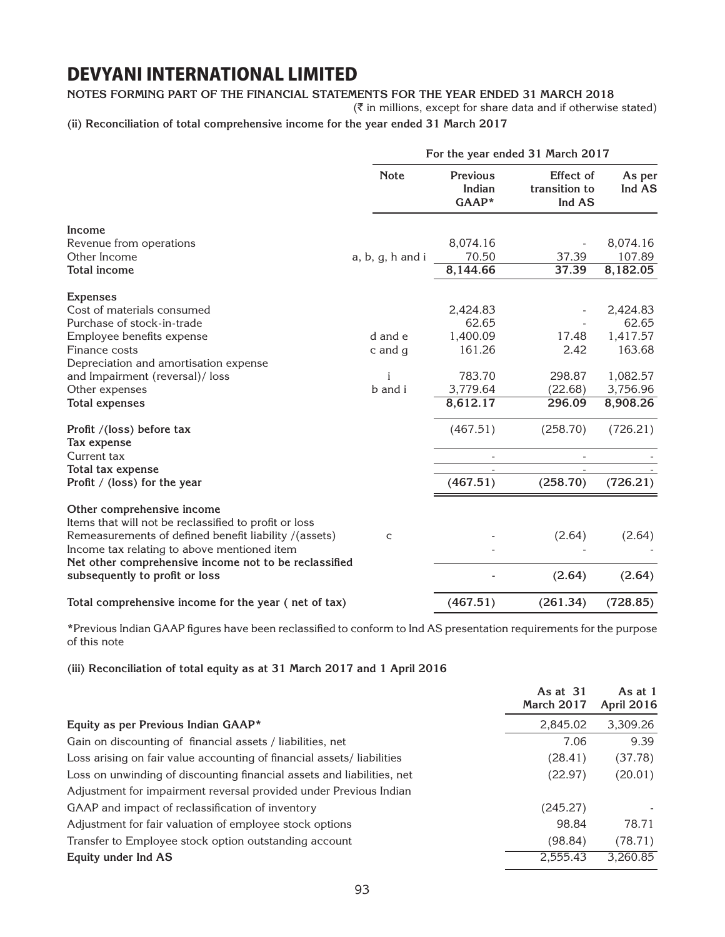#### **Notes forming part of the financial statements for the year ended 31 March 2018**

 $(\bar{\bar{\zeta}})$  in millions, except for share data and if otherwise stated)

**(ii) Reconciliation of total comprehensive income for the year ended 31 March 2017** 

|                                                                                                                                                               |                  |                                    | For the year ended 31 March 2017     |                    |
|---------------------------------------------------------------------------------------------------------------------------------------------------------------|------------------|------------------------------------|--------------------------------------|--------------------|
|                                                                                                                                                               | <b>Note</b>      | <b>Previous</b><br>Indian<br>GAAP* | Effect of<br>transition to<br>Ind AS | As per<br>Ind AS   |
| Income                                                                                                                                                        |                  |                                    |                                      |                    |
| Revenue from operations<br>Other Income                                                                                                                       |                  | 8,074.16<br>70.50                  | 37.39                                | 8,074.16<br>107.89 |
| <b>Total income</b>                                                                                                                                           | a, b, g, h and i | 8,144.66                           | 37.39                                | 8,182.05           |
|                                                                                                                                                               |                  |                                    |                                      |                    |
| <b>Expenses</b>                                                                                                                                               |                  |                                    |                                      |                    |
| Cost of materials consumed                                                                                                                                    |                  | 2,424.83                           |                                      | 2,424.83           |
| Purchase of stock-in-trade                                                                                                                                    |                  | 62.65                              |                                      | 62.65              |
| Employee benefits expense                                                                                                                                     | d and e          | 1,400.09                           | 17.48                                | 1,417.57           |
| Finance costs                                                                                                                                                 | c and g          | 161.26                             | 2.42                                 | 163.68             |
| Depreciation and amortisation expense                                                                                                                         |                  |                                    |                                      |                    |
| and Impairment (reversal)/ loss                                                                                                                               | i                | 783.70                             | 298.87                               | 1,082.57           |
| Other expenses                                                                                                                                                | b and i          | 3,779.64                           | (22.68)                              | 3,756.96           |
| <b>Total expenses</b>                                                                                                                                         |                  | 8,612.17                           | 296.09                               | 8,908.26           |
| Profit /(loss) before tax<br>Tax expense                                                                                                                      |                  | (467.51)                           | (258.70)                             | (726.21)           |
| Current tax                                                                                                                                                   |                  |                                    | $\blacksquare$                       |                    |
| Total tax expense                                                                                                                                             |                  |                                    |                                      |                    |
| Profit / (loss) for the year                                                                                                                                  |                  | (467.51)                           | (258.70)                             | (726.21)           |
| Other comprehensive income<br>Items that will not be reclassified to profit or loss                                                                           |                  |                                    |                                      |                    |
| Remeasurements of defined benefit liability /(assets)<br>Income tax relating to above mentioned item<br>Net other comprehensive income not to be reclassified | C                |                                    | (2.64)                               | (2.64)             |
| subsequently to profit or loss                                                                                                                                |                  |                                    | (2.64)                               | (2.64)             |
| Total comprehensive income for the year (net of tax)                                                                                                          |                  | (467.51)                           | (261.34)                             | (728.85)           |

\*Previous Indian GAAP figures have been reclassified to conform to Ind AS presentation requirements for the purpose of this note

**(iii) Reconciliation of total equity as at 31 March 2017 and 1 April 2016** 

| Equity as per Previous Indian GAAP*<br>2,845.02<br>7.06<br>Gain on discounting of financial assets / liabilities, net<br>Loss arising on fair value accounting of financial assets/liabilities<br>(28.41)<br>Loss on unwinding of discounting financial assets and liabilities, net<br>(22.97)<br>Adjustment for impairment reversal provided under Previous Indian<br>(245.27)<br>GAAP and impact of reclassification of inventory<br>98.84<br>Adjustment for fair valuation of employee stock options<br>(98.84)<br>Transfer to Employee stock option outstanding account<br>2,555.43<br>Equity under Ind AS | As at 31<br>March 2017 | As at 1<br><b>April 2016</b> |
|----------------------------------------------------------------------------------------------------------------------------------------------------------------------------------------------------------------------------------------------------------------------------------------------------------------------------------------------------------------------------------------------------------------------------------------------------------------------------------------------------------------------------------------------------------------------------------------------------------------|------------------------|------------------------------|
|                                                                                                                                                                                                                                                                                                                                                                                                                                                                                                                                                                                                                |                        | 3,309.26                     |
|                                                                                                                                                                                                                                                                                                                                                                                                                                                                                                                                                                                                                |                        | 9.39                         |
|                                                                                                                                                                                                                                                                                                                                                                                                                                                                                                                                                                                                                |                        | (37.78)                      |
|                                                                                                                                                                                                                                                                                                                                                                                                                                                                                                                                                                                                                |                        | (20.01)                      |
|                                                                                                                                                                                                                                                                                                                                                                                                                                                                                                                                                                                                                |                        |                              |
|                                                                                                                                                                                                                                                                                                                                                                                                                                                                                                                                                                                                                |                        |                              |
|                                                                                                                                                                                                                                                                                                                                                                                                                                                                                                                                                                                                                |                        | 78.71                        |
|                                                                                                                                                                                                                                                                                                                                                                                                                                                                                                                                                                                                                |                        | (78.71)                      |
|                                                                                                                                                                                                                                                                                                                                                                                                                                                                                                                                                                                                                |                        | 3,260.85                     |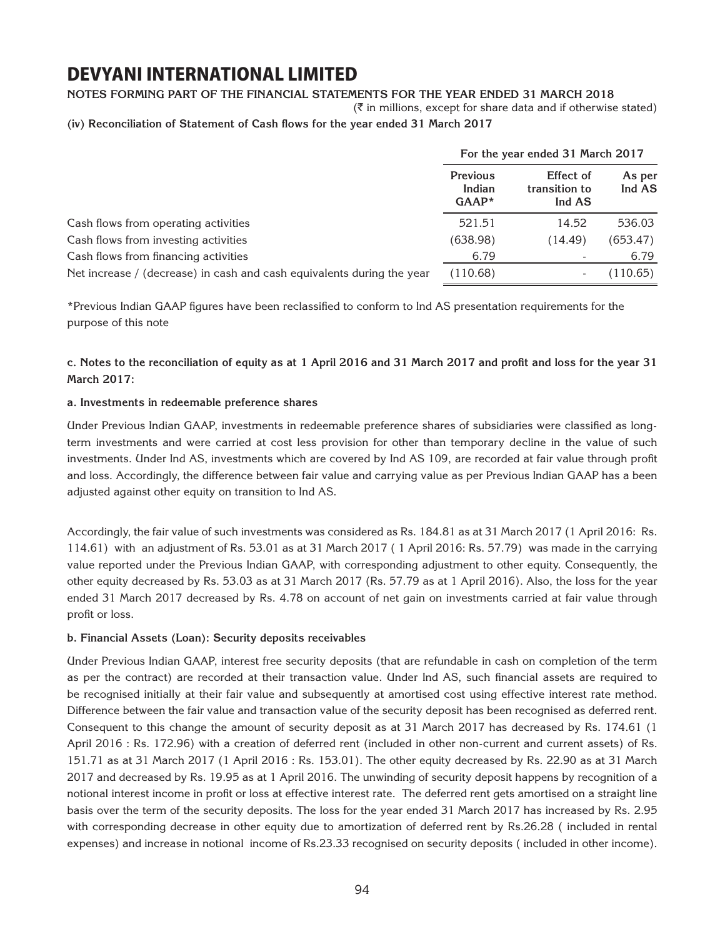### **Notes forming part of the financial statements for the year ended 31 March 2018**

 $(\bar{\bar{\zeta}})$  in millions, except for share data and if otherwise stated)

**(iv) Reconciliation of Statement of Cash flows for the year ended 31 March 2017**

|                                                                        |                                      | For the year ended 31 March 2017     |                  |
|------------------------------------------------------------------------|--------------------------------------|--------------------------------------|------------------|
|                                                                        | <b>Previous</b><br>Indian<br>$GAAP*$ | Effect of<br>transition to<br>Ind AS | As per<br>Ind AS |
| Cash flows from operating activities                                   | 521.51                               | 14.52                                | 536.03           |
| Cash flows from investing activities                                   | (638.98)                             | (14.49)                              | (653.47)         |
| Cash flows from financing activities                                   | 6.79                                 |                                      | 6.79             |
| Net increase / (decrease) in cash and cash equivalents during the year | (110.68)                             |                                      | (110.65)         |

\*Previous Indian GAAP figures have been reclassified to conform to Ind AS presentation requirements for the purpose of this note

**c. Notes to the reconciliation of equity as at 1 April 2016 and 31 March 2017 and profit and loss for the year 31 March 2017:**

#### **a. Investments in redeemable preference shares**

Under Previous Indian GAAP, investments in redeemable preference shares of subsidiaries were classified as longterm investments and were carried at cost less provision for other than temporary decline in the value of such investments. Under Ind AS, investments which are covered by Ind AS 109, are recorded at fair value through profit and loss. Accordingly, the difference between fair value and carrying value as per Previous Indian GAAP has a been adjusted against other equity on transition to Ind AS.

Accordingly, the fair value of such investments was considered as Rs. 184.81 as at 31 March 2017 (1 April 2016: Rs. 114.61) with an adjustment of Rs. 53.01 as at 31 March 2017 ( 1 April 2016: Rs. 57.79) was made in the carrying value reported under the Previous Indian GAAP, with corresponding adjustment to other equity. Consequently, the other equity decreased by Rs. 53.03 as at 31 March 2017 (Rs. 57.79 as at 1 April 2016). Also, the loss for the year ended 31 March 2017 decreased by Rs. 4.78 on account of net gain on investments carried at fair value through profit or loss.

#### **b. Financial Assets (Loan): Security deposits receivables**

Under Previous Indian GAAP, interest free security deposits (that are refundable in cash on completion of the term as per the contract) are recorded at their transaction value. Under Ind AS, such financial assets are required to be recognised initially at their fair value and subsequently at amortised cost using effective interest rate method. Difference between the fair value and transaction value of the security deposit has been recognised as deferred rent. Consequent to this change the amount of security deposit as at 31 March 2017 has decreased by Rs. 174.61 (1 April 2016 : Rs. 172.96) with a creation of deferred rent (included in other non-current and current assets) of Rs. 151.71 as at 31 March 2017 (1 April 2016 : Rs. 153.01). The other equity decreased by Rs. 22.90 as at 31 March 2017 and decreased by Rs. 19.95 as at 1 April 2016. The unwinding of security deposit happens by recognition of a notional interest income in profit or loss at effective interest rate. The deferred rent gets amortised on a straight line basis over the term of the security deposits. The loss for the year ended 31 March 2017 has increased by Rs. 2.95 with corresponding decrease in other equity due to amortization of deferred rent by Rs.26.28 ( included in rental expenses) and increase in notional income of Rs.23.33 recognised on security deposits ( included in other income).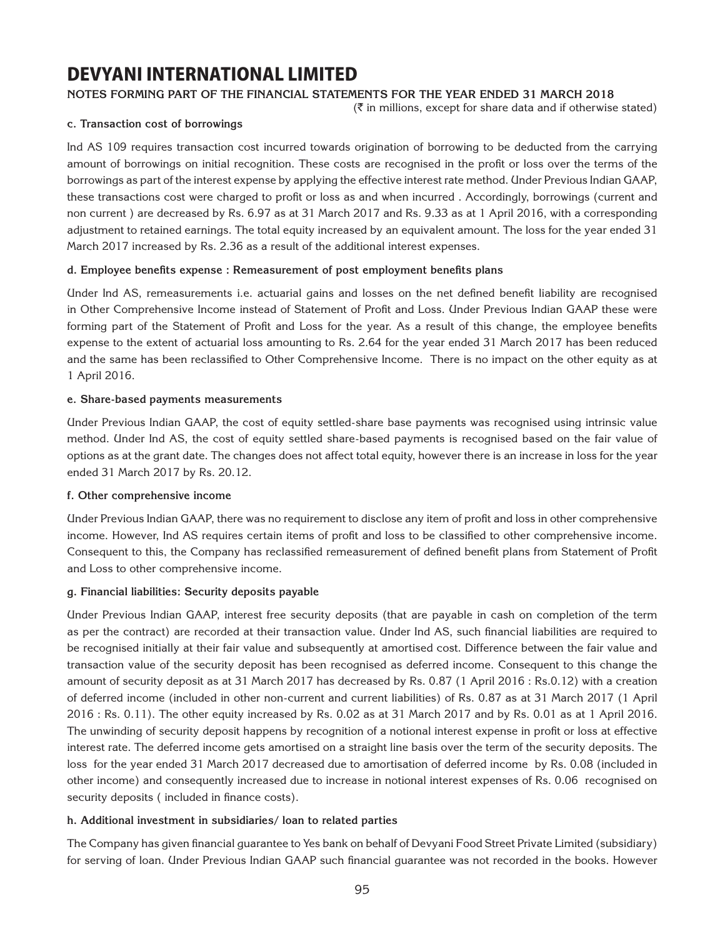### **Notes forming part of the financial statements for the year ended 31 March 2018**

 $(\bar{\bar{\zeta}})$  in millions, except for share data and if otherwise stated)

#### **c. Transaction cost of borrowings**

Ind AS 109 requires transaction cost incurred towards origination of borrowing to be deducted from the carrying amount of borrowings on initial recognition. These costs are recognised in the profit or loss over the terms of the borrowings as part of the interest expense by applying the effective interest rate method. Under Previous Indian GAAP, these transactions cost were charged to profit or loss as and when incurred . Accordingly, borrowings (current and non current ) are decreased by Rs. 6.97 as at 31 March 2017 and Rs. 9.33 as at 1 April 2016, with a corresponding adjustment to retained earnings. The total equity increased by an equivalent amount. The loss for the year ended 31 March 2017 increased by Rs. 2.36 as a result of the additional interest expenses.

### **d. Employee benefits expense : Remeasurement of post employment benefits plans**

Under Ind AS, remeasurements i.e. actuarial gains and losses on the net defined benefit liability are recognised in Other Comprehensive Income instead of Statement of Profit and Loss. Under Previous Indian GAAP these were forming part of the Statement of Profit and Loss for the year. As a result of this change, the employee benefits expense to the extent of actuarial loss amounting to Rs. 2.64 for the year ended 31 March 2017 has been reduced and the same has been reclassified to Other Comprehensive Income. There is no impact on the other equity as at 1 April 2016.

#### **e. Share-based payments measurements**

Under Previous Indian GAAP, the cost of equity settled-share base payments was recognised using intrinsic value method. Under Ind AS, the cost of equity settled share-based payments is recognised based on the fair value of options as at the grant date. The changes does not affect total equity, however there is an increase in loss for the year ended 31 March 2017 by Rs. 20.12.

#### **f. Other comprehensive income**

Under Previous Indian GAAP, there was no requirement to disclose any item of profit and loss in other comprehensive income. However, Ind AS requires certain items of profit and loss to be classified to other comprehensive income. Consequent to this, the Company has reclassified remeasurement of defined benefit plans from Statement of Profit and Loss to other comprehensive income.

#### **g. Financial liabilities: Security deposits payable**

Under Previous Indian GAAP, interest free security deposits (that are payable in cash on completion of the term as per the contract) are recorded at their transaction value. Under Ind AS, such financial liabilities are required to be recognised initially at their fair value and subsequently at amortised cost. Difference between the fair value and transaction value of the security deposit has been recognised as deferred income. Consequent to this change the amount of security deposit as at 31 March 2017 has decreased by Rs. 0.87 (1 April 2016 : Rs.0.12) with a creation of deferred income (included in other non-current and current liabilities) of Rs. 0.87 as at 31 March 2017 (1 April 2016 : Rs. 0.11). The other equity increased by Rs. 0.02 as at 31 March 2017 and by Rs. 0.01 as at 1 April 2016. The unwinding of security deposit happens by recognition of a notional interest expense in profit or loss at effective interest rate. The deferred income gets amortised on a straight line basis over the term of the security deposits. The loss for the year ended 31 March 2017 decreased due to amortisation of deferred income by Rs. 0.08 (included in other income) and consequently increased due to increase in notional interest expenses of Rs. 0.06 recognised on security deposits ( included in finance costs).

### **h. Additional investment in subsidiaries/ loan to related parties**

The Company has given financial guarantee to Yes bank on behalf of Devyani Food Street Private Limited (subsidiary) for serving of loan. Under Previous Indian GAAP such financial guarantee was not recorded in the books. However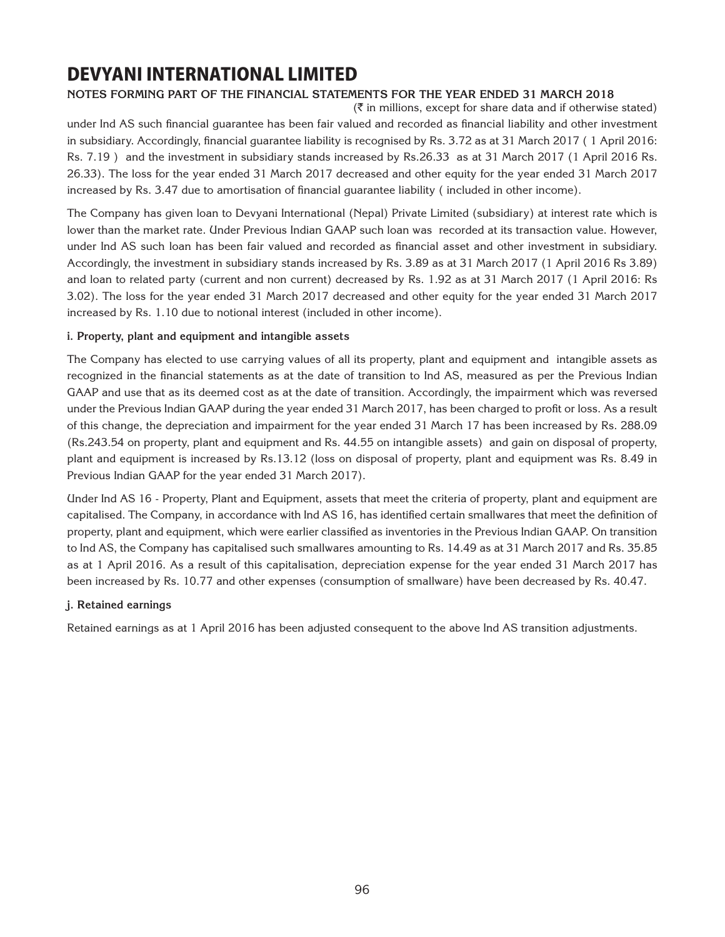### **Notes forming part of the financial statements for the year ended 31 March 2018**

 $(\bar{\tau}$  in millions, except for share data and if otherwise stated) under Ind AS such financial guarantee has been fair valued and recorded as financial liability and other investment in subsidiary. Accordingly, financial guarantee liability is recognised by Rs. 3.72 as at 31 March 2017 ( 1 April 2016: Rs. 7.19 ) and the investment in subsidiary stands increased by Rs.26.33 as at 31 March 2017 (1 April 2016 Rs. 26.33). The loss for the year ended 31 March 2017 decreased and other equity for the year ended 31 March 2017 increased by Rs. 3.47 due to amortisation of financial guarantee liability ( included in other income).

The Company has given loan to Devyani International (Nepal) Private Limited (subsidiary) at interest rate which is lower than the market rate. Under Previous Indian GAAP such loan was recorded at its transaction value. However, under Ind AS such loan has been fair valued and recorded as financial asset and other investment in subsidiary. Accordingly, the investment in subsidiary stands increased by Rs. 3.89 as at 31 March 2017 (1 April 2016 Rs 3.89) and loan to related party (current and non current) decreased by Rs. 1.92 as at 31 March 2017 (1 April 2016: Rs 3.02). The loss for the year ended 31 March 2017 decreased and other equity for the year ended 31 March 2017 increased by Rs. 1.10 due to notional interest (included in other income).

### **i. Property, plant and equipment and intangible assets**

The Company has elected to use carrying values of all its property, plant and equipment and intangible assets as recognized in the financial statements as at the date of transition to Ind AS, measured as per the Previous Indian GAAP and use that as its deemed cost as at the date of transition. Accordingly, the impairment which was reversed under the Previous Indian GAAP during the year ended 31 March 2017, has been charged to profit or loss. As a result of this change, the depreciation and impairment for the year ended 31 March 17 has been increased by Rs. 288.09 (Rs.243.54 on property, plant and equipment and Rs. 44.55 on intangible assets) and gain on disposal of property, plant and equipment is increased by Rs.13.12 (loss on disposal of property, plant and equipment was Rs. 8.49 in Previous Indian GAAP for the year ended 31 March 2017).

Under Ind AS 16 - Property, Plant and Equipment, assets that meet the criteria of property, plant and equipment are capitalised. The Company, in accordance with Ind AS 16, has identified certain smallwares that meet the definition of property, plant and equipment, which were earlier classified as inventories in the Previous Indian GAAP. On transition to Ind AS, the Company has capitalised such smallwares amounting to Rs. 14.49 as at 31 March 2017 and Rs. 35.85 as at 1 April 2016. As a result of this capitalisation, depreciation expense for the year ended 31 March 2017 has been increased by Rs. 10.77 and other expenses (consumption of smallware) have been decreased by Rs. 40.47.

### **j. Retained earnings**

Retained earnings as at 1 April 2016 has been adjusted consequent to the above Ind AS transition adjustments.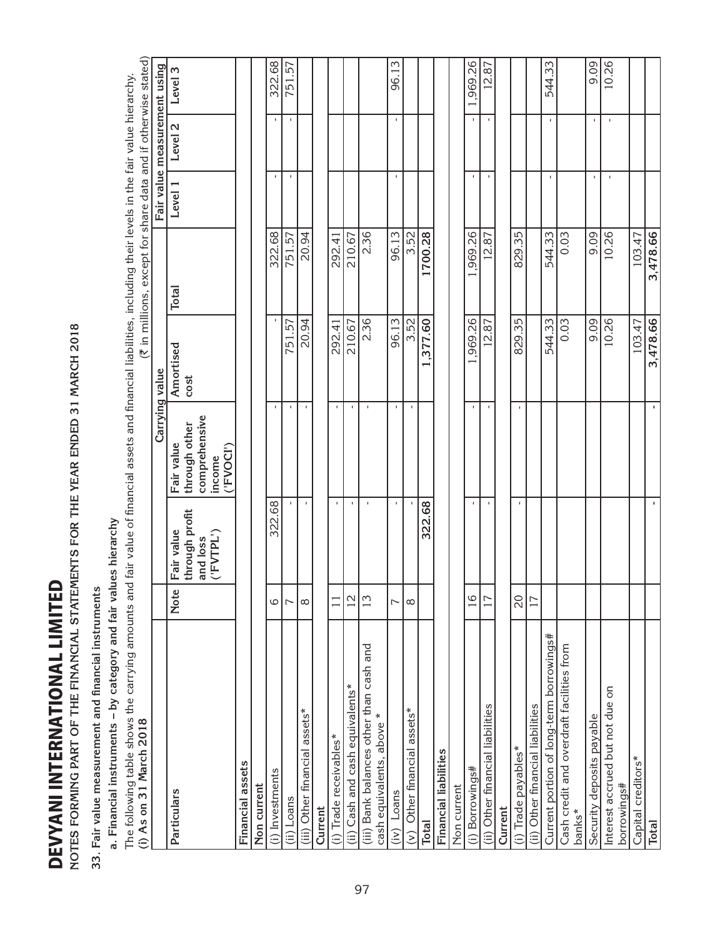| l<br>י<br>י<br>֘֝֬<br>I |
|-------------------------|
| I                       |
| ı<br>ı                  |
|                         |
| ı<br>I                  |
| ı<br>I                  |
|                         |
|                         |
| ı                       |
| ı                       |

NOTES FORMING PART OF THE FINANCIAL STATEMENTS FOR THE YEAR ENDED 31 MARCH 2018 **Notes forming part of the financial statements for the year ended 31 March 2018**

33. Fair value measurement and financial instruments **33. Fair value measurement and financial instruments**

**a. Financial instruments – by category and fair values hierarchy**

a. Financial instruments – by category and fair values hierarchy<br>The following table shows the carrying amounts and fair value of financial assets and financial liabilities, including their levels in the fair value hierarc The following table shows the carrying amounts and fair value of financial assets and financial liabilities, including their levels in the fair value hierarchy. **(i) As on 31 March 2018**

| (i) As on 31 March 2018                                              |                          |                              |                                      |                   | (₹ in millions, except for share data and if otherwise stated) |              |                              |          |
|----------------------------------------------------------------------|--------------------------|------------------------------|--------------------------------------|-------------------|----------------------------------------------------------------|--------------|------------------------------|----------|
|                                                                      |                          |                              | Carrying value                       |                   |                                                                |              | Fair value measurement using |          |
| Particulars                                                          | <b>Note</b>              | through profit<br>Fair value | through other<br>Fair value          | Amortised<br>cost | <b>Total</b>                                                   | Level 1      | Level <sub>2</sub>           | Level 3  |
|                                                                      |                          | ('FVTPL')<br>and loss        | comprehensive<br>('FVOCI')<br>income |                   |                                                                |              |                              |          |
| Financial assets                                                     |                          |                              |                                      |                   |                                                                |              |                              |          |
| Non current                                                          |                          |                              |                                      |                   |                                                                |              |                              |          |
| (i) Investments                                                      | 6                        | 322.68                       | $\mathbf{I}$                         | $\mathbf I$       | 322.68                                                         | J.           | J.                           | 322.68   |
| (ii) Loans                                                           | $\overline{ }$           |                              |                                      | 751.57            | 751.57                                                         | ×.           | ×.                           | 751.57   |
| (iii) Other financial assets*                                        | $\infty$                 | $\mathbf{I}$                 | $\mathbf{I}$                         | 20.94             | 20.94                                                          |              |                              |          |
| Current                                                              |                          |                              |                                      |                   |                                                                |              |                              |          |
| (i) Trade receivables*                                               |                          | ×,                           | J.                                   | 292.41            | 292.41                                                         |              |                              |          |
| (ii) Cash and cash equivalents*                                      | $\overline{2}$           | $\mathbf{I}$                 | $\mathbf I$                          | 210.67            | 210.67                                                         |              |                              |          |
| (iii) Bank balances other than cash and<br>cash equivalents, above * | 13                       | $\mathbf{I}$                 | $\mathbf{I}$                         | 2.36              | 2.36                                                           |              |                              |          |
| Loans<br>(iv)                                                        | $\sim$                   | τ.                           | τ.                                   | 96.13             | 96.13                                                          | ٠            | $\mathbf{I}$                 | 96.13    |
| Other financial assets*<br>$\widehat{\epsilon}$                      | $^{\circ}$               |                              | $\mathbf{I}$                         | 3.52              | 3.52                                                           |              |                              |          |
| <b>Total</b>                                                         |                          | 322.68                       |                                      | 1,377.60          | 1700.28                                                        |              |                              |          |
| Financial liabilities                                                |                          |                              |                                      |                   |                                                                |              |                              |          |
| Non current                                                          |                          |                              |                                      |                   |                                                                |              |                              |          |
| (i) Borrowings#                                                      | $\overline{16}$          |                              | $\mathbf{I}$                         | ,969.26           | ,969.26                                                        | ٠            | ٠                            | 1,969.26 |
| (ii) Other financial liabilities                                     | 17                       | $\blacksquare$               | $\mathbf{I}$                         | 12.87             | 12.87                                                          | $\mathbf{I}$ | ×.                           | 12.87    |
| Current                                                              |                          |                              |                                      |                   |                                                                |              |                              |          |
| (i) Trade payables*                                                  | $\overline{\mathcal{S}}$ | ×,                           | $\mathbf{I}$                         | 829.35            | 829.35                                                         |              |                              |          |
| (ii) Other financial liabilities                                     | 17                       |                              |                                      |                   |                                                                |              |                              |          |
| Current portion of long-term borrowings#                             |                          |                              |                                      | 544.33            | 544.33                                                         | ×.           | $\mathbf{I}$                 | 544.33   |
| Cash credit and overdraft facilities from<br>banks*                  |                          |                              |                                      | 0.03              | 0.03                                                           |              |                              |          |
| Security deposits payable                                            |                          |                              |                                      | 9.09              | 9.09                                                           | ٠            | ×.                           | 9.09     |
| Interest accrued but not due on<br>borrowings#                       |                          |                              |                                      | 10.26             | 10.26                                                          | J.           | $\mathbf{I}$                 | 10.26    |
| Capital creditors*                                                   |                          |                              |                                      | 103.47            | 103.47                                                         |              |                              |          |
| <b>Total</b>                                                         |                          | ٠                            | ٠                                    | 3,478.66          | 3,478.66                                                       |              |                              |          |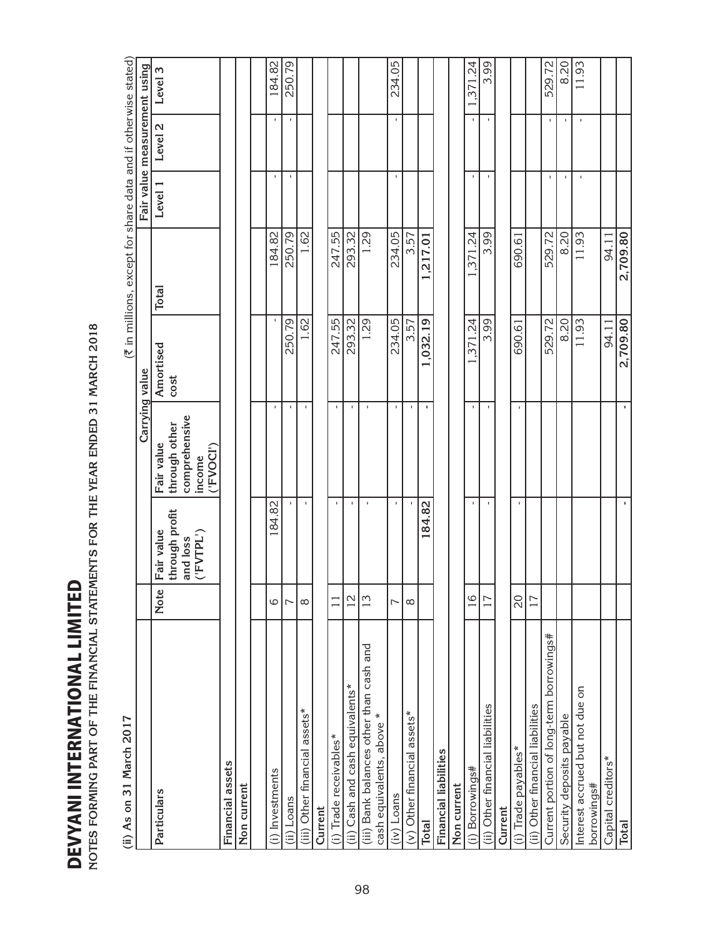| (ii) As on 31 March 2017                                             |                 |                                                       |                                                                     |                   |                                                                |              |                              |          |
|----------------------------------------------------------------------|-----------------|-------------------------------------------------------|---------------------------------------------------------------------|-------------------|----------------------------------------------------------------|--------------|------------------------------|----------|
|                                                                      |                 |                                                       | Carrying value                                                      |                   | (₹ in millions, except for share data and if otherwise stated) |              | Fair value measurement using |          |
| Particulars                                                          | Note            | through profit<br>Fair value<br>('FVTPL')<br>and loss | comprehensive<br>through other<br>Fair value<br>('FVOCI')<br>income | Amortised<br>cost | Total                                                          | Level 1      | Level <sub>2</sub>           | Level 3  |
| Financial assets                                                     |                 |                                                       |                                                                     |                   |                                                                |              |                              |          |
| Non current                                                          |                 |                                                       |                                                                     |                   |                                                                |              |                              |          |
|                                                                      |                 |                                                       |                                                                     |                   |                                                                |              |                              |          |
| (i) Investments                                                      | 6               | 184.82                                                | $\mathbf I$                                                         | $\mathbf I$       | 184.82                                                         | J.           | $\mathbf I$                  | 184.82   |
| (ii) Loans                                                           | $\overline{ }$  |                                                       | I.                                                                  | 250.79            | 250.79                                                         | J.           | $\mathbf I$                  | 250.79   |
| (iii) Other financial assets*                                        | $\infty$        | f,                                                    | f,                                                                  | 1.62              | 1.62                                                           |              |                              |          |
| Current                                                              |                 |                                                       |                                                                     |                   |                                                                |              |                              |          |
| (i) Trade receivables*                                               | $\Box$          | $\mathbf{I}$                                          |                                                                     | 247.55            | 247.55                                                         |              |                              |          |
| (ii) Cash and cash equivalents*                                      | $\overline{12}$ | f,                                                    | f,                                                                  | 293.32            | 293.32                                                         |              |                              |          |
| (iii) Bank balances other than cash and<br>cash equivalents, above * | 13              | $\mathbf I$                                           | $\mathbf I$                                                         | 1.29              | 1.29                                                           |              |                              |          |
| $(iv)$ Loans                                                         | $\overline{ }$  | J.                                                    |                                                                     | 234.05            | 234.05                                                         | J.           | J.                           | 234.05   |
| $(v)$ Other financial assets*                                        | ∞               |                                                       | $\mathbf I$                                                         | 3.57              | 3.57                                                           |              |                              |          |
| Total                                                                |                 | 184.82                                                | $\blacksquare$                                                      | 1.032.19          | 1,217.01                                                       |              |                              |          |
| <b>Financial liabilities</b>                                         |                 |                                                       |                                                                     |                   |                                                                |              |                              |          |
| Non current                                                          |                 |                                                       |                                                                     |                   |                                                                |              |                              |          |
| (i) Borrowings#                                                      | 16              | $\mathbf{I}$                                          | $\mathbf I$                                                         | 1.371.24          | 1.371.24                                                       | $\mathbf{I}$ | $\mathbf{I}$                 | 1,371.24 |
| (ii) Other financial liabilities                                     | 17              | $\mathbf I$                                           | ×,                                                                  | 3.99              | 3.99                                                           | ×,           | $\mathbf I$                  | 3.99     |
| Current                                                              |                 |                                                       |                                                                     |                   |                                                                |              |                              |          |
| (i) Trade payables*                                                  | 20              | $\mathbf{I}$                                          | $\mathbf{I}$                                                        | 690.61            | 690.61                                                         |              |                              |          |
| (ii) Other financial liabilities                                     | 17              |                                                       |                                                                     |                   |                                                                |              |                              |          |

Current portion of long-term borrowings# | 529.72 529.72 529.72 529.72 529.72 - - 529.72 529.72 529.72 529.72 5 Security deposits payable 8.20 8.20 - - 8.20 11.93 11.93 - - 11.93

94.11 2,709.80

94.11 2,709.80

ï

ï

 $8.20$  $\boxed{1.93}$ 

 $8.20$ 11.93

529.72

529.72

 $\bar{1}$ 

529.72

j.  $\mathbf{I}$  $\blacksquare$ 

 $\frac{8.20}{11.93}$ 

Interest accrued but not due on

Interest accrued but not due on

Security deposits payable

Current portion of long-term borrowings#

borrowings#

Capital creditors\* borrowings#

Total

Capital creditors\* 94.11 94.11 **Total - - 2,709.80 2,709.80**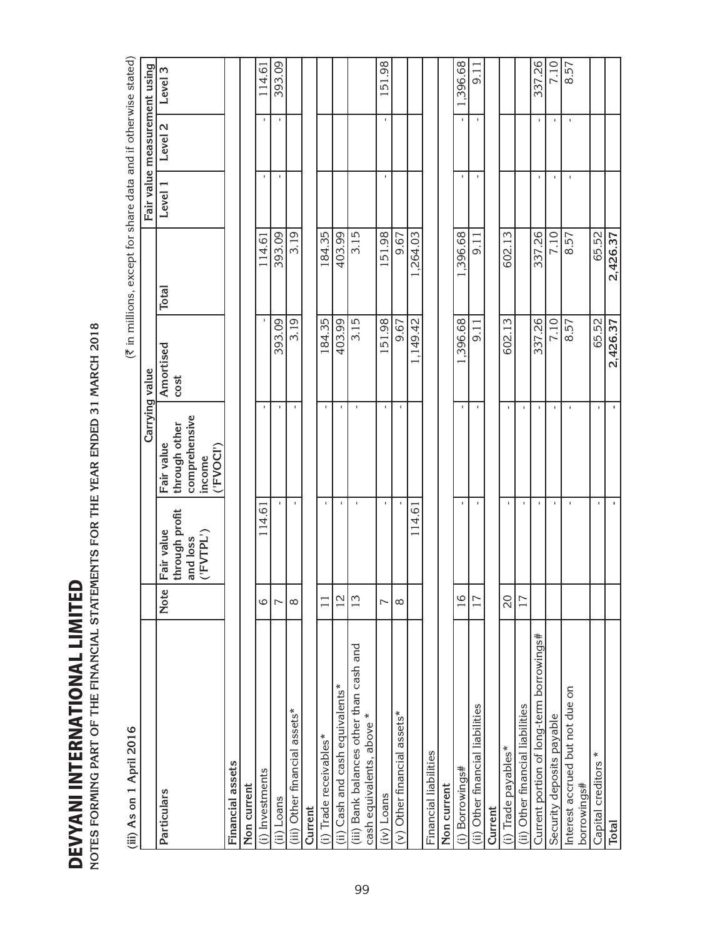| ŀ             |  |
|---------------|--|
| i<br>S        |  |
|               |  |
|               |  |
| ι             |  |
|               |  |
| l             |  |
| j<br>ζ        |  |
|               |  |
|               |  |
|               |  |
| d d L L L L L |  |
|               |  |
|               |  |
| ===           |  |
| ì             |  |
| Ì<br>ı<br>7   |  |
|               |  |

| OTES FORMING PART OF THE FINANCIAL STATEMENTS FOR THE YEAR ENDED 31 MARCH 2018<br>EVYANI INTERNATIONAL LIMITEI |                 |                                                       |                                                                     |                   |                                                                |         |                              |          |
|----------------------------------------------------------------------------------------------------------------|-----------------|-------------------------------------------------------|---------------------------------------------------------------------|-------------------|----------------------------------------------------------------|---------|------------------------------|----------|
| (iii) As on 1 April 2016                                                                                       |                 |                                                       |                                                                     |                   | (₹ in millions, except for share data and if otherwise stated) |         |                              |          |
|                                                                                                                |                 |                                                       | Carrying value                                                      |                   |                                                                |         | Fair value measurement using |          |
| Particulars                                                                                                    | Note            | through profit<br>Fair value<br>('FVTPL')<br>and loss | comprehensive<br>through other<br>Fair value<br>('FVOCI')<br>income | Amortised<br>cost | Total                                                          | Level 1 | Level 2                      | Level 3  |
| Financial assets                                                                                               |                 |                                                       |                                                                     |                   |                                                                |         |                              |          |
| Non current                                                                                                    |                 |                                                       |                                                                     |                   |                                                                |         |                              |          |
| (i) Investments                                                                                                | 6               | 114.61                                                | $\mathbf{I}$                                                        |                   | 114.61                                                         |         |                              | 114.61   |
| (ii) Loans                                                                                                     | $\overline{ }$  |                                                       | ×,                                                                  | 393.09            | 393.09                                                         |         |                              | 393.09   |
| (iii) Other financial assets*                                                                                  | $\infty$        | $\mathbf I$                                           |                                                                     | 3.19              | 3.19                                                           |         |                              |          |
| Current                                                                                                        |                 |                                                       |                                                                     |                   |                                                                |         |                              |          |
| (i) Trade receivables*                                                                                         | $\overline{11}$ | $\mathsf I$                                           | $\mathbf I$                                                         | 184.35            | 184.35                                                         |         |                              |          |
| Cash and cash equivalents*<br>(i)                                                                              | $\overline{2}$  | $\mathbf{I}$                                          |                                                                     | 403.99            | 403.99                                                         |         |                              |          |
| (iii) Bank balances other than cash and<br>cash equivalents, above *                                           | 13              | $\mathbf{I}$                                          | J.                                                                  | 3.15              | 3.15                                                           |         |                              |          |
| (iv) Loans                                                                                                     | $\overline{ }$  |                                                       |                                                                     | 151.98            | 151.98                                                         |         |                              | 151.98   |
| (v) Other financial assets*                                                                                    | ${}^{\circ}$    |                                                       | $\mathbf{I}$                                                        | 9.67              | 9.67                                                           |         |                              |          |
|                                                                                                                |                 | 114.61                                                |                                                                     | 1,149.42          | 1,264.03                                                       |         |                              |          |
| Financial liabilities                                                                                          |                 |                                                       |                                                                     |                   |                                                                |         |                              |          |
| Non current                                                                                                    |                 |                                                       |                                                                     |                   |                                                                |         |                              |          |
| (i) Borrowings#                                                                                                | $\frac{1}{6}$   | $\mathbf{I}$                                          | $\mathbf{I}$                                                        | 1,396.68          | 1,396.68                                                       |         |                              | 1,396.68 |
| (ii) Other financial liabilities                                                                               | 17              |                                                       |                                                                     | 9.11              | 9.11                                                           |         |                              | 9.11     |
| Current                                                                                                        |                 |                                                       |                                                                     |                   |                                                                |         |                              |          |
| (i) Trade payables*                                                                                            | $\overline{20}$ |                                                       |                                                                     | 602.13            | 602.13                                                         |         |                              |          |
| (ii) Other financial liabilities                                                                               | 17              |                                                       | J.                                                                  |                   |                                                                |         |                              |          |
| Current portion of long-term borrowings#                                                                       |                 | $\mathbf{I}$                                          | J.                                                                  | 337.26            | 337.26                                                         |         |                              | 337.26   |
| Security deposits payable                                                                                      |                 | $\mathbf I$                                           | $\mathbf{I}$                                                        | 7.10              | 7.10                                                           |         |                              | 7.10     |
| Interest accrued but not due on<br>borrowings#                                                                 |                 | $\mathbf{I}$                                          |                                                                     | 8.57              | 8.57                                                           |         |                              | 8.57     |
| ∗<br>Capital creditors                                                                                         |                 | $\mathbf I$                                           | $\mathbf{I}$                                                        | 65.52<br>2,426.37 | 65.52                                                          |         |                              |          |
| <b>Total</b>                                                                                                   |                 | $\blacksquare$                                        | $\blacksquare$                                                      |                   | 2,426.37                                                       |         |                              |          |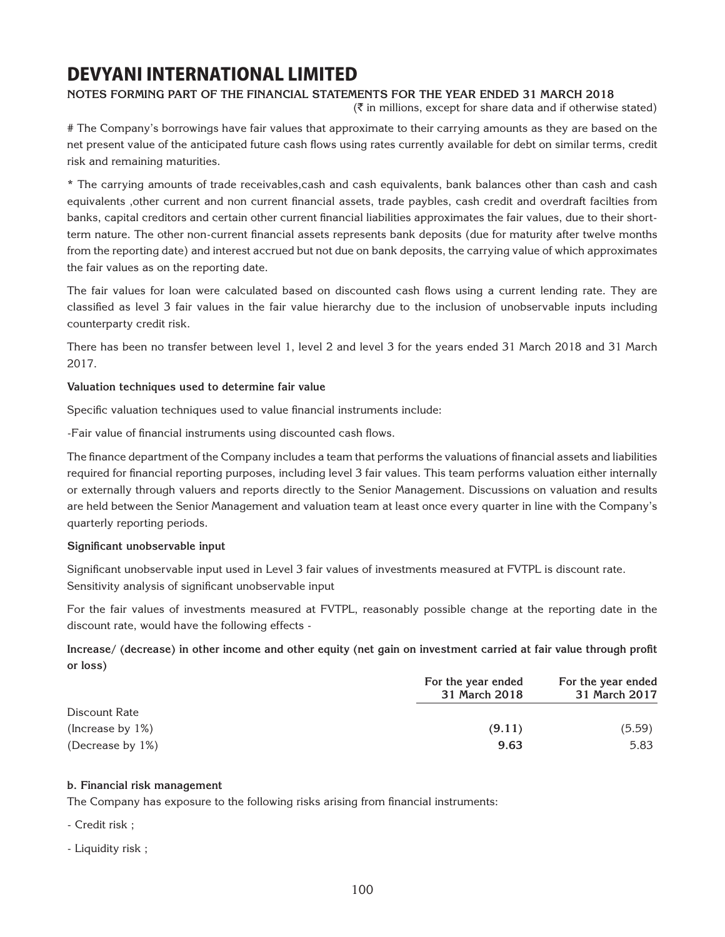### **Notes forming part of the financial statements for the year ended 31 March 2018**

 $(\bar{\bar{\zeta}})$  in millions, except for share data and if otherwise stated)

# The Company's borrowings have fair values that approximate to their carrying amounts as they are based on the net present value of the anticipated future cash flows using rates currently available for debt on similar terms, credit risk and remaining maturities.

\* The carrying amounts of trade receivables,cash and cash equivalents, bank balances other than cash and cash equivalents ,other current and non current financial assets, trade paybles, cash credit and overdraft facilties from banks, capital creditors and certain other current financial liabilities approximates the fair values, due to their shortterm nature. The other non-current financial assets represents bank deposits (due for maturity after twelve months from the reporting date) and interest accrued but not due on bank deposits, the carrying value of which approximates the fair values as on the reporting date.

The fair values for loan were calculated based on discounted cash flows using a current lending rate. They are classified as level 3 fair values in the fair value hierarchy due to the inclusion of unobservable inputs including counterparty credit risk.

There has been no transfer between level 1, level 2 and level 3 for the years ended 31 March 2018 and 31 March 2017.

#### **Valuation techniques used to determine fair value**

Specific valuation techniques used to value financial instruments include:

-Fair value of financial instruments using discounted cash flows.

The finance department of the Company includes a team that performs the valuations of financial assets and liabilities required for financial reporting purposes, including level 3 fair values. This team performs valuation either internally or externally through valuers and reports directly to the Senior Management. Discussions on valuation and results are held between the Senior Management and valuation team at least once every quarter in line with the Company's quarterly reporting periods.

#### **Significant unobservable input**

Significant unobservable input used in Level 3 fair values of investments measured at FVTPL is discount rate. Sensitivity analysis of significant unobservable input

For the fair values of investments measured at FVTPL, reasonably possible change at the reporting date in the discount rate, would have the following effects -

**Increase/ (decrease) in other income and other equity (net gain on investment carried at fair value through profit or loss)** 

|                      | For the year ended<br>31 March 2018 | For the year ended<br>31 March 2017 |
|----------------------|-------------------------------------|-------------------------------------|
| Discount Rate        |                                     |                                     |
| (Increase by $1\%$ ) | (9.11)                              | (5.59)                              |
| (Decrease by 1%)     | 9.63                                | 5.83                                |

#### **b. Financial risk management**

The Company has exposure to the following risks arising from financial instruments:

- Credit risk ;
- Liquidity risk ;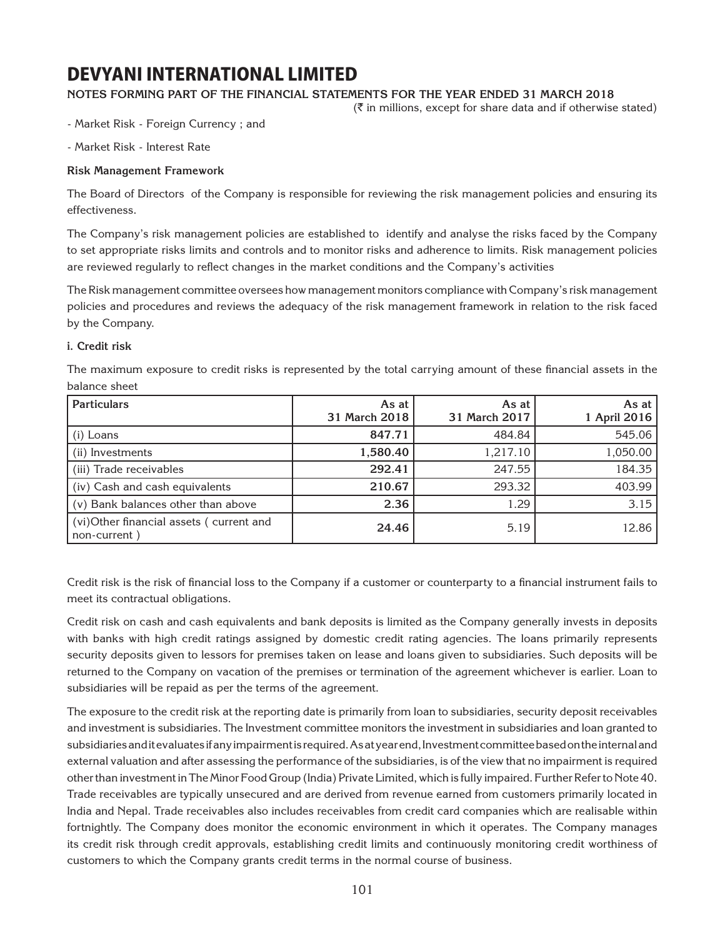### **Notes forming part of the financial statements for the year ended 31 March 2018**

 $(\bar{\tau}$  in millions, except for share data and if otherwise stated)

- Market Risk - Foreign Currency ; and

- Market Risk - Interest Rate

#### **Risk Management Framework**

The Board of Directors of the Company is responsible for reviewing the risk management policies and ensuring its effectiveness.

The Company's risk management policies are established to identify and analyse the risks faced by the Company to set appropriate risks limits and controls and to monitor risks and adherence to limits. Risk management policies are reviewed regularly to reflect changes in the market conditions and the Company's activities

The Risk management committee oversees how management monitors compliance with Company's risk management policies and procedures and reviews the adequacy of the risk management framework in relation to the risk faced by the Company.

#### **i. Credit risk**

The maximum exposure to credit risks is represented by the total carrying amount of these financial assets in the balance sheet

| <b>Particulars</b>                                      | As at<br>31 March 2018 | As at<br>31 March 2017 | As at<br>1 April 2016 |
|---------------------------------------------------------|------------------------|------------------------|-----------------------|
| $(i)$ Loans                                             | 847.71                 | 484.84                 | 545.06                |
| (ii) Investments                                        | 1,580.40               | 1,217.10               | 1,050.00              |
| (iii) Trade receivables                                 | 292.41                 | 247.55                 | 184.35                |
| (iv) Cash and cash equivalents                          | 210.67                 | 293.32                 | 403.99                |
| (v) Bank balances other than above                      | 2.36                   | 1.29                   | 3.15                  |
| (vi)Other financial assets (current and<br>non-current) | 24.46                  | 5.19                   | 12.86                 |

Credit risk is the risk of financial loss to the Company if a customer or counterparty to a financial instrument fails to meet its contractual obligations.

Credit risk on cash and cash equivalents and bank deposits is limited as the Company generally invests in deposits with banks with high credit ratings assigned by domestic credit rating agencies. The loans primarily represents security deposits given to lessors for premises taken on lease and loans given to subsidiaries. Such deposits will be returned to the Company on vacation of the premises or termination of the agreement whichever is earlier. Loan to subsidiaries will be repaid as per the terms of the agreement.

The exposure to the credit risk at the reporting date is primarily from loan to subsidiaries, security deposit receivables and investment is subsidiaries. The Investment committee monitors the investment in subsidiaries and loan granted to subsidiaries and it evaluates if any impairment is required. As at year end, Investment committee based on the internal and external valuation and after assessing the performance of the subsidiaries, is of the view that no impairment is required other than investment in The Minor Food Group (India) Private Limited, which is fully impaired. Further Refer to Note 40. Trade receivables are typically unsecured and are derived from revenue earned from customers primarily located in India and Nepal. Trade receivables also includes receivables from credit card companies which are realisable within fortnightly. The Company does monitor the economic environment in which it operates. The Company manages its credit risk through credit approvals, establishing credit limits and continuously monitoring credit worthiness of customers to which the Company grants credit terms in the normal course of business.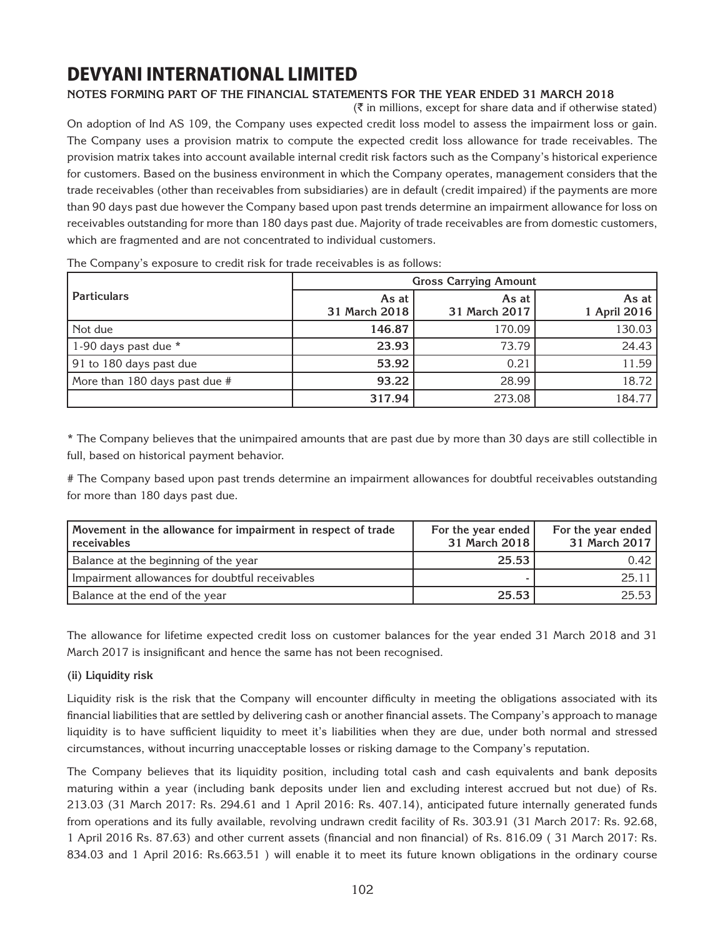### **Notes forming part of the financial statements for the year ended 31 March 2018**

 $(\bar{\bar{\zeta}})$  in millions, except for share data and if otherwise stated) On adoption of Ind AS 109, the Company uses expected credit loss model to assess the impairment loss or gain. The Company uses a provision matrix to compute the expected credit loss allowance for trade receivables. The provision matrix takes into account available internal credit risk factors such as the Company's historical experience for customers. Based on the business environment in which the Company operates, management considers that the trade receivables (other than receivables from subsidiaries) are in default (credit impaired) if the payments are more than 90 days past due however the Company based upon past trends determine an impairment allowance for loss on receivables outstanding for more than 180 days past due. Majority of trade receivables are from domestic customers, which are fragmented and are not concentrated to individual customers.

|                               |                        | <b>Gross Carrying Amount</b> |                       |
|-------------------------------|------------------------|------------------------------|-----------------------|
| <b>Particulars</b>            | As at<br>31 March 2018 | As at<br>31 March 2017       | As at<br>1 April 2016 |
| Not due                       | 146.87                 | 170.09                       | 130.03                |
| 1-90 days past due *          | 23.93                  | 73.79                        | 24.43                 |
| 91 to 180 days past due       | 53.92                  | 0.21                         | 11.59                 |
| More than 180 days past due # | 93.22                  | 28.99                        | 18.72                 |
|                               | 317.94                 | 273.08                       | 184.77                |

The Company's exposure to credit risk for trade receivables is as follows:

\* The Company believes that the unimpaired amounts that are past due by more than 30 days are still collectible in full, based on historical payment behavior.

# The Company based upon past trends determine an impairment allowances for doubtful receivables outstanding for more than 180 days past due.

| Movement in the allowance for impairment in respect of trade<br>receivables | For the year ended<br>31 March 2018 | For the year ended<br>31 March 2017 |
|-----------------------------------------------------------------------------|-------------------------------------|-------------------------------------|
| Balance at the beginning of the year                                        | 25.53                               | 0.42                                |
| Impairment allowances for doubtful receivables                              |                                     | 25.11                               |
| Balance at the end of the year                                              | 25.53                               | 25.53                               |

The allowance for lifetime expected credit loss on customer balances for the year ended 31 March 2018 and 31 March 2017 is insignificant and hence the same has not been recognised.

#### **(ii) Liquidity risk**

Liquidity risk is the risk that the Company will encounter difficulty in meeting the obligations associated with its financial liabilities that are settled by delivering cash or another financial assets. The Company's approach to manage liquidity is to have sufficient liquidity to meet it's liabilities when they are due, under both normal and stressed circumstances, without incurring unacceptable losses or risking damage to the Company's reputation.

The Company believes that its liquidity position, including total cash and cash equivalents and bank deposits maturing within a year (including bank deposits under lien and excluding interest accrued but not due) of Rs. 213.03 (31 March 2017: Rs. 294.61 and 1 April 2016: Rs. 407.14), anticipated future internally generated funds from operations and its fully available, revolving undrawn credit facility of Rs. 303.91 (31 March 2017: Rs. 92.68, 1 April 2016 Rs. 87.63) and other current assets (financial and non financial) of Rs. 816.09 ( 31 March 2017: Rs. 834.03 and 1 April 2016: Rs.663.51 ) will enable it to meet its future known obligations in the ordinary course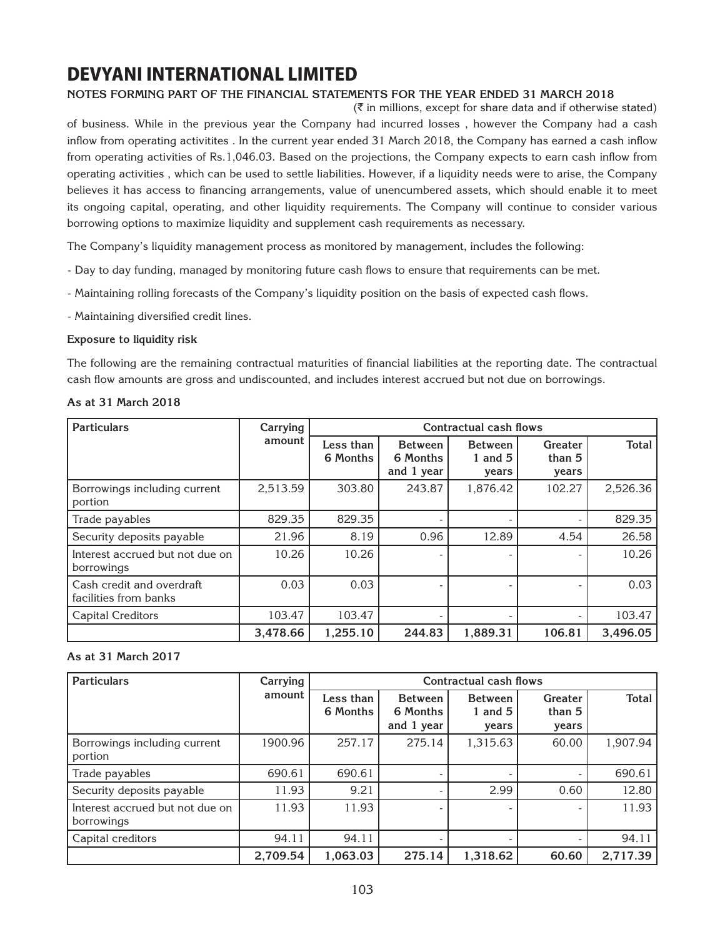### **Notes forming part of the financial statements for the year ended 31 March 2018**

 $(\bar{\tau})$  in millions, except for share data and if otherwise stated) of business. While in the previous year the Company had incurred losses , however the Company had a cash inflow from operating activitites . In the current year ended 31 March 2018, the Company has earned a cash inflow from operating activities of Rs.1,046.03. Based on the projections, the Company expects to earn cash inflow from operating activities , which can be used to settle liabilities. However, if a liquidity needs were to arise, the Company believes it has access to financing arrangements, value of unencumbered assets, which should enable it to meet its ongoing capital, operating, and other liquidity requirements. The Company will continue to consider various borrowing options to maximize liquidity and supplement cash requirements as necessary.

The Company's liquidity management process as monitored by management, includes the following:

- Day to day funding, managed by monitoring future cash flows to ensure that requirements can be met.
- Maintaining rolling forecasts of the Company's liquidity position on the basis of expected cash flows.
- Maintaining diversified credit lines.

#### **Exposure to liquidity risk**

The following are the remaining contractual maturities of financial liabilities at the reporting date. The contractual cash flow amounts are gross and undiscounted, and includes interest accrued but not due on borrowings.

#### **As at 31 March 2018**

| <b>Particulars</b>                                 | Carrying |                       |                                          | Contractual cash flows               |                            |          |
|----------------------------------------------------|----------|-----------------------|------------------------------------------|--------------------------------------|----------------------------|----------|
|                                                    | amount   | Less than<br>6 Months | <b>Between</b><br>6 Months<br>and 1 year | <b>Between</b><br>1 and $5$<br>years | Greater<br>than 5<br>years | Total    |
| Borrowings including current<br>portion            | 2,513.59 | 303.80                | 243.87                                   | 1,876.42                             | 102.27                     | 2,526.36 |
| Trade payables                                     | 829.35   | 829.35                |                                          |                                      |                            | 829.35   |
| Security deposits payable                          | 21.96    | 8.19                  | 0.96                                     | 12.89                                | 4.54                       | 26.58    |
| Interest accrued but not due on<br>borrowings      | 10.26    | 10.26                 |                                          |                                      |                            | 10.26    |
| Cash credit and overdraft<br>facilities from banks | 0.03     | 0.03                  |                                          |                                      |                            | 0.03     |
| <b>Capital Creditors</b>                           | 103.47   | 103.47                |                                          |                                      |                            | 103.47   |
|                                                    | 3.478.66 | 1,255.10              | 244.83                                   | 1,889.31                             | 106.81                     | 3,496.05 |

#### **As at 31 March 2017**

| <b>Particulars</b>                            | Carrying | Contractual cash flows |                                          |                                      |                            |              |
|-----------------------------------------------|----------|------------------------|------------------------------------------|--------------------------------------|----------------------------|--------------|
|                                               | amount   | Less than<br>6 Months  | <b>Between</b><br>6 Months<br>and 1 year | <b>Between</b><br>1 and $5$<br>vears | Greater<br>than 5<br>years | <b>Total</b> |
| Borrowings including current<br>portion       | 1900.96  | 257.17                 | 275.14                                   | 1,315.63                             | 60.00                      | 1,907.94     |
| Trade payables                                | 690.61   | 690.61                 |                                          |                                      |                            | 690.61       |
| Security deposits payable                     | 11.93    | 9.21                   |                                          | 2.99                                 | 0.60                       | 12.80        |
| Interest accrued but not due on<br>borrowings | 11.93    | 11.93                  |                                          |                                      |                            | 11.93        |
| Capital creditors                             | 94.11    | 94.11                  |                                          |                                      |                            | 94.11        |
|                                               | 2,709.54 | 1,063.03               | 275.14                                   | 1,318.62                             | 60.60                      | 2,717.39     |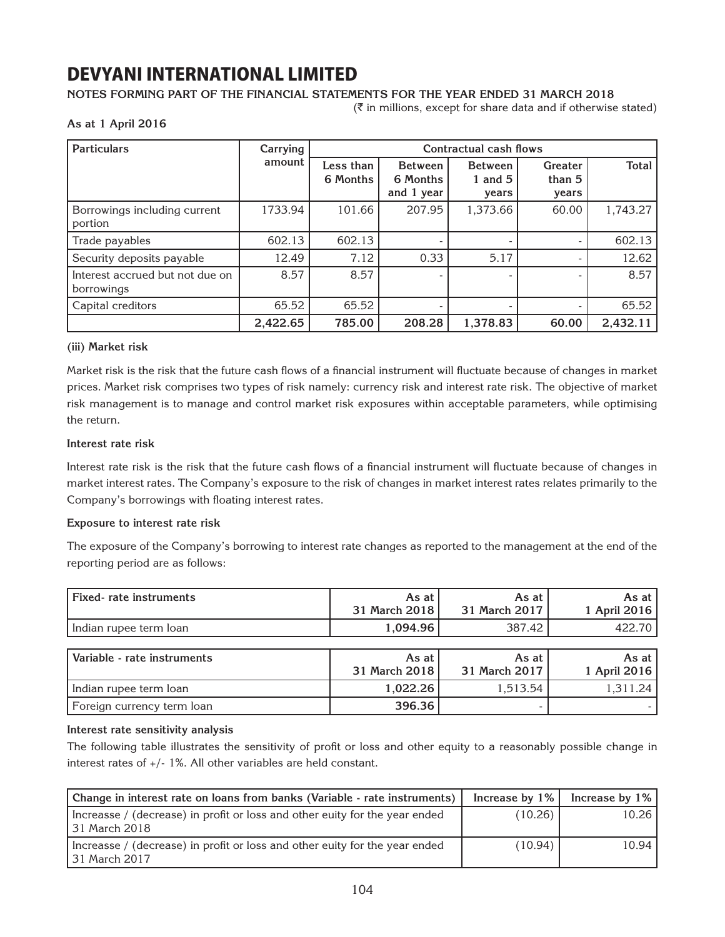### **Notes forming part of the financial statements for the year ended 31 March 2018**

 $(\bar{\bar{\mathbf{x}}}$  in millions, except for share data and if otherwise stated)

#### **As at 1 April 2016**

| <b>Particulars</b>                            | Carrying | Contractual cash flows |                                          |                                      |                            |              |  |  |  |
|-----------------------------------------------|----------|------------------------|------------------------------------------|--------------------------------------|----------------------------|--------------|--|--|--|
|                                               | amount   | Less than<br>6 Months  | <b>Between</b><br>6 Months<br>and 1 year | <b>Between</b><br>1 and $5$<br>vears | Greater<br>than 5<br>years | <b>Total</b> |  |  |  |
| Borrowings including current<br>portion       | 1733.94  | 101.66                 | 207.95                                   | 1,373.66                             | 60.00                      | 1,743.27     |  |  |  |
| Trade payables                                | 602.13   | 602.13                 |                                          |                                      |                            | 602.13       |  |  |  |
| Security deposits payable                     | 12.49    | 7.12                   | 0.33                                     | 5.17                                 |                            | 12.62        |  |  |  |
| Interest accrued but not due on<br>borrowings | 8.57     | 8.57                   |                                          |                                      |                            | 8.57         |  |  |  |
| Capital creditors                             | 65.52    | 65.52                  |                                          |                                      |                            | 65.52        |  |  |  |
|                                               | 2,422.65 | 785.00                 | 208.28                                   | 1,378.83                             | 60.00                      | 2,432.11     |  |  |  |

#### **(iii) Market risk**

Market risk is the risk that the future cash flows of a financial instrument will fluctuate because of changes in market prices. Market risk comprises two types of risk namely: currency risk and interest rate risk. The objective of market risk management is to manage and control market risk exposures within acceptable parameters, while optimising the return.

#### **Interest rate risk**

Interest rate risk is the risk that the future cash flows of a financial instrument will fluctuate because of changes in market interest rates. The Company's exposure to the risk of changes in market interest rates relates primarily to the Company's borrowings with floating interest rates.

#### **Exposure to interest rate risk**

The exposure of the Company's borrowing to interest rate changes as reported to the management at the end of the reporting period are as follows:

| Fixed-rate instruments      | As at<br>31 March 2018 | As at<br>31 March 2017 | As at<br>1 April 2016 |
|-----------------------------|------------------------|------------------------|-----------------------|
| Indian rupee term loan      | 1,094.96               | 387.42                 | 422.70                |
|                             |                        |                        |                       |
| Variable - rate instruments | As at $ $              | As at                  | As at                 |
|                             | 31 March 2018          | 31 March 2017          | 1 April 2016          |
| Indian rupee term loan      | 1,022.26               | 1,513.54               | 1,311.24              |
| Foreign currency term loan  | 396.36                 |                        |                       |

#### **Interest rate sensitivity analysis**

The following table illustrates the sensitivity of profit or loss and other equity to a reasonably possible change in interest rates of +/- 1%. All other variables are held constant.

| Change in interest rate on loans from banks (Variable - rate instruments)                     |         | Increase by $1\%$   Increase by $1\%$ |
|-----------------------------------------------------------------------------------------------|---------|---------------------------------------|
| Increasse / (decrease) in profit or loss and other euity for the year ended<br>131 March 2018 | (10.26) | 10.26                                 |
| Increasse / (decrease) in profit or loss and other euity for the year ended<br>131 March 2017 | (10.94) | 10.94                                 |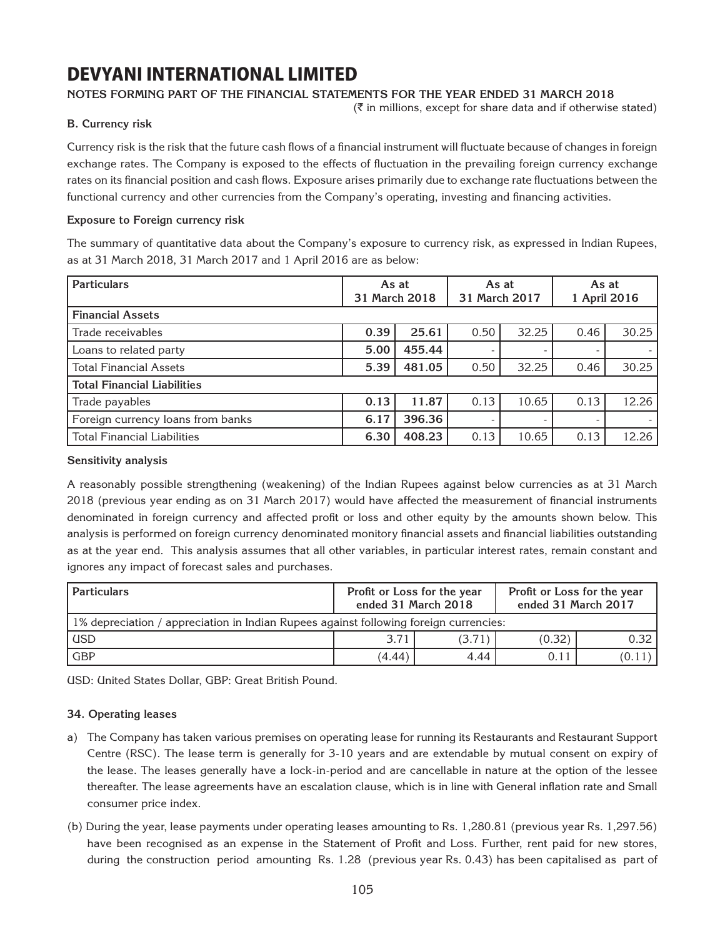### **Notes forming part of the financial statements for the year ended 31 March 2018**

 $(\bar{\bar{\zeta}})$  in millions, except for share data and if otherwise stated)

### **B. Currency risk**

Currency risk is the risk that the future cash flows of a financial instrument will fluctuate because of changes in foreign exchange rates. The Company is exposed to the effects of fluctuation in the prevailing foreign currency exchange rates on its financial position and cash flows. Exposure arises primarily due to exchange rate fluctuations between the functional currency and other currencies from the Company's operating, investing and financing activities.

### **Exposure to Foreign currency risk**

The summary of quantitative data about the Company's exposure to currency risk, as expressed in Indian Rupees, as at 31 March 2018, 31 March 2017 and 1 April 2016 are as below:

| <b>Particulars</b>                 | As at<br>31 March 2018 |        | As at<br>31 March 2017 |                          | As at<br>1 April 2016 |       |
|------------------------------------|------------------------|--------|------------------------|--------------------------|-----------------------|-------|
| <b>Financial Assets</b>            |                        |        |                        |                          |                       |       |
| Trade receivables                  | 0.39                   | 25.61  | 0.50                   | 32.25                    | 0.46                  | 30.25 |
| Loans to related party             | 5.00                   | 455.44 |                        |                          |                       |       |
| <b>Total Financial Assets</b>      | 5.39                   | 481.05 | 0.50                   | 32.25                    | 0.46                  | 30.25 |
| <b>Total Financial Liabilities</b> |                        |        |                        |                          |                       |       |
| Trade payables                     | 0.13                   | 11.87  | 0.13                   | 10.65                    | 0.13                  | 12.26 |
| Foreign currency loans from banks  | 6.17                   | 396.36 |                        | $\overline{\phantom{0}}$ |                       |       |
| <b>Total Financial Liabilities</b> | 6.30                   | 408.23 | 0.13                   | 10.65                    | 0.13                  | 12.26 |

#### **Sensitivity analysis**

A reasonably possible strengthening (weakening) of the Indian Rupees against below currencies as at 31 March 2018 (previous year ending as on 31 March 2017) would have affected the measurement of financial instruments denominated in foreign currency and affected profit or loss and other equity by the amounts shown below. This analysis is performed on foreign currency denominated monitory financial assets and financial liabilities outstanding as at the year end. This analysis assumes that all other variables, in particular interest rates, remain constant and ignores any impact of forecast sales and purchases.

| <b>Particulars</b>                                                                    | Profit or Loss for the year<br>ended 31 March 2018 |      | Profit or Loss for the year<br>ended 31 March 2017 |        |
|---------------------------------------------------------------------------------------|----------------------------------------------------|------|----------------------------------------------------|--------|
| 1% depreciation / appreciation in Indian Rupees against following foreign currencies: |                                                    |      |                                                    |        |
| <b>USD</b>                                                                            | 3.71<br>(0.32)<br>(3.71)                           |      |                                                    |        |
| <b>GBP</b>                                                                            | (4.44)                                             | 4.44 | 0.11                                               | (0.11) |

USD: United States Dollar, GBP: Great British Pound.

#### **34. Operating leases**

- a) The Company has taken various premises on operating lease for running its Restaurants and Restaurant Support Centre (RSC). The lease term is generally for 3-10 years and are extendable by mutual consent on expiry of the lease. The leases generally have a lock-in-period and are cancellable in nature at the option of the lessee thereafter. The lease agreements have an escalation clause, which is in line with General inflation rate and Small consumer price index.
- (b) During the year, lease payments under operating leases amounting to Rs. 1,280.81 (previous year Rs. 1,297.56) have been recognised as an expense in the Statement of Profit and Loss. Further, rent paid for new stores, during the construction period amounting Rs. 1.28 (previous year Rs. 0.43) has been capitalised as part of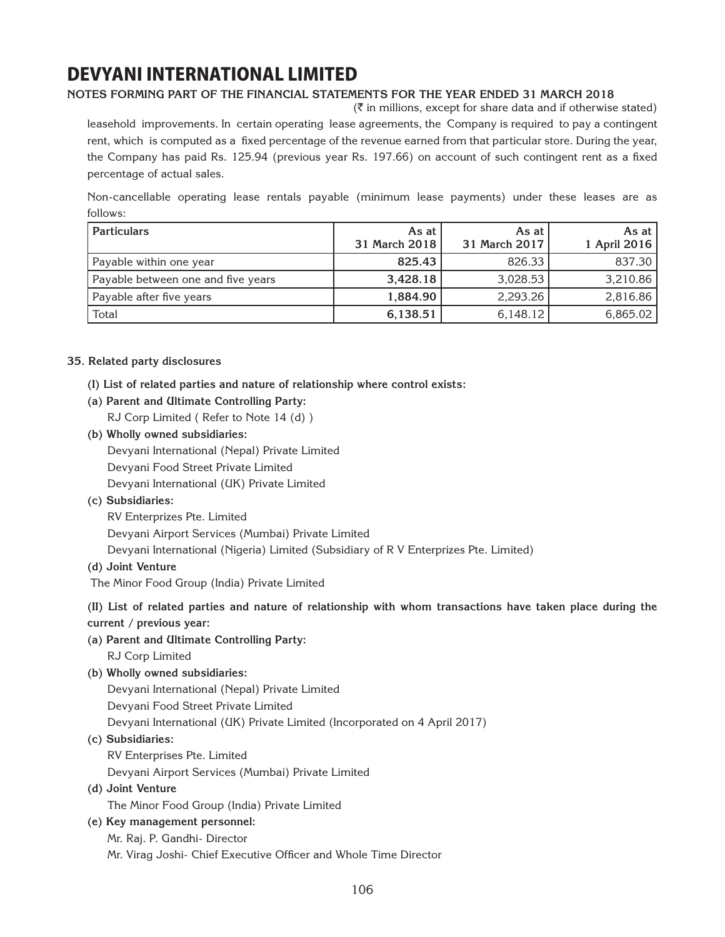### **Notes forming part of the financial statements for the year ended 31 March 2018**

 $(\bar{\bar{\zeta}})$  in millions, except for share data and if otherwise stated)

leasehold improvements. In certain operating lease agreements, the Company is required to pay a contingent rent, which is computed as a fixed percentage of the revenue earned from that particular store. During the year, the Company has paid Rs. 125.94 (previous year Rs. 197.66) on account of such contingent rent as a fixed percentage of actual sales.

Non-cancellable operating lease rentals payable (minimum lease payments) under these leases are as follows:

| <b>Particulars</b>                 | As at<br>31 March 2018 | As at<br>31 March 2017 | As at $ $<br>1 April 2016 |
|------------------------------------|------------------------|------------------------|---------------------------|
| Payable within one year            | 825.43                 | 826.33                 | 837.30                    |
| Payable between one and five years | 3,428.18               | 3,028.53               | 3,210.86                  |
| Payable after five years           | 1,884.90               | 2,293.26               | 2,816.86                  |
| Total                              | 6,138.51               | 6,148.12               | 6,865.02                  |

### **35. Related party disclosures**

- **(I) List of related parties and nature of relationship where control exists:**
- **(a) Parent and Ultimate Controlling Party:**
	- RJ Corp Limited ( Refer to Note 14 (d) )
- **(b) Wholly owned subsidiaries:** Devyani International (Nepal) Private Limited Devyani Food Street Private Limited Devyani International (UK) Private Limited
- **(c) Subsidiaries:**
	- RV Enterprizes Pte. Limited

Devyani Airport Services (Mumbai) Private Limited

Devyani International (Nigeria) Limited (Subsidiary of R V Enterprizes Pte. Limited)

**(d) Joint Venture** 

The Minor Food Group (India) Private Limited

**(II) List of related parties and nature of relationship with whom transactions have taken place during the** 

- **current / previous year:**
- **(a) Parent and Ultimate Controlling Party:** RJ Corp Limited
- **(b) Wholly owned subsidiaries:**

Devyani International (Nepal) Private Limited

Devyani Food Street Private Limited

Devyani International (UK) Private Limited (Incorporated on 4 April 2017)

- **(c) Subsidiaries:**
	- RV Enterprises Pte. Limited

Devyani Airport Services (Mumbai) Private Limited

**(d) Joint Venture** 

The Minor Food Group (India) Private Limited

**(e) Key management personnel:**

Mr. Raj. P. Gandhi- Director

Mr. Virag Joshi- Chief Executive Officer and Whole Time Director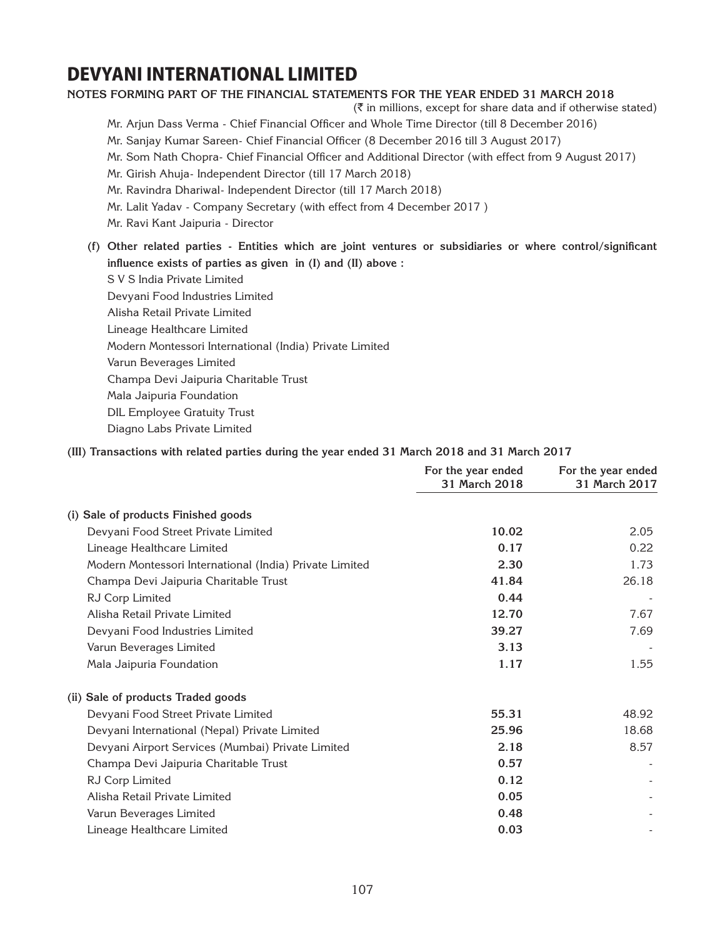#### **Notes forming part of the financial statements for the year ended 31 March 2018**

 $(\bar{\bar{\mathbf{x}}}$  in millions, except for share data and if otherwise stated)

- Mr. Arjun Dass Verma Chief Financial Officer and Whole Time Director (till 8 December 2016)
- Mr. Sanjay Kumar Sareen- Chief Financial Officer (8 December 2016 till 3 August 2017)
- Mr. Som Nath Chopra- Chief Financial Officer and Additional Director (with effect from 9 August 2017)
- Mr. Girish Ahuja- Independent Director (till 17 March 2018)
- Mr. Ravindra Dhariwal- Independent Director (till 17 March 2018)
- Mr. Lalit Yadav Company Secretary (with effect from 4 December 2017 )
- Mr. Ravi Kant Jaipuria Director
- **(f) Other related parties Entities which are joint ventures or subsidiaries or where control/significant influence exists of parties as given in (I) and (II) above :**
	- S V S India Private Limited Devyani Food Industries Limited Alisha Retail Private Limited Lineage Healthcare Limited Modern Montessori International (India) Private Limited Varun Beverages Limited Champa Devi Jaipuria Charitable Trust Mala Jaipuria Foundation DIL Employee Gratuity Trust Diagno Labs Private Limited

### **(III) Transactions with related parties during the year ended 31 March 2018 and 31 March 2017**

|                                                         | For the year ended<br>31 March 2018 | For the year ended<br>31 March 2017 |
|---------------------------------------------------------|-------------------------------------|-------------------------------------|
| (i) Sale of products Finished goods                     |                                     |                                     |
| Devyani Food Street Private Limited                     | 10.02                               | 2.05                                |
| Lineage Healthcare Limited                              | 0.17                                | 0.22                                |
| Modern Montessori International (India) Private Limited | 2.30                                | 1.73                                |
| Champa Devi Jaipuria Charitable Trust                   | 41.84                               | 26.18                               |
| RJ Corp Limited                                         | 0.44                                |                                     |
| Alisha Retail Private Limited                           | 12.70                               | 7.67                                |
| Devyani Food Industries Limited                         | 39.27                               | 7.69                                |
| Varun Beverages Limited                                 | 3.13                                |                                     |
| Mala Jaipuria Foundation                                | 1.17                                | 1.55                                |
| (ii) Sale of products Traded goods                      |                                     |                                     |
| Devyani Food Street Private Limited                     | 55.31                               | 48.92                               |
| Devyani International (Nepal) Private Limited           | 25.96                               | 18.68                               |
| Devyani Airport Services (Mumbai) Private Limited       | 2.18                                | 8.57                                |
| Champa Devi Jaipuria Charitable Trust                   | 0.57                                |                                     |
| RJ Corp Limited                                         | 0.12                                |                                     |
| Alisha Retail Private Limited                           | 0.05                                |                                     |
| Varun Beverages Limited                                 | 0.48                                |                                     |
| Lineage Healthcare Limited                              | 0.03                                |                                     |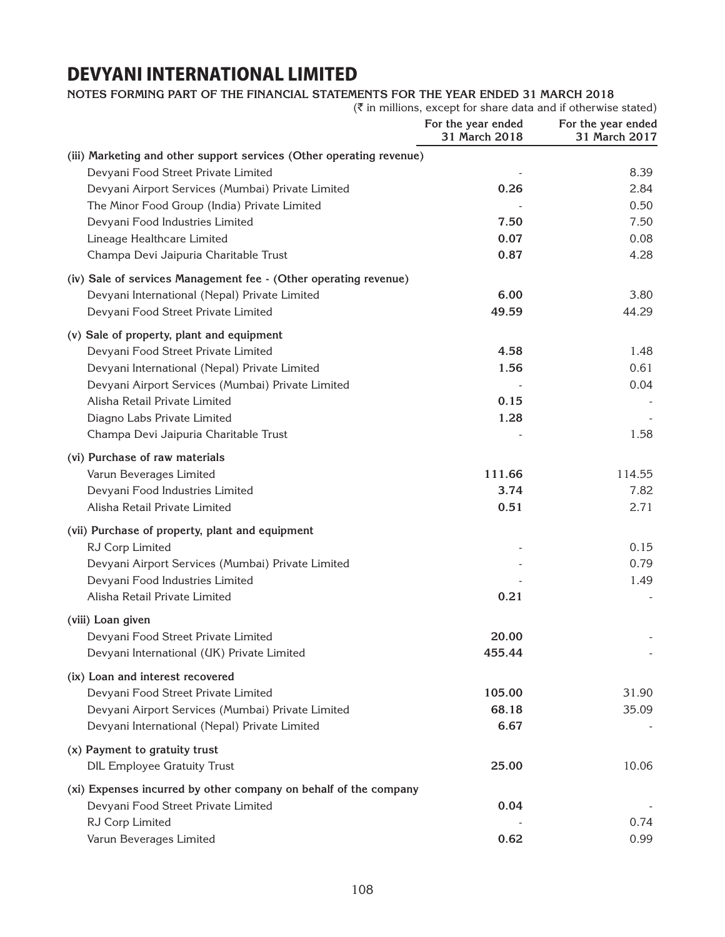### **Notes forming part of the financial statements for the year ended 31 March 2018**

|                                                                      | $(\bar{\zeta}$ in millions, except for share data and if otherwise stated) |                                     |
|----------------------------------------------------------------------|----------------------------------------------------------------------------|-------------------------------------|
|                                                                      | For the year ended<br>31 March 2018                                        | For the year ended<br>31 March 2017 |
| (iii) Marketing and other support services (Other operating revenue) |                                                                            |                                     |
| Devyani Food Street Private Limited                                  |                                                                            | 8.39                                |
| Devyani Airport Services (Mumbai) Private Limited                    | 0.26                                                                       | 2.84                                |
| The Minor Food Group (India) Private Limited                         |                                                                            | 0.50                                |
| Devyani Food Industries Limited                                      | 7.50                                                                       | 7.50                                |
| Lineage Healthcare Limited                                           | 0.07                                                                       | 0.08                                |
| Champa Devi Jaipuria Charitable Trust                                | 0.87                                                                       | 4.28                                |
| (iv) Sale of services Management fee - (Other operating revenue)     |                                                                            |                                     |
| Devyani International (Nepal) Private Limited                        | 6.00                                                                       | 3.80                                |
| Devyani Food Street Private Limited                                  | 49.59                                                                      | 44.29                               |
| (v) Sale of property, plant and equipment                            |                                                                            |                                     |
| Devyani Food Street Private Limited                                  | 4.58                                                                       | 1.48                                |
| Devyani International (Nepal) Private Limited                        | 1.56                                                                       | 0.61                                |
| Devyani Airport Services (Mumbai) Private Limited                    |                                                                            | 0.04                                |
| Alisha Retail Private Limited                                        | 0.15                                                                       |                                     |
| Diagno Labs Private Limited                                          | 1.28                                                                       |                                     |
| Champa Devi Jaipuria Charitable Trust                                |                                                                            | 1.58                                |
| (vi) Purchase of raw materials                                       |                                                                            |                                     |
| Varun Beverages Limited                                              | 111.66                                                                     | 114.55                              |
| Devyani Food Industries Limited                                      | 3.74                                                                       | 7.82                                |
| Alisha Retail Private Limited                                        | 0.51                                                                       | 2.71                                |
| (vii) Purchase of property, plant and equipment                      |                                                                            |                                     |
| RJ Corp Limited                                                      |                                                                            | 0.15                                |
| Devyani Airport Services (Mumbai) Private Limited                    |                                                                            | 0.79                                |
| Devyani Food Industries Limited                                      |                                                                            | 1.49                                |
| Alisha Retail Private Limited                                        | 0.21                                                                       |                                     |
| (viii) Loan given                                                    |                                                                            |                                     |
| Devyani Food Street Private Limited                                  | 20.00                                                                      |                                     |
| Devyani International (UK) Private Limited                           | 455.44                                                                     |                                     |
| (ix) Loan and interest recovered                                     |                                                                            |                                     |
| Devyani Food Street Private Limited                                  | 105.00                                                                     | 31.90                               |
| Devyani Airport Services (Mumbai) Private Limited                    | 68.18                                                                      | 35.09                               |
| Devyani International (Nepal) Private Limited                        | 6.67                                                                       |                                     |
| (x) Payment to gratuity trust                                        |                                                                            |                                     |
| <b>DIL Employee Gratuity Trust</b>                                   | 25.00                                                                      | 10.06                               |
| (xi) Expenses incurred by other company on behalf of the company     |                                                                            |                                     |
| Devyani Food Street Private Limited                                  | 0.04                                                                       |                                     |
| RJ Corp Limited                                                      |                                                                            | 0.74                                |
| Varun Beverages Limited                                              | 0.62                                                                       | 0.99                                |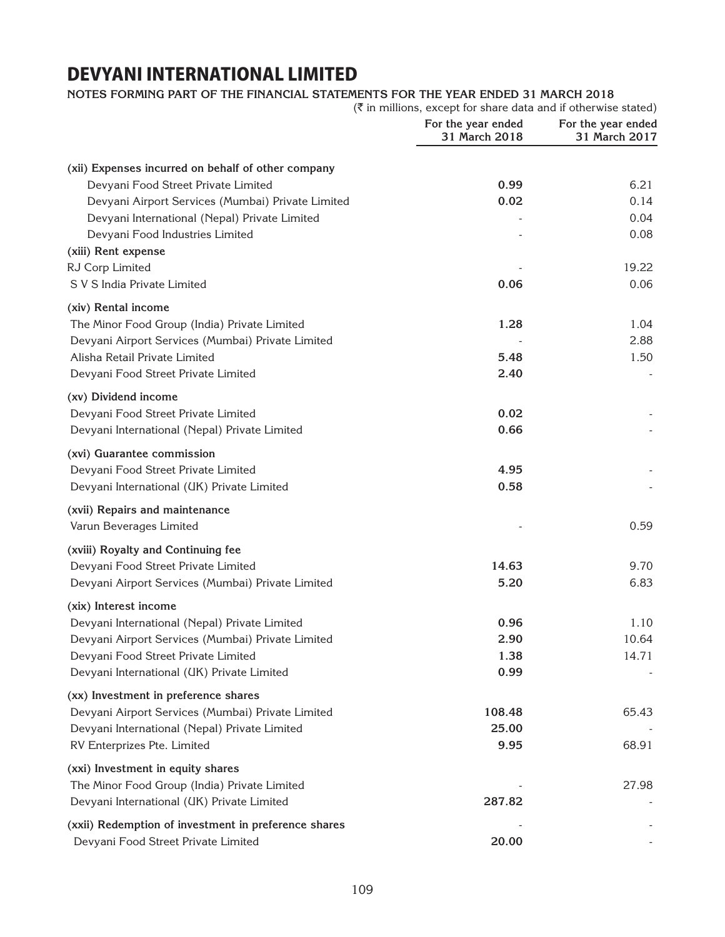### **Notes forming part of the financial statements for the year ended 31 March 2018**

|                                                      | (₹ in millions, except for share data and if otherwise stated) |                                     |
|------------------------------------------------------|----------------------------------------------------------------|-------------------------------------|
|                                                      | For the year ended<br>31 March 2018                            | For the year ended<br>31 March 2017 |
| (xii) Expenses incurred on behalf of other company   |                                                                |                                     |
| Devyani Food Street Private Limited                  | 0.99                                                           | 6.21                                |
| Devyani Airport Services (Mumbai) Private Limited    | 0.02                                                           | 0.14                                |
| Devyani International (Nepal) Private Limited        |                                                                | 0.04                                |
| Devyani Food Industries Limited                      |                                                                | 0.08                                |
| (xiii) Rent expense                                  |                                                                |                                     |
| RJ Corp Limited                                      |                                                                | 19.22                               |
| S V S India Private Limited                          | 0.06                                                           | 0.06                                |
| (xiv) Rental income                                  |                                                                |                                     |
| The Minor Food Group (India) Private Limited         | 1.28                                                           | 1.04                                |
| Devyani Airport Services (Mumbai) Private Limited    |                                                                | 2.88                                |
| Alisha Retail Private Limited                        | 5.48                                                           | 1.50                                |
| Devyani Food Street Private Limited                  | 2.40                                                           |                                     |
| (xv) Dividend income                                 |                                                                |                                     |
| Devyani Food Street Private Limited                  | 0.02                                                           |                                     |
| Devyani International (Nepal) Private Limited        | 0.66                                                           |                                     |
| (xvi) Guarantee commission                           |                                                                |                                     |
| Devyani Food Street Private Limited                  | 4.95                                                           |                                     |
| Devyani International (UK) Private Limited           | 0.58                                                           |                                     |
| (xvii) Repairs and maintenance                       |                                                                |                                     |
| Varun Beverages Limited                              |                                                                | 0.59                                |
| (xviii) Royalty and Continuing fee                   |                                                                |                                     |
| Devyani Food Street Private Limited                  | 14.63                                                          | 9.70                                |
| Devyani Airport Services (Mumbai) Private Limited    | 5.20                                                           | 6.83                                |
| (xix) Interest income                                |                                                                |                                     |
| Devyani International (Nepal) Private Limited        | 0.96                                                           | 1.10                                |
| Devyani Airport Services (Mumbai) Private Limited    | 2.90                                                           | 10.64                               |
| Devyani Food Street Private Limited                  | 1.38                                                           | 14.71                               |
| Devyani International (UK) Private Limited           | 0.99                                                           |                                     |
| (xx) Investment in preference shares                 |                                                                |                                     |
| Devyani Airport Services (Mumbai) Private Limited    | 108.48                                                         | 65.43                               |
| Devyani International (Nepal) Private Limited        | 25.00                                                          |                                     |
| RV Enterprizes Pte. Limited                          | 9.95                                                           | 68.91                               |
| (xxi) Investment in equity shares                    |                                                                |                                     |
| The Minor Food Group (India) Private Limited         |                                                                | 27.98                               |
| Devyani International (UK) Private Limited           | 287.82                                                         |                                     |
| (xxii) Redemption of investment in preference shares |                                                                |                                     |
| Devyani Food Street Private Limited                  | 20.00                                                          |                                     |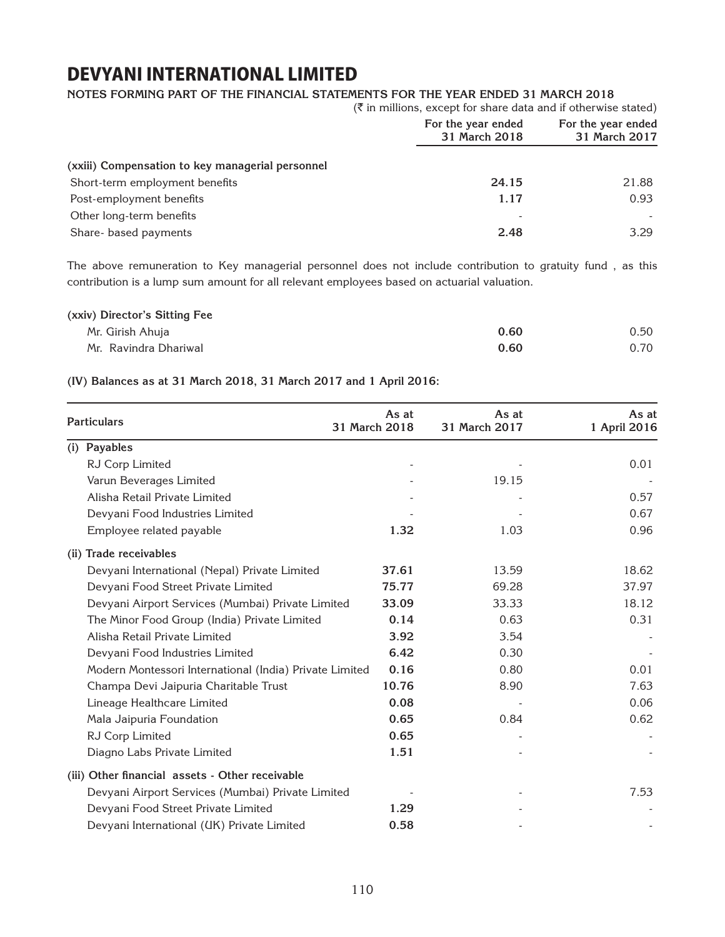### **Notes forming part of the financial statements for the year ended 31 March 2018**

|                                                  | $(\bar{\bar{\zeta}})$ in millions, except for share data and if otherwise stated) |                                     |
|--------------------------------------------------|-----------------------------------------------------------------------------------|-------------------------------------|
|                                                  | For the year ended<br>31 March 2018                                               | For the year ended<br>31 March 2017 |
| (xxiii) Compensation to key managerial personnel |                                                                                   |                                     |
| Short-term employment benefits                   | 24.15                                                                             | 21.88                               |
| Post-employment benefits                         | 1.17                                                                              | 0.93                                |
| Other long-term benefits                         |                                                                                   |                                     |
| Share- based payments                            | 2.48                                                                              | 3.29                                |

The above remuneration to Key managerial personnel does not include contribution to gratuity fund , as this contribution is a lump sum amount for all relevant employees based on actuarial valuation.

| (xxiv) Director's Sitting Fee |      |      |
|-------------------------------|------|------|
| Mr. Girish Ahuja              | 0.60 | 0.50 |
| Mr. Ravindra Dhariwal         | 0.60 | 0.70 |

### **(IV) Balances as at 31 March 2018, 31 March 2017 and 1 April 2016:**

| <b>Particulars</b>                                      | As at<br>31 March 2018 | As at<br>31 March 2017 | As at<br>1 April 2016 |
|---------------------------------------------------------|------------------------|------------------------|-----------------------|
| <b>Payables</b><br>(i)                                  |                        |                        |                       |
| RJ Corp Limited                                         |                        |                        | 0.01                  |
| Varun Beverages Limited                                 |                        | 19.15                  |                       |
| Alisha Retail Private Limited                           |                        |                        | 0.57                  |
| Devyani Food Industries Limited                         |                        |                        | 0.67                  |
| Employee related payable                                | 1.32                   | 1.03                   | 0.96                  |
| <b>Trade receivables</b><br>(ii)                        |                        |                        |                       |
| Devyani International (Nepal) Private Limited           | 37.61                  | 13.59                  | 18.62                 |
| Devyani Food Street Private Limited                     | 75.77                  | 69.28                  | 37.97                 |
| Devyani Airport Services (Mumbai) Private Limited       | 33.09                  | 33.33                  | 18.12                 |
| The Minor Food Group (India) Private Limited            | 0.14                   | 0.63                   | 0.31                  |
| Alisha Retail Private Limited                           | 3.92                   | 3.54                   |                       |
| Devyani Food Industries Limited                         | 6.42                   | 0.30                   |                       |
| Modern Montessori International (India) Private Limited | 0.16                   | 0.80                   | 0.01                  |
| Champa Devi Jaipuria Charitable Trust                   | 10.76                  | 8.90                   | 7.63                  |
| Lineage Healthcare Limited                              | 0.08                   |                        | 0.06                  |
| Mala Jaipuria Foundation                                | 0.65                   | 0.84                   | 0.62                  |
| RJ Corp Limited                                         | 0.65                   |                        |                       |
| Diagno Labs Private Limited                             | 1.51                   |                        |                       |
| (iii) Other financial assets - Other receivable         |                        |                        |                       |
| Devyani Airport Services (Mumbai) Private Limited       |                        |                        | 7.53                  |
| Devyani Food Street Private Limited                     | 1.29                   |                        |                       |
| Devyani International (UK) Private Limited              | 0.58                   |                        |                       |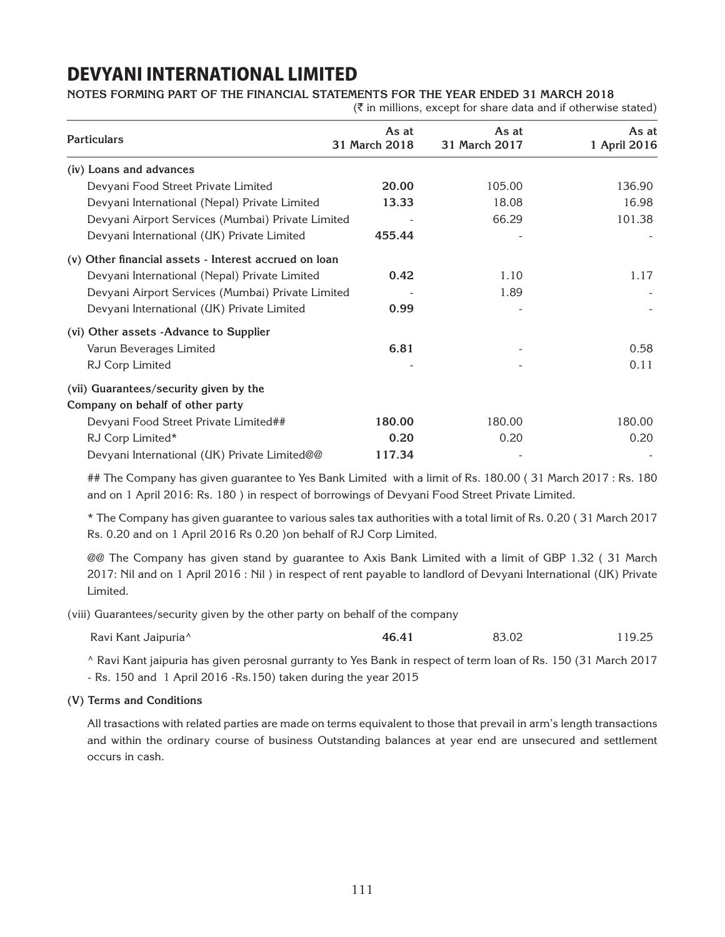**Notes forming part of the financial statements for the year ended 31 March 2018**

 $(\bar{\bar{\mathbf{x}}}$  in millions, except for share data and if otherwise stated)

| <b>Particulars</b>                                       | As at<br>31 March 2018 | As at<br>31 March 2017 | As at<br>1 April 2016 |
|----------------------------------------------------------|------------------------|------------------------|-----------------------|
| (iv) Loans and advances                                  |                        |                        |                       |
| Devyani Food Street Private Limited                      | 20.00                  | 105.00                 | 136.90                |
| Devyani International (Nepal) Private Limited            | 13.33                  | 18.08                  | 16.98                 |
| Devyani Airport Services (Mumbai) Private Limited        |                        | 66.29                  | 101.38                |
| Devyani International (UK) Private Limited               | 455.44                 |                        |                       |
| Other financial assets - Interest accrued on loan<br>(v) |                        |                        |                       |
| Devyani International (Nepal) Private Limited            | 0.42                   | 1.10                   | 1.17                  |
| Devyani Airport Services (Mumbai) Private Limited        |                        | 1.89                   |                       |
| Devyani International (UK) Private Limited               | 0.99                   |                        |                       |
| (vi) Other assets -Advance to Supplier                   |                        |                        |                       |
| Varun Beverages Limited                                  | 6.81                   |                        | 0.58                  |
| RJ Corp Limited                                          |                        |                        | 0.11                  |
| (vii) Guarantees/security given by the                   |                        |                        |                       |
| Company on behalf of other party                         |                        |                        |                       |
| Devyani Food Street Private Limited##                    | 180.00                 | 180.00                 | 180.00                |
| RJ Corp Limited*                                         | 0.20                   | 0.20                   | 0.20                  |
| Devyani International (UK) Private Limited@@             | 117.34                 |                        |                       |

## The Company has given guarantee to Yes Bank Limited with a limit of Rs. 180.00 ( 31 March 2017 : Rs. 180 and on 1 April 2016: Rs. 180 ) in respect of borrowings of Devyani Food Street Private Limited.

\* The Company has given guarantee to various sales tax authorities with a total limit of Rs. 0.20 ( 31 March 2017 Rs. 0.20 and on 1 April 2016 Rs 0.20 )on behalf of RJ Corp Limited.

@@ The Company has given stand by guarantee to Axis Bank Limited with a limit of GBP 1.32 ( 31 March 2017: Nil and on 1 April 2016 : Nil ) in respect of rent payable to landlord of Devyani International (UK) Private Limited.

(viii) Guarantees/security given by the other party on behalf of the company

| Ravi Kant Jaipuria <sup>^</sup> | 46.41<br>______ | 83.02<br>. | 19.25 |
|---------------------------------|-----------------|------------|-------|
|---------------------------------|-----------------|------------|-------|

^ Ravi Kant jaipuria has given perosnal gurranty to Yes Bank in respect of term loan of Rs. 150 (31 March 2017

- Rs. 150 and 1 April 2016 -Rs.150) taken during the year 2015

### **(V) Terms and Conditions**

All trasactions with related parties are made on terms equivalent to those that prevail in arm's length transactions and within the ordinary course of business Outstanding balances at year end are unsecured and settlement occurs in cash.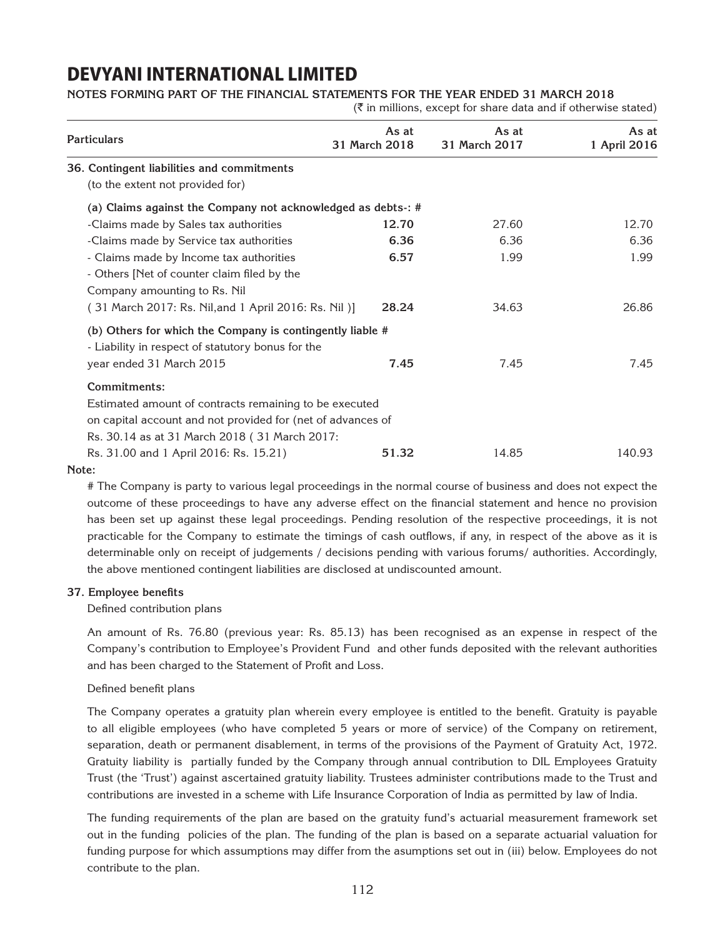### **Notes forming part of the financial statements for the year ended 31 March 2018**

 $(\bar{\tau})$  in millions, except for share data and if otherwise stated)

| <b>Particulars</b>                                            | As at<br>31 March 2018 | As at<br>31 March 2017 | As at<br>1 April 2016 |
|---------------------------------------------------------------|------------------------|------------------------|-----------------------|
| 36. Contingent liabilities and commitments                    |                        |                        |                       |
| (to the extent not provided for)                              |                        |                        |                       |
| (a) Claims against the Company not acknowledged as debts -: # |                        |                        |                       |
| -Claims made by Sales tax authorities                         | 12.70                  | 27.60                  | 12.70                 |
| -Claims made by Service tax authorities                       | 6.36                   | 6.36                   | 6.36                  |
| - Claims made by Income tax authorities                       | 6.57                   | 1.99                   | 1.99                  |
| - Others [Net of counter claim filed by the                   |                        |                        |                       |
| Company amounting to Rs. Nil                                  |                        |                        |                       |
| (31 March 2017: Rs. Nil, and 1 April 2016: Rs. Nil)]          | 28.24                  | 34.63                  | 26.86                 |
| (b) Others for which the Company is contingently liable #     |                        |                        |                       |
| - Liability in respect of statutory bonus for the             |                        |                        |                       |
| year ended 31 March 2015                                      | 7.45                   | 7.45                   | 7.45                  |
| Commitments:                                                  |                        |                        |                       |
| Estimated amount of contracts remaining to be executed        |                        |                        |                       |
| on capital account and not provided for (net of advances of   |                        |                        |                       |
| Rs. 30.14 as at 31 March 2018 (31 March 2017:                 |                        |                        |                       |
| Rs. 31.00 and 1 April 2016: Rs. 15.21)                        | 51.32                  | 14.85                  | 140.93                |

#### **Note:**

# The Company is party to various legal proceedings in the normal course of business and does not expect the outcome of these proceedings to have any adverse effect on the financial statement and hence no provision has been set up against these legal proceedings. Pending resolution of the respective proceedings, it is not practicable for the Company to estimate the timings of cash outflows, if any, in respect of the above as it is determinable only on receipt of judgements / decisions pending with various forums/ authorities. Accordingly, the above mentioned contingent liabilities are disclosed at undiscounted amount.

### **37. Employee benefits**

Defined contribution plans

An amount of Rs. 76.80 (previous year: Rs. 85.13) has been recognised as an expense in respect of the Company's contribution to Employee's Provident Fund and other funds deposited with the relevant authorities and has been charged to the Statement of Profit and Loss.

#### Defined benefit plans

The Company operates a gratuity plan wherein every employee is entitled to the benefit. Gratuity is payable to all eligible employees (who have completed 5 years or more of service) of the Company on retirement, separation, death or permanent disablement, in terms of the provisions of the Payment of Gratuity Act, 1972. Gratuity liability is partially funded by the Company through annual contribution to DIL Employees Gratuity Trust (the 'Trust') against ascertained gratuity liability. Trustees administer contributions made to the Trust and contributions are invested in a scheme with Life Insurance Corporation of India as permitted by law of India.

The funding requirements of the plan are based on the gratuity fund's actuarial measurement framework set out in the funding policies of the plan. The funding of the plan is based on a separate actuarial valuation for funding purpose for which assumptions may differ from the asumptions set out in (iii) below. Employees do not contribute to the plan.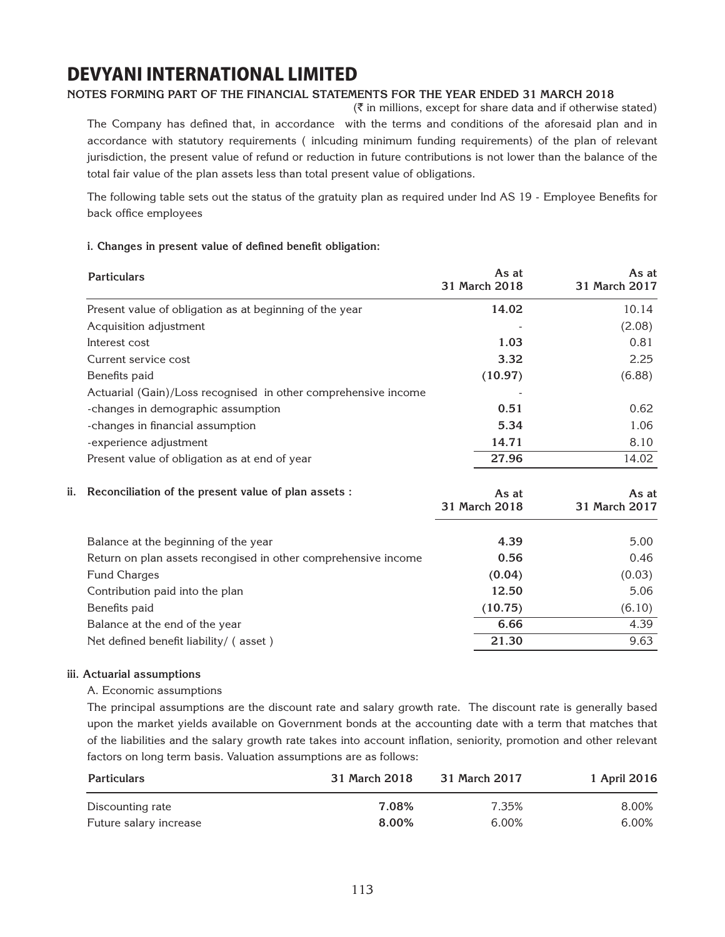### **Notes forming part of the financial statements for the year ended 31 March 2018**

 $(\bar{\tau})$  in millions, except for share data and if otherwise stated) The Company has defined that, in accordance with the terms and conditions of the aforesaid plan and in accordance with statutory requirements ( inlcuding minimum funding requirements) of the plan of relevant jurisdiction, the present value of refund or reduction in future contributions is not lower than the balance of the total fair value of the plan assets less than total present value of obligations.

The following table sets out the status of the gratuity plan as required under Ind AS 19 - Employee Benefits for back office employees

### **i. Changes in present value of defined benefit obligation:**

|     | <b>Particulars</b>                                             | As at<br>31 March 2018 | As at<br>31 March 2017 |
|-----|----------------------------------------------------------------|------------------------|------------------------|
|     | Present value of obligation as at beginning of the year        | 14.02                  | 10.14                  |
|     | Acquisition adjustment                                         |                        | (2.08)                 |
|     | Interest cost                                                  | 1.03                   | 0.81                   |
|     | Current service cost                                           | 3.32                   | 2.25                   |
|     | Benefits paid                                                  | (10.97)                | (6.88)                 |
|     | Actuarial (Gain)/Loss recognised in other comprehensive income |                        |                        |
|     | -changes in demographic assumption                             | 0.51                   | 0.62                   |
|     | -changes in financial assumption                               | 5.34                   | 1.06                   |
|     | -experience adjustment                                         | 14.71                  | 8.10                   |
|     | Present value of obligation as at end of year                  | 27.96                  | 14.02                  |
| ii. | Reconciliation of the present value of plan assets :           | As at<br>31 March 2018 | As at<br>31 March 2017 |
|     | Balance at the beginning of the year                           | 4.39                   | 5.00                   |
|     | Return on plan assets recongised in other comprehensive income | 0.56                   | 0.46                   |
|     | <b>Fund Charges</b>                                            | (0.04)                 | (0.03)                 |
|     | Contribution paid into the plan                                | 12.50                  | 5.06                   |
|     | Benefits paid                                                  | (10.75)                | (6.10)                 |
|     | Balance at the end of the year                                 | 6.66                   | 4.39                   |
|     | Net defined benefit liability/ (asset)                         | 21.30                  | 9.63                   |
|     |                                                                |                        |                        |

### **iii. Actuarial assumptions**

### A. Economic assumptions

The principal assumptions are the discount rate and salary growth rate. The discount rate is generally based upon the market yields available on Government bonds at the accounting date with a term that matches that of the liabilities and the salary growth rate takes into account inflation, seniority, promotion and other relevant factors on long term basis. Valuation assumptions are as follows:

| <b>Particulars</b>     | 31 March 2018 | 31 March 2017 | 1 April 2016 |
|------------------------|---------------|---------------|--------------|
| Discounting rate       | 7.08%         | 7.35%         | 8.00%        |
| Future salary increase | 8.00%         | 6.00%         | 6.00%        |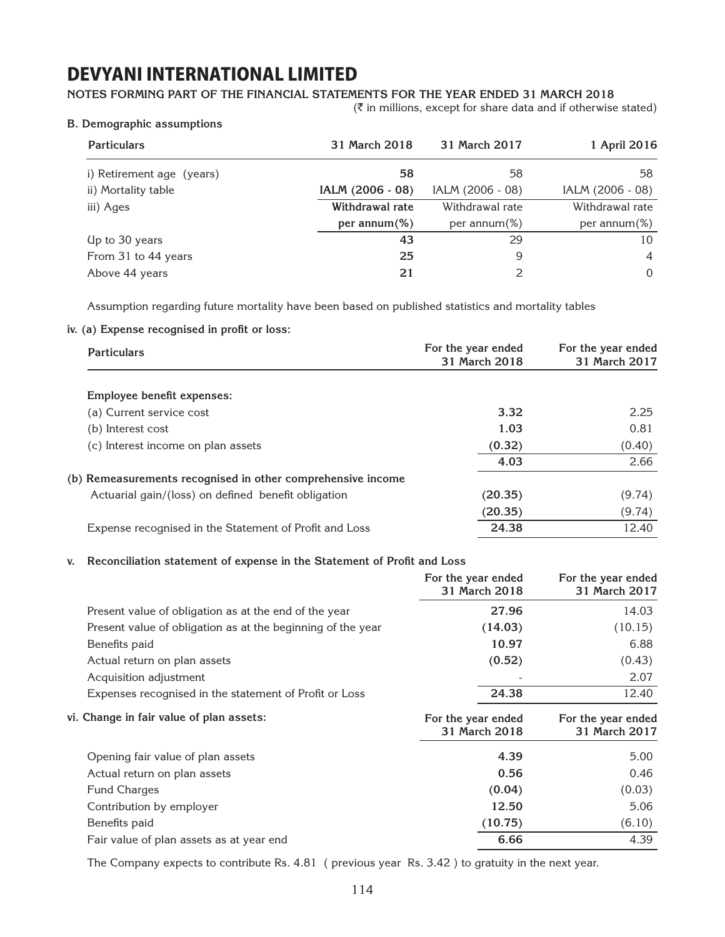### **Notes forming part of the financial statements for the year ended 31 March 2018**

 $(\bar{\bar{\zeta}})$  in millions, except for share data and if otherwise stated)

#### **B. Demographic assumptions**

| <b>Particulars</b>        | 31 March 2018    | 31 March 2017    | 1 April 2016     |
|---------------------------|------------------|------------------|------------------|
| i) Retirement age (years) | 58               | 58               | 58               |
| ii) Mortality table       | IALM (2006 - 08) | IALM (2006 - 08) | IALM (2006 - 08) |
| iii) Ages                 | Withdrawal rate  | Withdrawal rate  | Withdrawal rate  |
|                           | per annum $(\%)$ | per annum $(\%)$ | per annum $(\%)$ |
| Up to 30 years            | 43               | 29               | 10               |
| From 31 to 44 years       | 25               | 9                | $\overline{4}$   |
| Above 44 years            | 21               |                  | 0                |

Assumption regarding future mortality have been based on published statistics and mortality tables

### **iv. (a) Expense recognised in profit or loss:**

| <b>Particulars</b>                                          | For the year ended<br>31 March 2018 | For the year ended<br>31 March 2017 |
|-------------------------------------------------------------|-------------------------------------|-------------------------------------|
| Employee benefit expenses:                                  |                                     |                                     |
| (a) Current service cost                                    | 3.32                                | 2.25                                |
| (b) Interest cost                                           | 1.03                                | 0.81                                |
| (c) Interest income on plan assets                          | (0.32)                              | (0.40)                              |
|                                                             | 4.03                                | 2.66                                |
| (b) Remeasurements recognised in other comprehensive income |                                     |                                     |
| Actuarial gain/(loss) on defined benefit obligation         | (20.35)                             | (9.74)                              |
|                                                             | (20.35)                             | (9.74)                              |
| Expense recognised in the Statement of Profit and Loss      | 24.38                               | 12.40                               |

### **v. Reconciliation statement of expense in the Statement of Profit and Loss**

|                                                             | For the year ended<br>31 March 2018 | For the year ended<br>31 March 2017 |
|-------------------------------------------------------------|-------------------------------------|-------------------------------------|
| Present value of obligation as at the end of the year       | 27.96                               | 14.03                               |
| Present value of obligation as at the beginning of the year | (14.03)                             | (10.15)                             |
| Benefits paid                                               | 10.97                               | 6.88                                |
| Actual return on plan assets                                | (0.52)                              | (0.43)                              |
| Acquisition adjustment                                      |                                     | 2.07                                |
| Expenses recognised in the statement of Profit or Loss      | 24.38                               | 12.40                               |
|                                                             |                                     |                                     |
| vi. Change in fair value of plan assets:                    | For the year ended<br>31 March 2018 | For the year ended<br>31 March 2017 |
| Opening fair value of plan assets                           | 4.39                                | 5.00                                |
| Actual return on plan assets                                | 0.56                                | 0.46                                |
| <b>Fund Charges</b>                                         | (0.04)                              | (0.03)                              |
| Contribution by employer                                    | 12.50                               | 5.06                                |
| Benefits paid                                               | (10.75)                             | (6.10)                              |

The Company expects to contribute Rs. 4.81 ( previous year Rs. 3.42 ) to gratuity in the next year.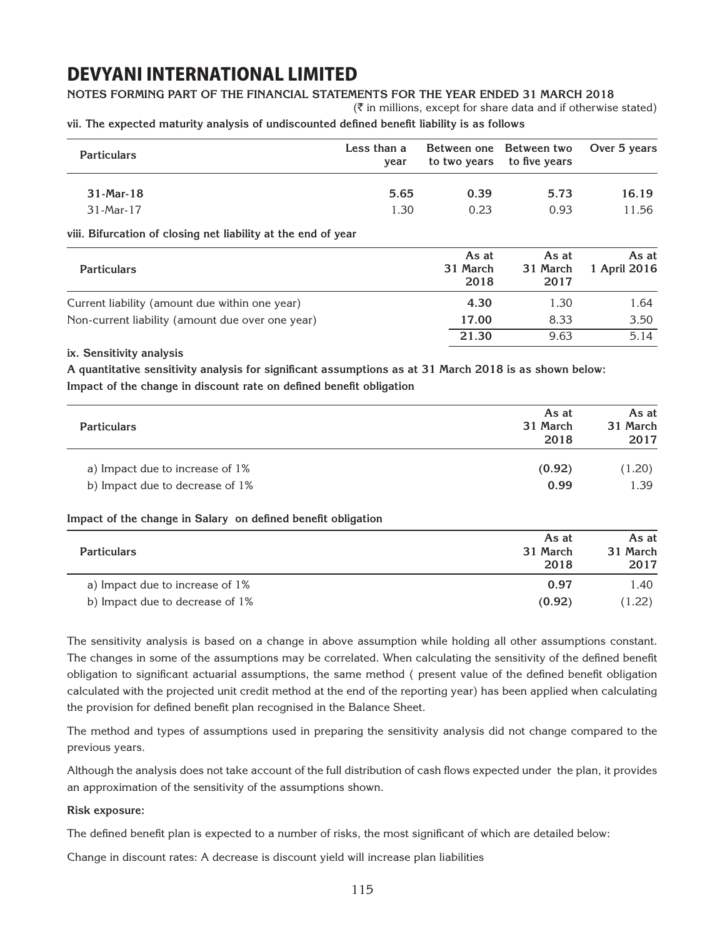### **Notes forming part of the financial statements for the year ended 31 March 2018**

 $(\bar{\bar{\mathbf{x}}}$  in millions, except for share data and if otherwise stated)

**vii. The expected maturity analysis of undiscounted defined benefit liability is as follows**

| <b>Particulars</b>                                            | Less than a<br>year | Between one<br>to two years | Between two<br>to five years | Over 5 years          |
|---------------------------------------------------------------|---------------------|-----------------------------|------------------------------|-----------------------|
| 31-Mar-18                                                     | 5.65                | 0.39                        | 5.73                         | 16.19                 |
| 31-Mar-17                                                     | 1.30                | 0.23                        | 0.93                         | 11.56                 |
| viii. Bifurcation of closing net liability at the end of year |                     |                             |                              |                       |
| <b>Particulars</b>                                            |                     | As at<br>31 March<br>2018   | As at<br>31 March<br>2017    | As at<br>1 April 2016 |
| Current liability (amount due within one year)                |                     | 4.30                        | 1.30                         | 1.64                  |
| Non-current liability (amount due over one year)              |                     | 17.00                       | 8.33                         | 3.50                  |
|                                                               |                     | 21.30                       | 9.63                         | 5.14                  |

#### **ix. Sensitivity analysis**

**A quantitative sensitivity analysis for significant assumptions as at 31 March 2018 is as shown below: Impact of the change in discount rate on defined benefit obligation**

| <b>Particulars</b>                                           | As at<br>31 March<br>2018 | As at<br>31 March<br>2017 |
|--------------------------------------------------------------|---------------------------|---------------------------|
| a) Impact due to increase of 1%                              | (0.92)                    | (1.20)                    |
| b) Impact due to decrease of 1%                              | 0.99                      | 1.39                      |
| Impact of the change in Salary on defined benefit obligation |                           |                           |

| <b>Particulars</b>              | As at<br>31 March<br>2018 | As at<br>31 March<br>2017 |
|---------------------------------|---------------------------|---------------------------|
| a) Impact due to increase of 1% | 0.97                      | 1.40                      |
| b) Impact due to decrease of 1% | (0.92)                    | (1.22)                    |

The sensitivity analysis is based on a change in above assumption while holding all other assumptions constant. The changes in some of the assumptions may be correlated. When calculating the sensitivity of the defined benefit obligation to significant actuarial assumptions, the same method ( present value of the defined benefit obligation calculated with the projected unit credit method at the end of the reporting year) has been applied when calculating the provision for defined benefit plan recognised in the Balance Sheet.

The method and types of assumptions used in preparing the sensitivity analysis did not change compared to the previous years.

Although the analysis does not take account of the full distribution of cash flows expected under the plan, it provides an approximation of the sensitivity of the assumptions shown.

### **Risk exposure:**

The defined benefit plan is expected to a number of risks, the most significant of which are detailed below:

Change in discount rates: A decrease is discount yield will increase plan liabilities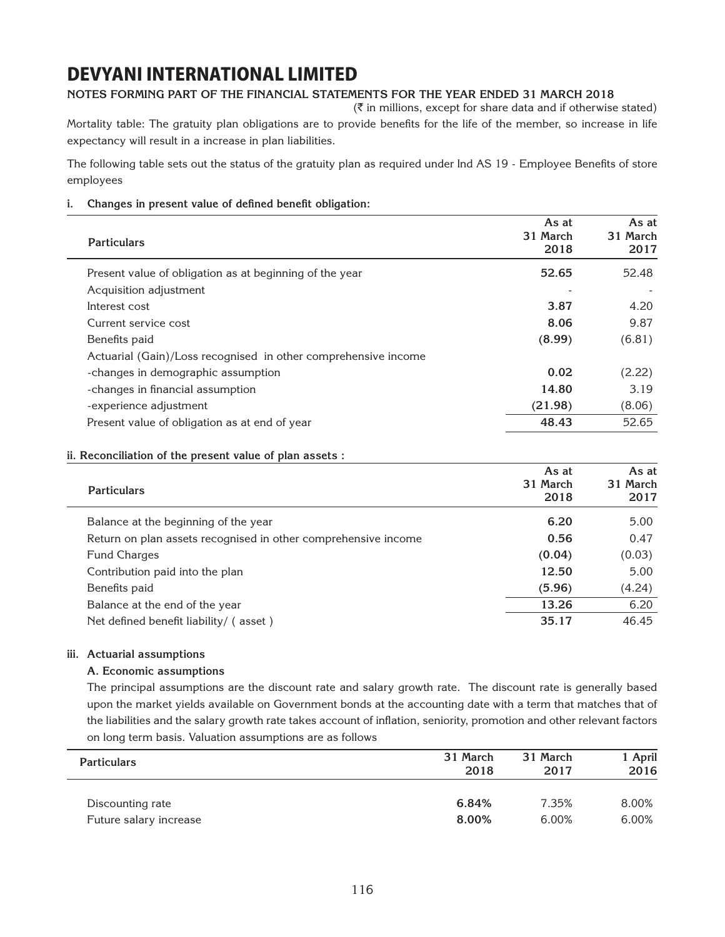### **Notes forming part of the financial statements for the year ended 31 March 2018**

 $(\bar{\bar{\mathbf{x}}}$  in millions, except for share data and if otherwise stated)

Mortality table: The gratuity plan obligations are to provide benefits for the life of the member, so increase in life expectancy will result in a increase in plan liabilities.

The following table sets out the status of the gratuity plan as required under Ind AS 19 - Employee Benefits of store employees

### **i. Changes in present value of defined benefit obligation:**

| <b>Particulars</b>                                             | As at<br>31 March<br>2018 | As at<br>31 March<br>2017 |
|----------------------------------------------------------------|---------------------------|---------------------------|
| Present value of obligation as at beginning of the year        | 52.65                     | 52.48                     |
| Acquisition adjustment                                         |                           |                           |
| Interest cost                                                  | 3.87                      | 4.20                      |
| Current service cost                                           | 8.06                      | 9.87                      |
| Benefits paid                                                  | (8.99)                    | (6.81)                    |
| Actuarial (Gain)/Loss recognised in other comprehensive income |                           |                           |
| -changes in demographic assumption                             | 0.02                      | (2.22)                    |
| -changes in financial assumption                               | 14.80                     | 3.19                      |
| -experience adjustment                                         | (21.98)                   | (8.06)                    |
| Present value of obligation as at end of year                  | 48.43                     | 52.65                     |

### **ii. Reconciliation of the present value of plan assets :**

| <b>Particulars</b>                                             | As at<br>31 March<br>2018 | As at<br>31 March<br>2017 |
|----------------------------------------------------------------|---------------------------|---------------------------|
| Balance at the beginning of the year                           | 6.20                      | 5.00                      |
| Return on plan assets recognised in other comprehensive income | 0.56                      | 0.47                      |
| Fund Charges                                                   | (0.04)                    | (0.03)                    |
| Contribution paid into the plan                                | 12.50                     | 5.00                      |
| Benefits paid                                                  | (5.96)                    | (4.24)                    |
| Balance at the end of the year                                 | 13.26                     | 6.20                      |
| Net defined benefit liability/ (asset)                         | 35.17                     | 46.45                     |

### **iii. Actuarial assumptions**

### **A. Economic assumptions**

The principal assumptions are the discount rate and salary growth rate. The discount rate is generally based upon the market yields available on Government bonds at the accounting date with a term that matches that of the liabilities and the salary growth rate takes account of inflation, seniority, promotion and other relevant factors on long term basis. Valuation assumptions are as follows

| <b>Particulars</b>     | 31 March<br>2018 | 31 March<br>2017 | 1 April<br>2016 |
|------------------------|------------------|------------------|-----------------|
| Discounting rate       | 6.84%            | 7.35%            | 8.00%           |
| Future salary increase | 8.00%            | 6.00%            | 6.00%           |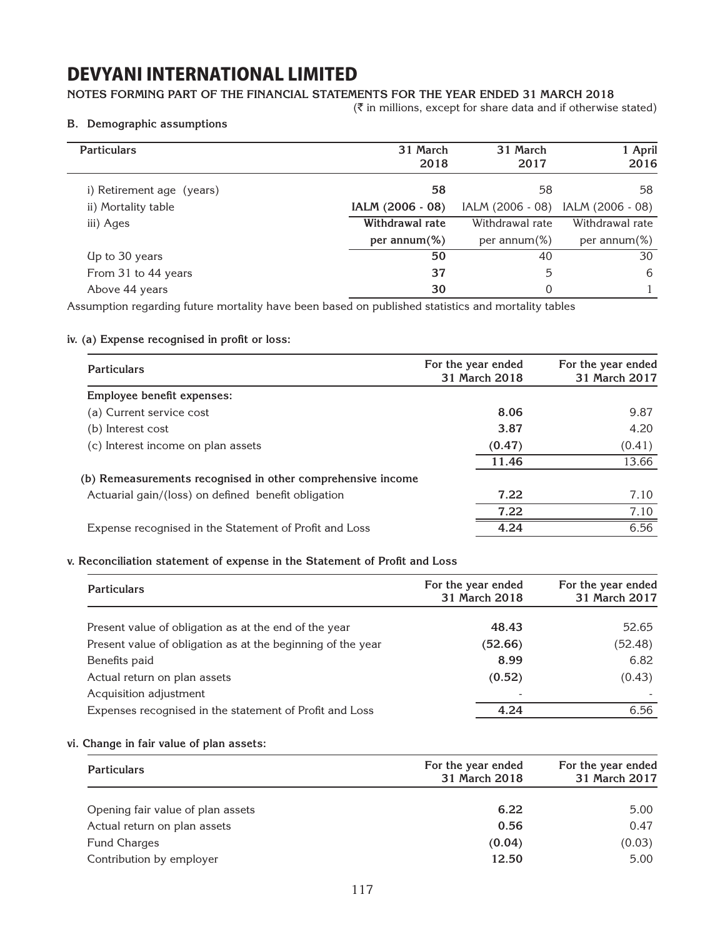### **Notes forming part of the financial statements for the year ended 31 March 2018**

 $(\bar{\bar{\zeta}})$  in millions, except for share data and if otherwise stated)

#### **B. Demographic assumptions**

| <b>Particulars</b>        | 31 March<br>2018 | 31 March<br>2017 | 1 April<br>2016  |
|---------------------------|------------------|------------------|------------------|
| i) Retirement age (years) | 58               | 58               | 58               |
| ii) Mortality table       | IALM (2006 - 08) | IALM (2006 - 08) | IALM (2006 - 08) |
| iii) Ages                 | Withdrawal rate  | Withdrawal rate  | Withdrawal rate  |
|                           | per annum $(\%)$ | per annum $(\%)$ | per annum $(\%)$ |
| Up to 30 years            | 50               | 40               | 30               |
| From 31 to 44 years       | 37               | 5                | 6                |
| Above 44 years            | 30               | 0                |                  |

Assumption regarding future mortality have been based on published statistics and mortality tables

### **iv. (a) Expense recognised in profit or loss:**

| <b>Particulars</b>                                          | For the year ended<br>31 March 2018 | For the year ended<br>31 March 2017 |
|-------------------------------------------------------------|-------------------------------------|-------------------------------------|
| Employee benefit expenses:                                  |                                     |                                     |
| (a) Current service cost                                    | 8.06                                | 9.87                                |
| (b) Interest cost                                           | 3.87                                | 4.20                                |
| (c) Interest income on plan assets                          | (0.47)                              | (0.41)                              |
|                                                             | 11.46                               | 13.66                               |
| (b) Remeasurements recognised in other comprehensive income |                                     |                                     |
| Actuarial gain/(loss) on defined benefit obligation         | 7.22                                | 7.10                                |
|                                                             | 7.22                                | 7.10                                |
| Expense recognised in the Statement of Profit and Loss      | 4.24                                | 6.56                                |

### **v. Reconciliation statement of expense in the Statement of Profit and Loss**

| <b>Particulars</b>                                          | For the year ended<br>31 March 2018 | For the year ended<br>31 March 2017 |
|-------------------------------------------------------------|-------------------------------------|-------------------------------------|
| Present value of obligation as at the end of the year       | 48.43                               | 52.65                               |
| Present value of obligation as at the beginning of the year | (52.66)                             | (52.48)                             |
| Benefits paid                                               | 8.99                                | 6.82                                |
| Actual return on plan assets                                | (0.52)                              | (0.43)                              |
| Acquisition adjustment                                      |                                     |                                     |
| Expenses recognised in the statement of Profit and Loss     | 4.24                                | 6.56                                |

#### **vi. Change in fair value of plan assets:**

| <b>Particulars</b>                | For the year ended<br>31 March 2018 | For the year ended<br>31 March 2017 |
|-----------------------------------|-------------------------------------|-------------------------------------|
|                                   |                                     |                                     |
| Opening fair value of plan assets | 6.22                                | 5.00                                |
| Actual return on plan assets      | 0.56                                | 0.47                                |
| Fund Charges                      | (0.04)                              | (0.03)                              |
| Contribution by employer          | 12.50                               | 5.00                                |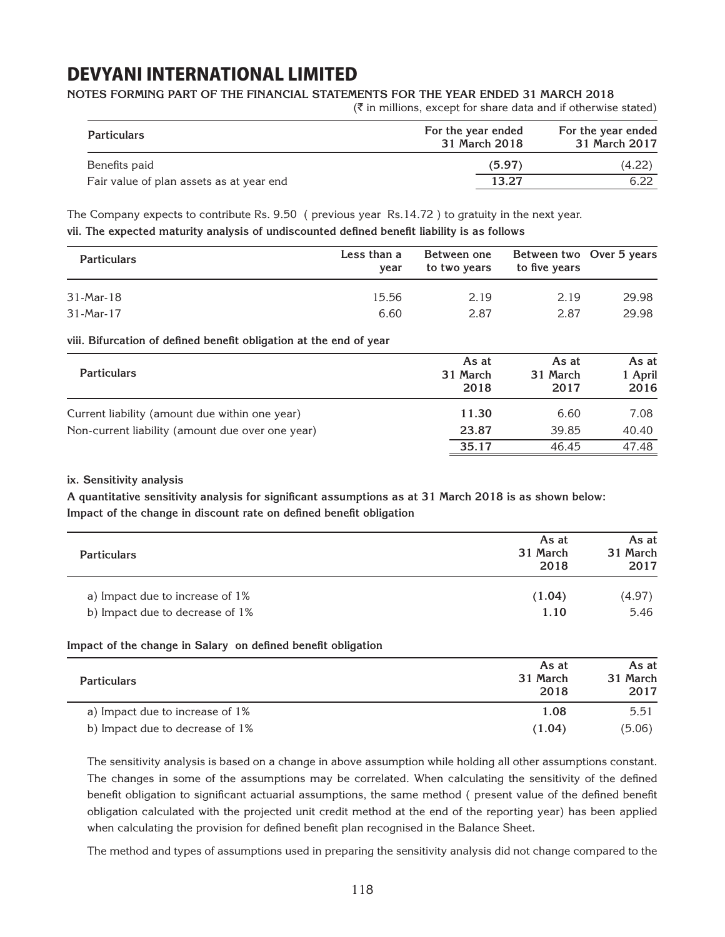#### **Notes forming part of the financial statements for the year ended 31 March 2018**

 $(\bar{\tau}$  in millions, except for share data and if otherwise stated)

| <b>Particulars</b>                       | For the year ended<br>31 March 2018 | For the year ended<br>31 March 2017 |
|------------------------------------------|-------------------------------------|-------------------------------------|
| Benefits paid                            | (5.97)                              | (4.22)                              |
| Fair value of plan assets as at year end | 13.27                               | 6.22                                |

The Company expects to contribute Rs. 9.50 ( previous year Rs.14.72 ) to gratuity in the next year. **vii. The expected maturity analysis of undiscounted defined benefit liability is as follows**

| <b>Particulars</b> | Less than a<br>year | Between one<br>to two years | Between two Over 5 years<br>to five years |       |
|--------------------|---------------------|-----------------------------|-------------------------------------------|-------|
| 31-Mar-18          | 15.56               | 2.19                        | 2.19                                      | 29.98 |
| 31-Mar-17          | 6.60                | 2.87                        | 2.87                                      | 29.98 |

#### **viii. Bifurcation of defined benefit obligation at the end of year**

| <b>Particulars</b>                               | As at<br>31 March<br>2018 | As at<br>31 March<br>2017 | As at<br>1 April<br>2016 |
|--------------------------------------------------|---------------------------|---------------------------|--------------------------|
| Current liability (amount due within one year)   | 11.30                     | 6.60                      | 7.08                     |
| Non-current liability (amount due over one year) | 23.87                     | 39.85                     | 40.40                    |
|                                                  | 35.17                     | 46.45                     | 47.48                    |

### **ix. Sensitivity analysis**

**A quantitative sensitivity analysis for significant assumptions as at 31 March 2018 is as shown below: Impact of the change in discount rate on defined benefit obligation**

| <b>Particulars</b>              | As at<br>31 March<br>2018 | As at<br>31 March<br>2017 |
|---------------------------------|---------------------------|---------------------------|
| a) Impact due to increase of 1% | (1.04)                    | (4.97)                    |
| b) Impact due to decrease of 1% | 1.10                      | 5.46                      |

### **Impact of the change in Salary on defined benefit obligation**

| <b>Particulars</b>              | As at<br>31 March<br>2018 | As at<br>31 March<br>2017 |
|---------------------------------|---------------------------|---------------------------|
| a) Impact due to increase of 1% | 1.08                      | 5.51                      |
| b) Impact due to decrease of 1% | (1.04)                    | (5.06)                    |

The sensitivity analysis is based on a change in above assumption while holding all other assumptions constant. The changes in some of the assumptions may be correlated. When calculating the sensitivity of the defined benefit obligation to significant actuarial assumptions, the same method ( present value of the defined benefit obligation calculated with the projected unit credit method at the end of the reporting year) has been applied when calculating the provision for defined benefit plan recognised in the Balance Sheet.

The method and types of assumptions used in preparing the sensitivity analysis did not change compared to the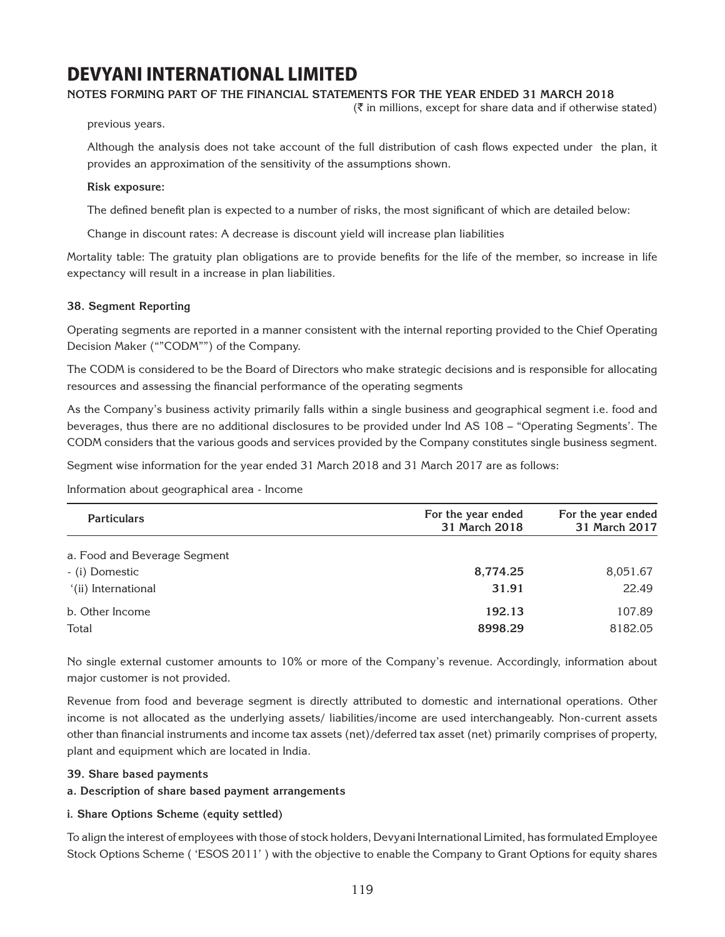### **Notes forming part of the financial statements for the year ended 31 March 2018**

 $(\bar{\bar{\zeta}})$  in millions, except for share data and if otherwise stated)

previous years.

Although the analysis does not take account of the full distribution of cash flows expected under the plan, it provides an approximation of the sensitivity of the assumptions shown.

#### **Risk exposure:**

The defined benefit plan is expected to a number of risks, the most significant of which are detailed below:

Change in discount rates: A decrease is discount yield will increase plan liabilities

Mortality table: The gratuity plan obligations are to provide benefits for the life of the member, so increase in life expectancy will result in a increase in plan liabilities.

#### **38. Segment Reporting**

Operating segments are reported in a manner consistent with the internal reporting provided to the Chief Operating Decision Maker (""CODM"") of the Company.

The CODM is considered to be the Board of Directors who make strategic decisions and is responsible for allocating resources and assessing the financial performance of the operating segments

As the Company's business activity primarily falls within a single business and geographical segment i.e. food and beverages, thus there are no additional disclosures to be provided under Ind AS 108 – "Operating Segments'. The CODM considers that the various goods and services provided by the Company constitutes single business segment.

Segment wise information for the year ended 31 March 2018 and 31 March 2017 are as follows:

Information about geographical area - Income

| <b>Particulars</b>           | For the year ended<br>31 March 2018 | For the year ended<br>31 March 2017 |  |
|------------------------------|-------------------------------------|-------------------------------------|--|
| a. Food and Beverage Segment |                                     |                                     |  |
| - (i) Domestic               | 8,774.25                            | 8,051.67                            |  |
| '(ii) International          | 31.91                               | 22.49                               |  |
| b. Other Income              | 192.13                              | 107.89                              |  |
| Total                        | 8998.29                             | 8182.05                             |  |

No single external customer amounts to 10% or more of the Company's revenue. Accordingly, information about major customer is not provided.

Revenue from food and beverage segment is directly attributed to domestic and international operations. Other income is not allocated as the underlying assets/ liabilities/income are used interchangeably. Non-current assets other than financial instruments and income tax assets (net)/deferred tax asset (net) primarily comprises of property, plant and equipment which are located in India.

### **39. Share based payments**

#### **a. Description of share based payment arrangements**

### **i. Share Options Scheme (equity settled)**

To align the interest of employees with those of stock holders, Devyani International Limited, has formulated Employee Stock Options Scheme ( 'ESOS 2011' ) with the objective to enable the Company to Grant Options for equity shares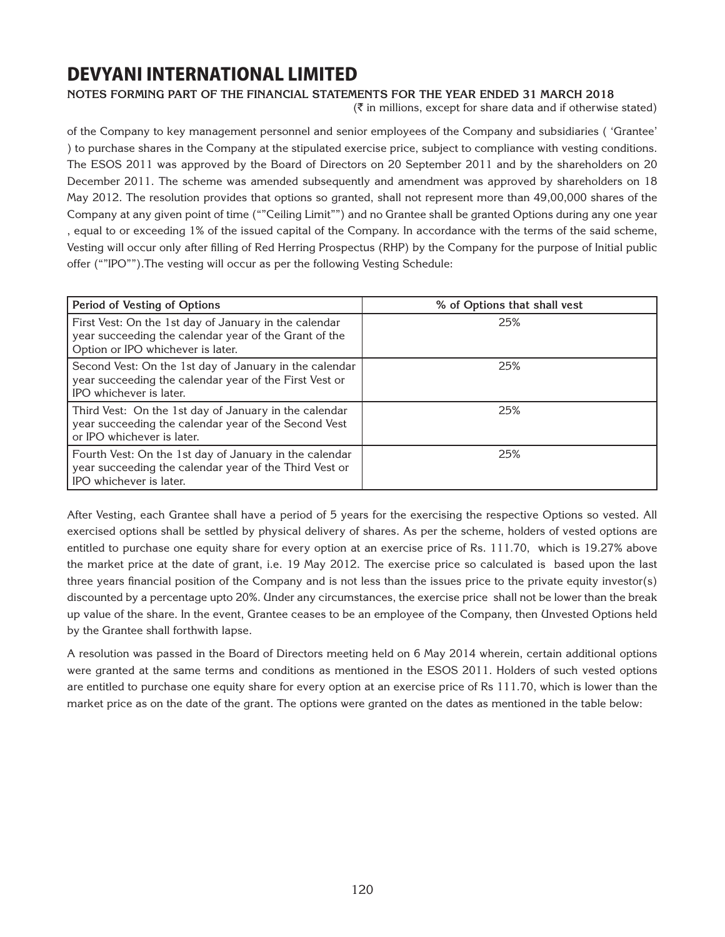### **Notes forming part of the financial statements for the year ended 31 March 2018**

 $(\bar{\tau}$  in millions, except for share data and if otherwise stated)

of the Company to key management personnel and senior employees of the Company and subsidiaries ( 'Grantee' ) to purchase shares in the Company at the stipulated exercise price, subject to compliance with vesting conditions. The ESOS 2011 was approved by the Board of Directors on 20 September 2011 and by the shareholders on 20 December 2011. The scheme was amended subsequently and amendment was approved by shareholders on 18 May 2012. The resolution provides that options so granted, shall not represent more than 49,00,000 shares of the Company at any given point of time (""Ceiling Limit"") and no Grantee shall be granted Options during any one year , equal to or exceeding 1% of the issued capital of the Company. In accordance with the terms of the said scheme, Vesting will occur only after filling of Red Herring Prospectus (RHP) by the Company for the purpose of Initial public offer (""IPO"").The vesting will occur as per the following Vesting Schedule:

| Period of Vesting of Options                                                                                                                        | % of Options that shall vest |
|-----------------------------------------------------------------------------------------------------------------------------------------------------|------------------------------|
| First Vest: On the 1st day of January in the calendar<br>year succeeding the calendar year of the Grant of the<br>Option or IPO whichever is later. | 25%                          |
| Second Vest: On the 1st day of January in the calendar<br>year succeeding the calendar year of the First Vest or<br>IPO whichever is later.         | 25%                          |
| Third Vest: On the 1st day of January in the calendar<br>year succeeding the calendar year of the Second Vest<br>or IPO whichever is later.         | 25%                          |
| Fourth Vest: On the 1st day of January in the calendar<br>year succeeding the calendar year of the Third Vest or<br>IPO whichever is later.         | 25%                          |

After Vesting, each Grantee shall have a period of 5 years for the exercising the respective Options so vested. All exercised options shall be settled by physical delivery of shares. As per the scheme, holders of vested options are entitled to purchase one equity share for every option at an exercise price of Rs. 111.70, which is 19.27% above the market price at the date of grant, i.e. 19 May 2012. The exercise price so calculated is based upon the last three years financial position of the Company and is not less than the issues price to the private equity investor(s) discounted by a percentage upto 20%. Under any circumstances, the exercise price shall not be lower than the break up value of the share. In the event, Grantee ceases to be an employee of the Company, then Unvested Options held by the Grantee shall forthwith lapse.

A resolution was passed in the Board of Directors meeting held on 6 May 2014 wherein, certain additional options were granted at the same terms and conditions as mentioned in the ESOS 2011. Holders of such vested options are entitled to purchase one equity share for every option at an exercise price of Rs 111.70, which is lower than the market price as on the date of the grant. The options were granted on the dates as mentioned in the table below: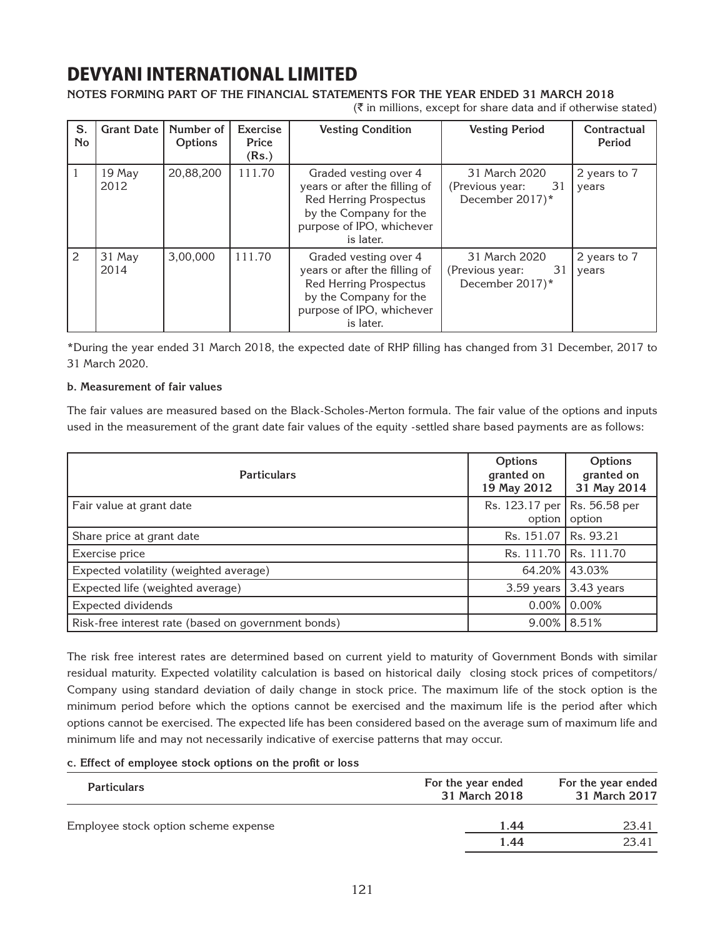### **Notes forming part of the financial statements for the year ended 31 March 2018**

 $(\bar{\bar{\mathbf{x}}}$  in millions, except for share data and if otherwise stated)

| S.<br><b>No</b> | <b>Grant Date</b> | Number of<br>Options | Exercise<br>Price<br>(Rs.) | <b>Vesting Condition</b>                                                                                                                                    | <b>Vesting Period</b>                                     | Contractual<br>Period |
|-----------------|-------------------|----------------------|----------------------------|-------------------------------------------------------------------------------------------------------------------------------------------------------------|-----------------------------------------------------------|-----------------------|
|                 | $19$ May<br>2012  | 20,88,200            | 111.70                     | Graded vesting over 4<br>years or after the filling of<br><b>Red Herring Prospectus</b><br>by the Company for the<br>purpose of IPO, whichever<br>is later. | 31 March 2020<br>31<br>(Previous year:<br>December 2017)* | 2 years to 7<br>years |
| 2               | 31 May<br>2014    | 3,00,000             | 111.70                     | Graded vesting over 4<br>years or after the filling of<br><b>Red Herring Prospectus</b><br>by the Company for the<br>purpose of IPO, whichever<br>is later. | 31 March 2020<br>31<br>(Previous year:<br>December 2017)* | 2 years to 7<br>years |

\*During the year ended 31 March 2018, the expected date of RHP filling has changed from 31 December, 2017 to 31 March 2020.

### **b. Measurement of fair values**

The fair values are measured based on the Black-Scholes-Merton formula. The fair value of the options and inputs used in the measurement of the grant date fair values of the equity -settled share based payments are as follows:

| <b>Particulars</b>                                  | Options<br>granted on<br>19 May 2012 | Options<br>granted on<br>31 May 2014 |
|-----------------------------------------------------|--------------------------------------|--------------------------------------|
| Fair value at grant date                            | Rs. 123.17 per<br>option             | Rs. 56.58 per<br>option              |
| Share price at grant date                           | Rs. 151.07   Rs. 93.21               |                                      |
| Exercise price                                      |                                      | Rs. 111.70   Rs. 111.70              |
| Expected volatility (weighted average)              |                                      | 64.20% 43.03%                        |
| Expected life (weighted average)                    | 3.59 years                           | 3.43 years                           |
| Expected dividends                                  | $0.00\%$                             | 0.00%                                |
| Risk-free interest rate (based on government bonds) |                                      | $9.00\%$ 8.51%                       |

The risk free interest rates are determined based on current yield to maturity of Government Bonds with similar residual maturity. Expected volatility calculation is based on historical daily closing stock prices of competitors/ Company using standard deviation of daily change in stock price. The maximum life of the stock option is the minimum period before which the options cannot be exercised and the maximum life is the period after which options cannot be exercised. The expected life has been considered based on the average sum of maximum life and minimum life and may not necessarily indicative of exercise patterns that may occur.

### **c. Effect of employee stock options on the profit or loss**

| <b>Particulars</b>                   | For the year ended<br>31 March 2018 | For the year ended<br>31 March 2017 |  |
|--------------------------------------|-------------------------------------|-------------------------------------|--|
| Employee stock option scheme expense | 1.44                                | 23.41                               |  |
|                                      | 1.44                                | 23.41                               |  |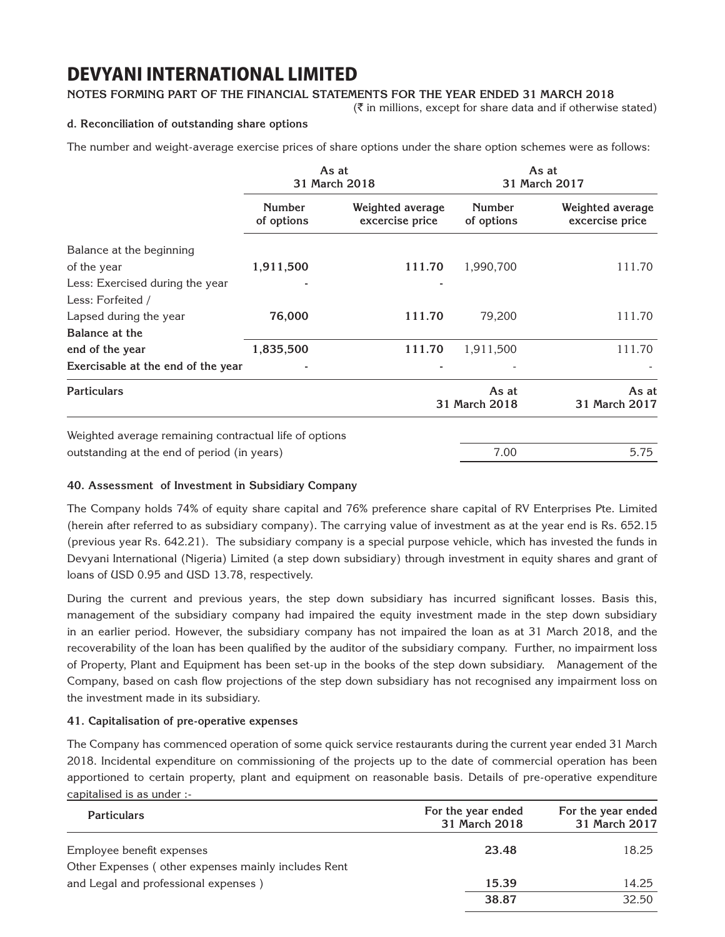### **Notes forming part of the financial statements for the year ended 31 March 2018**

 $(\bar{\bar{\zeta}})$  in millions, except for share data and if otherwise stated)

### **d. Reconciliation of outstanding share options**

The number and weight-average exercise prices of share options under the share option schemes were as follows:

|                                                        | As at<br>31 March 2018      |                                     |                             | As at<br>31 March 2017              |
|--------------------------------------------------------|-----------------------------|-------------------------------------|-----------------------------|-------------------------------------|
|                                                        | <b>Number</b><br>of options | Weighted average<br>excercise price | <b>Number</b><br>of options | Weighted average<br>excercise price |
| Balance at the beginning                               |                             |                                     |                             |                                     |
| of the year                                            | 1,911,500                   | 111.70                              | 1,990,700                   | 111.70                              |
| Less: Exercised during the year                        |                             |                                     |                             |                                     |
| Less: Forfeited /                                      |                             |                                     |                             |                                     |
| Lapsed during the year                                 | 76,000                      | 111.70                              | 79,200                      | 111.70                              |
| Balance at the                                         |                             |                                     |                             |                                     |
| end of the year                                        | 1,835,500                   | 111.70                              | 1,911,500                   | 111.70                              |
| Exercisable at the end of the year                     |                             |                                     |                             |                                     |
| <b>Particulars</b>                                     |                             |                                     | As at<br>31 March 2018      | As at<br>31 March 2017              |
| Weighted average remaining contractual life of options |                             |                                     |                             |                                     |
| outstanding at the end of period (in years)            |                             |                                     | 7.00                        | 5.75                                |

### **40. Assessment of Investment in Subsidiary Company**

The Company holds 74% of equity share capital and 76% preference share capital of RV Enterprises Pte. Limited (herein after referred to as subsidiary company). The carrying value of investment as at the year end is Rs. 652.15 (previous year Rs. 642.21). The subsidiary company is a special purpose vehicle, which has invested the funds in Devyani International (Nigeria) Limited (a step down subsidiary) through investment in equity shares and grant of loans of USD 0.95 and USD 13.78, respectively.

During the current and previous years, the step down subsidiary has incurred significant losses. Basis this, management of the subsidiary company had impaired the equity investment made in the step down subsidiary in an earlier period. However, the subsidiary company has not impaired the loan as at 31 March 2018, and the recoverability of the loan has been qualified by the auditor of the subsidiary company. Further, no impairment loss of Property, Plant and Equipment has been set-up in the books of the step down subsidiary. Management of the Company, based on cash flow projections of the step down subsidiary has not recognised any impairment loss on the investment made in its subsidiary.

### **41. Capitalisation of pre-operative expenses**

The Company has commenced operation of some quick service restaurants during the current year ended 31 March 2018. Incidental expenditure on commissioning of the projects up to the date of commercial operation has been apportioned to certain property, plant and equipment on reasonable basis. Details of pre-operative expenditure capitalised is as under :-

| <b>Particulars</b>                                                               | For the year ended<br>31 March 2018 | For the year ended<br>31 March 2017 |
|----------------------------------------------------------------------------------|-------------------------------------|-------------------------------------|
| Employee benefit expenses<br>Other Expenses (other expenses mainly includes Rent | 23.48                               | 18.25                               |
| and Legal and professional expenses)                                             | 15.39                               | 14.25                               |
|                                                                                  | 38.87                               | 32.50                               |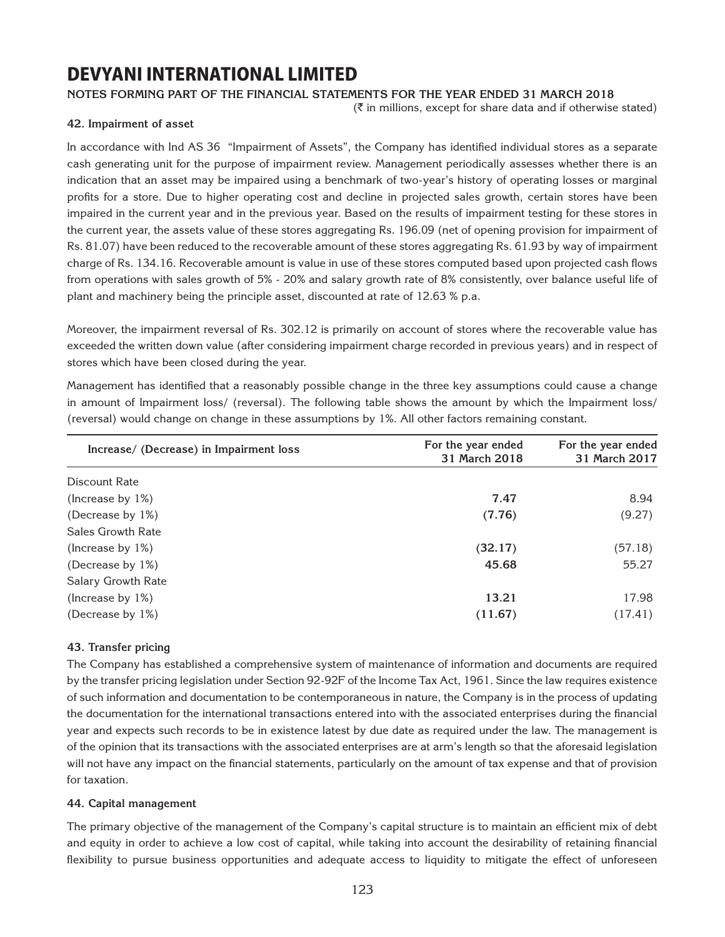### **Notes forming part of the financial statements for the year ended 31 March 2018**

 $(\bar{\bar{\zeta}})$  in millions, except for share data and if otherwise stated)

### **42. Impairment of asset**

In accordance with Ind AS 36 "Impairment of Assets", the Company has identified individual stores as a separate cash generating unit for the purpose of impairment review. Management periodically assesses whether there is an indication that an asset may be impaired using a benchmark of two-year's history of operating losses or marginal profits for a store. Due to higher operating cost and decline in projected sales growth, certain stores have been impaired in the current year and in the previous year. Based on the results of impairment testing for these stores in the current year, the assets value of these stores aggregating Rs. 196.09 (net of opening provision for impairment of Rs. 81.07) have been reduced to the recoverable amount of these stores aggregating Rs. 61.93 by way of impairment charge of Rs. 134.16. Recoverable amount is value in use of these stores computed based upon projected cash flows from operations with sales growth of 5% - 20% and salary growth rate of 8% consistently, over balance useful life of plant and machinery being the principle asset, discounted at rate of 12.63 % p.a.

Moreover, the impairment reversal of Rs. 302.12 is primarily on account of stores where the recoverable value has exceeded the written down value (after considering impairment charge recorded in previous years) and in respect of stores which have been closed during the year.

Management has identified that a reasonably possible change in the three key assumptions could cause a change in amount of Impairment loss/ (reversal). The following table shows the amount by which the Impairment loss/ (reversal) would change on change in these assumptions by 1%. All other factors remaining constant.

| Increase/ (Decrease) in Impairment loss | For the year ended<br>31 March 2018 | For the year ended<br>31 March 2017 |
|-----------------------------------------|-------------------------------------|-------------------------------------|
| Discount Rate                           |                                     |                                     |
| (Increase by $1\%$ )                    | 7.47                                | 8.94                                |
| (Decrease by 1%)                        | (7.76)                              | (9.27)                              |
| Sales Growth Rate                       |                                     |                                     |
| (Increase by 1%)                        | (32.17)                             | (57.18)                             |
| (Decrease by 1%)                        | 45.68                               | 55.27                               |
| Salary Growth Rate                      |                                     |                                     |
| (Increase by 1%)                        | 13.21                               | 17.98                               |
| (Decrease by 1%)                        | (11.67)                             | (17.41)                             |

### **43. Transfer pricing**

The Company has established a comprehensive system of maintenance of information and documents are required by the transfer pricing legislation under Section 92-92F of the Income Tax Act, 1961. Since the law requires existence of such information and documentation to be contemporaneous in nature, the Company is in the process of updating the documentation for the international transactions entered into with the associated enterprises during the financial year and expects such records to be in existence latest by due date as required under the law. The management is of the opinion that its transactions with the associated enterprises are at arm's length so that the aforesaid legislation will not have any impact on the financial statements, particularly on the amount of tax expense and that of provision for taxation.

### **44. Capital management**

The primary objective of the management of the Company's capital structure is to maintain an efficient mix of debt and equity in order to achieve a low cost of capital, while taking into account the desirability of retaining financial flexibility to pursue business opportunities and adequate access to liquidity to mitigate the effect of unforeseen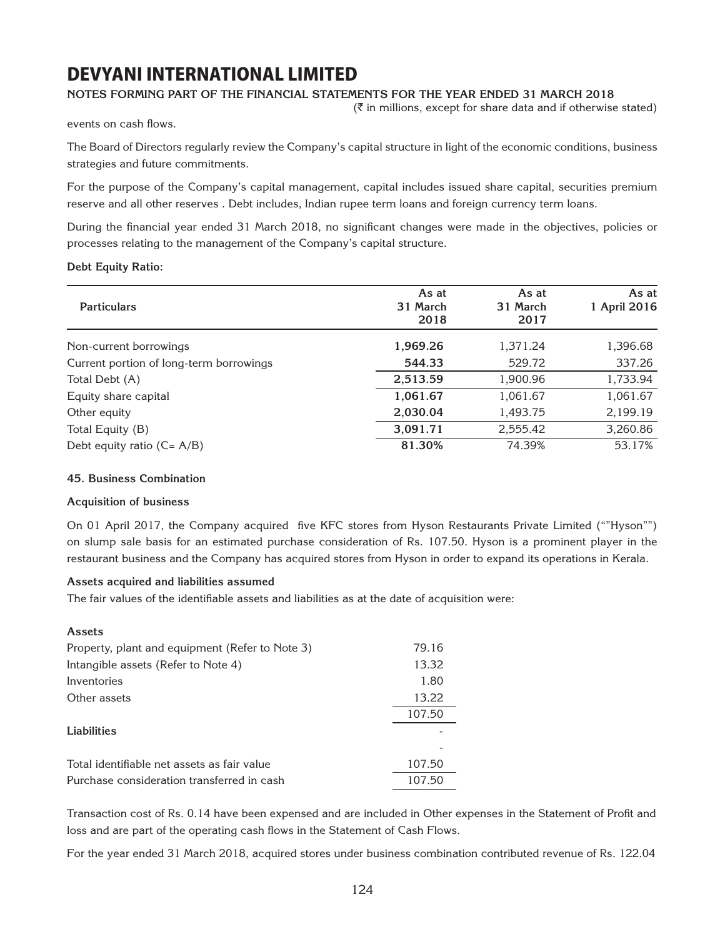### **Notes forming part of the financial statements for the year ended 31 March 2018**

 $(\bar{\bar{\mathbf{x}}}$  in millions, except for share data and if otherwise stated)

events on cash flows.

The Board of Directors regularly review the Company's capital structure in light of the economic conditions, business strategies and future commitments.

For the purpose of the Company's capital management, capital includes issued share capital, securities premium reserve and all other reserves . Debt includes, Indian rupee term loans and foreign currency term loans.

During the financial year ended 31 March 2018, no significant changes were made in the objectives, policies or processes relating to the management of the Company's capital structure.

### **Debt Equity Ratio:**

|                                         | As at    | As at    | As at        |
|-----------------------------------------|----------|----------|--------------|
| <b>Particulars</b>                      | 31 March | 31 March | 1 April 2016 |
|                                         | 2018     | 2017     |              |
| Non-current borrowings                  | 1,969.26 | 1,371.24 | 1,396.68     |
| Current portion of long-term borrowings | 544.33   | 529.72   | 337.26       |
| Total Debt (A)                          | 2,513.59 | 1,900.96 | 1,733.94     |
| Equity share capital                    | 1,061.67 | 1,061.67 | 1,061.67     |
| Other equity                            | 2,030.04 | 1,493.75 | 2,199.19     |
| Total Equity (B)                        | 3,091.71 | 2,555.42 | 3,260.86     |
| Debt equity ratio $(C = A/B)$           | 81.30%   | 74.39%   | 53.17%       |
|                                         |          |          |              |

### **45. Business Combination**

### **Acquisition of business**

On 01 April 2017, the Company acquired five KFC stores from Hyson Restaurants Private Limited (""Hyson"") on slump sale basis for an estimated purchase consideration of Rs. 107.50. Hyson is a prominent player in the restaurant business and the Company has acquired stores from Hyson in order to expand its operations in Kerala.

#### **Assets acquired and liabilities assumed**

The fair values of the identifiable assets and liabilities as at the date of acquisition were:

| Assets                                          |        |
|-------------------------------------------------|--------|
| Property, plant and equipment (Refer to Note 3) | 79.16  |
| Intangible assets (Refer to Note 4)             | 13.32  |
| Inventories                                     | 1.80   |
| Other assets                                    | 13.22  |
|                                                 | 107.50 |
| <b>Liabilities</b>                              |        |
|                                                 |        |
| Total identifiable net assets as fair value     | 107.50 |
| Purchase consideration transferred in cash      | 107.50 |

Transaction cost of Rs. 0.14 have been expensed and are included in Other expenses in the Statement of Profit and loss and are part of the operating cash flows in the Statement of Cash Flows.

For the year ended 31 March 2018, acquired stores under business combination contributed revenue of Rs. 122.04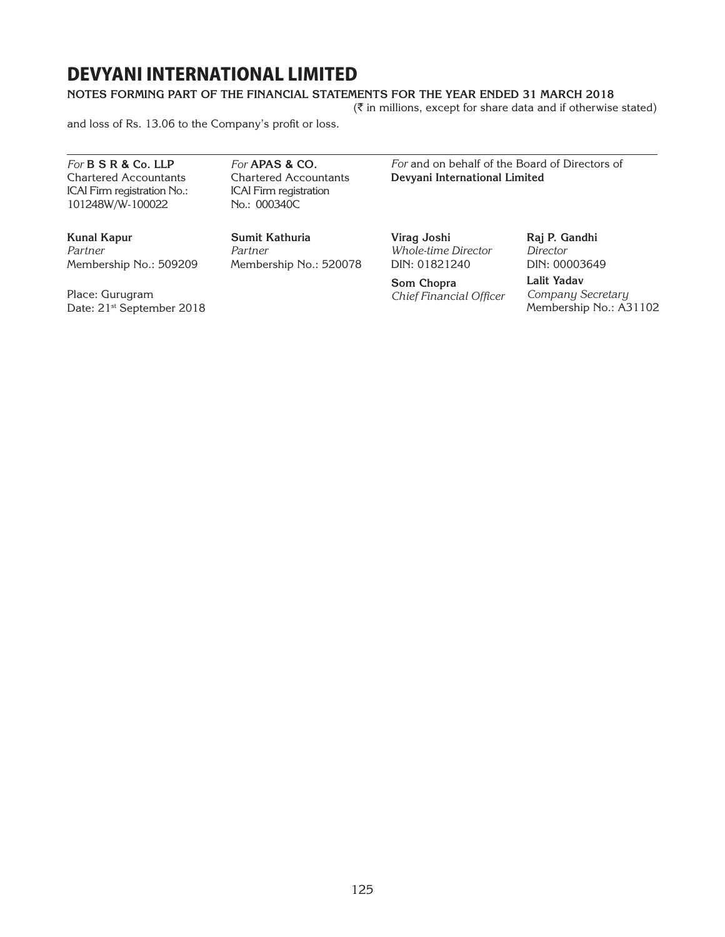### **Notes forming part of the financial statements for the year ended 31 March 2018**

 $(\bar{\tau})$  in millions, except for share data and if otherwise stated)

and loss of Rs. 13.06 to the Company's profit or loss.

*For* **B S R & Co. LLP** Chartered Accountants ICAI Firm registration No.: 101248W/W-100022

*For* **APAS & Co.** Chartered Accountants ICAI Firm registration No.: 000340C

*For* and on behalf of the Board of Directors of **Devyani International Limited**

**Kunal Kapur** *Partner* Membership No.: 509209

Place: Gurugram Date: 21<sup>st</sup> September 2018

**Sumit Kathuria** *Partner* Membership No.: 520078 **Virag Joshi** *Whole-time Director* DIN: 01821240

**Som Chopra** *Chief Financial Officer* **Raj P. Gandhi** *Director* DIN: 00003649

**Lalit Yadav** *Company Secretary* Membership No.: A31102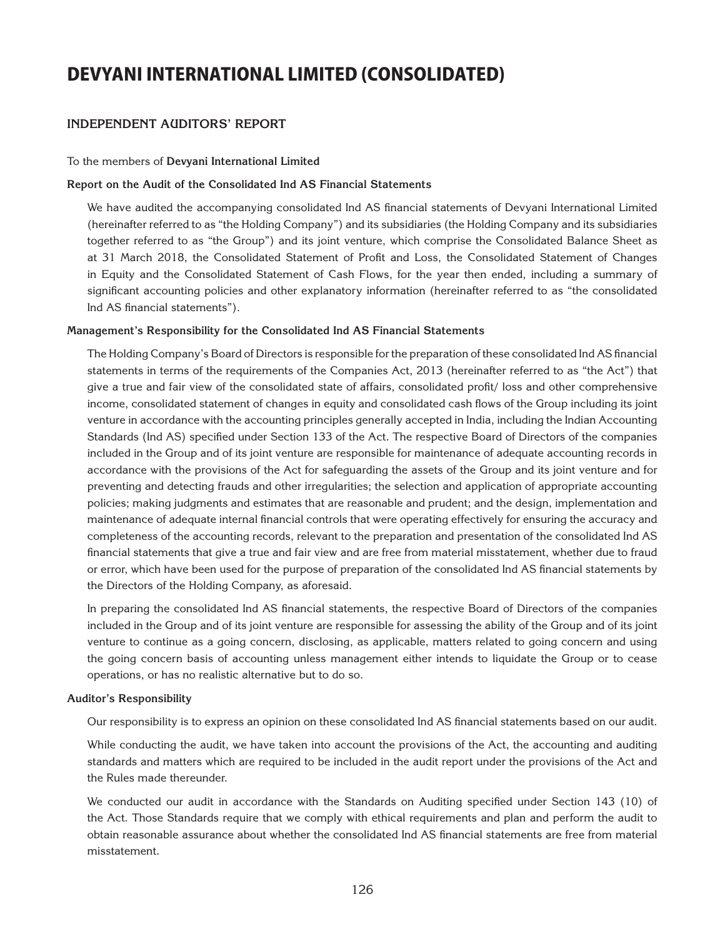### **Independent Auditors' Report**

#### To the members of **Devyani International Limited**

#### **Report on the Audit of the Consolidated Ind AS Financial Statements**

We have audited the accompanying consolidated Ind AS financial statements of Devyani International Limited (hereinafter referred to as "the Holding Company") and its subsidiaries (the Holding Company and its subsidiaries together referred to as "the Group") and its joint venture, which comprise the Consolidated Balance Sheet as at 31 March 2018, the Consolidated Statement of Profit and Loss, the Consolidated Statement of Changes in Equity and the Consolidated Statement of Cash Flows, for the year then ended, including a summary of significant accounting policies and other explanatory information (hereinafter referred to as "the consolidated Ind AS financial statements").

#### **Management's Responsibility for the Consolidated Ind AS Financial Statements**

The Holding Company's Board of Directors is responsible for the preparation of these consolidated Ind AS financial statements in terms of the requirements of the Companies Act, 2013 (hereinafter referred to as "the Act") that give a true and fair view of the consolidated state of affairs, consolidated profit/ loss and other comprehensive income, consolidated statement of changes in equity and consolidated cash flows of the Group including its joint venture in accordance with the accounting principles generally accepted in India, including the Indian Accounting Standards (Ind AS) specified under Section 133 of the Act. The respective Board of Directors of the companies included in the Group and of its joint venture are responsible for maintenance of adequate accounting records in accordance with the provisions of the Act for safeguarding the assets of the Group and its joint venture and for preventing and detecting frauds and other irregularities; the selection and application of appropriate accounting policies; making judgments and estimates that are reasonable and prudent; and the design, implementation and maintenance of adequate internal financial controls that were operating effectively for ensuring the accuracy and completeness of the accounting records, relevant to the preparation and presentation of the consolidated Ind AS financial statements that give a true and fair view and are free from material misstatement, whether due to fraud or error, which have been used for the purpose of preparation of the consolidated Ind AS financial statements by the Directors of the Holding Company, as aforesaid.

In preparing the consolidated Ind AS financial statements, the respective Board of Directors of the companies included in the Group and of its joint venture are responsible for assessing the ability of the Group and of its joint venture to continue as a going concern, disclosing, as applicable, matters related to going concern and using the going concern basis of accounting unless management either intends to liquidate the Group or to cease operations, or has no realistic alternative but to do so.

#### **Auditor's Responsibility**

Our responsibility is to express an opinion on these consolidated Ind AS financial statements based on our audit.

While conducting the audit, we have taken into account the provisions of the Act, the accounting and auditing standards and matters which are required to be included in the audit report under the provisions of the Act and the Rules made thereunder.

We conducted our audit in accordance with the Standards on Auditing specified under Section 143 (10) of the Act. Those Standards require that we comply with ethical requirements and plan and perform the audit to obtain reasonable assurance about whether the consolidated Ind AS financial statements are free from material misstatement.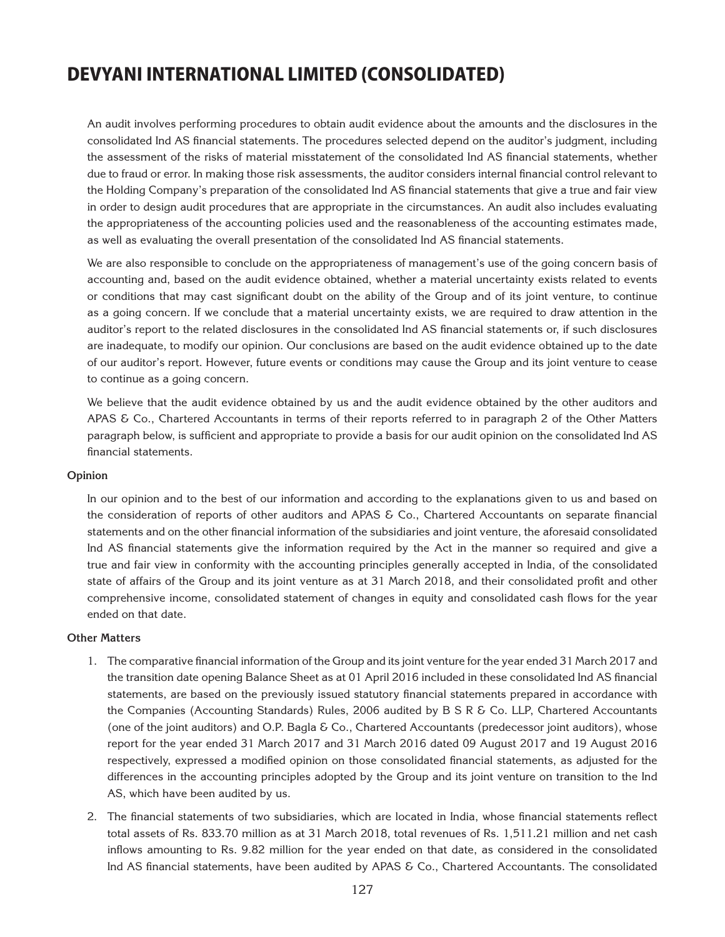An audit involves performing procedures to obtain audit evidence about the amounts and the disclosures in the consolidated Ind AS financial statements. The procedures selected depend on the auditor's judgment, including the assessment of the risks of material misstatement of the consolidated Ind AS financial statements, whether due to fraud or error. In making those risk assessments, the auditor considers internal financial control relevant to the Holding Company's preparation of the consolidated Ind AS financial statements that give a true and fair view in order to design audit procedures that are appropriate in the circumstances. An audit also includes evaluating the appropriateness of the accounting policies used and the reasonableness of the accounting estimates made, as well as evaluating the overall presentation of the consolidated Ind AS financial statements.

We are also responsible to conclude on the appropriateness of management's use of the going concern basis of accounting and, based on the audit evidence obtained, whether a material uncertainty exists related to events or conditions that may cast significant doubt on the ability of the Group and of its joint venture, to continue as a going concern. If we conclude that a material uncertainty exists, we are required to draw attention in the auditor's report to the related disclosures in the consolidated Ind AS financial statements or, if such disclosures are inadequate, to modify our opinion. Our conclusions are based on the audit evidence obtained up to the date of our auditor's report. However, future events or conditions may cause the Group and its joint venture to cease to continue as a going concern.

We believe that the audit evidence obtained by us and the audit evidence obtained by the other auditors and APAS & Co., Chartered Accountants in terms of their reports referred to in paragraph 2 of the Other Matters paragraph below, is sufficient and appropriate to provide a basis for our audit opinion on the consolidated Ind AS financial statements.

### **Opinion**

In our opinion and to the best of our information and according to the explanations given to us and based on the consideration of reports of other auditors and APAS & Co., Chartered Accountants on separate financial statements and on the other financial information of the subsidiaries and joint venture, the aforesaid consolidated Ind AS financial statements give the information required by the Act in the manner so required and give a true and fair view in conformity with the accounting principles generally accepted in India, of the consolidated state of affairs of the Group and its joint venture as at 31 March 2018, and their consolidated profit and other comprehensive income, consolidated statement of changes in equity and consolidated cash flows for the year ended on that date.

### **Other Matters**

- 1. The comparative financial information of the Group and its joint venture for the year ended 31 March 2017 and the transition date opening Balance Sheet as at 01 April 2016 included in these consolidated Ind AS financial statements, are based on the previously issued statutory financial statements prepared in accordance with the Companies (Accounting Standards) Rules, 2006 audited by B S R & Co. LLP, Chartered Accountants (one of the joint auditors) and O.P. Bagla & Co., Chartered Accountants (predecessor joint auditors), whose report for the year ended 31 March 2017 and 31 March 2016 dated 09 August 2017 and 19 August 2016 respectively, expressed a modified opinion on those consolidated financial statements, as adjusted for the differences in the accounting principles adopted by the Group and its joint venture on transition to the Ind AS, which have been audited by us.
- 2. The financial statements of two subsidiaries, which are located in India, whose financial statements reflect total assets of Rs. 833.70 million as at 31 March 2018, total revenues of Rs. 1,511.21 million and net cash inflows amounting to Rs. 9.82 million for the year ended on that date, as considered in the consolidated Ind AS financial statements, have been audited by APAS & Co., Chartered Accountants. The consolidated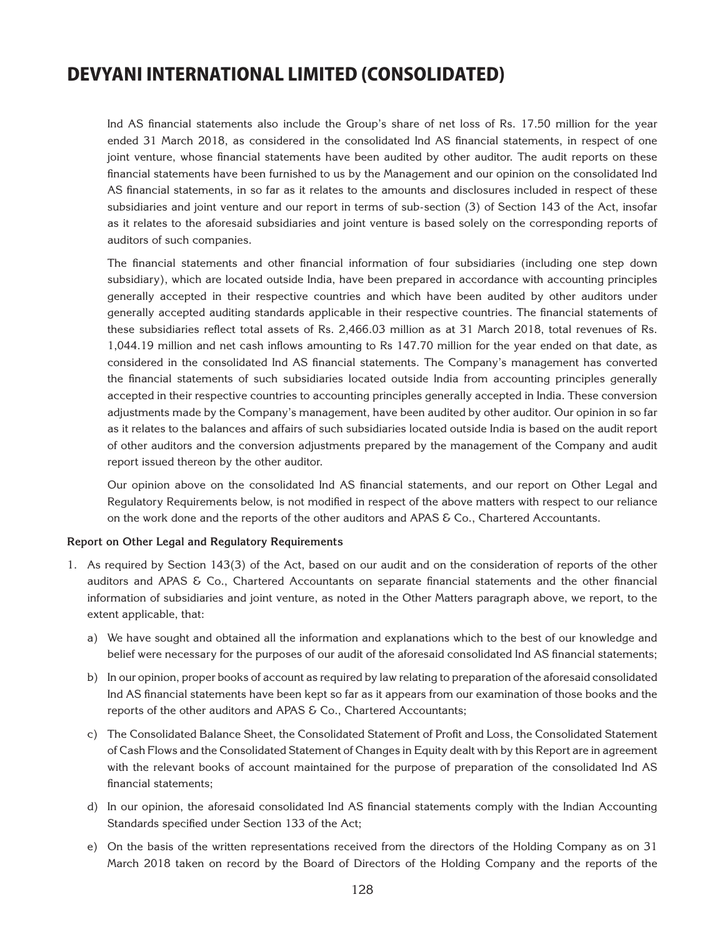Ind AS financial statements also include the Group's share of net loss of Rs. 17.50 million for the year ended 31 March 2018, as considered in the consolidated Ind AS financial statements, in respect of one joint venture, whose financial statements have been audited by other auditor. The audit reports on these financial statements have been furnished to us by the Management and our opinion on the consolidated Ind AS financial statements, in so far as it relates to the amounts and disclosures included in respect of these subsidiaries and joint venture and our report in terms of sub-section (3) of Section 143 of the Act, insofar as it relates to the aforesaid subsidiaries and joint venture is based solely on the corresponding reports of auditors of such companies.

The financial statements and other financial information of four subsidiaries (including one step down subsidiary), which are located outside India, have been prepared in accordance with accounting principles generally accepted in their respective countries and which have been audited by other auditors under generally accepted auditing standards applicable in their respective countries. The financial statements of these subsidiaries reflect total assets of Rs. 2,466.03 million as at 31 March 2018, total revenues of Rs. 1,044.19 million and net cash inflows amounting to Rs 147.70 million for the year ended on that date, as considered in the consolidated Ind AS financial statements. The Company's management has converted the financial statements of such subsidiaries located outside India from accounting principles generally accepted in their respective countries to accounting principles generally accepted in India. These conversion adjustments made by the Company's management, have been audited by other auditor. Our opinion in so far as it relates to the balances and affairs of such subsidiaries located outside India is based on the audit report of other auditors and the conversion adjustments prepared by the management of the Company and audit report issued thereon by the other auditor.

Our opinion above on the consolidated Ind AS financial statements, and our report on Other Legal and Regulatory Requirements below, is not modified in respect of the above matters with respect to our reliance on the work done and the reports of the other auditors and APAS & Co., Chartered Accountants.

#### **Report on Other Legal and Regulatory Requirements**

- 1. As required by Section 143(3) of the Act, based on our audit and on the consideration of reports of the other auditors and APAS & Co., Chartered Accountants on separate financial statements and the other financial information of subsidiaries and joint venture, as noted in the Other Matters paragraph above, we report, to the extent applicable, that:
	- a) We have sought and obtained all the information and explanations which to the best of our knowledge and belief were necessary for the purposes of our audit of the aforesaid consolidated Ind AS financial statements;
	- b) In our opinion, proper books of account as required by law relating to preparation of the aforesaid consolidated Ind AS financial statements have been kept so far as it appears from our examination of those books and the reports of the other auditors and APAS & Co., Chartered Accountants;
	- c) The Consolidated Balance Sheet, the Consolidated Statement of Profit and Loss, the Consolidated Statement of Cash Flows and the Consolidated Statement of Changes in Equity dealt with by this Report are in agreement with the relevant books of account maintained for the purpose of preparation of the consolidated Ind AS financial statements;
	- d) In our opinion, the aforesaid consolidated Ind AS financial statements comply with the Indian Accounting Standards specified under Section 133 of the Act;
	- e) On the basis of the written representations received from the directors of the Holding Company as on 31 March 2018 taken on record by the Board of Directors of the Holding Company and the reports of the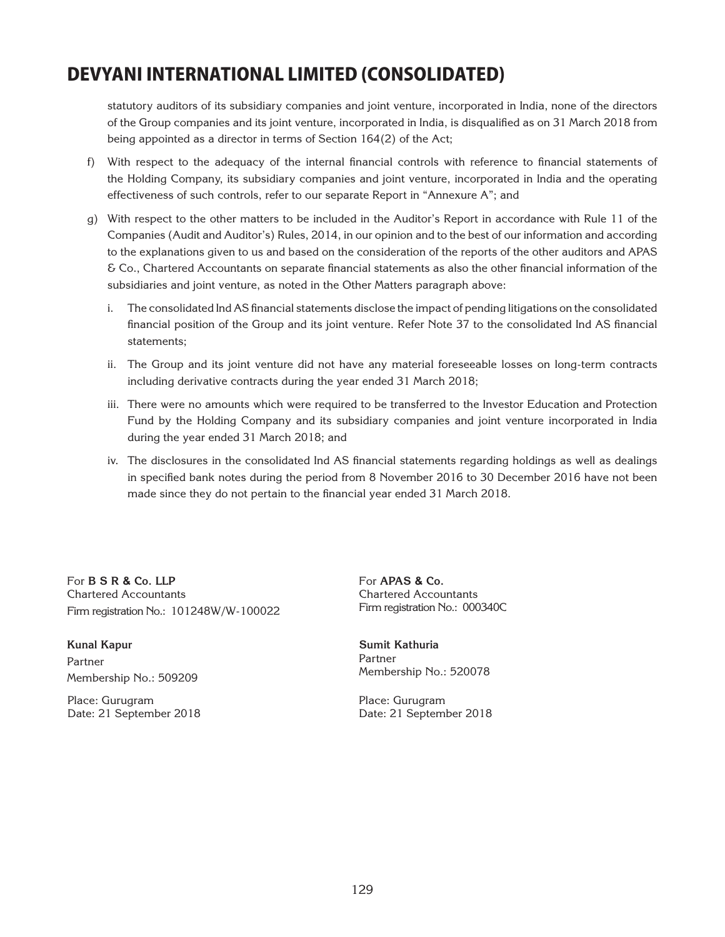statutory auditors of its subsidiary companies and joint venture, incorporated in India, none of the directors of the Group companies and its joint venture, incorporated in India, is disqualified as on 31 March 2018 from being appointed as a director in terms of Section 164(2) of the Act;

- f) With respect to the adequacy of the internal financial controls with reference to financial statements of the Holding Company, its subsidiary companies and joint venture, incorporated in India and the operating effectiveness of such controls, refer to our separate Report in "Annexure A"; and
- g) With respect to the other matters to be included in the Auditor's Report in accordance with Rule 11 of the Companies (Audit and Auditor's) Rules, 2014, in our opinion and to the best of our information and according to the explanations given to us and based on the consideration of the reports of the other auditors and APAS & Co., Chartered Accountants on separate financial statements as also the other financial information of the subsidiaries and joint venture, as noted in the Other Matters paragraph above:
	- i. The consolidated Ind AS financial statements disclose the impact of pending litigations on the consolidated financial position of the Group and its joint venture. Refer Note 37 to the consolidated Ind AS financial statements;
	- ii. The Group and its joint venture did not have any material foreseeable losses on long-term contracts including derivative contracts during the year ended 31 March 2018;
	- iii. There were no amounts which were required to be transferred to the Investor Education and Protection Fund by the Holding Company and its subsidiary companies and joint venture incorporated in India during the year ended 31 March 2018; and
	- iv. The disclosures in the consolidated Ind AS financial statements regarding holdings as well as dealings in specified bank notes during the period from 8 November 2016 to 30 December 2016 have not been made since they do not pertain to the financial year ended 31 March 2018.

For **B S R & Co. LLP** Chartered Accountants Firm registration No.: 101248W/W-100022

**Kunal Kapur** Partner Membership No.: 509209

Place: Gurugram Date: 21 September 2018 For **APAS & Co.** Chartered Accountants Firm registration No.: 000340C

**Sumit Kathuria**  Partner Membership No.: 520078

Place: Gurugram Date: 21 September 2018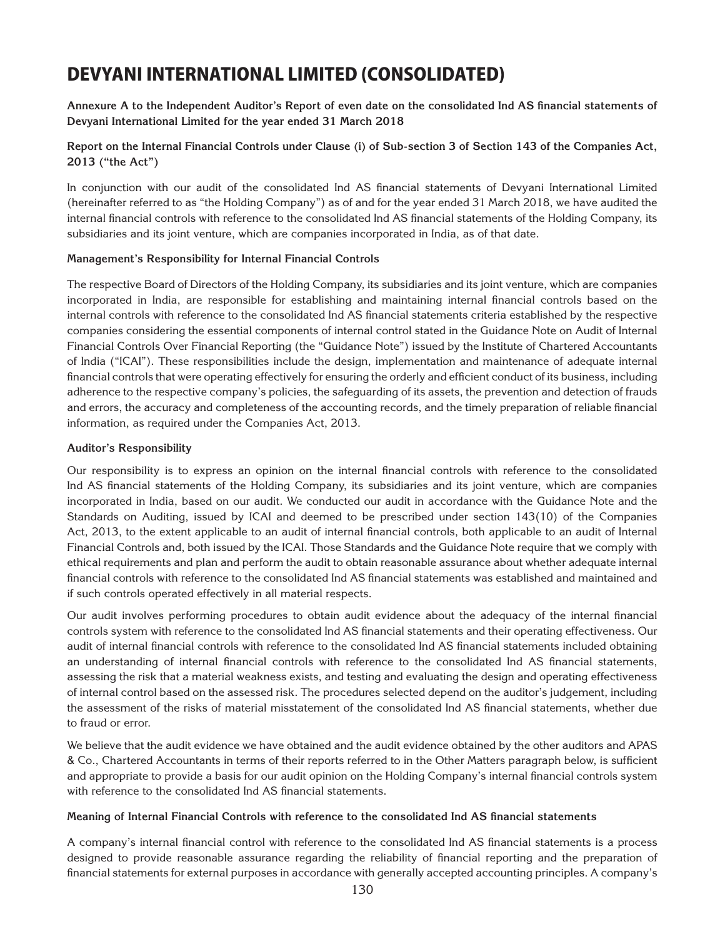**Annexure A to the Independent Auditor's Report of even date on the consolidated Ind AS financial statements of Devyani International Limited for the year ended 31 March 2018**

**Report on the Internal Financial Controls under Clause (i) of Sub-section 3 of Section 143 of the Companies Act, 2013 ("the Act")**

In conjunction with our audit of the consolidated Ind AS financial statements of Devyani International Limited (hereinafter referred to as "the Holding Company") as of and for the year ended 31 March 2018, we have audited the internal financial controls with reference to the consolidated Ind AS financial statements of the Holding Company, its subsidiaries and its joint venture, which are companies incorporated in India, as of that date.

#### **Management's Responsibility for Internal Financial Controls**

The respective Board of Directors of the Holding Company, its subsidiaries and its joint venture, which are companies incorporated in India, are responsible for establishing and maintaining internal financial controls based on the internal controls with reference to the consolidated Ind AS financial statements criteria established by the respective companies considering the essential components of internal control stated in the Guidance Note on Audit of Internal Financial Controls Over Financial Reporting (the "Guidance Note") issued by the Institute of Chartered Accountants of India ("ICAI"). These responsibilities include the design, implementation and maintenance of adequate internal financial controls that were operating effectively for ensuring the orderly and efficient conduct of its business, including adherence to the respective company's policies, the safeguarding of its assets, the prevention and detection of frauds and errors, the accuracy and completeness of the accounting records, and the timely preparation of reliable financial information, as required under the Companies Act, 2013.

#### **Auditor's Responsibility**

Our responsibility is to express an opinion on the internal financial controls with reference to the consolidated Ind AS financial statements of the Holding Company, its subsidiaries and its joint venture, which are companies incorporated in India, based on our audit. We conducted our audit in accordance with the Guidance Note and the Standards on Auditing, issued by ICAI and deemed to be prescribed under section 143(10) of the Companies Act, 2013, to the extent applicable to an audit of internal financial controls, both applicable to an audit of Internal Financial Controls and, both issued by the ICAI. Those Standards and the Guidance Note require that we comply with ethical requirements and plan and perform the audit to obtain reasonable assurance about whether adequate internal financial controls with reference to the consolidated Ind AS financial statements was established and maintained and if such controls operated effectively in all material respects.

Our audit involves performing procedures to obtain audit evidence about the adequacy of the internal financial controls system with reference to the consolidated Ind AS financial statements and their operating effectiveness. Our audit of internal financial controls with reference to the consolidated Ind AS financial statements included obtaining an understanding of internal financial controls with reference to the consolidated Ind AS financial statements, assessing the risk that a material weakness exists, and testing and evaluating the design and operating effectiveness of internal control based on the assessed risk. The procedures selected depend on the auditor's judgement, including the assessment of the risks of material misstatement of the consolidated Ind AS financial statements, whether due to fraud or error.

We believe that the audit evidence we have obtained and the audit evidence obtained by the other auditors and APAS & Co., Chartered Accountants in terms of their reports referred to in the Other Matters paragraph below, is sufficient and appropriate to provide a basis for our audit opinion on the Holding Company's internal financial controls system with reference to the consolidated Ind AS financial statements.

### **Meaning of Internal Financial Controls with reference to the consolidated Ind AS financial statements**

A company's internal financial control with reference to the consolidated Ind AS financial statements is a process designed to provide reasonable assurance regarding the reliability of financial reporting and the preparation of financial statements for external purposes in accordance with generally accepted accounting principles. A company's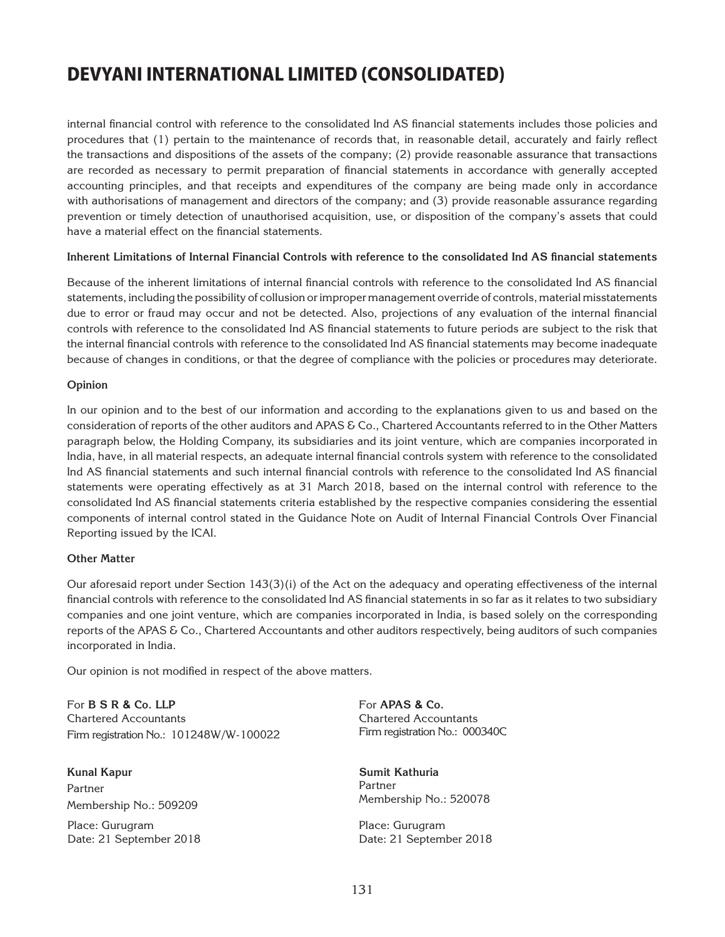internal financial control with reference to the consolidated Ind AS financial statements includes those policies and procedures that (1) pertain to the maintenance of records that, in reasonable detail, accurately and fairly reflect the transactions and dispositions of the assets of the company; (2) provide reasonable assurance that transactions are recorded as necessary to permit preparation of financial statements in accordance with generally accepted accounting principles, and that receipts and expenditures of the company are being made only in accordance with authorisations of management and directors of the company; and (3) provide reasonable assurance regarding prevention or timely detection of unauthorised acquisition, use, or disposition of the company's assets that could have a material effect on the financial statements.

### **Inherent Limitations of Internal Financial Controls with reference to the consolidated Ind AS financial statements**

Because of the inherent limitations of internal financial controls with reference to the consolidated Ind AS financial statements, including the possibility of collusion or improper management override of controls, material misstatements due to error or fraud may occur and not be detected. Also, projections of any evaluation of the internal financial controls with reference to the consolidated Ind AS financial statements to future periods are subject to the risk that the internal financial controls with reference to the consolidated Ind AS financial statements may become inadequate because of changes in conditions, or that the degree of compliance with the policies or procedures may deteriorate.

### **Opinion**

In our opinion and to the best of our information and according to the explanations given to us and based on the consideration of reports of the other auditors and APAS & Co., Chartered Accountants referred to in the Other Matters paragraph below, the Holding Company, its subsidiaries and its joint venture, which are companies incorporated in India, have, in all material respects, an adequate internal financial controls system with reference to the consolidated Ind AS financial statements and such internal financial controls with reference to the consolidated Ind AS financial statements were operating effectively as at 31 March 2018, based on the internal control with reference to the consolidated Ind AS financial statements criteria established by the respective companies considering the essential components of internal control stated in the Guidance Note on Audit of Internal Financial Controls Over Financial Reporting issued by the ICAI.

### **Other Matter**

Our aforesaid report under Section 143(3)(i) of the Act on the adequacy and operating effectiveness of the internal financial controls with reference to the consolidated Ind AS financial statements in so far as it relates to two subsidiary companies and one joint venture, which are companies incorporated in India, is based solely on the corresponding reports of the APAS & Co., Chartered Accountants and other auditors respectively, being auditors of such companies incorporated in India.

Our opinion is not modified in respect of the above matters.

For **B S R & Co. LLP** Chartered Accountants Firm registration No.: 101248W/W-100022

**Kunal Kapur** Partner Membership No.: 509209

Place: Gurugram Date: 21 September 2018 For **APAS & Co.** Chartered Accountants Firm registration No.: 000340C

**Sumit Kathuria**  Partner Membership No.: 520078

Place: Gurugram Date: 21 September 2018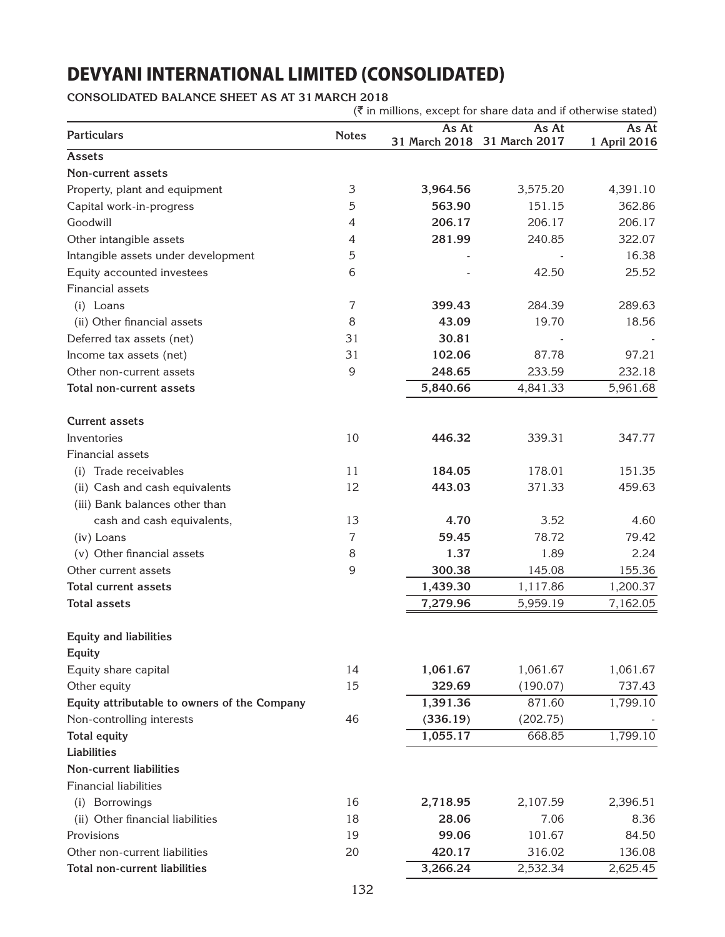**CONSOLIDATED BALANCE SHEET AS AT 31 MARCH 2018**

 $(\bar{\tau}$  in millions, except for share data and if otherwise stated)

| <b>Particulars</b>                           | <b>Notes</b>   | As At    | As At<br>31 March 2018 31 March 2017 | As At<br>1 April 2016 |
|----------------------------------------------|----------------|----------|--------------------------------------|-----------------------|
| Assets                                       |                |          |                                      |                       |
| <b>Non-current assets</b>                    |                |          |                                      |                       |
| Property, plant and equipment                | 3              | 3,964.56 | 3,575.20                             | 4,391.10              |
| Capital work-in-progress                     | 5              | 563.90   | 151.15                               | 362.86                |
| Goodwill                                     | 4              | 206.17   | 206.17                               | 206.17                |
| Other intangible assets                      | 4              | 281.99   | 240.85                               | 322.07                |
| Intangible assets under development          | 5              |          |                                      | 16.38                 |
| Equity accounted investees                   | 6              |          | 42.50                                | 25.52                 |
| Financial assets                             |                |          |                                      |                       |
| (i) Loans                                    | $\overline{7}$ | 399.43   | 284.39                               | 289.63                |
| (ii) Other financial assets                  | 8              | 43.09    | 19.70                                | 18.56                 |
| Deferred tax assets (net)                    | 31             | 30.81    |                                      |                       |
| Income tax assets (net)                      | 31             | 102.06   | 87.78                                | 97.21                 |
| Other non-current assets                     | 9              | 248.65   | 233.59                               | 232.18                |
| Total non-current assets                     |                | 5,840.66 | 4,841.33                             | 5,961.68              |
| <b>Current assets</b>                        |                |          |                                      |                       |
| Inventories                                  | 10             | 446.32   | 339.31                               | 347.77                |
| Financial assets                             |                |          |                                      |                       |
| Trade receivables<br>(i)                     | 11             | 184.05   | 178.01                               | 151.35                |
| (ii) Cash and cash equivalents               | 12             | 443.03   | 371.33                               | 459.63                |
| (iii) Bank balances other than               |                |          |                                      |                       |
| cash and cash equivalents,                   | 13             | 4.70     | 3.52                                 | 4.60                  |
| (iv) Loans                                   | 7              | 59.45    | 78.72                                | 79.42                 |
| (v) Other financial assets                   | 8              | 1.37     | 1.89                                 | 2.24                  |
| Other current assets                         | 9              | 300.38   | 145.08                               | 155.36                |
| <b>Total current assets</b>                  |                | 1,439.30 | 1,117.86                             | 1,200.37              |
| <b>Total assets</b>                          |                | 7,279.96 | 5,959.19                             | 7,162.05              |
|                                              |                |          |                                      |                       |
| <b>Equity and liabilities</b>                |                |          |                                      |                       |
| Equity                                       |                |          |                                      |                       |
| Equity share capital                         | 14             | 1,061.67 | 1,061.67                             | 1,061.67              |
| Other equity                                 | 15             | 329.69   | (190.07)                             | 737.43                |
| Equity attributable to owners of the Company |                | 1,391.36 | 871.60                               | 1,799.10              |
| Non-controlling interests                    | 46             | (336.19) | (202.75)                             |                       |
| <b>Total equity</b>                          |                | 1,055.17 | 668.85                               | 1,799.10              |
| <b>Liabilities</b>                           |                |          |                                      |                       |
| <b>Non-current liabilities</b>               |                |          |                                      |                       |
| <b>Financial liabilities</b>                 |                |          |                                      |                       |
| (i) Borrowings                               | 16             | 2,718.95 | 2,107.59                             | 2,396.51              |
| (ii) Other financial liabilities             | 18             | 28.06    | 7.06                                 | 8.36                  |
| Provisions                                   | 19             | 99.06    | 101.67                               | 84.50                 |
| Other non-current liabilities                | 20             | 420.17   | 316.02                               | 136.08                |
| Total non-current liabilities                |                | 3,266.24 | 2,532.34                             | 2,625.45              |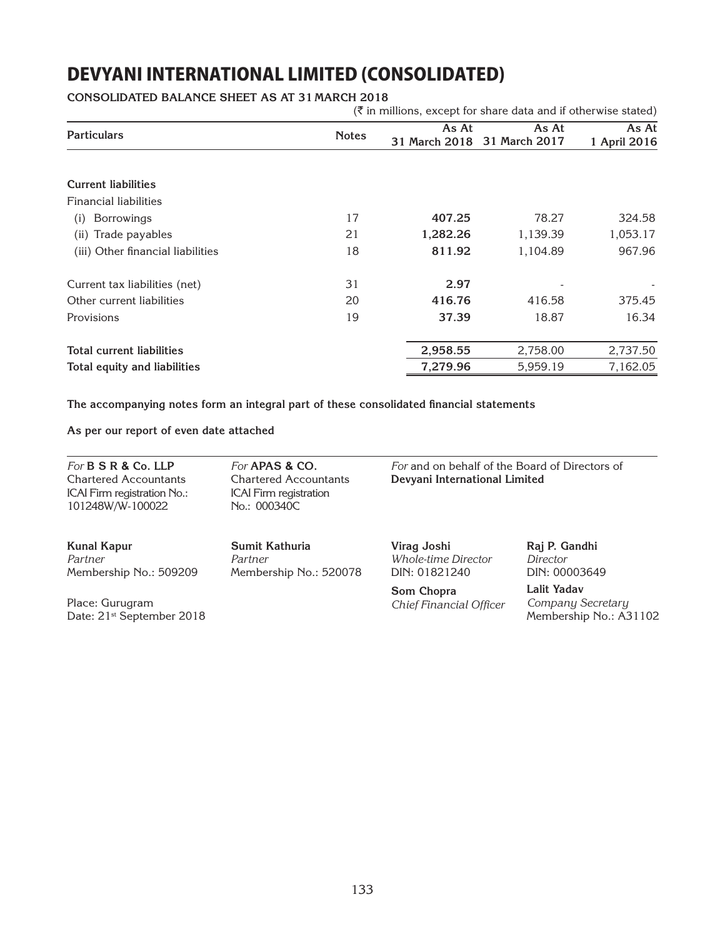**CONSOLIDATED BALANCE SHEET AS AT 31 MARCH 2018**

|                                   |              |          | $(\bar{\bar{\zeta}})$ in millions, except for share data and if otherwise stated) |                       |
|-----------------------------------|--------------|----------|-----------------------------------------------------------------------------------|-----------------------|
| <b>Particulars</b>                | <b>Notes</b> | As At    | As At<br>31 March 2018 31 March 2017                                              | As At<br>1 April 2016 |
|                                   |              |          |                                                                                   |                       |
| <b>Current liabilities</b>        |              |          |                                                                                   |                       |
| <b>Financial liabilities</b>      |              |          |                                                                                   |                       |
| <b>Borrowings</b><br>(i)          | 17           | 407.25   | 78.27                                                                             | 324.58                |
| Trade payables<br>(ii)            | 21           | 1,282.26 | 1,139.39                                                                          | 1,053.17              |
| (iii) Other financial liabilities | 18           | 811.92   | 1,104.89                                                                          | 967.96                |
| Current tax liabilities (net)     | 31           | 2.97     |                                                                                   |                       |
| Other current liabilities         | 20           | 416.76   | 416.58                                                                            | 375.45                |
| Provisions                        | 19           | 37.39    | 18.87                                                                             | 16.34                 |
| <b>Total current liabilities</b>  |              | 2,958.55 | 2,758.00                                                                          | 2,737.50              |
| Total equity and liabilities      |              | 7,279.96 | 5,959.19                                                                          | 7,162.05              |

**The accompanying notes form an integral part of these consolidated financial statements**

**As per our report of even date attached**

*For* **B S R & Co. LLP** Chartered Accountants ICAI Firm registration No.: 101248W/W-100022

*For* **APAS & Co.** Chartered Accountants ICAI Firm registration No.: 000340C

Membership No.: 520078

**Sumit Kathuria**

*Partner*

*For* and on behalf of the Board of Directors of **Devyani International Limited**

**Kunal Kapur** *Partner* Membership No.: 509209

Place: Gurugram Date: 21<sup>st</sup> September 2018 **Virag Joshi** *Whole-time Director* DIN: 01821240

**Som Chopra** *Chief Financial Officer* **Raj P. Gandhi** *Director* DIN: 00003649

**Lalit Yadav** *Company Secretary* Membership No.: A31102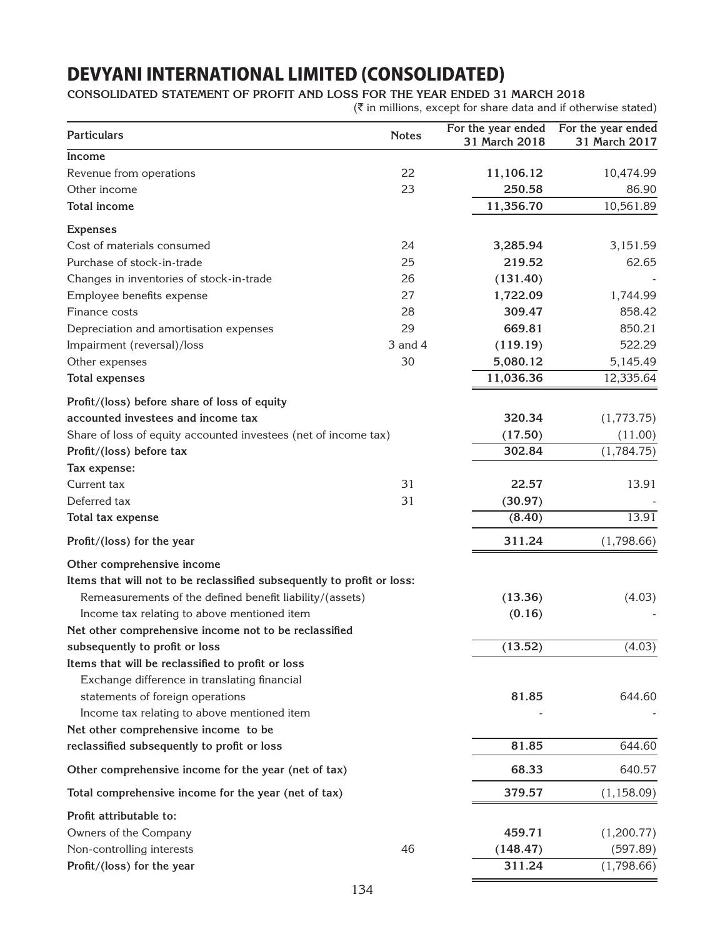### **CONSOLIDATED Statement of Profit and Loss for the year ended 31 March 2018**

 $(\bar{\tau}$  in millions, except for share data and if otherwise stated)

| <b>Particulars</b>                                                     | <b>Notes</b> | For the year ended<br>31 March 2018 | For the year ended<br>31 March 2017 |
|------------------------------------------------------------------------|--------------|-------------------------------------|-------------------------------------|
| Income                                                                 |              |                                     |                                     |
| Revenue from operations                                                | 22           | 11,106.12                           | 10,474.99                           |
| Other income                                                           | 23           | 250.58                              | 86.90                               |
| <b>Total income</b>                                                    |              | 11,356.70                           | 10,561.89                           |
| <b>Expenses</b>                                                        |              |                                     |                                     |
| Cost of materials consumed                                             | 24           | 3,285.94                            | 3,151.59                            |
| Purchase of stock-in-trade                                             | 25           | 219.52                              | 62.65                               |
| Changes in inventories of stock-in-trade                               | 26           | (131.40)                            |                                     |
| Employee benefits expense                                              | 27           | 1,722.09                            | 1,744.99                            |
| Finance costs                                                          | 28           | 309.47                              | 858.42                              |
| Depreciation and amortisation expenses                                 | 29           | 669.81                              | 850.21                              |
| Impairment (reversal)/loss                                             | 3 and 4      | (119.19)                            | 522.29                              |
| Other expenses                                                         | 30           | 5,080.12                            | 5,145.49                            |
| <b>Total expenses</b>                                                  |              | 11,036.36                           | 12,335.64                           |
| Profit/(loss) before share of loss of equity                           |              |                                     |                                     |
| accounted investees and income tax                                     |              | 320.34                              | (1,773.75)                          |
| Share of loss of equity accounted investees (net of income tax)        |              | (17.50)                             | (11.00)                             |
| Profit/(loss) before tax                                               |              | 302.84                              | (1,784.75)                          |
| Tax expense:                                                           |              |                                     |                                     |
| Current tax                                                            | 31           | 22.57                               | 13.91                               |
| Deferred tax                                                           | 31           | (30.97)                             |                                     |
| Total tax expense                                                      |              | (8.40)                              | 13.91                               |
| Profit/(loss) for the year                                             |              | 311.24                              | (1,798.66)                          |
| Other comprehensive income                                             |              |                                     |                                     |
| Items that will not to be reclassified subsequently to profit or loss: |              |                                     |                                     |
| Remeasurements of the defined benefit liability/(assets)               |              | (13.36)                             | (4.03)                              |
| Income tax relating to above mentioned item                            |              | (0.16)                              |                                     |
| Net other comprehensive income not to be reclassified                  |              |                                     |                                     |
| subsequently to profit or loss                                         |              | (13.52)                             | (4.03)                              |
| Items that will be reclassified to profit or loss                      |              |                                     |                                     |
| Exchange difference in translating financial                           |              |                                     |                                     |
| statements of foreign operations                                       |              | 81.85                               | 644.60                              |
| Income tax relating to above mentioned item                            |              |                                     |                                     |
| Net other comprehensive income to be                                   |              |                                     |                                     |
| reclassified subsequently to profit or loss                            |              | 81.85                               | 644.60                              |
| Other comprehensive income for the year (net of tax)                   |              | 68.33                               | 640.57                              |
| Total comprehensive income for the year (net of tax)                   |              | 379.57                              | (1, 158.09)                         |
| Profit attributable to:                                                |              |                                     |                                     |
| Owners of the Company                                                  |              | 459.71                              | (1,200.77)                          |
| Non-controlling interests                                              | 46           | (148.47)                            | (597.89)                            |
| Profit/(loss) for the year                                             |              | 311.24                              | (1,798.66)                          |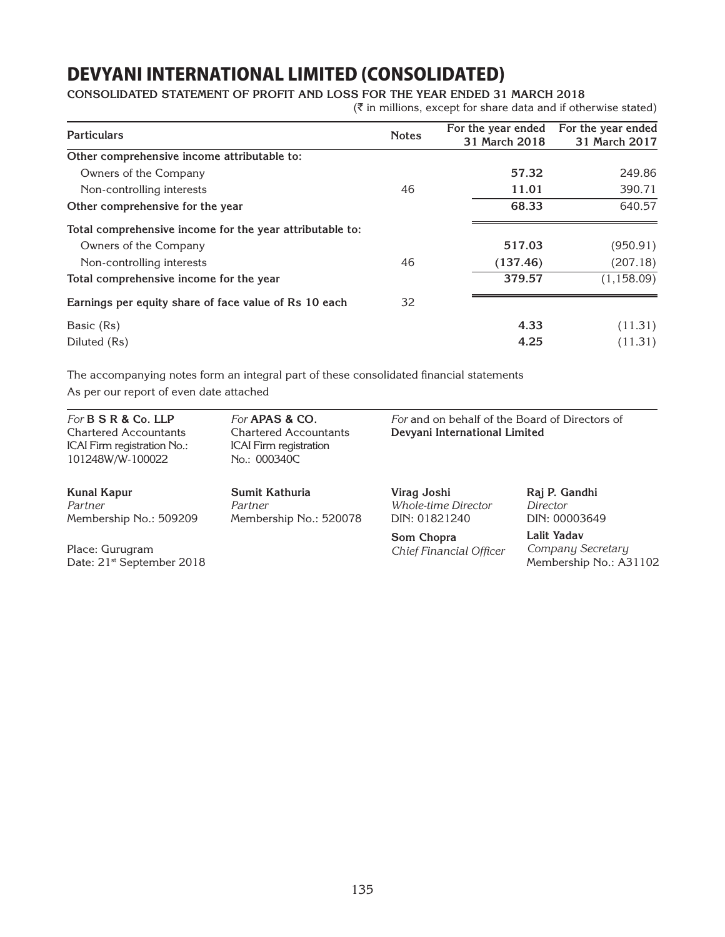### **CONSOLIDATED Statement of Profit and Loss for the year ended 31 March 2018**

 $(\bar{\tau})$  in millions, except for share data and if otherwise stated)

| <b>Particulars</b>                                       | <b>Notes</b> | For the year ended<br>31 March 2018 | For the year ended<br>31 March 2017 |
|----------------------------------------------------------|--------------|-------------------------------------|-------------------------------------|
| Other comprehensive income attributable to:              |              |                                     |                                     |
| Owners of the Company                                    |              | 57.32                               | 249.86                              |
| Non-controlling interests                                | 46           | 11.01                               | 390.71                              |
| Other comprehensive for the year                         |              | 68.33                               | 640.57                              |
| Total comprehensive income for the year attributable to: |              |                                     |                                     |
| Owners of the Company                                    |              | 517.03                              | (950.91)                            |
| Non-controlling interests                                | 46           | (137.46)                            | (207.18)                            |
| Total comprehensive income for the year                  |              | 379.57                              | (1, 158.09)                         |
| Earnings per equity share of face value of Rs 10 each    | 32           |                                     |                                     |
| Basic (Rs)                                               |              | 4.33                                | (11.31)                             |
| Diluted (Rs)                                             |              | 4.25                                | (11.31)                             |

The accompanying notes form an integral part of these consolidated financial statements As per our report of even date attached

*For* **B S R & Co. LLP** Chartered Accountants ICAI Firm registration No.: 101248W/W-100022

*For* **APAS & Co.** Chartered Accountants ICAI Firm registration No.: 000340C

Membership No.: 520078

**Sumit Kathuria**

*Partner*

*For* and on behalf of the Board of Directors of **Devyani International Limited**

**Kunal Kapur** *Partner* Membership No.: 509209

Place: Gurugram Date: 21<sup>st</sup> September 2018 **Virag Joshi** *Whole-time Director* DIN: 01821240

**Som Chopra** *Chief Financial Officer* **Raj P. Gandhi** *Director* DIN: 00003649

**Lalit Yadav** *Company Secretary* Membership No.: A31102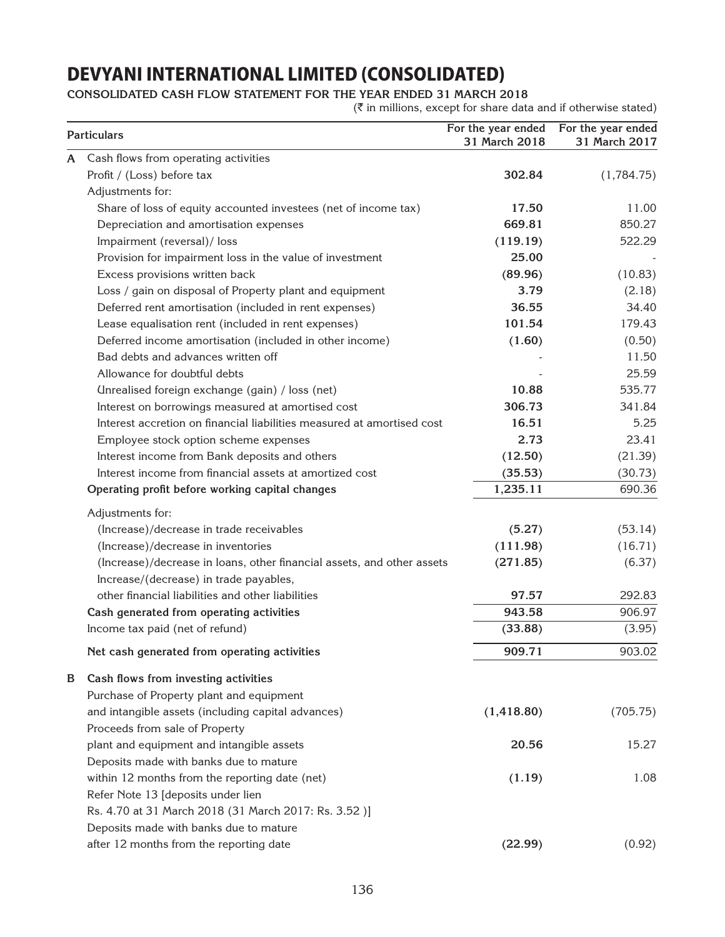**CONSOLIDATED Cash Flow Statement for the year ended 31 March 2018**

 $(\bar{\tau}$  in millions, except for share data and if otherwise stated)

|   | <b>Particulars</b>                                                     | For the year ended<br>31 March 2018 | For the year ended<br>31 March 2017 |
|---|------------------------------------------------------------------------|-------------------------------------|-------------------------------------|
| A | Cash flows from operating activities                                   |                                     |                                     |
|   | Profit / (Loss) before tax                                             | 302.84                              | (1,784.75)                          |
|   | Adjustments for:                                                       |                                     |                                     |
|   | Share of loss of equity accounted investees (net of income tax)        | 17.50                               | 11.00                               |
|   | Depreciation and amortisation expenses                                 | 669.81                              | 850.27                              |
|   | Impairment (reversal)/ loss                                            | (119.19)                            | 522.29                              |
|   | Provision for impairment loss in the value of investment               | 25.00                               |                                     |
|   | Excess provisions written back                                         | (89.96)                             | (10.83)                             |
|   | Loss / gain on disposal of Property plant and equipment                | 3.79                                | (2.18)                              |
|   | Deferred rent amortisation (included in rent expenses)                 | 36.55                               | 34.40                               |
|   | Lease equalisation rent (included in rent expenses)                    | 101.54                              | 179.43                              |
|   | Deferred income amortisation (included in other income)                | (1.60)                              | (0.50)                              |
|   | Bad debts and advances written off                                     |                                     | 11.50                               |
|   | Allowance for doubtful debts                                           |                                     | 25.59                               |
|   | Unrealised foreign exchange (gain) / loss (net)                        | 10.88                               | 535.77                              |
|   | Interest on borrowings measured at amortised cost                      | 306.73                              | 341.84                              |
|   | Interest accretion on financial liabilities measured at amortised cost | 16.51                               | 5.25                                |
|   | Employee stock option scheme expenses                                  | 2.73                                | 23.41                               |
|   | Interest income from Bank deposits and others                          | (12.50)                             | (21.39)                             |
|   | Interest income from financial assets at amortized cost                | (35.53)                             | (30.73)                             |
|   | Operating profit before working capital changes                        | 1,235.11                            | 690.36                              |
|   | Adjustments for:                                                       |                                     |                                     |
|   | (Increase)/decrease in trade receivables                               | (5.27)                              | (53.14)                             |
|   | (Increase)/decrease in inventories                                     | (111.98)                            | (16.71)                             |
|   | (Increase)/decrease in loans, other financial assets, and other assets | (271.85)                            | (6.37)                              |
|   | Increase/(decrease) in trade payables,                                 |                                     |                                     |
|   | other financial liabilities and other liabilities                      | 97.57                               | 292.83                              |
|   | Cash generated from operating activities                               | 943.58                              | 906.97                              |
|   | Income tax paid (net of refund)                                        | (33.88)                             | (3.95)                              |
|   | Net cash generated from operating activities                           | 909.71                              | 903.02                              |
| B | Cash flows from investing activities                                   |                                     |                                     |
|   | Purchase of Property plant and equipment                               |                                     |                                     |
|   | and intangible assets (including capital advances)                     | (1,418.80)                          | (705.75)                            |
|   | Proceeds from sale of Property                                         |                                     |                                     |
|   | plant and equipment and intangible assets                              | 20.56                               | 15.27                               |
|   | Deposits made with banks due to mature                                 |                                     |                                     |
|   | within 12 months from the reporting date (net)                         | (1.19)                              | 1.08                                |
|   | Refer Note 13 [deposits under lien                                     |                                     |                                     |
|   | Rs. 4.70 at 31 March 2018 (31 March 2017: Rs. 3.52 )]                  |                                     |                                     |
|   | Deposits made with banks due to mature                                 |                                     |                                     |
|   | after 12 months from the reporting date                                | (22.99)                             |                                     |
|   |                                                                        |                                     | (0.92)                              |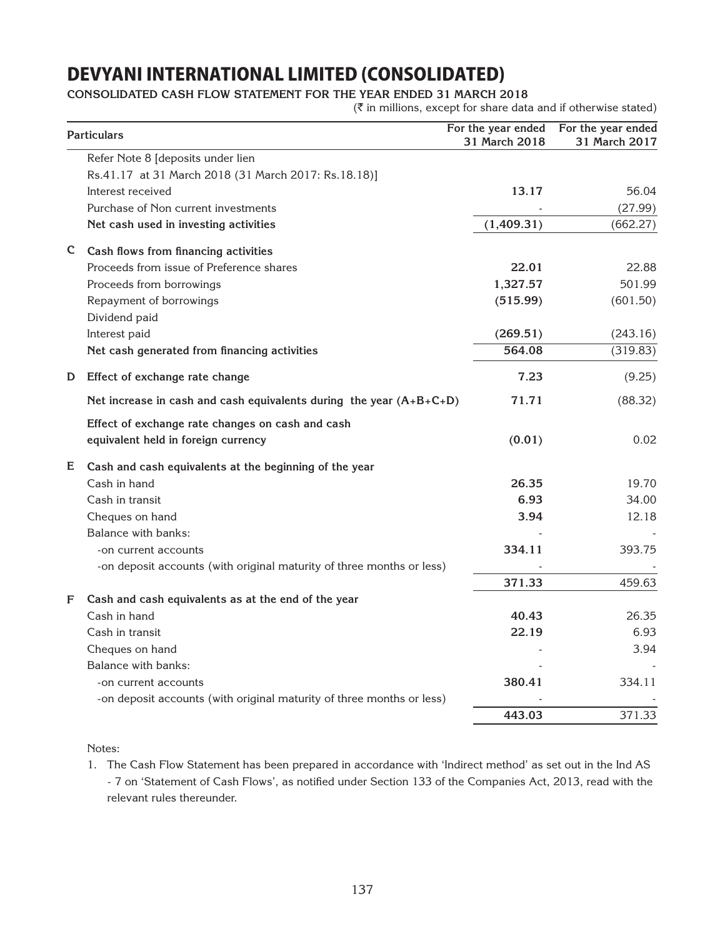### **CONSOLIDATED Cash Flow Statement for the year ended 31 March 2018**

 $(\bar{\bar{\zeta}})$  in millions, except for share data and if otherwise stated)

|    | <b>Particulars</b>                                                    | For the year ended<br>31 March 2018 | For the year ended<br>31 March 2017 |
|----|-----------------------------------------------------------------------|-------------------------------------|-------------------------------------|
|    | Refer Note 8 [deposits under lien                                     |                                     |                                     |
|    | Rs.41.17 at 31 March 2018 (31 March 2017: Rs.18.18)]                  |                                     |                                     |
|    | Interest received                                                     | 13.17                               | 56.04                               |
|    | Purchase of Non current investments                                   |                                     | (27.99)                             |
|    | Net cash used in investing activities                                 | (1,409.31)                          | (662.27)                            |
| C. | Cash flows from financing activities                                  |                                     |                                     |
|    | Proceeds from issue of Preference shares                              | 22.01                               | 22.88                               |
|    | Proceeds from borrowings                                              | 1,327.57                            | 501.99                              |
|    | Repayment of borrowings                                               | (515.99)                            | (601.50)                            |
|    | Dividend paid                                                         |                                     |                                     |
|    | Interest paid                                                         | (269.51)                            | (243.16)                            |
|    | Net cash generated from financing activities                          | 564.08                              | (319.83)                            |
| D  | Effect of exchange rate change                                        | 7.23                                | (9.25)                              |
|    | Net increase in cash and cash equivalents during the year $(A+B+C+D)$ | 71.71                               | (88.32)                             |
|    | Effect of exchange rate changes on cash and cash                      |                                     |                                     |
|    | equivalent held in foreign currency                                   | (0.01)                              | 0.02                                |
| E  | Cash and cash equivalents at the beginning of the year                |                                     |                                     |
|    | Cash in hand                                                          | 26.35                               | 19.70                               |
|    | Cash in transit                                                       | 6.93                                | 34.00                               |
|    | Cheques on hand                                                       | 3.94                                | 12.18                               |
|    | Balance with banks:                                                   |                                     |                                     |
|    | -on current accounts                                                  | 334.11                              | 393.75                              |
|    | -on deposit accounts (with original maturity of three months or less) |                                     |                                     |
|    |                                                                       | 371.33                              | 459.63                              |
| F  | Cash and cash equivalents as at the end of the year                   |                                     |                                     |
|    | Cash in hand                                                          | 40.43                               | 26.35                               |
|    | Cash in transit                                                       | 22.19                               | 6.93                                |
|    | Cheques on hand                                                       |                                     | 3.94                                |
|    | Balance with banks:                                                   |                                     |                                     |
|    | -on current accounts                                                  | 380.41                              | 334.11                              |
|    | -on deposit accounts (with original maturity of three months or less) |                                     |                                     |
|    |                                                                       | 443.03                              | 371.33                              |

Notes:

1. The Cash Flow Statement has been prepared in accordance with 'Indirect method' as set out in the Ind AS - 7 on 'Statement of Cash Flows', as notified under Section 133 of the Companies Act, 2013, read with the relevant rules thereunder.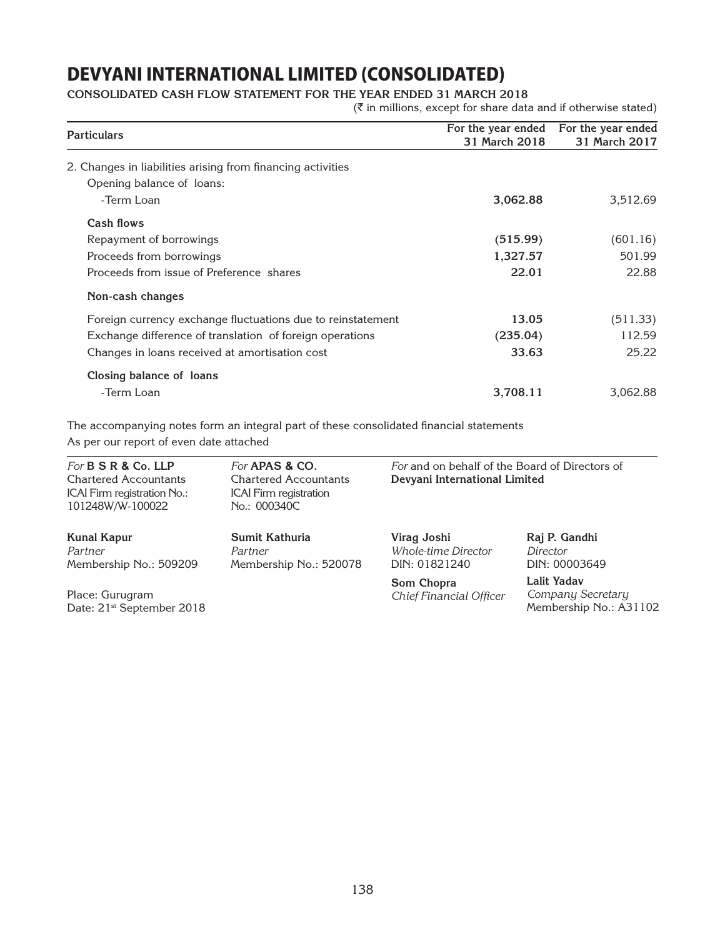### **CONSOLIDATED Cash Flow Statement for the year ended 31 March 2018**

 $(\bar{\tau}$  in millions, except for share data and if otherwise stated)

| <b>Particulars</b>                                          | For the year ended<br>31 March 2018 | For the year ended<br>31 March 2017 |
|-------------------------------------------------------------|-------------------------------------|-------------------------------------|
| 2. Changes in liabilities arising from financing activities |                                     |                                     |
| Opening balance of loans:                                   |                                     |                                     |
| -Term Loan                                                  | 3,062.88                            | 3,512.69                            |
| Cash flows                                                  |                                     |                                     |
| Repayment of borrowings                                     | (515.99)                            | (601.16)                            |
| Proceeds from borrowings                                    | 1,327.57                            | 501.99                              |
| Proceeds from issue of Preference shares                    | 22.01                               | 22.88                               |
| Non-cash changes                                            |                                     |                                     |
| Foreign currency exchange fluctuations due to reinstatement | 13.05                               | (511.33)                            |
| Exchange difference of translation of foreign operations    | (235.04)                            | 112.59                              |
| Changes in loans received at amortisation cost              | 33.63                               | 25.22                               |
| Closing balance of loans                                    |                                     |                                     |
| -Term Loan                                                  | 3,708.11                            | 3,062.88                            |

The accompanying notes form an integral part of these consolidated financial statements As per our report of even date attached

| For $B S R$ & Co. LLP<br><b>Chartered Accountants</b><br>ICAI Firm registration No.:<br>101248W/W-100022 | For <b>APAS &amp; CO.</b><br><b>Chartered Accountants</b><br><b>ICAI</b> Firm registration<br>No.: 000340C | For and on behalf of the Board of Directors of<br>Devyani International Limited |                                                            |
|----------------------------------------------------------------------------------------------------------|------------------------------------------------------------------------------------------------------------|---------------------------------------------------------------------------------|------------------------------------------------------------|
| <b>Kunal Kapur</b><br>Partner<br>Membership No.: 509209                                                  | Sumit Kathuria<br>Partner<br>Membership No.: 520078                                                        | Virag Joshi<br><i>Whole-time Director</i><br>DIN: 01821240                      | Raj P. Gandhi<br>Director<br>DIN: 00003649                 |
| Place: Gurugram<br>Date: 21 <sup>st</sup> September 2018                                                 |                                                                                                            | Som Chopra<br>Chief Financial Officer                                           | Lalit Yadav<br>Company Secretary<br>Membership No.: A31102 |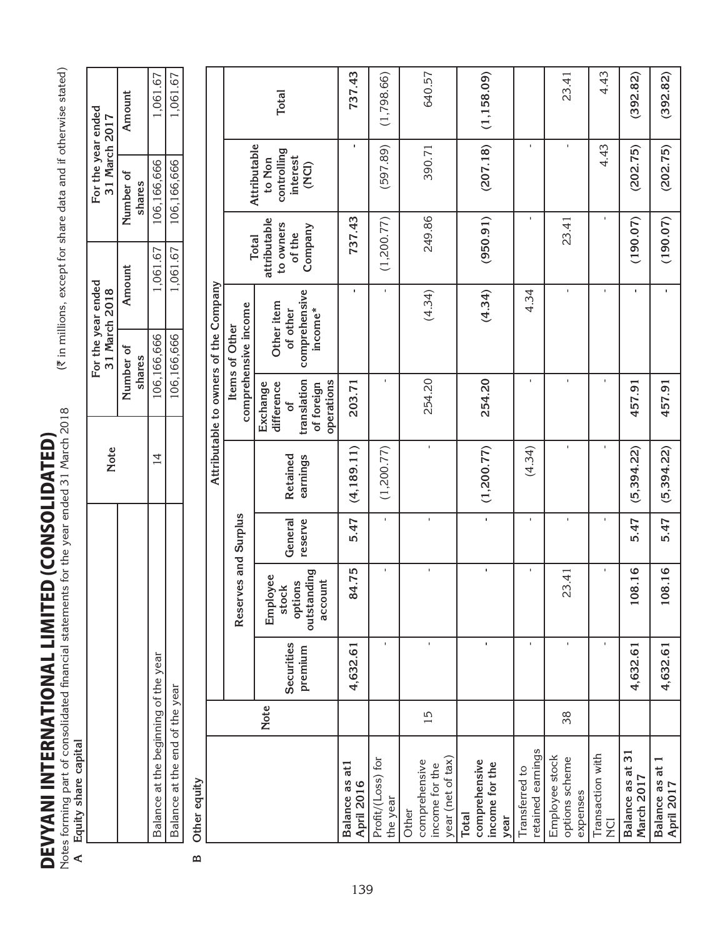**DEV** INTURN FORMATION CONSIDERED TO THE LATE TO THE VEHICAL EDITOR<br>Notes forming part of consolidated financial statements for the year ended 31 March 2018<br>A Equity share capital **DEVYANI INTERNATIONAL LIMITED (CONSOLIDATED)** DEVYANI INTERNATIONAL LIMITED (consolidated)

Notes forming part of consolidated financial statements for the year ended 31 March 2018 ( $\vec{\tau}$  in millions, except for share data and if otherwise stated)

**A Equity share capital**

Other equity **B Other equity**  $\mathbf{D}$ 

| Equity share capital                                          |             |                       |                                                        |                    |                      |                                                                        |                                                    |                                                |                                            |              |
|---------------------------------------------------------------|-------------|-----------------------|--------------------------------------------------------|--------------------|----------------------|------------------------------------------------------------------------|----------------------------------------------------|------------------------------------------------|--------------------------------------------|--------------|
|                                                               |             |                       |                                                        |                    | <b>Note</b>          |                                                                        | For the year ended<br>31 March 2018                |                                                | For the year ended<br>31 March 2017        |              |
|                                                               |             |                       |                                                        |                    |                      |                                                                        | Amount<br>Number of<br>shares                      |                                                | Number of<br>shares                        | Amount       |
| Balance at the beginning of the year                          |             |                       |                                                        |                    | 14                   |                                                                        | 106,166,666                                        | 1,061.67                                       | 106,166,666                                | 1,061.67     |
| Balance at the end of the year                                |             |                       |                                                        |                    |                      |                                                                        | 106,166,666                                        | 1,061.67                                       | 106,166,666                                | 1,061.67     |
| Other equity                                                  |             |                       |                                                        |                    |                      |                                                                        |                                                    |                                                |                                            |              |
|                                                               |             |                       |                                                        |                    |                      |                                                                        | Attributable to owners of the Company              |                                                |                                            |              |
|                                                               |             |                       | <b>Reserv</b>                                          | es and Surplus     |                      |                                                                        | comprehensive income<br>Items of Other             | <b>Total</b>                                   | Attributable                               |              |
|                                                               | <b>Note</b> | Securities<br>premium | outstanding<br>Employee<br>account<br>options<br>stock | General<br>reserve | Retained<br>earnings | translation<br>operations<br>difference<br>Exchange<br>of foreign<br>ð | comprehensive<br>Other item<br>income*<br>of other | attributable<br>to owners<br>Company<br>of the | controlling<br>interest<br>to Non<br>(NCI) | <b>Total</b> |
| at <sup>1</sup><br>Balance as<br><b>April 2016</b>            |             | 4,632.61              | 84.75                                                  | 5.47               | (4, 189.11)          | 203.71                                                                 | ٠                                                  | 737.43                                         | ×                                          | 737.43       |
| Profit/(Loss) for<br>the year                                 |             | $\mathbf{I}$          | $\mathbf I$                                            | $\mathbf{I}$       | (1, 200.77)          | $\mathbf{I}$                                                           | $\mathbf{I}$                                       | (1,200.77)                                     | (597.89)                                   | (1,798.66)   |
| year (net of tax)<br>comprehensive<br>income for the<br>Other | 15          | J.                    | $\mathbf I$                                            | $\mathbf{I}$       | $\mathbf{I}$         | 254.20                                                                 | (4.34)                                             | 249.86                                         | 390.71                                     | 640.57       |
| comprehensive<br>income for the<br><b>Total</b><br>year       |             | f,                    | $\blacksquare$                                         | $\mathbf{I}$       | (1,200.77)           | 254.20                                                                 | (4.34)                                             | (950.91)                                       | (207.18)                                   | (1, 158.09)  |
| retained earnings<br>Transferred to                           |             | $\mathbf{I}$          | $\mathbf{I}$                                           | $\mathbf{I}$       | (4.34)               | $\mathbf{I}$                                                           | 4.34                                               | ×.                                             | $\mathbf{I}$                               |              |
| Employee stock<br>options scheme<br>expenses                  | 38          |                       | <b>13.41</b><br>$\sim$                                 | $\mathbf{I}$       | $\mathbf{I}$         | $\mathbf{I}$                                                           | $\mathbf{I}$                                       | 23.41                                          |                                            | 23.41        |
| Transaction with<br>$\overline{C}$                            |             | $\mathbf{I}$          | $\mathbf{I}$                                           | $\mathbf{I}$       | $\mathbf{I}$         |                                                                        | $\mathbf{I}$                                       |                                                | 4.43                                       | 4.43         |
| Balance as at 31<br>March 2017                                |             | 4,632.61              | 8.16<br>$\overline{0}$                                 | 5.47               | (5,394.22)           | 457.91                                                                 | $\blacksquare$                                     | (190.07)                                       | (202.75)                                   | (392.82)     |
| Balance as at<br>April 2017                                   |             | 4,632.61              | 108.16                                                 | 5.47               | (5,394.22)           | 457.91                                                                 | ×,                                                 | (190.07)                                       | (202.75)                                   | (392.82)     |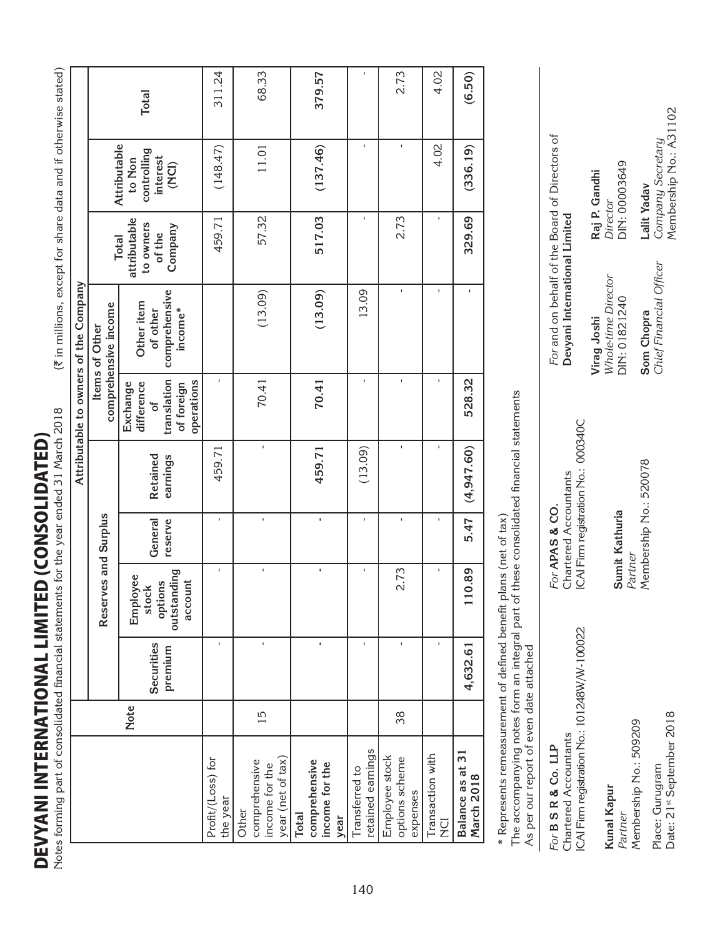Notes forming part of consolidated financial statements for the year ended 31 March 2018 Notes forming part of consolidated financial statements for the year ended 31 March 2018 **DEVYANI INTERNATIONAL LIMITED (CONSOLIDATED)** DEVYANI INTERNATIONAL LIMITED (consolidated)

(₹ in millions, except for share data and if otherwise stated)  $(\bar{x}$  in millions, except for share data and if otherwise stated)

|                                                               |      |                       |                                                        |                    |                      |                                                                               | Attributable to owners of the Company              |                                                                |                                                            |              |
|---------------------------------------------------------------|------|-----------------------|--------------------------------------------------------|--------------------|----------------------|-------------------------------------------------------------------------------|----------------------------------------------------|----------------------------------------------------------------|------------------------------------------------------------|--------------|
|                                                               |      |                       | Reserves and Surplus                                   |                    |                      |                                                                               | comprehensive income<br>Items of Other             |                                                                |                                                            |              |
|                                                               | Note | Securities<br>premium | outstanding<br>Employee<br>account<br>options<br>stock | General<br>reserve | Retained<br>earnings | translation<br>operations<br>difference<br>Exchange<br>of foreign<br>$\delta$ | comprehensive<br>Other item<br>income*<br>of other | attributable<br>to owners<br>Company<br>of the<br><b>Total</b> | Attributable<br>controlling<br>interest<br>to Non<br>(NCI) | <b>Total</b> |
| Profit/(Loss) for<br>the year                                 |      |                       | $\mathbf{I}$                                           | $\mathbf{I}$       | 459.71               | f,                                                                            |                                                    | 459.71                                                         | (148.47)                                                   | 311.24       |
| year (net of tax)<br>comprehensive<br>income for the<br>Other | 15   | ı                     | ı                                                      | f,                 |                      | 70.41                                                                         | (13.09)                                            | 57.32                                                          | 11.01                                                      | 68.33        |
| comprehensive<br>income for the<br><b>Total</b><br>year       |      | f,                    | f,                                                     | f,                 | 459.71               | 70.41                                                                         | (13.09)                                            | 517.03                                                         | (137.46)                                                   | 379.57       |
| retained earnings<br>Transferred to                           |      |                       | ×.                                                     | f.                 | (13.09)              | I,                                                                            | 13.09                                              | $\mathbf{I}$                                                   | I.                                                         |              |
| Employee stock<br>options scheme<br>expenses                  | 38   | ï                     | 2.73                                                   | f,                 | ı                    | $\mathbf{I}$                                                                  | ı                                                  | 2.73                                                           | ı                                                          | 2.73         |
| Transaction with<br><b>DK</b>                                 |      | f,                    | $\mathbf{I}$                                           | ı                  | $\mathbf{I}$         | $\mathbf{I}$                                                                  | J.                                                 | f,                                                             | 4.02                                                       | 4.02         |
| Balance as at 31<br>March 2018                                |      | 4,632.61              | 10.89                                                  | 5.47               | (4,947.60)           | 528.32                                                                        | ٠                                                  | 329.69                                                         | (336.19)                                                   | (6.50)       |
|                                                               |      |                       |                                                        | $\ddot{\cdot}$     |                      |                                                                               |                                                    |                                                                |                                                            |              |

\* Represents remeasurement of defined benefit plans (net of tax) \* Represents remeasurement of defined benefit plans (net of tax)

The accompanying notes form an integral part of these consolidated financial statements The accompanying notes form an integral part of these consolidated financial statements

| As per our report of even date attached                                                      |                                                                                |                                                     |                                                        |
|----------------------------------------------------------------------------------------------|--------------------------------------------------------------------------------|-----------------------------------------------------|--------------------------------------------------------|
| ICAI Firm registration No.: 101248W/W-100022<br>Chartered Accountants<br>For B S R & Co. LLP | ICAI Firm registration No.: 000340C<br>Chartered Accountants<br>For APAS & CO. | Devyani International Limited                       | For and on behalf of the Board of Directors of         |
| Kunal Kapur<br>Partner                                                                       | Sumit Kathuria<br>Partner                                                      | Whole-time Director<br>DIN: 01821240<br>Virag Joshi | DIN: 00003649<br>Raj P. Gandhi<br>Director             |
| Date: 21 <sup>st</sup> September 2018<br>Membership No.: 509209<br>Place: Gurugram           | Membership No.: 520078                                                         | Chief Financial Officer<br>Som Chopra               | Company Secretary<br>Membership No.: A3<br>Lalit Yadav |

*Company Secretary* Membership No.: A31102

Company Secretary<br>Membership No.: A31102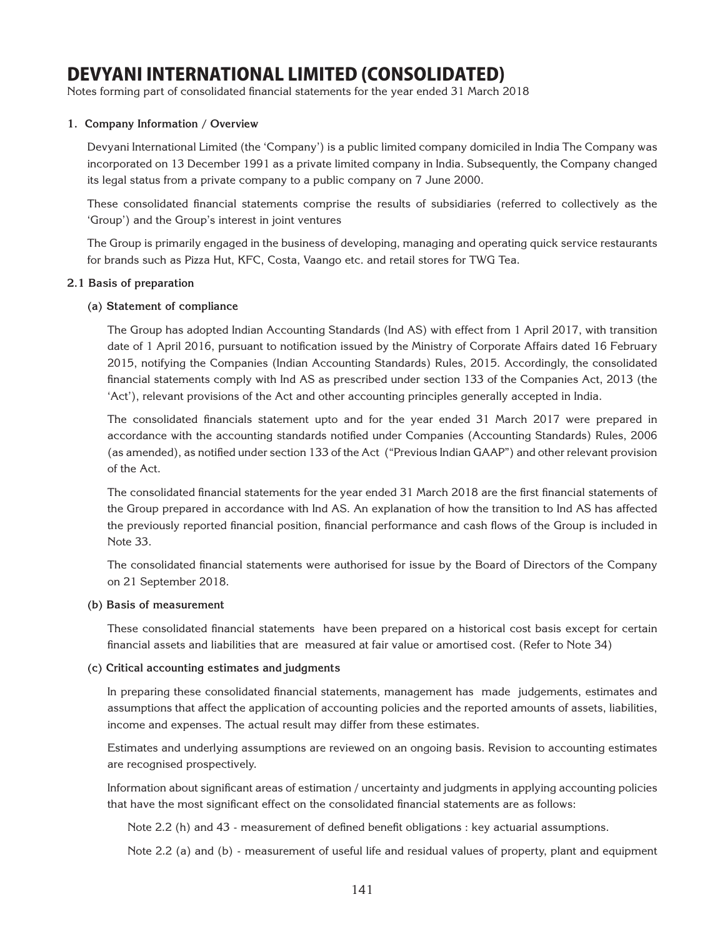Notes forming part of consolidated financial statements for the year ended 31 March 2018

### **1. Company Information / Overview**

Devyani International Limited (the 'Company') is a public limited company domiciled in India The Company was incorporated on 13 December 1991 as a private limited company in India. Subsequently, the Company changed its legal status from a private company to a public company on 7 June 2000.

These consolidated financial statements comprise the results of subsidiaries (referred to collectively as the 'Group') and the Group's interest in joint ventures

The Group is primarily engaged in the business of developing, managing and operating quick service restaurants for brands such as Pizza Hut, KFC, Costa, Vaango etc. and retail stores for TWG Tea.

### **2.1 Basis of preparation**

### **(a) Statement of compliance**

The Group has adopted Indian Accounting Standards (Ind AS) with effect from 1 April 2017, with transition date of 1 April 2016, pursuant to notification issued by the Ministry of Corporate Affairs dated 16 February 2015, notifying the Companies (Indian Accounting Standards) Rules, 2015. Accordingly, the consolidated financial statements comply with Ind AS as prescribed under section 133 of the Companies Act, 2013 (the 'Act'), relevant provisions of the Act and other accounting principles generally accepted in India.

The consolidated financials statement upto and for the year ended 31 March 2017 were prepared in accordance with the accounting standards notified under Companies (Accounting Standards) Rules, 2006 (as amended), as notified under section 133 of the Act ("Previous Indian GAAP") and other relevant provision of the Act.

The consolidated financial statements for the year ended 31 March 2018 are the first financial statements of the Group prepared in accordance with Ind AS. An explanation of how the transition to Ind AS has affected the previously reported financial position, financial performance and cash flows of the Group is included in Note 33.

The consolidated financial statements were authorised for issue by the Board of Directors of the Company on 21 September 2018.

### **(b) Basis of measurement**

These consolidated financial statements have been prepared on a historical cost basis except for certain financial assets and liabilities that are measured at fair value or amortised cost. (Refer to Note 34)

### **(c) Critical accounting estimates and judgments**

In preparing these consolidated financial statements, management has made judgements, estimates and assumptions that affect the application of accounting policies and the reported amounts of assets, liabilities, income and expenses. The actual result may differ from these estimates.

Estimates and underlying assumptions are reviewed on an ongoing basis. Revision to accounting estimates are recognised prospectively.

Information about significant areas of estimation / uncertainty and judgments in applying accounting policies that have the most significant effect on the consolidated financial statements are as follows:

Note 2.2 (h) and 43 - measurement of defined benefit obligations : key actuarial assumptions.

Note 2.2 (a) and (b) - measurement of useful life and residual values of property, plant and equipment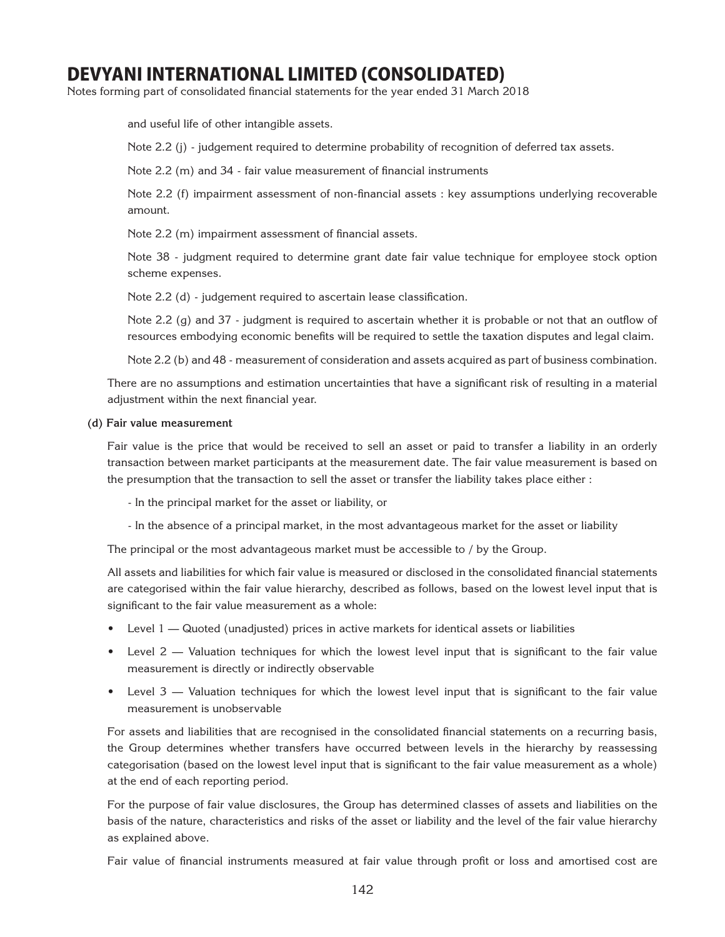Notes forming part of consolidated financial statements for the year ended 31 March 2018

and useful life of other intangible assets.

Note 2.2 (j) - judgement required to determine probability of recognition of deferred tax assets.

Note 2.2 (m) and 34 - fair value measurement of financial instruments

Note 2.2 (f) impairment assessment of non-financial assets : key assumptions underlying recoverable amount.

Note 2.2 (m) impairment assessment of financial assets.

Note 38 - judgment required to determine grant date fair value technique for employee stock option scheme expenses.

Note 2.2 (d) - judgement required to ascertain lease classification.

Note 2.2 (g) and 37 - judgment is required to ascertain whether it is probable or not that an outflow of resources embodying economic benefits will be required to settle the taxation disputes and legal claim.

Note 2.2 (b) and 48 - measurement of consideration and assets acquired as part of business combination.

There are no assumptions and estimation uncertainties that have a significant risk of resulting in a material adjustment within the next financial year.

#### **(d) Fair value measurement**

Fair value is the price that would be received to sell an asset or paid to transfer a liability in an orderly transaction between market participants at the measurement date. The fair value measurement is based on the presumption that the transaction to sell the asset or transfer the liability takes place either :

- In the principal market for the asset or liability, or

- In the absence of a principal market, in the most advantageous market for the asset or liability

The principal or the most advantageous market must be accessible to / by the Group.

All assets and liabilities for which fair value is measured or disclosed in the consolidated financial statements are categorised within the fair value hierarchy, described as follows, based on the lowest level input that is significant to the fair value measurement as a whole:

- Level 1 Quoted (unadjusted) prices in active markets for identical assets or liabilities
- Level 2 Valuation techniques for which the lowest level input that is significant to the fair value measurement is directly or indirectly observable
- Level 3 Valuation techniques for which the lowest level input that is significant to the fair value measurement is unobservable

For assets and liabilities that are recognised in the consolidated financial statements on a recurring basis, the Group determines whether transfers have occurred between levels in the hierarchy by reassessing categorisation (based on the lowest level input that is significant to the fair value measurement as a whole) at the end of each reporting period.

For the purpose of fair value disclosures, the Group has determined classes of assets and liabilities on the basis of the nature, characteristics and risks of the asset or liability and the level of the fair value hierarchy as explained above.

Fair value of financial instruments measured at fair value through profit or loss and amortised cost are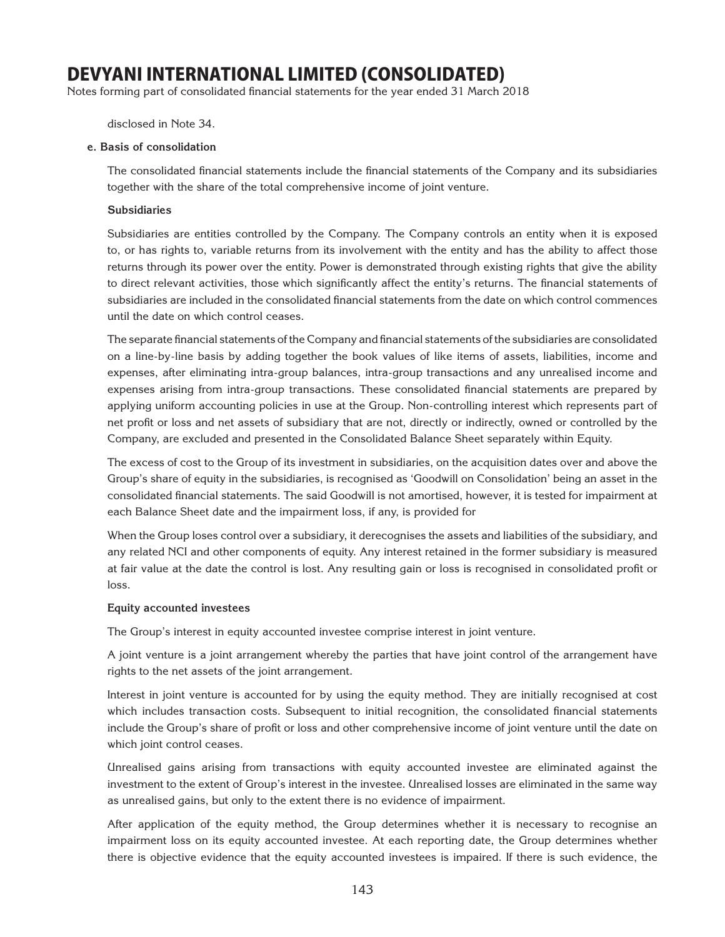Notes forming part of consolidated financial statements for the year ended 31 March 2018

disclosed in Note 34.

#### **e. Basis of consolidation**

The consolidated financial statements include the financial statements of the Company and its subsidiaries together with the share of the total comprehensive income of joint venture.

#### **Subsidiaries**

Subsidiaries are entities controlled by the Company. The Company controls an entity when it is exposed to, or has rights to, variable returns from its involvement with the entity and has the ability to affect those returns through its power over the entity. Power is demonstrated through existing rights that give the ability to direct relevant activities, those which significantly affect the entity's returns. The financial statements of subsidiaries are included in the consolidated financial statements from the date on which control commences until the date on which control ceases.

The separate financial statements of the Company and financial statements of the subsidiaries are consolidated on a line-by-line basis by adding together the book values of like items of assets, liabilities, income and expenses, after eliminating intra-group balances, intra-group transactions and any unrealised income and expenses arising from intra-group transactions. These consolidated financial statements are prepared by applying uniform accounting policies in use at the Group. Non-controlling interest which represents part of net profit or loss and net assets of subsidiary that are not, directly or indirectly, owned or controlled by the Company, are excluded and presented in the Consolidated Balance Sheet separately within Equity.

The excess of cost to the Group of its investment in subsidiaries, on the acquisition dates over and above the Group's share of equity in the subsidiaries, is recognised as 'Goodwill on Consolidation' being an asset in the consolidated financial statements. The said Goodwill is not amortised, however, it is tested for impairment at each Balance Sheet date and the impairment loss, if any, is provided for

When the Group loses control over a subsidiary, it derecognises the assets and liabilities of the subsidiary, and any related NCI and other components of equity. Any interest retained in the former subsidiary is measured at fair value at the date the control is lost. Any resulting gain or loss is recognised in consolidated profit or loss.

### **Equity accounted investees**

The Group's interest in equity accounted investee comprise interest in joint venture.

A joint venture is a joint arrangement whereby the parties that have joint control of the arrangement have rights to the net assets of the joint arrangement.

Interest in joint venture is accounted for by using the equity method. They are initially recognised at cost which includes transaction costs. Subsequent to initial recognition, the consolidated financial statements include the Group's share of profit or loss and other comprehensive income of joint venture until the date on which joint control ceases.

Unrealised gains arising from transactions with equity accounted investee are eliminated against the investment to the extent of Group's interest in the investee. Unrealised losses are eliminated in the same way as unrealised gains, but only to the extent there is no evidence of impairment.

After application of the equity method, the Group determines whether it is necessary to recognise an impairment loss on its equity accounted investee. At each reporting date, the Group determines whether there is objective evidence that the equity accounted investees is impaired. If there is such evidence, the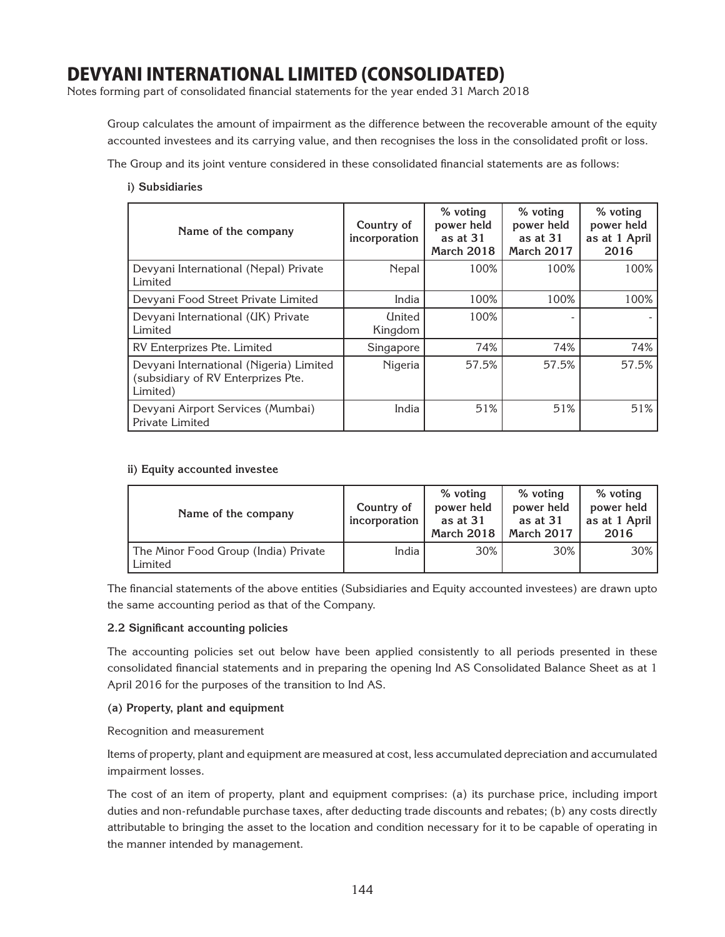Notes forming part of consolidated financial statements for the year ended 31 March 2018

Group calculates the amount of impairment as the difference between the recoverable amount of the equity accounted investees and its carrying value, and then recognises the loss in the consolidated profit or loss.

The Group and its joint venture considered in these consolidated financial statements are as follows:

### **i) Subsidiaries**

| Name of the company                                                                       | Country of<br>incorporation | % voting<br>power held<br>as at $31$<br><b>March 2018</b> | % voting<br>power held<br>as at $31$<br>March 2017 | % voting<br>power held<br>as at 1 April<br>2016 |
|-------------------------------------------------------------------------------------------|-----------------------------|-----------------------------------------------------------|----------------------------------------------------|-------------------------------------------------|
| Devyani International (Nepal) Private<br>Limited                                          | Nepal                       | 100%                                                      | 100%                                               | 100%                                            |
| Devyani Food Street Private Limited                                                       | India                       | 100%                                                      | 100%                                               | 100%                                            |
| Devyani International (UK) Private<br>Limited                                             | <b>United</b><br>Kingdom    | 100%                                                      |                                                    |                                                 |
| RV Enterprizes Pte. Limited                                                               | Singapore                   | 74%                                                       | 74%                                                | 74%                                             |
| Devyani International (Nigeria) Limited<br>(subsidiary of RV Enterprizes Pte.<br>Limited) | Nigeria                     | 57.5%                                                     | 57.5%                                              | 57.5%                                           |
| Devyani Airport Services (Mumbai)<br>Private Limited                                      | India                       | 51%                                                       | 51%                                                | 51%                                             |

### **ii) Equity accounted investee**

| Name of the company                             | Country of<br>incorporation | % voting<br>power held<br>as at 31<br>March 2018 | % voting<br>power held<br>as at $31$<br><b>March 2017</b> | % voting<br>power held<br>as at 1 April<br>2016 |
|-------------------------------------------------|-----------------------------|--------------------------------------------------|-----------------------------------------------------------|-------------------------------------------------|
| The Minor Food Group (India) Private<br>Limited | India                       | 30%                                              | 30%                                                       | $30\%$                                          |

The financial statements of the above entities (Subsidiaries and Equity accounted investees) are drawn upto the same accounting period as that of the Company.

### **2.2 Significant accounting policies**

The accounting policies set out below have been applied consistently to all periods presented in these consolidated financial statements and in preparing the opening Ind AS Consolidated Balance Sheet as at 1 April 2016 for the purposes of the transition to Ind AS.

### **(a) Property, plant and equipment**

Recognition and measurement

Items of property, plant and equipment are measured at cost, less accumulated depreciation and accumulated impairment losses.

The cost of an item of property, plant and equipment comprises: (a) its purchase price, including import duties and non-refundable purchase taxes, after deducting trade discounts and rebates; (b) any costs directly attributable to bringing the asset to the location and condition necessary for it to be capable of operating in the manner intended by management.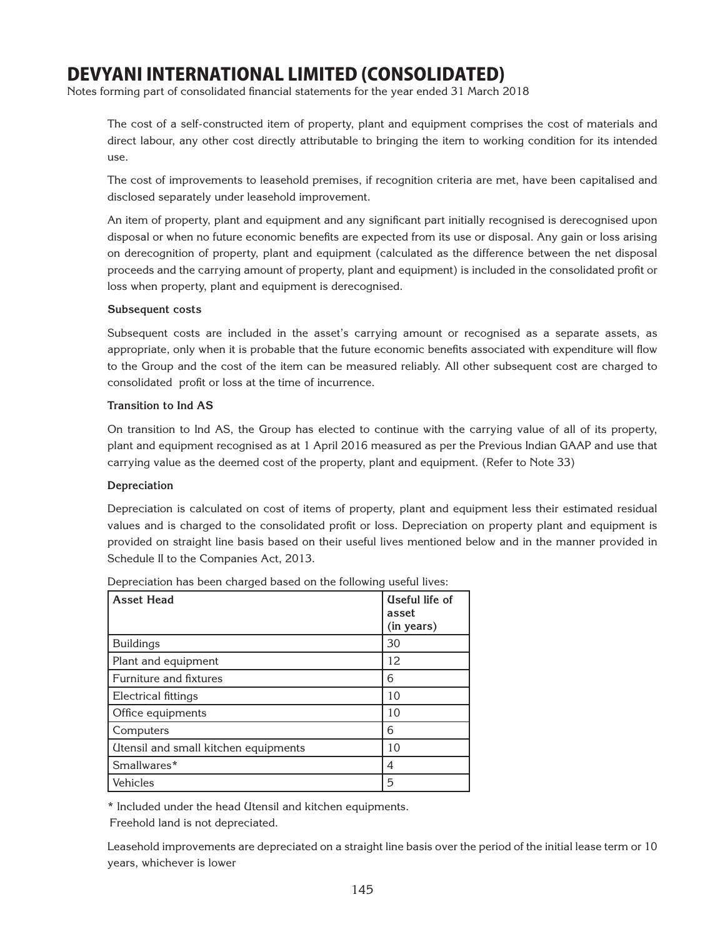Notes forming part of consolidated financial statements for the year ended 31 March 2018

The cost of a self-constructed item of property, plant and equipment comprises the cost of materials and direct labour, any other cost directly attributable to bringing the item to working condition for its intended use.

The cost of improvements to leasehold premises, if recognition criteria are met, have been capitalised and disclosed separately under leasehold improvement.

An item of property, plant and equipment and any significant part initially recognised is derecognised upon disposal or when no future economic benefits are expected from its use or disposal. Any gain or loss arising on derecognition of property, plant and equipment (calculated as the difference between the net disposal proceeds and the carrying amount of property, plant and equipment) is included in the consolidated profit or loss when property, plant and equipment is derecognised.

## **Subsequent costs**

Subsequent costs are included in the asset's carrying amount or recognised as a separate assets, as appropriate, only when it is probable that the future economic benefits associated with expenditure will flow to the Group and the cost of the item can be measured reliably. All other subsequent cost are charged to consolidated profit or loss at the time of incurrence.

#### **Transition to Ind AS**

On transition to Ind AS, the Group has elected to continue with the carrying value of all of its property, plant and equipment recognised as at 1 April 2016 measured as per the Previous Indian GAAP and use that carrying value as the deemed cost of the property, plant and equipment. (Refer to Note 33)

## **Depreciation**

Depreciation is calculated on cost of items of property, plant and equipment less their estimated residual values and is charged to the consolidated profit or loss. Depreciation on property plant and equipment is provided on straight line basis based on their useful lives mentioned below and in the manner provided in Schedule II to the Companies Act, 2013.

| <b>Asset Head</b>                    | <b>Useful life of</b><br>asset<br>(in years) |
|--------------------------------------|----------------------------------------------|
| <b>Buildings</b>                     | 30                                           |
| Plant and equipment                  | 12                                           |
| Furniture and fixtures               | 6                                            |
| Electrical fittings                  | 10                                           |
| Office equipments                    | 10                                           |
| Computers                            | 6                                            |
| Itensil and small kitchen equipments | 10                                           |
| Smallwares*                          | 4                                            |
| Vehicles                             | 5                                            |

Depreciation has been charged based on the following useful lives:

\* Included under the head Utensil and kitchen equipments.

Freehold land is not depreciated.

Leasehold improvements are depreciated on a straight line basis over the period of the initial lease term or 10 years, whichever is lower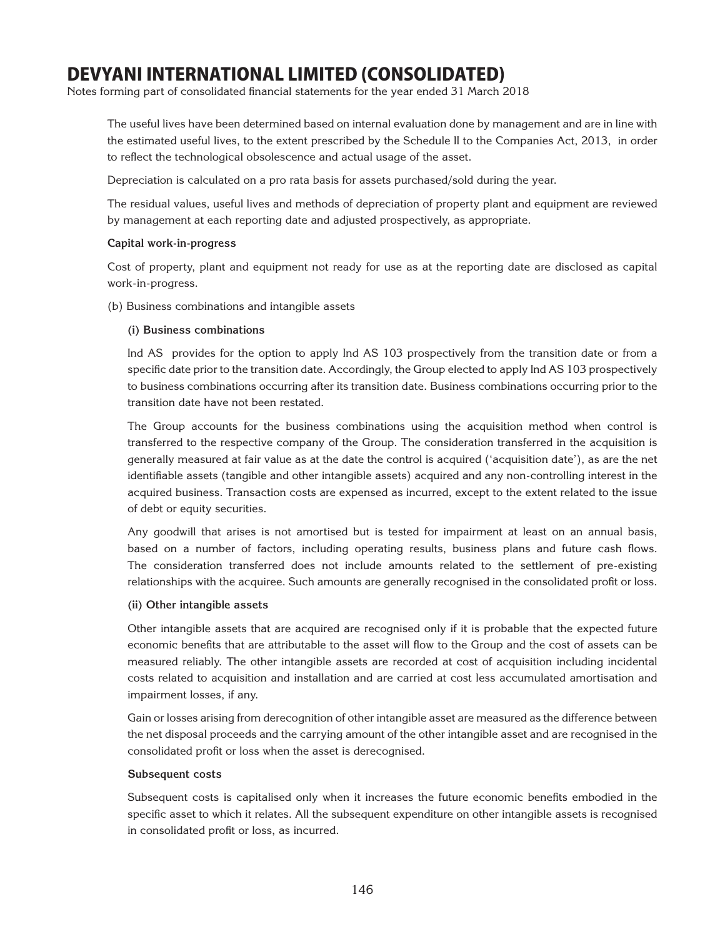Notes forming part of consolidated financial statements for the year ended 31 March 2018

The useful lives have been determined based on internal evaluation done by management and are in line with the estimated useful lives, to the extent prescribed by the Schedule II to the Companies Act, 2013, in order to reflect the technological obsolescence and actual usage of the asset.

Depreciation is calculated on a pro rata basis for assets purchased/sold during the year.

The residual values, useful lives and methods of depreciation of property plant and equipment are reviewed by management at each reporting date and adjusted prospectively, as appropriate.

## **Capital work-in-progress**

Cost of property, plant and equipment not ready for use as at the reporting date are disclosed as capital work-in-progress.

(b) Business combinations and intangible assets

#### **(i) Business combinations**

Ind AS provides for the option to apply Ind AS 103 prospectively from the transition date or from a specific date prior to the transition date. Accordingly, the Group elected to apply Ind AS 103 prospectively to business combinations occurring after its transition date. Business combinations occurring prior to the transition date have not been restated.

The Group accounts for the business combinations using the acquisition method when control is transferred to the respective company of the Group. The consideration transferred in the acquisition is generally measured at fair value as at the date the control is acquired ('acquisition date'), as are the net identifiable assets (tangible and other intangible assets) acquired and any non-controlling interest in the acquired business. Transaction costs are expensed as incurred, except to the extent related to the issue of debt or equity securities.

Any goodwill that arises is not amortised but is tested for impairment at least on an annual basis, based on a number of factors, including operating results, business plans and future cash flows. The consideration transferred does not include amounts related to the settlement of pre-existing relationships with the acquiree. Such amounts are generally recognised in the consolidated profit or loss.

#### **(ii) Other intangible assets**

Other intangible assets that are acquired are recognised only if it is probable that the expected future economic benefits that are attributable to the asset will flow to the Group and the cost of assets can be measured reliably. The other intangible assets are recorded at cost of acquisition including incidental costs related to acquisition and installation and are carried at cost less accumulated amortisation and impairment losses, if any.

Gain or losses arising from derecognition of other intangible asset are measured as the difference between the net disposal proceeds and the carrying amount of the other intangible asset and are recognised in the consolidated profit or loss when the asset is derecognised.

## **Subsequent costs**

Subsequent costs is capitalised only when it increases the future economic benefits embodied in the specific asset to which it relates. All the subsequent expenditure on other intangible assets is recognised in consolidated profit or loss, as incurred.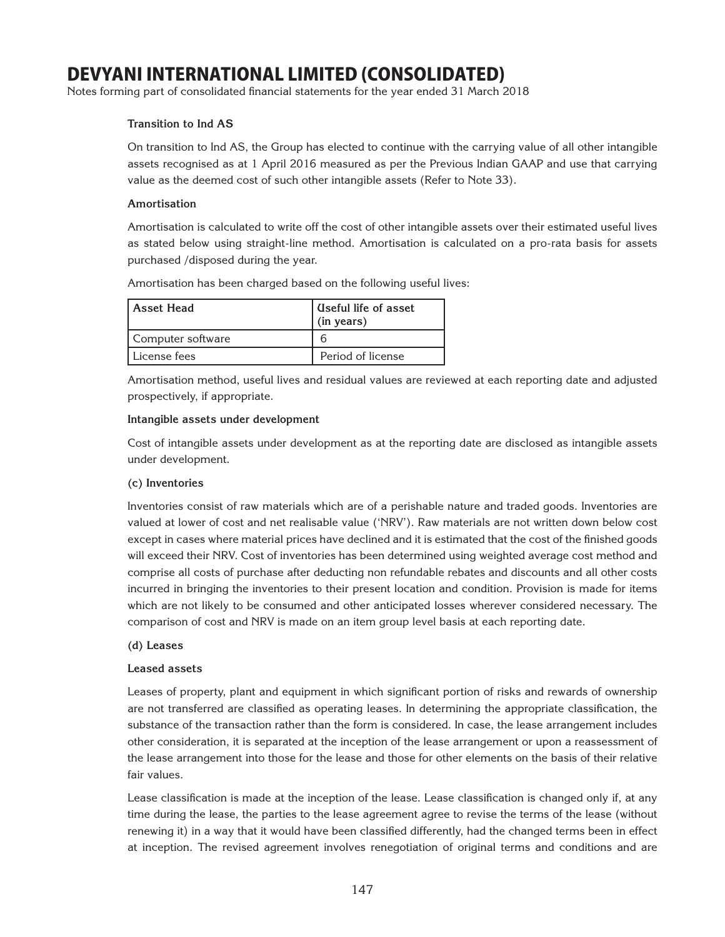Notes forming part of consolidated financial statements for the year ended 31 March 2018

## **Transition to Ind AS**

On transition to Ind AS, the Group has elected to continue with the carrying value of all other intangible assets recognised as at 1 April 2016 measured as per the Previous Indian GAAP and use that carrying value as the deemed cost of such other intangible assets (Refer to Note 33).

## **Amortisation**

Amortisation is calculated to write off the cost of other intangible assets over their estimated useful lives as stated below using straight-line method. Amortisation is calculated on a pro-rata basis for assets purchased /disposed during the year.

Amortisation has been charged based on the following useful lives:

| Asset Head        | l Useful life of asset<br>(in years) |
|-------------------|--------------------------------------|
| Computer software | n                                    |
| License fees      | Period of license                    |

Amortisation method, useful lives and residual values are reviewed at each reporting date and adjusted prospectively, if appropriate.

#### **Intangible assets under development**

Cost of intangible assets under development as at the reporting date are disclosed as intangible assets under development.

## **(c) Inventories**

Inventories consist of raw materials which are of a perishable nature and traded goods. Inventories are valued at lower of cost and net realisable value ('NRV'). Raw materials are not written down below cost except in cases where material prices have declined and it is estimated that the cost of the finished goods will exceed their NRV. Cost of inventories has been determined using weighted average cost method and comprise all costs of purchase after deducting non refundable rebates and discounts and all other costs incurred in bringing the inventories to their present location and condition. Provision is made for items which are not likely to be consumed and other anticipated losses wherever considered necessary. The comparison of cost and NRV is made on an item group level basis at each reporting date.

#### **(d) Leases**

## **Leased assets**

Leases of property, plant and equipment in which significant portion of risks and rewards of ownership are not transferred are classified as operating leases. In determining the appropriate classification, the substance of the transaction rather than the form is considered. In case, the lease arrangement includes other consideration, it is separated at the inception of the lease arrangement or upon a reassessment of the lease arrangement into those for the lease and those for other elements on the basis of their relative fair values.

Lease classification is made at the inception of the lease. Lease classification is changed only if, at any time during the lease, the parties to the lease agreement agree to revise the terms of the lease (without renewing it) in a way that it would have been classified differently, had the changed terms been in effect at inception. The revised agreement involves renegotiation of original terms and conditions and are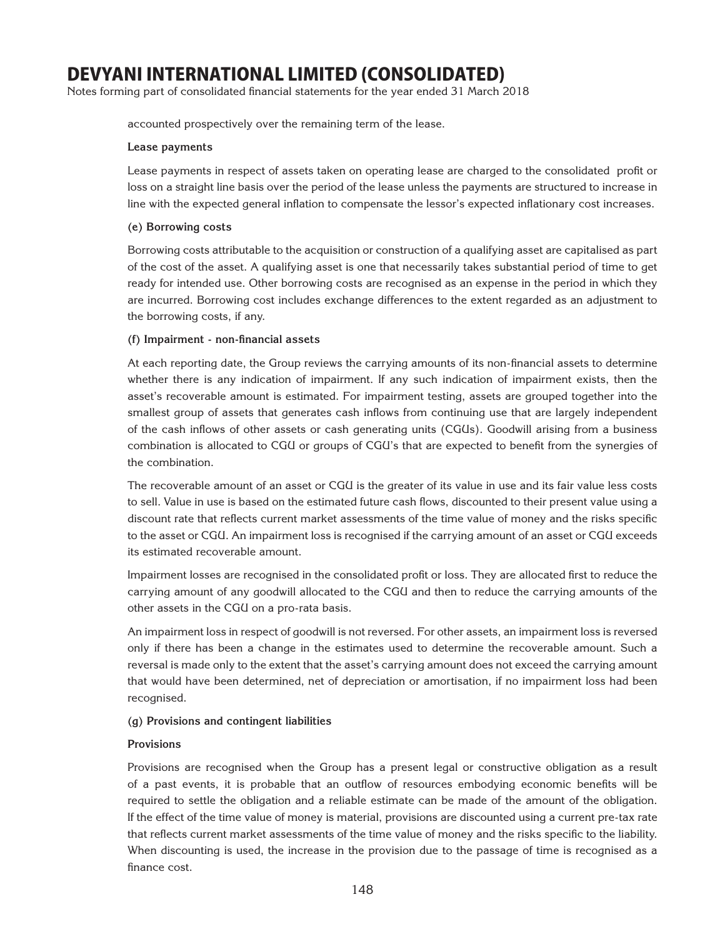Notes forming part of consolidated financial statements for the year ended 31 March 2018

accounted prospectively over the remaining term of the lease.

## **Lease payments**

Lease payments in respect of assets taken on operating lease are charged to the consolidated profit or loss on a straight line basis over the period of the lease unless the payments are structured to increase in line with the expected general inflation to compensate the lessor's expected inflationary cost increases.

## **(e) Borrowing costs**

Borrowing costs attributable to the acquisition or construction of a qualifying asset are capitalised as part of the cost of the asset. A qualifying asset is one that necessarily takes substantial period of time to get ready for intended use. Other borrowing costs are recognised as an expense in the period in which they are incurred. Borrowing cost includes exchange differences to the extent regarded as an adjustment to the borrowing costs, if any.

## **(f) Impairment - non-financial assets**

At each reporting date, the Group reviews the carrying amounts of its non-financial assets to determine whether there is any indication of impairment. If any such indication of impairment exists, then the asset's recoverable amount is estimated. For impairment testing, assets are grouped together into the smallest group of assets that generates cash inflows from continuing use that are largely independent of the cash inflows of other assets or cash generating units (CGUs). Goodwill arising from a business combination is allocated to CGU or groups of CGU's that are expected to benefit from the synergies of the combination.

The recoverable amount of an asset or CGU is the greater of its value in use and its fair value less costs to sell. Value in use is based on the estimated future cash flows, discounted to their present value using a discount rate that reflects current market assessments of the time value of money and the risks specific to the asset or CGU. An impairment loss is recognised if the carrying amount of an asset or CGU exceeds its estimated recoverable amount.

Impairment losses are recognised in the consolidated profit or loss. They are allocated first to reduce the carrying amount of any goodwill allocated to the CGU and then to reduce the carrying amounts of the other assets in the CGU on a pro-rata basis.

An impairment loss in respect of goodwill is not reversed. For other assets, an impairment loss is reversed only if there has been a change in the estimates used to determine the recoverable amount. Such a reversal is made only to the extent that the asset's carrying amount does not exceed the carrying amount that would have been determined, net of depreciation or amortisation, if no impairment loss had been recognised.

## **(g) Provisions and contingent liabilities**

## **Provisions**

Provisions are recognised when the Group has a present legal or constructive obligation as a result of a past events, it is probable that an outflow of resources embodying economic benefits will be required to settle the obligation and a reliable estimate can be made of the amount of the obligation. If the effect of the time value of money is material, provisions are discounted using a current pre-tax rate that reflects current market assessments of the time value of money and the risks specific to the liability. When discounting is used, the increase in the provision due to the passage of time is recognised as a finance cost.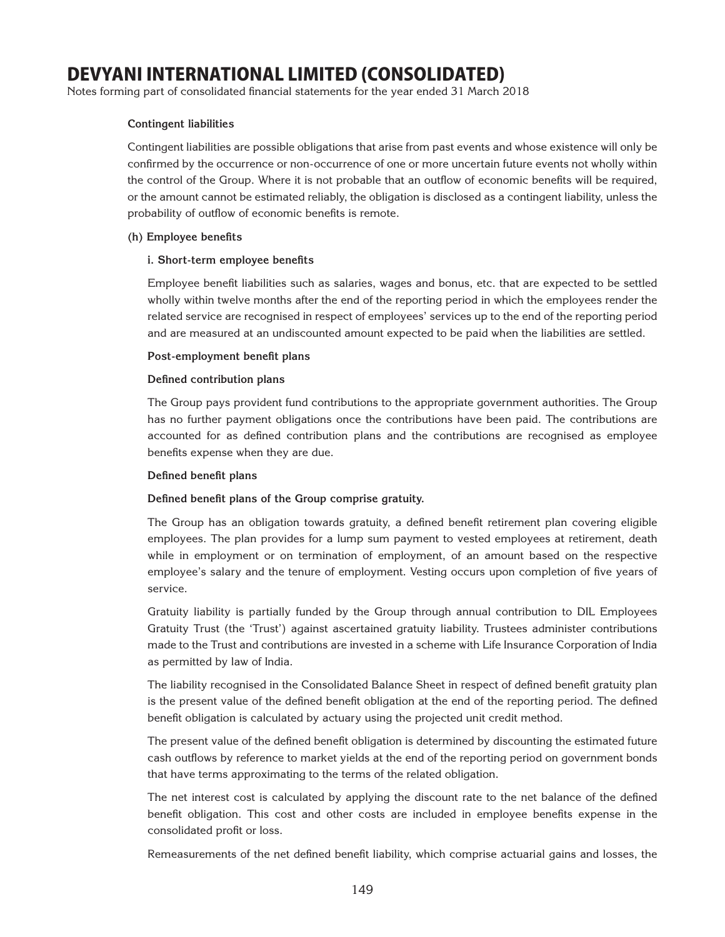Notes forming part of consolidated financial statements for the year ended 31 March 2018

## **Contingent liabilities**

Contingent liabilities are possible obligations that arise from past events and whose existence will only be confirmed by the occurrence or non-occurrence of one or more uncertain future events not wholly within the control of the Group. Where it is not probable that an outflow of economic benefits will be required, or the amount cannot be estimated reliably, the obligation is disclosed as a contingent liability, unless the probability of outflow of economic benefits is remote.

#### **(h) Employee benefits**

#### **i. Short-term employee benefits**

Employee benefit liabilities such as salaries, wages and bonus, etc. that are expected to be settled wholly within twelve months after the end of the reporting period in which the employees render the related service are recognised in respect of employees' services up to the end of the reporting period and are measured at an undiscounted amount expected to be paid when the liabilities are settled.

#### **Post-employment benefit plans**

#### **Defined contribution plans**

The Group pays provident fund contributions to the appropriate government authorities. The Group has no further payment obligations once the contributions have been paid. The contributions are accounted for as defined contribution plans and the contributions are recognised as employee benefits expense when they are due.

#### **Defined benefit plans**

## **Defined benefit plans of the Group comprise gratuity.**

The Group has an obligation towards gratuity, a defined benefit retirement plan covering eligible employees. The plan provides for a lump sum payment to vested employees at retirement, death while in employment or on termination of employment, of an amount based on the respective employee's salary and the tenure of employment. Vesting occurs upon completion of five years of service.

Gratuity liability is partially funded by the Group through annual contribution to DIL Employees Gratuity Trust (the 'Trust') against ascertained gratuity liability. Trustees administer contributions made to the Trust and contributions are invested in a scheme with Life Insurance Corporation of India as permitted by law of India.

The liability recognised in the Consolidated Balance Sheet in respect of defined benefit gratuity plan is the present value of the defined benefit obligation at the end of the reporting period. The defined benefit obligation is calculated by actuary using the projected unit credit method.

The present value of the defined benefit obligation is determined by discounting the estimated future cash outflows by reference to market yields at the end of the reporting period on government bonds that have terms approximating to the terms of the related obligation.

The net interest cost is calculated by applying the discount rate to the net balance of the defined benefit obligation. This cost and other costs are included in employee benefits expense in the consolidated profit or loss.

Remeasurements of the net defined benefit liability, which comprise actuarial gains and losses, the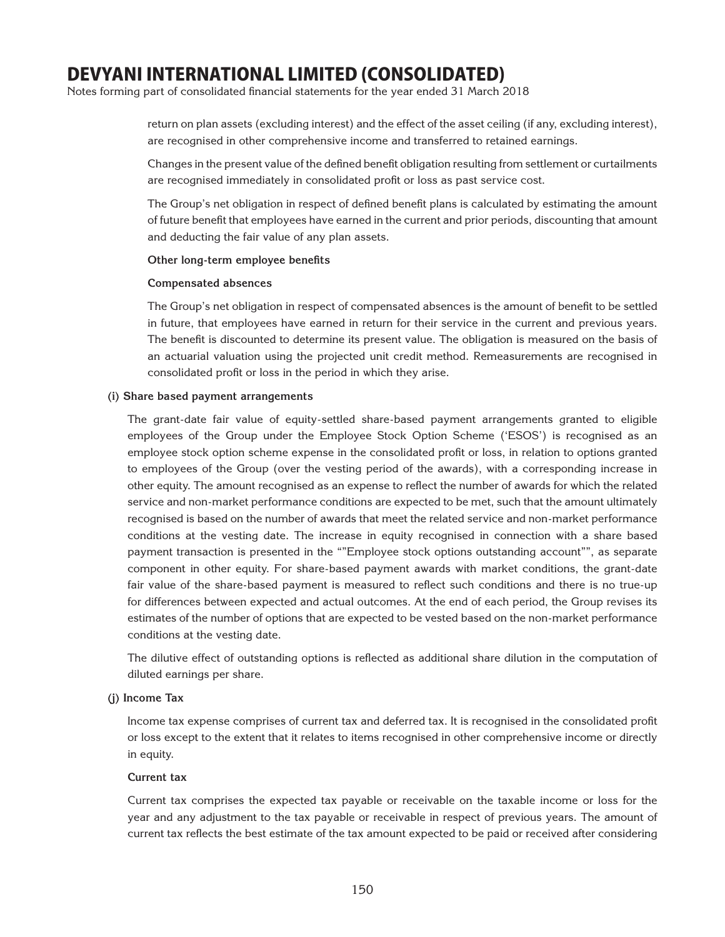Notes forming part of consolidated financial statements for the year ended 31 March 2018

return on plan assets (excluding interest) and the effect of the asset ceiling (if any, excluding interest), are recognised in other comprehensive income and transferred to retained earnings.

Changes in the present value of the defined benefit obligation resulting from settlement or curtailments are recognised immediately in consolidated profit or loss as past service cost.

The Group's net obligation in respect of defined benefit plans is calculated by estimating the amount of future benefit that employees have earned in the current and prior periods, discounting that amount and deducting the fair value of any plan assets.

#### **Other long-term employee benefits**

#### **Compensated absences**

The Group's net obligation in respect of compensated absences is the amount of benefit to be settled in future, that employees have earned in return for their service in the current and previous years. The benefit is discounted to determine its present value. The obligation is measured on the basis of an actuarial valuation using the projected unit credit method. Remeasurements are recognised in consolidated profit or loss in the period in which they arise.

#### **(i) Share based payment arrangements**

The grant-date fair value of equity-settled share-based payment arrangements granted to eligible employees of the Group under the Employee Stock Option Scheme ('ESOS') is recognised as an employee stock option scheme expense in the consolidated profit or loss, in relation to options granted to employees of the Group (over the vesting period of the awards), with a corresponding increase in other equity. The amount recognised as an expense to reflect the number of awards for which the related service and non-market performance conditions are expected to be met, such that the amount ultimately recognised is based on the number of awards that meet the related service and non-market performance conditions at the vesting date. The increase in equity recognised in connection with a share based payment transaction is presented in the ""Employee stock options outstanding account"", as separate component in other equity. For share-based payment awards with market conditions, the grant-date fair value of the share-based payment is measured to reflect such conditions and there is no true-up for differences between expected and actual outcomes. At the end of each period, the Group revises its estimates of the number of options that are expected to be vested based on the non-market performance conditions at the vesting date.

The dilutive effect of outstanding options is reflected as additional share dilution in the computation of diluted earnings per share.

## **(j) Income Tax**

Income tax expense comprises of current tax and deferred tax. It is recognised in the consolidated profit or loss except to the extent that it relates to items recognised in other comprehensive income or directly in equity.

#### **Current tax**

Current tax comprises the expected tax payable or receivable on the taxable income or loss for the year and any adjustment to the tax payable or receivable in respect of previous years. The amount of current tax reflects the best estimate of the tax amount expected to be paid or received after considering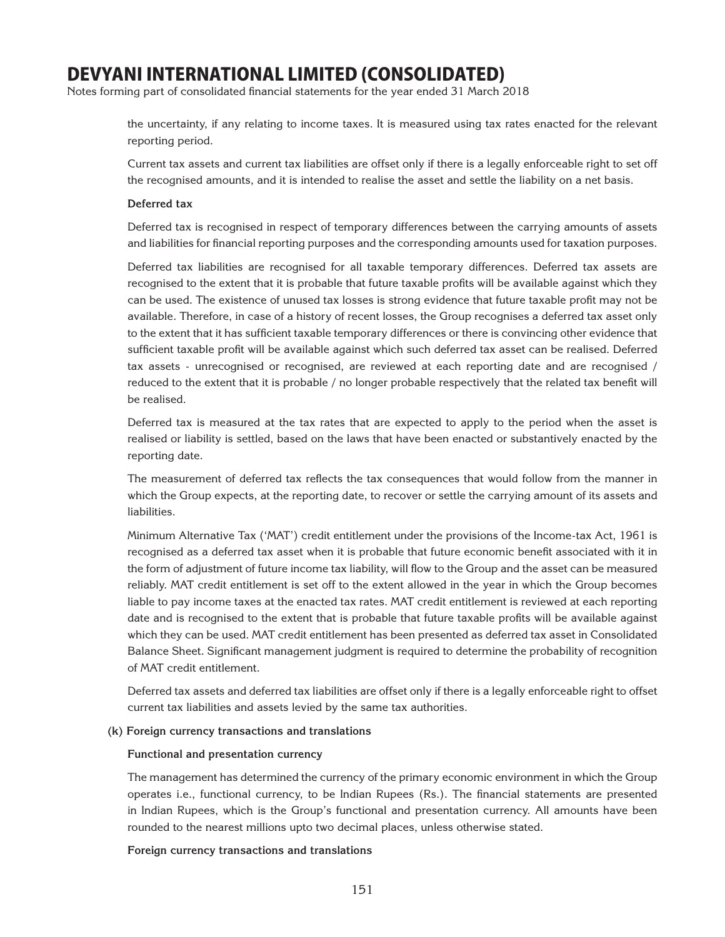Notes forming part of consolidated financial statements for the year ended 31 March 2018

the uncertainty, if any relating to income taxes. It is measured using tax rates enacted for the relevant reporting period.

Current tax assets and current tax liabilities are offset only if there is a legally enforceable right to set off the recognised amounts, and it is intended to realise the asset and settle the liability on a net basis.

#### **Deferred tax**

Deferred tax is recognised in respect of temporary differences between the carrying amounts of assets and liabilities for financial reporting purposes and the corresponding amounts used for taxation purposes.

Deferred tax liabilities are recognised for all taxable temporary differences. Deferred tax assets are recognised to the extent that it is probable that future taxable profits will be available against which they can be used. The existence of unused tax losses is strong evidence that future taxable profit may not be available. Therefore, in case of a history of recent losses, the Group recognises a deferred tax asset only to the extent that it has sufficient taxable temporary differences or there is convincing other evidence that sufficient taxable profit will be available against which such deferred tax asset can be realised. Deferred tax assets - unrecognised or recognised, are reviewed at each reporting date and are recognised / reduced to the extent that it is probable / no longer probable respectively that the related tax benefit will be realised.

Deferred tax is measured at the tax rates that are expected to apply to the period when the asset is realised or liability is settled, based on the laws that have been enacted or substantively enacted by the reporting date.

The measurement of deferred tax reflects the tax consequences that would follow from the manner in which the Group expects, at the reporting date, to recover or settle the carrying amount of its assets and liabilities.

Minimum Alternative Tax ('MAT') credit entitlement under the provisions of the Income-tax Act, 1961 is recognised as a deferred tax asset when it is probable that future economic benefit associated with it in the form of adjustment of future income tax liability, will flow to the Group and the asset can be measured reliably. MAT credit entitlement is set off to the extent allowed in the year in which the Group becomes liable to pay income taxes at the enacted tax rates. MAT credit entitlement is reviewed at each reporting date and is recognised to the extent that is probable that future taxable profits will be available against which they can be used. MAT credit entitlement has been presented as deferred tax asset in Consolidated Balance Sheet. Significant management judgment is required to determine the probability of recognition of MAT credit entitlement.

Deferred tax assets and deferred tax liabilities are offset only if there is a legally enforceable right to offset current tax liabilities and assets levied by the same tax authorities.

#### **(k) Foreign currency transactions and translations**

#### **Functional and presentation currency**

The management has determined the currency of the primary economic environment in which the Group operates i.e., functional currency, to be Indian Rupees (Rs.). The financial statements are presented in Indian Rupees, which is the Group's functional and presentation currency. All amounts have been rounded to the nearest millions upto two decimal places, unless otherwise stated.

#### **Foreign currency transactions and translations**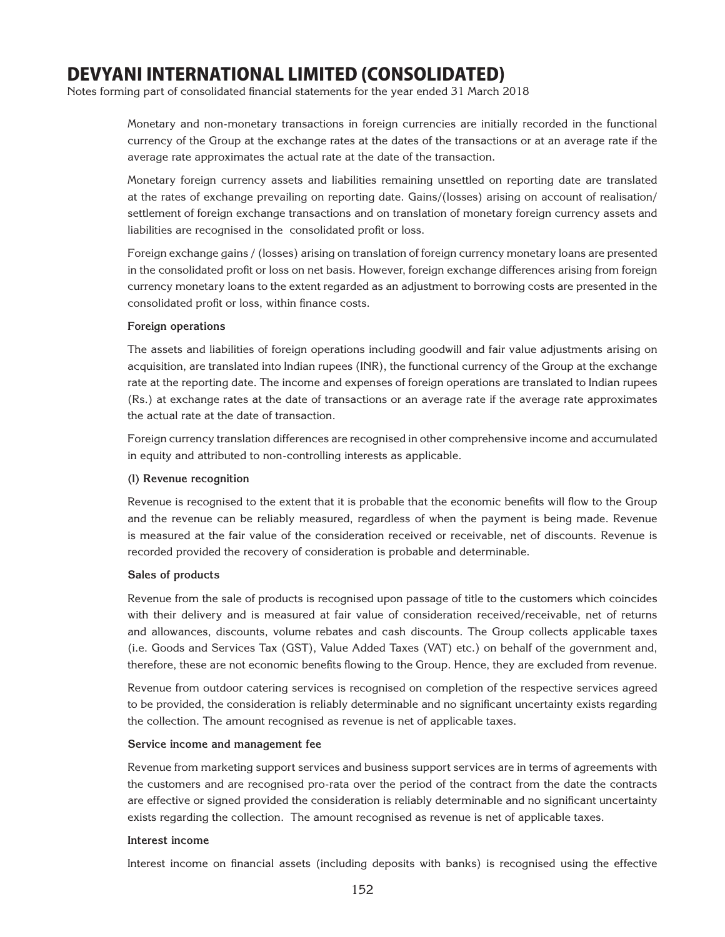Notes forming part of consolidated financial statements for the year ended 31 March 2018

Monetary and non-monetary transactions in foreign currencies are initially recorded in the functional currency of the Group at the exchange rates at the dates of the transactions or at an average rate if the average rate approximates the actual rate at the date of the transaction.

Monetary foreign currency assets and liabilities remaining unsettled on reporting date are translated at the rates of exchange prevailing on reporting date. Gains/(losses) arising on account of realisation/ settlement of foreign exchange transactions and on translation of monetary foreign currency assets and liabilities are recognised in the consolidated profit or loss.

Foreign exchange gains / (losses) arising on translation of foreign currency monetary loans are presented in the consolidated profit or loss on net basis. However, foreign exchange differences arising from foreign currency monetary loans to the extent regarded as an adjustment to borrowing costs are presented in the consolidated profit or loss, within finance costs.

#### **Foreign operations**

The assets and liabilities of foreign operations including goodwill and fair value adjustments arising on acquisition, are translated into Indian rupees (INR), the functional currency of the Group at the exchange rate at the reporting date. The income and expenses of foreign operations are translated to Indian rupees (Rs.) at exchange rates at the date of transactions or an average rate if the average rate approximates the actual rate at the date of transaction.

Foreign currency translation differences are recognised in other comprehensive income and accumulated in equity and attributed to non-controlling interests as applicable.

## **(l) Revenue recognition**

Revenue is recognised to the extent that it is probable that the economic benefits will flow to the Group and the revenue can be reliably measured, regardless of when the payment is being made. Revenue is measured at the fair value of the consideration received or receivable, net of discounts. Revenue is recorded provided the recovery of consideration is probable and determinable.

## **Sales of products**

Revenue from the sale of products is recognised upon passage of title to the customers which coincides with their delivery and is measured at fair value of consideration received/receivable, net of returns and allowances, discounts, volume rebates and cash discounts. The Group collects applicable taxes (i.e. Goods and Services Tax (GST), Value Added Taxes (VAT) etc.) on behalf of the government and, therefore, these are not economic benefits flowing to the Group. Hence, they are excluded from revenue.

Revenue from outdoor catering services is recognised on completion of the respective services agreed to be provided, the consideration is reliably determinable and no significant uncertainty exists regarding the collection. The amount recognised as revenue is net of applicable taxes.

#### **Service income and management fee**

Revenue from marketing support services and business support services are in terms of agreements with the customers and are recognised pro-rata over the period of the contract from the date the contracts are effective or signed provided the consideration is reliably determinable and no significant uncertainty exists regarding the collection. The amount recognised as revenue is net of applicable taxes.

#### **Interest income**

Interest income on financial assets (including deposits with banks) is recognised using the effective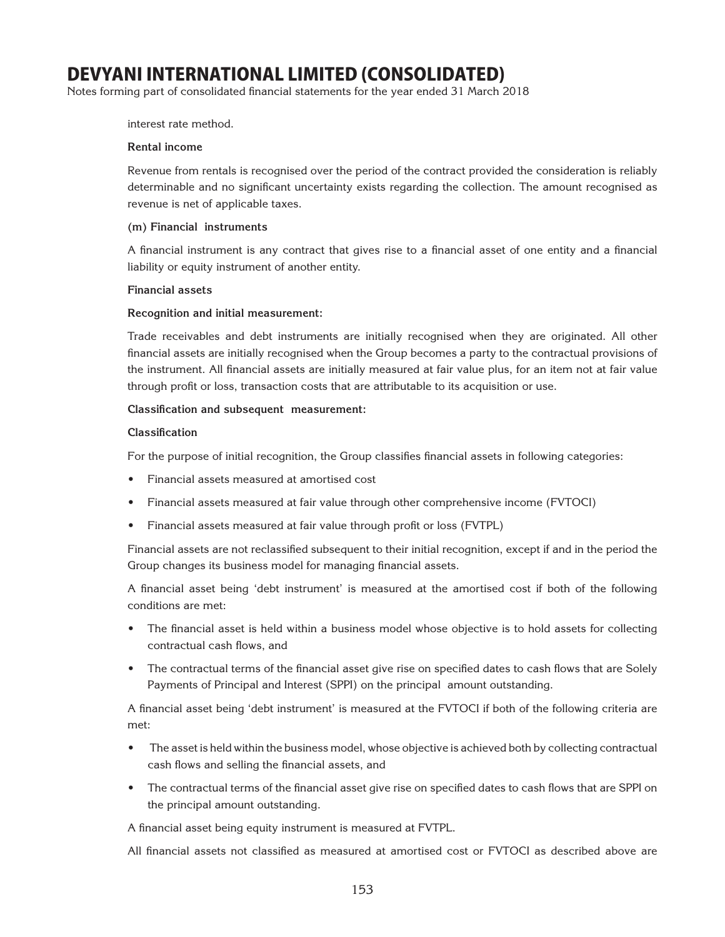Notes forming part of consolidated financial statements for the year ended 31 March 2018

interest rate method.

#### **Rental income**

Revenue from rentals is recognised over the period of the contract provided the consideration is reliably determinable and no significant uncertainty exists regarding the collection. The amount recognised as revenue is net of applicable taxes.

#### **(m) Financial instruments**

A financial instrument is any contract that gives rise to a financial asset of one entity and a financial liability or equity instrument of another entity.

#### **Financial assets**

#### **Recognition and initial measurement:**

Trade receivables and debt instruments are initially recognised when they are originated. All other financial assets are initially recognised when the Group becomes a party to the contractual provisions of the instrument. All financial assets are initially measured at fair value plus, for an item not at fair value through profit or loss, transaction costs that are attributable to its acquisition or use.

#### **Classification and subsequent measurement:**

#### **Classification**

For the purpose of initial recognition, the Group classifies financial assets in following categories:

- Financial assets measured at amortised cost
- Financial assets measured at fair value through other comprehensive income (FVTOCI)
- Financial assets measured at fair value through profit or loss (FVTPL)

Financial assets are not reclassified subsequent to their initial recognition, except if and in the period the Group changes its business model for managing financial assets.

A financial asset being 'debt instrument' is measured at the amortised cost if both of the following conditions are met:

- The financial asset is held within a business model whose objective is to hold assets for collecting contractual cash flows, and
- The contractual terms of the financial asset give rise on specified dates to cash flows that are Solely Payments of Principal and Interest (SPPI) on the principal amount outstanding.

A financial asset being 'debt instrument' is measured at the FVTOCI if both of the following criteria are met:

- The asset is held within the business model, whose objective is achieved both by collecting contractual cash flows and selling the financial assets, and
- The contractual terms of the financial asset give rise on specified dates to cash flows that are SPPI on the principal amount outstanding.

A financial asset being equity instrument is measured at FVTPL.

All financial assets not classified as measured at amortised cost or FVTOCI as described above are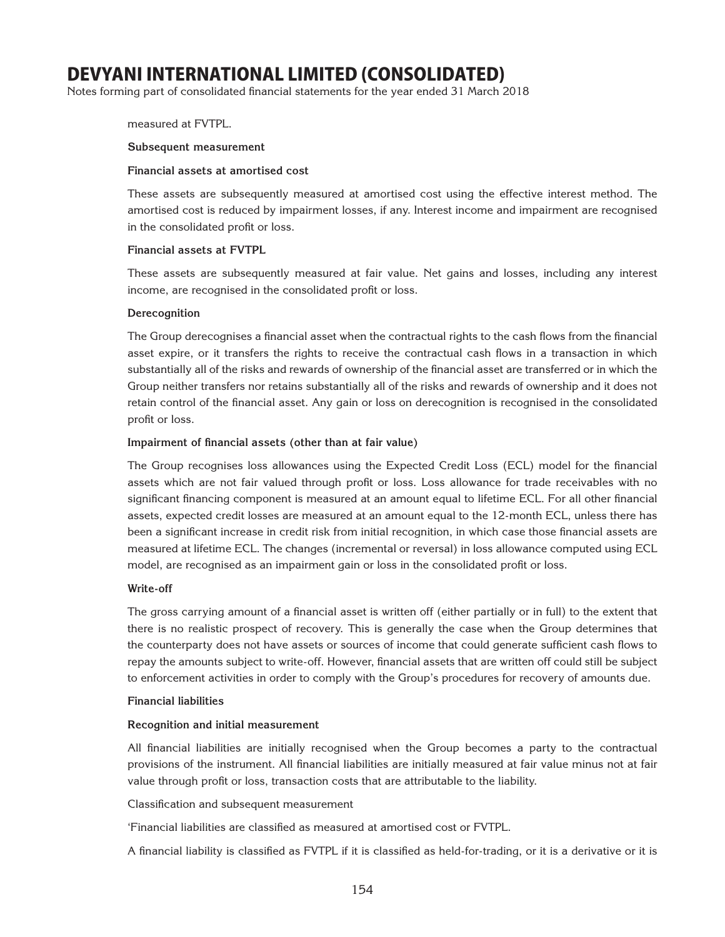Notes forming part of consolidated financial statements for the year ended 31 March 2018

#### measured at FVTPL.

#### **Subsequent measurement**

#### **Financial assets at amortised cost**

These assets are subsequently measured at amortised cost using the effective interest method. The amortised cost is reduced by impairment losses, if any. Interest income and impairment are recognised in the consolidated profit or loss.

## **Financial assets at FVTPL**

These assets are subsequently measured at fair value. Net gains and losses, including any interest income, are recognised in the consolidated profit or loss.

#### **Derecognition**

The Group derecognises a financial asset when the contractual rights to the cash flows from the financial asset expire, or it transfers the rights to receive the contractual cash flows in a transaction in which substantially all of the risks and rewards of ownership of the financial asset are transferred or in which the Group neither transfers nor retains substantially all of the risks and rewards of ownership and it does not retain control of the financial asset. Any gain or loss on derecognition is recognised in the consolidated profit or loss.

## **Impairment of financial assets (other than at fair value)**

The Group recognises loss allowances using the Expected Credit Loss (ECL) model for the financial assets which are not fair valued through profit or loss. Loss allowance for trade receivables with no significant financing component is measured at an amount equal to lifetime ECL. For all other financial assets, expected credit losses are measured at an amount equal to the 12-month ECL, unless there has been a significant increase in credit risk from initial recognition, in which case those financial assets are measured at lifetime ECL. The changes (incremental or reversal) in loss allowance computed using ECL model, are recognised as an impairment gain or loss in the consolidated profit or loss.

## **Write-off**

The gross carrying amount of a financial asset is written off (either partially or in full) to the extent that there is no realistic prospect of recovery. This is generally the case when the Group determines that the counterparty does not have assets or sources of income that could generate sufficient cash flows to repay the amounts subject to write-off. However, financial assets that are written off could still be subject to enforcement activities in order to comply with the Group's procedures for recovery of amounts due.

#### **Financial liabilities**

## **Recognition and initial measurement**

All financial liabilities are initially recognised when the Group becomes a party to the contractual provisions of the instrument. All financial liabilities are initially measured at fair value minus not at fair value through profit or loss, transaction costs that are attributable to the liability.

Classification and subsequent measurement

'Financial liabilities are classified as measured at amortised cost or FVTPL.

A financial liability is classified as FVTPL if it is classified as held-for-trading, or it is a derivative or it is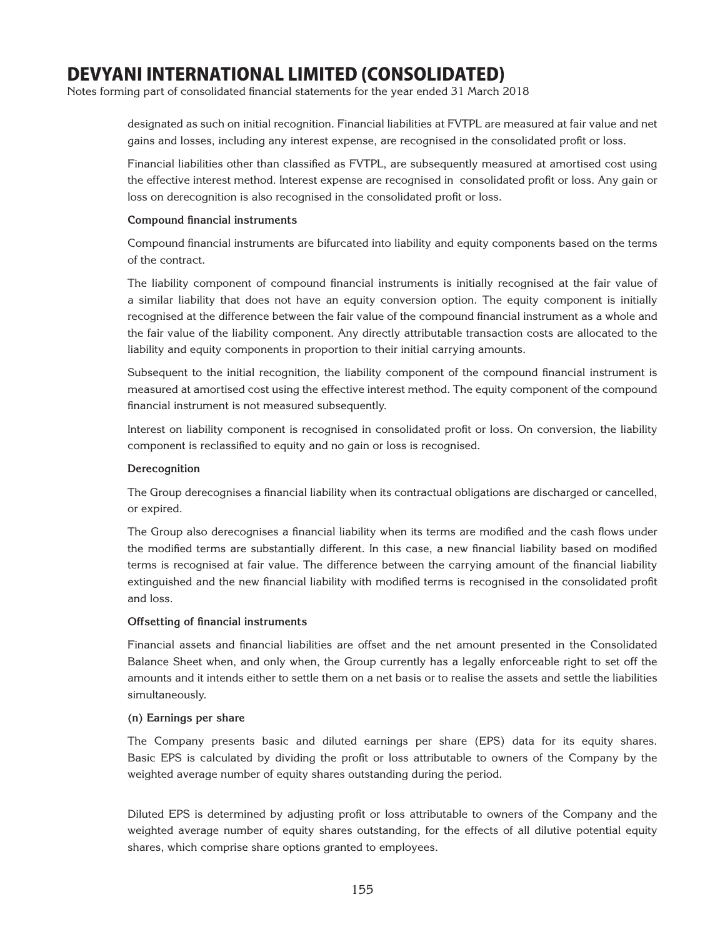Notes forming part of consolidated financial statements for the year ended 31 March 2018

designated as such on initial recognition. Financial liabilities at FVTPL are measured at fair value and net gains and losses, including any interest expense, are recognised in the consolidated profit or loss.

Financial liabilities other than classified as FVTPL, are subsequently measured at amortised cost using the effective interest method. Interest expense are recognised in consolidated profit or loss. Any gain or loss on derecognition is also recognised in the consolidated profit or loss.

#### **Compound financial instruments**

Compound financial instruments are bifurcated into liability and equity components based on the terms of the contract.

The liability component of compound financial instruments is initially recognised at the fair value of a similar liability that does not have an equity conversion option. The equity component is initially recognised at the difference between the fair value of the compound financial instrument as a whole and the fair value of the liability component. Any directly attributable transaction costs are allocated to the liability and equity components in proportion to their initial carrying amounts.

Subsequent to the initial recognition, the liability component of the compound financial instrument is measured at amortised cost using the effective interest method. The equity component of the compound financial instrument is not measured subsequently.

Interest on liability component is recognised in consolidated profit or loss. On conversion, the liability component is reclassified to equity and no gain or loss is recognised.

## **Derecognition**

The Group derecognises a financial liability when its contractual obligations are discharged or cancelled, or expired.

The Group also derecognises a financial liability when its terms are modified and the cash flows under the modified terms are substantially different. In this case, a new financial liability based on modified terms is recognised at fair value. The difference between the carrying amount of the financial liability extinguished and the new financial liability with modified terms is recognised in the consolidated profit and loss.

## **Offsetting of financial instruments**

Financial assets and financial liabilities are offset and the net amount presented in the Consolidated Balance Sheet when, and only when, the Group currently has a legally enforceable right to set off the amounts and it intends either to settle them on a net basis or to realise the assets and settle the liabilities simultaneously.

#### **(n) Earnings per share**

The Company presents basic and diluted earnings per share (EPS) data for its equity shares. Basic EPS is calculated by dividing the profit or loss attributable to owners of the Company by the weighted average number of equity shares outstanding during the period.

Diluted EPS is determined by adjusting profit or loss attributable to owners of the Company and the weighted average number of equity shares outstanding, for the effects of all dilutive potential equity shares, which comprise share options granted to employees.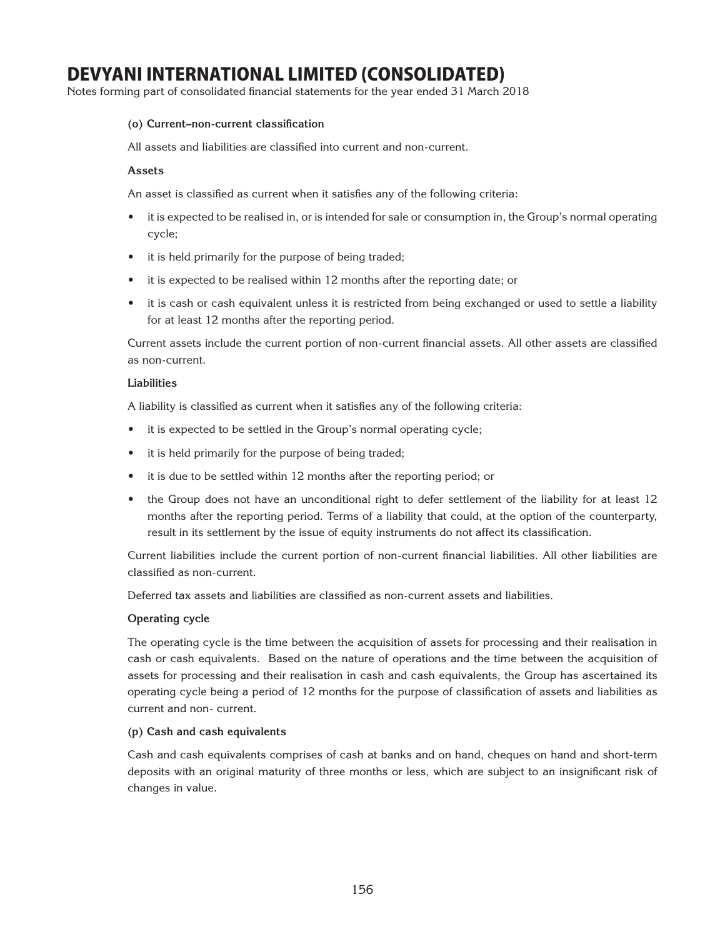Notes forming part of consolidated financial statements for the year ended 31 March 2018

## **(o) Current–non-current classification**

All assets and liabilities are classified into current and non-current.

## **Assets**

An asset is classified as current when it satisfies any of the following criteria:

- it is expected to be realised in, or is intended for sale or consumption in, the Group's normal operating cycle;
- it is held primarily for the purpose of being traded;
- it is expected to be realised within 12 months after the reporting date; or
- it is cash or cash equivalent unless it is restricted from being exchanged or used to settle a liability for at least 12 months after the reporting period.

Current assets include the current portion of non-current financial assets. All other assets are classified as non-current.

## **Liabilities**

A liability is classified as current when it satisfies any of the following criteria:

- it is expected to be settled in the Group's normal operating cycle;
- it is held primarily for the purpose of being traded;
- it is due to be settled within 12 months after the reporting period; or
- the Group does not have an unconditional right to defer settlement of the liability for at least 12 months after the reporting period. Terms of a liability that could, at the option of the counterparty, result in its settlement by the issue of equity instruments do not affect its classification.

Current liabilities include the current portion of non-current financial liabilities. All other liabilities are classified as non-current.

Deferred tax assets and liabilities are classified as non-current assets and liabilities.

## **Operating cycle**

The operating cycle is the time between the acquisition of assets for processing and their realisation in cash or cash equivalents. Based on the nature of operations and the time between the acquisition of assets for processing and their realisation in cash and cash equivalents, the Group has ascertained its operating cycle being a period of 12 months for the purpose of classification of assets and liabilities as current and non- current.

## **(p) Cash and cash equivalents**

Cash and cash equivalents comprises of cash at banks and on hand, cheques on hand and short-term deposits with an original maturity of three months or less, which are subject to an insignificant risk of changes in value.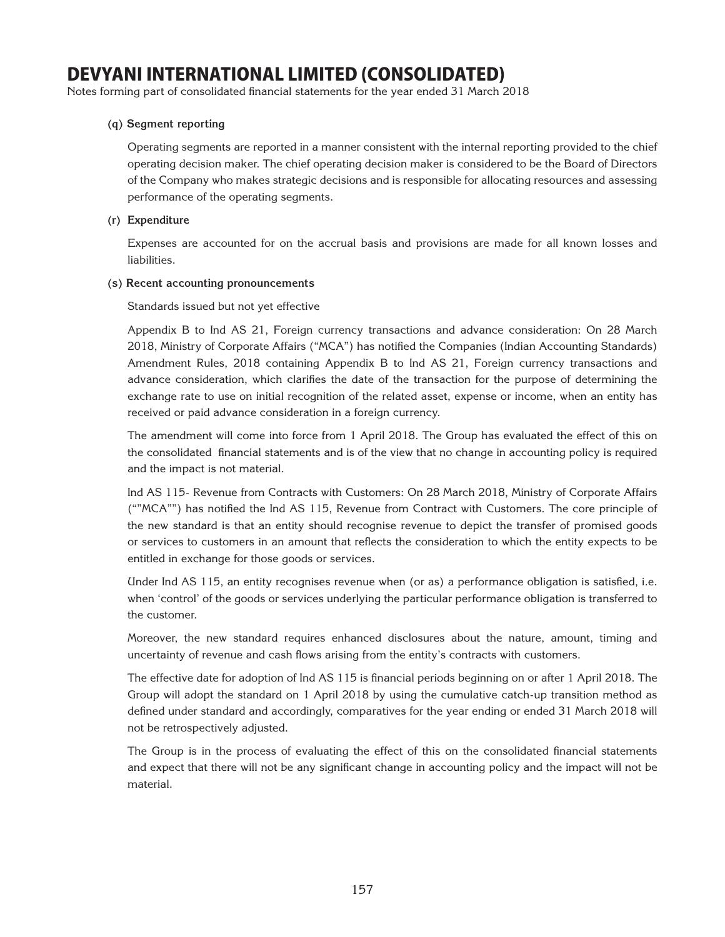Notes forming part of consolidated financial statements for the year ended 31 March 2018

## **(q) Segment reporting**

Operating segments are reported in a manner consistent with the internal reporting provided to the chief operating decision maker. The chief operating decision maker is considered to be the Board of Directors of the Company who makes strategic decisions and is responsible for allocating resources and assessing performance of the operating segments.

## **(r) Expenditure**

Expenses are accounted for on the accrual basis and provisions are made for all known losses and liabilities.

## **(s) Recent accounting pronouncements**

Standards issued but not yet effective

Appendix B to Ind AS 21, Foreign currency transactions and advance consideration: On 28 March 2018, Ministry of Corporate Affairs ("MCA") has notified the Companies (Indian Accounting Standards) Amendment Rules, 2018 containing Appendix B to Ind AS 21, Foreign currency transactions and advance consideration, which clarifies the date of the transaction for the purpose of determining the exchange rate to use on initial recognition of the related asset, expense or income, when an entity has received or paid advance consideration in a foreign currency.

The amendment will come into force from 1 April 2018. The Group has evaluated the effect of this on the consolidated financial statements and is of the view that no change in accounting policy is required and the impact is not material.

Ind AS 115- Revenue from Contracts with Customers: On 28 March 2018, Ministry of Corporate Affairs (""MCA"") has notified the Ind AS 115, Revenue from Contract with Customers. The core principle of the new standard is that an entity should recognise revenue to depict the transfer of promised goods or services to customers in an amount that reflects the consideration to which the entity expects to be entitled in exchange for those goods or services.

Under Ind AS 115, an entity recognises revenue when (or as) a performance obligation is satisfied, i.e. when 'control' of the goods or services underlying the particular performance obligation is transferred to the customer.

Moreover, the new standard requires enhanced disclosures about the nature, amount, timing and uncertainty of revenue and cash flows arising from the entity's contracts with customers.

The effective date for adoption of Ind AS 115 is financial periods beginning on or after 1 April 2018. The Group will adopt the standard on 1 April 2018 by using the cumulative catch-up transition method as defined under standard and accordingly, comparatives for the year ending or ended 31 March 2018 will not be retrospectively adjusted.

The Group is in the process of evaluating the effect of this on the consolidated financial statements and expect that there will not be any significant change in accounting policy and the impact will not be material.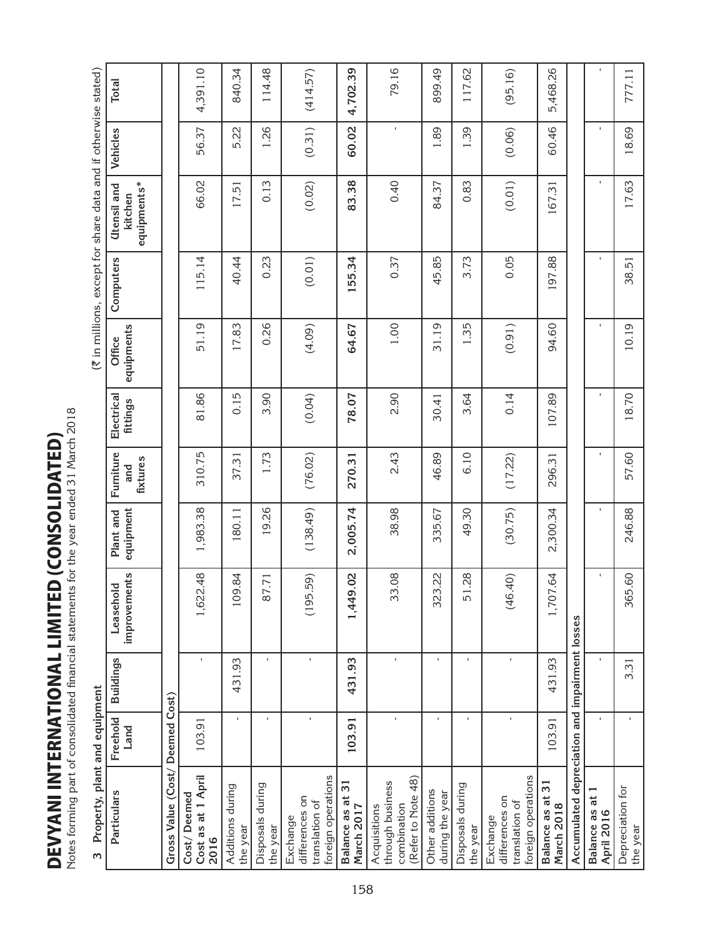**DEVYANI INTERNATIONAL LIMITED (CONSOLIDATED)**<br>Notes forming part of consolidated financial statements for the year ended 31 March 2018 DEVYANI INTERNATIONAL LIMITED (consolidated)

Notes forming part of consolidated financial statements for the year ended 31 March 2018

| ă      |
|--------|
| i<br>i |
| l      |
| l      |
| J<br>c |

| Notes forming part of consolidated financial statements for the year ended 31 March 2018 |                  |                  |                           |                        |                              |                        |                      |           |                                                                |                |              |
|------------------------------------------------------------------------------------------|------------------|------------------|---------------------------|------------------------|------------------------------|------------------------|----------------------|-----------|----------------------------------------------------------------|----------------|--------------|
| Property, plant and equipment<br>w                                                       |                  |                  |                           |                        |                              |                        |                      |           | (₹ in millions, except for share data and if otherwise stated) |                |              |
| Particulars                                                                              | Freehold<br>Land | <b>Buildings</b> | improvements<br>Leasehold | equipment<br>Plant and | Furniture<br>fixtures<br>and | Electrical<br>fittings | equipments<br>Office | Computers | equipments*<br>Utensil and<br>kitchen                          | Vehicles       | <b>Total</b> |
| Gross Value (Cost/ Deemed Cost)                                                          |                  |                  |                           |                        |                              |                        |                      |           |                                                                |                |              |
| Cost as at 1 April<br>Cost/Deemed<br>2016                                                | 103.91           |                  | 1,622.48                  | 1,983.38               | 310.75                       | 81.86                  | 51.19                | 115.14    | 66.02                                                          | 56.37          | 4,391.10     |
| Additions during<br>the year                                                             | $\mathbf{I}$     | 431.93           | 109.84                    | 180.11                 | 37.31                        | 0.15                   | 17.83                | 40.44     | 17.51                                                          | 5.22           | 840.34       |
| Disposals during<br>the year                                                             | $\mathbf{I}$     | $\mathbf{L}$     | 87.71                     | 19.26                  | 1.73                         | 3.90                   | 0.26                 | 0.23      | 0.13                                                           | 1.26           | 114.48       |
| foreign operations<br>differences on<br>translation of<br>Exchange                       | ×.               | $\mathbf{I}$     | .59)<br>(195)             | (138.49)               | (76.02)                      | (0.04)                 | (4.09)               | (0.01)    | (0.02)                                                         | (0.31)         | (414.57)     |
| ω<br>Balance as at<br>March 2017                                                         | 103.91           | 431.93           | 1,449.02                  | 2,005.74               | 270.31                       | 78.07                  | 64.67                | 155.34    | 83.38                                                          | 60.02          | 4,702.39     |
| (Refer to Note 48)<br>through business<br>combination<br>Acquisitions                    | $\mathbf I$      | $\mathbf{r}$     | 33.08                     | 38.98                  | 2.43                         | 2.90                   | 1.00                 | 0.37      | 0.40                                                           | $\blacksquare$ | 79.16        |
| Other additions<br>during the year                                                       | $\mathbf{I}$     | $\mathbf{I}$     | 323.22                    | 335.67                 | 46.89                        | 30.41                  | 31.19                | 45.85     | 84.37                                                          | 1.89           | 899.49       |
| Disposals during<br>the year                                                             | $\mathbf{I}$     |                  | 51.28                     | 49.30                  | 6.10                         | 3.64                   | 1.35                 | 3.73      | 0.83                                                           | 1.39           | 117.62       |
| foreign operations<br>differences on<br>translation of<br>Exchange                       | $\mathbf I$      | I.               | (0 <sup>b</sup> )<br>(46) | (30.75)                | (17.22)                      | 0.14                   | (0.91)               | 0.05      | (0.01)                                                         | (0.06)         | (95.16)      |
| ω<br>Balance as at 3<br>March 2018                                                       | 103.91           | 431.93           | 1,707.64                  | 2,300.34               | 296.31                       | 107.89                 | 94.60                | 197.88    | 167.31                                                         | 60.46          | 5,468.26     |
| Accumulated depreciation and impairment losses                                           |                  |                  |                           |                        |                              |                        |                      |           |                                                                |                |              |
| đ<br>Balance as<br>April 2016                                                            | $\mathbf{L}$     |                  |                           |                        |                              |                        |                      |           | $\mathbf{I}$                                                   |                |              |
| Depreciation for<br>the year                                                             | $\mathbf{I}$     | 3.31             | 365.60                    | 246.88                 | 57.60                        | 18.70                  | 10.19                | 38.51     | 17.63                                                          | 18.69          | 777.11       |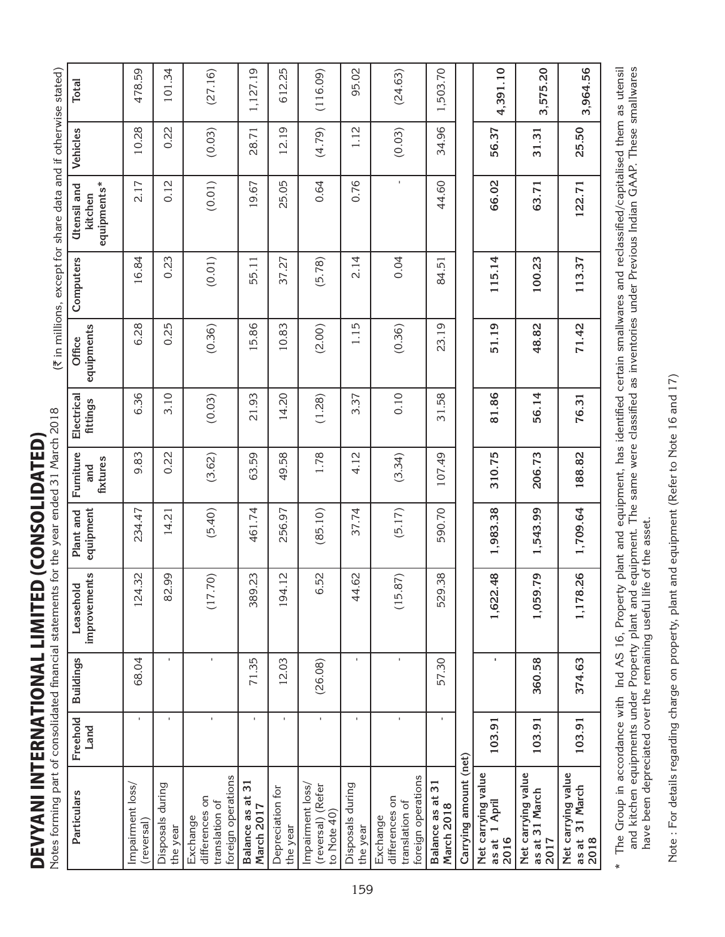Notes forming part of consolidated financial statements for the year ended 31 March 2018 **DEVYANI INTERNATIONAL LIMITED (CONSOLIDATED)** DEVYANI INTERNATIONAL LIMITED (consolidated)

| <b>Total</b>                          | 478.59                        | 101.34                       | (27.16)                                                            | 1,127.19                      | 612.25                       | (116.09)                                             | 95.02                        | (24.63)                                                            | 1,503.70                       |                       | 4,391.10                                       | 3,575.20                                       | 3,964.56                                        |
|---------------------------------------|-------------------------------|------------------------------|--------------------------------------------------------------------|-------------------------------|------------------------------|------------------------------------------------------|------------------------------|--------------------------------------------------------------------|--------------------------------|-----------------------|------------------------------------------------|------------------------------------------------|-------------------------------------------------|
| Vehicles                              | 10.28                         | 0.22                         | (0.03)                                                             | 28.71                         | 12.19                        | (4.79)                                               | 1.12                         | (0.03)                                                             | 34.96                          |                       | 56.37                                          | 31.31                                          | 25.50                                           |
| equipments*<br>Utensil and<br>kitchen | 2.17                          | 0.12                         | (0.01)                                                             | 19.67                         | 25.05                        | 0.64                                                 | 0.76                         | $\mathbf{I}$                                                       | 44.60                          |                       | 66.02                                          | 63.71                                          | 122.71                                          |
| Computers                             | 16.84                         | 0.23                         | (0.01)                                                             | 55.11                         | 37.27                        | (5.78)                                               | 2.14                         | 0.04                                                               | 84.51                          |                       | 115.14                                         | 100.23                                         | 113.37                                          |
| equipments<br>Office                  | 6.28                          | 0.25                         | (0.36)                                                             | 15.86                         | 10.83                        | (2.00)                                               | 1.15                         | (0.36)                                                             | 23.19                          |                       | 51.19                                          | 48.82                                          | 71.42                                           |
| Electrical<br>fittings                | 6.36                          | 3.10                         | (0.03)                                                             | 21.93                         | 14.20                        | (1.28)                                               | 3.37                         | 0.10                                                               | 31.58                          |                       | 81.86                                          | 56.14                                          | 76.31                                           |
| Furniture<br>fixtures<br>and          | 9.83                          | 0.22                         | (3.62)                                                             | 63.59                         | 49.58                        | 1.78                                                 | 4.12                         | (3.34)                                                             | 107.49                         |                       | 310.75                                         | 206.73                                         | 188.82                                          |
| equipment<br>Plant and                | 234.47                        | 14.21                        | (5.40)                                                             | 461.74                        | 256.97                       | (85.10)                                              | 37.74                        | (5.17)                                                             | 590.70                         |                       | 1,983.38                                       | 1,543.99                                       | 1,709.64                                        |
| improvements<br>Leasehold             | 124.32                        | 82.99                        | 70)<br>(17)                                                        | 389.23                        | 194.12                       | 6.52                                                 | 44.62                        | .87)<br>(15.                                                       | 529.38                         |                       | 1,622.48                                       | <b>PZ</b><br>1,059                             | $\frac{26}{ }$<br>1,178                         |
| <b>Buildings</b>                      | 68.04                         | $\mathbf{I}$                 | f,                                                                 | 71.35                         | 12.03                        | (26.08)                                              | $\mathbf{L}$                 | $\mathbf{I}$                                                       | 57.30                          |                       |                                                | 360.58                                         | 374.63                                          |
| Freehold<br>Land                      | $\mathbf{I}$                  | $\mathbf{I}$                 |                                                                    | $\mathbf{I}$                  | $\mathbf{I}$                 | f.                                                   | $\mathbf{I}$                 | $\mathbf{I}$                                                       | $\mathbf{r}$                   |                       | 103.91                                         | 103.91                                         | 103.91                                          |
| <b>Particulars</b>                    | Impairment loss<br>(reversal) | Disposals during<br>the year | foreign operations<br>differences on<br>translation of<br>Exchange | Balance as at 3<br>March 2017 | Depreciation for<br>the year | Impairment loss/<br>(reversal) (Refer<br>to Note 40) | Disposals during<br>the year | foreign operations<br>differences on<br>translation of<br>Exchange | Balance as at 31<br>March 2018 | Carrying amount (net) | Net carrying value<br>1 April<br>as at<br>2016 | Net carrying value<br>as at 31 March<br>$2017$ | Net carrying value<br>31 March<br>as at<br>2018 |

The Group in accordance with Ind AS 16, Property plant and equipment, has identified certain smallwares and reclassified/capitalised them as utensil<br>and kitchen equipments under Property plant and equipment. The same were \* The Group in accordance with Ind AS 16, Property plant and equipment, has identified certain smallwares and reclassified/capitalised them as utensil and kitchen equipments under Property plant and equipment. The same were classified as inventories under Previous Indian GAAP. These smallwares have been depreciated over the remaining useful life of the asset.

Note : For details regarding charge on property, plant and equipment (Refer to Note 16 and 17) Note : For details regarding charge on property, plant and equipment (Refer to Note 16 and 17)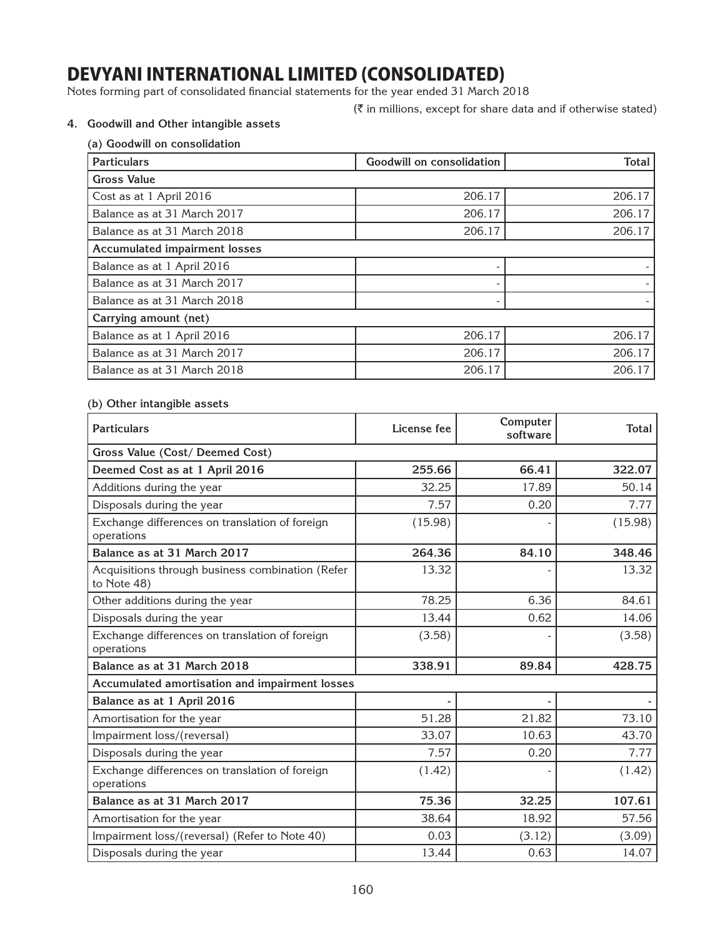Notes forming part of consolidated financial statements for the year ended 31 March 2018

 $(\bar{\tau}$  in millions, except for share data and if otherwise stated)

## **4. Goodwill and Other intangible assets**

| (a) Goodwill on consolidation        |                           |              |
|--------------------------------------|---------------------------|--------------|
| <b>Particulars</b>                   | Goodwill on consolidation | <b>Total</b> |
| <b>Gross Value</b>                   |                           |              |
| Cost as at 1 April 2016              | 206.17                    | 206.17       |
| Balance as at 31 March 2017          | 206.17                    | 206.17       |
| Balance as at 31 March 2018          | 206.17                    | 206.17       |
| <b>Accumulated impairment losses</b> |                           |              |
| Balance as at 1 April 2016           |                           |              |
| Balance as at 31 March 2017          |                           |              |
| Balance as at 31 March 2018          |                           |              |
| Carrying amount (net)                |                           |              |
| Balance as at 1 April 2016           | 206.17                    | 206.17       |
| Balance as at 31 March 2017          | 206.17                    | 206.17       |
| Balance as at 31 March 2018          | 206.17                    | 206.17       |

## **(b) Other intangible assets**

| <b>Particulars</b>                                              | License fee | Computer<br>software | Total   |
|-----------------------------------------------------------------|-------------|----------------------|---------|
| Gross Value (Cost/ Deemed Cost)                                 |             |                      |         |
| Deemed Cost as at 1 April 2016                                  | 255.66      | 66.41                | 322.07  |
| Additions during the year                                       | 32.25       | 17.89                | 50.14   |
| Disposals during the year                                       | 7.57        | 0.20                 | 7.77    |
| Exchange differences on translation of foreign<br>operations    | (15.98)     |                      | (15.98) |
| Balance as at 31 March 2017                                     | 264.36      | 84.10                | 348.46  |
| Acquisitions through business combination (Refer<br>to Note 48) | 13.32       |                      | 13.32   |
| Other additions during the year                                 | 78.25       | 6.36                 | 84.61   |
| Disposals during the year                                       | 13.44       | 0.62                 | 14.06   |
| Exchange differences on translation of foreign<br>operations    | (3.58)      |                      | (3.58)  |
| Balance as at 31 March 2018                                     | 338.91      | 89.84                | 428.75  |
| Accumulated amortisation and impairment losses                  |             |                      |         |
| Balance as at 1 April 2016                                      |             |                      |         |
| Amortisation for the year                                       | 51.28       | 21.82                | 73.10   |
| Impairment loss/(reversal)                                      | 33.07       | 10.63                | 43.70   |
| Disposals during the year                                       | 7.57        | 0.20                 | 7.77    |
| Exchange differences on translation of foreign<br>operations    | (1.42)      |                      | (1.42)  |
| Balance as at 31 March 2017                                     | 75.36       | 32.25                | 107.61  |
| Amortisation for the year                                       | 38.64       | 18.92                | 57.56   |
| Impairment loss/(reversal) (Refer to Note 40)                   | 0.03        | (3.12)               | (3.09)  |
| Disposals during the year                                       | 13.44       | 0.63                 | 14.07   |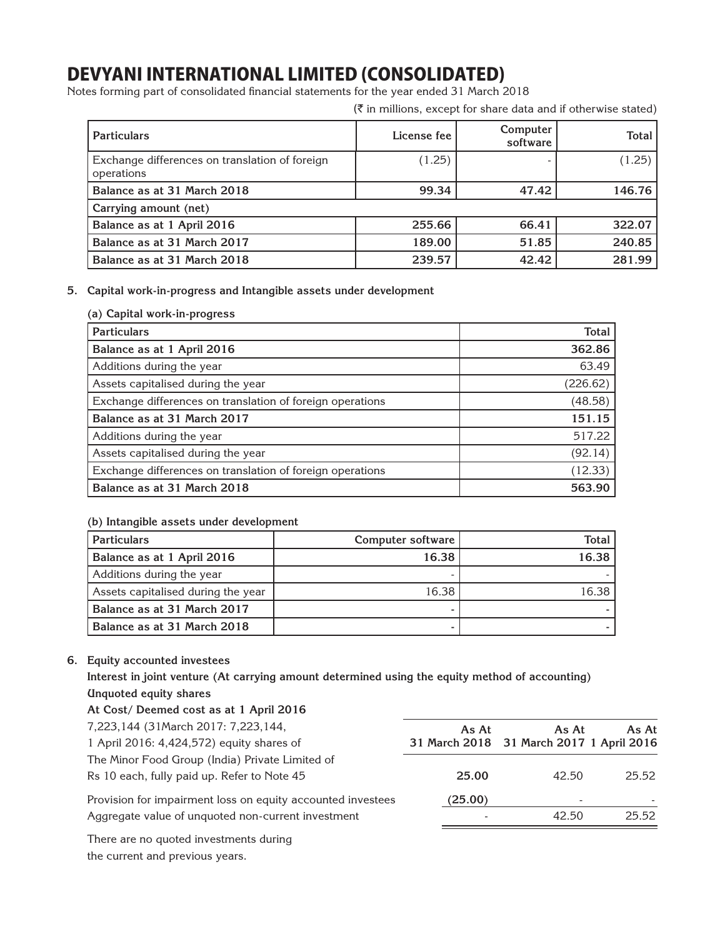Notes forming part of consolidated financial statements for the year ended 31 March 2018

 $(\bar{\tau})$  in millions, except for share data and if otherwise stated)

| <b>Particulars</b>                                           | License fee | Computer<br>software | Total  |
|--------------------------------------------------------------|-------------|----------------------|--------|
| Exchange differences on translation of foreign<br>operations | (1.25)      |                      | (1.25) |
| Balance as at 31 March 2018                                  | 99.34       | 47.42                | 146.76 |
| Carrying amount (net)                                        |             |                      |        |
| Balance as at 1 April 2016                                   | 255.66      | 66.41                | 322.07 |
| Balance as at 31 March 2017                                  | 189.00      | 51.85                | 240.85 |
| Balance as at 31 March 2018                                  | 239.57      | 42.42                | 281.99 |

## **5. Capital work-in-progress and Intangible assets under development**

## **(a) Capital work-in-progress**

| <b>Particulars</b>                                        | <b>Total</b> |
|-----------------------------------------------------------|--------------|
| Balance as at 1 April 2016                                | 362.86       |
| Additions during the year                                 | 63.49        |
| Assets capitalised during the year                        | (226.62)     |
| Exchange differences on translation of foreign operations | (48.58)      |
| Balance as at 31 March 2017                               | 151.15       |
| Additions during the year                                 | 517.22       |
| Assets capitalised during the year                        | (92.14)      |
| Exchange differences on translation of foreign operations | (12.33)      |
| Balance as at 31 March 2018                               | 563.90       |

## **(b) Intangible assets under development**

| <b>Particulars</b>                 | Computer software | <b>Total</b> |
|------------------------------------|-------------------|--------------|
| Balance as at 1 April 2016         | 16.38             | 16.38        |
| Additions during the year          |                   |              |
| Assets capitalised during the year | 16.38             | 16.38        |
| Balance as at 31 March 2017        |                   |              |
| Balance as at 31 March 2018        |                   |              |

## **6. Equity accounted investees**

**Interest in joint venture (At carrying amount determined using the equity method of accounting) Unquoted equity shares**

| At Cost/ Deemed cost as at 1 April 2016                     |         |                                          |       |
|-------------------------------------------------------------|---------|------------------------------------------|-------|
| 7,223,144 (31March 2017: 7,223,144,                         | As At   | As At                                    | As At |
| 1 April 2016: 4,424,572) equity shares of                   |         | 31 March 2018 31 March 2017 1 April 2016 |       |
| The Minor Food Group (India) Private Limited of             |         |                                          |       |
| Rs 10 each, fully paid up. Refer to Note 45                 | 25.00   | 42.50                                    | 25.52 |
| Provision for impairment loss on equity accounted investees | (25.00) | $\overline{\phantom{0}}$                 |       |
| Aggregate value of unquoted non-current investment          |         | 42.50                                    | 25.52 |
| There are no constant three-the-suite dents of              |         |                                          |       |

There are no quoted investments during the current and previous years.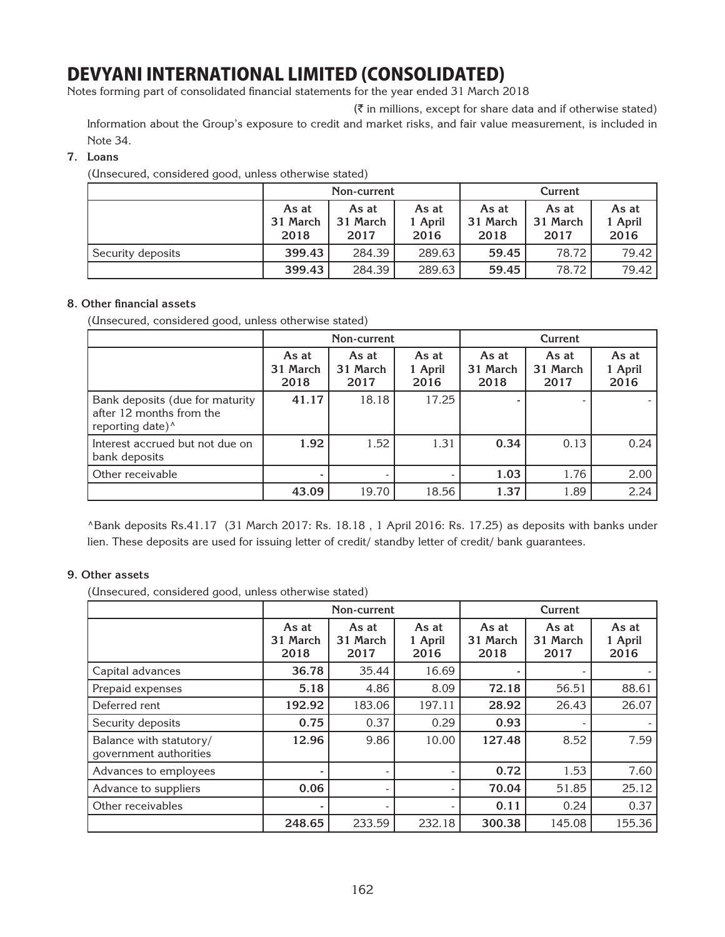Notes forming part of consolidated financial statements for the year ended 31 March 2018

 $(\bar{\tau})$  in millions, except for share data and if otherwise stated)

Information about the Group's exposure to credit and market risks, and fair value measurement, is included in Note 34.

## **7. Loans**

(Unsecured, considered good, unless otherwise stated)

|                   |                           | Non-current               |                          | Current                   |                           |                          |  |
|-------------------|---------------------------|---------------------------|--------------------------|---------------------------|---------------------------|--------------------------|--|
|                   | As at<br>31 March<br>2018 | As at<br>31 March<br>2017 | As at<br>1 April<br>2016 | As at<br>31 March<br>2018 | As at<br>31 March<br>2017 | As at<br>1 April<br>2016 |  |
| Security deposits | 399.43                    | 284.39                    | 289.63                   | 59.45                     | 78.72                     | 79.42                    |  |
|                   | 399.43                    | 284.39                    | 289.63                   | 59.45                     | 78.72                     | 79.42                    |  |

## **8. Other financial assets**

(Unsecured, considered good, unless otherwise stated)

|                                                                                             |                           | Non-current               |                          | Current                   |                           |                          |
|---------------------------------------------------------------------------------------------|---------------------------|---------------------------|--------------------------|---------------------------|---------------------------|--------------------------|
|                                                                                             | As at<br>31 March<br>2018 | As at<br>31 March<br>2017 | As at<br>1 April<br>2016 | As at<br>31 March<br>2018 | As at<br>31 March<br>2017 | As at<br>1 April<br>2016 |
| Bank deposits (due for maturity<br>after 12 months from the<br>reporting date) <sup>^</sup> | 41.17                     | 18.18                     | 17.25                    |                           |                           |                          |
| Interest accrued but not due on<br>bank deposits                                            | 1.92                      | 1.52                      | 1.31                     | 0.34                      | 0.13                      | 0.24                     |
| Other receivable                                                                            |                           |                           |                          | 1.03                      | 1.76                      | 2.00                     |
|                                                                                             | 43.09                     | 19.70                     | 18.56                    | 1.37                      | 1.89                      | 2.24                     |

^Bank deposits Rs.41.17 (31 March 2017: Rs. 18.18 , 1 April 2016: Rs. 17.25) as deposits with banks under lien. These deposits are used for issuing letter of credit/ standby letter of credit/ bank guarantees.

## **9. Other assets**

(Unsecured, considered good, unless otherwise stated)

|                                                   |                           | Non-current               |                          |                           | Current                   |                          |  |
|---------------------------------------------------|---------------------------|---------------------------|--------------------------|---------------------------|---------------------------|--------------------------|--|
|                                                   | As at<br>31 March<br>2018 | As at<br>31 March<br>2017 | As at<br>1 April<br>2016 | As at<br>31 March<br>2018 | As at<br>31 March<br>2017 | As at<br>1 April<br>2016 |  |
| Capital advances                                  | 36.78                     | 35.44                     | 16.69                    |                           |                           |                          |  |
| Prepaid expenses                                  | 5.18                      | 4.86                      | 8.09                     | 72.18                     | 56.51                     | 88.61                    |  |
| Deferred rent                                     | 192.92                    | 183.06                    | 197.11                   | 28.92                     | 26.43                     | 26.07                    |  |
| Security deposits                                 | 0.75                      | 0.37                      | 0.29                     | 0.93                      |                           |                          |  |
| Balance with statutory/<br>government authorities | 12.96                     | 9.86                      | 10.00                    | 127.48                    | 8.52                      | 7.59                     |  |
| Advances to employees                             |                           |                           |                          | 0.72                      | 1.53                      | 7.60                     |  |
| Advance to suppliers                              | 0.06                      |                           |                          | 70.04                     | 51.85                     | 25.12                    |  |
| Other receivables                                 |                           |                           |                          | 0.11                      | 0.24                      | 0.37                     |  |
|                                                   | 248.65                    | 233.59                    | 232.18                   | 300.38                    | 145.08                    | 155.36                   |  |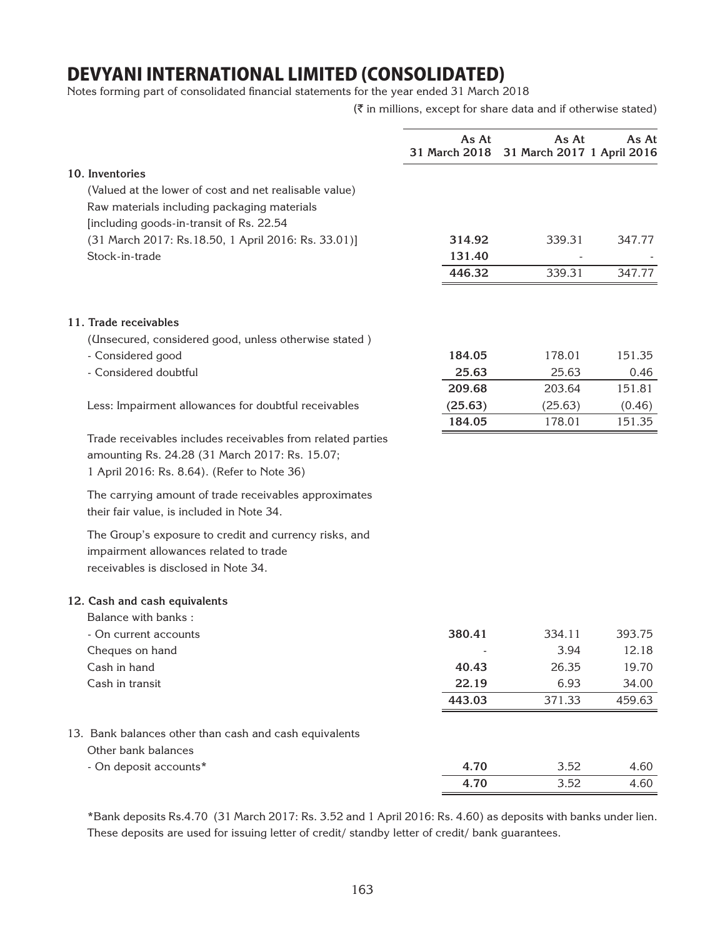Notes forming part of consolidated financial statements for the year ended 31 March 2018

 $(\bar{\tau}$  in millions, except for share data and if otherwise stated)

|                                                                                                                                                              | As At<br>31 March 2018 | As At<br>31 March 2017 1 April 2016 | As At            |
|--------------------------------------------------------------------------------------------------------------------------------------------------------------|------------------------|-------------------------------------|------------------|
| 10. Inventories<br>(Valued at the lower of cost and net realisable value)                                                                                    |                        |                                     |                  |
| Raw materials including packaging materials<br>[including goods-in-transit of Rs. 22.54                                                                      |                        |                                     |                  |
| (31 March 2017: Rs.18.50, 1 April 2016: Rs. 33.01)]                                                                                                          | 314.92                 | 339.31                              | 347.77           |
| Stock-in-trade                                                                                                                                               | 131.40<br>446.32       | 339.31                              | 347.77           |
| 11. Trade receivables                                                                                                                                        |                        |                                     |                  |
| (Unsecured, considered good, unless otherwise stated)                                                                                                        |                        |                                     |                  |
| - Considered good                                                                                                                                            | 184.05                 | 178.01                              | 151.35           |
| - Considered doubtful                                                                                                                                        | 25.63                  | 25.63                               | 0.46             |
|                                                                                                                                                              | 209.68                 | 203.64                              | 151.81           |
| Less: Impairment allowances for doubtful receivables                                                                                                         | (25.63)<br>184.05      | (25.63)<br>178.01                   | (0.46)<br>151.35 |
| Trade receivables includes receivables from related parties<br>amounting Rs. 24.28 (31 March 2017: Rs. 15.07;<br>1 April 2016: Rs. 8.64). (Refer to Note 36) |                        |                                     |                  |
| The carrying amount of trade receivables approximates<br>their fair value, is included in Note 34.                                                           |                        |                                     |                  |
| The Group's exposure to credit and currency risks, and<br>impairment allowances related to trade<br>receivables is disclosed in Note 34.                     |                        |                                     |                  |
| 12. Cash and cash equivalents                                                                                                                                |                        |                                     |                  |
| Balance with banks:                                                                                                                                          |                        |                                     |                  |
| - On current accounts                                                                                                                                        | 380.41                 | 334.11                              | 393.75           |
| Cheques on hand                                                                                                                                              |                        | 3.94                                | 12.18            |
| Cash in hand<br>Cash in transit                                                                                                                              | 40.43<br>22.19         | 26.35<br>6.93                       | 19.70<br>34.00   |
|                                                                                                                                                              | 443.03                 | 371.33                              | 459.63           |
|                                                                                                                                                              |                        |                                     |                  |
| 13. Bank balances other than cash and cash equivalents<br>Other bank balances                                                                                |                        |                                     |                  |
| - On deposit accounts*                                                                                                                                       | 4.70                   | 3.52                                | 4.60             |
|                                                                                                                                                              | 4.70                   | 3.52                                | 4.60             |
|                                                                                                                                                              |                        |                                     |                  |

\*Bank deposits Rs.4.70 (31 March 2017: Rs. 3.52 and 1 April 2016: Rs. 4.60) as deposits with banks under lien. These deposits are used for issuing letter of credit/ standby letter of credit/ bank guarantees.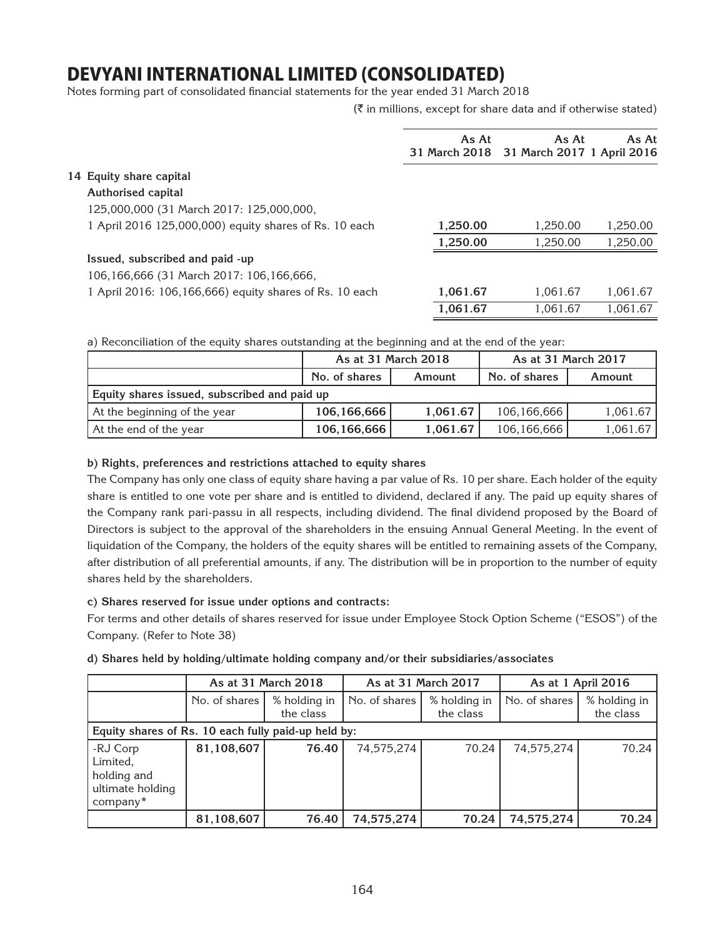Notes forming part of consolidated financial statements for the year ended 31 March 2018

 $(\bar{\bar{\zeta}})$  in millions, except for share data and if otherwise stated)

|                                                         | As At<br>As At |                                          | As At    |  |
|---------------------------------------------------------|----------------|------------------------------------------|----------|--|
|                                                         |                | 31 March 2018 31 March 2017 1 April 2016 |          |  |
| 14 Equity share capital                                 |                |                                          |          |  |
| Authorised capital                                      |                |                                          |          |  |
| 125,000,000 (31 March 2017: 125,000,000,                |                |                                          |          |  |
| 1 April 2016 125,000,000) equity shares of Rs. 10 each  | 1,250.00       | 1.250.00                                 | 1,250.00 |  |
|                                                         | 1,250.00       | 1.250.00                                 | 1,250.00 |  |
| Issued, subscribed and paid -up                         |                |                                          |          |  |
| 106,166,666 (31 March 2017: 106,166,666,                |                |                                          |          |  |
| 1 April 2016: 106,166,666) equity shares of Rs. 10 each | 1,061.67       | 1.061.67                                 | 1.061.67 |  |
|                                                         | 1.061.67       | 1,061.67                                 | 1.061.67 |  |
|                                                         |                |                                          |          |  |

a) Reconciliation of the equity shares outstanding at the beginning and at the end of the year:

|                                              | As at 31 March 2018 |          | As at 31 March 2017 |          |  |  |
|----------------------------------------------|---------------------|----------|---------------------|----------|--|--|
|                                              | No. of shares       | Amount   | No. of shares       | Amount   |  |  |
| Equity shares issued, subscribed and paid up |                     |          |                     |          |  |  |
| At the beginning of the year                 | 106,166,666         | 1.061.67 | 106,166,666         | 1,061.67 |  |  |
| At the end of the year                       | 106,166,666         | 1,061.67 | 106,166,666         | 1,061.67 |  |  |

## **b) Rights, preferences and restrictions attached to equity shares**

The Company has only one class of equity share having a par value of Rs. 10 per share. Each holder of the equity share is entitled to one vote per share and is entitled to dividend, declared if any. The paid up equity shares of the Company rank pari-passu in all respects, including dividend. The final dividend proposed by the Board of Directors is subject to the approval of the shareholders in the ensuing Annual General Meeting. In the event of liquidation of the Company, the holders of the equity shares will be entitled to remaining assets of the Company, after distribution of all preferential amounts, if any. The distribution will be in proportion to the number of equity shares held by the shareholders.

## **c) Shares reserved for issue under options and contracts:**

For terms and other details of shares reserved for issue under Employee Stock Option Scheme ("ESOS") of the Company. (Refer to Note 38)

|  |  |  |  |  |  | d) Shares held by holding/ultimate holding company and/or their subsidiaries/associates |
|--|--|--|--|--|--|-----------------------------------------------------------------------------------------|
|--|--|--|--|--|--|-----------------------------------------------------------------------------------------|

|                                                                     |               | As at 31 March 2018<br>As at 31 March 2017<br>As at 1 April 2016 |               |                           |               |                           |
|---------------------------------------------------------------------|---------------|------------------------------------------------------------------|---------------|---------------------------|---------------|---------------------------|
|                                                                     | No. of shares | % holding in<br>the class                                        | No. of shares | % holding in<br>the class | No. of shares | % holding in<br>the class |
| Equity shares of Rs. 10 each fully paid-up held by:                 |               |                                                                  |               |                           |               |                           |
| -RJ Corp<br>Limited,<br>holding and<br>ultimate holding<br>company* | 81,108,607    | 76.40                                                            | 74,575,274    | 70.24                     | 74,575,274    | 70.24                     |
|                                                                     | 81,108,607    | 76.40                                                            | 74,575,274    | 70.24                     | 74,575,274    | 70.24                     |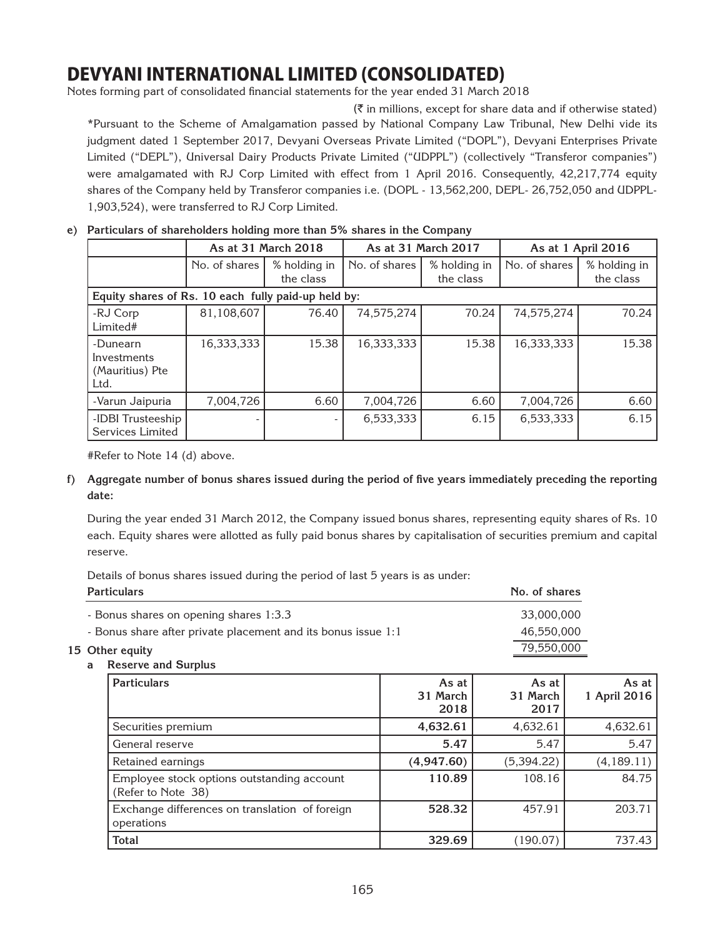Notes forming part of consolidated financial statements for the year ended 31 March 2018

 $(\bar{\tau})$  in millions, except for share data and if otherwise stated) \*Pursuant to the Scheme of Amalgamation passed by National Company Law Tribunal, New Delhi vide its judgment dated 1 September 2017, Devyani Overseas Private Limited ("DOPL"), Devyani Enterprises Private Limited ("DEPL"), Universal Dairy Products Private Limited ("UDPPL") (collectively "Transferor companies") were amalgamated with RJ Corp Limited with effect from 1 April 2016. Consequently, 42,217,774 equity shares of the Company held by Transferor companies i.e. (DOPL - 13,562,200, DEPL- 26,752,050 and UDPPL-1,903,524), were transferred to RJ Corp Limited.

|                                                     |               | As at 31 March 2018       |               | As at 31 March 2017       |               | As at 1 April 2016        |
|-----------------------------------------------------|---------------|---------------------------|---------------|---------------------------|---------------|---------------------------|
|                                                     | No. of shares | % holding in<br>the class | No. of shares | % holding in<br>the class | No. of shares | % holding in<br>the class |
| Equity shares of Rs. 10 each fully paid-up held by: |               |                           |               |                           |               |                           |
| -RJ Corp<br>Limited#                                | 81,108,607    | 76.40                     | 74,575,274    | 70.24                     | 74,575,274    | 70.24                     |
| -Dunearn<br>Investments<br>(Mauritius) Pte<br>Ltd.  | 16,333,333    | 15.38                     | 16,333,333    | 15.38                     | 16,333,333    | 15.38                     |
| -Varun Jaipuria                                     | 7,004,726     | 6.60                      | 7,004,726     | 6.60                      | 7,004,726     | 6.60                      |
| -IDBI Trusteeship<br>Services Limited               | ۰             |                           | 6,533,333     | 6.15                      | 6,533,333     | 6.15                      |

## **e) Particulars of shareholders holding more than 5% shares in the Company**

#Refer to Note 14 (d) above.

**f) Aggregate number of bonus shares issued during the period of five years immediately preceding the reporting date:**

 During the year ended 31 March 2012, the Company issued bonus shares, representing equity shares of Rs. 10 each. Equity shares were allotted as fully paid bonus shares by capitalisation of securities premium and capital reserve.

Details of bonus shares issued during the period of last 5 years is as under:

| <b>Particulars</b>                                            | No. of shares |
|---------------------------------------------------------------|---------------|
| - Bonus shares on opening shares 1:3.3                        | 33,000,000    |
| - Bonus share after private placement and its bonus issue 1:1 | 46.550.000    |
| 15 Other equity                                               | 79,550,000    |

**a Reserve and Surplus**

| <b>Particulars</b>                                               | As at<br>31 March<br>2018 | As at<br>31 March<br>2017 | As at<br>1 April 2016 |
|------------------------------------------------------------------|---------------------------|---------------------------|-----------------------|
| Securities premium                                               | 4,632.61                  | 4,632.61                  | 4,632.61              |
| General reserve                                                  | 5.47                      | 5.47                      | 5.47                  |
| Retained earnings                                                | (4,947.60)                | (5,394.22)                | (4, 189.11)           |
| Employee stock options outstanding account<br>(Refer to Note 38) | 110.89                    | 108.16                    | 84.75                 |
| Exchange differences on translation of foreign<br>operations     | 528.32                    | 457.91                    | 203.71                |
| <b>Total</b>                                                     | 329.69                    | (190.07)                  | 737.43                |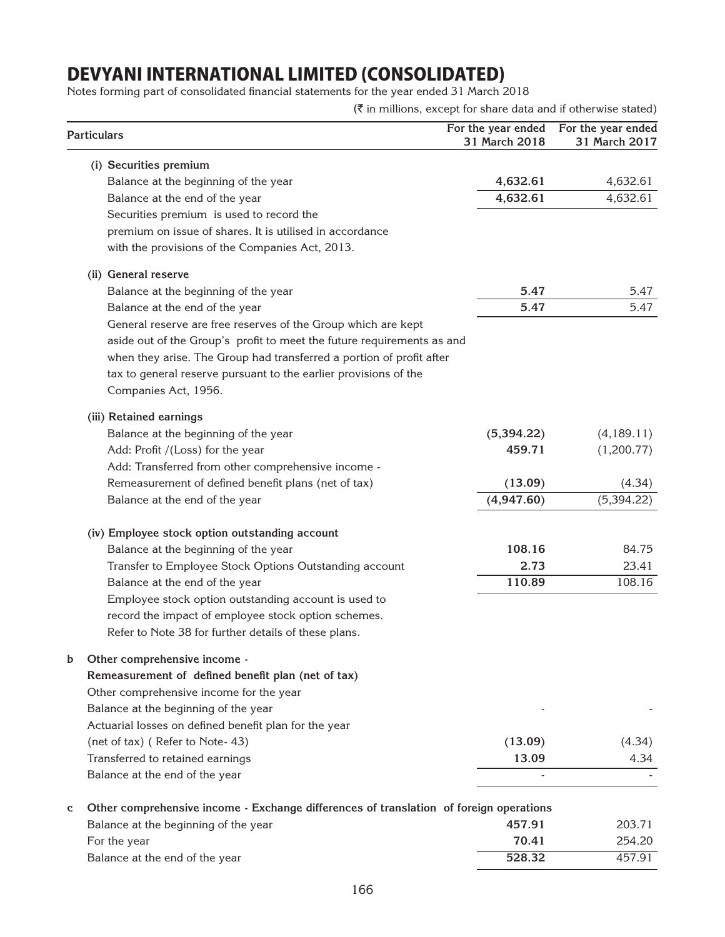Notes forming part of consolidated financial statements for the year ended 31 March 2018

| Particulars                                                                                 | For the year ended<br>31 March 2018 | For the year ended<br>31 March 2017 |  |
|---------------------------------------------------------------------------------------------|-------------------------------------|-------------------------------------|--|
| (i) Securities premium                                                                      |                                     |                                     |  |
| Balance at the beginning of the year                                                        | 4,632.61                            | 4,632.61                            |  |
| Balance at the end of the year                                                              | 4,632.61                            | 4,632.61                            |  |
| Securities premium is used to record the                                                    |                                     |                                     |  |
| premium on issue of shares. It is utilised in accordance                                    |                                     |                                     |  |
| with the provisions of the Companies Act, 2013.                                             |                                     |                                     |  |
| (ii) General reserve                                                                        |                                     |                                     |  |
| Balance at the beginning of the year                                                        | 5.47                                | 5.47                                |  |
| Balance at the end of the year                                                              | 5.47                                | 5.47                                |  |
| General reserve are free reserves of the Group which are kept                               |                                     |                                     |  |
| aside out of the Group's profit to meet the future requirements as and                      |                                     |                                     |  |
| when they arise. The Group had transferred a portion of profit after                        |                                     |                                     |  |
| tax to general reserve pursuant to the earlier provisions of the                            |                                     |                                     |  |
| Companies Act, 1956.                                                                        |                                     |                                     |  |
| (iii) Retained earnings                                                                     |                                     |                                     |  |
| Balance at the beginning of the year                                                        | (5,394.22)                          | (4, 189.11)                         |  |
| Add: Profit /(Loss) for the year                                                            | 459.71                              | (1,200.77)                          |  |
| Add: Transferred from other comprehensive income -                                          |                                     |                                     |  |
| Remeasurement of defined benefit plans (net of tax)                                         | (13.09)                             | (4.34)                              |  |
| Balance at the end of the year                                                              | (4,947.60)                          | (5,394.22)                          |  |
| (iv) Employee stock option outstanding account                                              |                                     |                                     |  |
| Balance at the beginning of the year                                                        | 108.16                              | 84.75                               |  |
| Transfer to Employee Stock Options Outstanding account                                      | 2.73                                | 23.41                               |  |
| Balance at the end of the year                                                              | 110.89                              | 108.16                              |  |
| Employee stock option outstanding account is used to                                        |                                     |                                     |  |
| record the impact of employee stock option schemes.                                         |                                     |                                     |  |
| Refer to Note 38 for further details of these plans.                                        |                                     |                                     |  |
| b<br>Other comprehensive income -                                                           |                                     |                                     |  |
| Remeasurement of defined benefit plan (net of tax)                                          |                                     |                                     |  |
| Other comprehensive income for the year                                                     |                                     |                                     |  |
| Balance at the beginning of the year                                                        |                                     |                                     |  |
| Actuarial losses on defined benefit plan for the year                                       |                                     |                                     |  |
| (net of tax) (Refer to Note-43)                                                             | (13.09)                             | (4.34)                              |  |
| Transferred to retained earnings                                                            | 13.09                               | 4.34                                |  |
| Balance at the end of the year                                                              |                                     |                                     |  |
| Other comprehensive income - Exchange differences of translation of foreign operations<br>C |                                     |                                     |  |

| <u>Uther comprendibite income - Exchange unicrences or translation or foreign operations</u> |        |        |
|----------------------------------------------------------------------------------------------|--------|--------|
| Balance at the beginning of the year                                                         | 457.91 | 203.71 |
| For the year                                                                                 | 70.41  | 254.20 |
| Balance at the end of the year                                                               | 528.32 | 457.91 |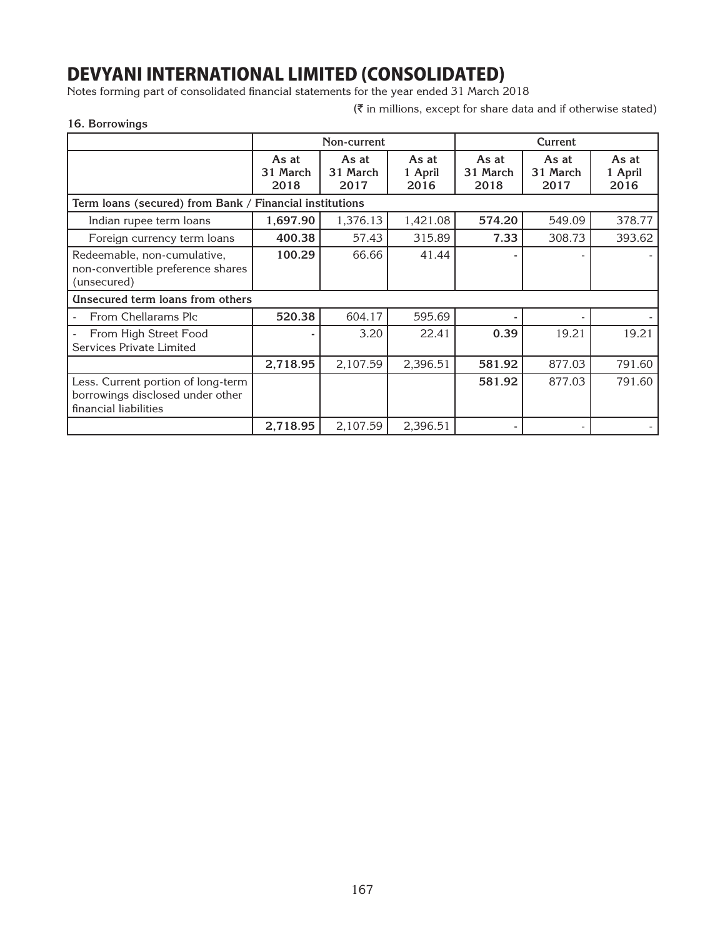Notes forming part of consolidated financial statements for the year ended 31 March 2018

 $(\bar{\tau})$  in millions, except for share data and if otherwise stated)

## **16. Borrowings**

|             | The manufacturer of the course and the model which wise stated to |
|-------------|-------------------------------------------------------------------|
| Non-current | Current                                                           |

|                                                                                                 |                           | Non-current               |                          | Current                   |                           |                          |
|-------------------------------------------------------------------------------------------------|---------------------------|---------------------------|--------------------------|---------------------------|---------------------------|--------------------------|
|                                                                                                 | As at<br>31 March<br>2018 | As at<br>31 March<br>2017 | As at<br>1 April<br>2016 | As at<br>31 March<br>2018 | As at<br>31 March<br>2017 | As at<br>1 April<br>2016 |
| Term loans (secured) from Bank / Financial institutions                                         |                           |                           |                          |                           |                           |                          |
| Indian rupee term loans                                                                         | 1,697.90                  | 1,376.13                  | 1,421.08                 | 574.20                    | 549.09                    | 378.77                   |
| Foreign currency term loans                                                                     | 400.38                    | 57.43                     | 315.89                   | 7.33                      | 308.73                    | 393.62                   |
| Redeemable, non-cumulative,<br>non-convertible preference shares<br>(unsecured)                 | 100.29                    | 66.66                     | 41.44                    |                           |                           |                          |
| <b>Unsecured term loans from others</b>                                                         |                           |                           |                          |                           |                           |                          |
| From Chellarams Plc                                                                             | 520.38                    | 604.17                    | 595.69                   |                           |                           |                          |
| From High Street Food<br>Services Private Limited                                               |                           | 3.20                      | 22.41                    | 0.39                      | 19.21                     | 19.21                    |
|                                                                                                 | 2,718.95                  | 2,107.59                  | 2,396.51                 | 581.92                    | 877.03                    | 791.60                   |
| Less. Current portion of long-term<br>borrowings disclosed under other<br>financial liabilities |                           |                           |                          | 581.92                    | 877.03                    | 791.60                   |
|                                                                                                 | 2,718.95                  | 2,107.59                  | 2,396.51                 |                           |                           |                          |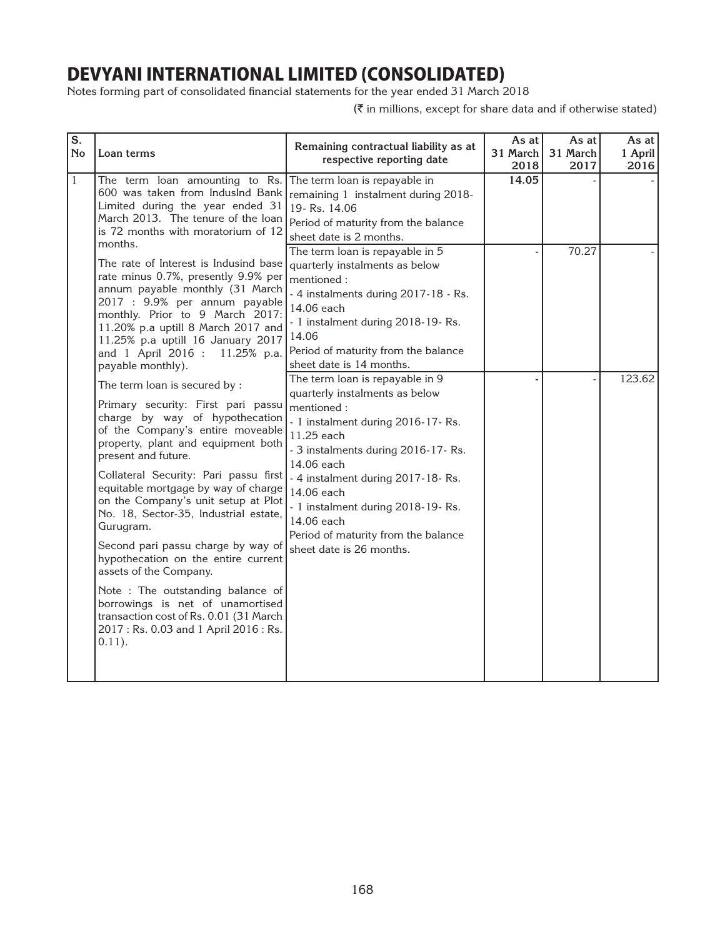Notes forming part of consolidated financial statements for the year ended 31 March 2018

| $\overline{\mathbf{s}}$ .<br><b>No</b> | Loan terms                                                                                                                                                                                                                                                                                                                                                                                                                                                                                                                                                                                                                                                        | Remaining contractual liability as at<br>respective reporting date                                                                                                                                                                                                                                                                                              | As at<br>31 March<br>2018 | As at<br>31 March<br>2017 | As at<br>1 April<br>2016 |
|----------------------------------------|-------------------------------------------------------------------------------------------------------------------------------------------------------------------------------------------------------------------------------------------------------------------------------------------------------------------------------------------------------------------------------------------------------------------------------------------------------------------------------------------------------------------------------------------------------------------------------------------------------------------------------------------------------------------|-----------------------------------------------------------------------------------------------------------------------------------------------------------------------------------------------------------------------------------------------------------------------------------------------------------------------------------------------------------------|---------------------------|---------------------------|--------------------------|
| $\mathbf{1}$                           | The term loan amounting to Rs.<br>600 was taken from IndusInd Bank<br>Limited during the year ended 31<br>March 2013. The tenure of the loan<br>is 72 months with moratorium of 12<br>months.                                                                                                                                                                                                                                                                                                                                                                                                                                                                     | The term loan is repayable in<br>remaining 1 instalment during 2018-<br>19-Rs. 14.06<br>Period of maturity from the balance<br>sheet date is 2 months.<br>The term loan is repayable in 5                                                                                                                                                                       | 14.05                     | 70.27                     |                          |
|                                        | The rate of Interest is Indusind base<br>rate minus 0.7%, presently 9.9% per<br>annum payable monthly (31 March<br>2017 : 9.9% per annum payable<br>monthly. Prior to 9 March 2017:<br>11.20% p.a uptill 8 March 2017 and<br>11.25% p.a uptill 16 January 2017<br>and 1 April 2016 : 11.25% p.a.<br>payable monthly).                                                                                                                                                                                                                                                                                                                                             | quarterly instalments as below<br>mentioned:<br>- 4 instalments during 2017-18 - Rs.<br>14.06 each<br>- 1 instalment during 2018-19-Rs.<br>14.06<br>Period of maturity from the balance<br>sheet date is 14 months.                                                                                                                                             |                           |                           |                          |
|                                        | The term loan is secured by :<br>Primary security: First pari passu<br>charge by way of hypothecation<br>of the Company's entire moveable<br>property, plant and equipment both<br>present and future.<br>Collateral Security: Pari passu first<br>equitable mortgage by way of charge<br>on the Company's unit setup at Plot<br>No. 18, Sector-35, Industrial estate,<br>Gurugram.<br>Second pari passu charge by way of<br>hypothecation on the entire current<br>assets of the Company.<br>Note : The outstanding balance of<br>borrowings is net of unamortised<br>transaction cost of Rs. 0.01 (31 March<br>2017: Rs. 0.03 and 1 April 2016: Rs.<br>$0.11$ . | The term loan is repayable in 9<br>quarterly instalments as below<br>mentioned:<br>- 1 instalment during 2016-17-Rs.<br>11.25 each<br>- 3 instalments during 2016-17-Rs.<br>14.06 each<br>- 4 instalment during 2017-18-Rs.<br>14.06 each<br>- 1 instalment during 2018-19-Rs.<br>14.06 each<br>Period of maturity from the balance<br>sheet date is 26 months. |                           |                           | 123.62                   |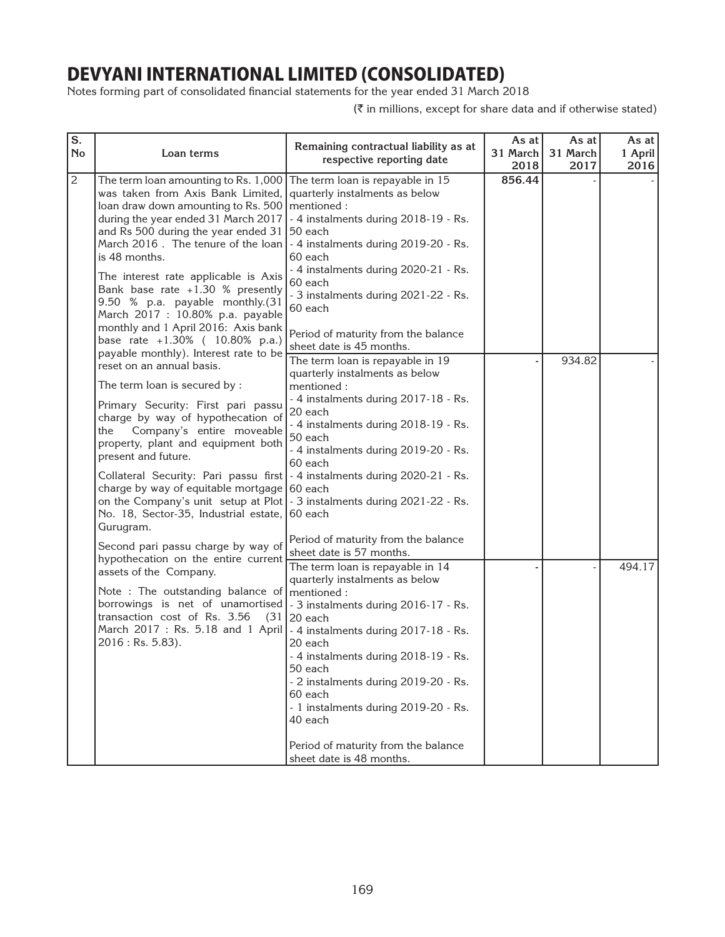Notes forming part of consolidated financial statements for the year ended 31 March 2018

| S.<br><b>No</b> | Loan terms                                                                                                                                                                                                                                                                                                                                                                                                                                                                                                                                                                     | Remaining contractual liability as at<br>respective reporting date                                                                                                                                                                                                                                                                                                                      | As at<br>31 March<br>2018 | As at<br>31 March<br>2017 | As at<br>1 April<br>2016 |
|-----------------|--------------------------------------------------------------------------------------------------------------------------------------------------------------------------------------------------------------------------------------------------------------------------------------------------------------------------------------------------------------------------------------------------------------------------------------------------------------------------------------------------------------------------------------------------------------------------------|-----------------------------------------------------------------------------------------------------------------------------------------------------------------------------------------------------------------------------------------------------------------------------------------------------------------------------------------------------------------------------------------|---------------------------|---------------------------|--------------------------|
| $\mathbf{2}$    | The term loan amounting to Rs. 1,000 The term loan is repayable in $15$<br>was taken from Axis Bank Limited,<br>loan draw down amounting to Rs. 500   mentioned :<br>during the year ended 31 March 2017<br>and Rs 500 during the year ended 31<br>March 2016. The tenure of the loan<br>is 48 months.<br>The interest rate applicable is Axis<br>Bank base rate $+1.30$ % presently<br>9.50 % p.a. payable monthly.(31<br>March 2017 : 10.80% p.a. payable<br>monthly and 1 April 2016: Axis bank<br>base rate +1.30% ( 10.80% p.a.)<br>payable monthly). Interest rate to be | quarterly instalments as below<br>- 4 instalments during 2018-19 - Rs.<br>50 each<br>- 4 instalments during 2019-20 - Rs.<br>60 each<br>- 4 instalments during 2020-21 - Rs.<br>60 each<br>- 3 instalments during 2021-22 - Rs.<br>60 each<br>Period of maturity from the balance<br>sheet date is 45 months.                                                                           | 856.44                    |                           |                          |
|                 | reset on an annual basis.<br>The term loan is secured by :<br>Primary Security: First pari passu<br>charge by way of hypothecation of<br>Company's entire moveable<br>the<br>property, plant and equipment both<br>present and future.<br>Collateral Security: Pari passu first   - 4 instalments during 2020-21 - Rs.<br>charge by way of equitable mortgage 60 each<br>on the Company's unit setup at Plot   - 3 instalments during 2021-22 - Rs.<br>No. 18, Sector-35, Industrial estate, 60 each<br>Gurugram.                                                              | The term loan is repayable in 19<br>quarterly instalments as below<br>mentioned:<br>- 4 instalments during 2017-18 - Rs.<br>20 each<br>- 4 instalments during 2018-19 - Rs.<br>50 each<br>- 4 instalments during 2019-20 - Rs.<br>60 each                                                                                                                                               |                           | 934.82                    |                          |
|                 | Second pari passu charge by way of<br>hypothecation on the entire current<br>assets of the Company.<br>Note : The outstanding balance of mentioned :<br>borrowings is net of unamortised   - 3 instalments during 2016-17 - Rs.<br>transaction cost of Rs. 3.56<br>(31)<br>March 2017: Rs. 5.18 and 1 April   - 4 instalments during 2017-18 - Rs.<br>$2016$ : Rs. 5.83).                                                                                                                                                                                                      | Period of maturity from the balance<br>sheet date is 57 months.<br>The term loan is repayable in 14<br>quarterly instalments as below<br>20 each<br>20 each<br>- 4 instalments during 2018-19 - Rs.<br>50 each<br>- 2 instalments during 2019-20 - Rs.<br>60 each<br>- 1 instalments during 2019-20 - Rs.<br>40 each<br>Period of maturity from the balance<br>sheet date is 48 months. |                           |                           | 494.17                   |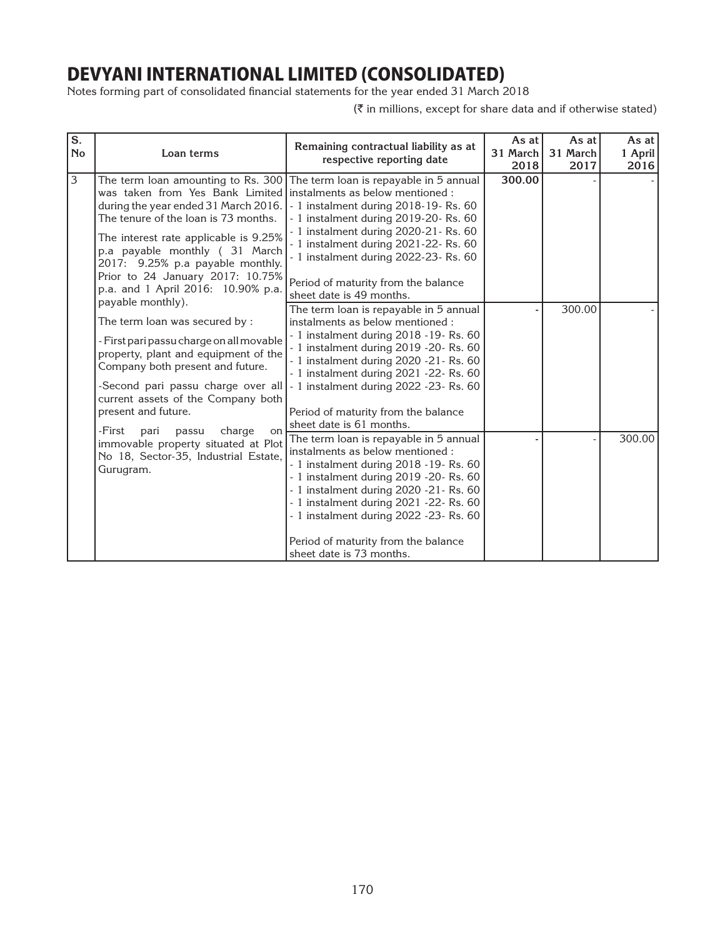Notes forming part of consolidated financial statements for the year ended 31 March 2018

| S.<br><b>No</b> | Loan terms                                                                                                                                                                                                                                                                                                                                                                     | Remaining contractual liability as at<br>respective reporting date                                                                                                                                                                                                                                                                                                        | As at<br>31 March<br>2018 | As at<br>31 March<br>2017 | As at<br>1 April<br>2016 |
|-----------------|--------------------------------------------------------------------------------------------------------------------------------------------------------------------------------------------------------------------------------------------------------------------------------------------------------------------------------------------------------------------------------|---------------------------------------------------------------------------------------------------------------------------------------------------------------------------------------------------------------------------------------------------------------------------------------------------------------------------------------------------------------------------|---------------------------|---------------------------|--------------------------|
| 3               | The term loan amounting to Rs. 300<br>was taken from Yes Bank Limited instalments as below mentioned :<br>during the year ended 31 March 2016.<br>The tenure of the loan is 73 months.<br>The interest rate applicable is 9.25%<br>p.a payable monthly (31 March<br>2017: 9.25% p.a payable monthly.<br>Prior to 24 January 2017: 10.75%<br>p.a. and 1 April 2016: 10.90% p.a. | The term loan is repayable in 5 annual<br>- 1 instalment during 2018-19- Rs. 60<br>- 1 instalment during 2019-20- Rs. 60<br>- 1 instalment during 2020-21 - Rs. 60<br>- 1 instalment during 2021-22- Rs. 60<br>- 1 instalment during 2022-23- Rs. 60<br>Period of maturity from the balance<br>sheet date is 49 months.                                                   | 300.00                    |                           |                          |
|                 | payable monthly).<br>The term loan was secured by:<br>- First pari passu charge on all movable<br>property, plant and equipment of the<br>Company both present and future.<br>-Second pari passu charge over all<br>current assets of the Company both<br>present and future.                                                                                                  | The term loan is repayable in 5 annual<br>instalments as below mentioned :<br>- 1 instalment during 2018 - 19 - Rs. 60<br>- 1 instalment during 2019 - 20 - Rs. 60<br>- 1 instalment during 2020 - 21 - Rs. 60<br>- 1 instalment during 2021 - 22 - Rs. 60<br>- 1 instalment during 2022 - 23 - Rs. 60<br>Period of maturity from the balance<br>sheet date is 61 months. |                           | 300.00                    |                          |
|                 | -First<br>charge<br>pari<br>passu<br>on<br>immovable property situated at Plot<br>No 18, Sector-35, Industrial Estate,<br>Gurugram.                                                                                                                                                                                                                                            | The term loan is repayable in 5 annual<br>instalments as below mentioned :<br>- 1 instalment during 2018 - 19 - Rs. 60<br>- 1 instalment during 2019 - 20 - Rs. 60<br>- 1 instalment during 2020 - 21 - Rs. 60<br>- 1 instalment during 2021 - 22 - Rs. 60<br>- 1 instalment during 2022 - 23 - Rs. 60<br>Period of maturity from the balance<br>sheet date is 73 months. |                           |                           | 300.00                   |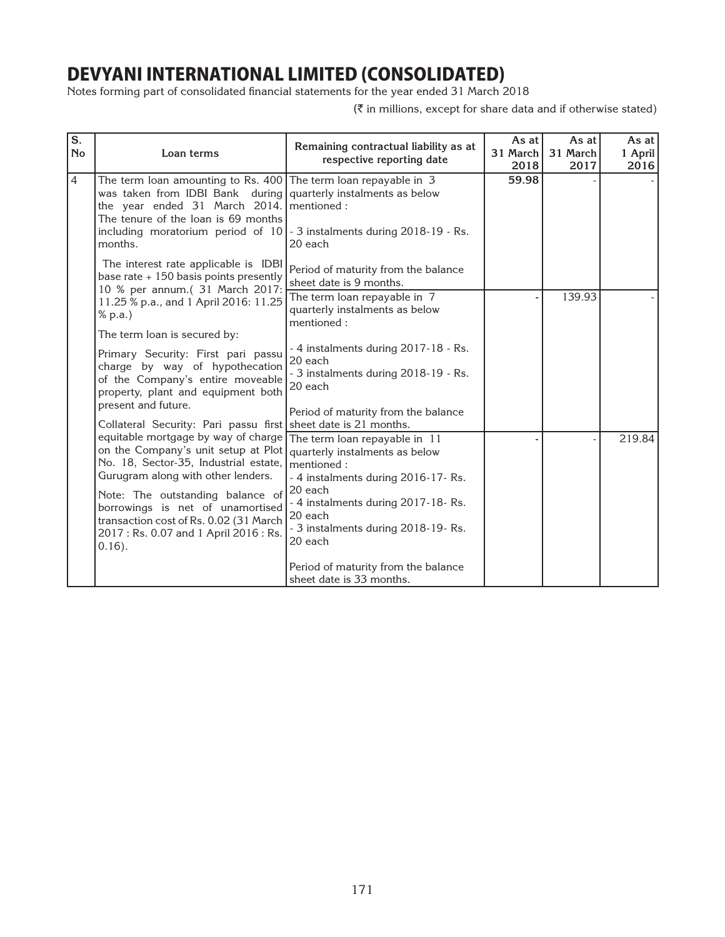Notes forming part of consolidated financial statements for the year ended 31 March 2018

| $\overline{\mathbf{s}}$ .<br><b>No</b> | Loan terms                                                                                                                                                                                                                                                                                                                                                                                                                                                          | Remaining contractual liability as at<br>respective reporting date                                                                                            | As at<br>31 March<br>2018 | As at<br>31 March<br>2017 | As at I<br>1 April<br>2016 |
|----------------------------------------|---------------------------------------------------------------------------------------------------------------------------------------------------------------------------------------------------------------------------------------------------------------------------------------------------------------------------------------------------------------------------------------------------------------------------------------------------------------------|---------------------------------------------------------------------------------------------------------------------------------------------------------------|---------------------------|---------------------------|----------------------------|
| $\overline{4}$                         | The term loan amounting to Rs. 400 The term loan repayable in $3$<br>was taken from IDBI Bank during quarterly instalments as below<br>the year ended 31 March 2014. mentioned:<br>The tenure of the loan is 69 months<br>including moratorium period of $10$ - 3 instalments during 2018-19 - Rs.<br>months.                                                                                                                                                       | 20 each                                                                                                                                                       | 59.98                     |                           |                            |
|                                        | The interest rate applicable is IDBI<br>base rate $+150$ basis points presently<br>10 % per annum.( 31 March 2017:                                                                                                                                                                                                                                                                                                                                                  | Period of maturity from the balance<br>sheet date is 9 months.                                                                                                |                           |                           |                            |
|                                        | 11.25 % p.a., and 1 April 2016: 11.25<br>% p.a.)                                                                                                                                                                                                                                                                                                                                                                                                                    | The term loan repayable in 7<br>quarterly instalments as below<br>mentioned:                                                                                  |                           | 139.93                    |                            |
|                                        | The term loan is secured by:                                                                                                                                                                                                                                                                                                                                                                                                                                        |                                                                                                                                                               |                           |                           |                            |
|                                        | Primary Security: First pari passu<br>charge by way of hypothecation<br>of the Company's entire moveable<br>property, plant and equipment both<br>present and future.                                                                                                                                                                                                                                                                                               | - 4 instalments during 2017-18 - Rs.<br>20 each<br>- 3 instalments during 2018-19 - Rs.<br>20 each                                                            |                           |                           |                            |
|                                        |                                                                                                                                                                                                                                                                                                                                                                                                                                                                     | Period of maturity from the balance                                                                                                                           |                           |                           |                            |
|                                        | Collateral Security: Pari passu first sheet date is 21 months.<br>equitable mortgage by way of charge   The term loan repayable in 11<br>on the Company's unit setup at Plot   quarterly instalments as below<br>No. 18, Sector-35, Industrial estate,<br>Gurugram along with other lenders.<br>Note: The outstanding balance of<br>borrowings is net of unamortised<br>transaction cost of Rs. 0.02 (31 March<br>2017: Rs. 0.07 and 1 April 2016: Rs.<br>$0.16$ ). | mentioned:<br>- 4 instalments during 2016-17-Rs.<br>20 each<br>- 4 instalments during 2017-18-Rs.<br>20 each<br>- 3 instalments during 2018-19-Rs.<br>20 each |                           |                           | 219.84                     |
|                                        |                                                                                                                                                                                                                                                                                                                                                                                                                                                                     | Period of maturity from the balance<br>sheet date is 33 months.                                                                                               |                           |                           |                            |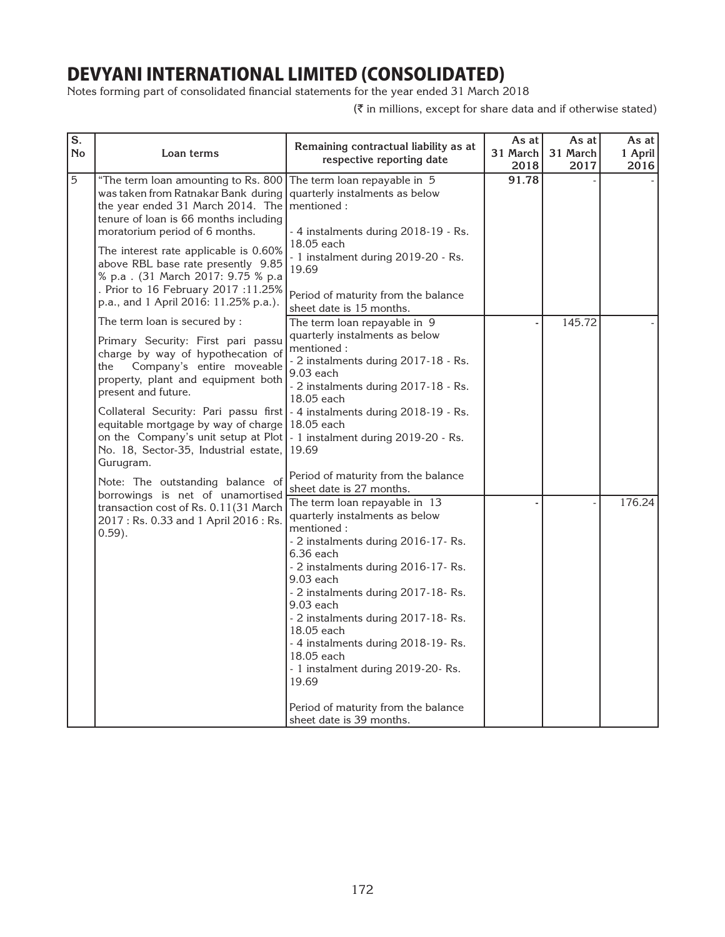Notes forming part of consolidated financial statements for the year ended 31 March 2018

| $\overline{\mathbf{s}}$ .<br><b>No</b> | Loan terms                                                                                                                                                                                                                                                                                                                                                                                                                                                                      | Remaining contractual liability as at<br>respective reporting date                                                                                                                                                                                                                                                                                                                                                                                                                                                                      | As at<br>31 March<br>2018 | As at<br>31 March<br>2017 | As at I<br>1 April<br>2016 |
|----------------------------------------|---------------------------------------------------------------------------------------------------------------------------------------------------------------------------------------------------------------------------------------------------------------------------------------------------------------------------------------------------------------------------------------------------------------------------------------------------------------------------------|-----------------------------------------------------------------------------------------------------------------------------------------------------------------------------------------------------------------------------------------------------------------------------------------------------------------------------------------------------------------------------------------------------------------------------------------------------------------------------------------------------------------------------------------|---------------------------|---------------------------|----------------------------|
| 5                                      | "The term loan amounting to Rs. 800<br>was taken from Ratnakar Bank during<br>the year ended 31 March 2014. The mentioned :<br>tenure of loan is 66 months including<br>moratorium period of 6 months.<br>The interest rate applicable is 0.60%<br>above RBL base rate presently 9.85<br>% p.a. (31 March 2017: 9.75 % p.a<br>. Prior to 16 February 2017 :11.25%<br>p.a., and 1 April 2016: 11.25% p.a.).                                                                      | The term loan repayable in 5<br>quarterly instalments as below<br>- 4 instalments during 2018-19 - Rs.<br>18.05 each<br>- 1 instalment during 2019-20 - Rs.<br>19.69<br>Period of maturity from the balance<br>sheet date is 15 months.                                                                                                                                                                                                                                                                                                 | 91.78                     |                           |                            |
|                                        | The term loan is secured by :<br>Primary Security: First pari passu<br>charge by way of hypothecation of<br>Company's entire moveable<br>the<br>property, plant and equipment both<br>present and future.<br>Collateral Security: Pari passu first   - 4 instalments during 2018-19 - Rs.<br>equitable mortgage by way of charge<br>on the Company's unit setup at Plot $\vert$ - 1 instalment during 2019-20 - Rs.<br>No. 18, Sector-35, Industrial estate, 19.69<br>Gurugram. | The term loan repayable in 9<br>quarterly instalments as below<br>mentioned:<br>- 2 instalments during 2017-18 - Rs.<br>9.03 each<br>- 2 instalments during 2017-18 - Rs.<br>18.05 each<br>18.05 each                                                                                                                                                                                                                                                                                                                                   |                           | 145.72                    |                            |
|                                        | Note: The outstanding balance of<br>borrowings is net of unamortised<br>transaction cost of Rs. 0.11(31 March<br>2017: Rs. 0.33 and 1 April 2016: Rs.<br>$0.59$ ).                                                                                                                                                                                                                                                                                                              | Period of maturity from the balance<br>sheet date is 27 months.<br>The term loan repayable in 13<br>quarterly instalments as below<br>mentioned:<br>- 2 instalments during 2016-17-Rs.<br>$6.36$ each<br>- 2 instalments during 2016-17-Rs.<br>9.03 each<br>- 2 instalments during 2017-18-Rs.<br>$9.03$ each<br>- 2 instalments during 2017-18-Rs.<br>18.05 each<br>- 4 instalments during 2018-19-Rs.<br>18.05 each<br>- 1 instalment during 2019-20- Rs.<br>19.69<br>Period of maturity from the balance<br>sheet date is 39 months. |                           |                           | 176.24                     |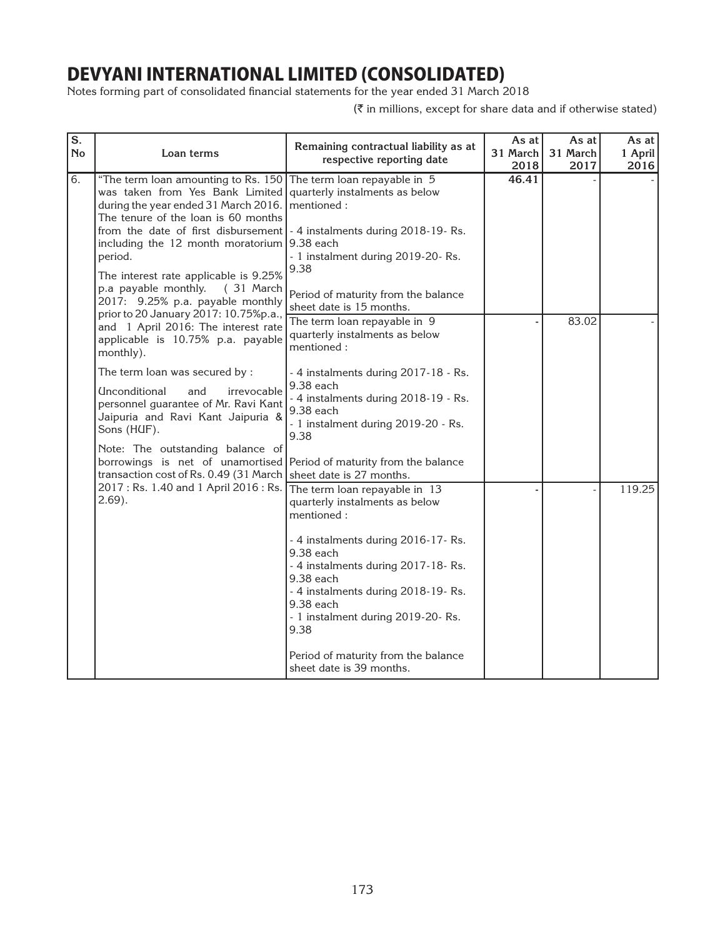Notes forming part of consolidated financial statements for the year ended 31 March 2018

| $\overline{\mathbf{s}}$ .<br><b>No</b> | Loan terms                                                                                                                                                                                                                                                                                                                                                                                                                                                                    | Remaining contractual liability as at<br>respective reporting date                                                                                                                                                | As at<br>31 March<br>2018 | As at<br>31 March<br>2017 | As at I<br>1 April<br>2016 |
|----------------------------------------|-------------------------------------------------------------------------------------------------------------------------------------------------------------------------------------------------------------------------------------------------------------------------------------------------------------------------------------------------------------------------------------------------------------------------------------------------------------------------------|-------------------------------------------------------------------------------------------------------------------------------------------------------------------------------------------------------------------|---------------------------|---------------------------|----------------------------|
| 6.                                     | "The term loan amounting to Rs. 150 The term loan repayable in 5<br>was taken from Yes Bank Limited quarterly instalments as below<br>during the year ended 31 March 2016.<br>The tenure of the loan is 60 months<br>from the date of first disbursement   - 4 instalments during 2018-19-Rs.<br>including the 12 month moratorium $9.38$ each<br>period.<br>The interest rate applicable is 9.25%<br>p.a payable monthly.<br>$(31$ March<br>2017: 9.25% p.a. payable monthly | mentioned:<br>- 1 instalment during 2019-20- Rs.<br>9.38<br>Period of maturity from the balance<br>sheet date is 15 months.                                                                                       | 46.41                     |                           |                            |
|                                        | prior to 20 January 2017: 10.75%p.a.,<br>and 1 April 2016: The interest rate<br>applicable is 10.75% p.a. payable<br>monthly).                                                                                                                                                                                                                                                                                                                                                | The term loan repayable in 9<br>quarterly instalments as below<br>mentioned:                                                                                                                                      |                           | 83.02                     |                            |
|                                        | The term loan was secured by:<br>Unconditional<br>and<br>irrevocable<br>personnel guarantee of Mr. Ravi Kant<br>Jaipuria and Ravi Kant Jaipuria &<br>Sons (HUF).<br>Note: The outstanding balance of                                                                                                                                                                                                                                                                          | - 4 instalments during 2017-18 - Rs.<br>9.38 each<br>- 4 instalments during 2018-19 - Rs.<br>9.38 each<br>- 1 instalment during 2019-20 - Rs.<br>9.38                                                             |                           |                           |                            |
|                                        | borrowings is net of unamortised<br>transaction cost of Rs. 0.49 (31 March   sheet date is 27 months.<br>2017 : Rs. 1.40 and 1 April 2016 : Rs.<br>$2.69$ ).                                                                                                                                                                                                                                                                                                                  | Period of maturity from the balance<br>The term loan repayable in 13<br>quarterly instalments as below                                                                                                            |                           |                           | 119.25                     |
|                                        |                                                                                                                                                                                                                                                                                                                                                                                                                                                                               | mentioned:<br>- 4 instalments during 2016-17-Rs.<br>9.38 each<br>- 4 instalments during 2017-18-Rs.<br>9.38 each<br>- 4 instalments during 2018-19-Rs.<br>9.38 each<br>- 1 instalment during 2019-20- Rs.<br>9.38 |                           |                           |                            |
|                                        |                                                                                                                                                                                                                                                                                                                                                                                                                                                                               | Period of maturity from the balance<br>sheet date is 39 months.                                                                                                                                                   |                           |                           |                            |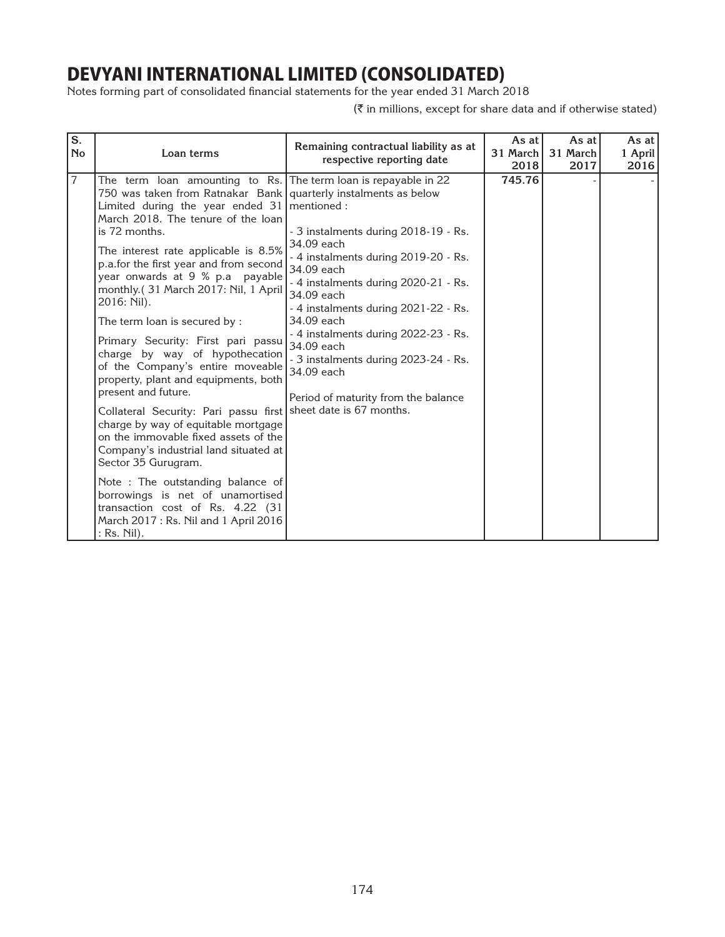Notes forming part of consolidated financial statements for the year ended 31 March 2018

| $\overline{\mathbf{s}}$ .<br><b>No</b> | Loan terms                                                                                                                                                                                                                                                                                                                                                                                                                                                                                                                                                                                                                                                                                                                                                                                                                                                                                                                                                                                                                   | Remaining contractual liability as at<br>respective reporting date                                                                                                                                                                                                                                                                                                      | As at<br>31 March<br>2018 | As at<br>31 March<br>2017 | As at I<br>1 April<br>2016 |
|----------------------------------------|------------------------------------------------------------------------------------------------------------------------------------------------------------------------------------------------------------------------------------------------------------------------------------------------------------------------------------------------------------------------------------------------------------------------------------------------------------------------------------------------------------------------------------------------------------------------------------------------------------------------------------------------------------------------------------------------------------------------------------------------------------------------------------------------------------------------------------------------------------------------------------------------------------------------------------------------------------------------------------------------------------------------------|-------------------------------------------------------------------------------------------------------------------------------------------------------------------------------------------------------------------------------------------------------------------------------------------------------------------------------------------------------------------------|---------------------------|---------------------------|----------------------------|
| $\overline{7}$                         | The term loan amounting to Rs. The term loan is repayable in 22<br>750 was taken from Ratnakar Bank   quarterly instalments as below<br>Limited during the year ended $31$ mentioned:<br>March 2018. The tenure of the loan<br>is 72 months.<br>The interest rate applicable is 8.5%<br>p.a.for the first year and from second<br>year onwards at 9 % p.a payable<br>monthly.(31 March 2017: Nil, 1 April<br>2016: Nil).<br>The term loan is secured by :<br>Primary Security: First pari passu<br>charge by way of hypothecation<br>of the Company's entire moveable<br>property, plant and equipments, both<br>present and future.<br>Collateral Security: Pari passu first sheet date is 67 months.<br>charge by way of equitable mortgage<br>on the immovable fixed assets of the<br>Company's industrial land situated at<br>Sector 35 Gurugram.<br>Note : The outstanding balance of<br>borrowings is net of unamortised<br>transaction cost of Rs. $4.22$ (31)<br>March 2017: Rs. Nil and 1 April 2016<br>: Rs. Nil). | - 3 instalments during 2018-19 - Rs.<br>34.09 each<br>- 4 instalments during 2019-20 - Rs.<br>34.09 each<br>- 4 instalments during 2020-21 - Rs.<br>34.09 each<br>- 4 instalments during 2021-22 - Rs.<br>34.09 each<br>- 4 instalments during 2022-23 - Rs.<br>34.09 each<br>- 3 instalments during 2023-24 - Rs.<br>34.09 each<br>Period of maturity from the balance | 745.76                    |                           |                            |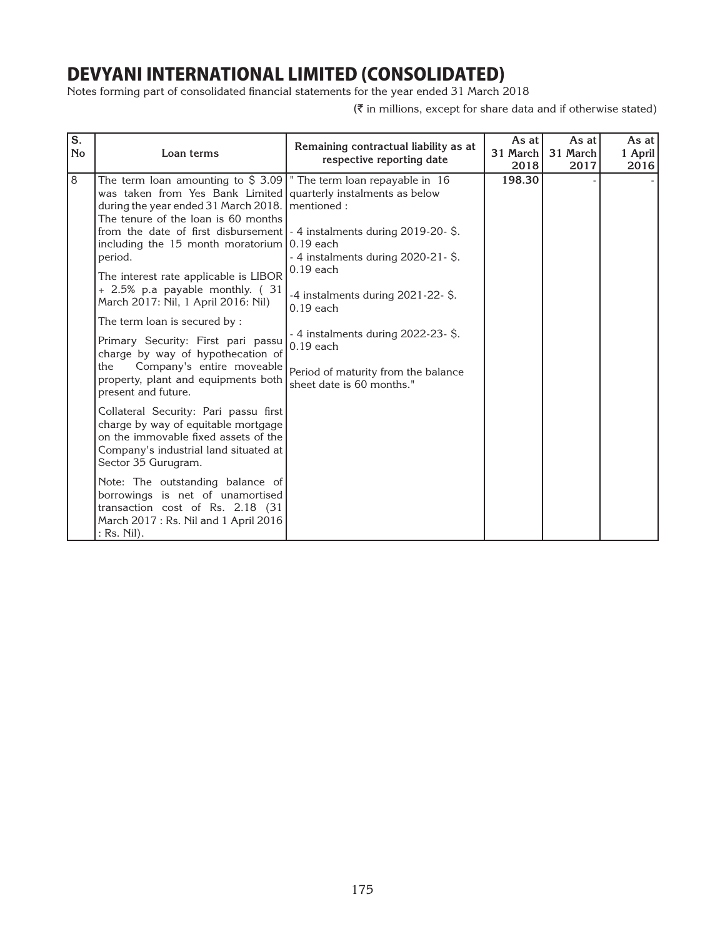Notes forming part of consolidated financial statements for the year ended 31 March 2018

| $\overline{\mathbf{s}}$ .<br><b>No</b> | Loan terms                                                                                                                                                                                                                                                                                                                                                                                                                                                                                                                                                                                                                                                                                                                                                                          | Remaining contractual liability as at<br>respective reporting date                                                                                                                                                                  | As at I<br>31 March<br>2018 | As at<br>31 March<br>2017 | As at I<br>1 April<br>2016 |
|----------------------------------------|-------------------------------------------------------------------------------------------------------------------------------------------------------------------------------------------------------------------------------------------------------------------------------------------------------------------------------------------------------------------------------------------------------------------------------------------------------------------------------------------------------------------------------------------------------------------------------------------------------------------------------------------------------------------------------------------------------------------------------------------------------------------------------------|-------------------------------------------------------------------------------------------------------------------------------------------------------------------------------------------------------------------------------------|-----------------------------|---------------------------|----------------------------|
| 8                                      | The term loan amounting to $\frac{2}{3}$ 3.09  " The term loan repayable in 16<br>was taken from Yes Bank Limited quarterly instalments as below<br>during the year ended 31 March 2018.   mentioned :<br>The tenure of the loan is 60 months<br>from the date of first disbursement $\vert$ - 4 instalments during 2019-20-\$.<br>including the 15 month moratorium $\vert 0.19 \text{ each}$<br>period.<br>The interest rate applicable is LIBOR<br>+ 2.5% p.a payable monthly. (31<br>March 2017: Nil, 1 April 2016: Nil)<br>The term loan is secured by :<br>Primary Security: First pari passu<br>charge by way of hypothecation of<br>Company's entire moveable<br>the<br>property, plant and equipments both<br>present and future.<br>Collateral Security: Pari passu first | $-4$ instalments during 2020-21-\$.<br>$0.19$ each<br>-4 instalments during $2021-22-$ \$.<br>$0.19$ each<br>- 4 instalments during 2022-23- \$.<br>$0.19$ each<br>Period of maturity from the balance<br>sheet date is 60 months." | 198.30                      |                           |                            |
|                                        | charge by way of equitable mortgage<br>on the immovable fixed assets of the<br>Company's industrial land situated at<br>Sector 35 Gurugram.<br>Note: The outstanding balance of<br>borrowings is net of unamortised<br>transaction cost of Rs. 2.18 (31<br>March 2017: Rs. Nil and 1 April 2016<br>$:$ Rs. Nil).                                                                                                                                                                                                                                                                                                                                                                                                                                                                    |                                                                                                                                                                                                                                     |                             |                           |                            |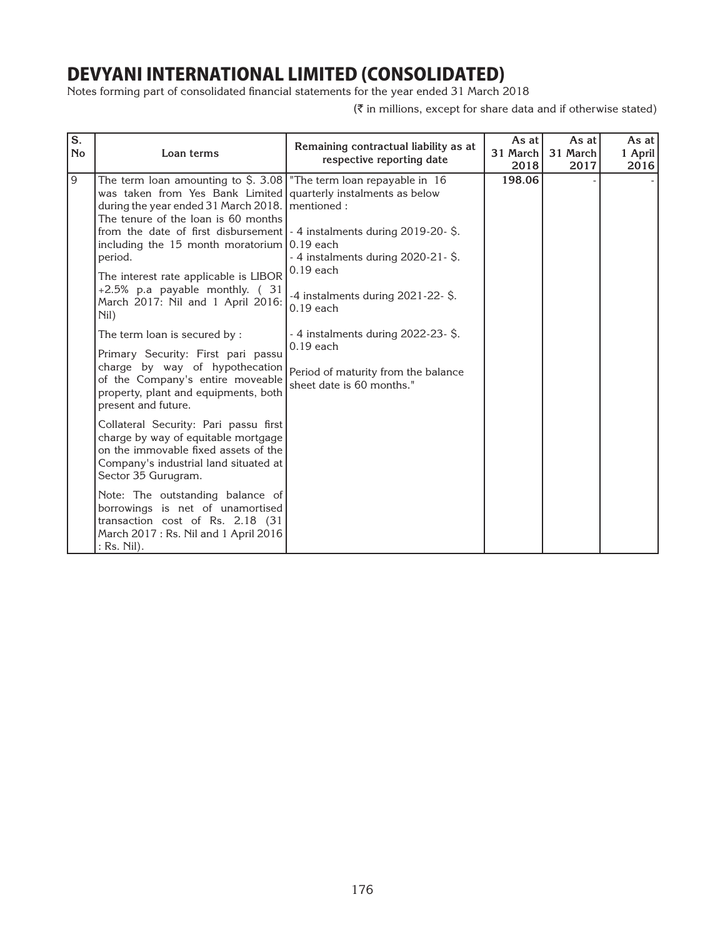Notes forming part of consolidated financial statements for the year ended 31 March 2018

| $\overline{s}$ .<br><b>No</b> | Loan terms                                                                                                                                                                                                                                                                                                                                                                                                                                                                                                                                                                                                                                                                                                                                                                                                                                                                                                                                                                                                                                                                       | Remaining contractual liability as at<br>respective reporting date                                                                                                                                                                | As at<br>31 March<br>2018 | As at<br>31 March<br>2017 | As at I<br>1 April<br>2016 |
|-------------------------------|----------------------------------------------------------------------------------------------------------------------------------------------------------------------------------------------------------------------------------------------------------------------------------------------------------------------------------------------------------------------------------------------------------------------------------------------------------------------------------------------------------------------------------------------------------------------------------------------------------------------------------------------------------------------------------------------------------------------------------------------------------------------------------------------------------------------------------------------------------------------------------------------------------------------------------------------------------------------------------------------------------------------------------------------------------------------------------|-----------------------------------------------------------------------------------------------------------------------------------------------------------------------------------------------------------------------------------|---------------------------|---------------------------|----------------------------|
| 9                             | The term loan amounting to \$. 3.08 The term loan repayable in 16<br>was taken from Yes Bank Limited quarterly instalments as below<br>during the year ended 31 March 2018.   mentioned :<br>The tenure of the loan is 60 months<br>from the date of first disbursement $-4$ instalments during 2019-20- $\hat{S}$ .<br>including the 15 month moratorium $0.19$ each<br>period.<br>The interest rate applicable is LIBOR<br>+2.5% p.a payable monthly. (31<br>March 2017: Nil and 1 April 2016:<br>Nil)<br>The term loan is secured by :<br>Primary Security: First pari passu<br>charge by way of hypothecation<br>of the Company's entire moveable<br>property, plant and equipments, both<br>present and future.<br>Collateral Security: Pari passu first<br>charge by way of equitable mortgage<br>on the immovable fixed assets of the<br>Company's industrial land situated at<br>Sector 35 Gurugram.<br>Note: The outstanding balance of<br>borrowings is net of unamortised<br>transaction cost of Rs. 2.18 (31)<br>March 2017: Rs. Nil and 1 April 2016<br>: Rs. Nil). | - 4 instalments during 2020-21-\$.<br>$0.19$ each<br>$-4$ instalments during 2021-22- \$.<br>$0.19$ each<br>- 4 instalments during 2022-23-\$.<br>$0.19$ each<br>Period of maturity from the balance<br>sheet date is 60 months." | 198.06                    |                           |                            |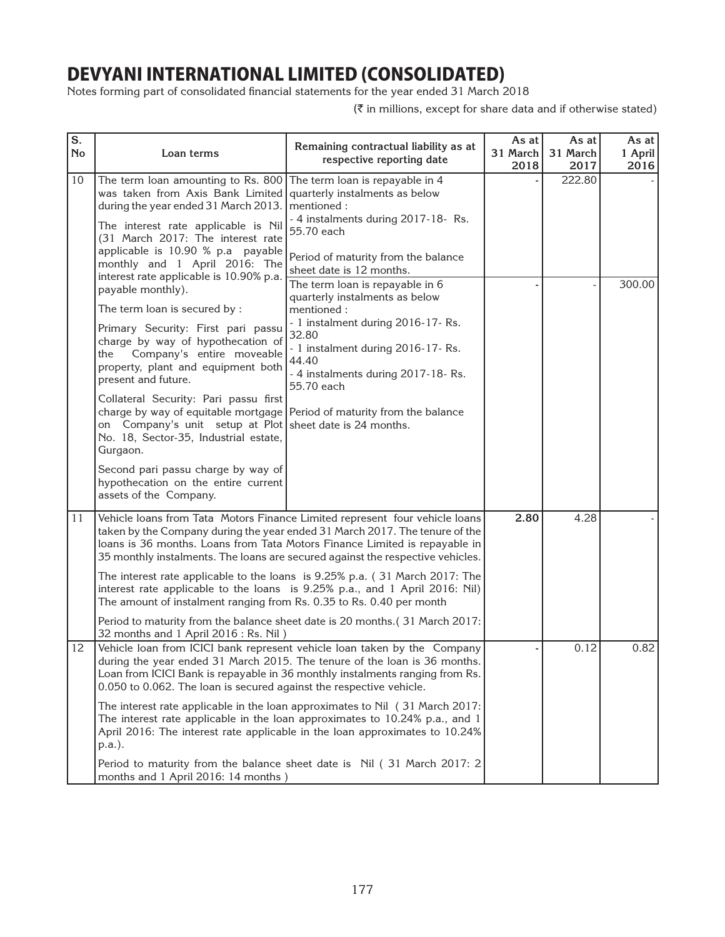Notes forming part of consolidated financial statements for the year ended 31 March 2018

| S.<br><b>No</b> | Loan terms                                                                                                                                                                                                                                                                                                                                                                 | Remaining contractual liability as at<br>respective reporting date                                                                                                                                                                                                                                                         | As at<br>31 March<br>2018 | As at<br>31 March<br>2017 | As at<br>1 April<br>2016 |
|-----------------|----------------------------------------------------------------------------------------------------------------------------------------------------------------------------------------------------------------------------------------------------------------------------------------------------------------------------------------------------------------------------|----------------------------------------------------------------------------------------------------------------------------------------------------------------------------------------------------------------------------------------------------------------------------------------------------------------------------|---------------------------|---------------------------|--------------------------|
| 10              | The term loan amounting to Rs. 800 The term loan is repayable in 4<br>was taken from Axis Bank Limited quarterly instalments as below<br>during the year ended 31 March 2013.<br>The interest rate applicable is Nil<br>(31 March 2017: The interest rate<br>applicable is 10.90 % p.a payable<br>monthly and 1 April 2016: The<br>interest rate applicable is 10.90% p.a. | mentioned:<br>- 4 instalments during 2017-18- Rs.<br>55.70 each<br>Period of maturity from the balance<br>sheet date is 12 months.                                                                                                                                                                                         |                           | 222.80                    |                          |
|                 | payable monthly).<br>The term loan is secured by :                                                                                                                                                                                                                                                                                                                         | The term loan is repayable in 6<br>quarterly instalments as below<br>mentioned:                                                                                                                                                                                                                                            |                           |                           | 300.00                   |
|                 | Primary Security: First pari passu<br>charge by way of hypothecation of<br>Company's entire moveable<br>the<br>property, plant and equipment both<br>present and future.                                                                                                                                                                                                   | - 1 instalment during 2016-17-Rs.<br>32.80<br>- 1 instalment during 2016-17-Rs.<br>44.40<br>- 4 instalments during 2017-18-Rs.<br>55.70 each                                                                                                                                                                               |                           |                           |                          |
|                 | Collateral Security: Pari passu first<br>charge by way of equitable mortgage Period of maturity from the balance<br>on Company's unit setup at Plot sheet date is 24 months.<br>No. 18, Sector-35, Industrial estate,<br>Gurgaon.                                                                                                                                          |                                                                                                                                                                                                                                                                                                                            |                           |                           |                          |
|                 | Second pari passu charge by way of<br>hypothecation on the entire current<br>assets of the Company.                                                                                                                                                                                                                                                                        |                                                                                                                                                                                                                                                                                                                            |                           |                           |                          |
| 11              |                                                                                                                                                                                                                                                                                                                                                                            | Vehicle loans from Tata Motors Finance Limited represent four vehicle loans<br>taken by the Company during the year ended 31 March 2017. The tenure of the<br>loans is 36 months. Loans from Tata Motors Finance Limited is repayable in<br>35 monthly instalments. The loans are secured against the respective vehicles. | 2.80                      | 4.28                      |                          |
|                 | The amount of instalment ranging from Rs. 0.35 to Rs. 0.40 per month                                                                                                                                                                                                                                                                                                       | The interest rate applicable to the loans is 9.25% p.a. (31 March 2017: The<br>interest rate applicable to the loans is 9.25% p.a., and 1 April 2016: Nil)                                                                                                                                                                 |                           |                           |                          |
|                 | 32 months and 1 April 2016 : Rs. Nil)                                                                                                                                                                                                                                                                                                                                      | Period to maturity from the balance sheet date is 20 months.(31 March 2017:                                                                                                                                                                                                                                                |                           |                           |                          |
| 12              | 0.050 to 0.062. The loan is secured against the respective vehicle.                                                                                                                                                                                                                                                                                                        | Vehicle loan from ICICI bank represent vehicle loan taken by the Company<br>during the year ended 31 March 2015. The tenure of the loan is 36 months.<br>Loan from ICICI Bank is repayable in 36 monthly instalments ranging from Rs.                                                                                      |                           | 0.12                      | 0.82                     |
|                 | p.a.).                                                                                                                                                                                                                                                                                                                                                                     | The interest rate applicable in the loan approximates to Nil (31 March 2017:<br>The interest rate applicable in the loan approximates to 10.24% p.a., and 1<br>April 2016: The interest rate applicable in the loan approximates to 10.24%                                                                                 |                           |                           |                          |
|                 | months and 1 April 2016: 14 months)                                                                                                                                                                                                                                                                                                                                        | Period to maturity from the balance sheet date is Nil (31 March 2017: 2                                                                                                                                                                                                                                                    |                           |                           |                          |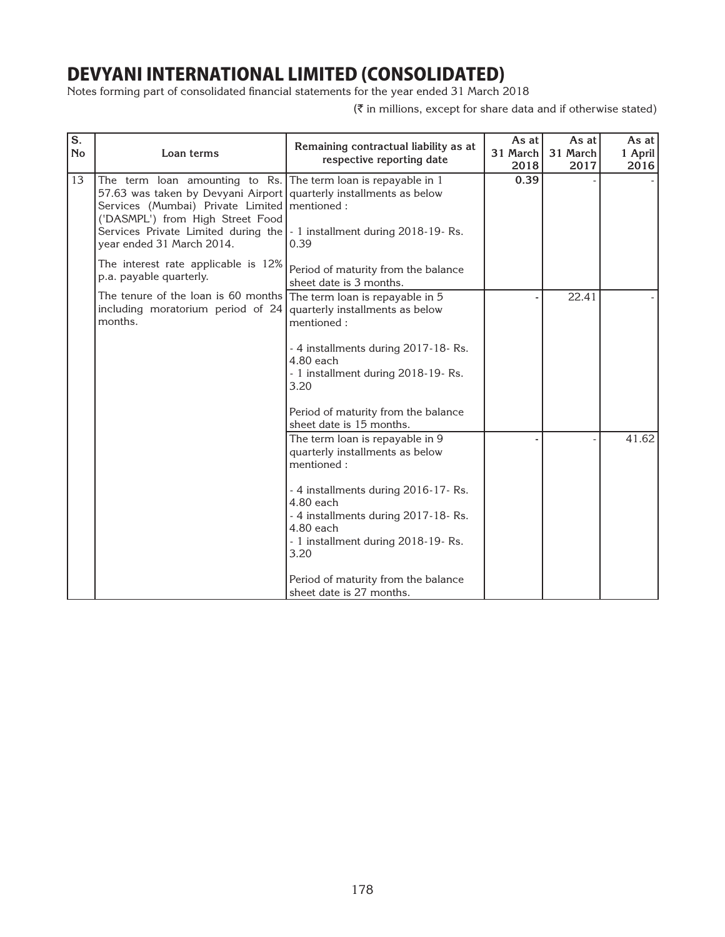Notes forming part of consolidated financial statements for the year ended 31 March 2018

| S.<br><b>No</b> | Loan terms                                                                                                                                                                                                                                                                                                                            | Remaining contractual liability as at<br>respective reporting date                                                                                 | As at<br>31 March<br>2018 | As at<br>31 March<br>2017 | As at<br>1 April<br>2016 |
|-----------------|---------------------------------------------------------------------------------------------------------------------------------------------------------------------------------------------------------------------------------------------------------------------------------------------------------------------------------------|----------------------------------------------------------------------------------------------------------------------------------------------------|---------------------------|---------------------------|--------------------------|
| 13              | The term loan amounting to Rs. The term loan is repayable in 1<br>57.63 was taken by Devyani Airport quarterly installments as below<br>Services (Mumbai) Private Limited   mentioned :<br>('DASMPL') from High Street Food<br>Services Private Limited during the   - 1 installment during 2018-19- Rs.<br>year ended 31 March 2014. | 0.39                                                                                                                                               | 0.39                      |                           |                          |
|                 | The interest rate applicable is 12%<br>p.a. payable quarterly.                                                                                                                                                                                                                                                                        | Period of maturity from the balance<br>sheet date is 3 months.                                                                                     |                           |                           |                          |
|                 | The tenure of the loan is 60 months The term loan is repayable in 5<br>including moratorium period of $24$ quarterly installments as below<br>months.                                                                                                                                                                                 | mentioned:<br>- 4 installments during 2017-18-Rs.                                                                                                  |                           | 22.41                     |                          |
|                 |                                                                                                                                                                                                                                                                                                                                       | 4.80 each<br>- 1 installment during 2018-19-Rs.<br>3.20                                                                                            |                           |                           |                          |
|                 |                                                                                                                                                                                                                                                                                                                                       | Period of maturity from the balance<br>sheet date is 15 months.                                                                                    |                           |                           |                          |
|                 |                                                                                                                                                                                                                                                                                                                                       | The term loan is repayable in 9<br>quarterly installments as below<br>mentioned:                                                                   |                           |                           | 41.62                    |
|                 |                                                                                                                                                                                                                                                                                                                                       | - 4 installments during 2016-17-Rs.<br>4.80 each<br>- 4 installments during 2017-18-Rs.<br>4.80 each<br>- 1 installment during 2018-19-Rs.<br>3.20 |                           |                           |                          |
|                 |                                                                                                                                                                                                                                                                                                                                       | Period of maturity from the balance<br>sheet date is 27 months.                                                                                    |                           |                           |                          |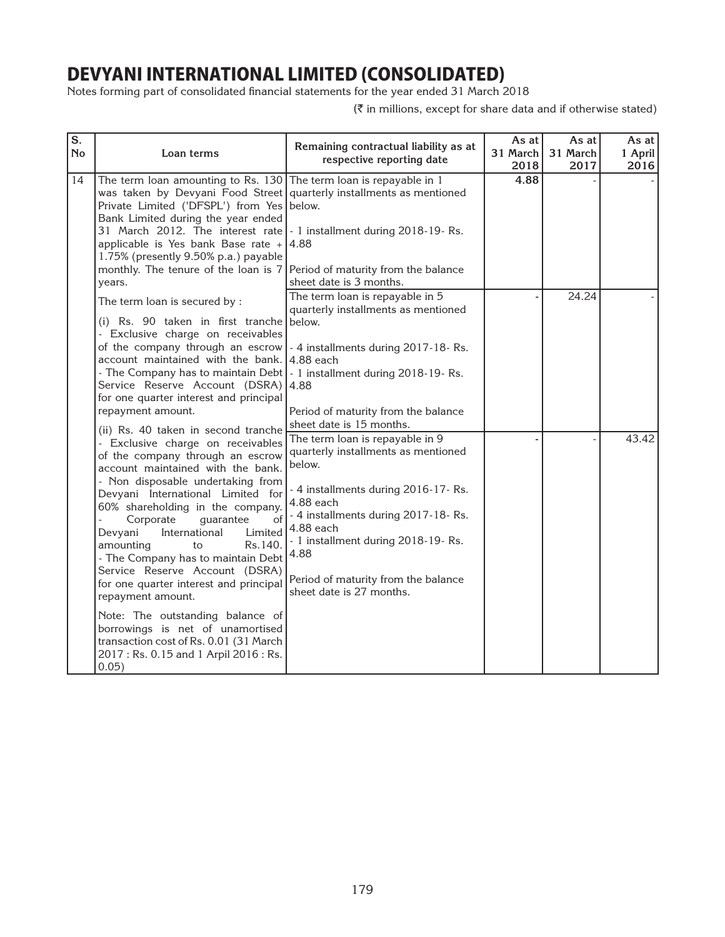Notes forming part of consolidated financial statements for the year ended 31 March 2018

| $\overline{\mathbf{s}}$ .<br><b>No</b> | Loan terms                                                                                                                                                                                                                                                                                                                                                                                                                                                                                                                                                                                                                                                                     | Remaining contractual liability as at<br>respective reporting date                                                                                                                                                                                                                                        | As at<br>31 March<br>2018 | As at<br>31 March<br>2017 | As at<br>1 April<br>2016 |
|----------------------------------------|--------------------------------------------------------------------------------------------------------------------------------------------------------------------------------------------------------------------------------------------------------------------------------------------------------------------------------------------------------------------------------------------------------------------------------------------------------------------------------------------------------------------------------------------------------------------------------------------------------------------------------------------------------------------------------|-----------------------------------------------------------------------------------------------------------------------------------------------------------------------------------------------------------------------------------------------------------------------------------------------------------|---------------------------|---------------------------|--------------------------|
| 14                                     | The term loan amounting to Rs. $130$ The term loan is repayable in 1<br>was taken by Devyani Food Street quarterly installments as mentioned<br>Private Limited ('DFSPL') from Yes below.<br>Bank Limited during the year ended<br>31 March 2012. The interest rate   - 1 installment during 2018-19-Rs.<br>applicable is Yes bank Base rate $+$ 4.88<br>1.75% (presently 9.50% p.a.) payable<br>monthly. The tenure of the loan is $7$ Period of maturity from the balance<br>years.                                                                                                                                                                                          | sheet date is 3 months.                                                                                                                                                                                                                                                                                   | 4.88                      |                           |                          |
|                                        | The term loan is secured by :<br>(i) Rs. 90 taken in first tranche below.<br>- Exclusive charge on receivables<br>of the company through an escrow   - 4 installments during 2017-18-Rs.<br>account maintained with the bank. 4.88 each<br>- The Company has to maintain Debt   - 1 installment during 2018-19- Rs.<br>Service Reserve Account (DSRA)<br>for one quarter interest and principal<br>repayment amount.                                                                                                                                                                                                                                                           | The term loan is repayable in 5<br>quarterly installments as mentioned<br>14.88<br>Period of maturity from the balance<br>sheet date is 15 months.                                                                                                                                                        |                           | 24.24                     |                          |
|                                        | (ii) Rs. 40 taken in second tranche<br>- Exclusive charge on receivables<br>of the company through an escrow<br>account maintained with the bank.<br>- Non disposable undertaking from<br>Devyani International Limited for<br>60% shareholding in the company.<br>Corporate<br>guarantee<br>of<br>Devyani<br>International<br>Limited<br>amounting<br>Rs.140.<br>to<br>- The Company has to maintain Debt<br>Service Reserve Account (DSRA)<br>for one quarter interest and principal<br>repayment amount.<br>Note: The outstanding balance of<br>borrowings is net of unamortised<br>transaction cost of Rs. 0.01 (31 March<br>2017: Rs. 0.15 and 1 Arpil 2016: Rs.<br>0.05) | The term loan is repayable in 9<br>quarterly installments as mentioned<br>below.<br>- 4 installments during 2016-17-Rs.<br>4.88 each<br>- 4 installments during 2017-18-Rs.<br>4.88 each<br>- 1 installment during 2018-19-Rs.<br>4.88<br>Period of maturity from the balance<br>sheet date is 27 months. |                           |                           | 43.42                    |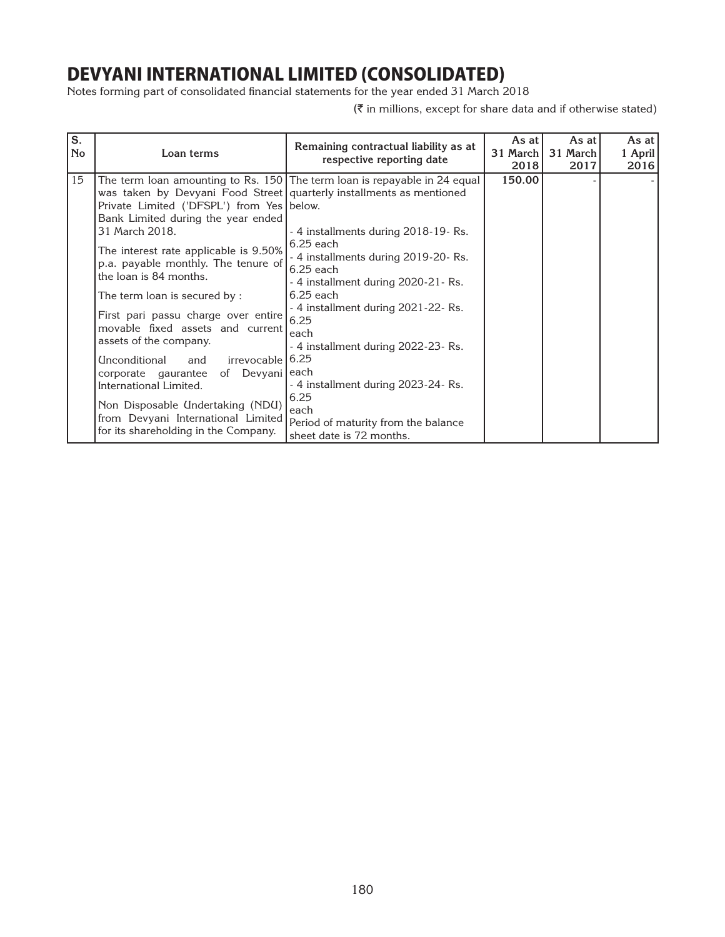Notes forming part of consolidated financial statements for the year ended 31 March 2018

| S.<br><b>No</b> | Loan terms                                                                                                                                                                                                                                                                                                                                                                                                                                                                                                                                   | Remaining contractual liability as at<br>respective reporting date                                                                                                                                                                                                                                                                                                                         | As at<br>31 March<br>2018 | As at<br>31 March<br>2017 | As at I<br>1 April<br>2016 |
|-----------------|----------------------------------------------------------------------------------------------------------------------------------------------------------------------------------------------------------------------------------------------------------------------------------------------------------------------------------------------------------------------------------------------------------------------------------------------------------------------------------------------------------------------------------------------|--------------------------------------------------------------------------------------------------------------------------------------------------------------------------------------------------------------------------------------------------------------------------------------------------------------------------------------------------------------------------------------------|---------------------------|---------------------------|----------------------------|
| 15              | was taken by Devyani Food Street quarterly installments as mentioned<br>Private Limited ('DFSPL') from Yes below.<br>Bank Limited during the year ended<br>31 March 2018.<br>The interest rate applicable is 9.50%<br>p.a. payable monthly. The tenure of<br>the loan is 84 months.<br>The term loan is secured by:<br>First pari passu charge over entire<br>movable fixed assets and current<br>assets of the company.<br>irrevocable 6.25<br><b>Unconditional</b><br>and<br>corporate gaurantee of Devyani each<br>International Limited. | The term loan amounting to Rs. 150 The term loan is repayable in 24 equal<br>- 4 installments during 2018-19- Rs.<br>$6.25$ each<br>- 4 installments during 2019-20- Rs.<br>$6.25$ each<br>- 4 installment during 2020-21- Rs.<br>$6.25$ each<br>- 4 installment during 2021-22- Rs.<br>6.25<br>each<br>- 4 installment during 2022-23- Rs.<br>- 4 installment during 2023-24- Rs.<br>6.25 | 150.00                    |                           |                            |
|                 | Non Disposable Undertaking (NDU)<br>from Devyani International Limited<br>for its shareholding in the Company.                                                                                                                                                                                                                                                                                                                                                                                                                               | each<br>Period of maturity from the balance<br>sheet date is 72 months.                                                                                                                                                                                                                                                                                                                    |                           |                           |                            |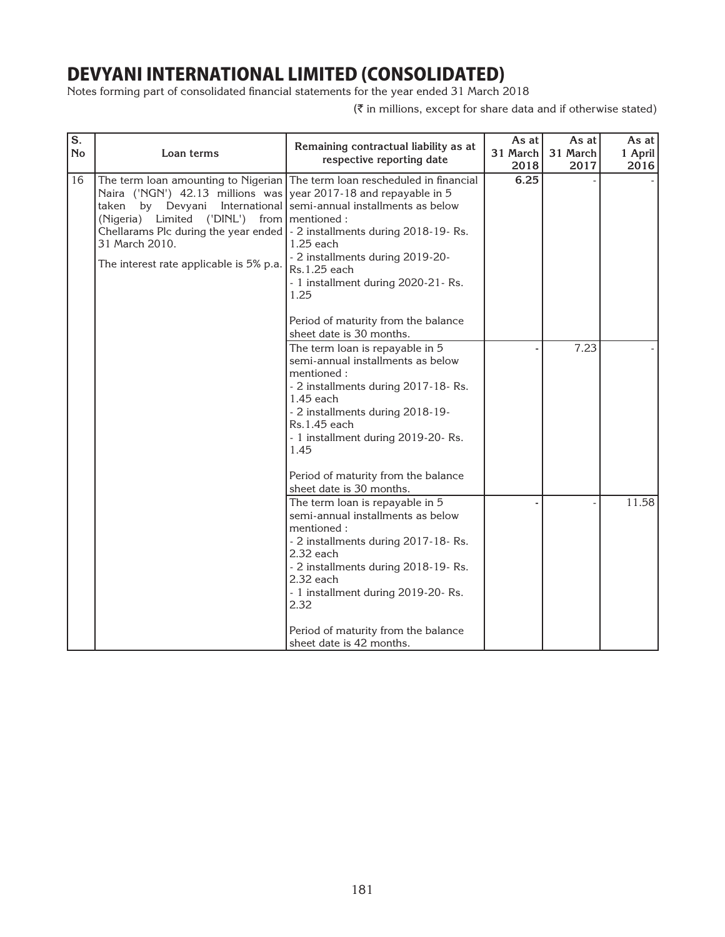Notes forming part of consolidated financial statements for the year ended 31 March 2018

| $\overline{\mathbf{s}}$ .<br><b>No</b> | Loan terms                                                                                                                                                                                                                                                                           | Remaining contractual liability as at<br>respective reporting date                                                                                                                                                                                                                                                 | As at<br>31 March<br>2018 | As at<br>31 March<br>2017 | As at<br>1 April<br>2016 |
|----------------------------------------|--------------------------------------------------------------------------------------------------------------------------------------------------------------------------------------------------------------------------------------------------------------------------------------|--------------------------------------------------------------------------------------------------------------------------------------------------------------------------------------------------------------------------------------------------------------------------------------------------------------------|---------------------------|---------------------------|--------------------------|
| 16                                     | Naira ('NGN') 42.13 millions was year 2017-18 and repayable in 5<br>taken<br>by Devyani<br>(Nigeria) Limited ('DINL') from   mentioned :<br>Chellarams Plc during the year ended   - 2 installments during 2018-19- Rs.<br>31 March 2010.<br>The interest rate applicable is 5% p.a. | The term loan amounting to Nigerian The term loan rescheduled in financial<br>International semi-annual installments as below<br>$1.25$ each<br>- 2 installments during 2019-20-<br>Rs.1.25 each<br>- 1 installment during 2020-21- Rs.<br>1.25<br>Period of maturity from the balance<br>sheet date is 30 months. | 6.25                      |                           |                          |
|                                        |                                                                                                                                                                                                                                                                                      | The term loan is repayable in 5<br>semi-annual installments as below<br>mentioned:<br>- 2 installments during 2017-18-Rs.<br>$1.45$ each<br>- 2 installments during 2018-19-<br>Rs.1.45 each<br>- 1 installment during 2019-20- Rs.<br>1.45<br>Period of maturity from the balance<br>sheet date is 30 months.     |                           | 7.23                      |                          |
|                                        |                                                                                                                                                                                                                                                                                      | The term loan is repayable in 5<br>semi-annual installments as below<br>mentioned:<br>- 2 installments during 2017-18-Rs.<br>2.32 each<br>- 2 installments during 2018-19-Rs.<br>2.32 each<br>- 1 installment during 2019-20- Rs.<br>2.32<br>Period of maturity from the balance<br>sheet date is 42 months.       |                           |                           | 11.58                    |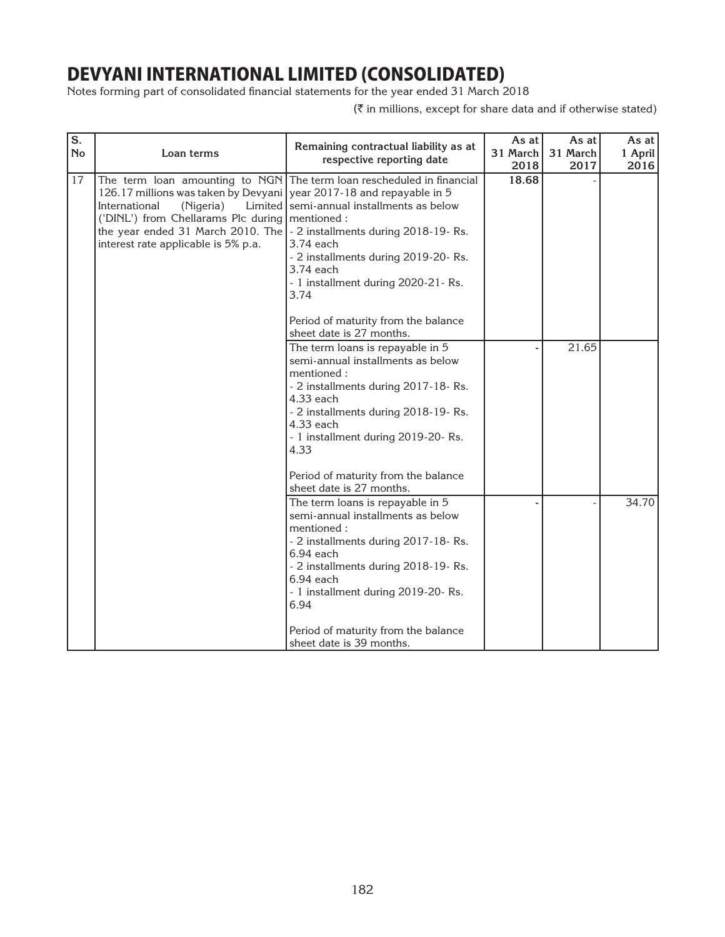Notes forming part of consolidated financial statements for the year ended 31 March 2018

| S.<br><b>No</b> | Loan terms                                                                                                                                                                                                                                                                 | Remaining contractual liability as at<br>respective reporting date                                                                                                                                                                                                                                                                          | As at<br>31 March<br>2018 | As at<br>31 March<br>2017 | As at<br>1 April<br>2016 |
|-----------------|----------------------------------------------------------------------------------------------------------------------------------------------------------------------------------------------------------------------------------------------------------------------------|---------------------------------------------------------------------------------------------------------------------------------------------------------------------------------------------------------------------------------------------------------------------------------------------------------------------------------------------|---------------------------|---------------------------|--------------------------|
| 17              | 126.17 millions was taken by Devyani year 2017-18 and repayable in 5<br>International<br>(Nigeria)<br>('DINL') from Chellarams Plc during   mentioned :<br>the year ended 31 March 2010. The   - 2 installments during 2018-19- Rs.<br>interest rate applicable is 5% p.a. | The term loan amounting to NGN The term loan rescheduled in financial<br>Limited semi-annual installments as below<br>3.74 each<br>- 2 installments during 2019-20- Rs.<br>3.74 each<br>- 1 installment during 2020-21-Rs.<br>3.74<br>Period of maturity from the balance<br>sheet date is 27 months.                                       | 18.68                     |                           |                          |
|                 |                                                                                                                                                                                                                                                                            | The term loans is repayable in 5<br>semi-annual installments as below<br>mentioned:<br>- 2 installments during 2017-18-Rs.<br>4.33 each<br>- 2 installments during 2018-19-Rs.<br>4.33 each<br>- 1 installment during 2019-20- Rs.<br>4.33<br>Period of maturity from the balance                                                           |                           | 21.65                     |                          |
|                 |                                                                                                                                                                                                                                                                            | sheet date is 27 months.<br>The term loans is repayable in 5<br>semi-annual installments as below<br>mentioned:<br>- 2 installments during 2017-18-Rs.<br>$6.94$ each<br>- 2 installments during 2018-19-Rs.<br>6.94 each<br>- 1 installment during 2019-20- Rs.<br>6.94<br>Period of maturity from the balance<br>sheet date is 39 months. |                           |                           | 34.70                    |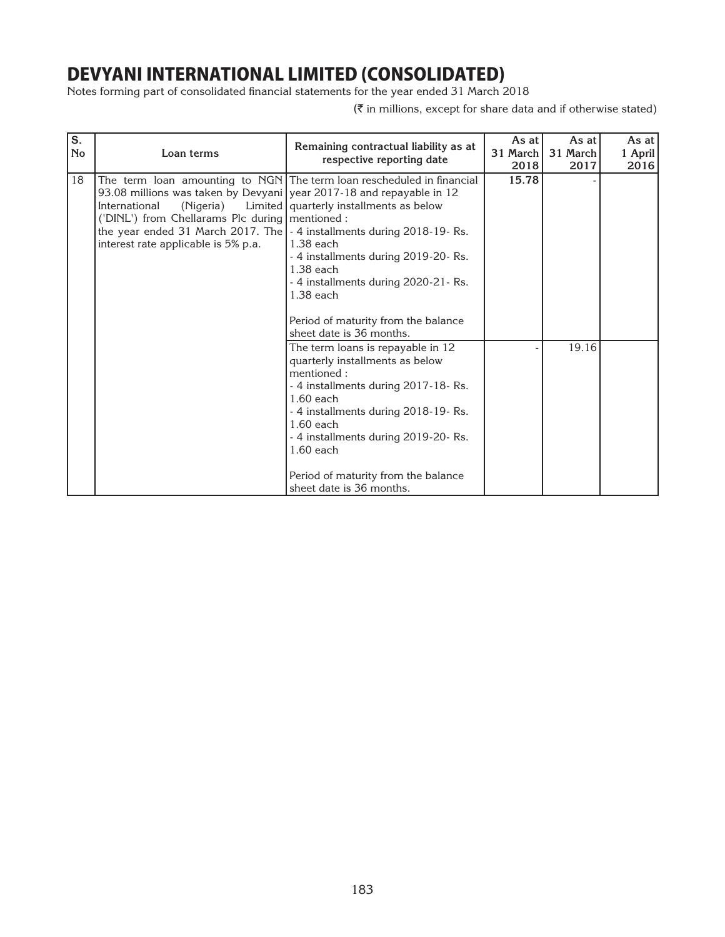Notes forming part of consolidated financial statements for the year ended 31 March 2018

| S.<br><b>No</b> | Loan terms                                                                                                                                                                                                                                                                        | Remaining contractual liability as at<br>respective reporting date                                                                                                                                                                                                                                                                                   | As at<br>31 March<br>2018 | As at<br>31 March<br>2017 | As at I<br>1 April<br>2016 |
|-----------------|-----------------------------------------------------------------------------------------------------------------------------------------------------------------------------------------------------------------------------------------------------------------------------------|------------------------------------------------------------------------------------------------------------------------------------------------------------------------------------------------------------------------------------------------------------------------------------------------------------------------------------------------------|---------------------------|---------------------------|----------------------------|
| 18              | 93.08 millions was taken by Devyani   year 2017-18 and repayable in 12<br>International<br>(Nigeria)<br>('DINL') from Chellarams Plc during   mentioned :<br>the year ended 31 March 2017. The $\vert$ - 4 installments during 2018-19-Rs.<br>interest rate applicable is 5% p.a. | The term loan amounting to NGN The term loan rescheduled in financial<br>Limited   quarterly installments as below<br>$1.38$ each<br>- 4 installments during 2019-20- Rs.<br>1.38 each<br>- 4 installments during 2020-21- Rs.<br>$1.38$ each<br>Period of maturity from the balance                                                                 | 15.78                     |                           |                            |
|                 |                                                                                                                                                                                                                                                                                   | sheet date is 36 months.<br>The term loans is repayable in 12<br>quarterly installments as below<br>mentioned:<br>- 4 installments during 2017-18-Rs.<br>$1.60$ each<br>- 4 installments during 2018-19-Rs.<br>$1.60$ each<br>- 4 installments during 2019-20- Rs.<br>$1.60$ each<br>Period of maturity from the balance<br>sheet date is 36 months. |                           | 19.16                     |                            |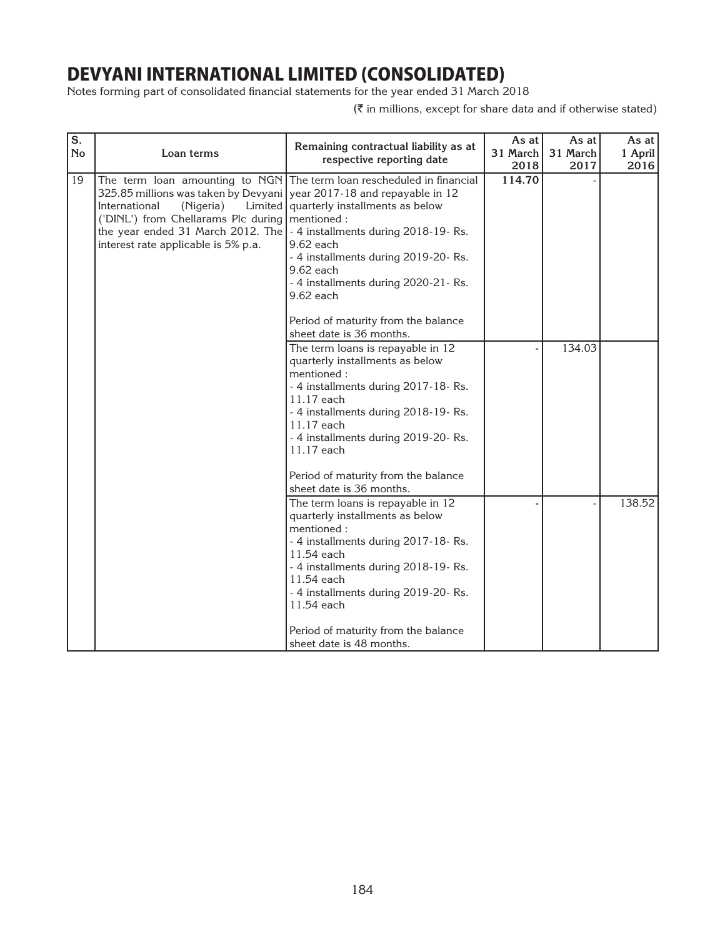Notes forming part of consolidated financial statements for the year ended 31 March 2018

| S.<br><b>No</b> | Loan terms                                                                                                                                                                                                                                                                       | Remaining contractual liability as at<br>respective reporting date                                                                                                                                                                                                                                                    | As at<br>31 March<br>2018 | As at<br>31 March<br>2017 | As at<br>1 April<br>2016 |
|-----------------|----------------------------------------------------------------------------------------------------------------------------------------------------------------------------------------------------------------------------------------------------------------------------------|-----------------------------------------------------------------------------------------------------------------------------------------------------------------------------------------------------------------------------------------------------------------------------------------------------------------------|---------------------------|---------------------------|--------------------------|
| 19              | 325.85 millions was taken by Devyani vear 2017-18 and repayable in 12<br>International<br>(Nigeria)<br>('DINL') from Chellarams Plc during   mentioned :<br>the year ended 31 March 2012. The $\vert$ - 4 installments during 2018-19-Rs.<br>interest rate applicable is 5% p.a. | The term loan amounting to NGN The term loan rescheduled in financial<br>Limited   quarterly installments as below<br>9.62 each<br>- 4 installments during 2019-20- Rs.<br>$9.62$ each<br>- 4 installments during 2020-21- Rs.<br>9.62 each<br>Period of maturity from the balance<br>sheet date is 36 months.        | 114.70                    |                           |                          |
|                 |                                                                                                                                                                                                                                                                                  | The term loans is repayable in 12<br>quarterly installments as below<br>mentioned:<br>- 4 installments during 2017-18-Rs.<br>11.17 each<br>- 4 installments during 2018-19-Rs.<br>11.17 each<br>- 4 installments during 2019-20- Rs.<br>11.17 each<br>Period of maturity from the balance<br>sheet date is 36 months. |                           | 134.03                    |                          |
|                 |                                                                                                                                                                                                                                                                                  | The term loans is repayable in 12<br>quarterly installments as below<br>mentioned:<br>- 4 installments during 2017-18-Rs.<br>11.54 each<br>- 4 installments during 2018-19-Rs.<br>11.54 each<br>- 4 installments during 2019-20- Rs.<br>11.54 each<br>Period of maturity from the balance<br>sheet date is 48 months. |                           |                           | 138.52                   |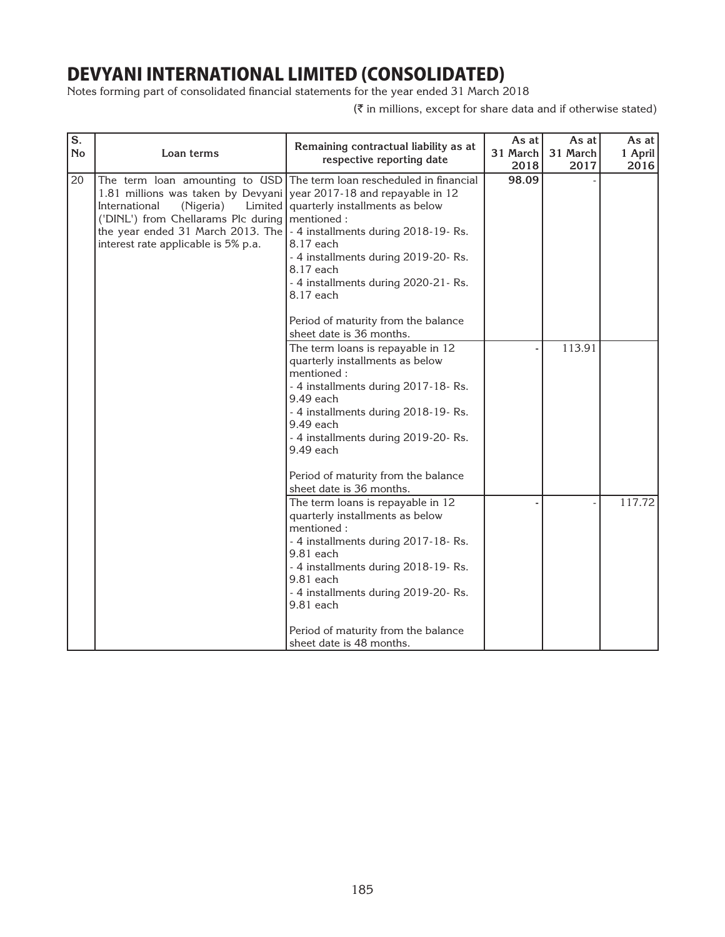Notes forming part of consolidated financial statements for the year ended 31 March 2018

| $\overline{\mathbf{s}}$ .<br><b>No</b> | Loan terms                                                                                                                                                                                                                                                               | Remaining contractual liability as at<br>respective reporting date                                                                                                                                                                                                                                                                               | As at<br>31 March<br>2018 | As at<br>31 March<br>2017 | As at<br>1 April<br>2016 |
|----------------------------------------|--------------------------------------------------------------------------------------------------------------------------------------------------------------------------------------------------------------------------------------------------------------------------|--------------------------------------------------------------------------------------------------------------------------------------------------------------------------------------------------------------------------------------------------------------------------------------------------------------------------------------------------|---------------------------|---------------------------|--------------------------|
| 20                                     | 1.81 millions was taken by Devyani year 2017-18 and repayable in 12<br>International<br>(Nigeria)<br>('DINL') from Chellarams Plc during   mentioned :<br>the year ended 31 March 2013. The   - 4 installments during 2018-19-Rs.<br>interest rate applicable is 5% p.a. | The term loan amounting to USD   The term loan rescheduled in financial<br>Limited   quarterly installments as below<br>8.17 each<br>- 4 installments during 2019-20- Rs.<br>8.17 each<br>- 4 installments during 2020-21- Rs.<br>8.17 each<br>Period of maturity from the balance                                                               | 98.09                     |                           |                          |
|                                        |                                                                                                                                                                                                                                                                          | sheet date is 36 months.<br>The term loans is repayable in 12<br>quarterly installments as below<br>mentioned:<br>- 4 installments during 2017-18-Rs.<br>9.49 each<br>- 4 installments during 2018-19-Rs.<br>9.49 each<br>- 4 installments during 2019-20- Rs.<br>9.49 each<br>Period of maturity from the balance                               |                           | 113.91                    |                          |
|                                        |                                                                                                                                                                                                                                                                          | sheet date is 36 months.<br>The term loans is repayable in 12<br>quarterly installments as below<br>mentioned:<br>- 4 installments during 2017-18-Rs.<br>$9.81$ each<br>- 4 installments during 2018-19-Rs.<br>9.81 each<br>- 4 installments during 2019-20- Rs.<br>9.81 each<br>Period of maturity from the balance<br>sheet date is 48 months. |                           |                           | 117.72                   |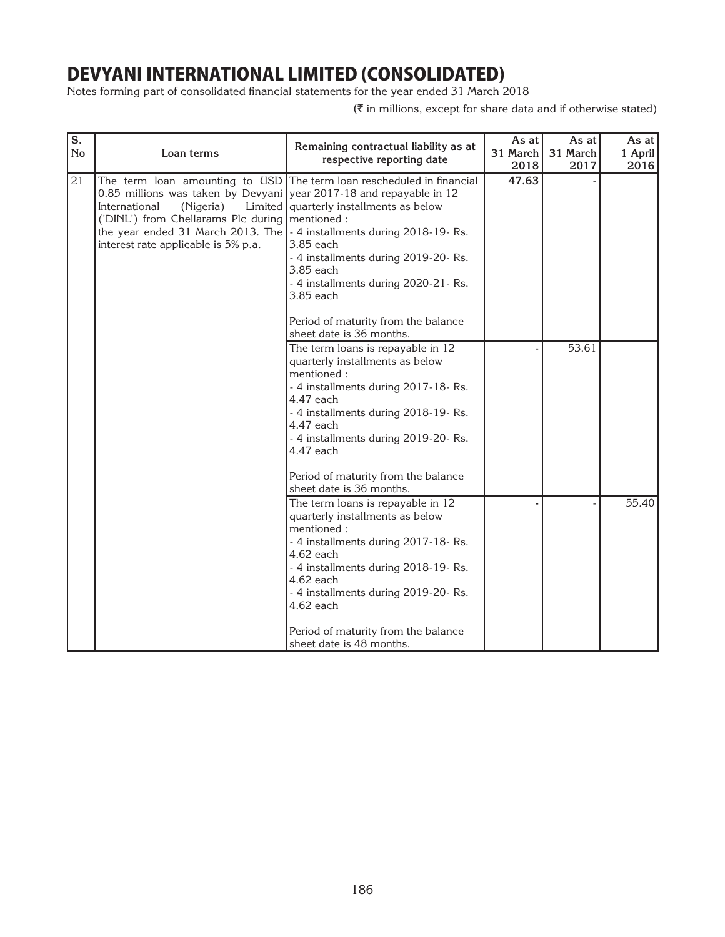Notes forming part of consolidated financial statements for the year ended 31 March 2018

| $\overline{\mathbf{s}}$ .<br><b>No</b> | Loan terms                                                                                                                                                                                                                                                                     | Remaining contractual liability as at<br>respective reporting date                                                                                                                                                                                                                                                 | As at<br>31 March<br>2018 | As at<br>31 March<br>2017 | As at<br>1 April<br>2016 |
|----------------------------------------|--------------------------------------------------------------------------------------------------------------------------------------------------------------------------------------------------------------------------------------------------------------------------------|--------------------------------------------------------------------------------------------------------------------------------------------------------------------------------------------------------------------------------------------------------------------------------------------------------------------|---------------------------|---------------------------|--------------------------|
| 21                                     | 0.85 millions was taken by Devyani year 2017-18 and repayable in 12<br>International<br>(Nigeria)<br>('DINL') from Chellarams Plc during   mentioned :<br>the year ended 31 March 2013. The $\vert$ - 4 installments during 2018-19-Rs.<br>interest rate applicable is 5% p.a. | The term loan amounting to USD The term loan rescheduled in financial<br>Limited   quarterly installments as below<br>3.85 each<br>- 4 installments during 2019-20- Rs.<br>3.85 each<br>- 4 installments during 2020-21- Rs.<br>3.85 each<br>Period of maturity from the balance<br>sheet date is 36 months.       | 47.63                     |                           |                          |
|                                        |                                                                                                                                                                                                                                                                                | The term loans is repayable in 12<br>quarterly installments as below<br>mentioned:<br>- 4 installments during 2017-18-Rs.<br>4.47 each<br>- 4 installments during 2018-19-Rs.<br>4.47 each<br>- 4 installments during 2019-20- Rs.<br>4.47 each<br>Period of maturity from the balance<br>sheet date is 36 months. |                           | 53.61                     |                          |
|                                        |                                                                                                                                                                                                                                                                                | The term loans is repayable in 12<br>quarterly installments as below<br>mentioned:<br>- 4 installments during 2017-18-Rs.<br>4.62 each<br>- 4 installments during 2018-19-Rs.<br>4.62 each<br>- 4 installments during 2019-20- Rs.<br>4.62 each<br>Period of maturity from the balance<br>sheet date is 48 months. |                           |                           | 55.40                    |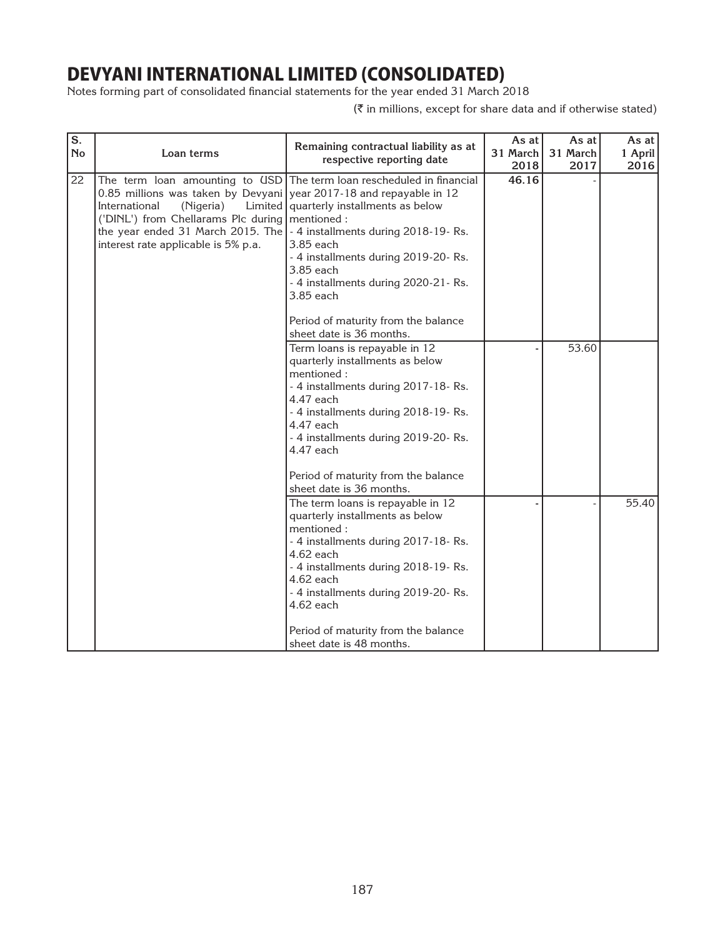Notes forming part of consolidated financial statements for the year ended 31 March 2018

| S.<br><b>No</b> | Loan terms                                                                                                                                                                                                                                                                     | Remaining contractual liability as at<br>respective reporting date                                                                                                                                                                                                                                                 | As at<br>31 March<br>2018 | As at<br>31 March<br>2017 | As at<br>1 April<br>2016 |
|-----------------|--------------------------------------------------------------------------------------------------------------------------------------------------------------------------------------------------------------------------------------------------------------------------------|--------------------------------------------------------------------------------------------------------------------------------------------------------------------------------------------------------------------------------------------------------------------------------------------------------------------|---------------------------|---------------------------|--------------------------|
| 22              | 0.85 millions was taken by Devyani year 2017-18 and repayable in 12<br>International<br>(Nigeria)<br>('DINL') from Chellarams Plc during   mentioned :<br>the year ended 31 March 2015. The $\vert$ - 4 installments during 2018-19-Rs.<br>interest rate applicable is 5% p.a. | The term loan amounting to USD   The term loan rescheduled in financial<br>Limited   quarterly installments as below<br>3.85 each<br>- 4 installments during 2019-20- Rs.<br>3.85 each<br>- 4 installments during 2020-21- Rs.<br>3.85 each<br>Period of maturity from the balance<br>sheet date is 36 months.     | 46.16                     |                           |                          |
|                 |                                                                                                                                                                                                                                                                                | Term loans is repayable in 12<br>quarterly installments as below<br>mentioned:<br>- 4 installments during 2017-18-Rs.<br>4.47 each<br>- 4 installments during 2018-19-Rs.<br>4.47 each<br>- 4 installments during 2019-20- Rs.<br>4.47 each<br>Period of maturity from the balance<br>sheet date is 36 months.     |                           | 53.60                     |                          |
|                 |                                                                                                                                                                                                                                                                                | The term loans is repayable in 12<br>quarterly installments as below<br>mentioned:<br>- 4 installments during 2017-18-Rs.<br>4.62 each<br>- 4 installments during 2018-19-Rs.<br>4.62 each<br>- 4 installments during 2019-20- Rs.<br>4.62 each<br>Period of maturity from the balance<br>sheet date is 48 months. |                           |                           | 55.40                    |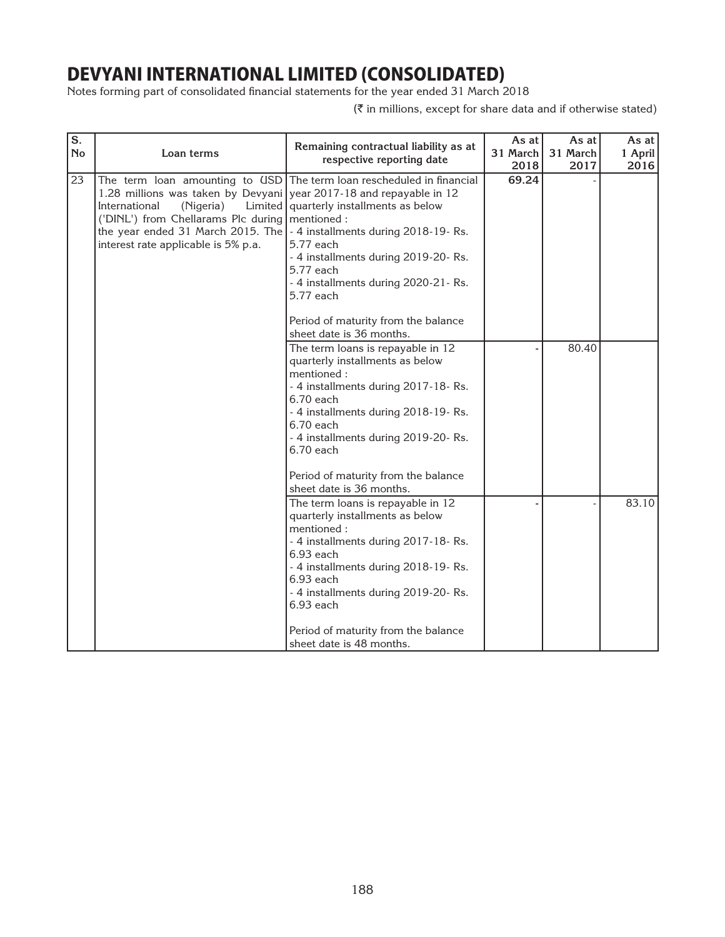Notes forming part of consolidated financial statements for the year ended 31 March 2018

| S.<br><b>No</b> | Loan terms                                                                                                                                                                                                                                                                                                 | Remaining contractual liability as at<br>respective reporting date                                                                                                                                                                                                                                                     | As at<br>31 March<br>2018 | As at<br>31 March<br>2017 | As at<br>1 April<br>2016 |
|-----------------|------------------------------------------------------------------------------------------------------------------------------------------------------------------------------------------------------------------------------------------------------------------------------------------------------------|------------------------------------------------------------------------------------------------------------------------------------------------------------------------------------------------------------------------------------------------------------------------------------------------------------------------|---------------------------|---------------------------|--------------------------|
| 23              | The term loan amounting to USD<br>1.28 millions was taken by Devyani year 2017-18 and repayable in 12<br>International<br>(Nigeria)<br>('DINL') from Chellarams Plc during   mentioned :<br>the year ended 31 March 2015. The   - 4 installments during 2018-19-Rs.<br>interest rate applicable is 5% p.a. | The term loan rescheduled in financial<br>Limited   quarterly installments as below<br>5.77 each<br>- 4 installments during 2019-20- Rs.<br>5.77 each<br>- 4 installments during 2020-21- Rs.<br>5.77 each<br>Period of maturity from the balance<br>sheet date is 36 months.                                          | 69.24                     |                           |                          |
|                 |                                                                                                                                                                                                                                                                                                            | The term loans is repayable in 12<br>quarterly installments as below<br>mentioned:<br>- 4 installments during 2017-18-Rs.<br>$6.70$ each<br>- 4 installments during 2018-19-Rs.<br>6.70 each<br>- 4 installments during 2019-20- Rs.<br>$6.70$ each<br>Period of maturity from the balance<br>sheet date is 36 months. |                           | 80.40                     |                          |
|                 |                                                                                                                                                                                                                                                                                                            | The term loans is repayable in 12<br>quarterly installments as below<br>mentioned:<br>- 4 installments during 2017-18-Rs.<br>6.93 each<br>- 4 installments during 2018-19-Rs.<br>6.93 each<br>- 4 installments during 2019-20- Rs.<br>6.93 each<br>Period of maturity from the balance<br>sheet date is 48 months.     |                           |                           | 83.10                    |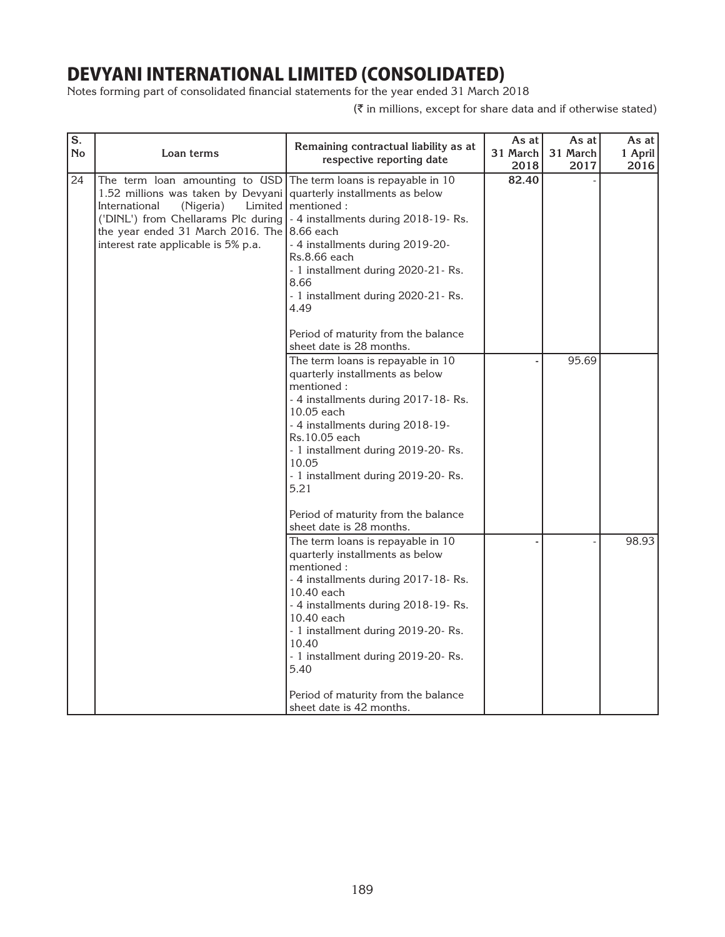Notes forming part of consolidated financial statements for the year ended 31 March 2018

| S.<br><b>No</b> | Loan terms                                                                                                                                                                                                                                                                                                   | Remaining contractual liability as at<br>respective reporting date                                                                                                                                                                                                                                                                                                                        | As at<br>31 March<br>2018 | As at<br>31 March<br>2017 | As at I<br>1 April<br>2016 |
|-----------------|--------------------------------------------------------------------------------------------------------------------------------------------------------------------------------------------------------------------------------------------------------------------------------------------------------------|-------------------------------------------------------------------------------------------------------------------------------------------------------------------------------------------------------------------------------------------------------------------------------------------------------------------------------------------------------------------------------------------|---------------------------|---------------------------|----------------------------|
| 24              | The term loan amounting to $\text{USD}$ The term loans is repayable in 10<br>1.52 millions was taken by Devyani quarterly installments as below<br>International<br>(Nigeria)<br>('DINL') from Chellarams Plc during<br>the year ended 31 March 2016. The $8.66$ each<br>interest rate applicable is 5% p.a. | Limited   mentioned :<br>- 4 installments during 2018-19-Rs.<br>- 4 installments during 2019-20-<br>Rs.8.66 each<br>- 1 installment during 2020-21- Rs.<br>8.66<br>- 1 installment during 2020-21- Rs.<br>4.49<br>Period of maturity from the balance                                                                                                                                     | 82.40                     |                           |                            |
|                 |                                                                                                                                                                                                                                                                                                              | sheet date is 28 months.<br>The term loans is repayable in 10<br>quarterly installments as below<br>mentioned:<br>- 4 installments during 2017-18-Rs.<br>10.05 each<br>- 4 installments during 2018-19-<br>Rs.10.05 each<br>- 1 installment during 2019-20-Rs.<br>10.05<br>- 1 installment during 2019-20- Rs.<br>5.21<br>Period of maturity from the balance                             |                           | 95.69                     |                            |
|                 |                                                                                                                                                                                                                                                                                                              | sheet date is 28 months.<br>The term loans is repayable in 10<br>quarterly installments as below<br>mentioned :<br>- 4 installments during 2017-18-Rs.<br>10.40 each<br>- 4 installments during 2018-19-Rs.<br>10.40 each<br>- 1 installment during 2019-20-Rs.<br>10.40<br>- 1 installment during 2019-20-Rs.<br>5.40<br>Period of maturity from the balance<br>sheet date is 42 months. |                           |                           | 98.93                      |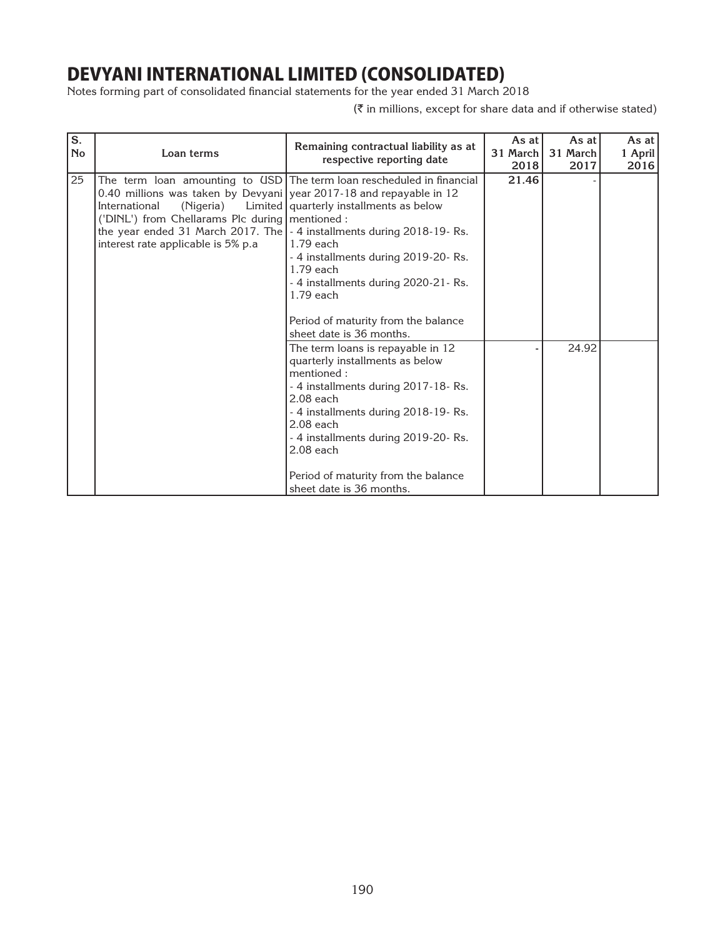Notes forming part of consolidated financial statements for the year ended 31 March 2018

| S.<br><b>No</b> | Loan terms                                                                                                                                                                                                                                                                | Remaining contractual liability as at<br>respective reporting date                                                                                                                                                                                                                                                       | As at<br>31 March<br>2018 | As at<br>31 March<br>2017 | As at I<br>1 April<br>2016 |
|-----------------|---------------------------------------------------------------------------------------------------------------------------------------------------------------------------------------------------------------------------------------------------------------------------|--------------------------------------------------------------------------------------------------------------------------------------------------------------------------------------------------------------------------------------------------------------------------------------------------------------------------|---------------------------|---------------------------|----------------------------|
| 25              | 0.40 millions was taken by Devyani year 2017-18 and repayable in 12<br>International<br>(Nigeria)<br>('DINL') from Chellarams Plc during   mentioned :<br>the year ended 31 March 2017. The   - 4 installments during 2018-19- Rs.<br>interest rate applicable is 5% p.a. | The term loan amounting to USD   The term loan rescheduled in financial<br>Limited   quarterly installments as below<br>$1.79$ each<br>- 4 installments during 2019-20- Rs.<br>$1.79$ each<br>- 4 installments during 2020-21-Rs.<br>$1.79$ each<br>Period of maturity from the balance<br>sheet date is 36 months.      | 21.46                     |                           |                            |
|                 |                                                                                                                                                                                                                                                                           | The term loans is repayable in 12<br>quarterly installments as below<br>mentioned:<br>- 4 installments during 2017-18-Rs.<br>$2.08$ each<br>- 4 installments during 2018-19-Rs.<br>$2.08$ each<br>- 4 installments during 2019-20- Rs.<br>$2.08$ each<br>Period of maturity from the balance<br>sheet date is 36 months. |                           | 24.92                     |                            |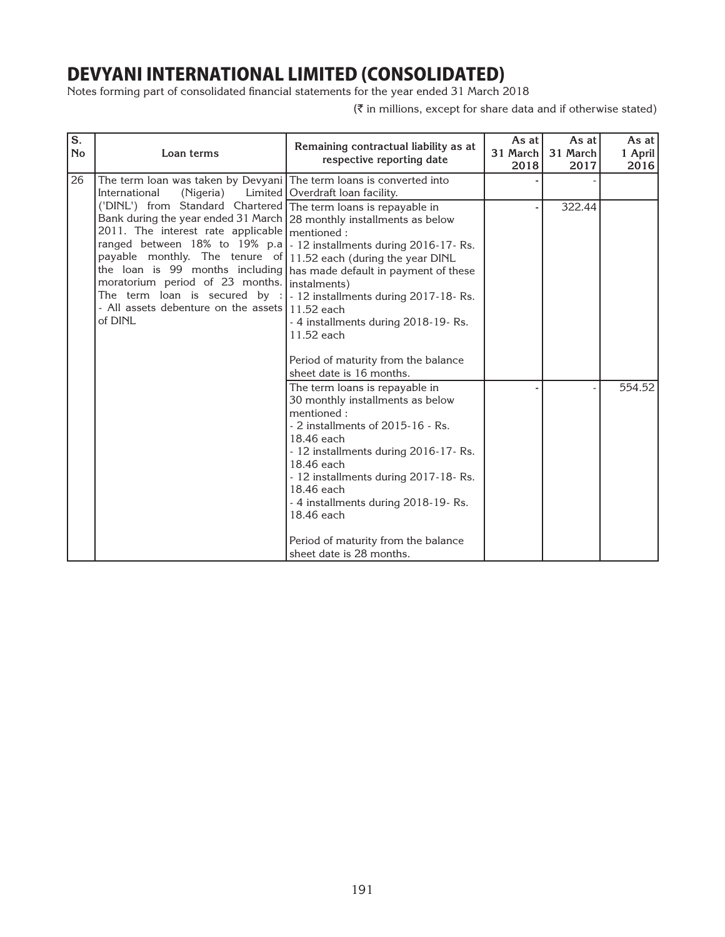Notes forming part of consolidated financial statements for the year ended 31 March 2018

| S.<br><b>No</b> | Loan terms                                                                                                                                                                                                                                                                                                                                                                           | Remaining contractual liability as at<br>respective reporting date                                                                                                                                                                                                                                                                                                                                   | As at $ $<br>31 March<br>2018 | As at<br>31 March<br>2017 | As at $ $<br>1 April<br>2016 |
|-----------------|--------------------------------------------------------------------------------------------------------------------------------------------------------------------------------------------------------------------------------------------------------------------------------------------------------------------------------------------------------------------------------------|------------------------------------------------------------------------------------------------------------------------------------------------------------------------------------------------------------------------------------------------------------------------------------------------------------------------------------------------------------------------------------------------------|-------------------------------|---------------------------|------------------------------|
| 26              | The term loan was taken by Devyani The term loans is converted into<br>International<br>(Nigeria)                                                                                                                                                                                                                                                                                    | Limited   Overdraft loan facility.                                                                                                                                                                                                                                                                                                                                                                   |                               |                           |                              |
|                 | ('DINL') from Standard Chartered   The term loans is repayable in<br>Bank during the year ended 31 March   28 monthly installments as below<br>2011. The interest rate applicable   mentioned :<br>payable monthly. The tenure of   11.52 each (during the year DINL<br>moratorium period of 23 months.   instalments)<br>- All assets debenture on the assets 11.52 each<br>of DINL | ranged between $18\%$ to $19\%$ p.a   - 12 installments during 2016-17-Rs.<br>the loan is 99 months including   has made default in payment of these<br>The term loan is secured by $: -12$ installments during 2017-18-Rs.<br>- 4 installments during 2018-19-Rs.<br>11.52 each<br>Period of maturity from the balance                                                                              |                               | 322.44                    |                              |
|                 |                                                                                                                                                                                                                                                                                                                                                                                      | sheet date is 16 months.<br>The term loans is repayable in<br>30 monthly installments as below<br>mentioned:<br>- 2 installments of 2015-16 - Rs.<br>18.46 each<br>- 12 installments during 2016-17- Rs.<br>18.46 each<br>- 12 installments during 2017-18-Rs.<br>18.46 each<br>- 4 installments during 2018-19-Rs.<br>18.46 each<br>Period of maturity from the balance<br>sheet date is 28 months. |                               |                           | 554.52                       |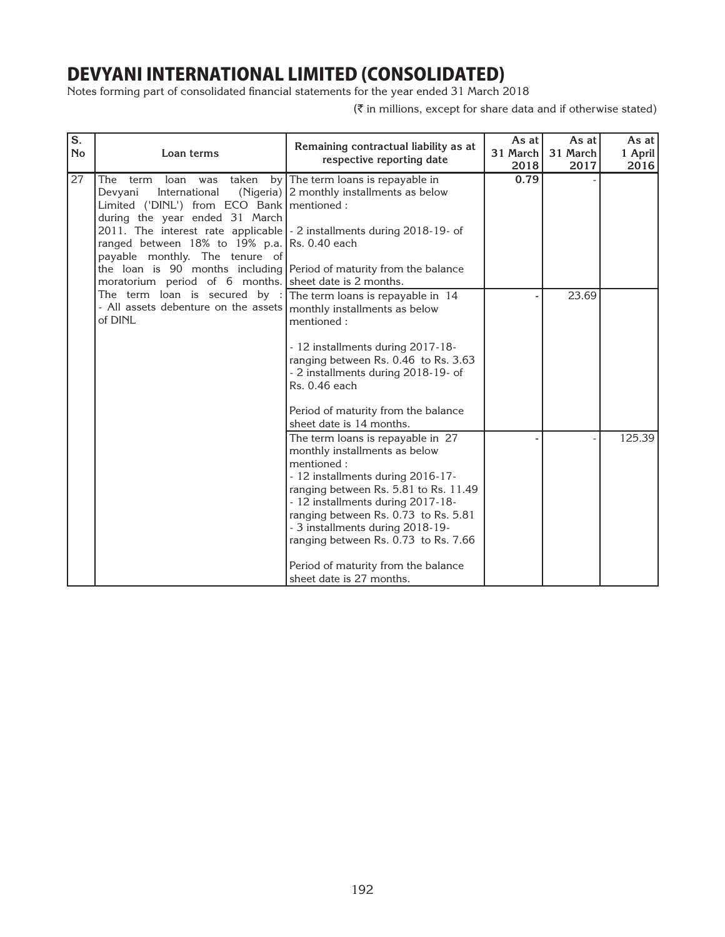Notes forming part of consolidated financial statements for the year ended 31 March 2018

| S.        |                                                                                                                                                                                                                                                                                                                                                                                                                                                                                                                                                                                                  |                                                                                                                                                                                                                                                                                                                                                                                            | As at            | As at            | As at           |
|-----------|--------------------------------------------------------------------------------------------------------------------------------------------------------------------------------------------------------------------------------------------------------------------------------------------------------------------------------------------------------------------------------------------------------------------------------------------------------------------------------------------------------------------------------------------------------------------------------------------------|--------------------------------------------------------------------------------------------------------------------------------------------------------------------------------------------------------------------------------------------------------------------------------------------------------------------------------------------------------------------------------------------|------------------|------------------|-----------------|
| <b>No</b> | Loan terms                                                                                                                                                                                                                                                                                                                                                                                                                                                                                                                                                                                       | Remaining contractual liability as at<br>respective reporting date                                                                                                                                                                                                                                                                                                                         | 31 March<br>2018 | 31 March<br>2017 | 1 April<br>2016 |
| 27        | was taken<br>The term<br>loan<br>Devyani<br>International<br>Limited ('DINL') from ECO Bank   mentioned :<br>during the year ended 31 March<br>2011. The interest rate applicable - 2 installments during 2018-19- of<br>ranged between 18% to 19% p.a. Rs. 0.40 each<br>payable monthly. The tenure of<br>the loan is 90 months including Period of maturity from the balance<br>moratorium period of 6 months. Sheet date is 2 months.<br>The term loan is secured by : The term loans is repayable in $14$<br>- All assets debenture on the assets   monthly installments as below<br>of DINL | by The term loans is repayable in<br>(Nigeria) 2 monthly installments as below                                                                                                                                                                                                                                                                                                             | 0.79             |                  |                 |
|           |                                                                                                                                                                                                                                                                                                                                                                                                                                                                                                                                                                                                  | mentioned:<br>- 12 installments during 2017-18-<br>ranging between Rs. 0.46 to Rs. 3.63<br>- 2 installments during 2018-19- of<br>Rs. 0.46 each<br>Period of maturity from the balance<br>sheet date is 14 months.                                                                                                                                                                         |                  | 23.69            |                 |
|           |                                                                                                                                                                                                                                                                                                                                                                                                                                                                                                                                                                                                  | The term loans is repayable in 27<br>monthly installments as below<br>mentioned:<br>- 12 installments during 2016-17-<br>ranging between Rs. 5.81 to Rs. 11.49<br>- 12 installments during 2017-18-<br>ranging between Rs. 0.73 to Rs. 5.81<br>- 3 installments during 2018-19-<br>ranging between Rs. 0.73 to Rs. 7.66<br>Period of maturity from the balance<br>sheet date is 27 months. |                  |                  | 125.39          |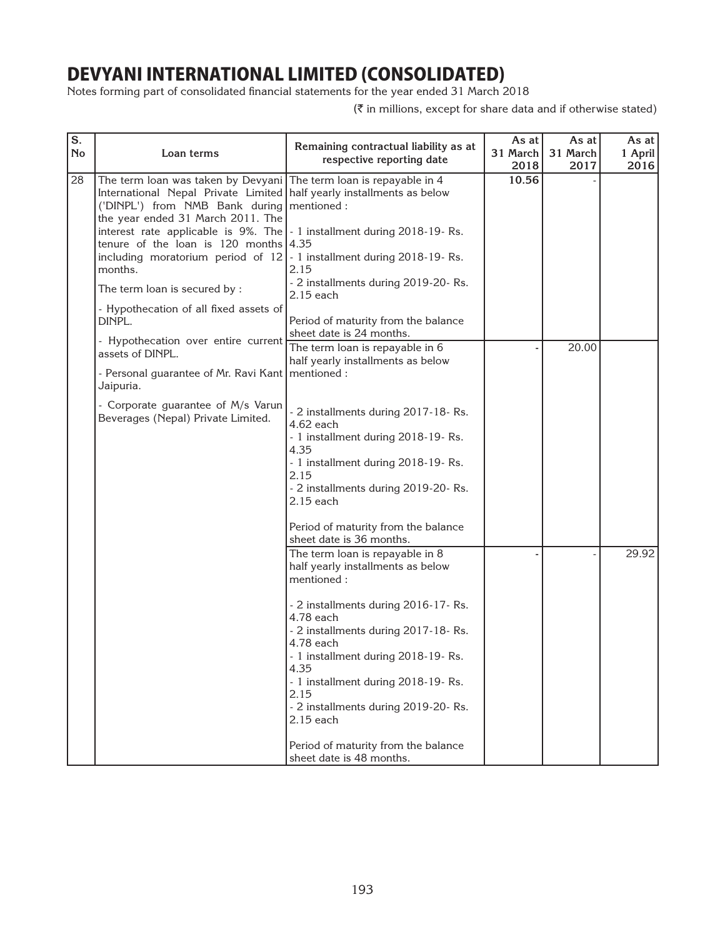Notes forming part of consolidated financial statements for the year ended 31 March 2018

| S.<br><b>No</b> | Loan terms                                                                                                                                                                                                                                                                                                                                                                                                                                                                                                                                     | Remaining contractual liability as at<br>respective reporting date                                                                                                                                                                                                                                                                                                                                                                         | As at<br>31 March<br>2018 | As at<br>31 March<br>2017 | As at<br>1 April<br>2016 |
|-----------------|------------------------------------------------------------------------------------------------------------------------------------------------------------------------------------------------------------------------------------------------------------------------------------------------------------------------------------------------------------------------------------------------------------------------------------------------------------------------------------------------------------------------------------------------|--------------------------------------------------------------------------------------------------------------------------------------------------------------------------------------------------------------------------------------------------------------------------------------------------------------------------------------------------------------------------------------------------------------------------------------------|---------------------------|---------------------------|--------------------------|
| 28              | The term loan was taken by Devyani The term loan is repayable in 4<br>International Nepal Private Limited   half yearly installments as below<br>('DINPL') from NMB Bank during   mentioned :<br>the year ended 31 March 2011. The<br>interest rate applicable is $9\%$ . The $\vert$ - 1 installment during 2018-19-Rs.<br>tenure of the loan is 120 months $ 4.35$<br>including moratorium period of $12$ - 1 installment during 2018-19-Rs.<br>months.<br>The term loan is secured by :<br>- Hypothecation of all fixed assets of<br>DINPL. | 2.15<br>- 2 installments during 2019-20- Rs.<br>2.15 each<br>Period of maturity from the balance<br>sheet date is 24 months.                                                                                                                                                                                                                                                                                                               | 10.56                     |                           |                          |
|                 | - Hypothecation over entire current<br>assets of DINPL.<br>- Personal guarantee of Mr. Ravi Kant   mentioned :<br>Jaipuria.                                                                                                                                                                                                                                                                                                                                                                                                                    | The term loan is repayable in 6<br>half yearly installments as below                                                                                                                                                                                                                                                                                                                                                                       |                           | 20.00                     |                          |
|                 | - Corporate guarantee of M/s Varun<br>Beverages (Nepal) Private Limited.                                                                                                                                                                                                                                                                                                                                                                                                                                                                       | - 2 installments during 2017-18-Rs.<br>4.62 each<br>- 1 installment during 2018-19-Rs.<br>4.35<br>- 1 installment during 2018-19-Rs.<br>2.15<br>- 2 installments during 2019-20- Rs.<br>2.15 each<br>Period of maturity from the balance                                                                                                                                                                                                   |                           |                           |                          |
|                 |                                                                                                                                                                                                                                                                                                                                                                                                                                                                                                                                                | sheet date is 36 months.<br>The term loan is repayable in 8<br>half yearly installments as below<br>mentioned:<br>- 2 installments during 2016-17-Rs.<br>4.78 each<br>- 2 installments during 2017-18-Rs.<br>4.78 each<br>- 1 installment during 2018-19-Rs.<br>4.35<br>- 1 installment during 2018-19-Rs.<br>2.15<br>- 2 installments during 2019-20- Rs.<br>2.15 each<br>Period of maturity from the balance<br>sheet date is 48 months. |                           |                           | 29.92                    |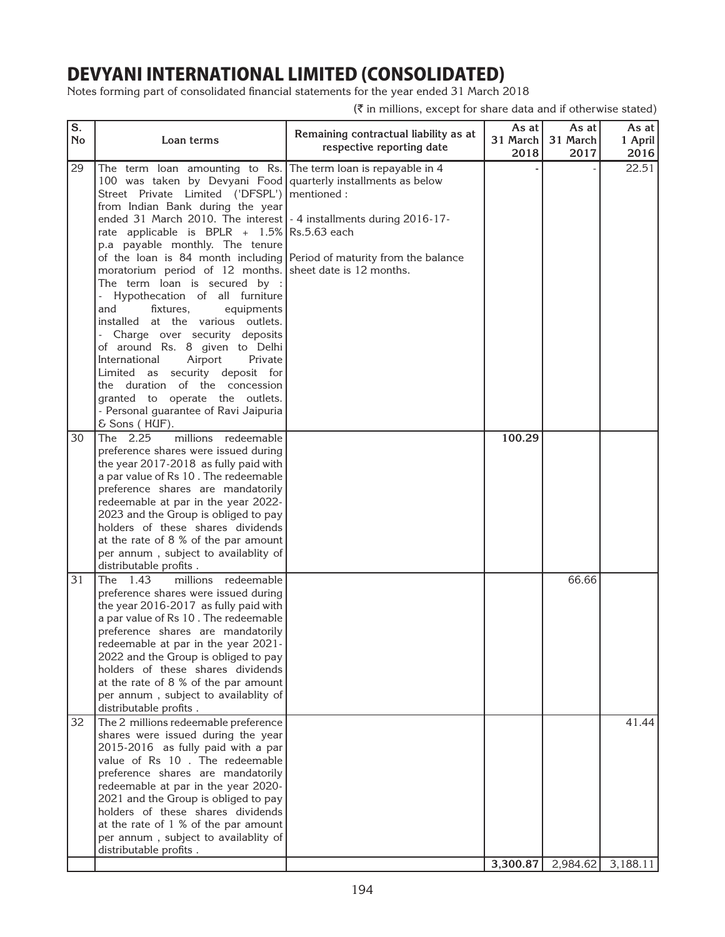Notes forming part of consolidated financial statements for the year ended 31 March 2018

| S.<br><b>No</b> | Loan terms                                                                                                                                                                                                                                                                                                                                                                                                                                                                                                                                                                                                                                                                                                                                                                                                                                                                                                                                   | Remaining contractual liability as at<br>respective reporting date | As at<br>31 March<br>2018 | As at<br>31 March<br>2017 | As at $ $<br>1 April<br>2016 |
|-----------------|----------------------------------------------------------------------------------------------------------------------------------------------------------------------------------------------------------------------------------------------------------------------------------------------------------------------------------------------------------------------------------------------------------------------------------------------------------------------------------------------------------------------------------------------------------------------------------------------------------------------------------------------------------------------------------------------------------------------------------------------------------------------------------------------------------------------------------------------------------------------------------------------------------------------------------------------|--------------------------------------------------------------------|---------------------------|---------------------------|------------------------------|
| 29              | The term loan amounting to Rs. The term loan is repayable in 4<br>100 was taken by Devyani Food quarterly installments as below<br>Street Private Limited ('DFSPL')   mentioned :<br>from Indian Bank during the year<br>ended 31 March 2010. The interest   - 4 installments during 2016-17-<br>rate applicable is BPLR $+$ 1.5% Rs.5.63 each<br>p.a payable monthly. The tenure<br>of the loan is 84 month including Period of maturity from the balance<br>moratorium period of 12 months. sheet date is 12 months.<br>The term loan is secured by :<br>Hypothecation of all furniture<br>and<br>fixtures,<br>equipments<br>installed at the various outlets.<br>Charge over security deposits<br>of around Rs. 8 given to Delhi<br>Airport<br>International<br>Private<br>Limited as security deposit for<br>the duration of the concession<br>granted to operate the outlets.<br>- Personal guarantee of Ravi Jaipuria<br>& Sons (HUF). |                                                                    |                           |                           | 22.51                        |
| 30              | The 2.25<br>millions redeemable<br>preference shares were issued during<br>the year 2017-2018 as fully paid with<br>a par value of Rs 10. The redeemable<br>preference shares are mandatorily<br>redeemable at par in the year 2022-<br>2023 and the Group is obliged to pay<br>holders of these shares dividends<br>at the rate of 8 % of the par amount<br>per annum, subject to availablity of<br>distributable profits.                                                                                                                                                                                                                                                                                                                                                                                                                                                                                                                  |                                                                    | 100.29                    |                           |                              |
| 31              | The 1.43<br>millions redeemable<br>preference shares were issued during<br>the year 2016-2017 as fully paid with<br>a par value of Rs 10. The redeemable<br>preference shares are mandatorily<br>redeemable at par in the year 2021-<br>2022 and the Group is obliged to pay<br>holders of these shares dividends<br>at the rate of 8 % of the par amount<br>per annum, subject to availablity of<br>distributable profits.                                                                                                                                                                                                                                                                                                                                                                                                                                                                                                                  |                                                                    |                           | 66.66                     |                              |
| 32              | The 2 millions redeemable preference<br>shares were issued during the year<br>2015-2016 as fully paid with a par<br>value of Rs 10. The redeemable<br>preference shares are mandatorily<br>redeemable at par in the year 2020-<br>2021 and the Group is obliged to pay<br>holders of these shares dividends<br>at the rate of 1 % of the par amount<br>per annum, subject to availablity of<br>distributable profits.                                                                                                                                                                                                                                                                                                                                                                                                                                                                                                                        |                                                                    | 3,300.87                  |                           | 41.44<br>2,984.62 3,188.11   |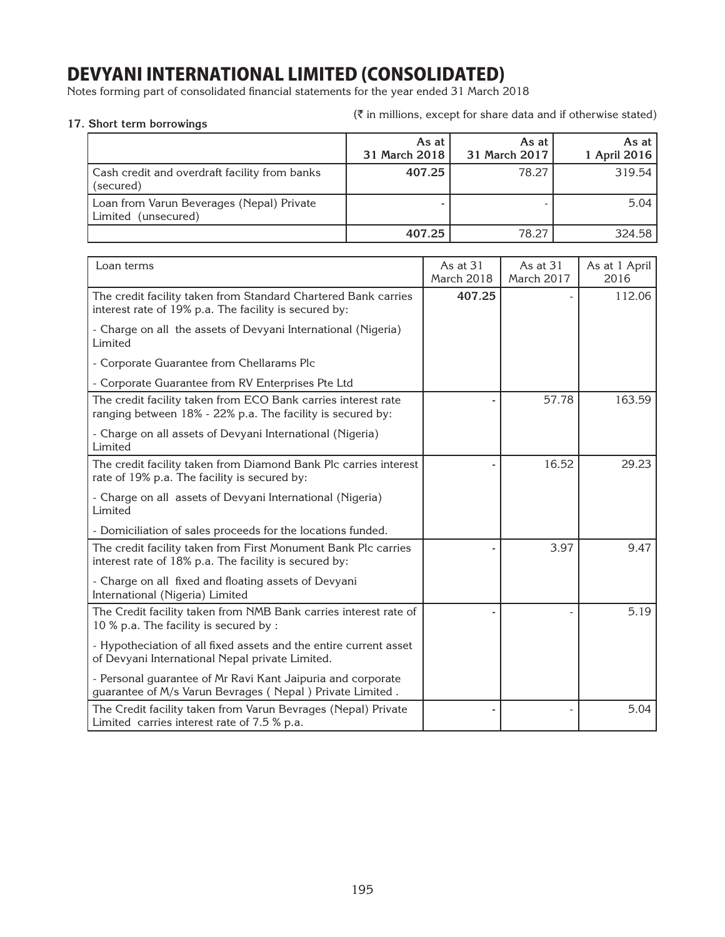Notes forming part of consolidated financial statements for the year ended 31 March 2018

| . ONUIT ICHII DUITUWINGS                                            |                        |                            |                       |
|---------------------------------------------------------------------|------------------------|----------------------------|-----------------------|
|                                                                     | As at<br>31 March 2018 | As at $ $<br>31 March 2017 | As at<br>1 April 2016 |
| Cash credit and overdraft facility from banks<br>(secured)          | 407.25                 | 78.27                      | 319.54                |
| Loan from Varun Beverages (Nepal) Private<br>(unsecured)<br>Limited |                        |                            | 5.04                  |
|                                                                     | 407.25                 | 78.27                      | 324.58                |

| Loan terms                                                                                                                  | As at 31<br>March 2018 | As at 31<br>March 2017 | As at 1 April<br>2016 |
|-----------------------------------------------------------------------------------------------------------------------------|------------------------|------------------------|-----------------------|
| The credit facility taken from Standard Chartered Bank carries<br>interest rate of 19% p.a. The facility is secured by:     | 407.25                 |                        | 112.06                |
| - Charge on all the assets of Devyani International (Nigeria)<br>Limited                                                    |                        |                        |                       |
| - Corporate Guarantee from Chellarams Plc                                                                                   |                        |                        |                       |
| - Corporate Guarantee from RV Enterprises Pte Ltd                                                                           |                        |                        |                       |
| The credit facility taken from ECO Bank carries interest rate<br>ranging between 18% - 22% p.a. The facility is secured by: |                        | 57.78                  | 163.59                |
| - Charge on all assets of Devyani International (Nigeria)<br>Limited                                                        |                        |                        |                       |
| The credit facility taken from Diamond Bank Plc carries interest<br>rate of 19% p.a. The facility is secured by:            |                        | 16.52                  | 29.23                 |
| - Charge on all assets of Devyani International (Nigeria)<br>Limited                                                        |                        |                        |                       |
| - Domiciliation of sales proceeds for the locations funded.                                                                 |                        |                        |                       |
| The credit facility taken from First Monument Bank Plc carries<br>interest rate of 18% p.a. The facility is secured by:     |                        | 3.97                   | 9.47                  |
| - Charge on all fixed and floating assets of Devyani<br>International (Nigeria) Limited                                     |                        |                        |                       |
| The Credit facility taken from NMB Bank carries interest rate of<br>10 % p.a. The facility is secured by :                  |                        |                        | 5.19                  |
| - Hypotheciation of all fixed assets and the entire current asset<br>of Devyani International Nepal private Limited.        |                        |                        |                       |
| - Personal guarantee of Mr Ravi Kant Jaipuria and corporate<br>guarantee of M/s Varun Bevrages (Nepal) Private Limited.     |                        |                        |                       |
| The Credit facility taken from Varun Bevrages (Nepal) Private<br>Limited carries interest rate of 7.5 % p.a.                |                        |                        | 5.04                  |

(` in millions, except for share data and if otherwise stated) **17. Short term borrowings**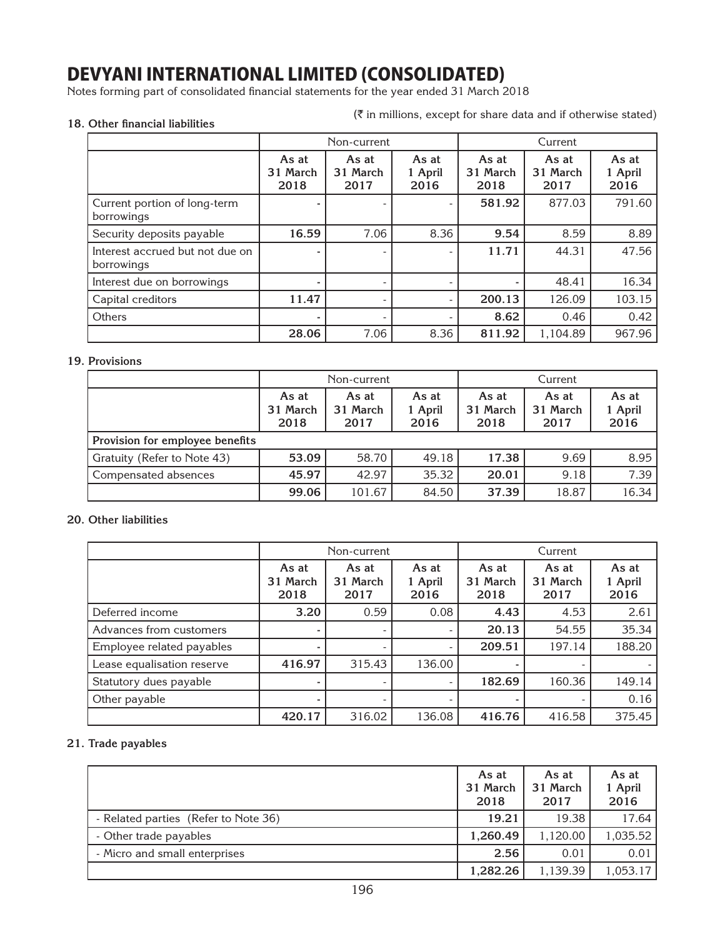Notes forming part of consolidated financial statements for the year ended 31 March 2018

### **18. Other financial liabilities**

 $(\bar{\tau}$  in millions, except for share data and if otherwise stated)

|                                               |                           | Non-current               |                          |                           | Current                   |                          |
|-----------------------------------------------|---------------------------|---------------------------|--------------------------|---------------------------|---------------------------|--------------------------|
|                                               | As at<br>31 March<br>2018 | As at<br>31 March<br>2017 | As at<br>1 April<br>2016 | As at<br>31 March<br>2018 | As at<br>31 March<br>2017 | As at<br>1 April<br>2016 |
| Current portion of long-term<br>borrowings    |                           |                           |                          | 581.92                    | 877.03                    | 791.60                   |
| Security deposits payable                     | 16.59                     | 7.06                      | 8.36                     | 9.54                      | 8.59                      | 8.89                     |
| Interest accrued but not due on<br>borrowings |                           |                           |                          | 11.71                     | 44.31                     | 47.56                    |
| Interest due on borrowings                    |                           |                           |                          |                           | 48.41                     | 16.34                    |
| Capital creditors                             | 11.47                     |                           |                          | 200.13                    | 126.09                    | 103.15                   |
| <b>Others</b>                                 |                           |                           |                          | 8.62                      | 0.46                      | 0.42                     |
|                                               | 28.06                     | 7.06                      | 8.36                     | 811.92                    | 1.104.89                  | 967.96                   |

#### **19. Provisions**

|                                 | Non-current                                                                                                                                  |  |  | Current |      |                          |
|---------------------------------|----------------------------------------------------------------------------------------------------------------------------------------------|--|--|---------|------|--------------------------|
|                                 | As at<br>As at<br>As at<br>As at<br>As at<br>31 March<br>31 March<br>31 March<br>1 April<br>31 March<br>2018<br>2018<br>2017<br>2016<br>2017 |  |  |         |      | As at<br>1 April<br>2016 |
| Provision for employee benefits |                                                                                                                                              |  |  |         |      |                          |
| Gratuity (Refer to Note 43)     | 53.09<br>58.70<br>49.18                                                                                                                      |  |  | 17.38   | 9.69 | 8.95                     |
| Compensated absences            | 45.97<br>35.32<br>42.97                                                                                                                      |  |  | 20.01   | 9.18 | 7.39                     |
|                                 | 99.06<br>101.67<br>84.50<br>37.39<br>18.87                                                                                                   |  |  |         |      |                          |

#### **20. Other liabilities**

|                            | Non-current               |                           |                                                                                    |        | Current                  |        |
|----------------------------|---------------------------|---------------------------|------------------------------------------------------------------------------------|--------|--------------------------|--------|
|                            | As at<br>31 March<br>2018 | As at<br>31 March<br>2017 | As at<br>As at<br>As at<br>31 March<br>31 March<br>1 April<br>2018<br>2016<br>2017 |        | As at<br>1 April<br>2016 |        |
| Deferred income            | 3.20                      | 0.59                      | 0.08                                                                               | 4.43   | 4.53                     | 2.61   |
| Advances from customers    |                           |                           |                                                                                    | 20.13  | 54.55                    | 35.34  |
| Employee related payables  |                           |                           |                                                                                    | 209.51 | 197.14                   | 188.20 |
| Lease equalisation reserve | 416.97                    | 315.43                    | 136.00                                                                             |        |                          |        |
| Statutory dues payable     |                           |                           |                                                                                    | 182.69 | 160.36                   | 149.14 |
| Other payable              |                           |                           |                                                                                    | ۰      |                          | 0.16   |
|                            | 420.17                    | 316.02                    | 136.08                                                                             | 416.76 | 416.58                   | 375.45 |

### **21. Trade payables**

|                                      | As at<br>31 March<br>2018 | As at<br>31 March<br>2017 | As at<br>1 April<br>2016 |
|--------------------------------------|---------------------------|---------------------------|--------------------------|
| - Related parties (Refer to Note 36) | 19.21                     | 19.38                     | 17.64                    |
| - Other trade payables               | 1,260.49                  | 1,120.00                  | 1,035.52                 |
| - Micro and small enterprises        | 2.56                      | 0.01                      | 0.01                     |
|                                      | 1,282.26                  | 1,139.39                  | 1,053.17                 |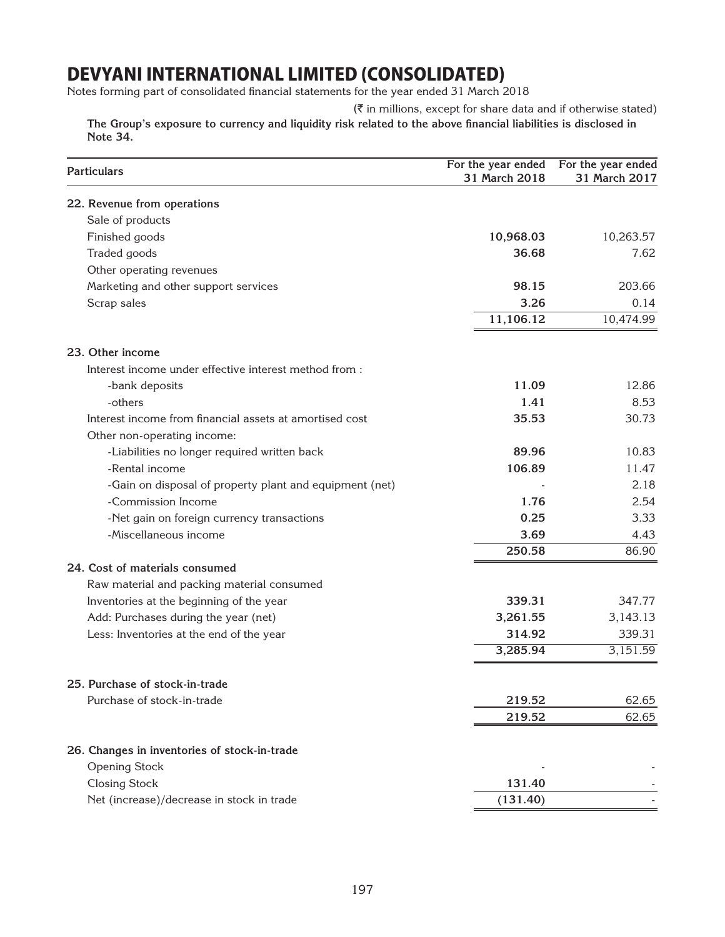Notes forming part of consolidated financial statements for the year ended 31 March 2018

 $(\bar{\tau}$  in millions, except for share data and if otherwise stated)

 **The Group's exposure to currency and liquidity risk related to the above financial liabilities is disclosed in Note 34.**

| <b>Particulars</b>                                      | For the year ended<br>31 March 2018 | For the year ended<br>31 March 2017 |
|---------------------------------------------------------|-------------------------------------|-------------------------------------|
| 22. Revenue from operations                             |                                     |                                     |
| Sale of products                                        |                                     |                                     |
| Finished goods                                          | 10,968.03                           | 10,263.57                           |
| Traded goods                                            | 36.68                               | 7.62                                |
| Other operating revenues                                |                                     |                                     |
| Marketing and other support services                    | 98.15                               | 203.66                              |
| Scrap sales                                             | 3.26                                | 0.14                                |
|                                                         | 11,106.12                           | 10,474.99                           |
| 23. Other income                                        |                                     |                                     |
| Interest income under effective interest method from :  |                                     |                                     |
| -bank deposits                                          | 11.09                               | 12.86                               |
| -others                                                 | 1.41                                | 8.53                                |
| Interest income from financial assets at amortised cost | 35.53                               | 30.73                               |
| Other non-operating income:                             |                                     |                                     |
| -Liabilities no longer required written back            | 89.96                               | 10.83                               |
| -Rental income                                          | 106.89                              | 11.47                               |
| -Gain on disposal of property plant and equipment (net) |                                     | 2.18                                |
| -Commission Income                                      | 1.76                                | 2.54                                |
| -Net gain on foreign currency transactions              | 0.25                                | 3.33                                |
| -Miscellaneous income                                   | 3.69                                | 4.43                                |
|                                                         | 250.58                              | 86.90                               |
| 24. Cost of materials consumed                          |                                     |                                     |
| Raw material and packing material consumed              |                                     |                                     |
| Inventories at the beginning of the year                | 339.31                              | 347.77                              |
| Add: Purchases during the year (net)                    | 3,261.55                            | 3,143.13                            |
| Less: Inventories at the end of the year                | 314.92                              | 339.31                              |
|                                                         | 3,285.94                            | 3,151.59                            |
| 25. Purchase of stock-in-trade                          |                                     |                                     |
| Purchase of stock-in-trade                              | 219.52                              | 62.65                               |
|                                                         | 219.52                              | 62.65                               |
| 26. Changes in inventories of stock-in-trade            |                                     |                                     |
| <b>Opening Stock</b>                                    |                                     |                                     |
| <b>Closing Stock</b>                                    | 131.40                              |                                     |
| Net (increase)/decrease in stock in trade               | (131.40)                            |                                     |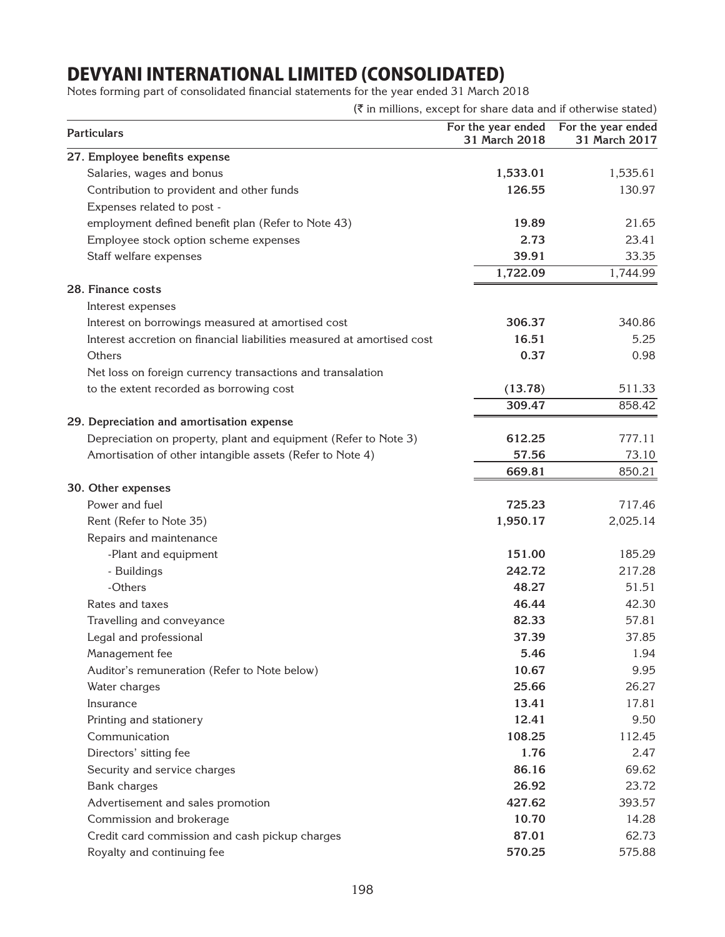Notes forming part of consolidated financial statements for the year ended 31 March 2018

| <b>Particulars</b>                                                     | For the year ended<br>31 March 2018 | For the year ended<br>31 March 2017 |
|------------------------------------------------------------------------|-------------------------------------|-------------------------------------|
| 27. Employee benefits expense                                          |                                     |                                     |
| Salaries, wages and bonus                                              | 1,533.01                            | 1,535.61                            |
| Contribution to provident and other funds                              | 126.55                              | 130.97                              |
| Expenses related to post -                                             |                                     |                                     |
| employment defined benefit plan (Refer to Note 43)                     | 19.89                               | 21.65                               |
| Employee stock option scheme expenses                                  | 2.73                                | 23.41                               |
| Staff welfare expenses                                                 | 39.91                               | 33.35                               |
|                                                                        | 1,722.09                            | 1,744.99                            |
| 28. Finance costs                                                      |                                     |                                     |
| Interest expenses                                                      |                                     |                                     |
| Interest on borrowings measured at amortised cost                      | 306.37                              | 340.86                              |
| Interest accretion on financial liabilities measured at amortised cost | 16.51                               | 5.25                                |
| Others                                                                 | 0.37                                | 0.98                                |
| Net loss on foreign currency transactions and transalation             |                                     |                                     |
| to the extent recorded as borrowing cost                               | (13.78)                             | 511.33                              |
|                                                                        | 309.47                              | 858.42                              |
| 29. Depreciation and amortisation expense                              |                                     |                                     |
| Depreciation on property, plant and equipment (Refer to Note 3)        | 612.25                              | 777.11                              |
| Amortisation of other intangible assets (Refer to Note 4)              | 57.56                               | 73.10                               |
|                                                                        | 669.81                              | 850.21                              |
| 30. Other expenses                                                     |                                     |                                     |
| Power and fuel                                                         | 725.23                              | 717.46                              |
| Rent (Refer to Note 35)                                                | 1,950.17                            | 2,025.14                            |
| Repairs and maintenance                                                |                                     |                                     |
| -Plant and equipment                                                   | 151.00                              | 185.29                              |
| - Buildings                                                            | 242.72                              | 217.28                              |
| -Others                                                                | 48.27                               | 51.51                               |
| Rates and taxes                                                        | 46.44                               | 42.30                               |
| Travelling and conveyance                                              | 82.33                               | 57.81                               |
| Legal and professional                                                 | 37.39                               | 37.85                               |
| Management fee                                                         | 5.46                                | 1.94                                |
| Auditor's remuneration (Refer to Note below)                           | 10.67                               | 9.95                                |
| Water charges                                                          | 25.66                               | 26.27                               |
| Insurance                                                              | 13.41                               | 17.81                               |
| Printing and stationery                                                | 12.41                               | 9.50                                |
| Communication                                                          | 108.25                              | 112.45                              |
| Directors' sitting fee                                                 | 1.76                                | 2.47                                |
| Security and service charges                                           | 86.16                               | 69.62                               |
| Bank charges                                                           | 26.92                               | 23.72                               |
| Advertisement and sales promotion                                      | 427.62                              | 393.57                              |
| Commission and brokerage                                               | 10.70                               | 14.28                               |
| Credit card commission and cash pickup charges                         | 87.01                               | 62.73                               |
| Royalty and continuing fee                                             | 570.25                              | 575.88                              |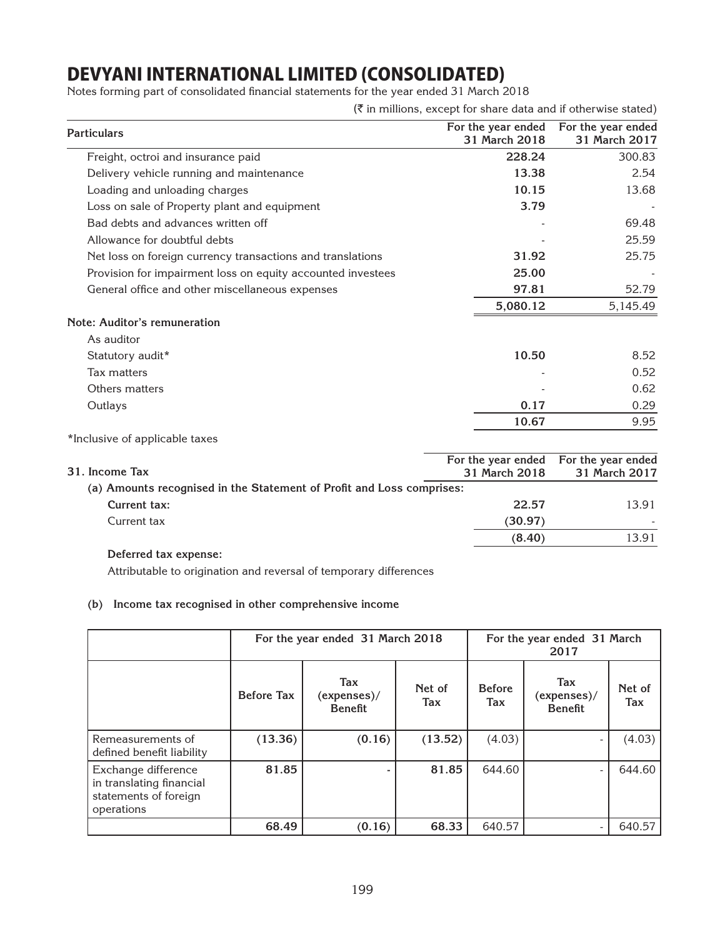Notes forming part of consolidated financial statements for the year ended 31 March 2018

 $(\bar{\tau}$  in millions, except for share data and if otherwise stated)

| <b>Particulars</b>                                          | For the year ended<br>31 March 2018 | For the year ended<br>31 March 2017 |
|-------------------------------------------------------------|-------------------------------------|-------------------------------------|
| Freight, octroi and insurance paid                          | 228.24                              | 300.83                              |
| Delivery vehicle running and maintenance                    | 13.38                               | 2.54                                |
| Loading and unloading charges                               | 10.15                               | 13.68                               |
| Loss on sale of Property plant and equipment                | 3.79                                |                                     |
| Bad debts and advances written off                          |                                     | 69.48                               |
| Allowance for doubtful debts                                |                                     | 25.59                               |
| Net loss on foreign currency transactions and translations  | 31.92                               | 25.75                               |
| Provision for impairment loss on equity accounted investees | 25.00                               |                                     |
| General office and other miscellaneous expenses             | 97.81                               | 52.79                               |
|                                                             | 5,080.12                            | 5,145.49                            |
| <b>Note: Auditor's remuneration</b>                         |                                     |                                     |
| As auditor                                                  |                                     |                                     |
| Statutory audit*                                            | 10.50                               | 8.52                                |
| Tax matters                                                 |                                     | 0.52                                |
| Others matters                                              |                                     | 0.62                                |
| Outlays                                                     | 0.17                                | 0.29                                |
|                                                             | 10.67                               | 9.95                                |
| *Inclusive of applicable taxes                              |                                     |                                     |

| 31. Income Tax                                                        | 31 March 2018 | For the year ended For the year ended<br>31 March 2017 |
|-----------------------------------------------------------------------|---------------|--------------------------------------------------------|
| (a) Amounts recognised in the Statement of Profit and Loss comprises: |               |                                                        |
| Current tax:                                                          | 22.57         | 13.91                                                  |
| Current tax                                                           | (30.97)       |                                                        |
|                                                                       | (8.40)        | 13.91                                                  |
| _ _ _                                                                 |               |                                                        |

#### **Deferred tax expense:**

Attributable to origination and reversal of temporary differences

#### **(b) Income tax recognised in other comprehensive income**

|                                                                                        |                   | For the year ended 31 March 2018     |               |                      | For the year ended 31 March<br>2017  |                      |
|----------------------------------------------------------------------------------------|-------------------|--------------------------------------|---------------|----------------------|--------------------------------------|----------------------|
|                                                                                        | <b>Before Tax</b> | Tax<br>(expenses)/<br><b>Benefit</b> | Net of<br>Tax | <b>Before</b><br>Tax | Tax<br>(expenses)/<br><b>Benefit</b> | Net of<br><b>Tax</b> |
| Remeasurements of<br>defined benefit liability                                         | (13.36)           | (0.16)                               | (13.52)       | (4.03)               |                                      | (4.03)               |
| Exchange difference<br>in translating financial<br>statements of foreign<br>operations | 81.85             |                                      | 81.85         | 644.60               |                                      | 644.60               |
|                                                                                        | 68.49             | (0.16)                               | 68.33         | 640.57               |                                      | 640.57               |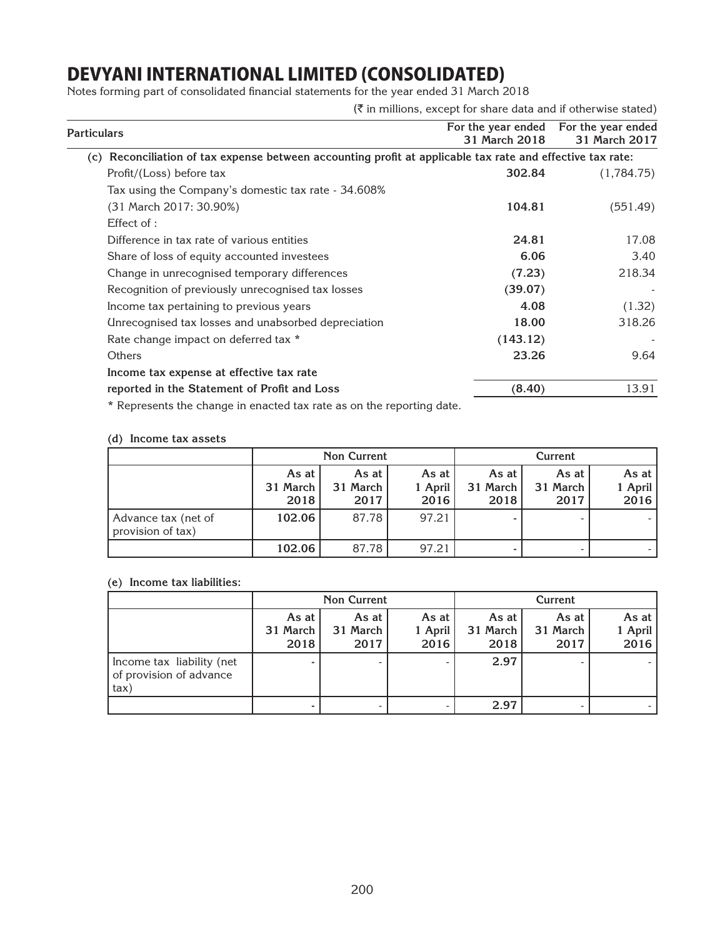Notes forming part of consolidated financial statements for the year ended 31 March 2018

 $(\bar{\tau}$  in millions, except for share data and if otherwise stated)

| Particulars                                                                                                                                                                                                                         | For the year ended<br>31 March 2018 | For the year ended<br>31 March 2017 |
|-------------------------------------------------------------------------------------------------------------------------------------------------------------------------------------------------------------------------------------|-------------------------------------|-------------------------------------|
| (c) Reconciliation of tax expense between accounting profit at applicable tax rate and effective tax rate:                                                                                                                          |                                     |                                     |
| Profit/(Loss) before tax                                                                                                                                                                                                            | 302.84                              | (1,784.75)                          |
| Tax using the Company's domestic tax rate - 34.608%                                                                                                                                                                                 |                                     |                                     |
| (31 March 2017: 30.90%)                                                                                                                                                                                                             | 104.81                              | (551.49)                            |
| Effect of:                                                                                                                                                                                                                          |                                     |                                     |
| Difference in tax rate of various entities                                                                                                                                                                                          | 24.81                               | 17.08                               |
| Share of loss of equity accounted investees                                                                                                                                                                                         | 6.06                                | 3.40                                |
| Change in unrecognised temporary differences                                                                                                                                                                                        | (7.23)                              | 218.34                              |
| Recognition of previously unrecognised tax losses                                                                                                                                                                                   | (39.07)                             |                                     |
| Income tax pertaining to previous years                                                                                                                                                                                             | 4.08                                | (1.32)                              |
| Unrecognised tax losses and unabsorbed depreciation                                                                                                                                                                                 | 18.00                               | 318.26                              |
| Rate change impact on deferred tax *                                                                                                                                                                                                | (143.12)                            |                                     |
| Others                                                                                                                                                                                                                              | 23.26                               | 9.64                                |
| Income tax expense at effective tax rate                                                                                                                                                                                            |                                     |                                     |
| reported in the Statement of Profit and Loss                                                                                                                                                                                        | (8.40)                              | 13.91                               |
| $\clubsuit$ . The concentration of the concentration of the concentration of the concentration of the concentration of the concentration of the concentration of the concentration of the concentration of the concentration of the |                                     |                                     |

\* Represents the change in enacted tax rate as on the reporting date.

#### **(d) Income tax assets**

 $\overline{\phantom{0}}$ 

|                                          |                             | <b>Non Current</b>            |                          |                           | Current                   |                          |
|------------------------------------------|-----------------------------|-------------------------------|--------------------------|---------------------------|---------------------------|--------------------------|
|                                          | As at<br>31 March I<br>2018 | As at $ $<br>31 March<br>2017 | As at<br>1 April<br>2016 | As at<br>31 March<br>2018 | As at<br>31 March<br>2017 | As at<br>1 April<br>2016 |
| Advance tax (net of<br>provision of tax) | 102.06                      | 87.78                         | 97.21                    |                           |                           |                          |
|                                          | 102.06                      | 87.78                         | 97.21                    |                           |                           |                          |

### **(e) Income tax liabilities:**

|                                                              |                           | <b>Non Current</b>        |                          |                           | Current                   |                          |
|--------------------------------------------------------------|---------------------------|---------------------------|--------------------------|---------------------------|---------------------------|--------------------------|
|                                                              | As at<br>31 March<br>2018 | As at<br>31 March<br>2017 | As at<br>1 April<br>2016 | As at<br>31 March<br>2018 | As at<br>31 March<br>2017 | As at<br>1 April<br>2016 |
| Income tax liability (net<br>of provision of advance<br>tax) |                           |                           |                          | 2.97                      |                           |                          |
|                                                              |                           |                           |                          | 2.97                      |                           |                          |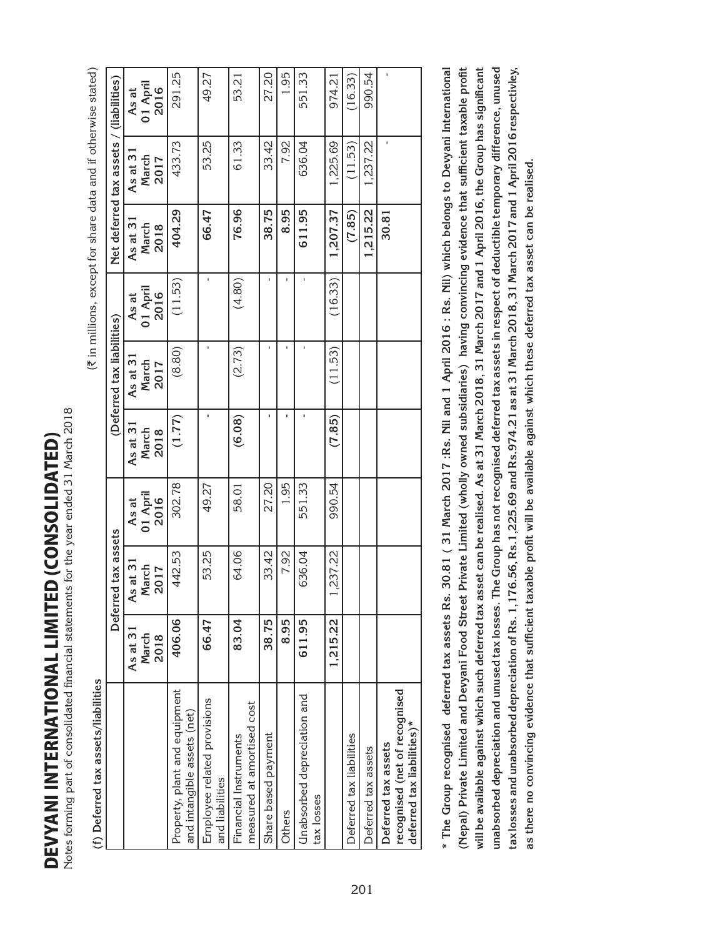DEVYANI INTERNATIONAL LIMITED (consolidated) **DEVYANI INTERNATIONAL LIMITED (CONSOLIDATED)** 

Notes forming part of consolidated financial statements for the year ended 31 March 2018 Notes forming part of consolidated financial statements for the year ended 31 March 2018

|                                                                                    |                           |                                   |                           |                           |                            | (₹ in millions, except for share data and if otherwise stated) |                           |                                         |                           |
|------------------------------------------------------------------------------------|---------------------------|-----------------------------------|---------------------------|---------------------------|----------------------------|----------------------------------------------------------------|---------------------------|-----------------------------------------|---------------------------|
|                                                                                    |                           | Deferred tax assets               |                           |                           | (Deferred tax liabilities) |                                                                |                           | Net deferred tax assets / (liabilities) |                           |
|                                                                                    | As at 31<br>March<br>2018 | $s$ at $31$<br>March<br>2017<br>₹ | 01 April<br>2016<br>As at | As at 31<br>March<br>2018 | As at 31<br>March<br>2017  | 01 April<br>2016<br>As at                                      | As at 31<br>March<br>2018 | As at 31<br>March<br>2017               | 01 April<br>2016<br>As at |
| Property, plant and equipment<br>and intangible assets (net)                       | 406.06                    | 442.53                            | 302.78                    | (1.77)                    | (8.80)                     | (11.53)                                                        | 404.29                    | 433.73                                  | 291.25                    |
| Employee related provisions<br>and liabilities                                     | 66.47                     | 53.25                             | 49.27                     |                           |                            |                                                                | 66.47                     | 53.25                                   | 49.27                     |
| measured at amortised cost<br>Financial Instruments                                | 83.04                     | 64.06                             | 58.01                     | (6.08)                    | (2.73)                     | (4.80)                                                         | 76.96                     | 61.33                                   | 53.21                     |
| Share based payment                                                                | 38.75                     | 33.42                             | 27.20                     |                           |                            |                                                                | 38.75                     | 33.42                                   | 27.20                     |
| Others                                                                             | 8.95                      | 7.92                              | 1.95                      |                           |                            |                                                                | 8.95                      | 7.92                                    | 1.95                      |
| Unabsorbed depreciation and<br>tax losses                                          | 611.95                    | 636.04                            | 551.33                    |                           |                            |                                                                | 611.95                    | 636.04                                  | 551.33                    |
|                                                                                    | 1,215.22                  | ,237.22                           | 990.54                    | (7.85)                    | (11.53)                    | (16.33)                                                        | 1,207.37                  | 1,225.69                                | 974.21                    |
| Deferred tax liabilities                                                           |                           |                                   |                           |                           |                            |                                                                | (7.85)                    | (11.53)                                 | (16.33)                   |
| Deferred tax assets                                                                |                           |                                   |                           |                           |                            |                                                                | 1,215.22                  | 1,237.22                                | 990.54                    |
| recognised (net of recognised<br>deferred tax liabilities)*<br>Deferred tax assets |                           |                                   |                           |                           |                            |                                                                | 30.81                     |                                         |                           |

**\* The Group recognised deferred tax assets Rs. 30.81 ( 31 March 2017 :Rs. Nil and 1 April 2016 : Rs. Nil) which belongs to Devyani International (Nepal) Private Limited and Devyani Food Street Private Limited (wholly owned subsidiaries) having convincing evidence that sufficient taxable profit will be available against which such deferred tax asset can be realised. As at 31 March 2018, 31 March 2017 and 1 April 2016, the Group has significant unabsorbed depreciation and unused tax losses. The Group has not recognised deferred tax assets in respect of deductible temporary difference, unused tax losses and unabsorbed depreciation of Rs. 1,176.56, Rs.1,225.69 and Rs.974.21 as at 31 March 2018, 31 March 2017 and 1 April 2016 respectivley,**  \* The Group recognised deferred tax assets Rs. 30.81 (31 March 2017 : Rs. Nil and 1 April 2016 : Rs. Nil) which belongs to Devyani International (Nepal) Private Limited and Devyani Food Street Private Limited (wholly owned subsidiaries) having convincing evidence that sufficient taxable profit will be available against which such deferred tax asset can be realised. As at 31 March 2018, 31 March 2017 and 1 April 2016, the Group has significant unabsorbed depreciation and unused tax losses. The Group has not recognised deferred tax assets in respect of deductible temporary difference, unused<br>tax losses and unabsorbed depreciation of Rs. 1,176.56, Rs. 1,225.69 and as there no convincing evidence that sufficient taxable profit will be available against which these deferred tax asset can be realised. **as there no convincing evidence that sufficient taxable profit will be available against which these deferred tax asset can be realised.**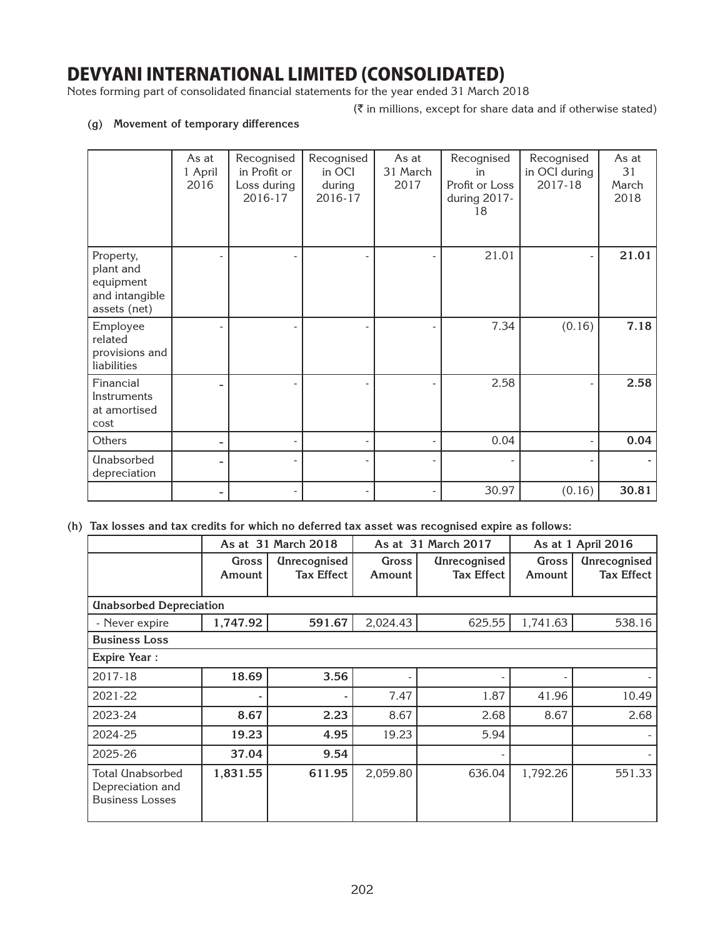Notes forming part of consolidated financial statements for the year ended 31 March 2018

 $(\bar{\tau}$  in millions, except for share data and if otherwise stated)

### **(g) Movement of temporary differences**

|                                                                       | As at<br>1 April<br>2016 | Recognised<br>in Profit or<br>Loss during<br>2016-17 | Recognised<br>in OCI<br>during<br>2016-17 | As at<br>31 March<br>2017 | Recognised<br>in<br>Profit or Loss<br>during 2017-<br>18 | Recognised<br>in OCI during<br>2017-18 | As at<br>31<br>March<br>2018 |
|-----------------------------------------------------------------------|--------------------------|------------------------------------------------------|-------------------------------------------|---------------------------|----------------------------------------------------------|----------------------------------------|------------------------------|
| Property,<br>plant and<br>equipment<br>and intangible<br>assets (net) |                          |                                                      |                                           |                           | 21.01                                                    |                                        | 21.01                        |
| Employee<br>related<br>provisions and<br>liabilities                  |                          |                                                      |                                           |                           | 7.34                                                     | (0.16)                                 | 7.18                         |
| Financial<br>Instruments<br>at amortised<br>cost                      |                          |                                                      |                                           |                           | 2.58                                                     |                                        | 2.58                         |
| Others                                                                |                          |                                                      |                                           |                           | 0.04                                                     |                                        | 0.04                         |
| <b>Unabsorbed</b><br>depreciation                                     |                          |                                                      |                                           |                           |                                                          |                                        |                              |
|                                                                       |                          |                                                      |                                           |                           | 30.97                                                    | (0.16)                                 | 30.81                        |

**(h) Tax losses and tax credits for which no deferred tax asset was recognised expire as follows:**

|                                                                |                 | As at 31 March 2018                      |                 | As at 31 March 2017                      |                 | As at 1 April 2016                       |
|----------------------------------------------------------------|-----------------|------------------------------------------|-----------------|------------------------------------------|-----------------|------------------------------------------|
|                                                                | Gross<br>Amount | <b>Unrecognised</b><br><b>Tax Effect</b> | Gross<br>Amount | <b>Unrecognised</b><br><b>Tax Effect</b> | Gross<br>Amount | <b>Unrecognised</b><br><b>Tax Effect</b> |
| <b>Unabsorbed Depreciation</b>                                 |                 |                                          |                 |                                          |                 |                                          |
| - Never expire                                                 | 1,747.92        | 591.67                                   | 2,024.43        | 625.55                                   | 1,741.63        | 538.16                                   |
| <b>Business Loss</b>                                           |                 |                                          |                 |                                          |                 |                                          |
| <b>Expire Year:</b>                                            |                 |                                          |                 |                                          |                 |                                          |
| 2017-18                                                        | 18.69           | 3.56                                     |                 |                                          |                 |                                          |
| 2021-22                                                        |                 |                                          | 7.47            | 1.87                                     | 41.96           | 10.49                                    |
| 2023-24                                                        | 8.67            | 2.23                                     | 8.67            | 2.68                                     | 8.67            | 2.68                                     |
| 2024-25                                                        | 19.23           | 4.95                                     | 19.23           | 5.94                                     |                 |                                          |
| 2025-26                                                        | 37.04           | 9.54                                     |                 |                                          |                 |                                          |
| Total Unabsorbed<br>Depreciation and<br><b>Business Losses</b> | 1,831.55        | 611.95                                   | 2,059.80        | 636.04                                   | 1,792.26        | 551.33                                   |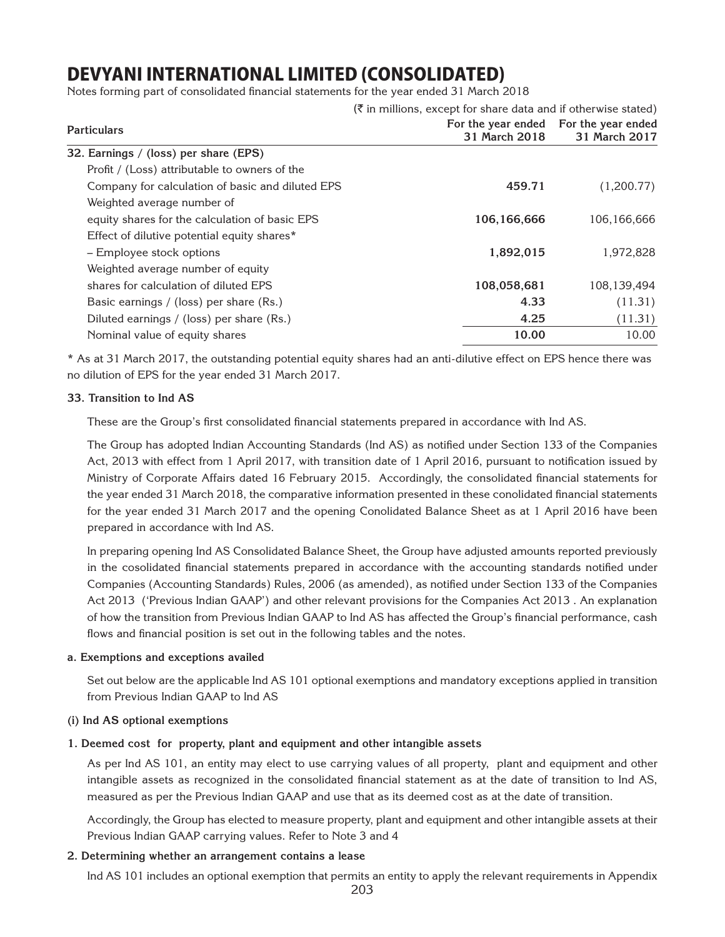Notes forming part of consolidated financial statements for the year ended 31 March 2018

|                                                  | $(\overline{\xi})$ in millions, except for share data and if otherwise stated) |                                       |
|--------------------------------------------------|--------------------------------------------------------------------------------|---------------------------------------|
| <b>Particulars</b>                               |                                                                                | For the year ended For the year ended |
|                                                  | 31 March 2018                                                                  | 31 March 2017                         |
| 32. Earnings / (loss) per share (EPS)            |                                                                                |                                       |
| Profit / (Loss) attributable to owners of the    |                                                                                |                                       |
| Company for calculation of basic and diluted EPS | 459.71                                                                         | (1,200.77)                            |
| Weighted average number of                       |                                                                                |                                       |
| equity shares for the calculation of basic EPS   | 106,166,666                                                                    | 106,166,666                           |
| Effect of dilutive potential equity shares*      |                                                                                |                                       |
| - Employee stock options                         | 1,892,015                                                                      | 1,972,828                             |
| Weighted average number of equity                |                                                                                |                                       |
| shares for calculation of diluted EPS            | 108,058,681                                                                    | 108,139,494                           |
| Basic earnings / (loss) per share (Rs.)          | 4.33                                                                           | (11.31)                               |
| Diluted earnings / (loss) per share (Rs.)        | 4.25                                                                           | (11.31)                               |
| Nominal value of equity shares                   | 10.00                                                                          | 10.00                                 |

\* As at 31 March 2017, the outstanding potential equity shares had an anti-dilutive effect on EPS hence there was no dilution of EPS for the year ended 31 March 2017.

#### **33. Transition to Ind AS**

These are the Group's first consolidated financial statements prepared in accordance with Ind AS.

The Group has adopted Indian Accounting Standards (Ind AS) as notified under Section 133 of the Companies Act, 2013 with effect from 1 April 2017, with transition date of 1 April 2016, pursuant to notification issued by Ministry of Corporate Affairs dated 16 February 2015. Accordingly, the consolidated financial statements for the year ended 31 March 2018, the comparative information presented in these conolidated financial statements for the year ended 31 March 2017 and the opening Conolidated Balance Sheet as at 1 April 2016 have been prepared in accordance with Ind AS.

In preparing opening Ind AS Consolidated Balance Sheet, the Group have adjusted amounts reported previously in the cosolidated financial statements prepared in accordance with the accounting standards notified under Companies (Accounting Standards) Rules, 2006 (as amended), as notified under Section 133 of the Companies Act 2013 ('Previous Indian GAAP') and other relevant provisions for the Companies Act 2013 . An explanation of how the transition from Previous Indian GAAP to Ind AS has affected the Group's financial performance, cash flows and financial position is set out in the following tables and the notes.

#### **a. Exemptions and exceptions availed**

Set out below are the applicable Ind AS 101 optional exemptions and mandatory exceptions applied in transition from Previous Indian GAAP to Ind AS

#### **(i) Ind AS optional exemptions**

#### **1. Deemed cost for property, plant and equipment and other intangible assets**

As per Ind AS 101, an entity may elect to use carrying values of all property, plant and equipment and other intangible assets as recognized in the consolidated financial statement as at the date of transition to Ind AS, measured as per the Previous Indian GAAP and use that as its deemed cost as at the date of transition.

Accordingly, the Group has elected to measure property, plant and equipment and other intangible assets at their Previous Indian GAAP carrying values. Refer to Note 3 and 4

#### **2. Determining whether an arrangement contains a lease**

Ind AS 101 includes an optional exemption that permits an entity to apply the relevant requirements in Appendix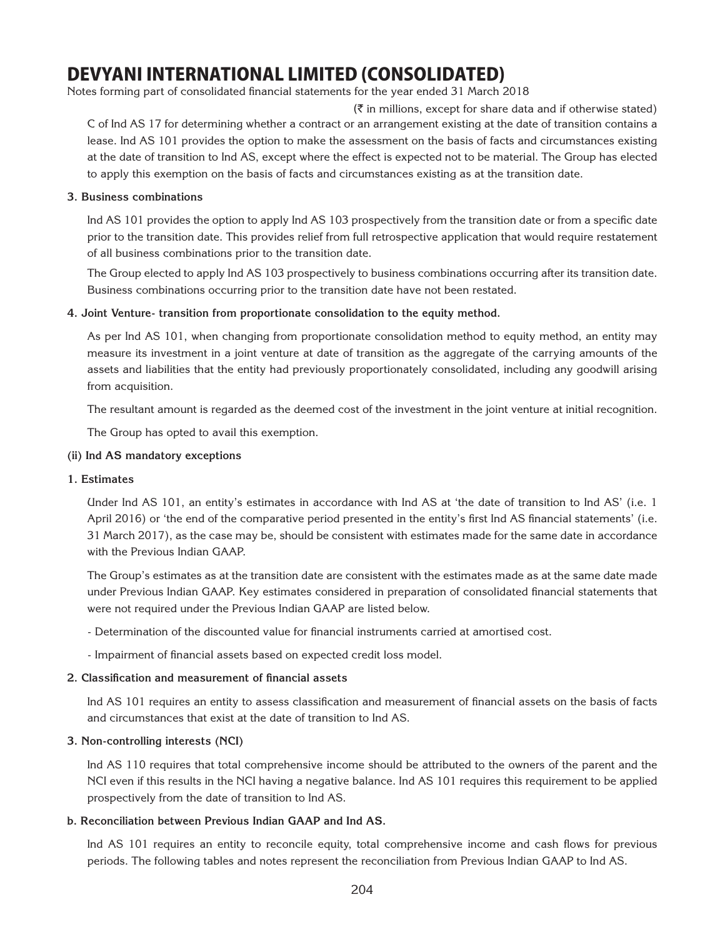Notes forming part of consolidated financial statements for the year ended 31 March 2018

 $(\bar{\tau})$  in millions, except for share data and if otherwise stated) C of Ind AS 17 for determining whether a contract or an arrangement existing at the date of transition contains a lease. Ind AS 101 provides the option to make the assessment on the basis of facts and circumstances existing at the date of transition to Ind AS, except where the effect is expected not to be material. The Group has elected to apply this exemption on the basis of facts and circumstances existing as at the transition date.

#### **3. Business combinations**

Ind AS 101 provides the option to apply Ind AS 103 prospectively from the transition date or from a specific date prior to the transition date. This provides relief from full retrospective application that would require restatement of all business combinations prior to the transition date.

The Group elected to apply Ind AS 103 prospectively to business combinations occurring after its transition date. Business combinations occurring prior to the transition date have not been restated.

#### **4. Joint Venture- transition from proportionate consolidation to the equity method.**

As per Ind AS 101, when changing from proportionate consolidation method to equity method, an entity may measure its investment in a joint venture at date of transition as the aggregate of the carrying amounts of the assets and liabilities that the entity had previously proportionately consolidated, including any goodwill arising from acquisition.

The resultant amount is regarded as the deemed cost of the investment in the joint venture at initial recognition.

The Group has opted to avail this exemption.

#### **(ii) Ind AS mandatory exceptions**

#### **1. Estimates**

Under Ind AS 101, an entity's estimates in accordance with Ind AS at 'the date of transition to Ind AS' (i.e. 1 April 2016) or 'the end of the comparative period presented in the entity's first Ind AS financial statements' (i.e. 31 March 2017), as the case may be, should be consistent with estimates made for the same date in accordance with the Previous Indian GAAP.

The Group's estimates as at the transition date are consistent with the estimates made as at the same date made under Previous Indian GAAP. Key estimates considered in preparation of consolidated financial statements that were not required under the Previous Indian GAAP are listed below.

- Determination of the discounted value for financial instruments carried at amortised cost.
- Impairment of financial assets based on expected credit loss model.

#### **2. Classification and measurement of financial assets**

Ind AS 101 requires an entity to assess classification and measurement of financial assets on the basis of facts and circumstances that exist at the date of transition to Ind AS.

#### **3. Non-controlling interests (NCI)**

Ind AS 110 requires that total comprehensive income should be attributed to the owners of the parent and the NCI even if this results in the NCI having a negative balance. Ind AS 101 requires this requirement to be applied prospectively from the date of transition to Ind AS.

#### **b. Reconciliation between Previous Indian GAAP and Ind AS.**

Ind AS 101 requires an entity to reconcile equity, total comprehensive income and cash flows for previous periods. The following tables and notes represent the reconciliation from Previous Indian GAAP to Ind AS.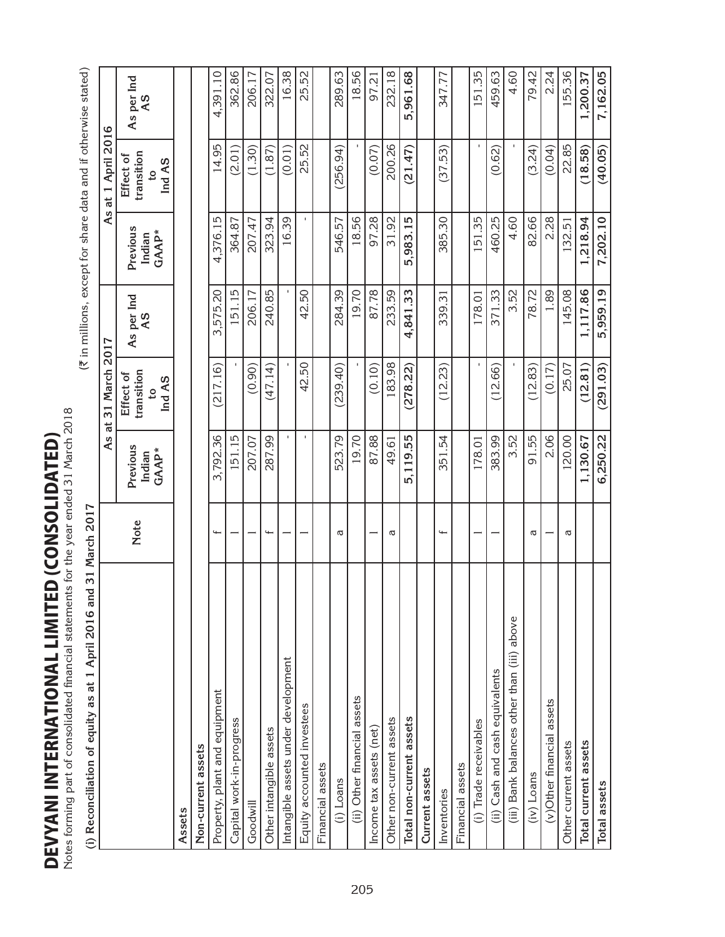DEVYANI INTERNATIONAL LIMITED (CONSOLIDATED) DEVYANI INTERNATIONAL LIMITED (consolidated)

Notes forming part of consolidated financial statements for the year ended 31 March 2018 Notes forming part of consolidated financial statements for the year ended 31 March 2018 (i) Reconciliation of equity as at 1 April 2016 and 31 March 2017

| tes formig part of consolidated linancial statements for the year ended on Indication 2010<br>(i) Reconciliation of equity as at 1 April 2016 an | nd 31 March 2017         |                             |                                                     | (₹ in millions, except for share data and if otherwise stated) |                             |                                                     |                  |
|--------------------------------------------------------------------------------------------------------------------------------------------------|--------------------------|-----------------------------|-----------------------------------------------------|----------------------------------------------------------------|-----------------------------|-----------------------------------------------------|------------------|
|                                                                                                                                                  |                          | As                          | 31 March 2017<br>đ                                  |                                                                | As                          | at 1 April 2016                                     |                  |
|                                                                                                                                                  | Note                     | Previous<br>GAAP*<br>Indian | transition<br>Effect of<br>Ind AS<br>$\overline{c}$ | As per Ind<br>A <sub>S</sub>                                   | Previous<br>GAAP*<br>Indian | transition<br>Effect of<br>Ind AS<br>$\overline{c}$ | As per Ind<br>AS |
| Assets                                                                                                                                           |                          |                             |                                                     |                                                                |                             |                                                     |                  |
| Non-current assets                                                                                                                               |                          |                             |                                                     |                                                                |                             |                                                     |                  |
| Property, plant and equipment                                                                                                                    | $\overline{\phantom{0}}$ | 3,792.36                    | (217.16)                                            | 3,575.20                                                       | 4,376.15                    | 14.95                                               | 4,391.10         |
| Capital work-in-progress                                                                                                                         |                          | 151.15                      |                                                     | 151.15                                                         | 364.87                      | (2.01)                                              | 362.86           |
| Goodwill                                                                                                                                         |                          | 207.07                      | (0.90)                                              | 206.17                                                         | 207.47                      | (1.30)                                              | 206.17           |
| Other intangible assets                                                                                                                          | $\overline{\phantom{0}}$ | 287.99                      | (47.14)                                             | 240.85                                                         | 323.94                      | (1.87)                                              | 322.07           |
| Intangible assets under development                                                                                                              |                          |                             |                                                     |                                                                | 16.39                       | (0.01)                                              | 16.38            |
| Equity accounted investees                                                                                                                       |                          |                             | 42.50                                               | 42.50                                                          |                             | 25.52                                               | 25.52            |
| Financial assets                                                                                                                                 |                          |                             |                                                     |                                                                |                             |                                                     |                  |
| (i) Loans                                                                                                                                        | Б                        | 523.79                      | (239.40)                                            | 284.39                                                         | 546.57                      | (256.94)                                            | 289.63           |
| (ii) Other financial assets                                                                                                                      |                          | 19.70                       |                                                     | 19.70                                                          | 18.56                       |                                                     | 18.56            |
| Income tax assets (net)                                                                                                                          |                          | 87.88                       | (0.10)                                              | 87.78                                                          | 97.28                       | (0.07)                                              | 97.21            |
| Other non-current assets                                                                                                                         | Б                        | 49.61                       | 183.98                                              | 233.59                                                         | 31.92                       | 200.26                                              | 232.18           |
| Total non-current assets                                                                                                                         |                          | 5,119.55                    | (278.22)                                            | 4,841.33                                                       | 5,983.15                    | (21.47)                                             | 5,961.68         |
| Current assets                                                                                                                                   |                          |                             |                                                     |                                                                |                             |                                                     |                  |
| Inventories                                                                                                                                      | $\overline{ }$           | 351.54                      | (12.23)                                             | 339.31                                                         | 385.30                      | (37.53)                                             | 347.77           |
| Financial assets                                                                                                                                 |                          |                             |                                                     |                                                                |                             |                                                     |                  |
| (i) Trade receivables                                                                                                                            |                          | 178.01                      |                                                     | 178.01                                                         | 151.35                      |                                                     | 151.35           |
| (ii) Cash and cash equivalents                                                                                                                   |                          | 383.99                      | (12.66)                                             | 371.33                                                         | 460.25                      | (0.62)                                              | 459.63           |
| (iii) Bank balances other than (iii) above                                                                                                       |                          | 3.52                        |                                                     | 3.52                                                           | 4.60                        |                                                     | 4.60             |
| (iv) Loans                                                                                                                                       | Б                        | 91.55                       | (12.83)                                             | 78.72                                                          | 82.66                       | (3.24)                                              | 79.42            |
| (v)Other financial assets                                                                                                                        |                          | 2.06                        | (0.17)                                              | 1.89                                                           | 2.28                        | (0.04)                                              | 2.24             |
| Other current assets                                                                                                                             | Б                        | 120.00                      | 25.07                                               | 145.08                                                         | 132.51                      | 22.85                                               | 155.36           |
| Total current assets                                                                                                                             |                          | 1,130.67                    | (12.81)                                             | 1,117.86                                                       | 1,218.94                    | (18.58)                                             | 1,200.37         |
| Total assets                                                                                                                                     |                          | 6,250.22                    | (291.03)                                            | 5,959.19                                                       | 7,202.10                    | (40.05)                                             | 7,162.05         |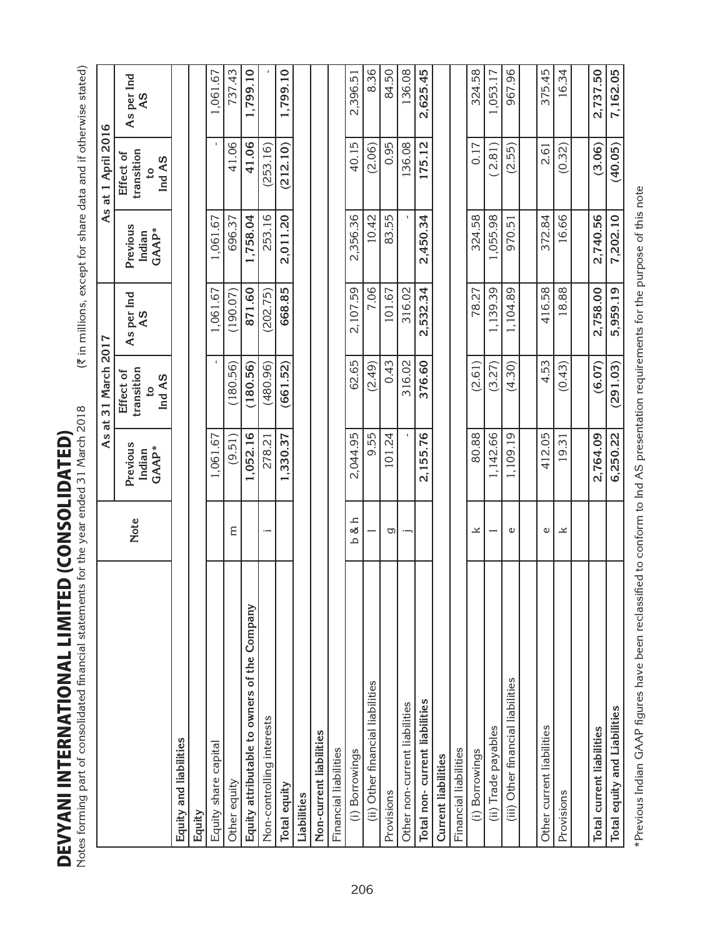**DEVYANI INTERNATIONAL LIMITED (CONSOLIDATED)**<br>Notes forming part of consolidated financial statements for the year ended 31 March 2018 DEVYANI INTERNATIONAL LIMITED (consolidated)

| ces forming part of consolidated financial statements for the year ended 31 March 2018 |             | ī                                   |                                                     | (₹ in millions, except for share data and if otherwise stated) |                             |                                                     |                  |
|----------------------------------------------------------------------------------------|-------------|-------------------------------------|-----------------------------------------------------|----------------------------------------------------------------|-----------------------------|-----------------------------------------------------|------------------|
|                                                                                        |             | As                                  | 31 March<br>đ                                       | 2017                                                           | As                          | at 1 April 2016                                     |                  |
|                                                                                        | <b>Note</b> | Previous<br>GAAP*<br>Indian         | transition<br>Effect of<br>Ind AS<br>$\mathfrak{S}$ | As per Ind<br>$\overline{5}$                                   | Previous<br>GAAP*<br>Indian | transition<br>Effect of<br>Ind AS<br>$\overline{c}$ | As per Ind<br>8A |
| Equity and liabilities                                                                 |             |                                     |                                                     |                                                                |                             |                                                     |                  |
| Equity                                                                                 |             |                                     |                                                     |                                                                |                             |                                                     |                  |
| Equity share capital                                                                   |             | 1,061.67                            |                                                     | 1,061.67                                                       | 1,061.67                    |                                                     | 1,061.67         |
| Other equity                                                                           | Ε           | (9.51)                              | (180.56)                                            | (190.07)                                                       | 696.37                      | 41.06                                               | 737.43           |
| Equity attributable to owners of the Company                                           |             | 1,052.16                            | (180.56)                                            | 871.60                                                         | 1,758.04                    | 41.06                                               | 1,799.10         |
| Non-controlling interests                                                              | $\cdot$ $-$ | 278.21                              | (480.96)                                            | (202.75)                                                       | 253.16                      | (253.16)                                            |                  |
| Total equity                                                                           |             | ,330.37<br>$\overline{\phantom{0}}$ | (661.52)                                            | 668.85                                                         | 2,011.20                    | (212.10)                                            | 1,799.10         |
| Liabilities                                                                            |             |                                     |                                                     |                                                                |                             |                                                     |                  |
| Non-current liabilities                                                                |             |                                     |                                                     |                                                                |                             |                                                     |                  |
| Financial liabilities                                                                  |             |                                     |                                                     |                                                                |                             |                                                     |                  |
| (i) Borrowings                                                                         | $b$ &h      | 2,044.95                            | 62.65                                               | 2,107.59                                                       | 2,356.36                    | 40.15                                               | 2,396.51         |
| (ii) Other financial liabilities                                                       |             | 9.55                                | (2.49)                                              | 7.06                                                           | 10.42                       | (2.06)                                              | 8.36             |
| Provisions                                                                             | g           | 101.24                              | 0.43                                                | 101.67                                                         | 83.55                       | 0.95                                                | 84.50            |
| Other non-current liabilities                                                          | $\cdot$ $-$ |                                     | 316.02                                              | 316.02                                                         |                             | 136.08                                              | 136.08           |
| Total non-current liabilities                                                          |             | 2,155.76                            | 376.60                                              | 2,532.34                                                       | 2,450.34                    | 175.12                                              | 2,625.45         |
| <b>Current liabilities</b>                                                             |             |                                     |                                                     |                                                                |                             |                                                     |                  |
| Financial liabilities                                                                  |             |                                     |                                                     |                                                                |                             |                                                     |                  |
| (i) Borrowings                                                                         | ×           | 80.88                               | (2.61)                                              | 78.27                                                          | 324.58                      | 0.17                                                | 324.58           |
| (ii) Trade payables                                                                    |             | 1,142.66                            | (3.27)                                              | 1,139.39                                                       | ,055.98                     | 2.81                                                | 1,053.17         |
| (iii) Other financial liabilities                                                      | Ф           | 1,109.19                            | (4.30)                                              | 1,104.89                                                       | 970.51                      | (2.55)                                              | 967.96           |
|                                                                                        |             |                                     |                                                     |                                                                |                             |                                                     |                  |
| Other current liabilities                                                              | Φ           | 412.05                              | 4.53                                                | 416.58                                                         | 372.84                      | 2.61                                                | 375.45           |
| Provisions                                                                             | ×           | 19.31                               | (0.43)                                              | 18.88                                                          | 16.66                       | (0.32)                                              | 16.34            |
|                                                                                        |             |                                     |                                                     |                                                                |                             |                                                     |                  |
| <b>Total current liabilities</b>                                                       |             | 2,764.09                            | (6.07)                                              | 2,758.00                                                       | 2,740.56                    | (3.06)                                              | 2,737.50         |
| Total equity and Liabilities                                                           |             | 6,250.22                            | (291.03)                                            | 5,959.19                                                       | 7,202.10                    | (40.05)                                             | 7,162.05         |

\*Previous Indian GAAP figures have been reclassified to conform to Ind AS presentation requirements for the purpose of this note \*Previous Indian GAAP figures have been reclassified to conform to Ind AS presentation requirements for the purpose of this note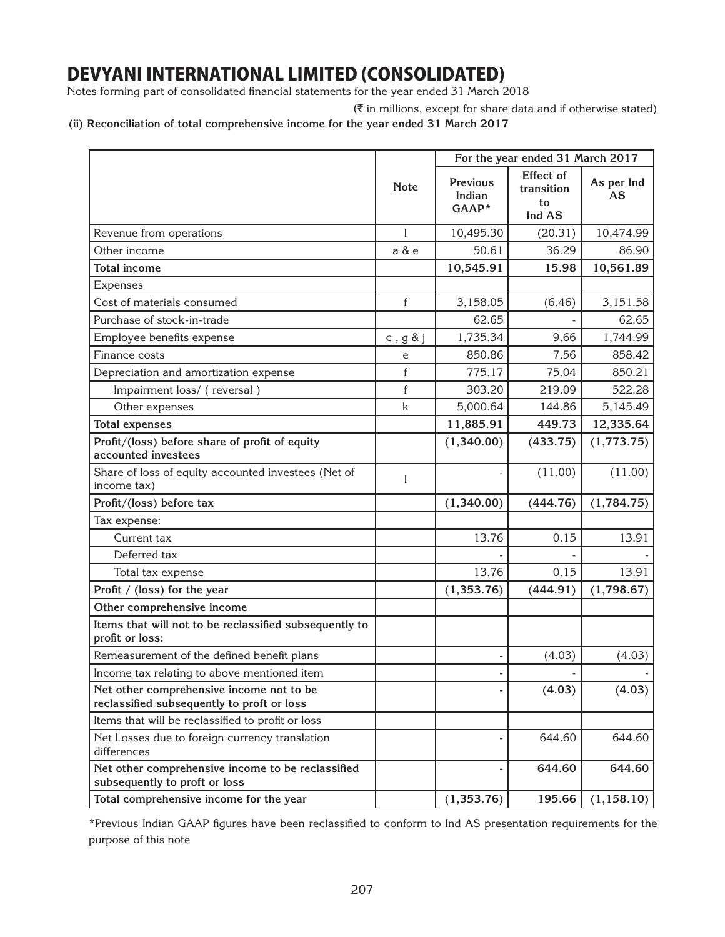Notes forming part of consolidated financial statements for the year ended 31 March 2018

 $(\bar{\tau}$  in millions, except for share data and if otherwise stated)

**(ii) Reconciliation of total comprehensive income for the year ended 31 March 2017**

|                                                                                        |             |                                    | For the year ended 31 March 2017        |                         |
|----------------------------------------------------------------------------------------|-------------|------------------------------------|-----------------------------------------|-------------------------|
|                                                                                        | <b>Note</b> | <b>Previous</b><br>Indian<br>GAAP* | Effect of<br>transition<br>to<br>Ind AS | As per Ind<br><b>AS</b> |
| Revenue from operations                                                                |             | 10,495.30                          | (20.31)                                 | 10,474.99               |
| Other income                                                                           | a & e       | 50.61                              | 36.29                                   | 86.90                   |
| <b>Total income</b>                                                                    |             | 10,545.91                          | 15.98                                   | 10,561.89               |
| Expenses                                                                               |             |                                    |                                         |                         |
| Cost of materials consumed                                                             | $\mathbf f$ | 3,158.05                           | (6.46)                                  | 3,151.58                |
| Purchase of stock-in-trade                                                             |             | 62.65                              |                                         | 62.65                   |
| Employee benefits expense                                                              | c, $g \& j$ | 1,735.34                           | 9.66                                    | 1,744.99                |
| Finance costs                                                                          | e           | 850.86                             | 7.56                                    | 858.42                  |
| Depreciation and amortization expense                                                  | $\mathbf f$ | 775.17                             | 75.04                                   | 850.21                  |
| Impairment loss/ (reversal)                                                            | f           | 303.20                             | 219.09                                  | 522.28                  |
| Other expenses                                                                         | $\mathsf k$ | 5,000.64                           | 144.86                                  | 5,145.49                |
| <b>Total expenses</b>                                                                  |             | 11,885.91                          | 449.73                                  | 12,335.64               |
| Profit/(loss) before share of profit of equity<br>accounted investees                  |             | (1,340.00)                         | (433.75)                                | (1,773.75)              |
| Share of loss of equity accounted investees (Net of<br>income tax)                     | I           |                                    | (11.00)                                 | (11.00)                 |
| Profit/(loss) before tax                                                               |             | (1,340.00)                         | (444.76)                                | (1,784.75)              |
| Tax expense:                                                                           |             |                                    |                                         |                         |
| Current tax                                                                            |             | 13.76                              | 0.15                                    | 13.91                   |
| Deferred tax                                                                           |             |                                    |                                         |                         |
| Total tax expense                                                                      |             | 13.76                              | 0.15                                    | 13.91                   |
| Profit / (loss) for the year                                                           |             | (1,353.76)                         | (444.91)                                | (1,798.67)              |
| Other comprehensive income                                                             |             |                                    |                                         |                         |
| Items that will not to be reclassified subsequently to<br>profit or loss:              |             |                                    |                                         |                         |
| Remeasurement of the defined benefit plans                                             |             |                                    | (4.03)                                  | (4.03)                  |
| Income tax relating to above mentioned item                                            |             |                                    |                                         |                         |
| Net other comprehensive income not to be<br>reclassified subsequently to proft or loss |             |                                    | (4.03)                                  | (4.03)                  |
| Items that will be reclassified to profit or loss                                      |             |                                    |                                         |                         |
| Net Losses due to foreign currency translation<br>differences                          |             |                                    | 644.60                                  | 644.60                  |
| Net other comprehensive income to be reclassified<br>subsequently to proft or loss     |             |                                    | 644.60                                  | 644.60                  |
| Total comprehensive income for the year                                                |             | (1,353.76)                         | 195.66                                  | (1, 158.10)             |

\*Previous Indian GAAP figures have been reclassified to conform to Ind AS presentation requirements for the purpose of this note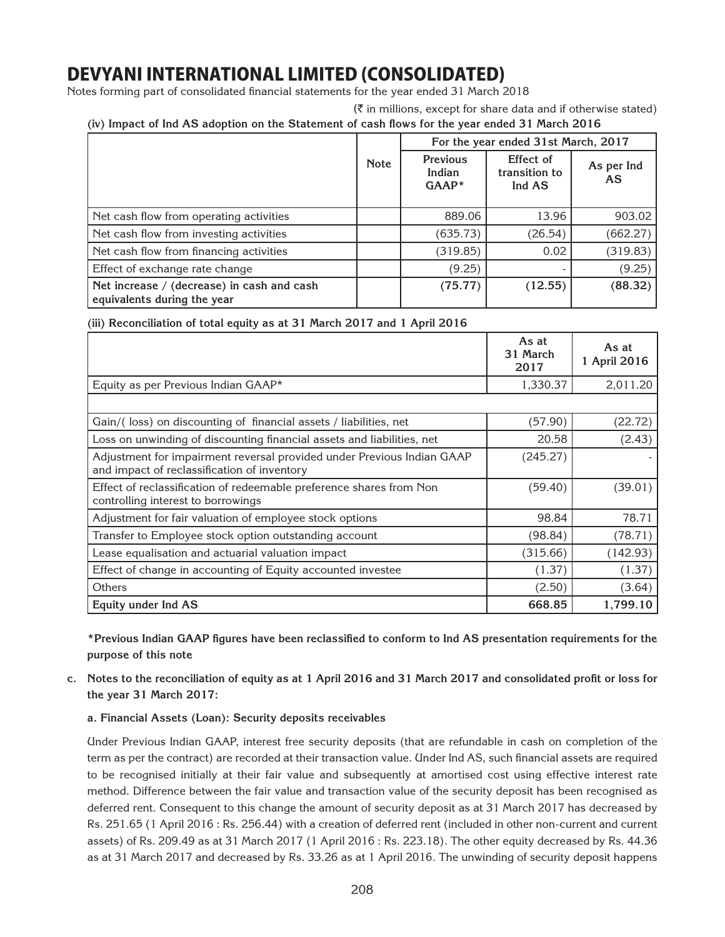Notes forming part of consolidated financial statements for the year ended 31 March 2018

### **(iv) Impact of Ind AS adoption on the Statement of cash flows for the year ended 31 March 2016**

|                                                                           |             |                                      | For the year ended 31st March, 2017  |                         |
|---------------------------------------------------------------------------|-------------|--------------------------------------|--------------------------------------|-------------------------|
|                                                                           | <b>Note</b> | <b>Previous</b><br>Indian<br>$GAAP*$ | Effect of<br>transition to<br>Ind AS | As per Ind<br><b>AS</b> |
| Net cash flow from operating activities                                   |             | 889.06                               | 13.96                                | 903.02                  |
| Net cash flow from investing activities                                   |             | (635.73)                             | (26.54)                              | (662.27)                |
| Net cash flow from financing activities                                   |             | (319.85)                             | 0.02                                 | (319.83)                |
| Effect of exchange rate change                                            |             | (9.25)                               |                                      | (9.25)                  |
| Net increase / (decrease) in cash and cash<br>equivalents during the year |             | (75.77)                              | (12.55)                              | (88.32)                 |

#### **(iii) Reconciliation of total equity as at 31 March 2017 and 1 April 2016**

|                                                                                                                       | As at<br>31 March<br>2017 | As at<br>1 April 2016 |
|-----------------------------------------------------------------------------------------------------------------------|---------------------------|-----------------------|
| Equity as per Previous Indian GAAP*                                                                                   | 1,330.37                  | 2,011.20              |
|                                                                                                                       |                           |                       |
| Gain/(loss) on discounting of financial assets / liabilities, net                                                     | (57.90)                   | (22.72)               |
| Loss on unwinding of discounting financial assets and liabilities, net                                                | 20.58                     | (2.43)                |
| Adjustment for impairment reversal provided under Previous Indian GAAP<br>and impact of reclassification of inventory | (245.27)                  |                       |
| Effect of reclassification of redeemable preference shares from Non<br>controlling interest to borrowings             | (59.40)                   | (39.01)               |
| Adjustment for fair valuation of employee stock options                                                               | 98.84                     | 78.71                 |
| Transfer to Employee stock option outstanding account                                                                 | (98.84)                   | (78.71)               |
| Lease equalisation and actuarial valuation impact                                                                     | (315.66)                  | (142.93)              |
| Effect of change in accounting of Equity accounted investee                                                           | (1.37)                    | (1.37)                |
| Others                                                                                                                | (2.50)                    | (3.64)                |
| Equity under Ind AS                                                                                                   | 668.85                    | 1,799.10              |

**\*Previous Indian GAAP figures have been reclassified to conform to Ind AS presentation requirements for the purpose of this note**

**c. Notes to the reconciliation of equity as at 1 April 2016 and 31 March 2017 and consolidated profit or loss for the year 31 March 2017:**

### **a. Financial Assets (Loan): Security deposits receivables**

Under Previous Indian GAAP, interest free security deposits (that are refundable in cash on completion of the term as per the contract) are recorded at their transaction value. Under Ind AS, such financial assets are required to be recognised initially at their fair value and subsequently at amortised cost using effective interest rate method. Difference between the fair value and transaction value of the security deposit has been recognised as deferred rent. Consequent to this change the amount of security deposit as at 31 March 2017 has decreased by Rs. 251.65 (1 April 2016 : Rs. 256.44) with a creation of deferred rent (included in other non-current and current assets) of Rs. 209.49 as at 31 March 2017 (1 April 2016 : Rs. 223.18). The other equity decreased by Rs. 44.36 as at 31 March 2017 and decreased by Rs. 33.26 as at 1 April 2016. The unwinding of security deposit happens

 $(\bar{\tau})$  in millions, except for share data and if otherwise stated)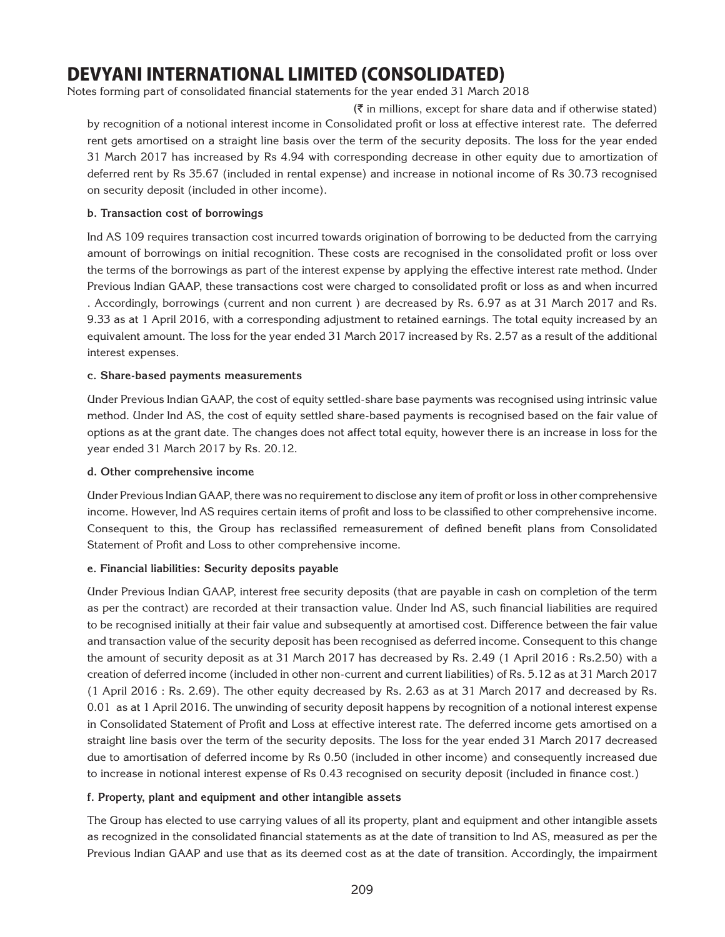Notes forming part of consolidated financial statements for the year ended 31 March 2018

by recognition of a notional interest income in Consolidated profit or loss at effective interest rate. The deferred rent gets amortised on a straight line basis over the term of the security deposits. The loss for the year ended 31 March 2017 has increased by Rs 4.94 with corresponding decrease in other equity due to amortization of deferred rent by Rs 35.67 (included in rental expense) and increase in notional income of Rs 30.73 recognised on security deposit (included in other income).  $(\bar{\tau})$  in millions, except for share data and if otherwise stated)

#### **b. Transaction cost of borrowings**

Ind AS 109 requires transaction cost incurred towards origination of borrowing to be deducted from the carrying amount of borrowings on initial recognition. These costs are recognised in the consolidated profit or loss over the terms of the borrowings as part of the interest expense by applying the effective interest rate method. Under Previous Indian GAAP, these transactions cost were charged to consolidated profit or loss as and when incurred . Accordingly, borrowings (current and non current ) are decreased by Rs. 6.97 as at 31 March 2017 and Rs. 9.33 as at 1 April 2016, with a corresponding adjustment to retained earnings. The total equity increased by an equivalent amount. The loss for the year ended 31 March 2017 increased by Rs. 2.57 as a result of the additional interest expenses.

#### **c. Share-based payments measurements**

Under Previous Indian GAAP, the cost of equity settled-share base payments was recognised using intrinsic value method. Under Ind AS, the cost of equity settled share-based payments is recognised based on the fair value of options as at the grant date. The changes does not affect total equity, however there is an increase in loss for the year ended 31 March 2017 by Rs. 20.12.

#### **d. Other comprehensive income**

Under Previous Indian GAAP, there was no requirement to disclose any item of profit or loss in other comprehensive income. However, Ind AS requires certain items of profit and loss to be classified to other comprehensive income. Consequent to this, the Group has reclassified remeasurement of defined benefit plans from Consolidated Statement of Profit and Loss to other comprehensive income.

### **e. Financial liabilities: Security deposits payable**

Under Previous Indian GAAP, interest free security deposits (that are payable in cash on completion of the term as per the contract) are recorded at their transaction value. Under Ind AS, such financial liabilities are required to be recognised initially at their fair value and subsequently at amortised cost. Difference between the fair value and transaction value of the security deposit has been recognised as deferred income. Consequent to this change the amount of security deposit as at 31 March 2017 has decreased by Rs. 2.49 (1 April 2016 : Rs.2.50) with a creation of deferred income (included in other non-current and current liabilities) of Rs. 5.12 as at 31 March 2017 (1 April 2016 : Rs. 2.69). The other equity decreased by Rs. 2.63 as at 31 March 2017 and decreased by Rs. 0.01 as at 1 April 2016. The unwinding of security deposit happens by recognition of a notional interest expense in Consolidated Statement of Profit and Loss at effective interest rate. The deferred income gets amortised on a straight line basis over the term of the security deposits. The loss for the year ended 31 March 2017 decreased due to amortisation of deferred income by Rs 0.50 (included in other income) and consequently increased due to increase in notional interest expense of Rs 0.43 recognised on security deposit (included in finance cost.)

### **f. Property, plant and equipment and other intangible assets**

The Group has elected to use carrying values of all its property, plant and equipment and other intangible assets as recognized in the consolidated financial statements as at the date of transition to Ind AS, measured as per the Previous Indian GAAP and use that as its deemed cost as at the date of transition. Accordingly, the impairment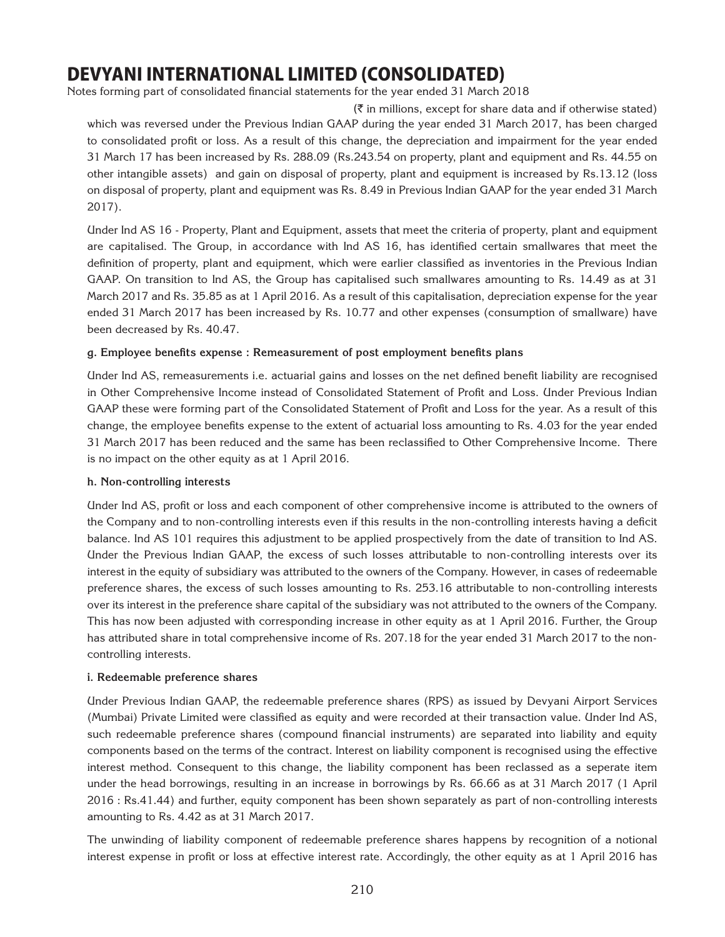Notes forming part of consolidated financial statements for the year ended 31 March 2018

 $(\bar{\zeta})$  in millions, except for share data and if otherwise stated) which was reversed under the Previous Indian GAAP during the year ended 31 March 2017, has been charged to consolidated profit or loss. As a result of this change, the depreciation and impairment for the year ended 31 March 17 has been increased by Rs. 288.09 (Rs.243.54 on property, plant and equipment and Rs. 44.55 on other intangible assets) and gain on disposal of property, plant and equipment is increased by Rs.13.12 (loss on disposal of property, plant and equipment was Rs. 8.49 in Previous Indian GAAP for the year ended 31 March 2017).

Under Ind AS 16 - Property, Plant and Equipment, assets that meet the criteria of property, plant and equipment are capitalised. The Group, in accordance with Ind AS 16, has identified certain smallwares that meet the definition of property, plant and equipment, which were earlier classified as inventories in the Previous Indian GAAP. On transition to Ind AS, the Group has capitalised such smallwares amounting to Rs. 14.49 as at 31 March 2017 and Rs. 35.85 as at 1 April 2016. As a result of this capitalisation, depreciation expense for the year ended 31 March 2017 has been increased by Rs. 10.77 and other expenses (consumption of smallware) have been decreased by Rs. 40.47.

#### **g. Employee benefits expense : Remeasurement of post employment benefits plans**

Under Ind AS, remeasurements i.e. actuarial gains and losses on the net defined benefit liability are recognised in Other Comprehensive Income instead of Consolidated Statement of Profit and Loss. Under Previous Indian GAAP these were forming part of the Consolidated Statement of Profit and Loss for the year. As a result of this change, the employee benefits expense to the extent of actuarial loss amounting to Rs. 4.03 for the year ended 31 March 2017 has been reduced and the same has been reclassified to Other Comprehensive Income. There is no impact on the other equity as at 1 April 2016.

#### **h. Non-controlling interests**

Under Ind AS, profit or loss and each component of other comprehensive income is attributed to the owners of the Company and to non-controlling interests even if this results in the non-controlling interests having a deficit balance. Ind AS 101 requires this adjustment to be applied prospectively from the date of transition to Ind AS. Under the Previous Indian GAAP, the excess of such losses attributable to non-controlling interests over its interest in the equity of subsidiary was attributed to the owners of the Company. However, in cases of redeemable preference shares, the excess of such losses amounting to Rs. 253.16 attributable to non-controlling interests over its interest in the preference share capital of the subsidiary was not attributed to the owners of the Company. This has now been adjusted with corresponding increase in other equity as at 1 April 2016. Further, the Group has attributed share in total comprehensive income of Rs. 207.18 for the year ended 31 March 2017 to the noncontrolling interests.

#### **i. Redeemable preference shares**

Under Previous Indian GAAP, the redeemable preference shares (RPS) as issued by Devyani Airport Services (Mumbai) Private Limited were classified as equity and were recorded at their transaction value. Under Ind AS, such redeemable preference shares (compound financial instruments) are separated into liability and equity components based on the terms of the contract. Interest on liability component is recognised using the effective interest method. Consequent to this change, the liability component has been reclassed as a seperate item under the head borrowings, resulting in an increase in borrowings by Rs. 66.66 as at 31 March 2017 (1 April 2016 : Rs.41.44) and further, equity component has been shown separately as part of non-controlling interests amounting to Rs. 4.42 as at 31 March 2017.

The unwinding of liability component of redeemable preference shares happens by recognition of a notional interest expense in profit or loss at effective interest rate. Accordingly, the other equity as at 1 April 2016 has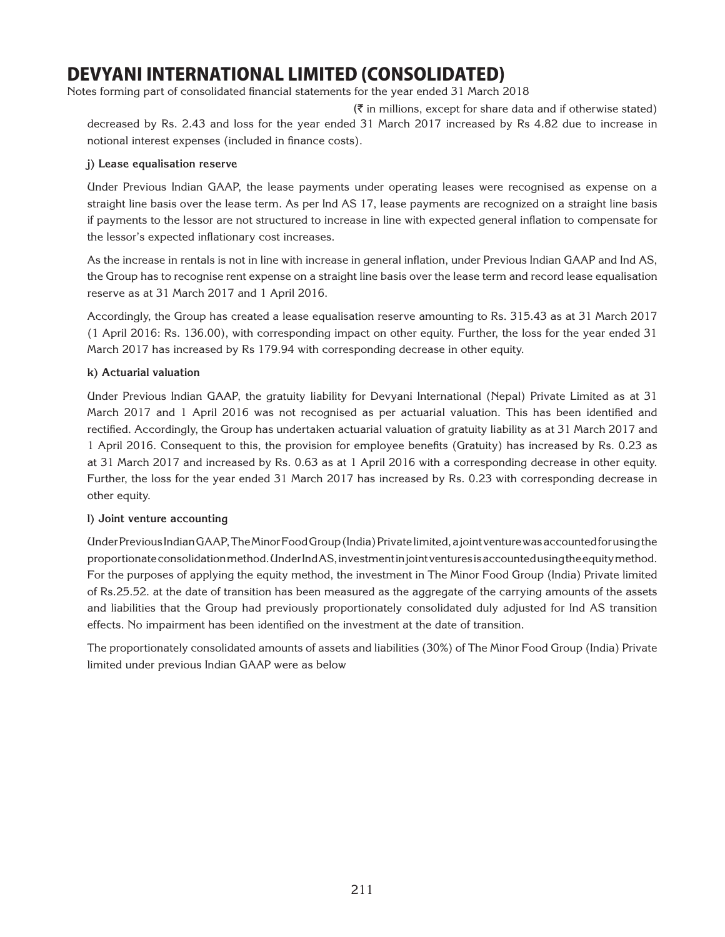Notes forming part of consolidated financial statements for the year ended 31 March 2018

 $(\bar{\tau})$  in millions, except for share data and if otherwise stated) decreased by Rs. 2.43 and loss for the year ended 31 March 2017 increased by Rs 4.82 due to increase in notional interest expenses (included in finance costs).

#### **j) Lease equalisation reserve**

Under Previous Indian GAAP, the lease payments under operating leases were recognised as expense on a straight line basis over the lease term. As per Ind AS 17, lease payments are recognized on a straight line basis if payments to the lessor are not structured to increase in line with expected general inflation to compensate for the lessor's expected inflationary cost increases.

As the increase in rentals is not in line with increase in general inflation, under Previous Indian GAAP and Ind AS, the Group has to recognise rent expense on a straight line basis over the lease term and record lease equalisation reserve as at 31 March 2017 and 1 April 2016.

Accordingly, the Group has created a lease equalisation reserve amounting to Rs. 315.43 as at 31 March 2017 (1 April 2016: Rs. 136.00), with corresponding impact on other equity. Further, the loss for the year ended 31 March 2017 has increased by Rs 179.94 with corresponding decrease in other equity.

### **k) Actuarial valuation**

Under Previous Indian GAAP, the gratuity liability for Devyani International (Nepal) Private Limited as at 31 March 2017 and 1 April 2016 was not recognised as per actuarial valuation. This has been identified and rectified. Accordingly, the Group has undertaken actuarial valuation of gratuity liability as at 31 March 2017 and 1 April 2016. Consequent to this, the provision for employee benefits (Gratuity) has increased by Rs. 0.23 as at 31 March 2017 and increased by Rs. 0.63 as at 1 April 2016 with a corresponding decrease in other equity. Further, the loss for the year ended 31 March 2017 has increased by Rs. 0.23 with corresponding decrease in other equity.

#### **l) Joint venture accounting**

Under Previous Indian GAAP, The Minor Food Group (India) Private limited, a joint venture was accounted for using the proportionate consolidation method. Under Ind AS, investment in joint ventures is accounted using the equity method. For the purposes of applying the equity method, the investment in The Minor Food Group (India) Private limited of Rs.25.52. at the date of transition has been measured as the aggregate of the carrying amounts of the assets and liabilities that the Group had previously proportionately consolidated duly adjusted for Ind AS transition effects. No impairment has been identified on the investment at the date of transition.

The proportionately consolidated amounts of assets and liabilities (30%) of The Minor Food Group (India) Private limited under previous Indian GAAP were as below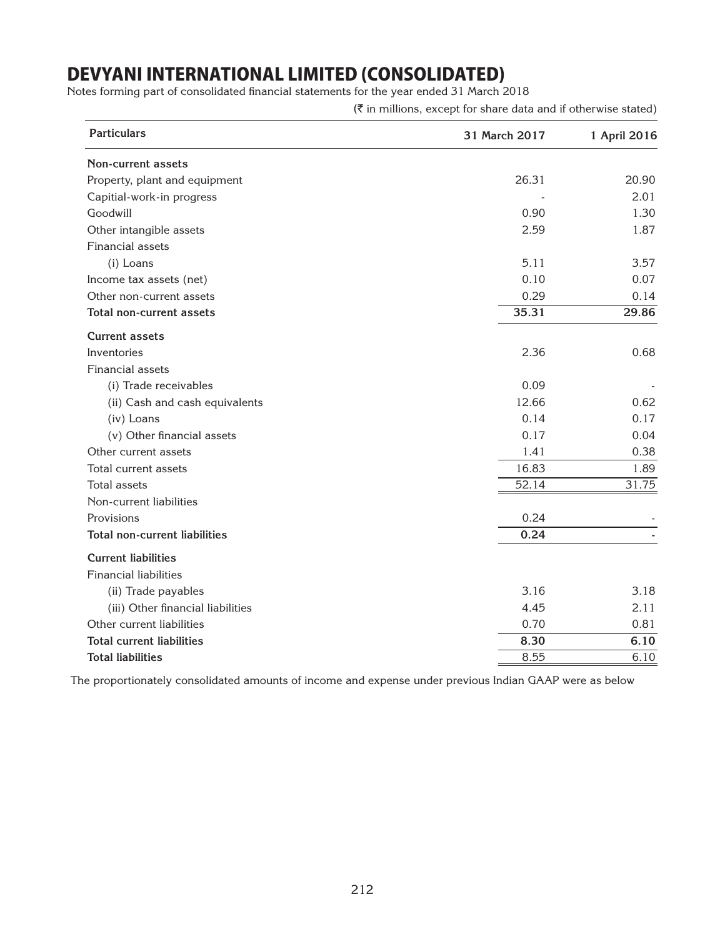Notes forming part of consolidated financial statements for the year ended 31 March 2018

 $(\bar{\tau}$  in millions, except for share data and if otherwise stated)

| <b>Particulars</b>                   | 31 March 2017 | 1 April 2016 |
|--------------------------------------|---------------|--------------|
| <b>Non-current assets</b>            |               |              |
| Property, plant and equipment        | 26.31         | 20.90        |
| Capitial-work-in progress            |               | 2.01         |
| Goodwill                             | 0.90          | 1.30         |
| Other intangible assets              | 2.59          | 1.87         |
| Financial assets                     |               |              |
| (i) Loans                            | 5.11          | 3.57         |
| Income tax assets (net)              | 0.10          | 0.07         |
| Other non-current assets             | 0.29          | 0.14         |
| Total non-current assets             | 35.31         | 29.86        |
| <b>Current assets</b>                |               |              |
| Inventories                          | 2.36          | 0.68         |
| Financial assets                     |               |              |
| (i) Trade receivables                | 0.09          |              |
| (ii) Cash and cash equivalents       | 12.66         | 0.62         |
| (iv) Loans                           | 0.14          | 0.17         |
| (v) Other financial assets           | 0.17          | 0.04         |
| Other current assets                 | 1.41          | 0.38         |
| Total current assets                 | 16.83         | 1.89         |
| <b>Total assets</b>                  | 52.14         | 31.75        |
| Non-current liabilities              |               |              |
| Provisions                           | 0.24          |              |
| <b>Total non-current liabilities</b> | 0.24          |              |
| <b>Current liabilities</b>           |               |              |
| <b>Financial liabilities</b>         |               |              |
| (ii) Trade payables                  | 3.16          | 3.18         |
| (iii) Other financial liabilities    | 4.45          | 2.11         |
| Other current liabilities            | 0.70          | 0.81         |
| <b>Total current liabilities</b>     | 8.30          | 6.10         |
| <b>Total liabilities</b>             | 8.55          | 6.10         |

The proportionately consolidated amounts of income and expense under previous Indian GAAP were as below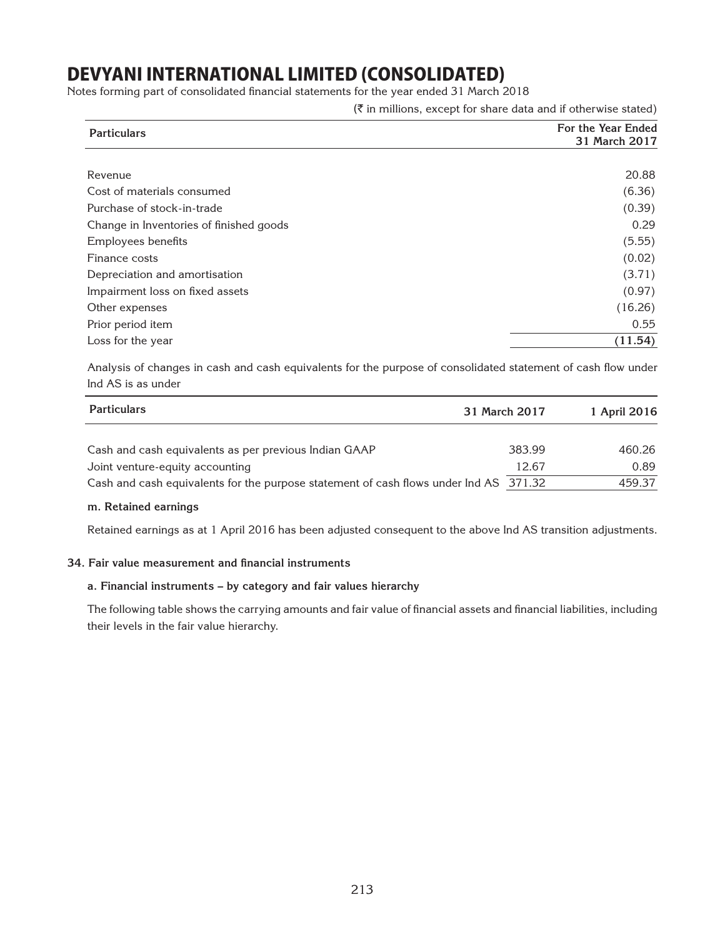Notes forming part of consolidated financial statements for the year ended 31 March 2018

 $(\bar{\tau})$  in millions, except for share data and if otherwise stated)

| <b>Particulars</b>                      | For the Year Ended<br>31 March 2017 |
|-----------------------------------------|-------------------------------------|
|                                         |                                     |
| Revenue                                 | 20.88                               |
| Cost of materials consumed              | (6.36)                              |
| Purchase of stock-in-trade              | (0.39)                              |
| Change in Inventories of finished goods | 0.29                                |
| Employees benefits                      | (5.55)                              |
| Finance costs                           | (0.02)                              |
| Depreciation and amortisation           | (3.71)                              |
| Impairment loss on fixed assets         | (0.97)                              |
| Other expenses                          | (16.26)                             |
| Prior period item                       | 0.55                                |
| Loss for the year                       | (11.54)                             |

Analysis of changes in cash and cash equivalents for the purpose of consolidated statement of cash flow under Ind AS is as under

| <b>Particulars</b>                                                                    | 31 March 2017 | 1 April 2016 |
|---------------------------------------------------------------------------------------|---------------|--------------|
| Cash and cash equivalents as per previous Indian GAAP                                 | 383.99        | 460.26       |
| Joint venture-equity accounting                                                       | 12.67         | 0.89         |
| Cash and cash equivalents for the purpose statement of cash flows under Ind AS 371.32 |               | 459.37       |

#### **m. Retained earnings**

Retained earnings as at 1 April 2016 has been adjusted consequent to the above Ind AS transition adjustments.

#### **34. Fair value measurement and financial instruments**

#### **a. Financial instruments – by category and fair values hierarchy**

The following table shows the carrying amounts and fair value of financial assets and financial liabilities, including their levels in the fair value hierarchy.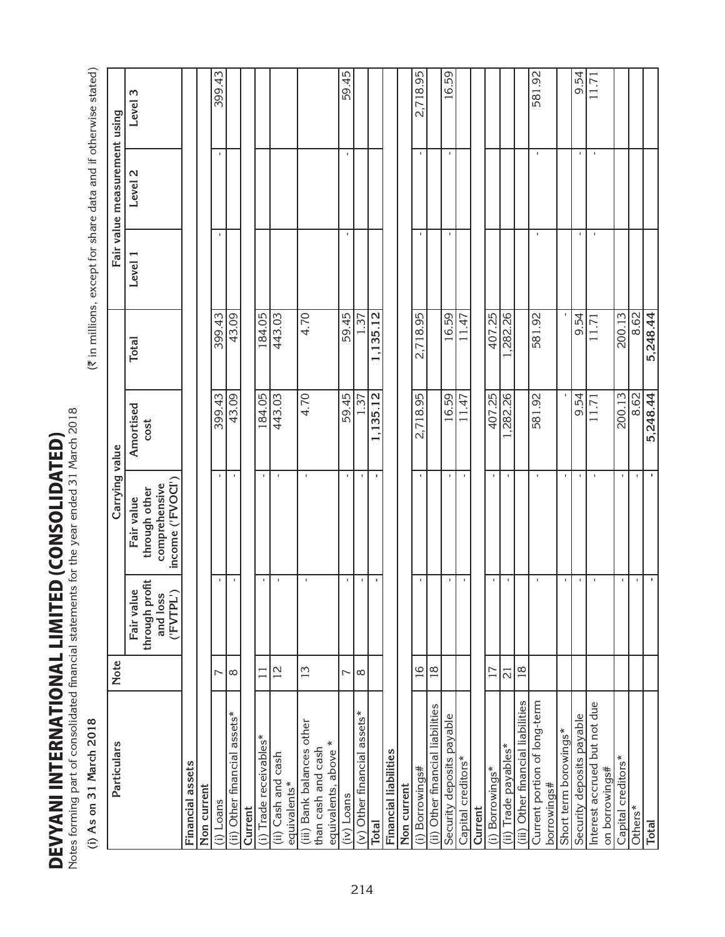**DEVYANI INTERNATIONAL LIMITED (CONSOLIDATED)**<br>Notes forming part of consolidated financial statements for the year ended 31 March 2018 DEVYANI INTERNATIONAL LIMITED (consolidated)

| s forming part of consolidated financial statements for the year ended 31 March 2018 |                     |                                                       |                                                                  |                   |                         |                |                              |                                                                |
|--------------------------------------------------------------------------------------|---------------------|-------------------------------------------------------|------------------------------------------------------------------|-------------------|-------------------------|----------------|------------------------------|----------------------------------------------------------------|
| As on 31 March 2018<br>$\widehat{c}$                                                 |                     |                                                       |                                                                  |                   |                         |                |                              | (₹ in millions, except for share data and if otherwise stated) |
| Particulars                                                                          | Note                |                                                       | Carrying value                                                   |                   |                         |                | Fair value measurement using |                                                                |
|                                                                                      |                     | through profit<br>Fair value<br>('FVTPL')<br>and loss | income ('FVOCI')<br>comprehensive<br>through other<br>Fair value | Amortised<br>cost | <b>Total</b>            | Level 1        | Level <sub>2</sub>           | Level 3                                                        |
| Financial assets                                                                     |                     |                                                       |                                                                  |                   |                         |                |                              |                                                                |
| Non current                                                                          |                     |                                                       |                                                                  |                   |                         |                |                              |                                                                |
| (i) Loans                                                                            | ∼                   |                                                       | $\blacksquare$                                                   | 399.43            | 399.43                  | $\blacksquare$ |                              | 399.43                                                         |
| $assets*$<br>(ii) Other financial                                                    | $\infty$            | $\mathbf I$                                           | $\mathbf{I}$                                                     | 43.09             | 43.09                   |                |                              |                                                                |
| Current                                                                              |                     |                                                       |                                                                  |                   |                         |                |                              |                                                                |
| (i) Trade receivables*                                                               | $\Box$              |                                                       | $\blacksquare$                                                   | 184.05            | 184.05                  |                |                              |                                                                |
| (ii) Cash and cash<br>equivalents*                                                   | $\overline{2}$      | $\blacksquare$                                        | $\mathbf{1}$                                                     | 443.03            | 443.03                  |                |                              |                                                                |
| (iii) Bank balances other                                                            | 13                  | $\blacksquare$                                        | $\mathbf{I}$                                                     | 4.70              | 4.70                    |                |                              |                                                                |
| $\ast$<br>than cash and cash<br>equivalents, above                                   |                     |                                                       |                                                                  |                   |                         |                |                              |                                                                |
| (iv) Loans                                                                           | $\sim$              | J.                                                    | $\mathbf{I}$                                                     | 59.45             | 59.45                   | $\mathbf{I}$   |                              | 59.45                                                          |
| $(v)$ Other financial assets*                                                        | $\infty$            | $\blacksquare$                                        | $\mathbf{I}$                                                     | $\sqrt{37}$       | $\frac{1}{3}$           |                |                              |                                                                |
| <b>Total</b>                                                                         |                     | ٠                                                     | $\mathbf{r}$                                                     | ,135.12           | 35.12<br>$\overline{ }$ |                |                              |                                                                |
| Financial liabilities                                                                |                     |                                                       |                                                                  |                   |                         |                |                              |                                                                |
| Non current                                                                          |                     |                                                       |                                                                  |                   |                         |                |                              |                                                                |
| Borrowings#<br>$\hat{c}$                                                             | $\frac{6}{1}$       | $\mathbf{I}$                                          | $\mathbf{I}$                                                     | 2,718.95          | 2,718.95                | $\mathbf{I}$   |                              | 2,718.95                                                       |
| (ii) Other financial liabilities                                                     | $ \frac{\infty}{2}$ |                                                       |                                                                  |                   |                         |                |                              |                                                                |
| Security deposits payable                                                            |                     | J,                                                    | $\mathbf{I}$                                                     | 16.59             | 16.59                   | $\mathbf I$    |                              | 16.59                                                          |
| Capital creditors*                                                                   |                     | $\blacksquare$                                        | $\mathbf{I}$                                                     | 11.47             | 11.47                   |                |                              |                                                                |
| Current                                                                              |                     |                                                       |                                                                  |                   |                         |                |                              |                                                                |
| (i) Borrowings*                                                                      | 17                  | $\mathbf{I}$                                          | $\blacksquare$                                                   | 407.25            | 407.25                  |                |                              |                                                                |
| (ii) Trade payables*                                                                 | $\overline{\Omega}$ | $\mathbf I$                                           | $\blacksquare$                                                   | ,282.26           | ,282.26                 |                |                              |                                                                |
| (iii) Other financial liabilities                                                    | 18                  |                                                       |                                                                  |                   |                         |                |                              |                                                                |
| Current portion of long-term<br>borrowings#                                          |                     |                                                       | $\mathbf{I}$                                                     | 581.92            | 581.92                  | $\mathbf{I}$   |                              | 581.92                                                         |
| Short term borowings*                                                                |                     |                                                       | $\mathbf{I}$                                                     |                   |                         |                |                              |                                                                |
| Security deposits payable                                                            |                     | J                                                     | $\mathbf{I}$                                                     | 9.54              | 9.54                    | $\mathbf I$    |                              | 9.54                                                           |
| Interest accrued but not due<br>on borrowings#                                       |                     | $\mathbf{I}$                                          | $\mathbf{I}$                                                     | 11.71             | 11.71                   | $\blacksquare$ | $\mathbf I$                  | 11.71                                                          |
| Capital creditors*                                                                   |                     |                                                       | $\mathbf{I}$                                                     | 200.13            | 200.13                  |                |                              |                                                                |
| Others*                                                                              |                     |                                                       | $\mathbf{I}$                                                     | 8.62              | 8.62                    |                |                              |                                                                |
| <b>Total</b>                                                                         |                     | $\blacksquare$                                        | $\mathbf{I}$                                                     | 5,248.44          | 5,248.44                |                |                              |                                                                |
|                                                                                      |                     |                                                       |                                                                  |                   |                         |                |                              |                                                                |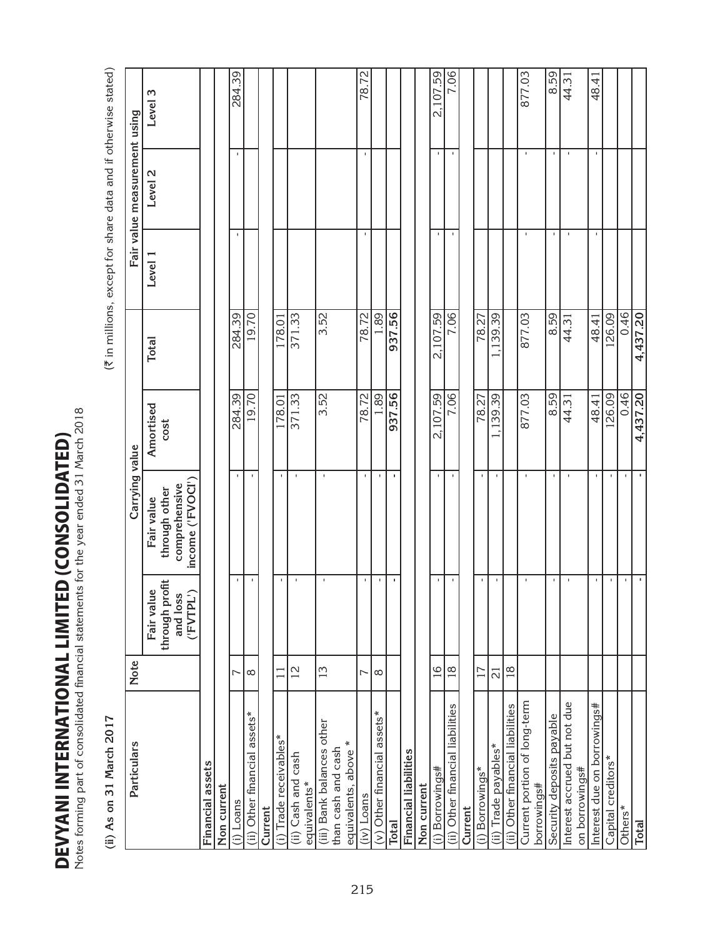DEVYANI INTERNATIONAL LIMITED (CONSOLIDATED) DEVYANI INTERNATIONAL LIMITED (consolidated)

| tes forming part of consolidated financial statements for the year ended 31 March 2018 |                 |                                                                                                  |                                                                  |                   |              |                |                                                                |             |
|----------------------------------------------------------------------------------------|-----------------|--------------------------------------------------------------------------------------------------|------------------------------------------------------------------|-------------------|--------------|----------------|----------------------------------------------------------------|-------------|
| 31 March 2017<br>(ii) As on                                                            |                 |                                                                                                  |                                                                  |                   |              |                | (₹ in millions, except for share data and if otherwise stated) |             |
| Particulars                                                                            | Note            |                                                                                                  | Carrying value                                                   |                   |              |                | Fair value measurement using                                   |             |
|                                                                                        |                 | through profit<br>Fair value<br>$\widehat{\cdot}$<br>$\boldsymbol{\omega}$<br>and los<br>('FVTPL | income ('FVOCI')<br>comprehensive<br>through other<br>Fair value | Amortised<br>cost | <b>Total</b> | Level 1        | Level <sub>2</sub>                                             | m<br>Level: |
| Financial assets                                                                       |                 |                                                                                                  |                                                                  |                   |              |                |                                                                |             |
| Non current                                                                            |                 |                                                                                                  |                                                                  |                   |              |                |                                                                |             |
| (i) Loans                                                                              | ∼               | $\mathbf{I}$                                                                                     | $\mathbf{I}$                                                     | 284.39            | 284.39       |                | $\blacksquare$                                                 | 284.39      |
| $a$ ssets $*$<br>(ii) Other financial                                                  | $\infty$        | $\mathbf{I}$                                                                                     | $\mathbf{I}$                                                     | 19.70             | 19.70        |                |                                                                |             |
| Current                                                                                |                 |                                                                                                  |                                                                  |                   |              |                |                                                                |             |
| (i) Trade receivables*                                                                 |                 | $\mathbf I$                                                                                      | $\mathbf{I}$                                                     | 178.01            | 178.01       |                |                                                                |             |
| (ii) Cash and cash<br>equivalents*                                                     | $\overline{12}$ | $\mathbf{I}$                                                                                     | $\mathbf{I}$                                                     | 371.33            | 371.33       |                |                                                                |             |
|                                                                                        |                 |                                                                                                  |                                                                  |                   |              |                |                                                                |             |
| (iii) Bank balances other<br>×<br>than cash and cash<br>equivalents, above             | 13              | $\mathbf I$                                                                                      | $\mathbf{I}$                                                     | 3.52              | 3.52         |                |                                                                |             |
| (iv) Loans                                                                             | L               | J.                                                                                               |                                                                  | 78.72             | 78.72        | $\mathbf{I}$   | $\blacksquare$                                                 | 78.72       |
| (v) Other financial assets*                                                            | $\infty$        | J.                                                                                               |                                                                  | .89               | 89.          |                |                                                                |             |
| <b>Total</b>                                                                           |                 | $\blacksquare$                                                                                   | J.                                                               | 937.56            | 937.56       |                |                                                                |             |
| Financial liabilities                                                                  |                 |                                                                                                  |                                                                  |                   |              |                |                                                                |             |
| Non current                                                                            |                 |                                                                                                  |                                                                  |                   |              |                |                                                                |             |
| (i) Borrowings#                                                                        | 16              | $\mathbf{I}$                                                                                     |                                                                  | 2,107.59          | 2,107.59     |                | $\mathbf{I}$                                                   | 2,107.59    |
| (ii) Other financial liabilities                                                       | $\frac{8}{1}$   | $\mathbf{I}$                                                                                     | $\mathbf I$                                                      | 7.06              | 7.06         | $\mathbf{I}$   | $\blacksquare$                                                 | 7.06        |
| Current                                                                                |                 |                                                                                                  |                                                                  |                   |              |                |                                                                |             |
| (i) Borrowings*                                                                        | $\overline{17}$ | J.                                                                                               |                                                                  | 78.27             | 78.27        |                |                                                                |             |
| (ii) Trade payables*                                                                   | $\overline{c}$  |                                                                                                  |                                                                  | 139.39            | 139.39       |                |                                                                |             |
| (ii) Other financial liabilities                                                       | $\frac{8}{1}$   |                                                                                                  |                                                                  |                   |              |                |                                                                |             |
| Current portion of long-term                                                           |                 |                                                                                                  |                                                                  | 877.03            | 877.03       |                |                                                                | 877.03      |
| borrowings#                                                                            |                 |                                                                                                  |                                                                  |                   |              |                |                                                                |             |
| Security deposits payable                                                              |                 | $\mathbf I$                                                                                      | $\mathbf I$                                                      | 8.59              | 8.59         | $\blacksquare$ | $\mathbf{I}$                                                   | 8.59        |
| Interest accrued but not due<br>on borrowings#                                         |                 | $\mathbf I$                                                                                      | $\mathbf I$                                                      | 44.31             | 44.31        | $\mathbf{I}$   | $\mathbf I$                                                    | 44.31       |
| Interest due on borrowings#                                                            |                 | $\blacksquare$                                                                                   | J.                                                               | 48.41             | 48.41        | $\mathbf{I}$   | $\blacksquare$                                                 | 48.41       |
| Capital creditors*                                                                     |                 | л.                                                                                               | $\mathbf{I}$                                                     | 26.09             | 126.09       |                |                                                                |             |
| Others*                                                                                |                 | $\blacksquare$                                                                                   | J.                                                               | 0.46              | 0.46         |                |                                                                |             |
| Total                                                                                  |                 | $\blacksquare$                                                                                   |                                                                  | 4,437.20          | 4,437.20     |                |                                                                |             |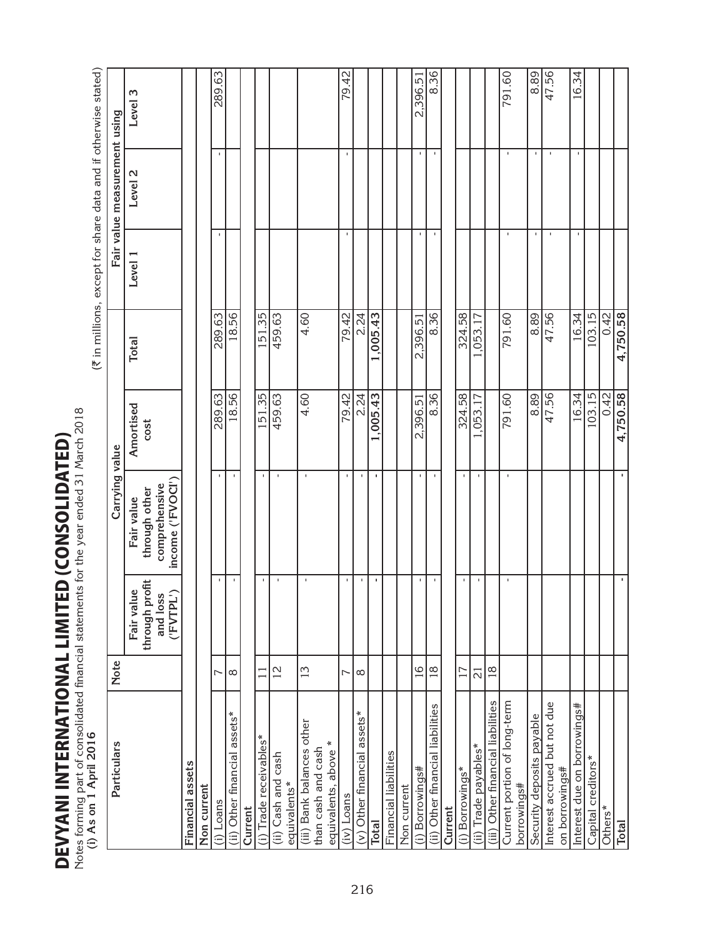**DEVYANI INTERNATIONAL LIMITED (CONSOLIDATED)** DEVYANI INTERNATIONAL LIMITED (consolidated)

| tes forming part of consolidated financial statements for the year ended 31 March 2018<br>(i) As on 1 April 2016 |                 |                                                           |                                                                  |                   |                  |                | (₹ in millions, except for share data and if otherwise stated) |          |
|------------------------------------------------------------------------------------------------------------------|-----------------|-----------------------------------------------------------|------------------------------------------------------------------|-------------------|------------------|----------------|----------------------------------------------------------------|----------|
| Particulars                                                                                                      | <b>Note</b>     |                                                           | Carrying value                                                   |                   |                  |                | Fair value measurement using                                   |          |
|                                                                                                                  |                 | through profit<br>Fair value<br>('FVTPL')<br>S<br>and los | income ('FVOCI')<br>comprehensive<br>through other<br>Fair value | Amortised<br>cost | <b>Total</b>     | Level 1        | Level 2                                                        | Level 3  |
| Financial assets                                                                                                 |                 |                                                           |                                                                  |                   |                  |                |                                                                |          |
| Non current                                                                                                      |                 |                                                           |                                                                  |                   |                  |                |                                                                |          |
| (i) Loans                                                                                                        | ∼               | $\mathbf{I}$                                              | $\mathbf{I}$                                                     | 289.63            | 289.63           | $\mathbf{I}$   |                                                                | 289.63   |
| Other financial assets*<br>ίii)                                                                                  | ∞               | $\mathbf I$                                               | $\mathbf{I}$                                                     | 18.56             | 18.56            |                |                                                                |          |
| Current                                                                                                          |                 |                                                           |                                                                  |                   |                  |                |                                                                |          |
| Trade receivables*<br>Ξ                                                                                          | Ξ               | ٠                                                         | $\mathbf{I}$                                                     | 151.35            | 151.35           |                |                                                                |          |
| (ii) Cash and cash<br>equivalents*                                                                               | $\overline{2}$  | J.                                                        | $\mathbf{I}$                                                     | 459.63            | 459.63           |                |                                                                |          |
| (iii) Bank balances other                                                                                        | $\tilde{1}$     | $\blacksquare$                                            | $\mathbf{1}$                                                     | 4.60              | 4.60             |                |                                                                |          |
| ∗<br>than cash and cash<br>equivalents, above                                                                    |                 |                                                           |                                                                  |                   |                  |                |                                                                |          |
| $(iv)$ Loans                                                                                                     | Γ               | $\mathbf I$                                               | $\mathbf{I}$                                                     | 79.42             | 79.42            | $\mathbf{I}$   |                                                                | 79.42    |
| assets*<br>Other financial<br>$\widehat{\geq}$                                                                   | ${}^{\circ}$    | $\mathbf I$                                               | $\mathbf{I}$                                                     | 2.24              | $\frac{2.24}{ }$ |                |                                                                |          |
| <b>Total</b>                                                                                                     |                 | ٠                                                         | $\blacksquare$                                                   | ,005.43           | ,005.43          |                |                                                                |          |
| Financial liabilities                                                                                            |                 |                                                           |                                                                  |                   |                  |                |                                                                |          |
| Non current                                                                                                      |                 |                                                           |                                                                  |                   |                  |                |                                                                |          |
| (i) Borrowings#                                                                                                  | $\overline{16}$ |                                                           | $\mathbf{I}$                                                     | 2,396.51          | 2,396.51         | $\mathbf{I}$   |                                                                | 2,396.51 |
| (ii) Other financial liabilities                                                                                 | $\frac{8}{10}$  | J.                                                        | $\mathbf{I}$                                                     | 8.36              | 8.36             | $\mathbf I$    |                                                                | 8.36     |
| Current                                                                                                          |                 |                                                           |                                                                  |                   |                  |                |                                                                |          |
| (i) Borrowings*                                                                                                  | 17              | ı                                                         | $\mathbf{I}$                                                     | 324.58            | 324.58           |                |                                                                |          |
| (ii) Trade payables*                                                                                             | $\overline{c}$  | ı                                                         | $\mathbf{I}$                                                     | ,053.17           | ,053.17          |                |                                                                |          |
| (iii) Other financial liabilities                                                                                | $\frac{8}{1}$   |                                                           |                                                                  |                   |                  |                |                                                                |          |
| Current portion of long-term<br>borrowings#                                                                      |                 | J.                                                        | $\mathbf I$                                                      | 791.60            | 791.60           | $\mathbf{I}$   |                                                                | 791.60   |
| Security deposits payable                                                                                        |                 |                                                           |                                                                  | 8.89              | 8.89             | $\mathbf{I}$   |                                                                | 8.89     |
| Interest accrued but not due<br>on borrowings#                                                                   |                 |                                                           |                                                                  | 47.56             | 47.56            | $\blacksquare$ |                                                                | 47.56    |
| Interest due on borrowings#                                                                                      |                 |                                                           |                                                                  | 16.34             | 16.34            | $\mathbf{I}$   |                                                                | 16.34    |
| Capital creditors*                                                                                               |                 |                                                           |                                                                  | 103.15            | 103.15           |                |                                                                |          |
| Others*                                                                                                          |                 |                                                           |                                                                  | 0.42              | 0.42             |                |                                                                |          |
| <b>Total</b>                                                                                                     |                 | ٠                                                         | $\mathbf{r}$                                                     | 4,750.58          | 4,750.58         |                |                                                                |          |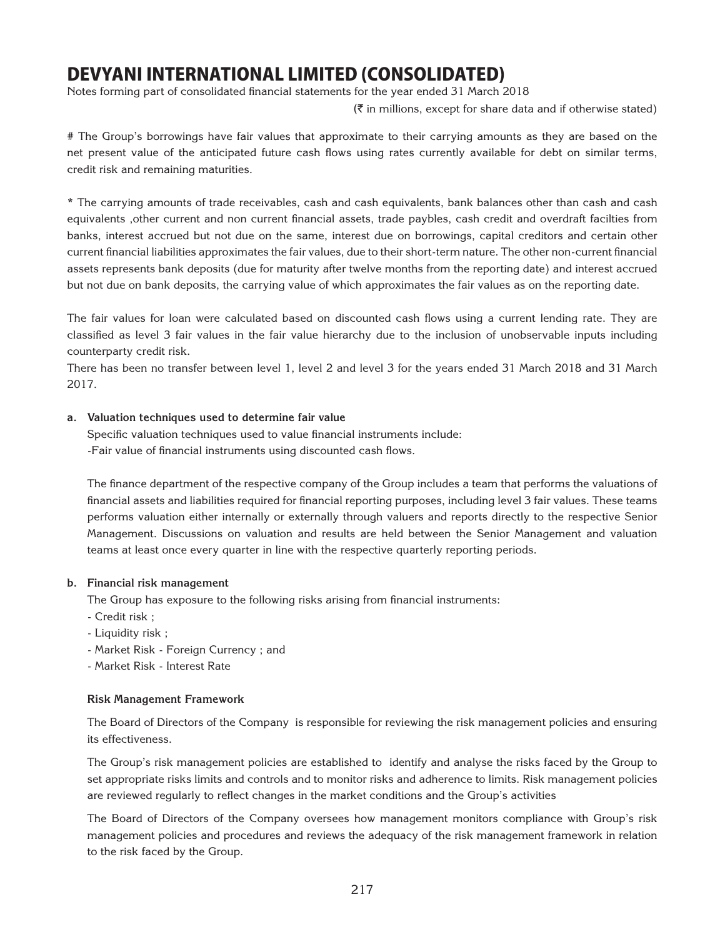Notes forming part of consolidated financial statements for the year ended 31 March 2018

 $(\bar{\tau})$  in millions, except for share data and if otherwise stated)

# The Group's borrowings have fair values that approximate to their carrying amounts as they are based on the net present value of the anticipated future cash flows using rates currently available for debt on similar terms, credit risk and remaining maturities.

\* The carrying amounts of trade receivables, cash and cash equivalents, bank balances other than cash and cash equivalents ,other current and non current financial assets, trade paybles, cash credit and overdraft facilties from banks, interest accrued but not due on the same, interest due on borrowings, capital creditors and certain other current financial liabilities approximates the fair values, due to their short-term nature. The other non-current financial assets represents bank deposits (due for maturity after twelve months from the reporting date) and interest accrued but not due on bank deposits, the carrying value of which approximates the fair values as on the reporting date.

The fair values for loan were calculated based on discounted cash flows using a current lending rate. They are classified as level 3 fair values in the fair value hierarchy due to the inclusion of unobservable inputs including counterparty credit risk.

There has been no transfer between level 1, level 2 and level 3 for the years ended 31 March 2018 and 31 March 2017.

### **a. Valuation techniques used to determine fair value**

Specific valuation techniques used to value financial instruments include: -Fair value of financial instruments using discounted cash flows.

The finance department of the respective company of the Group includes a team that performs the valuations of financial assets and liabilities required for financial reporting purposes, including level 3 fair values. These teams performs valuation either internally or externally through valuers and reports directly to the respective Senior Management. Discussions on valuation and results are held between the Senior Management and valuation teams at least once every quarter in line with the respective quarterly reporting periods.

### **b. Financial risk management**

The Group has exposure to the following risks arising from financial instruments:

- Credit risk ;
- Liquidity risk ;
- Market Risk Foreign Currency ; and
- Market Risk Interest Rate

#### **Risk Management Framework**

The Board of Directors of the Company is responsible for reviewing the risk management policies and ensuring its effectiveness.

The Group's risk management policies are established to identify and analyse the risks faced by the Group to set appropriate risks limits and controls and to monitor risks and adherence to limits. Risk management policies are reviewed regularly to reflect changes in the market conditions and the Group's activities

The Board of Directors of the Company oversees how management monitors compliance with Group's risk management policies and procedures and reviews the adequacy of the risk management framework in relation to the risk faced by the Group.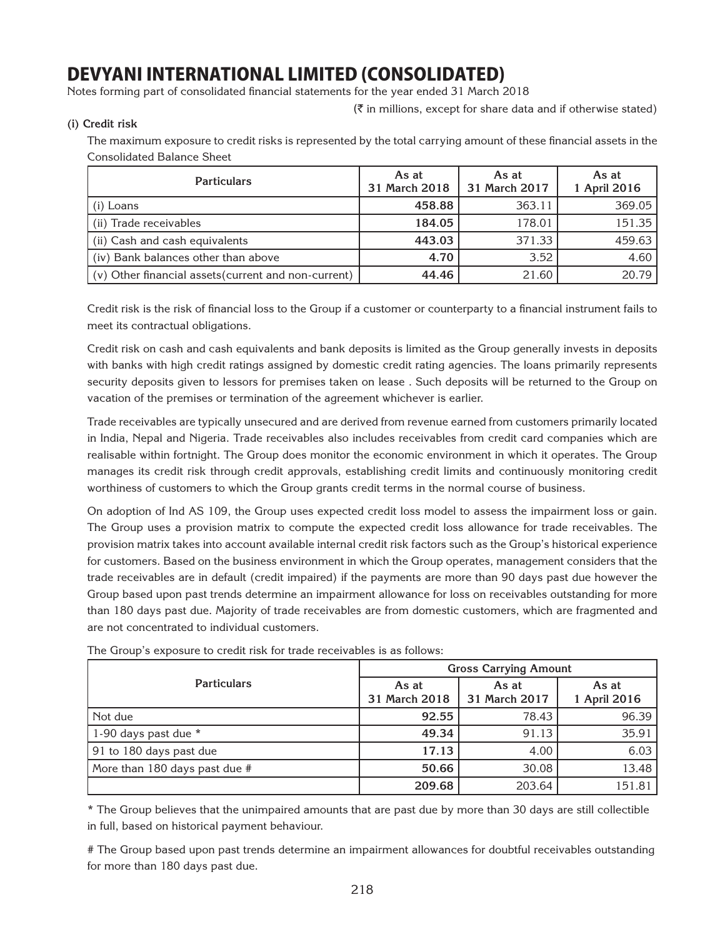Notes forming part of consolidated financial statements for the year ended 31 March 2018

 $(\bar{\tau})$  in millions, except for share data and if otherwise stated)

**(i) Credit risk**

The maximum exposure to credit risks is represented by the total carrying amount of these financial assets in the Consolidated Balance Sheet

| <b>Particulars</b>                                   | As at<br>31 March 2018 | As at<br>31 March 2017 | As at<br>1 April 2016 |
|------------------------------------------------------|------------------------|------------------------|-----------------------|
| $(i)$ Loans                                          | 458.88                 | 363.11                 | 369.05                |
| (ii) Trade receivables                               | 184.05                 | 178.01                 | 151.35                |
| (ii) Cash and cash equivalents                       | 443.03                 | 371.33                 | 459.63                |
| (iv) Bank balances other than above                  | 4.70                   | 3.52                   | 4.60                  |
| (v) Other financial assets (current and non-current) | 44.46                  | 21.60                  | 20.79                 |

Credit risk is the risk of financial loss to the Group if a customer or counterparty to a financial instrument fails to meet its contractual obligations.

Credit risk on cash and cash equivalents and bank deposits is limited as the Group generally invests in deposits with banks with high credit ratings assigned by domestic credit rating agencies. The loans primarily represents security deposits given to lessors for premises taken on lease . Such deposits will be returned to the Group on vacation of the premises or termination of the agreement whichever is earlier.

Trade receivables are typically unsecured and are derived from revenue earned from customers primarily located in India, Nepal and Nigeria. Trade receivables also includes receivables from credit card companies which are realisable within fortnight. The Group does monitor the economic environment in which it operates. The Group manages its credit risk through credit approvals, establishing credit limits and continuously monitoring credit worthiness of customers to which the Group grants credit terms in the normal course of business.

On adoption of Ind AS 109, the Group uses expected credit loss model to assess the impairment loss or gain. The Group uses a provision matrix to compute the expected credit loss allowance for trade receivables. The provision matrix takes into account available internal credit risk factors such as the Group's historical experience for customers. Based on the business environment in which the Group operates, management considers that the trade receivables are in default (credit impaired) if the payments are more than 90 days past due however the Group based upon past trends determine an impairment allowance for loss on receivables outstanding for more than 180 days past due. Majority of trade receivables are from domestic customers, which are fragmented and are not concentrated to individual customers.

|                               | <b>Gross Carrying Amount</b> |                        |                       |  |  |
|-------------------------------|------------------------------|------------------------|-----------------------|--|--|
| <b>Particulars</b>            | As at<br>31 March 2018       | As at<br>31 March 2017 | As at<br>1 April 2016 |  |  |
| Not due                       | 92.55                        | 78.43                  | 96.39                 |  |  |
| 1-90 days past due *          | 49.34                        | 91.13                  | 35.91                 |  |  |
| 91 to 180 days past due       | 17.13                        | 4.00                   | 6.03                  |  |  |
| More than 180 days past due # | 50.66                        | 30.08                  | 13.48                 |  |  |
|                               | 209.68                       | 203.64                 | 151.81                |  |  |

The Group's exposure to credit risk for trade receivables is as follows:

\* The Group believes that the unimpaired amounts that are past due by more than 30 days are still collectible in full, based on historical payment behaviour.

# The Group based upon past trends determine an impairment allowances for doubtful receivables outstanding for more than 180 days past due.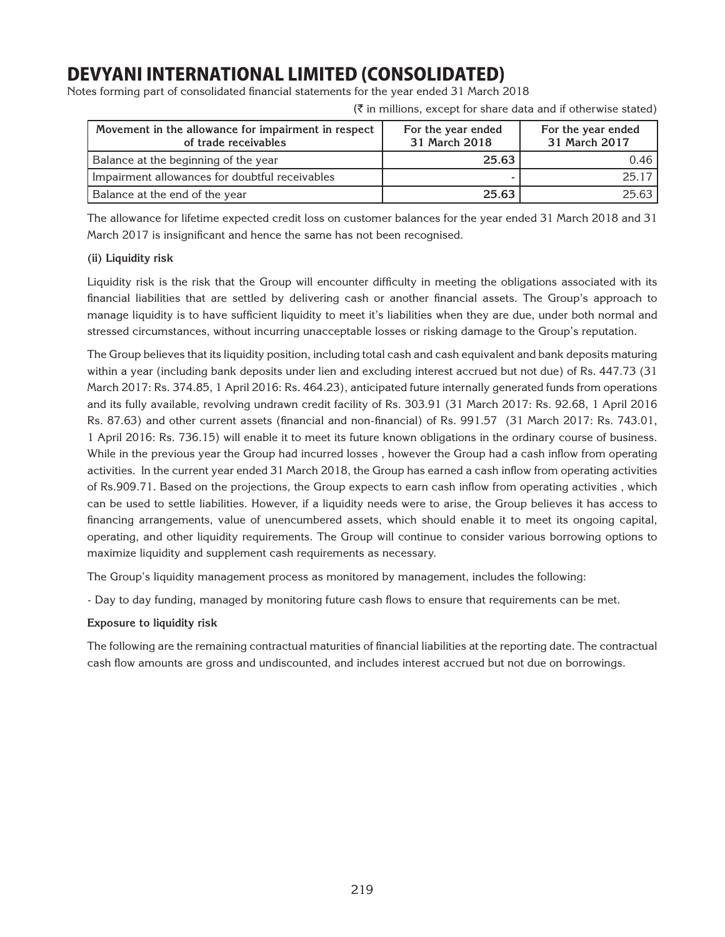Notes forming part of consolidated financial statements for the year ended 31 March 2018

 $(\bar{\tau})$  in millions, except for share data and if otherwise stated)

| Movement in the allowance for impairment in respect<br>of trade receivables | For the year ended<br>31 March 2018 | For the year ended<br>31 March 2017 |
|-----------------------------------------------------------------------------|-------------------------------------|-------------------------------------|
| Balance at the beginning of the year                                        | 25.63                               | 0.46                                |
| Impairment allowances for doubtful receivables                              |                                     | 25 17 I                             |
| Balance at the end of the year                                              | 25.63                               | 25.63                               |

The allowance for lifetime expected credit loss on customer balances for the year ended 31 March 2018 and 31 March 2017 is insignificant and hence the same has not been recognised.

## **(ii) Liquidity risk**

Liquidity risk is the risk that the Group will encounter difficulty in meeting the obligations associated with its financial liabilities that are settled by delivering cash or another financial assets. The Group's approach to manage liquidity is to have sufficient liquidity to meet it's liabilities when they are due, under both normal and stressed circumstances, without incurring unacceptable losses or risking damage to the Group's reputation.

The Group believes that its liquidity position, including total cash and cash equivalent and bank deposits maturing within a year (including bank deposits under lien and excluding interest accrued but not due) of Rs. 447.73 (31 March 2017: Rs. 374.85, 1 April 2016: Rs. 464.23), anticipated future internally generated funds from operations and its fully available, revolving undrawn credit facility of Rs. 303.91 (31 March 2017: Rs. 92.68, 1 April 2016 Rs. 87.63) and other current assets (financial and non-financial) of Rs. 991.57 (31 March 2017: Rs. 743.01, 1 April 2016: Rs. 736.15) will enable it to meet its future known obligations in the ordinary course of business. While in the previous year the Group had incurred losses , however the Group had a cash inflow from operating activities. In the current year ended 31 March 2018, the Group has earned a cash inflow from operating activities of Rs.909.71. Based on the projections, the Group expects to earn cash inflow from operating activities , which can be used to settle liabilities. However, if a liquidity needs were to arise, the Group believes it has access to financing arrangements, value of unencumbered assets, which should enable it to meet its ongoing capital, operating, and other liquidity requirements. The Group will continue to consider various borrowing options to maximize liquidity and supplement cash requirements as necessary.

The Group's liquidity management process as monitored by management, includes the following:

- Day to day funding, managed by monitoring future cash flows to ensure that requirements can be met.

## **Exposure to liquidity risk**

The following are the remaining contractual maturities of financial liabilities at the reporting date. The contractual cash flow amounts are gross and undiscounted, and includes interest accrued but not due on borrowings.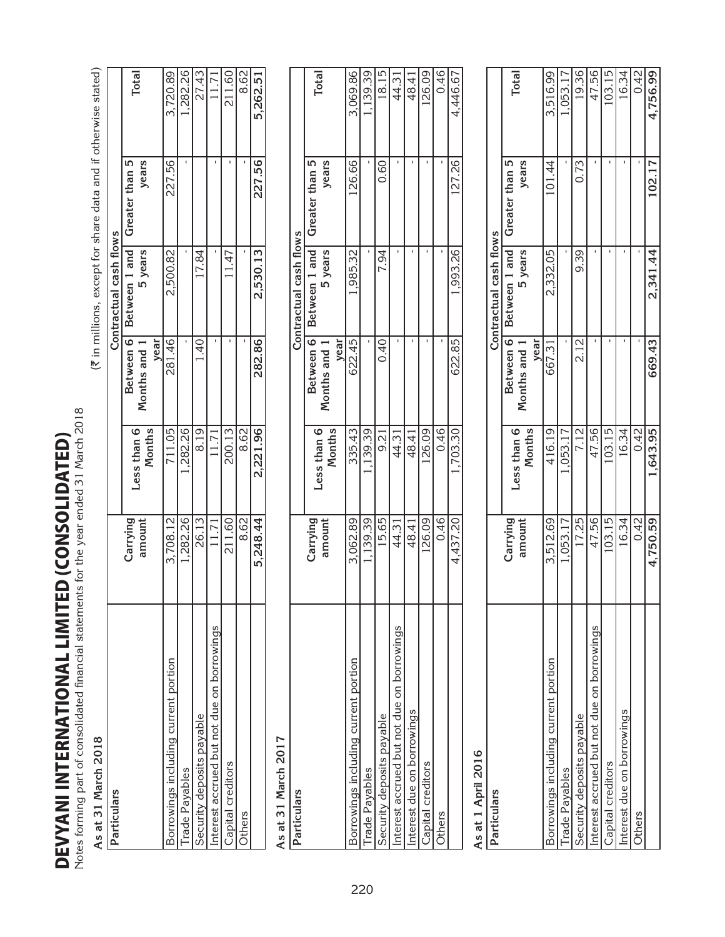| Notes forming part of consolidated financial statements<br>DEVYANI INTERNATIONAL LIMITE | D (CONSOLIDATED)   | for the year ended 31 March 2018 |                                                |                          |                                                                |                |
|-----------------------------------------------------------------------------------------|--------------------|----------------------------------|------------------------------------------------|--------------------------|----------------------------------------------------------------|----------------|
| As at 31 March 2018                                                                     |                    |                                  |                                                |                          | (₹ in millions, except for share data and if otherwise stated) |                |
| Particulars                                                                             |                    |                                  |                                                | Contractual cash flows   |                                                                |                |
|                                                                                         | Carrying<br>amount | Months<br>Less than 6            | Between 6<br>year<br>Months and                | Between 1 and<br>5 years | 5<br>years<br>Greater than                                     | Total          |
| Borrowings including current portion                                                    | 3,708.12           | 711.05                           | 281.46                                         | 2,500.82                 | 227.56                                                         | 3,720.89       |
| Trade Payables                                                                          | ,282.26            | 282.26                           |                                                |                          |                                                                | ,282.26        |
| Security deposits payable                                                               | 26.13              | 8.19                             | $\ddot{4}$                                     | 17.84                    |                                                                | $\sqrt{27.43}$ |
| Interest accrued but not due on borrowings                                              | 11.71              | 11.71                            |                                                |                          |                                                                | 11.71          |
| Capital creditors                                                                       | 211.60             | 200.13                           |                                                | 11.47                    | $\mathbf{I}$                                                   | 211.60         |
| Others                                                                                  | 8.62               | 8.62                             |                                                | $\mathbf{L}$             |                                                                | 8.62           |
|                                                                                         | 248.44<br>πó       | 221.96<br>$\mathbf{\dot{N}}$     | 282.86                                         | 2,530.13                 | 227.56                                                         | 262.51<br>ທັ   |
| As at 31 March 2017                                                                     |                    |                                  |                                                |                          |                                                                |                |
| Particulars                                                                             |                    |                                  |                                                | Contractual cash flows   |                                                                |                |
|                                                                                         | Carrying           |                                  | Between 6                                      | Between 1 and            | Greater than 5                                                 |                |
|                                                                                         | amount             | Months<br>Less than 6            | year<br>$\overline{\phantom{0}}$<br>Months and | 5 years                  | years                                                          | <b>Total</b>   |
| Borrowings including current portion                                                    | 3,062.89           | 335.43                           | 622.45                                         | 1,985.32                 | 126.66                                                         | 3,069.86       |
| Trade Payables                                                                          | 1,139.39           | 1,139.39                         |                                                |                          |                                                                | 1,139.39       |
| Security deposits payable                                                               | 15.65              | 9.21                             | 0.40                                           | 94<br>Ń                  | 0.60                                                           | 18.15          |
| Interest accrued but not due on borrowings                                              | 44.31              | 44.31                            |                                                |                          |                                                                | 44.31          |
| Interest due on borrowings                                                              | 48.41              | 48.41                            |                                                | $\blacksquare$           |                                                                | 48.41          |
| Capital creditors                                                                       | 26.09              | 26.09                            |                                                | $\mathbf{I}$             | $\,$ I                                                         | 126.09         |
| Others                                                                                  | 0.46               | 0.46                             |                                                |                          |                                                                | 0.46           |
|                                                                                         | 4,437.20           | 1,703.30                         | 622.85                                         | 1,993.26                 | 127.26                                                         | 4,446.67       |
| As at 1 April 2016                                                                      |                    |                                  |                                                |                          |                                                                |                |
| Particulars                                                                             |                    |                                  |                                                | Contractual cash flows   |                                                                |                |
|                                                                                         | Carrying<br>amount | Months<br>Less than 6            | Between 6<br>year<br>Months and                | Between 1 and<br>5 years | years<br>Greater than 5                                        | Total          |
| Borrowings including current portion                                                    | 3,512.69           | 416.19                           | 667.31                                         | 2,332.05                 | 101.44                                                         | 3,516.99       |
| Trade Payables                                                                          | 1,053.17           | ,053.17                          |                                                |                          |                                                                | 1,053.1        |
| Security deposits payable                                                               | 17.25              | 7.12                             | 2.12                                           | 9.39                     | 73<br>6                                                        | 19.36          |
| Interest accrued but not due on borrowings                                              | 47.56              | 47.56                            |                                                | L.                       |                                                                | 47.56          |
| Capital creditors                                                                       | 103.15             | 103.15                           |                                                | $\mathbf{I}$             |                                                                | 103.15         |
| Interest due on borrowings                                                              | 16.34              | 16.34                            |                                                | $\blacksquare$           | $\mathbf{I}$                                                   | 16.34          |
| Others                                                                                  | 0.42               | 0.42                             |                                                |                          |                                                                | 0.42           |
|                                                                                         | 4,750.59           | 1,643.95                         | 669.43                                         | 2,341.44                 | 102.17                                                         | 4,756.99       |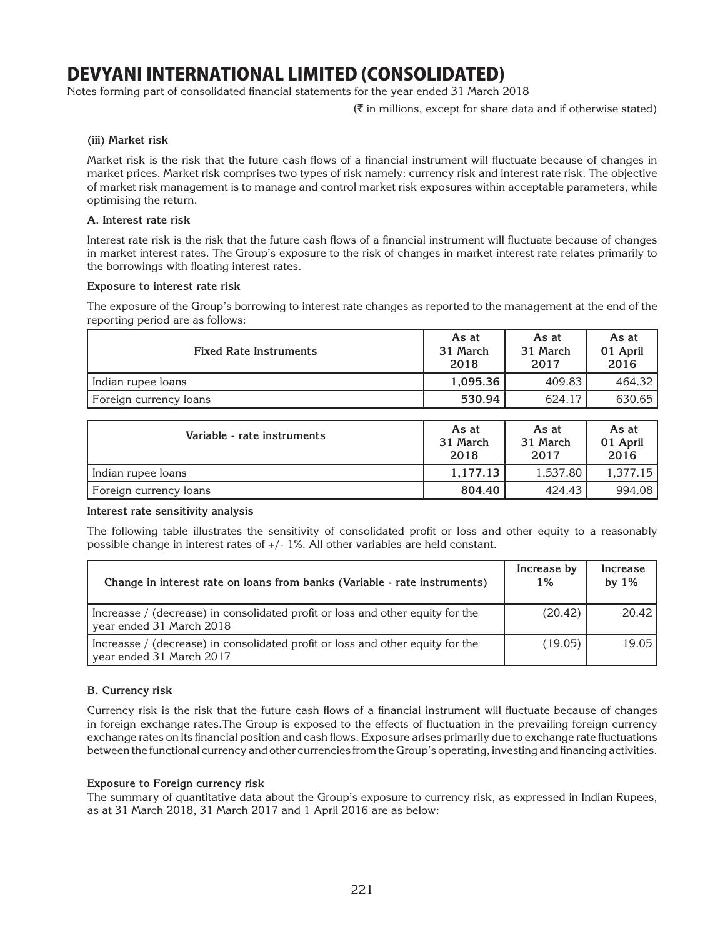Notes forming part of consolidated financial statements for the year ended 31 March 2018

 $(\bar{\tau})$  in millions, except for share data and if otherwise stated)

### **(iii) Market risk**

Market risk is the risk that the future cash flows of a financial instrument will fluctuate because of changes in market prices. Market risk comprises two types of risk namely: currency risk and interest rate risk. The objective of market risk management is to manage and control market risk exposures within acceptable parameters, while optimising the return.

### **A. Interest rate risk**

Interest rate risk is the risk that the future cash flows of a financial instrument will fluctuate because of changes in market interest rates. The Group's exposure to the risk of changes in market interest rate relates primarily to the borrowings with floating interest rates.

### **Exposure to interest rate risk**

The exposure of the Group's borrowing to interest rate changes as reported to the management at the end of the reporting period are as follows:

| <b>Fixed Rate Instruments</b> | As at<br>31 March<br>2018 | As at<br>31 March<br>2017 | As at<br>01 April<br>2016 |
|-------------------------------|---------------------------|---------------------------|---------------------------|
| Indian rupee loans            | 1.095.36                  | 409.83                    | 464.32                    |
| Foreign currency loans        | 530.94                    | 624.17                    | 630.65                    |

| Variable - rate instruments | As at<br>31 March<br>2018 | As at<br>31 March<br>2017 | As at<br>01 April<br>2016 |
|-----------------------------|---------------------------|---------------------------|---------------------------|
| Indian rupee loans          | 1.177.13                  | 1.537.80                  | 1.377.15                  |
| Foreign currency loans      | 804.40                    | 424.43                    | 994.08                    |

### **Interest rate sensitivity analysis**

The following table illustrates the sensitivity of consolidated profit or loss and other equity to a reasonably possible change in interest rates of +/- 1%. All other variables are held constant.

| Change in interest rate on loans from banks (Variable - rate instruments)                                  | Increase by<br>1% | Increase<br>by $1\%$ |
|------------------------------------------------------------------------------------------------------------|-------------------|----------------------|
| Increasse / (decrease) in consolidated profit or loss and other equity for the<br>year ended 31 March 2018 | (20.42)           | 20.42                |
| Increasse / (decrease) in consolidated profit or loss and other equity for the<br>year ended 31 March 2017 | (19.05)           | 19.05                |
|                                                                                                            |                   |                      |

## **B. Currency risk**

Currency risk is the risk that the future cash flows of a financial instrument will fluctuate because of changes in foreign exchange rates.The Group is exposed to the effects of fluctuation in the prevailing foreign currency exchange rates on its financial position and cash flows. Exposure arises primarily due to exchange rate fluctuations between the functional currency and other currencies from the Group's operating, investing and financing activities.

### **Exposure to Foreign currency risk**

The summary of quantitative data about the Group's exposure to currency risk, as expressed in Indian Rupees, as at 31 March 2018, 31 March 2017 and 1 April 2016 are as below: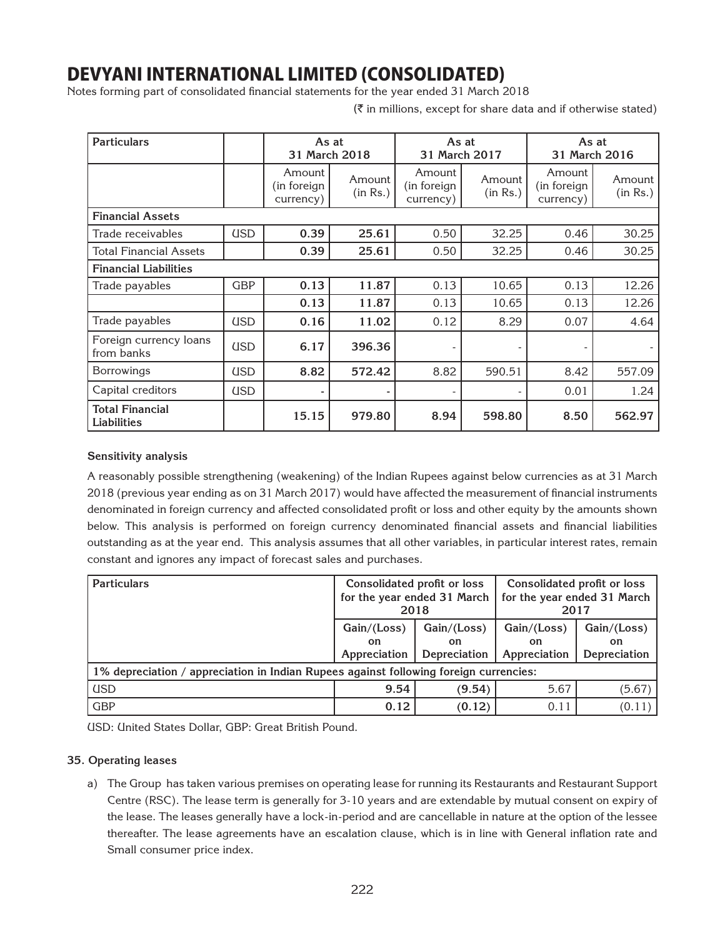Notes forming part of consolidated financial statements for the year ended 31 March 2018

 $(\bar{\tau}$  in millions, except for share data and if otherwise stated)

| <b>Particulars</b>                           |            | As at<br>31 March 2018             |                    | As at<br>31 March 2017              |                    | As at<br>31 March 2016             |                    |
|----------------------------------------------|------------|------------------------------------|--------------------|-------------------------------------|--------------------|------------------------------------|--------------------|
|                                              |            | Amount<br>(in foreign<br>currency) | Amount<br>(in Rs.) | Amount<br>(in foreign)<br>currency) | Amount<br>(in Rs.) | Amount<br>(in foreign<br>currency) | Amount<br>(in Rs.) |
| <b>Financial Assets</b>                      |            |                                    |                    |                                     |                    |                                    |                    |
| Trade receivables                            | <b>USD</b> | 0.39                               | 25.61              | 0.50                                | 32.25              | 0.46                               | 30.25              |
| <b>Total Financial Assets</b>                |            | 0.39                               | 25.61              | 0.50                                | 32.25              | 0.46                               | 30.25              |
| <b>Financial Liabilities</b>                 |            |                                    |                    |                                     |                    |                                    |                    |
| Trade payables                               | <b>GBP</b> | 0.13                               | 11.87              | 0.13                                | 10.65              | 0.13                               | 12.26              |
|                                              |            | 0.13                               | 11.87              | 0.13                                | 10.65              | 0.13                               | 12.26              |
| Trade payables                               | <b>USD</b> | 0.16                               | 11.02              | 0.12                                | 8.29               | 0.07                               | 4.64               |
| Foreign currency loans<br>from banks         | <b>USD</b> | 6.17                               | 396.36             |                                     |                    |                                    |                    |
| <b>Borrowings</b>                            | <b>USD</b> | 8.82                               | 572.42             | 8.82                                | 590.51             | 8.42                               | 557.09             |
| Capital creditors                            | <b>USD</b> |                                    |                    |                                     |                    | 0.01                               | 1.24               |
| <b>Total Financial</b><br><b>Liabilities</b> |            | 15.15                              | 979.80             | 8.94                                | 598.80             | 8.50                               | 562.97             |

### **Sensitivity analysis**

A reasonably possible strengthening (weakening) of the Indian Rupees against below currencies as at 31 March 2018 (previous year ending as on 31 March 2017) would have affected the measurement of financial instruments denominated in foreign currency and affected consolidated profit or loss and other equity by the amounts shown below. This analysis is performed on foreign currency denominated financial assets and financial liabilities outstanding as at the year end. This analysis assumes that all other variables, in particular interest rates, remain constant and ignores any impact of forecast sales and purchases.

| <b>Particulars</b>                                                                    | Consolidated profit or loss<br>2018                                            | for the year ended 31 March | Consolidated profit or loss<br>for the year ended 31 March<br>2017 |                                          |  |
|---------------------------------------------------------------------------------------|--------------------------------------------------------------------------------|-----------------------------|--------------------------------------------------------------------|------------------------------------------|--|
|                                                                                       | Gain/(Loss)<br>Gain/(Loss)<br>on.<br><b>on</b><br>Appreciation<br>Depreciation |                             | Gain/(Loss)<br>on<br>Appreciation                                  | Gain/(Loss)<br><b>on</b><br>Depreciation |  |
| 1% depreciation / appreciation in Indian Rupees against following foreign currencies: |                                                                                |                             |                                                                    |                                          |  |
| <b>USD</b>                                                                            | 9.54                                                                           | (9.54)                      | 5.67                                                               | (5.67)                                   |  |
| <b>GBP</b>                                                                            | 0.12                                                                           | (0.12)                      | 0.11                                                               | (0.11)                                   |  |

USD: United States Dollar, GBP: Great British Pound.

### **35. Operating leases**

a) The Group has taken various premises on operating lease for running its Restaurants and Restaurant Support Centre (RSC). The lease term is generally for 3-10 years and are extendable by mutual consent on expiry of the lease. The leases generally have a lock-in-period and are cancellable in nature at the option of the lessee thereafter. The lease agreements have an escalation clause, which is in line with General inflation rate and Small consumer price index.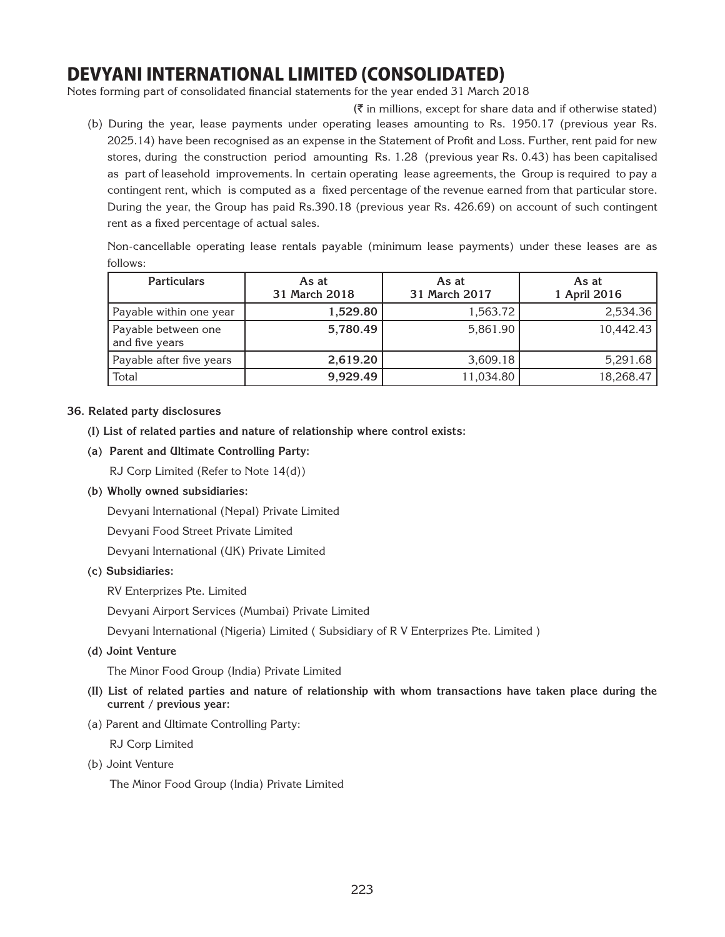Notes forming part of consolidated financial statements for the year ended 31 March 2018

 $(\bar{\tau})$  in millions, except for share data and if otherwise stated) (b) During the year, lease payments under operating leases amounting to Rs. 1950.17 (previous year Rs. 2025.14) have been recognised as an expense in the Statement of Profit and Loss. Further, rent paid for new stores, during the construction period amounting Rs. 1.28 (previous year Rs. 0.43) has been capitalised as part of leasehold improvements. In certain operating lease agreements, the Group is required to pay a contingent rent, which is computed as a fixed percentage of the revenue earned from that particular store. During the year, the Group has paid Rs.390.18 (previous year Rs. 426.69) on account of such contingent rent as a fixed percentage of actual sales.

Non-cancellable operating lease rentals payable (minimum lease payments) under these leases are as follows:

| <b>Particulars</b>                    | As at<br>31 March 2018 | As at<br>31 March 2017 | As at<br>1 April 2016 |
|---------------------------------------|------------------------|------------------------|-----------------------|
| Payable within one year               | 1,529.80               | 1,563.72               | 2,534.36              |
| Payable between one<br>and five years | 5,780.49               | 5,861.90               | 10.442.43             |
| Payable after five years              | 2,619.20               | 3,609.18               | 5,291.68              |
| Total                                 | 9,929.49               | 11,034.80              | 18,268.47             |
|                                       |                        |                        |                       |

### **36. Related party disclosures**

- **(I) List of related parties and nature of relationship where control exists:**
- **(a) Parent and Ultimate Controlling Party:**

RJ Corp Limited (Refer to Note 14(d))

**(b) Wholly owned subsidiaries:**

Devyani International (Nepal) Private Limited

Devyani Food Street Private Limited

Devyani International (UK) Private Limited

### **(c) Subsidiaries:**

RV Enterprizes Pte. Limited

Devyani Airport Services (Mumbai) Private Limited

Devyani International (Nigeria) Limited ( Subsidiary of R V Enterprizes Pte. Limited )

**(d) Joint Venture** 

The Minor Food Group (India) Private Limited

- **(II) List of related parties and nature of relationship with whom transactions have taken place during the current / previous year:**
- (a) Parent and Ultimate Controlling Party:

RJ Corp Limited

(b) Joint Venture

The Minor Food Group (India) Private Limited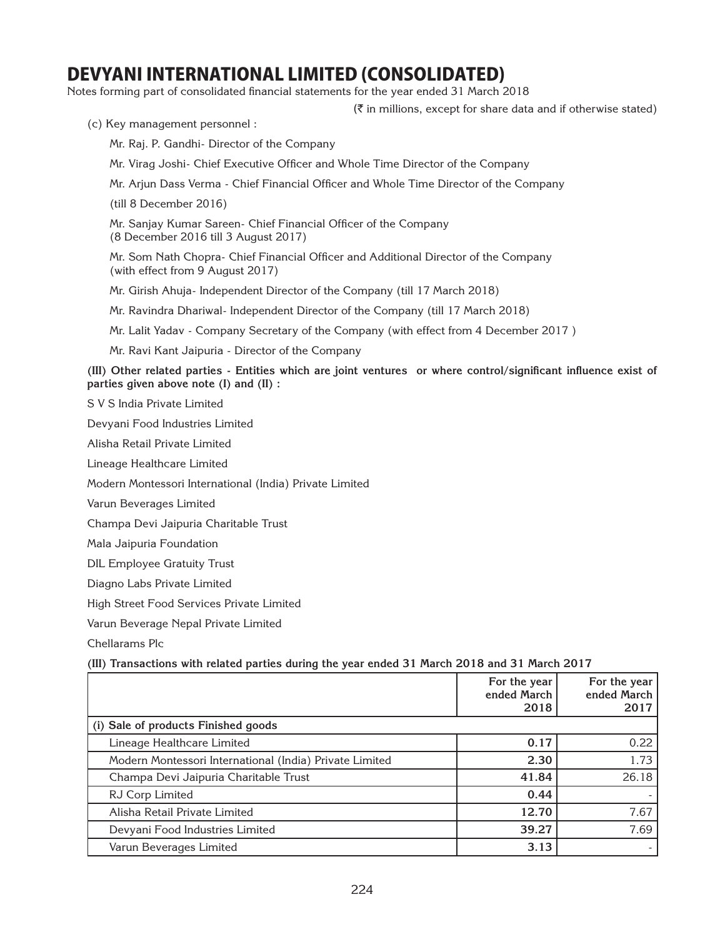Notes forming part of consolidated financial statements for the year ended 31 March 2018

 $(\bar{\bar{\zeta}})$  in millions, except for share data and if otherwise stated)

(c) Key management personnel :

Mr. Raj. P. Gandhi- Director of the Company

Mr. Virag Joshi- Chief Executive Officer and Whole Time Director of the Company

Mr. Arjun Dass Verma - Chief Financial Officer and Whole Time Director of the Company

(till 8 December 2016)

 Mr. Sanjay Kumar Sareen- Chief Financial Officer of the Company (8 December 2016 till 3 August 2017)

 Mr. Som Nath Chopra- Chief Financial Officer and Additional Director of the Company (with effect from 9 August 2017)

Mr. Girish Ahuja- Independent Director of the Company (till 17 March 2018)

Mr. Ravindra Dhariwal- Independent Director of the Company (till 17 March 2018)

Mr. Lalit Yadav - Company Secretary of the Company (with effect from 4 December 2017 )

Mr. Ravi Kant Jaipuria - Director of the Company

**(III) Other related parties - Entities which are joint ventures or where control/significant influence exist of parties given above note (I) and (II) :**

S V S India Private Limited

Devyani Food Industries Limited

Alisha Retail Private Limited

Lineage Healthcare Limited

Modern Montessori International (India) Private Limited

Varun Beverages Limited

Champa Devi Jaipuria Charitable Trust

Mala Jaipuria Foundation

DIL Employee Gratuity Trust

Diagno Labs Private Limited

High Street Food Services Private Limited

Varun Beverage Nepal Private Limited

Chellarams Plc

### **(III) Transactions with related parties during the year ended 31 March 2018 and 31 March 2017**

|                                                         | For the year<br>ended March<br>2018 | For the year<br>ended March<br>2017 |
|---------------------------------------------------------|-------------------------------------|-------------------------------------|
| (i) Sale of products Finished goods                     |                                     |                                     |
| Lineage Healthcare Limited                              | 0.17                                | 0.22                                |
| Modern Montessori International (India) Private Limited | 2.30                                | 1.73                                |
| Champa Devi Jaipuria Charitable Trust                   | 41.84                               | 26.18                               |
| RJ Corp Limited                                         | 0.44                                |                                     |
| Alisha Retail Private Limited                           | 12.70                               | 7.67                                |
| Devyani Food Industries Limited                         | 39.27                               | 7.69                                |
| Varun Beverages Limited                                 | 3.13                                |                                     |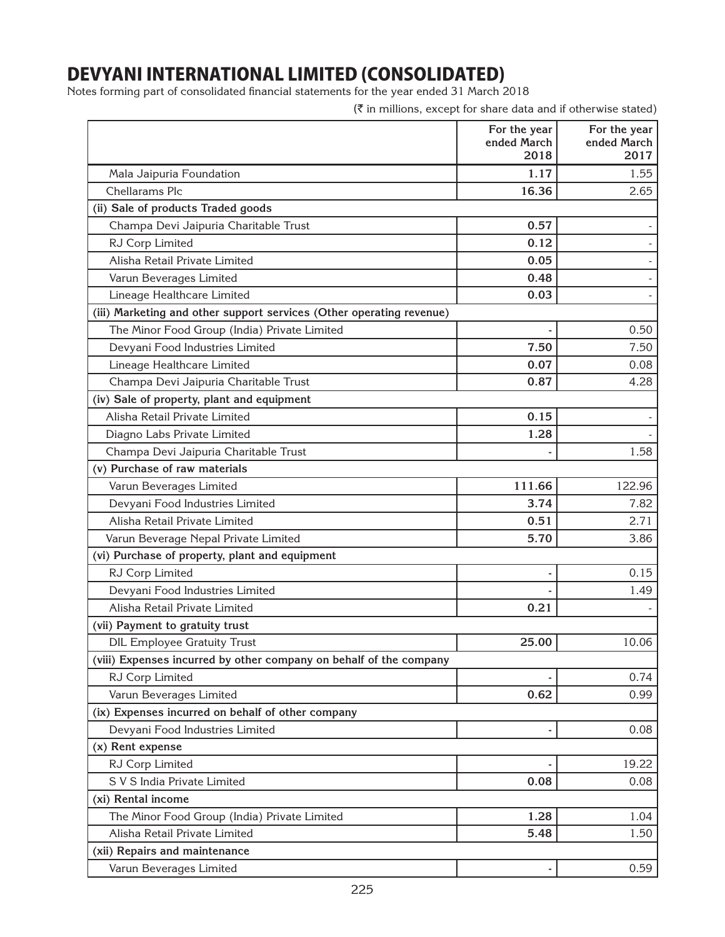Notes forming part of consolidated financial statements for the year ended 31 March 2018

| For the year<br>For the year<br>ended March<br>ended March<br>2018<br>1.17<br>Mala Jaipuria Foundation<br>Chellarams Plc<br>16.36<br>(ii) Sale of products Traded goods<br>Champa Devi Jaipuria Charitable Trust<br>0.57<br>RJ Corp Limited<br>0.12<br>Alisha Retail Private Limited<br>0.05<br>0.48<br>Varun Beverages Limited<br>Lineage Healthcare Limited<br>0.03<br>(iii) Marketing and other support services (Other operating revenue)<br>The Minor Food Group (India) Private Limited | (₹ in millions, except for share data and if otherwise stated) |
|-----------------------------------------------------------------------------------------------------------------------------------------------------------------------------------------------------------------------------------------------------------------------------------------------------------------------------------------------------------------------------------------------------------------------------------------------------------------------------------------------|----------------------------------------------------------------|
|                                                                                                                                                                                                                                                                                                                                                                                                                                                                                               | 2017                                                           |
|                                                                                                                                                                                                                                                                                                                                                                                                                                                                                               | 1.55                                                           |
|                                                                                                                                                                                                                                                                                                                                                                                                                                                                                               | 2.65                                                           |
|                                                                                                                                                                                                                                                                                                                                                                                                                                                                                               |                                                                |
|                                                                                                                                                                                                                                                                                                                                                                                                                                                                                               |                                                                |
|                                                                                                                                                                                                                                                                                                                                                                                                                                                                                               |                                                                |
|                                                                                                                                                                                                                                                                                                                                                                                                                                                                                               |                                                                |
|                                                                                                                                                                                                                                                                                                                                                                                                                                                                                               |                                                                |
|                                                                                                                                                                                                                                                                                                                                                                                                                                                                                               |                                                                |
|                                                                                                                                                                                                                                                                                                                                                                                                                                                                                               |                                                                |
|                                                                                                                                                                                                                                                                                                                                                                                                                                                                                               | 0.50                                                           |
| Devyani Food Industries Limited<br>7.50                                                                                                                                                                                                                                                                                                                                                                                                                                                       | 7.50                                                           |
| 0.07<br>Lineage Healthcare Limited                                                                                                                                                                                                                                                                                                                                                                                                                                                            | 0.08                                                           |
| 0.87<br>Champa Devi Jaipuria Charitable Trust                                                                                                                                                                                                                                                                                                                                                                                                                                                 | 4.28                                                           |
| (iv) Sale of property, plant and equipment                                                                                                                                                                                                                                                                                                                                                                                                                                                    |                                                                |
| Alisha Retail Private Limited<br>0.15                                                                                                                                                                                                                                                                                                                                                                                                                                                         |                                                                |
| 1.28<br>Diagno Labs Private Limited                                                                                                                                                                                                                                                                                                                                                                                                                                                           |                                                                |
| Champa Devi Jaipuria Charitable Trust                                                                                                                                                                                                                                                                                                                                                                                                                                                         | 1.58                                                           |
| (v) Purchase of raw materials                                                                                                                                                                                                                                                                                                                                                                                                                                                                 |                                                                |
| 111.66<br>Varun Beverages Limited                                                                                                                                                                                                                                                                                                                                                                                                                                                             | 122.96                                                         |
| Devyani Food Industries Limited<br>3.74                                                                                                                                                                                                                                                                                                                                                                                                                                                       | 7.82                                                           |
| Alisha Retail Private Limited<br>0.51                                                                                                                                                                                                                                                                                                                                                                                                                                                         | 2.71                                                           |
| 5.70<br>Varun Beverage Nepal Private Limited                                                                                                                                                                                                                                                                                                                                                                                                                                                  | 3.86                                                           |
| (vi) Purchase of property, plant and equipment                                                                                                                                                                                                                                                                                                                                                                                                                                                |                                                                |
| RJ Corp Limited                                                                                                                                                                                                                                                                                                                                                                                                                                                                               | 0.15                                                           |
| Devyani Food Industries Limited                                                                                                                                                                                                                                                                                                                                                                                                                                                               | 1.49                                                           |
| Alisha Retail Private Limited<br>0.21                                                                                                                                                                                                                                                                                                                                                                                                                                                         |                                                                |
| (vii) Payment to gratuity trust                                                                                                                                                                                                                                                                                                                                                                                                                                                               |                                                                |
| <b>DIL Employee Gratuity Trust</b><br>25.00                                                                                                                                                                                                                                                                                                                                                                                                                                                   | 10.06                                                          |
| (viii) Expenses incurred by other company on behalf of the company                                                                                                                                                                                                                                                                                                                                                                                                                            |                                                                |
| RJ Corp Limited                                                                                                                                                                                                                                                                                                                                                                                                                                                                               | 0.74                                                           |
| Varun Beverages Limited<br>0.62                                                                                                                                                                                                                                                                                                                                                                                                                                                               | 0.99                                                           |
| (ix) Expenses incurred on behalf of other company                                                                                                                                                                                                                                                                                                                                                                                                                                             |                                                                |
| Devyani Food Industries Limited                                                                                                                                                                                                                                                                                                                                                                                                                                                               | 0.08                                                           |
| (x) Rent expense                                                                                                                                                                                                                                                                                                                                                                                                                                                                              |                                                                |
| RJ Corp Limited                                                                                                                                                                                                                                                                                                                                                                                                                                                                               | 19.22                                                          |
| S V S India Private Limited<br>0.08                                                                                                                                                                                                                                                                                                                                                                                                                                                           | 0.08                                                           |
| (xi) Rental income                                                                                                                                                                                                                                                                                                                                                                                                                                                                            |                                                                |
| The Minor Food Group (India) Private Limited<br>1.28                                                                                                                                                                                                                                                                                                                                                                                                                                          | 1.04                                                           |
| Alisha Retail Private Limited<br>5.48                                                                                                                                                                                                                                                                                                                                                                                                                                                         | 1.50                                                           |
| (xii) Repairs and maintenance                                                                                                                                                                                                                                                                                                                                                                                                                                                                 |                                                                |
| Varun Beverages Limited                                                                                                                                                                                                                                                                                                                                                                                                                                                                       | 0.59                                                           |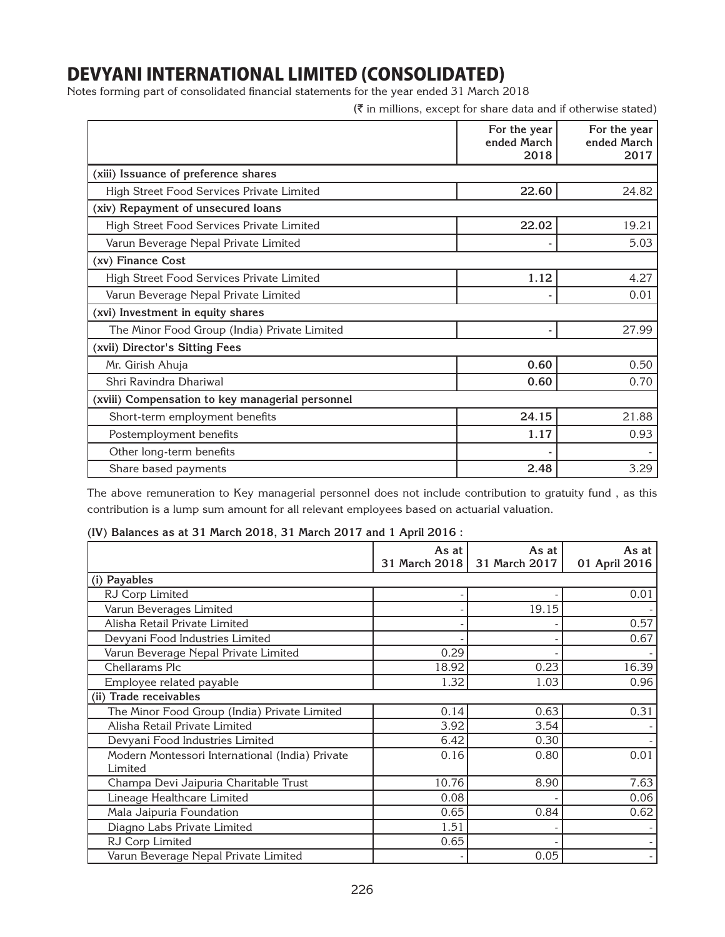Notes forming part of consolidated financial statements for the year ended 31 March 2018

|                                                  | (₹ in millions, except for share data and if otherwise stated) |                                     |
|--------------------------------------------------|----------------------------------------------------------------|-------------------------------------|
|                                                  | For the year<br>ended March<br>2018                            | For the year<br>ended March<br>2017 |
| (xiii) Issuance of preference shares             |                                                                |                                     |
| High Street Food Services Private Limited        | 22.60                                                          | 24.82                               |
| (xiv) Repayment of unsecured loans               |                                                                |                                     |
| High Street Food Services Private Limited        | 22.02                                                          | 19.21                               |
| Varun Beverage Nepal Private Limited             |                                                                | 5.03                                |
| (xv) Finance Cost                                |                                                                |                                     |
| High Street Food Services Private Limited        | 1.12                                                           | 4.27                                |
| Varun Beverage Nepal Private Limited             |                                                                | 0.01                                |
| (xvi) Investment in equity shares                |                                                                |                                     |
| The Minor Food Group (India) Private Limited     |                                                                | 27.99                               |
| (xvii) Director's Sitting Fees                   |                                                                |                                     |
| Mr. Girish Ahuja                                 | 0.60                                                           | 0.50                                |
| Shri Ravindra Dhariwal                           | 0.60                                                           | 0.70                                |
| (xviii) Compensation to key managerial personnel |                                                                |                                     |
| Short-term employment benefits                   | 24.15                                                          | 21.88                               |
| Postemployment benefits                          | 1.17                                                           | 0.93                                |
| Other long-term benefits                         |                                                                |                                     |
| Share based payments                             | 2.48                                                           | 3.29                                |

The above remuneration to Key managerial personnel does not include contribution to gratuity fund , as this contribution is a lump sum amount for all relevant employees based on actuarial valuation.

## **(IV) Balances as at 31 March 2018, 31 March 2017 and 1 April 2016 :**

|                                                            | As at | As at<br>31 March 2018   31 March 2017 | As at<br>01 April 2016 |
|------------------------------------------------------------|-------|----------------------------------------|------------------------|
| (i) Payables                                               |       |                                        |                        |
| RJ Corp Limited                                            |       |                                        | 0.01                   |
| Varun Beverages Limited                                    |       | 19.15                                  |                        |
| Alisha Retail Private Limited                              |       |                                        | 0.57                   |
| Devyani Food Industries Limited                            |       |                                        | 0.67                   |
| Varun Beverage Nepal Private Limited                       | 0.29  |                                        |                        |
| Chellarams Plc                                             | 18.92 | 0.23                                   | 16.39                  |
| Employee related payable                                   | 1.32  | 1.03                                   | 0.96                   |
| (ii) Trade receivables                                     |       |                                        |                        |
| The Minor Food Group (India) Private Limited               | 0.14  | 0.63                                   | 0.31                   |
| Alisha Retail Private Limited                              | 3.92  | 3.54                                   |                        |
| Devyani Food Industries Limited                            | 6.42  | 0.30                                   |                        |
| Modern Montessori International (India) Private<br>Limited | 0.16  | 0.80                                   | 0.01                   |
| Champa Devi Jaipuria Charitable Trust                      | 10.76 | 8.90                                   | 7.63                   |
| Lineage Healthcare Limited                                 | 0.08  |                                        | 0.06                   |
| Mala Jaipuria Foundation                                   | 0.65  | 0.84                                   | 0.62                   |
| Diagno Labs Private Limited                                | 1.51  |                                        |                        |
| RJ Corp Limited                                            | 0.65  |                                        |                        |
| Varun Beverage Nepal Private Limited                       |       | 0.05                                   |                        |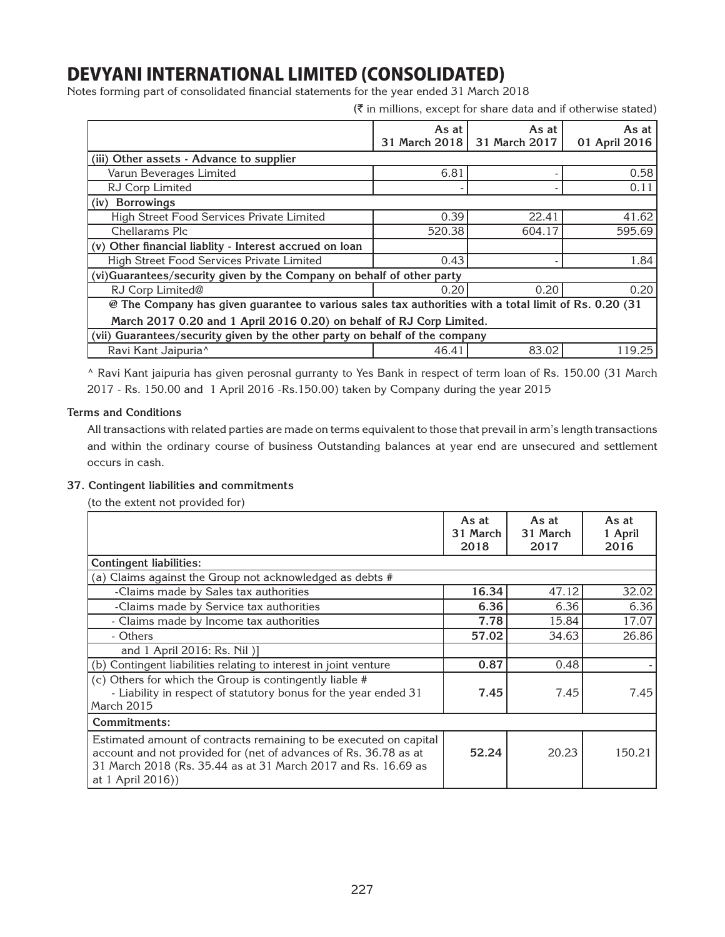Notes forming part of consolidated financial statements for the year ended 31 March 2018

 $(\bar{\tau})$  in millions, except for share data and if otherwise stated)

|                                                                                                       | As at $ $     | As at         | As at         |  |
|-------------------------------------------------------------------------------------------------------|---------------|---------------|---------------|--|
|                                                                                                       | 31 March 2018 | 31 March 2017 | 01 April 2016 |  |
| (iii) Other assets - Advance to supplier                                                              |               |               |               |  |
| Varun Beverages Limited                                                                               | 6.81          |               | 0.58          |  |
| RJ Corp Limited                                                                                       |               |               | 0.11          |  |
| (iv) Borrowings                                                                                       |               |               |               |  |
| High Street Food Services Private Limited                                                             | 0.39          | 22.41         | 41.62         |  |
| Chellarams Plc                                                                                        | 520.38        | 604.17        | 595.69        |  |
| (v) Other financial liablity - Interest accrued on loan                                               |               |               |               |  |
| High Street Food Services Private Limited                                                             | 0.43          |               | 1.84          |  |
| (vi)Guarantees/security given by the Company on behalf of other party                                 |               |               |               |  |
| RJ Corp Limited@                                                                                      | 0.20          | 0.20          | 0.20          |  |
| @ The Company has given guarantee to various sales tax authorities with a total limit of Rs. 0.20 (31 |               |               |               |  |
| March 2017 0.20 and 1 April 2016 0.20) on behalf of RJ Corp Limited.                                  |               |               |               |  |
| (vii) Guarantees/security given by the other party on behalf of the company                           |               |               |               |  |
| Ravi Kant Jaipuria <sup>^</sup>                                                                       | 46.41         | 83.02         | 119.25        |  |

^ Ravi Kant jaipuria has given perosnal gurranty to Yes Bank in respect of term loan of Rs. 150.00 (31 March 2017 - Rs. 150.00 and 1 April 2016 -Rs.150.00) taken by Company during the year 2015

### **Terms and Conditions**

All transactions with related parties are made on terms equivalent to those that prevail in arm's length transactions and within the ordinary course of business Outstanding balances at year end are unsecured and settlement occurs in cash.

## **37. Contingent liabilities and commitments**

(to the extent not provided for)

|                                                                                                                                                                                                                             | As at<br>31 March<br>2018 | As at<br>31 March<br>2017 | As at<br>1 April<br>2016 |
|-----------------------------------------------------------------------------------------------------------------------------------------------------------------------------------------------------------------------------|---------------------------|---------------------------|--------------------------|
| <b>Contingent liabilities:</b>                                                                                                                                                                                              |                           |                           |                          |
| (a) Claims against the Group not acknowledged as debts #                                                                                                                                                                    |                           |                           |                          |
| -Claims made by Sales tax authorities                                                                                                                                                                                       | 16.34                     | 47.12                     | 32.02                    |
| -Claims made by Service tax authorities                                                                                                                                                                                     | 6.36                      | 6.36                      | 6.36                     |
| - Claims made by Income tax authorities                                                                                                                                                                                     | 7.78                      | 15.84                     | 17.07                    |
| - Others                                                                                                                                                                                                                    | 57.02                     | 34.63                     | 26.86                    |
| and 1 April 2016: Rs. Nil )]                                                                                                                                                                                                |                           |                           |                          |
| (b) Contingent liabilities relating to interest in joint venture                                                                                                                                                            | 0.87                      | 0.48                      |                          |
| (c) Others for which the Group is contingently liable #<br>- Liability in respect of statutory bonus for the year ended 31<br>March 2015                                                                                    | 7.45                      | 7.45                      | 7.45                     |
| Commitments:                                                                                                                                                                                                                |                           |                           |                          |
| Estimated amount of contracts remaining to be executed on capital<br>account and not provided for (net of advances of Rs. 36.78 as at<br>31 March 2018 (Rs. 35.44 as at 31 March 2017 and Rs. 16.69 as<br>at 1 April 2016)) | 52.24                     | 20.23                     | 150.21                   |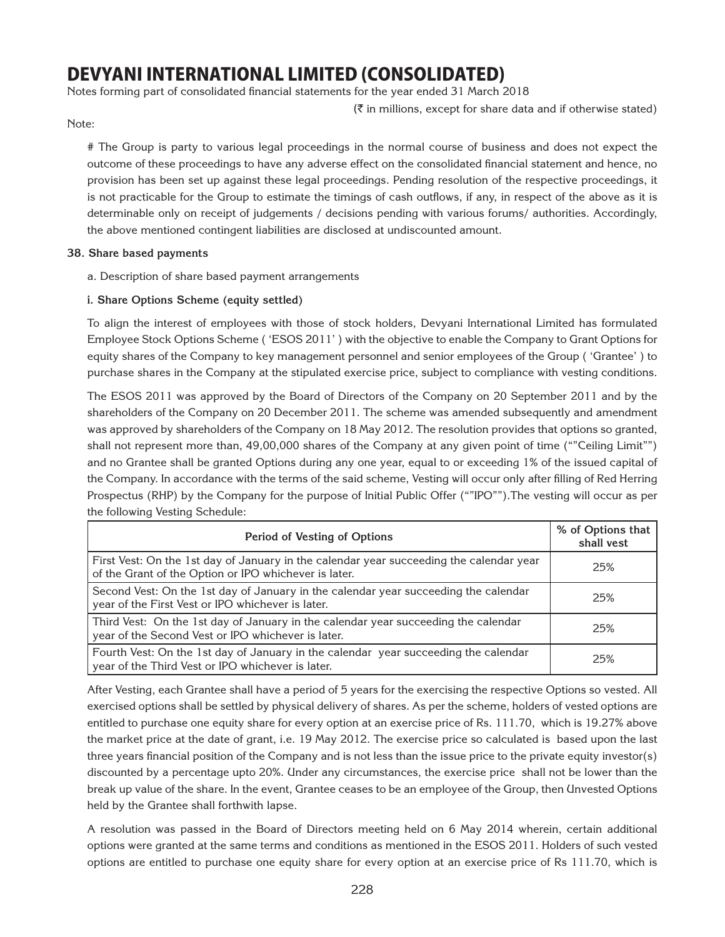Notes forming part of consolidated financial statements for the year ended 31 March 2018

 $(\bar{\tau})$  in millions, except for share data and if otherwise stated)

Note:

# The Group is party to various legal proceedings in the normal course of business and does not expect the outcome of these proceedings to have any adverse effect on the consolidated financial statement and hence, no provision has been set up against these legal proceedings. Pending resolution of the respective proceedings, it is not practicable for the Group to estimate the timings of cash outflows, if any, in respect of the above as it is determinable only on receipt of judgements / decisions pending with various forums/ authorities. Accordingly, the above mentioned contingent liabilities are disclosed at undiscounted amount.

### **38. Share based payments**

- a. Description of share based payment arrangements
- **i. Share Options Scheme (equity settled)**

To align the interest of employees with those of stock holders, Devyani International Limited has formulated Employee Stock Options Scheme ( 'ESOS 2011' ) with the objective to enable the Company to Grant Options for equity shares of the Company to key management personnel and senior employees of the Group ( 'Grantee' ) to purchase shares in the Company at the stipulated exercise price, subject to compliance with vesting conditions.

The ESOS 2011 was approved by the Board of Directors of the Company on 20 September 2011 and by the shareholders of the Company on 20 December 2011. The scheme was amended subsequently and amendment was approved by shareholders of the Company on 18 May 2012. The resolution provides that options so granted, shall not represent more than, 49,00,000 shares of the Company at any given point of time (""Ceiling Limit"") and no Grantee shall be granted Options during any one year, equal to or exceeding 1% of the issued capital of the Company. In accordance with the terms of the said scheme, Vesting will occur only after filling of Red Herring Prospectus (RHP) by the Company for the purpose of Initial Public Offer (""IPO"").The vesting will occur as per the following Vesting Schedule:

| Period of Vesting of Options                                                                                                                     | % of Options that<br>shall vest |
|--------------------------------------------------------------------------------------------------------------------------------------------------|---------------------------------|
| First Vest: On the 1st day of January in the calendar year succeeding the calendar year<br>of the Grant of the Option or IPO whichever is later. | 25%                             |
| Second Vest: On the 1st day of January in the calendar year succeeding the calendar<br>year of the First Vest or IPO whichever is later.         | 2.5%                            |
| Third Vest: On the 1st day of January in the calendar year succeeding the calendar<br>year of the Second Vest or IPO whichever is later.         | 25%                             |
| Fourth Vest: On the 1st day of January in the calendar year succeeding the calendar<br>year of the Third Vest or IPO whichever is later.         | 25%                             |

After Vesting, each Grantee shall have a period of 5 years for the exercising the respective Options so vested. All exercised options shall be settled by physical delivery of shares. As per the scheme, holders of vested options are entitled to purchase one equity share for every option at an exercise price of Rs. 111.70, which is 19.27% above the market price at the date of grant, i.e. 19 May 2012. The exercise price so calculated is based upon the last three years financial position of the Company and is not less than the issue price to the private equity investor(s) discounted by a percentage upto 20%. Under any circumstances, the exercise price shall not be lower than the break up value of the share. In the event, Grantee ceases to be an employee of the Group, then Unvested Options held by the Grantee shall forthwith lapse.

A resolution was passed in the Board of Directors meeting held on 6 May 2014 wherein, certain additional options were granted at the same terms and conditions as mentioned in the ESOS 2011. Holders of such vested options are entitled to purchase one equity share for every option at an exercise price of Rs 111.70, which is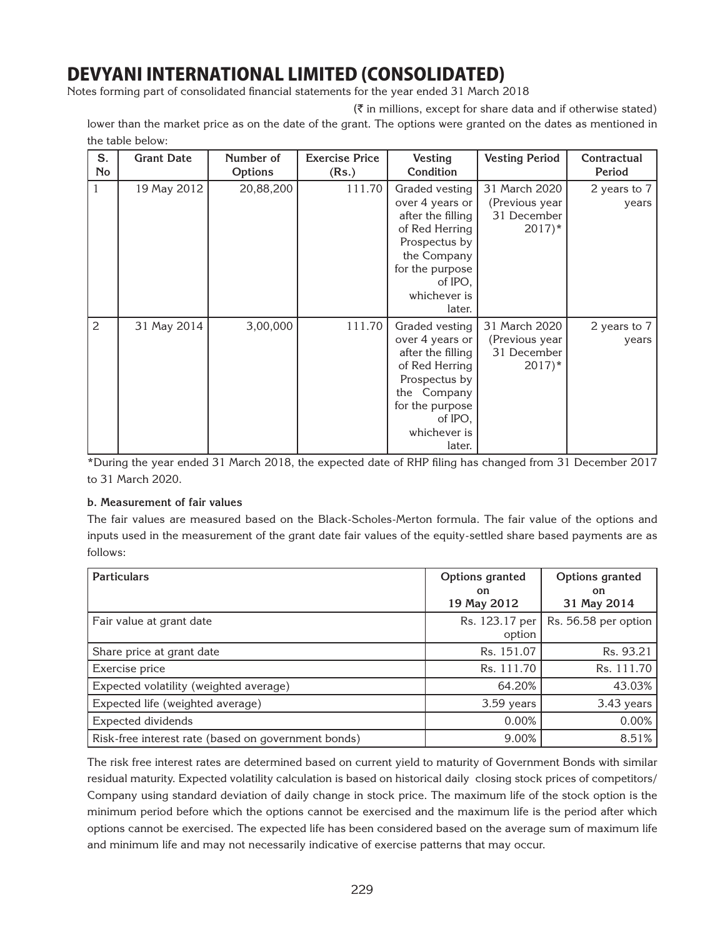Notes forming part of consolidated financial statements for the year ended 31 March 2018

 $(\bar{\tau})$  in millions, except for share data and if otherwise stated)

lower than the market price as on the date of the grant. The options were granted on the dates as mentioned in the table below:

| S.<br>No | <b>Grant Date</b> | Number of<br>Options | <b>Exercise Price</b><br>(Rs.) | Vesting<br>Condition                                                                                                                                             | <b>Vesting Period</b>                                                 | Contractual<br>Period |
|----------|-------------------|----------------------|--------------------------------|------------------------------------------------------------------------------------------------------------------------------------------------------------------|-----------------------------------------------------------------------|-----------------------|
| 1        | 19 May 2012       | 20,88,200            | 111.70                         | Graded vesting<br>over 4 years or<br>after the filling<br>of Red Herring<br>Prospectus by<br>the Company<br>for the purpose<br>of IPO,<br>whichever is<br>later. | 31 March 2020<br>(Previous year<br>31 December<br>$2017$ <sup>*</sup> | 2 years to 7<br>years |
| 2        | 31 May 2014       | 3,00,000             | 111.70                         | Graded vesting<br>over 4 years or<br>after the filling<br>of Red Herring<br>Prospectus by<br>the Company<br>for the purpose<br>of IPO,<br>whichever is<br>later. | 31 March 2020<br>(Previous year<br>31 December<br>$2017$ <sup>*</sup> | 2 years to 7<br>years |

\*During the year ended 31 March 2018, the expected date of RHP filing has changed from 31 December 2017 to 31 March 2020.

## **b. Measurement of fair values**

The fair values are measured based on the Black-Scholes-Merton formula. The fair value of the options and inputs used in the measurement of the grant date fair values of the equity-settled share based payments are as follows:

| <b>Particulars</b>                                  | Options granted<br>on.<br>19 May 2012 | Options granted<br><b>on</b><br>31 May 2014 |
|-----------------------------------------------------|---------------------------------------|---------------------------------------------|
| Fair value at grant date                            | Rs. 123.17 per<br>option              | Rs. 56.58 per option                        |
| Share price at grant date                           | Rs. 151.07                            | Rs. 93.21                                   |
| Exercise price                                      | Rs. 111.70                            | Rs. 111.70                                  |
| Expected volatility (weighted average)              | 64.20%                                | 43.03%                                      |
| Expected life (weighted average)                    | 3.59 years                            | 3.43 years                                  |
| Expected dividends                                  | 0.00%                                 | 0.00%                                       |
| Risk-free interest rate (based on government bonds) | 9.00%                                 | 8.51%                                       |

The risk free interest rates are determined based on current yield to maturity of Government Bonds with similar residual maturity. Expected volatility calculation is based on historical daily closing stock prices of competitors/ Company using standard deviation of daily change in stock price. The maximum life of the stock option is the minimum period before which the options cannot be exercised and the maximum life is the period after which options cannot be exercised. The expected life has been considered based on the average sum of maximum life and minimum life and may not necessarily indicative of exercise patterns that may occur.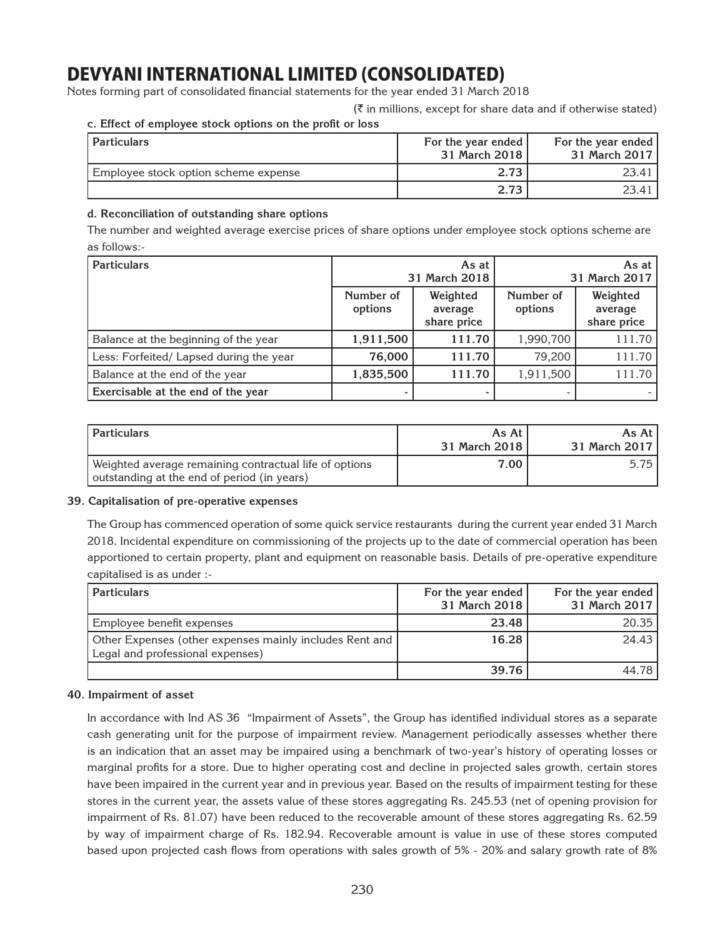Notes forming part of consolidated financial statements for the year ended 31 March 2018

 $(\bar{\tau})$  in millions, except for share data and if otherwise stated)

## **c. Effect of employee stock options on the profit or loss**

| Particulars                          | For the year ended<br>31 March 2018 | For the year ended<br>31 March 2017 |
|--------------------------------------|-------------------------------------|-------------------------------------|
| Employee stock option scheme expense | 2.73                                | 23.41                               |
|                                      | 2.73                                | 23.41                               |

### **d. Reconciliation of outstanding share options**

The number and weighted average exercise prices of share options under employee stock options scheme are as follows:-

| <b>Particulars</b>                      | As at<br>31 March 2018 |                                    | As at I<br>31 March 2017 |                                    |
|-----------------------------------------|------------------------|------------------------------------|--------------------------|------------------------------------|
|                                         | Number of<br>options   | Weighted<br>average<br>share price | Number of<br>options     | Weighted<br>average<br>share price |
| Balance at the beginning of the year    | 1,911,500              | 111.70                             | 1,990,700                | 111.70                             |
| Less: Forfeited/ Lapsed during the year | 76,000                 | 111.70                             | 79,200                   | 111.70                             |
| Balance at the end of the year          | 1,835,500              | 111.70                             | 1,911,500                | 111.70                             |
| Exercisable at the end of the year      |                        |                                    |                          |                                    |

| <i><u><b>Particulars</b></u></i>                                                                      | As At<br>31 March 2018 | As At I<br>31 March 2017 |
|-------------------------------------------------------------------------------------------------------|------------------------|--------------------------|
| Weighted average remaining contractual life of options<br>outstanding at the end of period (in years) | 7.00.                  | 5.75 l                   |

### **39. Capitalisation of pre-operative expenses**

The Group has commenced operation of some quick service restaurants during the current year ended 31 March 2018. Incidental expenditure on commissioning of the projects up to the date of commercial operation has been apportioned to certain property, plant and equipment on reasonable basis. Details of pre-operative expenditure capitalised is as under :-

| <b>Particulars</b>                                                                          | For the year ended<br>31 March 2018 | For the year ended<br>31 March 2017 |
|---------------------------------------------------------------------------------------------|-------------------------------------|-------------------------------------|
| Employee benefit expenses                                                                   | 23.48                               | 20.35                               |
| Other Expenses (other expenses mainly includes Rent and<br>Legal and professional expenses) | 16.28                               | 24.43                               |
|                                                                                             | 39.76                               | 44.78                               |

### **40. Impairment of asset**

In accordance with Ind AS 36 "Impairment of Assets", the Group has identified individual stores as a separate cash generating unit for the purpose of impairment review. Management periodically assesses whether there is an indication that an asset may be impaired using a benchmark of two-year's history of operating losses or marginal profits for a store. Due to higher operating cost and decline in projected sales growth, certain stores have been impaired in the current year and in previous year. Based on the results of impairment testing for these stores in the current year, the assets value of these stores aggregating Rs. 245.53 (net of opening provision for impairment of Rs. 81.07) have been reduced to the recoverable amount of these stores aggregating Rs. 62.59 by way of impairment charge of Rs. 182.94. Recoverable amount is value in use of these stores computed based upon projected cash flows from operations with sales growth of 5% - 20% and salary growth rate of 8%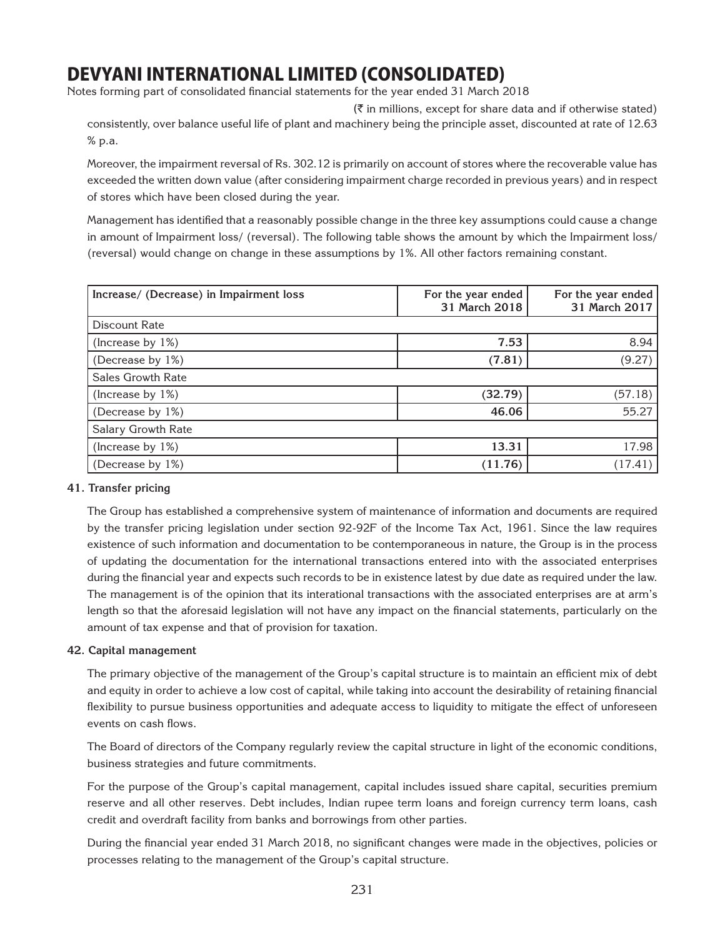Notes forming part of consolidated financial statements for the year ended 31 March 2018

 $(\bar{\tau})$  in millions, except for share data and if otherwise stated) consistently, over balance useful life of plant and machinery being the principle asset, discounted at rate of 12.63 % p.a.

Moreover, the impairment reversal of Rs. 302.12 is primarily on account of stores where the recoverable value has exceeded the written down value (after considering impairment charge recorded in previous years) and in respect of stores which have been closed during the year.

Management has identified that a reasonably possible change in the three key assumptions could cause a change in amount of Impairment loss/ (reversal). The following table shows the amount by which the Impairment loss/ (reversal) would change on change in these assumptions by 1%. All other factors remaining constant.

| Increase/ (Decrease) in Impairment loss | For the year ended<br>31 March 2018 | For the year ended<br>31 March 2017 |
|-----------------------------------------|-------------------------------------|-------------------------------------|
| Discount Rate                           |                                     |                                     |
| (Increase by 1%)                        | 7.53                                | 8.94                                |
| (Decrease by 1%)                        | (7.81)                              | (9.27)                              |
| <b>Sales Growth Rate</b>                |                                     |                                     |
| (Increase by 1%)                        | (32.79)                             | (57.18)                             |
| (Decrease by 1%)                        | 46.06                               | 55.27                               |
| Salary Growth Rate                      |                                     |                                     |
| (Increase by 1%)                        | 13.31                               | 17.98                               |
| (Decrease by 1%)                        | (11.76)                             | (17.41)                             |

## **41. Transfer pricing**

The Group has established a comprehensive system of maintenance of information and documents are required by the transfer pricing legislation under section 92-92F of the Income Tax Act, 1961. Since the law requires existence of such information and documentation to be contemporaneous in nature, the Group is in the process of updating the documentation for the international transactions entered into with the associated enterprises during the financial year and expects such records to be in existence latest by due date as required under the law. The management is of the opinion that its interational transactions with the associated enterprises are at arm's length so that the aforesaid legislation will not have any impact on the financial statements, particularly on the amount of tax expense and that of provision for taxation.

## **42. Capital management**

The primary objective of the management of the Group's capital structure is to maintain an efficient mix of debt and equity in order to achieve a low cost of capital, while taking into account the desirability of retaining financial flexibility to pursue business opportunities and adequate access to liquidity to mitigate the effect of unforeseen events on cash flows.

The Board of directors of the Company regularly review the capital structure in light of the economic conditions, business strategies and future commitments.

For the purpose of the Group's capital management, capital includes issued share capital, securities premium reserve and all other reserves. Debt includes, Indian rupee term loans and foreign currency term loans, cash credit and overdraft facility from banks and borrowings from other parties.

During the financial year ended 31 March 2018, no significant changes were made in the objectives, policies or processes relating to the management of the Group's capital structure.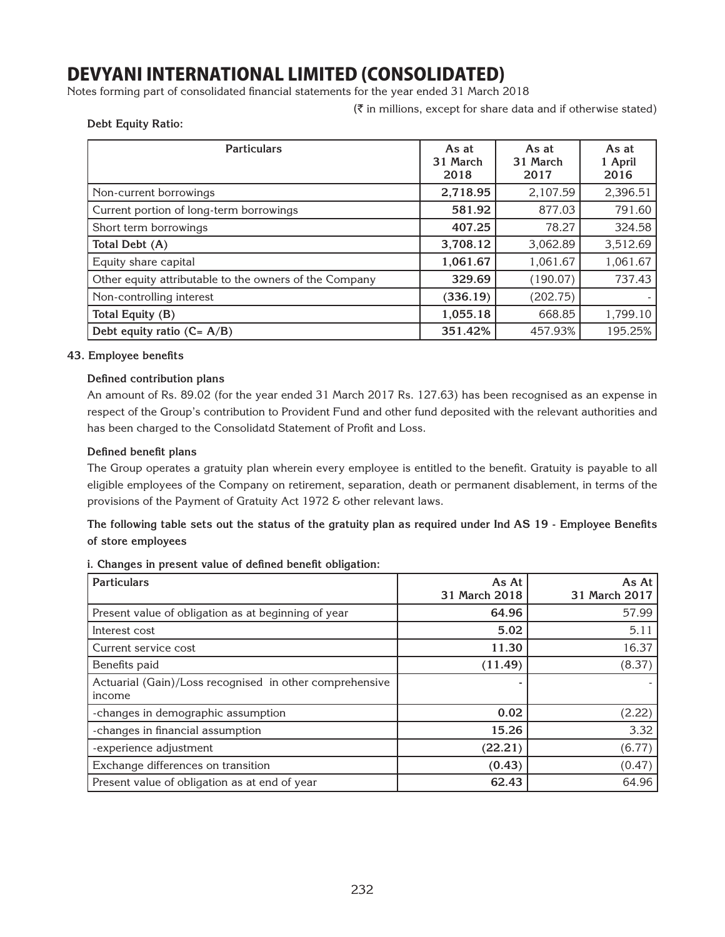Notes forming part of consolidated financial statements for the year ended 31 March 2018

 $(\bar{\bar{\zeta}})$  in millions, except for share data and if otherwise stated)

### **Debt Equity Ratio:**

| <b>Particulars</b>                                     | As at<br>31 March<br>2018 | As at<br>31 March<br>2017 | As at<br>1 April<br>2016 |
|--------------------------------------------------------|---------------------------|---------------------------|--------------------------|
| Non-current borrowings                                 | 2,718.95                  | 2,107.59                  | 2,396.51                 |
| Current portion of long-term borrowings                | 581.92                    | 877.03                    | 791.60                   |
| Short term borrowings                                  | 407.25                    | 78.27                     | 324.58                   |
| Total Debt (A)                                         | 3,708.12                  | 3,062.89                  | 3,512.69                 |
| Equity share capital                                   | 1,061.67                  | 1,061.67                  | 1,061.67                 |
| Other equity attributable to the owners of the Company | 329.69                    | (190.07)                  | 737.43                   |
| Non-controlling interest                               | (336.19)                  | (202.75)                  |                          |
| Total Equity (B)                                       | 1,055.18                  | 668.85                    | 1,799.10                 |
| Debt equity ratio $(C = A/B)$                          | 351.42%                   | 457.93%                   | 195.25%                  |

### **43. Employee benefits**

### **Defined contribution plans**

An amount of Rs. 89.02 (for the year ended 31 March 2017 Rs. 127.63) has been recognised as an expense in respect of the Group's contribution to Provident Fund and other fund deposited with the relevant authorities and has been charged to the Consolidatd Statement of Profit and Loss.

### **Defined benefit plans**

The Group operates a gratuity plan wherein every employee is entitled to the benefit. Gratuity is payable to all eligible employees of the Company on retirement, separation, death or permanent disablement, in terms of the provisions of the Payment of Gratuity Act 1972 & other relevant laws.

**The following table sets out the status of the gratuity plan as required under Ind AS 19 - Employee Benefits of store employees**

**i. Changes in present value of defined benefit obligation:**

| <b>Particulars</b>                                                | As At<br>31 March 2018 | As At<br>31 March 2017 |
|-------------------------------------------------------------------|------------------------|------------------------|
| Present value of obligation as at beginning of year               | 64.96                  | 57.99                  |
| Interest cost                                                     | 5.02                   | 5.11                   |
| Current service cost                                              | 11.30                  | 16.37                  |
| Benefits paid                                                     | (11.49)                | (8.37)                 |
| Actuarial (Gain)/Loss recognised in other comprehensive<br>income |                        |                        |
| -changes in demographic assumption                                | 0.02                   | (2.22)                 |
| -changes in financial assumption                                  | 15.26                  | 3.32                   |
| -experience adjustment                                            | (22.21)                | (6.77)                 |
| Exchange differences on transition                                | (0.43)                 | (0.47)                 |
| Present value of obligation as at end of year                     | 62.43                  | 64.96                  |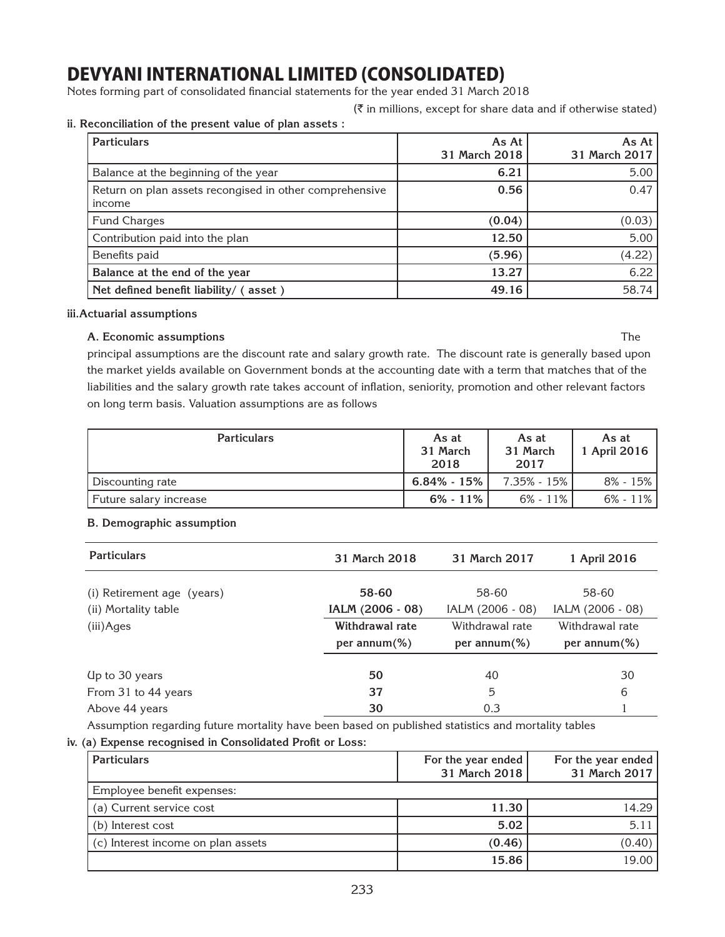Notes forming part of consolidated financial statements for the year ended 31 March 2018

 $(\bar{\bar{\zeta}})$  in millions, except for share data and if otherwise stated)

### **ii. Reconciliation of the present value of plan assets :**

| <b>Particulars</b>                                                | As At<br>31 March 2018 | As At $ $<br>31 March 2017 |
|-------------------------------------------------------------------|------------------------|----------------------------|
| Balance at the beginning of the year                              | 6.21                   | 5.00                       |
| Return on plan assets recongised in other comprehensive<br>income | 0.56                   | 0.47                       |
| <b>Fund Charges</b>                                               | (0.04)                 | (0.03)                     |
| Contribution paid into the plan                                   | 12.50                  | 5.00                       |
| Benefits paid                                                     | (5.96)                 | (4.22)                     |
| Balance at the end of the year                                    | 13.27                  | 6.22                       |
| Net defined benefit liability/ (asset)                            | 49.16                  | 58.74                      |

### **iii.Actuarial assumptions**

### **A. Economic assumptions** The

principal assumptions are the discount rate and salary growth rate. The discount rate is generally based upon the market yields available on Government bonds at the accounting date with a term that matches that of the liabilities and the salary growth rate takes account of inflation, seniority, promotion and other relevant factors on long term basis. Valuation assumptions are as follows

| <b>Particulars</b>     | As at<br>31 March<br>2018 | As at<br>31 March<br>2017 | As at<br>1 April 2016 |
|------------------------|---------------------------|---------------------------|-----------------------|
| Discounting rate       | $6.84\% - 15\%$           | 7.35% - 15% l             | $8\% - 15\%$          |
| Future salary increase | $6\% - 11\%$              | 6% - 11%                  | $6\% - 11\%$          |

## **B. Demographic assumption**

| <b>Particulars</b>         | 31 March 2018    | 31 March 2017    | 1 April 2016     |
|----------------------------|------------------|------------------|------------------|
| (i) Retirement age (years) | 58-60            | 58-60            | 58-60            |
| (ii) Mortality table       | IALM (2006 - 08) | IALM (2006 - 08) | IALM (2006 - 08) |
| (iii)Ages                  | Withdrawal rate  | Withdrawal rate  | Withdrawal rate  |
|                            | per annum $(\%)$ | per annum $(\%)$ | per annum $(\%)$ |
|                            |                  |                  |                  |
| Up to 30 years             | 50               | 40               | 30               |
| From 31 to 44 years        | 37               | 5                | 6                |
| Above 44 years             | 30               | 0.3              |                  |

Assumption regarding future mortality have been based on published statistics and mortality tables

**iv. (a) Expense recognised in Consolidated Profit or Loss:** 

| <b>Particulars</b>                 | For the year ended<br>31 March 2018 | For the year ended<br>31 March 2017 |
|------------------------------------|-------------------------------------|-------------------------------------|
| Employee benefit expenses:         |                                     |                                     |
| (a) Current service cost           | 11.30                               | 14.29                               |
| (b) Interest cost                  | 5.02                                | 5.11                                |
| (c) Interest income on plan assets | (0.46)                              | (0.40)                              |
|                                    | 15.86                               | 19.00                               |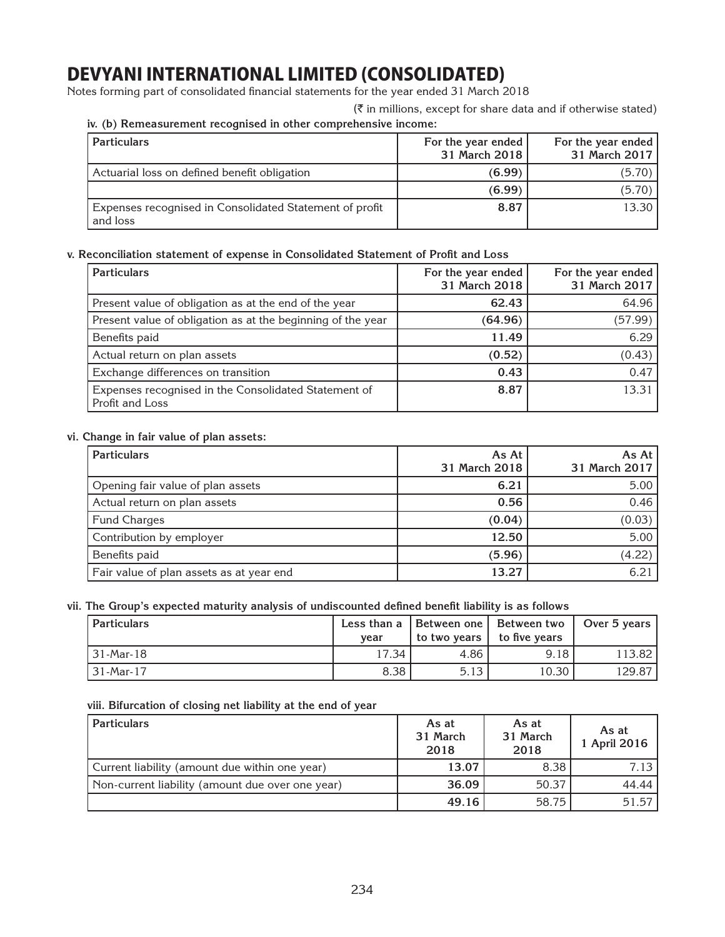Notes forming part of consolidated financial statements for the year ended 31 March 2018

 $(\bar{\bar{\zeta}})$  in millions, except for share data and if otherwise stated)

## **iv. (b) Remeasurement recognised in other comprehensive income:**

| <b>Particulars</b>                                                  | For the year ended<br>31 March 2018 | For the year ended<br>31 March 2017 |
|---------------------------------------------------------------------|-------------------------------------|-------------------------------------|
| Actuarial loss on defined benefit obligation                        | (6.99)                              | (5.70)                              |
|                                                                     | (6.99)                              | (5.70)                              |
| Expenses recognised in Consolidated Statement of profit<br>and loss | 8.87                                | 13.30                               |

### **v. Reconciliation statement of expense in Consolidated Statement of Profit and Loss**

| <b>Particulars</b>                                                      | For the year ended<br>31 March 2018 | For the year ended<br>31 March 2017 |
|-------------------------------------------------------------------------|-------------------------------------|-------------------------------------|
| Present value of obligation as at the end of the year                   | 62.43                               | 64.96                               |
| Present value of obligation as at the beginning of the year             | (64.96)                             | (57.99)                             |
| Benefits paid                                                           | 11.49                               | 6.29                                |
| Actual return on plan assets                                            | (0.52)                              | (0.43)                              |
| Exchange differences on transition                                      | 0.43                                | 0.47                                |
| Expenses recognised in the Consolidated Statement of<br>Profit and Loss | 8.87                                | 13.31                               |

### **vi. Change in fair value of plan assets:**

| <b>Particulars</b>                       | As At<br>31 March 2018 | As At<br>31 March 2017 |
|------------------------------------------|------------------------|------------------------|
| Opening fair value of plan assets        | 6.21                   | 5.00                   |
| Actual return on plan assets             | 0.56                   | 0.46                   |
| <b>Fund Charges</b>                      | (0.04)                 | (0.03)                 |
| Contribution by employer                 | 12.50                  | 5.00                   |
| Benefits paid                            | (5.96)                 | (4.22)                 |
| Fair value of plan assets as at year end | 13.27                  | 6.21                   |

## **vii. The Group's expected maturity analysis of undiscounted defined benefit liability is as follows**

| <b>Particulars</b> | vear  |      | Less than a   Between one   Between two<br>to two years to five years | Over 5 years |
|--------------------|-------|------|-----------------------------------------------------------------------|--------------|
| 31-Mar-18          | 17.34 | 4.86 | 9.18                                                                  | 113.82       |
| 31-Mar-17          | 8.38  | 5.13 | 10.30                                                                 | 129.87       |

### **viii. Bifurcation of closing net liability at the end of year**

| <b>Particulars</b>                               | As at<br>31 March<br>2018 | As at<br>31 March<br>2018 | As at<br>1 April 2016 |
|--------------------------------------------------|---------------------------|---------------------------|-----------------------|
| Current liability (amount due within one year)   | 13.07                     | 8.38                      | 7.13                  |
| Non-current liability (amount due over one year) | 36.09                     | 50.37                     | 44.44                 |
|                                                  | 49.16                     | 58.75                     | 51.57                 |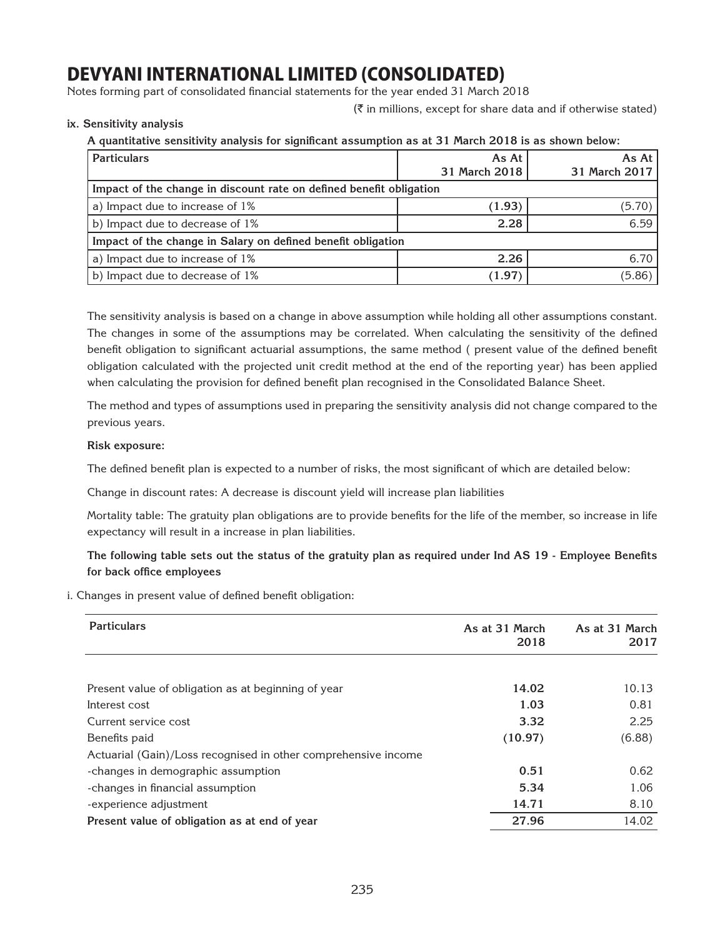Notes forming part of consolidated financial statements for the year ended 31 March 2018

 $(\bar{\tau})$  in millions, except for share data and if otherwise stated)

**ix. Sensitivity analysis**

**A quantitative sensitivity analysis for significant assumption as at 31 March 2018 is as shown below:**

| <b>Particulars</b>                                                  | As At<br>31 March 2018 | As At<br>31 March 2017 |
|---------------------------------------------------------------------|------------------------|------------------------|
| Impact of the change in discount rate on defined benefit obligation |                        |                        |
| a) Impact due to increase of 1%                                     | (1.93)                 | (5.70)                 |
| b) Impact due to decrease of 1%                                     | 2.28                   | 6.59                   |
| Impact of the change in Salary on defined benefit obligation        |                        |                        |
| a) Impact due to increase of 1%                                     | 2.26                   | 6.70                   |
| b) Impact due to decrease of 1%                                     | (1.97)                 | (5.86)                 |

The sensitivity analysis is based on a change in above assumption while holding all other assumptions constant. The changes in some of the assumptions may be correlated. When calculating the sensitivity of the defined benefit obligation to significant actuarial assumptions, the same method ( present value of the defined benefit obligation calculated with the projected unit credit method at the end of the reporting year) has been applied when calculating the provision for defined benefit plan recognised in the Consolidated Balance Sheet.

The method and types of assumptions used in preparing the sensitivity analysis did not change compared to the previous years.

### **Risk exposure:**

The defined benefit plan is expected to a number of risks, the most significant of which are detailed below:

Change in discount rates: A decrease is discount yield will increase plan liabilities

Mortality table: The gratuity plan obligations are to provide benefits for the life of the member, so increase in life expectancy will result in a increase in plan liabilities.

**The following table sets out the status of the gratuity plan as required under Ind AS 19 - Employee Benefits for back office employees**

i. Changes in present value of defined benefit obligation:

| <b>Particulars</b>                                             | As at 31 March<br>2018 | As at 31 March<br>2017 |
|----------------------------------------------------------------|------------------------|------------------------|
|                                                                |                        |                        |
| Present value of obligation as at beginning of year            | 14.02                  | 10.13                  |
| Interest cost                                                  | 1.03                   | 0.81                   |
| Current service cost                                           | 3.32                   | 2.25                   |
| Benefits paid                                                  | (10.97)                | (6.88)                 |
| Actuarial (Gain)/Loss recognised in other comprehensive income |                        |                        |
| -changes in demographic assumption                             | 0.51                   | 0.62                   |
| -changes in financial assumption                               | 5.34                   | 1.06                   |
| -experience adjustment                                         | 14.71                  | 8.10                   |
| Present value of obligation as at end of year                  | 27.96                  | 14.02                  |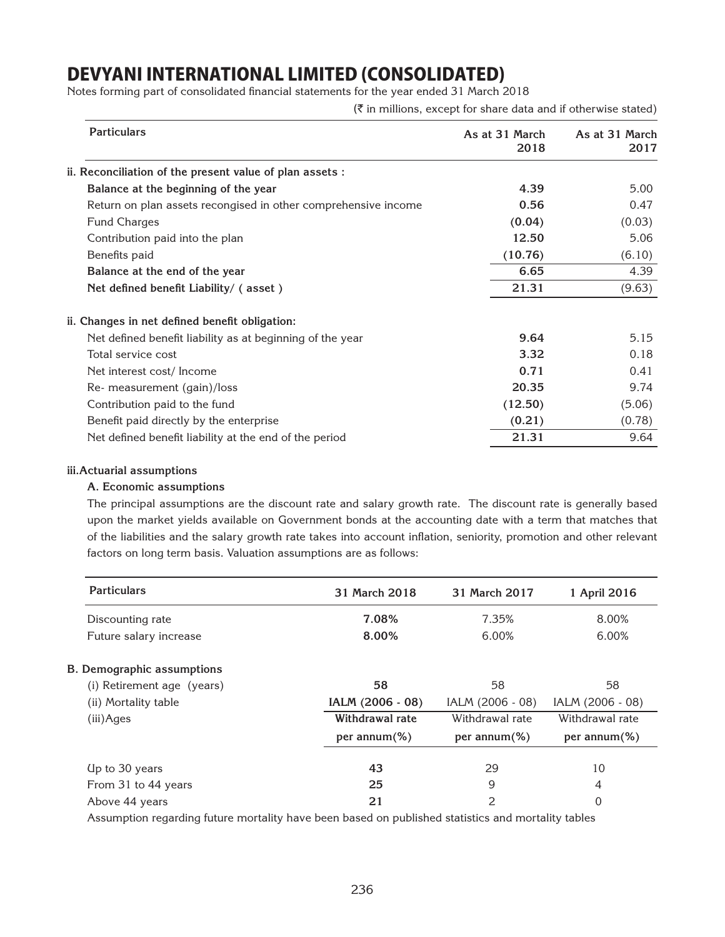Notes forming part of consolidated financial statements for the year ended 31 March 2018

 $(\bar{\bar{\zeta}})$  in millions, except for share data and if otherwise stated)

| <b>Particulars</b>                                             | As at 31 March<br>2018 | As at 31 March<br>2017 |
|----------------------------------------------------------------|------------------------|------------------------|
| ii. Reconciliation of the present value of plan assets :       |                        |                        |
| Balance at the beginning of the year                           | 4.39                   | 5.00                   |
| Return on plan assets recongised in other comprehensive income | 0.56                   | 0.47                   |
| <b>Fund Charges</b>                                            | (0.04)                 | (0.03)                 |
| Contribution paid into the plan                                | 12.50                  | 5.06                   |
| Benefits paid                                                  | (10.76)                | (6.10)                 |
| Balance at the end of the year                                 | 6.65                   | 4.39                   |
| Net defined benefit Liability/ (asset)                         | 21.31                  | (9.63)                 |
| ii. Changes in net defined benefit obligation:                 |                        |                        |
| Net defined benefit liability as at beginning of the year      | 9.64                   | 5.15                   |
| Total service cost                                             | 3.32                   | 0.18                   |
| Net interest cost/Income                                       | 0.71                   | 0.41                   |
| Re- measurement (gain)/loss                                    | 20.35                  | 9.74                   |
| Contribution paid to the fund                                  | (12.50)                | (5.06)                 |
| Benefit paid directly by the enterprise                        | (0.21)                 | (0.78)                 |
| Net defined benefit liability at the end of the period         | 21.31                  | 9.64                   |

#### **iii.Actuarial assumptions**

### **A. Economic assumptions**

The principal assumptions are the discount rate and salary growth rate. The discount rate is generally based upon the market yields available on Government bonds at the accounting date with a term that matches that of the liabilities and the salary growth rate takes into account inflation, seniority, promotion and other relevant factors on long term basis. Valuation assumptions are as follows:

| <b>Particulars</b>                | 31 March 2018    | 31 March 2017    | 1 April 2016     |
|-----------------------------------|------------------|------------------|------------------|
| Discounting rate                  | 7.08%            | 7.35%            | 8.00%            |
| Future salary increase            | 8.00%            | 6.00%            | 6.00%            |
| <b>B. Demographic assumptions</b> |                  |                  |                  |
| (i) Retirement age (years)        | 58               | 58               | 58               |
| (ii) Mortality table              | IALM (2006 - 08) | IALM (2006 - 08) | IALM (2006 - 08) |
| (iii)Ages                         | Withdrawal rate  | Withdrawal rate  | Withdrawal rate  |
|                                   | per annum $(\%)$ | per annum $(\%)$ | per annum $(\%)$ |
| Up to 30 years                    | 43               | 29               | 10               |
| From 31 to 44 years               | 25               | 9                | 4                |
| Above 44 years                    | 21               | 2                | 0                |

Assumption regarding future mortality have been based on published statistics and mortality tables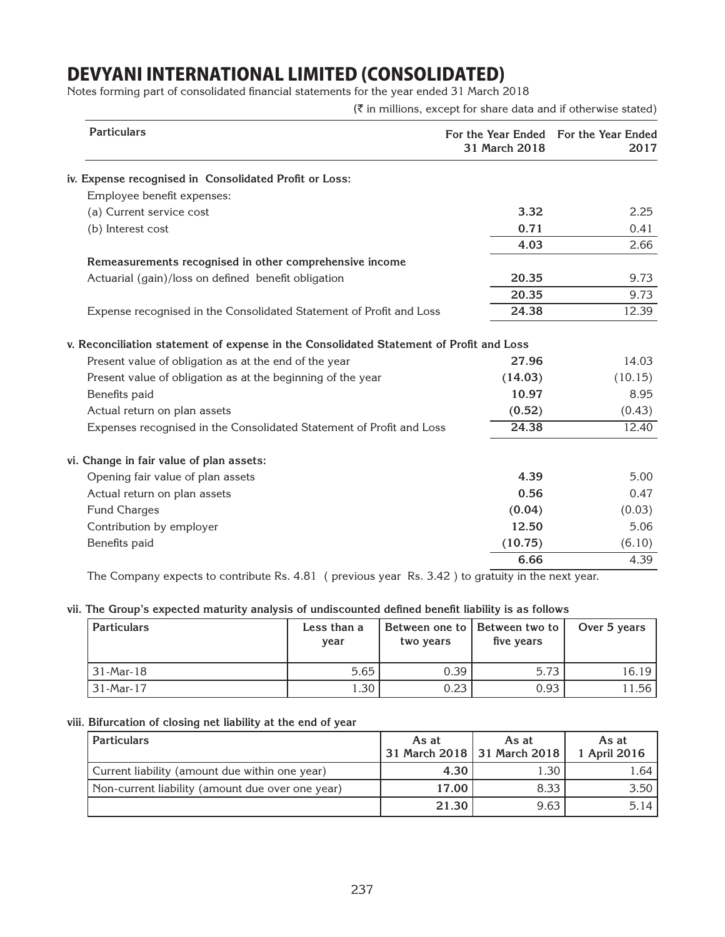Notes forming part of consolidated financial statements for the year ended 31 March 2018

 $(\bar{\tau}$  in millions, except for share data and if otherwise stated)

| <b>Particulars</b>                                                                      | For the Year Ended<br>31 March 2018 | For the Year Ended<br>2017 |  |  |  |  |  |
|-----------------------------------------------------------------------------------------|-------------------------------------|----------------------------|--|--|--|--|--|
| iv. Expense recognised in Consolidated Profit or Loss:                                  |                                     |                            |  |  |  |  |  |
| Employee benefit expenses:                                                              |                                     |                            |  |  |  |  |  |
| (a) Current service cost                                                                | 3.32                                | 2.25                       |  |  |  |  |  |
| (b) Interest cost                                                                       | 0.71                                | 0.41                       |  |  |  |  |  |
|                                                                                         | 4.03                                | 2.66                       |  |  |  |  |  |
| Remeasurements recognised in other comprehensive income                                 |                                     |                            |  |  |  |  |  |
| Actuarial (gain)/loss on defined benefit obligation                                     | 20.35                               | 9.73                       |  |  |  |  |  |
|                                                                                         | 20.35                               | 9.73                       |  |  |  |  |  |
| Expense recognised in the Consolidated Statement of Profit and Loss                     | 24.38                               | 12.39                      |  |  |  |  |  |
| v. Reconciliation statement of expense in the Consolidated Statement of Profit and Loss |                                     |                            |  |  |  |  |  |
| Present value of obligation as at the end of the year                                   | 27.96                               | 14.03                      |  |  |  |  |  |
| Present value of obligation as at the beginning of the year                             | (14.03)                             | (10.15)                    |  |  |  |  |  |
| Benefits paid                                                                           | 10.97                               | 8.95                       |  |  |  |  |  |
| Actual return on plan assets                                                            | (0.52)                              | (0.43)                     |  |  |  |  |  |
| Expenses recognised in the Consolidated Statement of Profit and Loss                    | 24.38                               | 12.40                      |  |  |  |  |  |
| vi. Change in fair value of plan assets:                                                |                                     |                            |  |  |  |  |  |
| Opening fair value of plan assets                                                       | 4.39                                | 5.00                       |  |  |  |  |  |
| Actual return on plan assets                                                            | 0.56                                | 0.47                       |  |  |  |  |  |
| <b>Fund Charges</b>                                                                     | (0.04)                              | (0.03)                     |  |  |  |  |  |
| Contribution by employer                                                                | 12.50                               | 5.06                       |  |  |  |  |  |
| Benefits paid                                                                           | (10.75)                             | (6.10)                     |  |  |  |  |  |
|                                                                                         | 6.66                                | 4.39                       |  |  |  |  |  |

The Company expects to contribute Rs. 4.81 ( previous year Rs. 3.42 ) to gratuity in the next year.

### **vii. The Group's expected maturity analysis of undiscounted defined benefit liability is as follows**

| <b>Particulars</b> | Less than a<br>year | two years | Between one to   Between two to  <br>five years | Over 5 years |
|--------------------|---------------------|-----------|-------------------------------------------------|--------------|
| 31-Mar-18          | 5.65                | 0.39      | 5.73                                            | 16.19        |
| 31-Mar-17          | .30                 | 0.23      | 0.93                                            | 1.56         |

### **viii. Bifurcation of closing net liability at the end of year**

| <b>Particulars</b>                               | As at | As at<br>31 March 2018   31 March 2018 | As at<br>1 April 2016 |
|--------------------------------------------------|-------|----------------------------------------|-----------------------|
| Current liability (amount due within one year)   | 4.30  | 1.30                                   | 1.64 l                |
| Non-current liability (amount due over one year) | 17.00 | 8.33                                   | 3.50                  |
|                                                  | 21.30 | 9.63                                   | $5.14$ l              |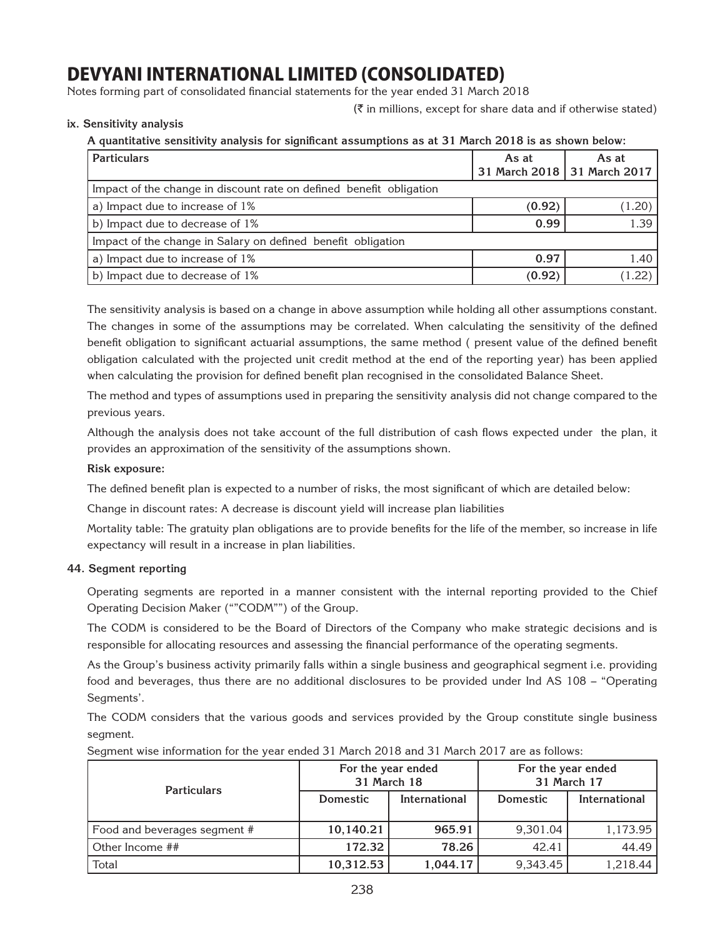Notes forming part of consolidated financial statements for the year ended 31 March 2018

 $(\bar{\tau})$  in millions, except for share data and if otherwise stated)

**ix. Sensitivity analysis**

**A quantitative sensitivity analysis for significant assumptions as at 31 March 2018 is as shown below:**

| <b>Particulars</b>                                                  | As at  | As at<br>31 March 2018   31 March 2017 |
|---------------------------------------------------------------------|--------|----------------------------------------|
| Impact of the change in discount rate on defined benefit obligation |        |                                        |
| a) Impact due to increase of 1%                                     | (0.92) | (1.20)                                 |
| b) Impact due to decrease of 1%                                     | 0.99   | 1.39                                   |
| Impact of the change in Salary on defined benefit obligation        |        |                                        |
| a) Impact due to increase of 1%                                     | 0.97   | 1.40                                   |
| b) Impact due to decrease of 1%                                     | (0.92) | (1.22)                                 |

The sensitivity analysis is based on a change in above assumption while holding all other assumptions constant. The changes in some of the assumptions may be correlated. When calculating the sensitivity of the defined benefit obligation to significant actuarial assumptions, the same method ( present value of the defined benefit obligation calculated with the projected unit credit method at the end of the reporting year) has been applied when calculating the provision for defined benefit plan recognised in the consolidated Balance Sheet.

The method and types of assumptions used in preparing the sensitivity analysis did not change compared to the previous years.

Although the analysis does not take account of the full distribution of cash flows expected under the plan, it provides an approximation of the sensitivity of the assumptions shown.

### **Risk exposure:**

The defined benefit plan is expected to a number of risks, the most significant of which are detailed below:

Change in discount rates: A decrease is discount yield will increase plan liabilities

Mortality table: The gratuity plan obligations are to provide benefits for the life of the member, so increase in life expectancy will result in a increase in plan liabilities.

### **44. Segment reporting**

Operating segments are reported in a manner consistent with the internal reporting provided to the Chief Operating Decision Maker (""CODM"") of the Group.

The CODM is considered to be the Board of Directors of the Company who make strategic decisions and is responsible for allocating resources and assessing the financial performance of the operating segments.

As the Group's business activity primarily falls within a single business and geographical segment i.e. providing food and beverages, thus there are no additional disclosures to be provided under Ind AS 108 – "Operating Segments'.

The CODM considers that the various goods and services provided by the Group constitute single business segment.

Segment wise information for the year ended 31 March 2018 and 31 March 2017 are as follows:

| <b>Particulars</b>           | For the year ended<br>31 March 18 |               | For the year ended | 31 March 17   |
|------------------------------|-----------------------------------|---------------|--------------------|---------------|
|                              | <b>Domestic</b>                   | International | Domestic           | International |
| Food and beverages segment # | 10,140.21                         | 965.91        | 9,301.04           | 1,173.95      |
| Other Income ##              | 172.32                            | 78.26         | 42.41              | 44.49         |
| Total                        | 10,312.53                         | 1,044.17      | 9,343.45           | 1,218.44      |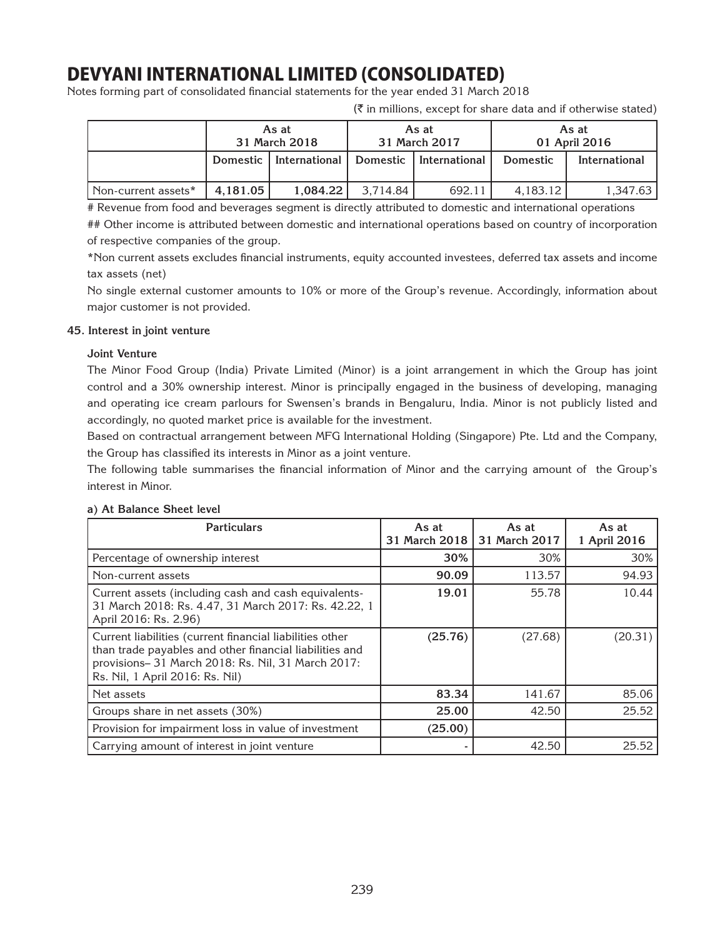Notes forming part of consolidated financial statements for the year ended 31 March 2018

**As at 31 March 2018 As at 31 March 2017 As at 01 April 2016 Domestic International Domestic International Domestic International** Non-current assets\* **4,181.05** 1,084.22 3,714.84 692.11 4,183.12 1,347.63

 $(\bar{\zeta})$  in millions, except for share data and if otherwise stated)

# Revenue from food and beverages segment is directly attributed to domestic and international operations

## Other income is attributed between domestic and international operations based on country of incorporation of respective companies of the group.

\*Non current assets excludes financial instruments, equity accounted investees, deferred tax assets and income tax assets (net)

No single external customer amounts to 10% or more of the Group's revenue. Accordingly, information about major customer is not provided.

### **45. Interest in joint venture**

### **Joint Venture**

The Minor Food Group (India) Private Limited (Minor) is a joint arrangement in which the Group has joint control and a 30% ownership interest. Minor is principally engaged in the business of developing, managing and operating ice cream parlours for Swensen's brands in Bengaluru, India. Minor is not publicly listed and accordingly, no quoted market price is available for the investment.

Based on contractual arrangement between MFG International Holding (Singapore) Pte. Ltd and the Company, the Group has classified its interests in Minor as a joint venture.

The following table summarises the financial information of Minor and the carrying amount of the Group's interest in Minor.

| <b>Particulars</b>                                                                                                                                                                                          | As at<br>31 March 2018 | As at<br>31 March 2017 | As at<br>1 April 2016 |
|-------------------------------------------------------------------------------------------------------------------------------------------------------------------------------------------------------------|------------------------|------------------------|-----------------------|
| Percentage of ownership interest                                                                                                                                                                            | 30%                    | 30%                    | 30%                   |
| Non-current assets                                                                                                                                                                                          | 90.09                  | 113.57                 | 94.93                 |
| Current assets (including cash and cash equivalents-<br>31 March 2018: Rs. 4.47, 31 March 2017: Rs. 42.22, 1<br>April 2016: Rs. 2.96)                                                                       | 19.01                  | 55.78                  | 10.44                 |
| Current liabilities (current financial liabilities other<br>than trade payables and other financial liabilities and<br>provisions-31 March 2018: Rs. Nil, 31 March 2017:<br>Rs. Nil, 1 April 2016: Rs. Nil) | (25.76)                | (27.68)                | (20.31)               |
| Net assets                                                                                                                                                                                                  | 83.34                  | 141.67                 | 85.06                 |
| Groups share in net assets (30%)                                                                                                                                                                            | 25.00                  | 42.50                  | 25.52                 |
| Provision for impairment loss in value of investment                                                                                                                                                        | (25.00)                |                        |                       |
| Carrying amount of interest in joint venture                                                                                                                                                                |                        | 42.50                  | 25.52                 |

### **a) At Balance Sheet level**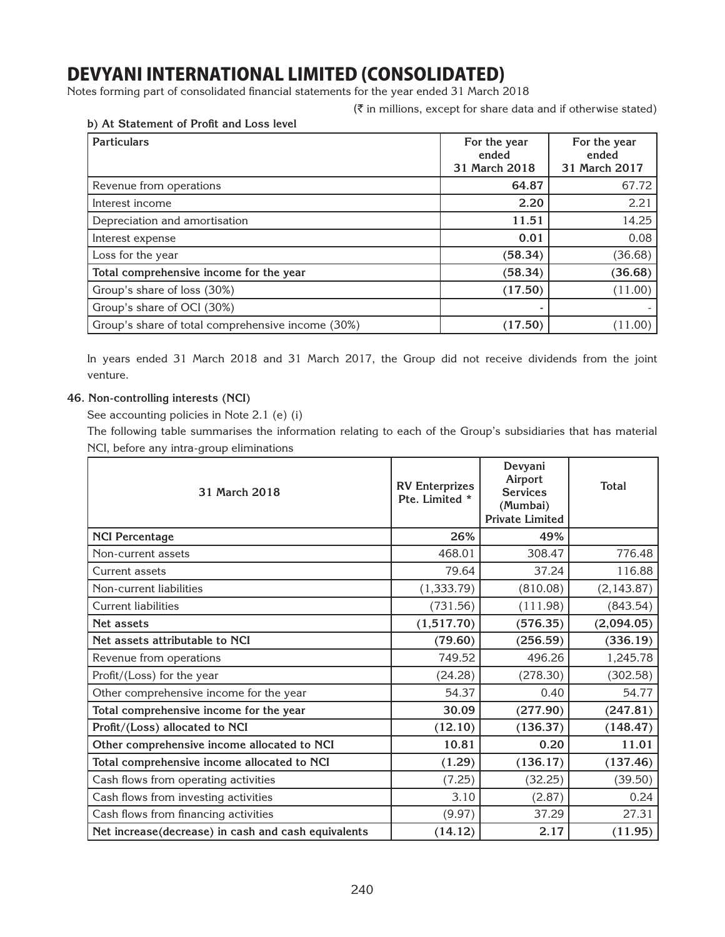Notes forming part of consolidated financial statements for the year ended 31 March 2018

 $(\bar{\tau})$  in millions, except for share data and if otherwise stated)

| <b>Particulars</b>                                | For the year<br>ended<br>31 March 2018 | For the year<br>ended<br>31 March 2017 |
|---------------------------------------------------|----------------------------------------|----------------------------------------|
| Revenue from operations                           | 64.87                                  | 67.72                                  |
| Interest income                                   | 2.20                                   | 2.21                                   |
| Depreciation and amortisation                     | 11.51                                  | 14.25                                  |
| Interest expense                                  | 0.01                                   | 0.08                                   |
| Loss for the year                                 | (58.34)                                | (36.68)                                |
| Total comprehensive income for the year           | (58.34)                                | (36.68)                                |
| Group's share of loss (30%)                       | (17.50)                                | (11.00)                                |
| Group's share of OCI (30%)                        |                                        |                                        |
| Group's share of total comprehensive income (30%) | (17.50)                                | (11.00)                                |

**b) At Statement of Profit and Loss level**

In years ended 31 March 2018 and 31 March 2017, the Group did not receive dividends from the joint venture.

### **46. Non-controlling interests (NCI)**

See accounting policies in Note 2.1 (e) (i)

The following table summarises the information relating to each of the Group's subsidiaries that has material NCI, before any intra-group eliminations

| 31 March 2018                                       | <b>RV Enterprizes</b><br>Pte. Limited * | Devyani<br>Airport<br><b>Services</b><br>(Mumbai)<br><b>Private Limited</b> | <b>Total</b> |
|-----------------------------------------------------|-----------------------------------------|-----------------------------------------------------------------------------|--------------|
| <b>NCI Percentage</b>                               | 26%                                     | 49%                                                                         |              |
| Non-current assets                                  | 468.01                                  | 308.47                                                                      | 776.48       |
| Current assets                                      | 79.64                                   | 37.24                                                                       | 116.88       |
| Non-current liabilities                             | (1, 333.79)                             | (810.08)                                                                    | (2, 143.87)  |
| <b>Current liabilities</b>                          | (731.56)                                | (111.98)                                                                    | (843.54)     |
| Net assets                                          | (1,517.70)                              | (576.35)                                                                    | (2,094.05)   |
| Net assets attributable to NCI                      | (79.60)                                 | (256.59)                                                                    | (336.19)     |
| Revenue from operations                             | 749.52                                  | 496.26                                                                      | 1,245.78     |
| Profit/(Loss) for the year                          | (24.28)                                 | (278.30)                                                                    | (302.58)     |
| Other comprehensive income for the year             | 54.37                                   | 0.40                                                                        | 54.77        |
| Total comprehensive income for the year             | 30.09                                   | (277.90)                                                                    | (247.81)     |
| Profit/(Loss) allocated to NCI                      | (12.10)                                 | (136.37)                                                                    | (148.47)     |
| Other comprehensive income allocated to NCI         | 10.81                                   | 0.20                                                                        | 11.01        |
| Total comprehensive income allocated to NCI         | (1.29)                                  | (136.17)                                                                    | (137.46)     |
| Cash flows from operating activities                | (7.25)                                  | (32.25)                                                                     | (39.50)      |
| Cash flows from investing activities                | 3.10                                    | (2.87)                                                                      | 0.24         |
| Cash flows from financing activities                | (9.97)                                  | 37.29                                                                       | 27.31        |
| Net increase(decrease) in cash and cash equivalents | (14.12)                                 | 2.17                                                                        | (11.95)      |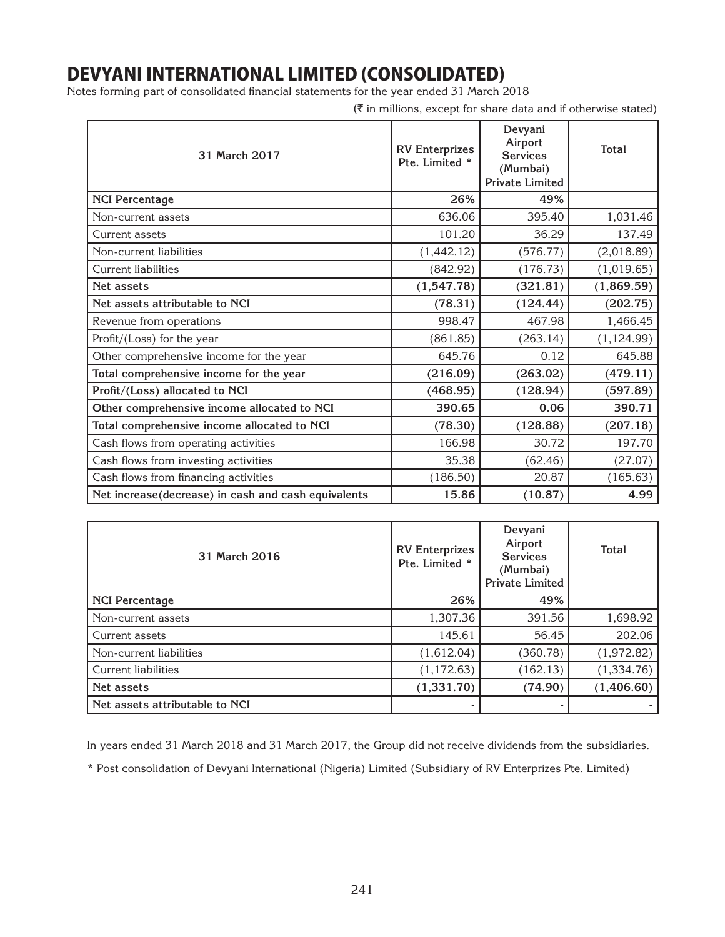Notes forming part of consolidated financial statements for the year ended 31 March 2018

 $(\bar{\tau}$  in millions, except for share data and if otherwise stated)

| 31 March 2017                                       | <b>RV</b> Enterprizes<br>Pte. Limited * | Devyani<br>Airport<br><b>Services</b><br>(Mumbai)<br><b>Private Limited</b> | <b>Total</b> |
|-----------------------------------------------------|-----------------------------------------|-----------------------------------------------------------------------------|--------------|
| <b>NCI Percentage</b>                               | 26%                                     | 49%                                                                         |              |
| Non-current assets                                  | 636.06                                  | 395.40                                                                      | 1,031.46     |
| Current assets                                      | 101.20                                  | 36.29                                                                       | 137.49       |
| Non-current liabilities                             | (1,442.12)                              | (576.77)                                                                    | (2,018.89)   |
| <b>Current liabilities</b>                          | (842.92)                                | (176.73)                                                                    | (1,019.65)   |
| Net assets                                          | (1,547.78)                              | (321.81)                                                                    | (1,869.59)   |
| Net assets attributable to NCI                      | (78.31)                                 | (124.44)                                                                    | (202.75)     |
| Revenue from operations                             | 998.47                                  | 467.98                                                                      | 1,466.45     |
| Profit/(Loss) for the year                          | (861.85)                                | (263.14)                                                                    | (1, 124.99)  |
| Other comprehensive income for the year             | 645.76                                  | 0.12                                                                        | 645.88       |
| Total comprehensive income for the year             | (216.09)                                | (263.02)                                                                    | (479.11)     |
| Profit/(Loss) allocated to NCI                      | (468.95)                                | (128.94)                                                                    | (597.89)     |
| Other comprehensive income allocated to NCI         | 390.65                                  | 0.06                                                                        | 390.71       |
| Total comprehensive income allocated to NCI         | (78.30)                                 | (128.88)                                                                    | (207.18)     |
| Cash flows from operating activities                | 166.98                                  | 30.72                                                                       | 197.70       |
| Cash flows from investing activities                | 35.38                                   | (62.46)                                                                     | (27.07)      |
| Cash flows from financing activities                | (186.50)                                | 20.87                                                                       | (165.63)     |
| Net increase(decrease) in cash and cash equivalents | 15.86                                   | (10.87)                                                                     | 4.99         |

| 31 March 2016                  | <b>RV</b> Enterprizes<br>Pte. Limited * | Devyani<br>Airport<br><b>Services</b><br>(Mumbai)<br><b>Private Limited</b> | <b>Total</b> |
|--------------------------------|-----------------------------------------|-----------------------------------------------------------------------------|--------------|
| <b>NCI Percentage</b>          | 26%                                     | 49%                                                                         |              |
| Non-current assets             | 1,307.36                                | 391.56                                                                      | 1,698.92     |
| Current assets                 | 145.61                                  | 56.45                                                                       | 202.06       |
| Non-current liabilities        | (1,612.04)                              | (360.78)                                                                    | (1,972.82)   |
| <b>Current liabilities</b>     | (1, 172.63)                             | (162.13)                                                                    | (1,334.76)   |
| Net assets                     | (1,331.70)                              | (74.90)                                                                     | (1,406.60)   |
| Net assets attributable to NCI |                                         |                                                                             |              |

In years ended 31 March 2018 and 31 March 2017, the Group did not receive dividends from the subsidiaries.

\* Post consolidation of Devyani International (Nigeria) Limited (Subsidiary of RV Enterprizes Pte. Limited)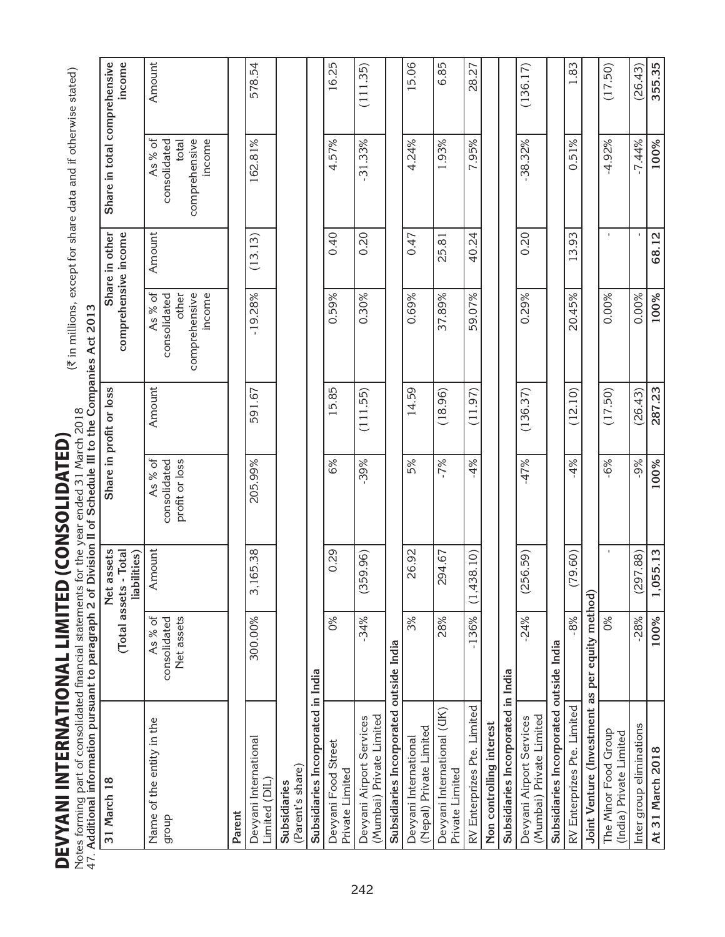| tes forming part of consolidated financial statements<br>Additional information pursuant to paragraph 2 of |                                       |                                          | Division II of Schedule III to the Companies Act 2013<br>for the year ended 31 March 2018 |                         |                                                             |                | $(\bar{x}$ in millions, except for share data and if otherwise stated) |          |
|------------------------------------------------------------------------------------------------------------|---------------------------------------|------------------------------------------|-------------------------------------------------------------------------------------------|-------------------------|-------------------------------------------------------------|----------------|------------------------------------------------------------------------|----------|
| 31 March 18                                                                                                | (Total assets                         | assets<br>- Total<br>liabilities)<br>Net |                                                                                           | Share in profit or loss | comprehensive income                                        | Share in other | Share in total comprehensive                                           | income   |
| Name of the entity in the<br>droub                                                                         | As % of<br>Net assets<br>consolidated | Amount                                   | As % of<br>profit or loss<br>consolidated                                                 | Amount                  | As % of<br>income<br>comprehensive<br>consolidated<br>other | Amount         | As % of<br>comprehensive<br>income<br>consolidated<br>total            | Amount   |
| Parent                                                                                                     |                                       |                                          |                                                                                           |                         |                                                             |                |                                                                        |          |
| Devyani International<br>Limited (DIL                                                                      | 300.00%                               | 165.38<br>m                              | 205.99%                                                                                   | 591.67                  | $-19.28%$                                                   | (13.13)        | 162.81%                                                                | 578.54   |
| (Parent's share)<br>Subsidiaries                                                                           |                                       |                                          |                                                                                           |                         |                                                             |                |                                                                        |          |
| Subsidiaries Incorporated in India                                                                         |                                       |                                          |                                                                                           |                         |                                                             |                |                                                                        |          |
| Devyani Food Street<br>Private Limited                                                                     | 0%                                    | 0.29                                     | 6%                                                                                        | 5.85                    | 0.59%                                                       | 0.40           | 4.57%                                                                  | 16.25    |
| (Mumbai) Private Limited<br>Devyani Airport Services                                                       | $-34%$                                | 59.96)<br>ಲ                              | .39%                                                                                      | (111.55)                | 0.30%                                                       | 0.20           | $-31.33%$                                                              | (111.35) |
| Subsidiaries Incorporated outside India                                                                    |                                       |                                          |                                                                                           |                         |                                                             |                |                                                                        |          |
| (Nepal) Private Limited<br>Devyani International                                                           | 3%                                    | 26.92                                    | 5%                                                                                        | 14.59                   | 0.69%                                                       | 0.47           | 4.24%                                                                  | 5.06     |
| Devyani International (UK)<br>Private Limited                                                              | 28%                                   | 294.67                                   | $-7%$                                                                                     | (18.96)                 | 37.89%                                                      | 25.81          | 1.93%                                                                  | 6.85     |
| RV Enterprizes Pte. Limited                                                                                | $-136%$                               | (1,438.10)                               | $-4%$                                                                                     | (11.97)                 | 59.07%                                                      | 40.24          | 7.95%                                                                  | 28.27    |
| Non controlling interest                                                                                   |                                       |                                          |                                                                                           |                         |                                                             |                |                                                                        |          |
| Subsidiaries Incorporated in India                                                                         |                                       |                                          |                                                                                           |                         |                                                             |                |                                                                        |          |
| (Mumbai) Private Limited<br>Devyani Airport Services                                                       | $-24%$                                | 256.59)<br>G                             | $-47%$                                                                                    | (136.37)                | 0.29%                                                       | 0.20           | 38.32%                                                                 | (136.17) |
| Subsidiaries Incorporated outside India                                                                    |                                       |                                          |                                                                                           |                         |                                                             |                |                                                                        |          |
| RV Enterprizes Pte. Limited                                                                                | $-8%$                                 | (79.60)                                  | $-4%$                                                                                     | (12.10)                 | 20.45%                                                      | 13.93          | 0.51%                                                                  | 1.83     |
| Joint Venture (Investment as per equity method)                                                            |                                       |                                          |                                                                                           |                         |                                                             |                |                                                                        |          |
| The Minor Food Group<br>(India) Private Limited                                                            | $\frac{8}{3}$                         |                                          | $-6%$                                                                                     | (17.50)                 | 0.00%                                                       | $\mathbf{I}$   | $-4.92%$                                                               | (17.50)  |
| Inter group eliminations                                                                                   | $-28%$                                | (297.88)                                 | -9%                                                                                       | (26.43)                 | 0.00%                                                       |                | $-7.44%$                                                               | (26.43)  |
| At 31 March 2018                                                                                           | 100%                                  | 1,055.13                                 | 100%                                                                                      | 287.23                  | 100%                                                        | 68.12          | 100%                                                                   | 355.35   |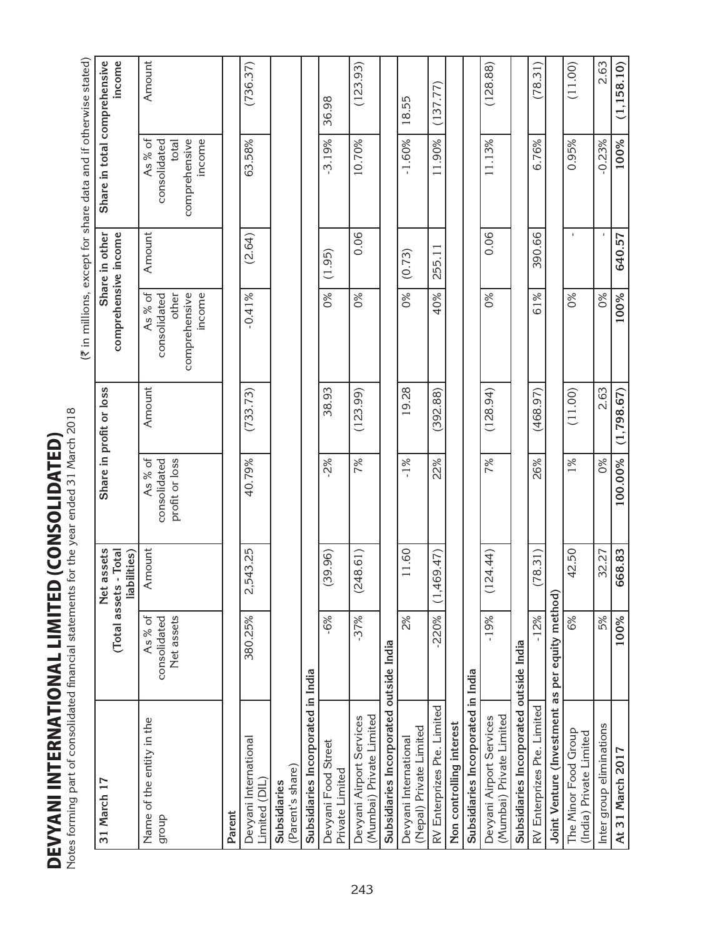|                   | $\frac{1}{2}$        |
|-------------------|----------------------|
|                   |                      |
| $\frac{1}{1}$     |                      |
|                   | $\overline{a}$       |
|                   |                      |
|                   |                      |
|                   |                      |
| = = < < = < < < < |                      |
|                   |                      |
|                   |                      |
|                   |                      |
|                   |                      |
|                   |                      |
|                   |                      |
|                   |                      |
|                   |                      |
|                   |                      |
| ▞▖▙▐▖▆▅▅▅▗▖▗▗     |                      |
| ĺ                 |                      |
|                   |                      |
| i<br>S            | $\ddot{\ }$          |
|                   |                      |
|                   | .<br>.<br>.          |
| i                 |                      |
|                   |                      |
|                   |                      |
|                   |                      |
|                   |                      |
|                   |                      |
|                   |                      |
|                   |                      |
|                   |                      |
| j                 | $\ddot{\phantom{0}}$ |
|                   |                      |

Notes forming part of consolidated financial statements for the year ended 31 March 2018 Notes forming part of consolidated financial statements for the year ended 31 March 2018 ه

2.63  $(\bar{x}$  in millions, except for share data and if otherwise stated) **Share in total comprehensive**  Inter group eliminations  $1$  5% 32.27 0% 32.27 0% 32.27 0% 2.63  $\vert$ **income** Amount  $(78.31)$  $(11.00)$  $(1, 158.10)$ 380.25% 2,543.25 40.79% (733.73) -0.41% (2.64) 63.58% (736.37) -37% (248.61) 7% (123.99) 0% 0.06 10.70% (123.93) -19% (124.44) 7% (128.94) 0% 0.06 11.13% (128.88) RV Enterprizes Pte. Limited - Limited - 12% | 26% | 26% | 26% 390.66 | 6.76% | 6.76% (78.31) 59.31) 6% 42.50 1% (11.00) 0% - 0.95% (11.00) **At 31 March 2017 100% 668.83 100.00% (1,798.67) 100% 640.57 100% (1,158.10)**  $(128.88)$  $\frac{1}{2}$  $\frac{1}{2}$  $\frac{1}{2}$  $\frac{1}{2}$  $\frac{1}{2}$  $\frac{1}{2}$  $\frac{1}{2}$  $\frac{1}{2}$  $\frac{1}{2}$  $\frac{1}{2}$  $\frac{1}{2}$ solidated RV Enterprizes Pte. Limited -220% (1,469.47) 22% (392.88) 40% 255.11 11.90% (137.77) 36.98 18.55 -6% (39.96) -2% 38.93 0% (1.95) -3.19% 36.98 2% 11.60 -1% 19.28 0% (0.73) -1.60% 18.55  $-3.19%$ 10.70%  $-0.23%$ 100% As % of Amount  $\begin{array}{c} \text{As } 8 \text{ of} \\ \end{array}$ consolidated comprehensive comprehensive income  $-1.60%$ 11.90% 6.76% 0.95% consolidated total 63.58% 11.13% Share in other **Share in profit or loss Share in other** Amount 0.06 0.06 390.66 comprehensive income  $(2.64)$ 640.57 **comprehensive income** 255.11  $(1.95)$  $(0.73)$ As % of 61% Amount | As % of consolidated comprehensive  $5<sup>8</sup>$  $0%$ 40% 100% comprehensive income  $-0.41%$  $5<sup>8</sup>$  $5<sup>8</sup>$  $5<sup>8</sup>$  $0\%$ other  $(11.00)$ 2.63 Share in profit or loss 38.93 19.28  $(468.97)$  $(1,798.67)$ Amount  $(733.73)$  $(123.99)$  $(392.88)$  $(128.94)$  $-2%$  $-1\%$ 22% 7% 26%  $0\%$ 100.00% As% of Amount As % of consolidated consolidated 40.79% 7%  $1%$ profit or loss profit or loss 42.50 **31 March 17 Net assets (Total assets - Total**  11.60 32.27 Net assets (Total assets - Total Amount 2,543.25  $(78.31)$ 668.83 **liabilities)**  $(39.96)$  $(248.61)$  $(1,469.47)$  $(124.44)$ **Joint Venture (Investment as per equity method)** Joint Venture (Investment as per equity method)  $-220%$  $-12%$  $-6%$  $37%$  $-19%$ 5% consolidated  $2%$ 6% 100% As % of consolidated Net assets 380.25% Net assets Subsidiaries Incorporated outside India Subsidiaries Incorporated outside India **Subsidiaries Incorporated outside India Subsidiaries Incorporated outside India** Subsidiaries Incorporated in India Subsidiaries Incorporated in India **Subsidiaries Incorporated in India Subsidiaries Incorporated in India** RV Enterprizes Pte. Limited RV Enterprizes Pte. Limited Devyani Airport Services Mumbai) Private Limited Devyani Airport Services (Mumbai) Private Limited Name of the entity in the Devyani Airport Services (Mumbai) Private Limited Devyani Airport Services (Mumbai) Private Limited Name of the entity in the Nepal) Private Limited Non controlling interest **Non controlling interest** Inter group eliminations The Minor Food Group (Nepal) Private Limited The Minor Food Group (India) Private Limited (India) Private Limited Devyani International Devyani International Devyani International Devyani International Devyani Food Street Devyani Food Street At 31 March 2017 (Parent's share) (Parent's share) Private Limited Private Limited Limited (DIL) Limited (DIL) 31 March 17 **Subsidiaries Subsidiaries Parent** group